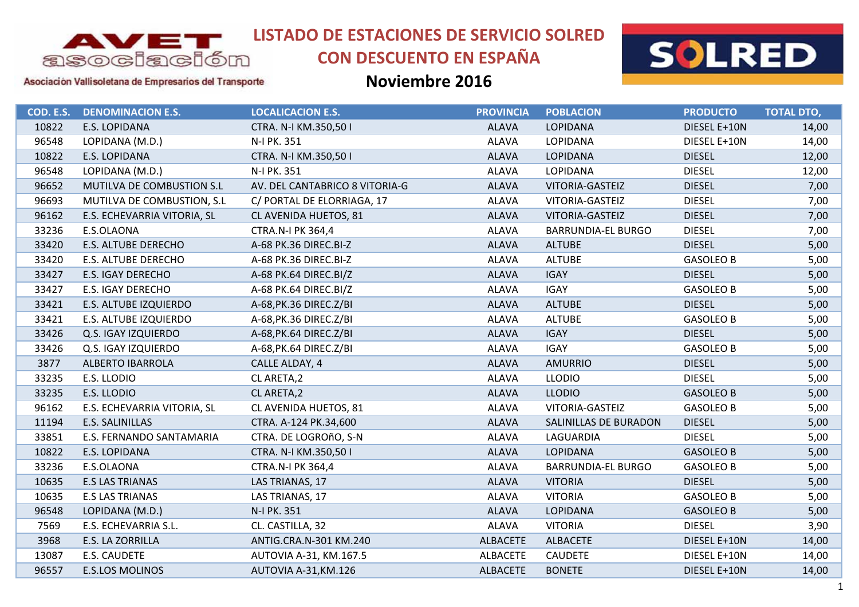

# **CON DESCUENTO EN ESPAÑA**



Asociación Vallisoletana de Empresarios del Transporte

| COD. E.S. | <b>DENOMINACION E.S.</b>    | <b>LOCALICACION E.S.</b>       | <b>PROVINCIA</b> | <b>POBLACION</b>          | <b>PRODUCTO</b>  | <b>TOTAL DTO,</b> |
|-----------|-----------------------------|--------------------------------|------------------|---------------------------|------------------|-------------------|
| 10822     | E.S. LOPIDANA               | CTRA. N-I KM.350,501           | <b>ALAVA</b>     | <b>LOPIDANA</b>           | DIESEL E+10N     | 14,00             |
| 96548     | LOPIDANA (M.D.)             | N-I PK. 351                    | <b>ALAVA</b>     | LOPIDANA                  | DIESEL E+10N     | 14,00             |
| 10822     | E.S. LOPIDANA               | CTRA. N-I KM.350,501           | <b>ALAVA</b>     | LOPIDANA                  | <b>DIESEL</b>    | 12,00             |
| 96548     | LOPIDANA (M.D.)             | N-I PK. 351                    | <b>ALAVA</b>     | LOPIDANA                  | <b>DIESEL</b>    | 12,00             |
| 96652     | MUTILVA DE COMBUSTION S.L   | AV. DEL CANTABRICO 8 VITORIA-G | <b>ALAVA</b>     | VITORIA-GASTEIZ           | <b>DIESEL</b>    | 7,00              |
| 96693     | MUTILVA DE COMBUSTION, S.L  | C/ PORTAL DE ELORRIAGA, 17     | <b>ALAVA</b>     | VITORIA-GASTEIZ           | <b>DIESEL</b>    | 7,00              |
| 96162     | E.S. ECHEVARRIA VITORIA, SL | CL AVENIDA HUETOS, 81          | <b>ALAVA</b>     | VITORIA-GASTEIZ           | <b>DIESEL</b>    | 7,00              |
| 33236     | E.S.OLAONA                  | CTRA.N-I PK 364,4              | <b>ALAVA</b>     | <b>BARRUNDIA-EL BURGO</b> | <b>DIESEL</b>    | 7,00              |
| 33420     | E.S. ALTUBE DERECHO         | A-68 PK.36 DIREC.BI-Z          | <b>ALAVA</b>     | <b>ALTUBE</b>             | <b>DIESEL</b>    | 5,00              |
| 33420     | E.S. ALTUBE DERECHO         | A-68 PK.36 DIREC.BI-Z          | <b>ALAVA</b>     | <b>ALTUBE</b>             | <b>GASOLEO B</b> | 5,00              |
| 33427     | E.S. IGAY DERECHO           | A-68 PK.64 DIREC.BI/Z          | <b>ALAVA</b>     | <b>IGAY</b>               | <b>DIESEL</b>    | 5,00              |
| 33427     | E.S. IGAY DERECHO           | A-68 PK.64 DIREC.BI/Z          | <b>ALAVA</b>     | <b>IGAY</b>               | <b>GASOLEO B</b> | 5,00              |
| 33421     | E.S. ALTUBE IZQUIERDO       | A-68, PK.36 DIREC. Z/BI        | <b>ALAVA</b>     | <b>ALTUBE</b>             | <b>DIESEL</b>    | 5,00              |
| 33421     | E.S. ALTUBE IZQUIERDO       | A-68, PK.36 DIREC. Z/BI        | <b>ALAVA</b>     | <b>ALTUBE</b>             | <b>GASOLEO B</b> | 5,00              |
| 33426     | Q.S. IGAY IZQUIERDO         | A-68, PK.64 DIREC. Z/BI        | <b>ALAVA</b>     | <b>IGAY</b>               | <b>DIESEL</b>    | 5,00              |
| 33426     | Q.S. IGAY IZQUIERDO         | A-68, PK.64 DIREC. Z/BI        | <b>ALAVA</b>     | <b>IGAY</b>               | <b>GASOLEO B</b> | 5,00              |
| 3877      | <b>ALBERTO IBARROLA</b>     | CALLE ALDAY, 4                 | <b>ALAVA</b>     | <b>AMURRIO</b>            | <b>DIESEL</b>    | 5,00              |
| 33235     | E.S. LLODIO                 | CL ARETA, 2                    | <b>ALAVA</b>     | <b>LLODIO</b>             | <b>DIESEL</b>    | 5,00              |
| 33235     | E.S. LLODIO                 | CL ARETA, 2                    | <b>ALAVA</b>     | <b>LLODIO</b>             | <b>GASOLEO B</b> | 5,00              |
| 96162     | E.S. ECHEVARRIA VITORIA, SL | CL AVENIDA HUETOS, 81          | <b>ALAVA</b>     | VITORIA-GASTEIZ           | <b>GASOLEO B</b> | 5,00              |
| 11194     | E.S. SALINILLAS             | CTRA. A-124 PK.34,600          | <b>ALAVA</b>     | SALINILLAS DE BURADON     | <b>DIESEL</b>    | 5,00              |
| 33851     | E.S. FERNANDO SANTAMARIA    | CTRA. DE LOGROñO, S-N          | <b>ALAVA</b>     | LAGUARDIA                 | <b>DIESEL</b>    | 5,00              |
| 10822     | E.S. LOPIDANA               | CTRA. N-I KM.350,501           | <b>ALAVA</b>     | <b>LOPIDANA</b>           | <b>GASOLEO B</b> | 5,00              |
| 33236     | E.S.OLAONA                  | CTRA.N-I PK 364,4              | <b>ALAVA</b>     | <b>BARRUNDIA-EL BURGO</b> | <b>GASOLEO B</b> | 5,00              |
| 10635     | <b>E.S LAS TRIANAS</b>      | LAS TRIANAS, 17                | <b>ALAVA</b>     | <b>VITORIA</b>            | <b>DIESEL</b>    | 5,00              |
| 10635     | <b>E.S LAS TRIANAS</b>      | LAS TRIANAS, 17                | <b>ALAVA</b>     | <b>VITORIA</b>            | <b>GASOLEO B</b> | 5,00              |
| 96548     | LOPIDANA (M.D.)             | N-I PK. 351                    | <b>ALAVA</b>     | <b>LOPIDANA</b>           | <b>GASOLEO B</b> | 5,00              |
| 7569      | E.S. ECHEVARRIA S.L.        | CL. CASTILLA, 32               | <b>ALAVA</b>     | <b>VITORIA</b>            | <b>DIESEL</b>    | 3,90              |
| 3968      | E.S. LA ZORRILLA            | ANTIG.CRA.N-301 KM.240         | <b>ALBACETE</b>  | <b>ALBACETE</b>           | DIESEL E+10N     | 14,00             |
| 13087     | E.S. CAUDETE                | AUTOVIA A-31, KM.167.5         | <b>ALBACETE</b>  | <b>CAUDETE</b>            | DIESEL E+10N     | 14,00             |
| 96557     | <b>E.S.LOS MOLINOS</b>      | AUTOVIA A-31, KM.126           | <b>ALBACETE</b>  | <b>BONETE</b>             | DIESEL E+10N     | 14,00             |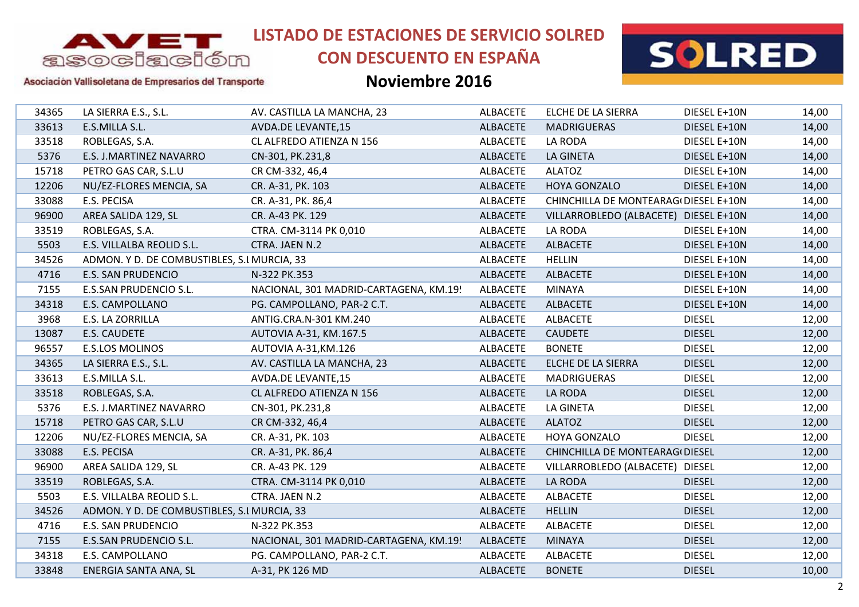

# **CON DESCUENTO EN ESPAÑA**



### Asociación Vallisoletana de Empresarios del Transporte

| 34365 | LA SIERRA E.S., S.L.                        | AV. CASTILLA LA MANCHA, 23             | <b>ALBACETE</b> | ELCHE DE LA SIERRA                    | DIESEL E+10N  | 14,00 |
|-------|---------------------------------------------|----------------------------------------|-----------------|---------------------------------------|---------------|-------|
| 33613 | E.S.MILLA S.L.                              | <b>AVDA.DE LEVANTE,15</b>              | <b>ALBACETE</b> | <b>MADRIGUERAS</b>                    | DIESEL E+10N  | 14,00 |
| 33518 | ROBLEGAS, S.A.                              | CL ALFREDO ATIENZA N 156               | <b>ALBACETE</b> | LA RODA                               | DIESEL E+10N  | 14,00 |
| 5376  | E.S. J.MARTINEZ NAVARRO                     | CN-301, PK.231,8                       | <b>ALBACETE</b> | <b>LA GINETA</b>                      | DIESEL E+10N  | 14,00 |
| 15718 | PETRO GAS CAR, S.L.U                        | CR CM-332, 46,4                        | <b>ALBACETE</b> | <b>ALATOZ</b>                         | DIESEL E+10N  | 14,00 |
| 12206 | NU/EZ-FLORES MENCIA, SA                     | CR. A-31, PK. 103                      | <b>ALBACETE</b> | HOYA GONZALO                          | DIESEL E+10N  | 14,00 |
| 33088 | E.S. PECISA                                 | CR. A-31, PK. 86,4                     | <b>ALBACETE</b> | CHINCHILLA DE MONTEARAG(DIESEL E+10N  |               | 14,00 |
| 96900 | AREA SALIDA 129, SL                         | CR. A-43 PK. 129                       | <b>ALBACETE</b> | VILLARROBLEDO (ALBACETE) DIESEL E+10N |               | 14,00 |
| 33519 | ROBLEGAS, S.A.                              | CTRA. CM-3114 PK 0,010                 | <b>ALBACETE</b> | LA RODA                               | DIESEL E+10N  | 14,00 |
| 5503  | E.S. VILLALBA REOLID S.L.                   | CTRA. JAEN N.2                         | <b>ALBACETE</b> | <b>ALBACETE</b>                       | DIESEL E+10N  | 14,00 |
| 34526 | ADMON. Y D. DE COMBUSTIBLES, S.I MURCIA, 33 |                                        | <b>ALBACETE</b> | <b>HELLIN</b>                         | DIESEL E+10N  | 14,00 |
| 4716  | <b>E.S. SAN PRUDENCIO</b>                   | N-322 PK.353                           | <b>ALBACETE</b> | <b>ALBACETE</b>                       | DIESEL E+10N  | 14,00 |
| 7155  | <b>E.S.SAN PRUDENCIO S.L.</b>               | NACIONAL, 301 MADRID-CARTAGENA, KM.19! | <b>ALBACETE</b> | <b>MINAYA</b>                         | DIESEL E+10N  | 14,00 |
| 34318 | E.S. CAMPOLLANO                             | PG. CAMPOLLANO, PAR-2 C.T.             | <b>ALBACETE</b> | <b>ALBACETE</b>                       | DIESEL E+10N  | 14,00 |
| 3968  | E.S. LA ZORRILLA                            | ANTIG.CRA.N-301 KM.240                 | <b>ALBACETE</b> | <b>ALBACETE</b>                       | <b>DIESEL</b> | 12,00 |
| 13087 | E.S. CAUDETE                                | AUTOVIA A-31, KM.167.5                 | <b>ALBACETE</b> | <b>CAUDETE</b>                        | <b>DIESEL</b> | 12,00 |
| 96557 | <b>E.S.LOS MOLINOS</b>                      | AUTOVIA A-31, KM.126                   | <b>ALBACETE</b> | <b>BONETE</b>                         | <b>DIESEL</b> | 12,00 |
| 34365 | LA SIERRA E.S., S.L.                        | AV. CASTILLA LA MANCHA, 23             | <b>ALBACETE</b> | ELCHE DE LA SIERRA                    | <b>DIESEL</b> | 12,00 |
| 33613 | E.S.MILLA S.L.                              | AVDA.DE LEVANTE, 15                    | <b>ALBACETE</b> | <b>MADRIGUERAS</b>                    | <b>DIESEL</b> | 12,00 |
| 33518 | ROBLEGAS, S.A.                              | CL ALFREDO ATIENZA N 156               | <b>ALBACETE</b> | LA RODA                               | <b>DIESEL</b> | 12,00 |
| 5376  | E.S. J.MARTINEZ NAVARRO                     | CN-301, PK.231,8                       | <b>ALBACETE</b> | LA GINETA                             | <b>DIESEL</b> | 12,00 |
| 15718 | PETRO GAS CAR, S.L.U                        | CR CM-332, 46,4                        | <b>ALBACETE</b> | <b>ALATOZ</b>                         | <b>DIESEL</b> | 12,00 |
| 12206 | NU/EZ-FLORES MENCIA, SA                     | CR. A-31, PK. 103                      | <b>ALBACETE</b> | <b>HOYA GONZALO</b>                   | <b>DIESEL</b> | 12,00 |
| 33088 | E.S. PECISA                                 | CR. A-31, PK. 86,4                     | <b>ALBACETE</b> | CHINCHILLA DE MONTEARAG(DIESEL        |               | 12,00 |
| 96900 | AREA SALIDA 129, SL                         | CR. A-43 PK. 129                       | <b>ALBACETE</b> | VILLARROBLEDO (ALBACETE) DIESEL       |               | 12,00 |
| 33519 | ROBLEGAS, S.A.                              | CTRA. CM-3114 PK 0,010                 | <b>ALBACETE</b> | LA RODA                               | <b>DIESEL</b> | 12,00 |
| 5503  | E.S. VILLALBA REOLID S.L.                   | CTRA. JAEN N.2                         | <b>ALBACETE</b> | <b>ALBACETE</b>                       | <b>DIESEL</b> | 12,00 |
| 34526 | ADMON. Y D. DE COMBUSTIBLES, S.I MURCIA, 33 |                                        | <b>ALBACETE</b> | <b>HELLIN</b>                         | <b>DIESEL</b> | 12,00 |
| 4716  | <b>E.S. SAN PRUDENCIO</b>                   | N-322 PK.353                           | <b>ALBACETE</b> | <b>ALBACETE</b>                       | <b>DIESEL</b> | 12,00 |
| 7155  | <b>E.S.SAN PRUDENCIO S.L.</b>               | NACIONAL, 301 MADRID-CARTAGENA, KM.19! | <b>ALBACETE</b> | <b>MINAYA</b>                         | <b>DIESEL</b> | 12,00 |
| 34318 | E.S. CAMPOLLANO                             | PG. CAMPOLLANO, PAR-2 C.T.             | <b>ALBACETE</b> | <b>ALBACETE</b>                       | <b>DIESEL</b> | 12,00 |
| 33848 | ENERGIA SANTA ANA, SL                       | A-31, PK 126 MD                        | <b>ALBACETE</b> | <b>BONETE</b>                         | <b>DIESEL</b> | 10,00 |
|       |                                             |                                        |                 |                                       |               |       |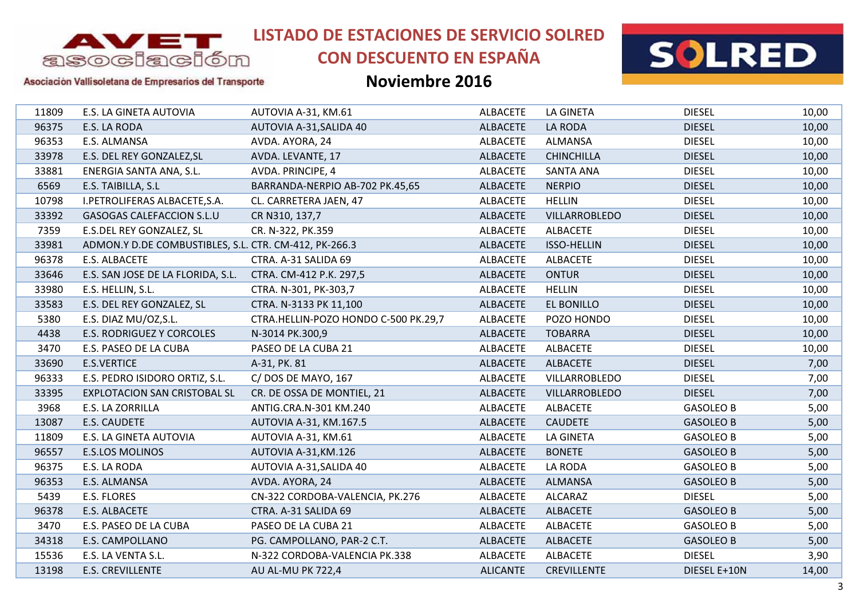

# **CON DESCUENTO EN ESPAÑA**



### Asociación Vallisoletana de Empresarios del Transporte

| 11809 |                        | E.S. LA GINETA AUTOVIA                                | AUTOVIA A-31, KM.61                  | <b>ALBACETE</b> | <b>LA GINETA</b>   | <b>DIESEL</b>    | 10,00 |
|-------|------------------------|-------------------------------------------------------|--------------------------------------|-----------------|--------------------|------------------|-------|
| 96375 | E.S. LA RODA           |                                                       | AUTOVIA A-31, SALIDA 40              | <b>ALBACETE</b> | LA RODA            | <b>DIESEL</b>    | 10,00 |
| 96353 | E.S. ALMANSA           |                                                       | AVDA. AYORA, 24                      | ALBACETE        | ALMANSA            | <b>DIESEL</b>    | 10,00 |
| 33978 |                        | E.S. DEL REY GONZALEZ, SL                             | AVDA. LEVANTE, 17                    | <b>ALBACETE</b> | <b>CHINCHILLA</b>  | <b>DIESEL</b>    | 10,00 |
| 33881 |                        | ENERGIA SANTA ANA, S.L.                               | AVDA. PRINCIPE, 4                    | <b>ALBACETE</b> | <b>SANTA ANA</b>   | <b>DIESEL</b>    | 10,00 |
| 6569  | E.S. TAIBILLA, S.L     |                                                       | BARRANDA-NERPIO AB-702 PK.45,65      | <b>ALBACETE</b> | <b>NERPIO</b>      | <b>DIESEL</b>    | 10,00 |
| 10798 |                        | I.PETROLIFERAS ALBACETE, S.A.                         | CL. CARRETERA JAEN, 47               | <b>ALBACETE</b> | <b>HELLIN</b>      | <b>DIESEL</b>    | 10,00 |
| 33392 |                        | GASOGAS CALEFACCION S.L.U                             | CR N310, 137,7                       | <b>ALBACETE</b> | VILLARROBLEDO      | <b>DIESEL</b>    | 10,00 |
| 7359  |                        | E.S.DEL REY GONZALEZ, SL                              | CR. N-322, PK.359                    | <b>ALBACETE</b> | <b>ALBACETE</b>    | <b>DIESEL</b>    | 10,00 |
| 33981 |                        | ADMON.Y D.DE COMBUSTIBLES, S.L. CTR. CM-412, PK-266.3 |                                      | <b>ALBACETE</b> | <b>ISSO-HELLIN</b> | <b>DIESEL</b>    | 10,00 |
| 96378 | E.S. ALBACETE          |                                                       | CTRA. A-31 SALIDA 69                 | <b>ALBACETE</b> | <b>ALBACETE</b>    | <b>DIESEL</b>    | 10,00 |
| 33646 |                        | E.S. SAN JOSE DE LA FLORIDA, S.L.                     | CTRA. CM-412 P.K. 297,5              | <b>ALBACETE</b> | <b>ONTUR</b>       | <b>DIESEL</b>    | 10,00 |
| 33980 | E.S. HELLIN, S.L.      |                                                       | CTRA. N-301, PK-303,7                | <b>ALBACETE</b> | <b>HELLIN</b>      | <b>DIESEL</b>    | 10,00 |
| 33583 |                        | E.S. DEL REY GONZALEZ, SL                             | CTRA. N-3133 PK 11,100               | <b>ALBACETE</b> | EL BONILLO         | <b>DIESEL</b>    | 10,00 |
| 5380  |                        | E.S. DIAZ MU/OZ, S.L.                                 | CTRA.HELLIN-POZO HONDO C-500 PK.29,7 | <b>ALBACETE</b> | POZO HONDO         | <b>DIESEL</b>    | 10,00 |
| 4438  |                        | E.S. RODRIGUEZ Y CORCOLES                             | N-3014 PK.300,9                      | <b>ALBACETE</b> | <b>TOBARRA</b>     | <b>DIESEL</b>    | 10,00 |
| 3470  |                        | E.S. PASEO DE LA CUBA                                 | PASEO DE LA CUBA 21                  | <b>ALBACETE</b> | <b>ALBACETE</b>    | <b>DIESEL</b>    | 10,00 |
| 33690 | <b>E.S.VERTICE</b>     |                                                       | A-31, PK. 81                         | <b>ALBACETE</b> | <b>ALBACETE</b>    | <b>DIESEL</b>    | 7,00  |
| 96333 |                        | E.S. PEDRO ISIDORO ORTIZ, S.L.                        | C/DOS DE MAYO, 167                   | <b>ALBACETE</b> | VILLARROBLEDO      | <b>DIESEL</b>    | 7,00  |
| 33395 |                        | <b>EXPLOTACION SAN CRISTOBAL SL</b>                   | CR. DE OSSA DE MONTIEL, 21           | ALBACETE        | VILLARROBLEDO      | <b>DIESEL</b>    | 7,00  |
| 3968  | E.S. LA ZORRILLA       |                                                       | ANTIG.CRA.N-301 KM.240               | <b>ALBACETE</b> | <b>ALBACETE</b>    | <b>GASOLEO B</b> | 5,00  |
| 13087 | E.S. CAUDETE           |                                                       | AUTOVIA A-31, KM.167.5               | <b>ALBACETE</b> | <b>CAUDETE</b>     | <b>GASOLEO B</b> | 5,00  |
| 11809 |                        | E.S. LA GINETA AUTOVIA                                | AUTOVIA A-31, KM.61                  | ALBACETE        | LA GINETA          | <b>GASOLEO B</b> | 5,00  |
| 96557 | <b>E.S.LOS MOLINOS</b> |                                                       | AUTOVIA A-31, KM.126                 | <b>ALBACETE</b> | <b>BONETE</b>      | <b>GASOLEO B</b> | 5,00  |
| 96375 | E.S. LA RODA           |                                                       | AUTOVIA A-31, SALIDA 40              | ALBACETE        | LA RODA            | <b>GASOLEO B</b> | 5,00  |
| 96353 | E.S. ALMANSA           |                                                       | AVDA. AYORA, 24                      | <b>ALBACETE</b> | <b>ALMANSA</b>     | <b>GASOLEO B</b> | 5,00  |
| 5439  | E.S. FLORES            |                                                       | CN-322 CORDOBA-VALENCIA, PK.276      | <b>ALBACETE</b> | ALCARAZ            | <b>DIESEL</b>    | 5,00  |
| 96378 | E.S. ALBACETE          |                                                       | CTRA. A-31 SALIDA 69                 | <b>ALBACETE</b> | <b>ALBACETE</b>    | <b>GASOLEO B</b> | 5,00  |
| 3470  |                        | E.S. PASEO DE LA CUBA                                 | PASEO DE LA CUBA 21                  | <b>ALBACETE</b> | <b>ALBACETE</b>    | <b>GASOLEO B</b> | 5,00  |
| 34318 | E.S. CAMPOLLANO        |                                                       | PG. CAMPOLLANO, PAR-2 C.T.           | <b>ALBACETE</b> | <b>ALBACETE</b>    | <b>GASOLEO B</b> | 5,00  |
| 15536 | E.S. LA VENTA S.L.     |                                                       | N-322 CORDOBA-VALENCIA PK.338        | ALBACETE        | <b>ALBACETE</b>    | <b>DIESEL</b>    | 3,90  |
| 13198 | E.S. CREVILLENTE       |                                                       | AU AL-MU PK 722,4                    | <b>ALICANTE</b> | <b>CREVILLENTE</b> | DIESEL E+10N     | 14,00 |
|       |                        |                                                       |                                      |                 |                    |                  |       |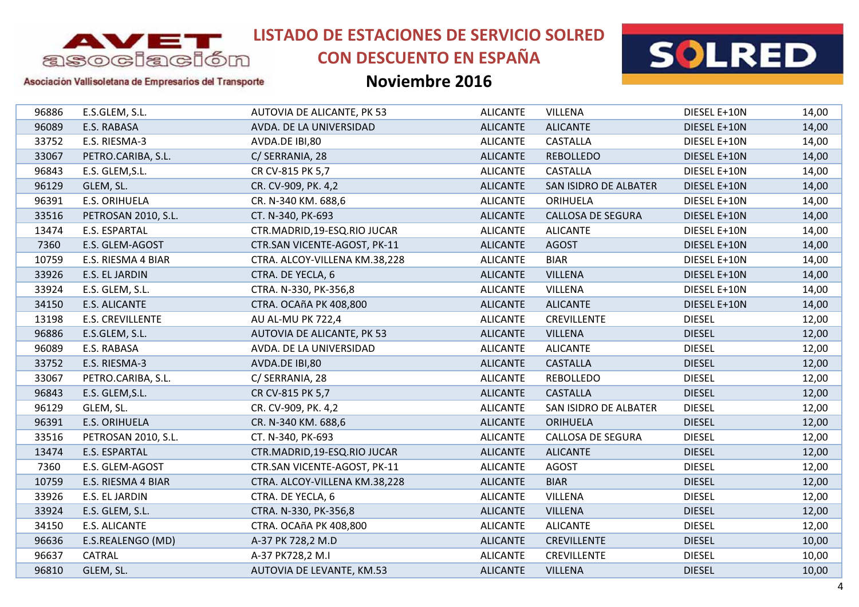

# **CON DESCUENTO EN ESPAÑA**



### Asociación Vallisoletana de Empresarios del Transporte

| 96886<br>E.S.GLEM, S.L.<br>AUTOVIA DE ALICANTE, PK 53<br><b>ALICANTE</b><br><b>VILLENA</b><br>96089<br>E.S. RABASA<br><b>ALICANTE</b><br><b>ALICANTE</b><br>AVDA. DE LA UNIVERSIDAD<br>E.S. RIESMA-3<br><b>CASTALLA</b><br>33752<br>AVDA.DE IBI,80<br><b>ALICANTE</b><br>33067<br>PETRO.CARIBA, S.L.<br><b>ALICANTE</b><br><b>REBOLLEDO</b><br>C/ SERRANIA, 28<br>96843<br>E.S. GLEM, S.L.<br><b>ALICANTE</b><br><b>CASTALLA</b><br>CR CV-815 PK 5,7<br>96129<br><b>ALICANTE</b><br>GLEM, SL.<br>CR. CV-909, PK. 4,2<br>SAN ISIDRO DE ALBATER<br>96391<br>E.S. ORIHUELA<br><b>ALICANTE</b><br>ORIHUELA<br>CR. N-340 KM. 688,6<br>33516<br>PETROSAN 2010, S.L.<br><b>ALICANTE</b><br><b>CALLOSA DE SEGURA</b><br>CT. N-340, PK-693<br>13474<br>E.S. ESPARTAL<br>CTR.MADRID, 19-ESQ.RIO JUCAR<br><b>ALICANTE</b><br><b>ALICANTE</b><br>7360<br>E.S. GLEM-AGOST<br>CTR.SAN VICENTE-AGOST, PK-11<br><b>ALICANTE</b><br><b>AGOST</b><br>10759<br>E.S. RIESMA 4 BIAR<br>CTRA. ALCOY-VILLENA KM.38,228<br><b>ALICANTE</b><br><b>BIAR</b><br>33926<br>E.S. EL JARDIN<br>CTRA. DE YECLA, 6<br><b>ALICANTE</b><br><b>VILLENA</b><br>33924<br><b>VILLENA</b><br>E.S. GLEM, S.L.<br><b>ALICANTE</b><br>CTRA. N-330, PK-356,8<br>34150<br><b>E.S. ALICANTE</b><br><b>ALICANTE</b><br><b>ALICANTE</b><br><b>CTRA. OCAñA PK 408,800</b><br>13198<br><b>E.S. CREVILLENTE</b><br>AU AL-MU PK 722,4<br><b>ALICANTE</b><br><b>CREVILLENTE</b><br><b>DIESEL</b><br>96886<br><b>VILLENA</b><br><b>DIESEL</b><br>E.S.GLEM, S.L.<br>AUTOVIA DE ALICANTE, PK 53<br><b>ALICANTE</b><br>96089<br>E.S. RABASA<br>AVDA. DE LA UNIVERSIDAD<br><b>ALICANTE</b><br><b>ALICANTE</b><br><b>DIESEL</b><br><b>CASTALLA</b><br><b>DIESEL</b><br>33752<br>E.S. RIESMA-3<br><b>ALICANTE</b><br>AVDA.DE IBI,80<br>33067<br><b>REBOLLEDO</b><br><b>DIESEL</b><br>PETRO.CARIBA, S.L.<br>C/ SERRANIA, 28<br><b>ALICANTE</b><br>96843<br>E.S. GLEM, S.L.<br><b>ALICANTE</b><br><b>CASTALLA</b><br><b>DIESEL</b><br>CR CV-815 PK 5,7<br>96129<br>GLEM, SL.<br><b>ALICANTE</b><br><b>DIESEL</b><br>CR. CV-909, PK. 4,2<br>SAN ISIDRO DE ALBATER<br>96391<br><b>E.S. ORIHUELA</b><br>CR. N-340 KM. 688,6<br><b>ALICANTE</b><br><b>ORIHUELA</b><br><b>DIESEL</b><br>33516<br>PETROSAN 2010, S.L.<br>CT. N-340, PK-693<br><b>ALICANTE</b><br><b>CALLOSA DE SEGURA</b><br><b>DIESEL</b><br>13474<br><b>DIESEL</b><br>E.S. ESPARTAL<br>CTR.MADRID, 19-ESQ.RIO JUCAR<br><b>ALICANTE</b><br><b>ALICANTE</b><br>7360<br><b>DIESEL</b><br>E.S. GLEM-AGOST<br>CTR.SAN VICENTE-AGOST, PK-11<br><b>ALICANTE</b><br><b>AGOST</b><br><b>BIAR</b><br>10759<br>E.S. RIESMA 4 BIAR<br>CTRA. ALCOY-VILLENA KM.38,228<br><b>ALICANTE</b><br><b>DIESEL</b><br>33926<br>E.S. EL JARDIN<br><b>VILLENA</b><br><b>DIESEL</b><br>CTRA. DE YECLA, 6<br><b>ALICANTE</b><br>33924<br><b>VILLENA</b><br><b>DIESEL</b><br>E.S. GLEM, S.L.<br>CTRA. N-330, PK-356,8<br><b>ALICANTE</b><br>34150<br>E.S. ALICANTE<br>CTRA. OCAñA PK 408,800<br><b>ALICANTE</b><br><b>ALICANTE</b><br><b>DIESEL</b><br><b>DIESEL</b><br>96636<br>E.S.REALENGO (MD)<br>A-37 PK 728,2 M.D<br><b>ALICANTE</b><br><b>CREVILLENTE</b><br>96637<br>CATRAL<br><b>ALICANTE</b><br><b>CREVILLENTE</b><br><b>DIESEL</b><br>A-37 PK728,2 M.I<br>96810<br>GLEM, SL.<br>AUTOVIA DE LEVANTE, KM.53<br><b>ALICANTE</b><br><b>VILLENA</b><br><b>DIESEL</b> |  |  |              |       |
|----------------------------------------------------------------------------------------------------------------------------------------------------------------------------------------------------------------------------------------------------------------------------------------------------------------------------------------------------------------------------------------------------------------------------------------------------------------------------------------------------------------------------------------------------------------------------------------------------------------------------------------------------------------------------------------------------------------------------------------------------------------------------------------------------------------------------------------------------------------------------------------------------------------------------------------------------------------------------------------------------------------------------------------------------------------------------------------------------------------------------------------------------------------------------------------------------------------------------------------------------------------------------------------------------------------------------------------------------------------------------------------------------------------------------------------------------------------------------------------------------------------------------------------------------------------------------------------------------------------------------------------------------------------------------------------------------------------------------------------------------------------------------------------------------------------------------------------------------------------------------------------------------------------------------------------------------------------------------------------------------------------------------------------------------------------------------------------------------------------------------------------------------------------------------------------------------------------------------------------------------------------------------------------------------------------------------------------------------------------------------------------------------------------------------------------------------------------------------------------------------------------------------------------------------------------------------------------------------------------------------------------------------------------------------------------------------------------------------------------------------------------------------------------------------------------------------------------------------------------------------------------------------------------------------------------------------------------------------------------------------------------------------------------------------------------------------------------------------------------------------------------------------------------------------------------------------------------------------------------------------------------------------------------------------------------------------------------------|--|--|--------------|-------|
|                                                                                                                                                                                                                                                                                                                                                                                                                                                                                                                                                                                                                                                                                                                                                                                                                                                                                                                                                                                                                                                                                                                                                                                                                                                                                                                                                                                                                                                                                                                                                                                                                                                                                                                                                                                                                                                                                                                                                                                                                                                                                                                                                                                                                                                                                                                                                                                                                                                                                                                                                                                                                                                                                                                                                                                                                                                                                                                                                                                                                                                                                                                                                                                                                                                                                                                                              |  |  | DIESEL E+10N | 14,00 |
|                                                                                                                                                                                                                                                                                                                                                                                                                                                                                                                                                                                                                                                                                                                                                                                                                                                                                                                                                                                                                                                                                                                                                                                                                                                                                                                                                                                                                                                                                                                                                                                                                                                                                                                                                                                                                                                                                                                                                                                                                                                                                                                                                                                                                                                                                                                                                                                                                                                                                                                                                                                                                                                                                                                                                                                                                                                                                                                                                                                                                                                                                                                                                                                                                                                                                                                                              |  |  | DIESEL E+10N | 14,00 |
|                                                                                                                                                                                                                                                                                                                                                                                                                                                                                                                                                                                                                                                                                                                                                                                                                                                                                                                                                                                                                                                                                                                                                                                                                                                                                                                                                                                                                                                                                                                                                                                                                                                                                                                                                                                                                                                                                                                                                                                                                                                                                                                                                                                                                                                                                                                                                                                                                                                                                                                                                                                                                                                                                                                                                                                                                                                                                                                                                                                                                                                                                                                                                                                                                                                                                                                                              |  |  | DIESEL E+10N | 14,00 |
|                                                                                                                                                                                                                                                                                                                                                                                                                                                                                                                                                                                                                                                                                                                                                                                                                                                                                                                                                                                                                                                                                                                                                                                                                                                                                                                                                                                                                                                                                                                                                                                                                                                                                                                                                                                                                                                                                                                                                                                                                                                                                                                                                                                                                                                                                                                                                                                                                                                                                                                                                                                                                                                                                                                                                                                                                                                                                                                                                                                                                                                                                                                                                                                                                                                                                                                                              |  |  | DIESEL E+10N | 14,00 |
|                                                                                                                                                                                                                                                                                                                                                                                                                                                                                                                                                                                                                                                                                                                                                                                                                                                                                                                                                                                                                                                                                                                                                                                                                                                                                                                                                                                                                                                                                                                                                                                                                                                                                                                                                                                                                                                                                                                                                                                                                                                                                                                                                                                                                                                                                                                                                                                                                                                                                                                                                                                                                                                                                                                                                                                                                                                                                                                                                                                                                                                                                                                                                                                                                                                                                                                                              |  |  | DIESEL E+10N | 14,00 |
|                                                                                                                                                                                                                                                                                                                                                                                                                                                                                                                                                                                                                                                                                                                                                                                                                                                                                                                                                                                                                                                                                                                                                                                                                                                                                                                                                                                                                                                                                                                                                                                                                                                                                                                                                                                                                                                                                                                                                                                                                                                                                                                                                                                                                                                                                                                                                                                                                                                                                                                                                                                                                                                                                                                                                                                                                                                                                                                                                                                                                                                                                                                                                                                                                                                                                                                                              |  |  | DIESEL E+10N | 14,00 |
|                                                                                                                                                                                                                                                                                                                                                                                                                                                                                                                                                                                                                                                                                                                                                                                                                                                                                                                                                                                                                                                                                                                                                                                                                                                                                                                                                                                                                                                                                                                                                                                                                                                                                                                                                                                                                                                                                                                                                                                                                                                                                                                                                                                                                                                                                                                                                                                                                                                                                                                                                                                                                                                                                                                                                                                                                                                                                                                                                                                                                                                                                                                                                                                                                                                                                                                                              |  |  | DIESEL E+10N | 14,00 |
|                                                                                                                                                                                                                                                                                                                                                                                                                                                                                                                                                                                                                                                                                                                                                                                                                                                                                                                                                                                                                                                                                                                                                                                                                                                                                                                                                                                                                                                                                                                                                                                                                                                                                                                                                                                                                                                                                                                                                                                                                                                                                                                                                                                                                                                                                                                                                                                                                                                                                                                                                                                                                                                                                                                                                                                                                                                                                                                                                                                                                                                                                                                                                                                                                                                                                                                                              |  |  | DIESEL E+10N | 14,00 |
|                                                                                                                                                                                                                                                                                                                                                                                                                                                                                                                                                                                                                                                                                                                                                                                                                                                                                                                                                                                                                                                                                                                                                                                                                                                                                                                                                                                                                                                                                                                                                                                                                                                                                                                                                                                                                                                                                                                                                                                                                                                                                                                                                                                                                                                                                                                                                                                                                                                                                                                                                                                                                                                                                                                                                                                                                                                                                                                                                                                                                                                                                                                                                                                                                                                                                                                                              |  |  | DIESEL E+10N | 14,00 |
|                                                                                                                                                                                                                                                                                                                                                                                                                                                                                                                                                                                                                                                                                                                                                                                                                                                                                                                                                                                                                                                                                                                                                                                                                                                                                                                                                                                                                                                                                                                                                                                                                                                                                                                                                                                                                                                                                                                                                                                                                                                                                                                                                                                                                                                                                                                                                                                                                                                                                                                                                                                                                                                                                                                                                                                                                                                                                                                                                                                                                                                                                                                                                                                                                                                                                                                                              |  |  | DIESEL E+10N | 14,00 |
|                                                                                                                                                                                                                                                                                                                                                                                                                                                                                                                                                                                                                                                                                                                                                                                                                                                                                                                                                                                                                                                                                                                                                                                                                                                                                                                                                                                                                                                                                                                                                                                                                                                                                                                                                                                                                                                                                                                                                                                                                                                                                                                                                                                                                                                                                                                                                                                                                                                                                                                                                                                                                                                                                                                                                                                                                                                                                                                                                                                                                                                                                                                                                                                                                                                                                                                                              |  |  | DIESEL E+10N | 14,00 |
|                                                                                                                                                                                                                                                                                                                                                                                                                                                                                                                                                                                                                                                                                                                                                                                                                                                                                                                                                                                                                                                                                                                                                                                                                                                                                                                                                                                                                                                                                                                                                                                                                                                                                                                                                                                                                                                                                                                                                                                                                                                                                                                                                                                                                                                                                                                                                                                                                                                                                                                                                                                                                                                                                                                                                                                                                                                                                                                                                                                                                                                                                                                                                                                                                                                                                                                                              |  |  | DIESEL E+10N | 14,00 |
|                                                                                                                                                                                                                                                                                                                                                                                                                                                                                                                                                                                                                                                                                                                                                                                                                                                                                                                                                                                                                                                                                                                                                                                                                                                                                                                                                                                                                                                                                                                                                                                                                                                                                                                                                                                                                                                                                                                                                                                                                                                                                                                                                                                                                                                                                                                                                                                                                                                                                                                                                                                                                                                                                                                                                                                                                                                                                                                                                                                                                                                                                                                                                                                                                                                                                                                                              |  |  | DIESEL E+10N | 14,00 |
|                                                                                                                                                                                                                                                                                                                                                                                                                                                                                                                                                                                                                                                                                                                                                                                                                                                                                                                                                                                                                                                                                                                                                                                                                                                                                                                                                                                                                                                                                                                                                                                                                                                                                                                                                                                                                                                                                                                                                                                                                                                                                                                                                                                                                                                                                                                                                                                                                                                                                                                                                                                                                                                                                                                                                                                                                                                                                                                                                                                                                                                                                                                                                                                                                                                                                                                                              |  |  | DIESEL E+10N | 14,00 |
|                                                                                                                                                                                                                                                                                                                                                                                                                                                                                                                                                                                                                                                                                                                                                                                                                                                                                                                                                                                                                                                                                                                                                                                                                                                                                                                                                                                                                                                                                                                                                                                                                                                                                                                                                                                                                                                                                                                                                                                                                                                                                                                                                                                                                                                                                                                                                                                                                                                                                                                                                                                                                                                                                                                                                                                                                                                                                                                                                                                                                                                                                                                                                                                                                                                                                                                                              |  |  |              | 12,00 |
|                                                                                                                                                                                                                                                                                                                                                                                                                                                                                                                                                                                                                                                                                                                                                                                                                                                                                                                                                                                                                                                                                                                                                                                                                                                                                                                                                                                                                                                                                                                                                                                                                                                                                                                                                                                                                                                                                                                                                                                                                                                                                                                                                                                                                                                                                                                                                                                                                                                                                                                                                                                                                                                                                                                                                                                                                                                                                                                                                                                                                                                                                                                                                                                                                                                                                                                                              |  |  |              | 12,00 |
|                                                                                                                                                                                                                                                                                                                                                                                                                                                                                                                                                                                                                                                                                                                                                                                                                                                                                                                                                                                                                                                                                                                                                                                                                                                                                                                                                                                                                                                                                                                                                                                                                                                                                                                                                                                                                                                                                                                                                                                                                                                                                                                                                                                                                                                                                                                                                                                                                                                                                                                                                                                                                                                                                                                                                                                                                                                                                                                                                                                                                                                                                                                                                                                                                                                                                                                                              |  |  |              | 12,00 |
|                                                                                                                                                                                                                                                                                                                                                                                                                                                                                                                                                                                                                                                                                                                                                                                                                                                                                                                                                                                                                                                                                                                                                                                                                                                                                                                                                                                                                                                                                                                                                                                                                                                                                                                                                                                                                                                                                                                                                                                                                                                                                                                                                                                                                                                                                                                                                                                                                                                                                                                                                                                                                                                                                                                                                                                                                                                                                                                                                                                                                                                                                                                                                                                                                                                                                                                                              |  |  |              | 12,00 |
|                                                                                                                                                                                                                                                                                                                                                                                                                                                                                                                                                                                                                                                                                                                                                                                                                                                                                                                                                                                                                                                                                                                                                                                                                                                                                                                                                                                                                                                                                                                                                                                                                                                                                                                                                                                                                                                                                                                                                                                                                                                                                                                                                                                                                                                                                                                                                                                                                                                                                                                                                                                                                                                                                                                                                                                                                                                                                                                                                                                                                                                                                                                                                                                                                                                                                                                                              |  |  |              | 12,00 |
|                                                                                                                                                                                                                                                                                                                                                                                                                                                                                                                                                                                                                                                                                                                                                                                                                                                                                                                                                                                                                                                                                                                                                                                                                                                                                                                                                                                                                                                                                                                                                                                                                                                                                                                                                                                                                                                                                                                                                                                                                                                                                                                                                                                                                                                                                                                                                                                                                                                                                                                                                                                                                                                                                                                                                                                                                                                                                                                                                                                                                                                                                                                                                                                                                                                                                                                                              |  |  |              | 12,00 |
|                                                                                                                                                                                                                                                                                                                                                                                                                                                                                                                                                                                                                                                                                                                                                                                                                                                                                                                                                                                                                                                                                                                                                                                                                                                                                                                                                                                                                                                                                                                                                                                                                                                                                                                                                                                                                                                                                                                                                                                                                                                                                                                                                                                                                                                                                                                                                                                                                                                                                                                                                                                                                                                                                                                                                                                                                                                                                                                                                                                                                                                                                                                                                                                                                                                                                                                                              |  |  |              | 12,00 |
|                                                                                                                                                                                                                                                                                                                                                                                                                                                                                                                                                                                                                                                                                                                                                                                                                                                                                                                                                                                                                                                                                                                                                                                                                                                                                                                                                                                                                                                                                                                                                                                                                                                                                                                                                                                                                                                                                                                                                                                                                                                                                                                                                                                                                                                                                                                                                                                                                                                                                                                                                                                                                                                                                                                                                                                                                                                                                                                                                                                                                                                                                                                                                                                                                                                                                                                                              |  |  |              | 12,00 |
|                                                                                                                                                                                                                                                                                                                                                                                                                                                                                                                                                                                                                                                                                                                                                                                                                                                                                                                                                                                                                                                                                                                                                                                                                                                                                                                                                                                                                                                                                                                                                                                                                                                                                                                                                                                                                                                                                                                                                                                                                                                                                                                                                                                                                                                                                                                                                                                                                                                                                                                                                                                                                                                                                                                                                                                                                                                                                                                                                                                                                                                                                                                                                                                                                                                                                                                                              |  |  |              | 12,00 |
|                                                                                                                                                                                                                                                                                                                                                                                                                                                                                                                                                                                                                                                                                                                                                                                                                                                                                                                                                                                                                                                                                                                                                                                                                                                                                                                                                                                                                                                                                                                                                                                                                                                                                                                                                                                                                                                                                                                                                                                                                                                                                                                                                                                                                                                                                                                                                                                                                                                                                                                                                                                                                                                                                                                                                                                                                                                                                                                                                                                                                                                                                                                                                                                                                                                                                                                                              |  |  |              | 12,00 |
|                                                                                                                                                                                                                                                                                                                                                                                                                                                                                                                                                                                                                                                                                                                                                                                                                                                                                                                                                                                                                                                                                                                                                                                                                                                                                                                                                                                                                                                                                                                                                                                                                                                                                                                                                                                                                                                                                                                                                                                                                                                                                                                                                                                                                                                                                                                                                                                                                                                                                                                                                                                                                                                                                                                                                                                                                                                                                                                                                                                                                                                                                                                                                                                                                                                                                                                                              |  |  |              | 12,00 |
|                                                                                                                                                                                                                                                                                                                                                                                                                                                                                                                                                                                                                                                                                                                                                                                                                                                                                                                                                                                                                                                                                                                                                                                                                                                                                                                                                                                                                                                                                                                                                                                                                                                                                                                                                                                                                                                                                                                                                                                                                                                                                                                                                                                                                                                                                                                                                                                                                                                                                                                                                                                                                                                                                                                                                                                                                                                                                                                                                                                                                                                                                                                                                                                                                                                                                                                                              |  |  |              | 12,00 |
|                                                                                                                                                                                                                                                                                                                                                                                                                                                                                                                                                                                                                                                                                                                                                                                                                                                                                                                                                                                                                                                                                                                                                                                                                                                                                                                                                                                                                                                                                                                                                                                                                                                                                                                                                                                                                                                                                                                                                                                                                                                                                                                                                                                                                                                                                                                                                                                                                                                                                                                                                                                                                                                                                                                                                                                                                                                                                                                                                                                                                                                                                                                                                                                                                                                                                                                                              |  |  |              | 12,00 |
|                                                                                                                                                                                                                                                                                                                                                                                                                                                                                                                                                                                                                                                                                                                                                                                                                                                                                                                                                                                                                                                                                                                                                                                                                                                                                                                                                                                                                                                                                                                                                                                                                                                                                                                                                                                                                                                                                                                                                                                                                                                                                                                                                                                                                                                                                                                                                                                                                                                                                                                                                                                                                                                                                                                                                                                                                                                                                                                                                                                                                                                                                                                                                                                                                                                                                                                                              |  |  |              | 12,00 |
|                                                                                                                                                                                                                                                                                                                                                                                                                                                                                                                                                                                                                                                                                                                                                                                                                                                                                                                                                                                                                                                                                                                                                                                                                                                                                                                                                                                                                                                                                                                                                                                                                                                                                                                                                                                                                                                                                                                                                                                                                                                                                                                                                                                                                                                                                                                                                                                                                                                                                                                                                                                                                                                                                                                                                                                                                                                                                                                                                                                                                                                                                                                                                                                                                                                                                                                                              |  |  |              | 12,00 |
|                                                                                                                                                                                                                                                                                                                                                                                                                                                                                                                                                                                                                                                                                                                                                                                                                                                                                                                                                                                                                                                                                                                                                                                                                                                                                                                                                                                                                                                                                                                                                                                                                                                                                                                                                                                                                                                                                                                                                                                                                                                                                                                                                                                                                                                                                                                                                                                                                                                                                                                                                                                                                                                                                                                                                                                                                                                                                                                                                                                                                                                                                                                                                                                                                                                                                                                                              |  |  |              | 10,00 |
|                                                                                                                                                                                                                                                                                                                                                                                                                                                                                                                                                                                                                                                                                                                                                                                                                                                                                                                                                                                                                                                                                                                                                                                                                                                                                                                                                                                                                                                                                                                                                                                                                                                                                                                                                                                                                                                                                                                                                                                                                                                                                                                                                                                                                                                                                                                                                                                                                                                                                                                                                                                                                                                                                                                                                                                                                                                                                                                                                                                                                                                                                                                                                                                                                                                                                                                                              |  |  |              | 10,00 |
|                                                                                                                                                                                                                                                                                                                                                                                                                                                                                                                                                                                                                                                                                                                                                                                                                                                                                                                                                                                                                                                                                                                                                                                                                                                                                                                                                                                                                                                                                                                                                                                                                                                                                                                                                                                                                                                                                                                                                                                                                                                                                                                                                                                                                                                                                                                                                                                                                                                                                                                                                                                                                                                                                                                                                                                                                                                                                                                                                                                                                                                                                                                                                                                                                                                                                                                                              |  |  |              | 10,00 |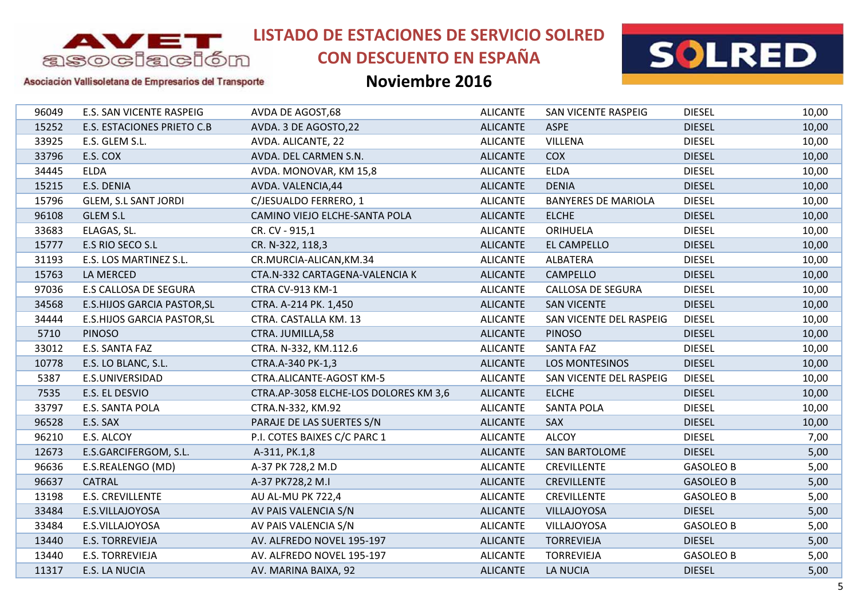

# **CON DESCUENTO EN ESPAÑA**



#### Asociación Vallisoletana de Empresarios del Transporte

| 96049 | E.S. SAN VICENTE RASPEIG           | AVDA DE AGOST,68                      | <b>ALICANTE</b> | SAN VICENTE RASPEIG        | <b>DIESEL</b>    | 10,00 |
|-------|------------------------------------|---------------------------------------|-----------------|----------------------------|------------------|-------|
| 15252 | <b>E.S. ESTACIONES PRIETO C.B</b>  | AVDA. 3 DE AGOSTO, 22                 | <b>ALICANTE</b> | <b>ASPE</b>                | <b>DIESEL</b>    | 10,00 |
| 33925 | E.S. GLEM S.L.                     | AVDA. ALICANTE, 22                    | <b>ALICANTE</b> | <b>VILLENA</b>             | <b>DIESEL</b>    | 10,00 |
| 33796 | E.S. COX                           | AVDA. DEL CARMEN S.N.                 | <b>ALICANTE</b> | <b>COX</b>                 | <b>DIESEL</b>    | 10,00 |
| 34445 | <b>ELDA</b>                        | AVDA. MONOVAR, KM 15,8                | <b>ALICANTE</b> | <b>ELDA</b>                | <b>DIESEL</b>    | 10,00 |
| 15215 | E.S. DENIA                         | AVDA. VALENCIA, 44                    | <b>ALICANTE</b> | <b>DENIA</b>               | <b>DIESEL</b>    | 10,00 |
| 15796 | <b>GLEM, S.L SANT JORDI</b>        | C/JESUALDO FERRERO, 1                 | <b>ALICANTE</b> | <b>BANYERES DE MARIOLA</b> | <b>DIESEL</b>    | 10,00 |
| 96108 | <b>GLEM S.L</b>                    | CAMINO VIEJO ELCHE-SANTA POLA         | <b>ALICANTE</b> | <b>ELCHE</b>               | <b>DIESEL</b>    | 10,00 |
| 33683 | ELAGAS, SL.                        | CR. CV - 915,1                        | <b>ALICANTE</b> | ORIHUELA                   | <b>DIESEL</b>    | 10,00 |
| 15777 | E.S RIO SECO S.L                   | CR. N-322, 118,3                      | <b>ALICANTE</b> | EL CAMPELLO                | <b>DIESEL</b>    | 10,00 |
| 31193 | E.S. LOS MARTINEZ S.L.             | CR.MURCIA-ALICAN, KM.34               | <b>ALICANTE</b> | ALBATERA                   | <b>DIESEL</b>    | 10,00 |
| 15763 | LA MERCED                          | CTA.N-332 CARTAGENA-VALENCIA K        | <b>ALICANTE</b> | <b>CAMPELLO</b>            | <b>DIESEL</b>    | 10,00 |
| 97036 | E.S CALLOSA DE SEGURA              | CTRA CV-913 KM-1                      | <b>ALICANTE</b> | <b>CALLOSA DE SEGURA</b>   | <b>DIESEL</b>    | 10,00 |
| 34568 | <b>E.S.HIJOS GARCIA PASTOR, SL</b> | CTRA. A-214 PK. 1,450                 | <b>ALICANTE</b> | <b>SAN VICENTE</b>         | <b>DIESEL</b>    | 10,00 |
| 34444 | <b>E.S.HIJOS GARCIA PASTOR, SL</b> | CTRA. CASTALLA KM. 13                 | <b>ALICANTE</b> | SAN VICENTE DEL RASPEIG    | <b>DIESEL</b>    | 10,00 |
| 5710  | <b>PINOSO</b>                      | CTRA. JUMILLA,58                      | <b>ALICANTE</b> | <b>PINOSO</b>              | <b>DIESEL</b>    | 10,00 |
| 33012 | E.S. SANTA FAZ                     | CTRA. N-332, KM.112.6                 | <b>ALICANTE</b> | <b>SANTA FAZ</b>           | <b>DIESEL</b>    | 10,00 |
| 10778 | E.S. LO BLANC, S.L.                | CTRA.A-340 PK-1,3                     | <b>ALICANTE</b> | LOS MONTESINOS             | <b>DIESEL</b>    | 10,00 |
| 5387  | E.S.UNIVERSIDAD                    | CTRA.ALICANTE-AGOST KM-5              | <b>ALICANTE</b> | SAN VICENTE DEL RASPEIG    | <b>DIESEL</b>    | 10,00 |
| 7535  | E.S. EL DESVIO                     | CTRA.AP-3058 ELCHE-LOS DOLORES KM 3,6 | <b>ALICANTE</b> | <b>ELCHE</b>               | <b>DIESEL</b>    | 10,00 |
| 33797 | E.S. SANTA POLA                    | CTRA.N-332, KM.92                     | <b>ALICANTE</b> | <b>SANTA POLA</b>          | <b>DIESEL</b>    | 10,00 |
| 96528 | E.S. SAX                           | PARAJE DE LAS SUERTES S/N             | <b>ALICANTE</b> | <b>SAX</b>                 | <b>DIESEL</b>    | 10,00 |
| 96210 | E.S. ALCOY                         | P.I. COTES BAIXES C/C PARC 1          | <b>ALICANTE</b> | <b>ALCOY</b>               | <b>DIESEL</b>    | 7,00  |
| 12673 | E.S.GARCIFERGOM, S.L.              | A-311, PK.1,8                         | <b>ALICANTE</b> | <b>SAN BARTOLOME</b>       | <b>DIESEL</b>    | 5,00  |
| 96636 | E.S.REALENGO (MD)                  | A-37 PK 728,2 M.D                     | <b>ALICANTE</b> | <b>CREVILLENTE</b>         | <b>GASOLEO B</b> | 5,00  |
| 96637 | <b>CATRAL</b>                      | A-37 PK728,2 M.I                      | <b>ALICANTE</b> | <b>CREVILLENTE</b>         | <b>GASOLEO B</b> | 5,00  |
| 13198 | <b>E.S. CREVILLENTE</b>            | AU AL-MU PK 722,4                     | <b>ALICANTE</b> | <b>CREVILLENTE</b>         | <b>GASOLEO B</b> | 5,00  |
| 33484 | E.S.VILLAJOYOSA                    | AV PAIS VALENCIA S/N                  | <b>ALICANTE</b> | <b>VILLAJOYOSA</b>         | <b>DIESEL</b>    | 5,00  |
| 33484 | E.S.VILLAJOYOSA                    | AV PAIS VALENCIA S/N                  | <b>ALICANTE</b> | VILLAJOYOSA                | <b>GASOLEO B</b> | 5,00  |
| 13440 | <b>E.S. TORREVIEJA</b>             | AV. ALFREDO NOVEL 195-197             | <b>ALICANTE</b> | <b>TORREVIEJA</b>          | <b>DIESEL</b>    | 5,00  |
| 13440 | <b>E.S. TORREVIEJA</b>             | AV. ALFREDO NOVEL 195-197             | <b>ALICANTE</b> | <b>TORREVIEJA</b>          | <b>GASOLEO B</b> | 5,00  |
| 11317 | E.S. LA NUCIA                      | AV. MARINA BAIXA, 92                  | <b>ALICANTE</b> | <b>LA NUCIA</b>            | <b>DIESEL</b>    | 5,00  |
|       |                                    |                                       |                 |                            |                  |       |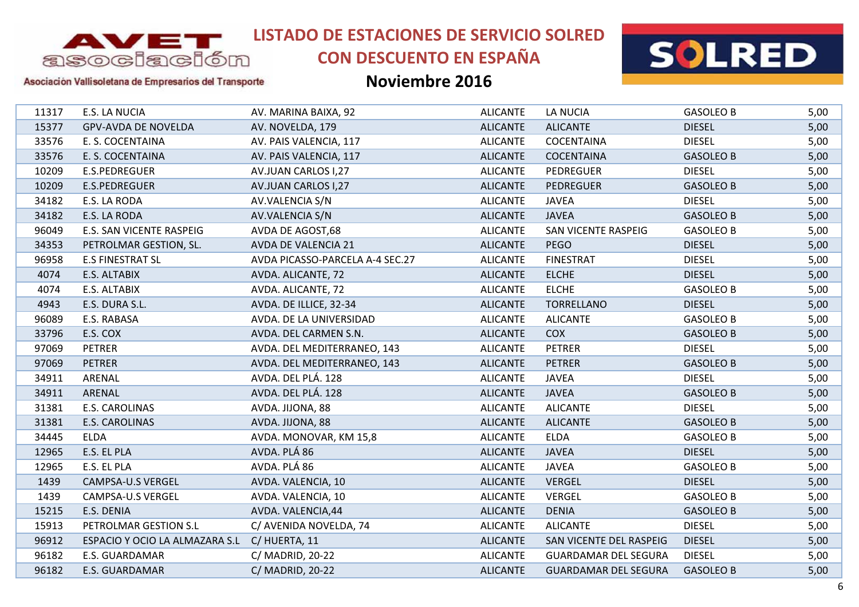

# **CON DESCUENTO EN ESPAÑA**



### Asociación Vallisoletana de Empresarios del Transporte

| 11317 | E.S. LA NUCIA                  | AV. MARINA BAIXA, 92            | <b>ALICANTE</b> | LA NUCIA                    | <b>GASOLEO B</b> | 5,00 |
|-------|--------------------------------|---------------------------------|-----------------|-----------------------------|------------------|------|
| 15377 | <b>GPV-AVDA DE NOVELDA</b>     | AV. NOVELDA, 179                | <b>ALICANTE</b> | <b>ALICANTE</b>             | <b>DIESEL</b>    | 5,00 |
| 33576 | E. S. COCENTAINA               | AV. PAIS VALENCIA, 117          | <b>ALICANTE</b> | <b>COCENTAINA</b>           | <b>DIESEL</b>    | 5,00 |
| 33576 | E. S. COCENTAINA               | AV. PAIS VALENCIA, 117          | <b>ALICANTE</b> | <b>COCENTAINA</b>           | <b>GASOLEO B</b> | 5,00 |
| 10209 | E.S.PEDREGUER                  | AV.JUAN CARLOS I,27             | <b>ALICANTE</b> | <b>PEDREGUER</b>            | <b>DIESEL</b>    | 5,00 |
| 10209 | E.S.PEDREGUER                  | AV.JUAN CARLOS I,27             | <b>ALICANTE</b> | <b>PEDREGUER</b>            | <b>GASOLEO B</b> | 5,00 |
| 34182 | E.S. LA RODA                   | AV.VALENCIA S/N                 | <b>ALICANTE</b> | <b>JAVEA</b>                | <b>DIESEL</b>    | 5,00 |
| 34182 | E.S. LA RODA                   | AV.VALENCIA S/N                 | <b>ALICANTE</b> | <b>JAVEA</b>                | <b>GASOLEO B</b> | 5,00 |
| 96049 | E.S. SAN VICENTE RASPEIG       | AVDA DE AGOST,68                | <b>ALICANTE</b> | SAN VICENTE RASPEIG         | <b>GASOLEO B</b> | 5,00 |
| 34353 | PETROLMAR GESTION, SL.         | AVDA DE VALENCIA 21             | <b>ALICANTE</b> | <b>PEGO</b>                 | <b>DIESEL</b>    | 5,00 |
| 96958 | <b>E.S FINESTRAT SL</b>        | AVDA PICASSO-PARCELA A-4 SEC.27 | <b>ALICANTE</b> | <b>FINESTRAT</b>            | <b>DIESEL</b>    | 5,00 |
| 4074  | E.S. ALTABIX                   | AVDA. ALICANTE, 72              | <b>ALICANTE</b> | <b>ELCHE</b>                | <b>DIESEL</b>    | 5,00 |
| 4074  | E.S. ALTABIX                   | AVDA. ALICANTE, 72              | <b>ALICANTE</b> | <b>ELCHE</b>                | <b>GASOLEO B</b> | 5,00 |
| 4943  | E.S. DURA S.L.                 | AVDA. DE ILLICE, 32-34          | <b>ALICANTE</b> | <b>TORRELLANO</b>           | <b>DIESEL</b>    | 5,00 |
| 96089 | E.S. RABASA                    | AVDA. DE LA UNIVERSIDAD         | <b>ALICANTE</b> | <b>ALICANTE</b>             | <b>GASOLEO B</b> | 5,00 |
| 33796 | E.S. COX                       | AVDA. DEL CARMEN S.N.           | <b>ALICANTE</b> | <b>COX</b>                  | <b>GASOLEO B</b> | 5,00 |
| 97069 | <b>PETRER</b>                  | AVDA. DEL MEDITERRANEO, 143     | <b>ALICANTE</b> | <b>PETRER</b>               | <b>DIESEL</b>    | 5,00 |
| 97069 | <b>PETRER</b>                  | AVDA. DEL MEDITERRANEO, 143     | <b>ALICANTE</b> | <b>PETRER</b>               | <b>GASOLEO B</b> | 5,00 |
| 34911 | ARENAL                         | AVDA. DEL PLÁ. 128              | <b>ALICANTE</b> | <b>JAVEA</b>                | <b>DIESEL</b>    | 5,00 |
| 34911 | ARENAL                         | AVDA. DEL PLÁ. 128              | <b>ALICANTE</b> | <b>JAVEA</b>                | <b>GASOLEO B</b> | 5,00 |
| 31381 | E.S. CAROLINAS                 | AVDA. JIJONA, 88                | <b>ALICANTE</b> | <b>ALICANTE</b>             | <b>DIESEL</b>    | 5,00 |
| 31381 | E.S. CAROLINAS                 | AVDA. JIJONA, 88                | <b>ALICANTE</b> | <b>ALICANTE</b>             | <b>GASOLEO B</b> | 5,00 |
| 34445 | <b>ELDA</b>                    | AVDA. MONOVAR, KM 15,8          | <b>ALICANTE</b> | <b>ELDA</b>                 | <b>GASOLEO B</b> | 5,00 |
| 12965 | E.S. EL PLA                    | AVDA. PLÁ 86                    | <b>ALICANTE</b> | <b>JAVEA</b>                | <b>DIESEL</b>    | 5,00 |
| 12965 | E.S. EL PLA                    | AVDA. PLÁ 86                    | <b>ALICANTE</b> | <b>JAVEA</b>                | <b>GASOLEO B</b> | 5,00 |
| 1439  | CAMPSA-U.S VERGEL              | AVDA. VALENCIA, 10              | <b>ALICANTE</b> | <b>VERGEL</b>               | <b>DIESEL</b>    | 5,00 |
| 1439  | <b>CAMPSA-U.S VERGEL</b>       | AVDA. VALENCIA, 10              | <b>ALICANTE</b> | <b>VERGEL</b>               | <b>GASOLEO B</b> | 5,00 |
| 15215 | E.S. DENIA                     | AVDA. VALENCIA, 44              | <b>ALICANTE</b> | <b>DENIA</b>                | <b>GASOLEO B</b> | 5,00 |
| 15913 | PETROLMAR GESTION S.L          | C/ AVENIDA NOVELDA, 74          | <b>ALICANTE</b> | <b>ALICANTE</b>             | <b>DIESEL</b>    | 5,00 |
| 96912 | ESPACIO Y OCIO LA ALMAZARA S.L | C/HUERTA, 11                    | <b>ALICANTE</b> | SAN VICENTE DEL RASPEIG     | <b>DIESEL</b>    | 5,00 |
| 96182 | E.S. GUARDAMAR                 | C/ MADRID, 20-22                | <b>ALICANTE</b> | <b>GUARDAMAR DEL SEGURA</b> | <b>DIESEL</b>    | 5,00 |
| 96182 | E.S. GUARDAMAR                 | C/ MADRID, 20-22                | <b>ALICANTE</b> | <b>GUARDAMAR DEL SEGURA</b> | <b>GASOLEO B</b> | 5,00 |
|       |                                |                                 |                 |                             |                  |      |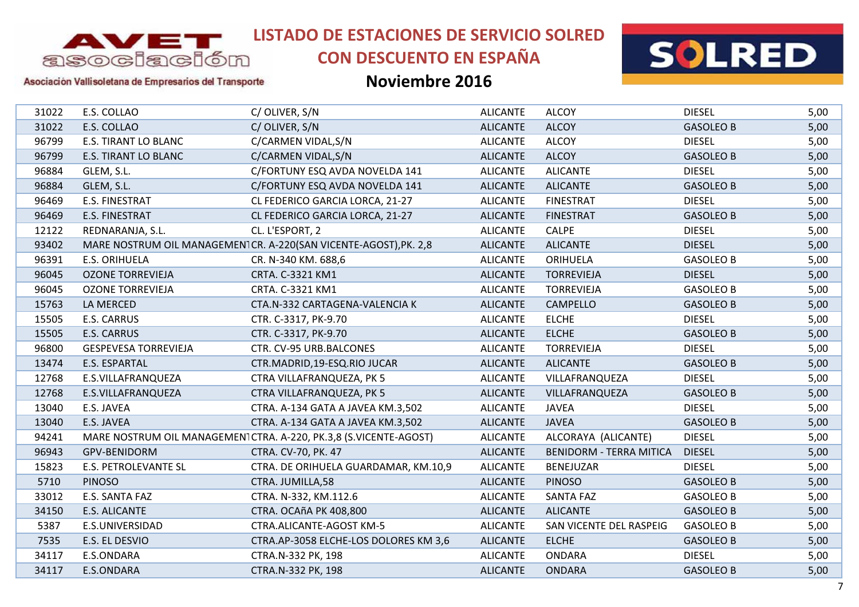

# **CON DESCUENTO EN ESPAÑA**



Asociación Vallisoletana de Empresarios del Transporte

| 31022 | E.S. COLLAO                 | C/OLIVER, S/N                                                    | <b>ALICANTE</b> | <b>ALCOY</b>                   | <b>DIESEL</b>    | 5,00 |
|-------|-----------------------------|------------------------------------------------------------------|-----------------|--------------------------------|------------------|------|
| 31022 | E.S. COLLAO                 | C/OLIVER, S/N                                                    | <b>ALICANTE</b> | <b>ALCOY</b>                   | <b>GASOLEO B</b> | 5,00 |
| 96799 | <b>E.S. TIRANT LO BLANC</b> | C/CARMEN VIDAL, S/N                                              | <b>ALICANTE</b> | <b>ALCOY</b>                   | <b>DIESEL</b>    | 5,00 |
| 96799 | E.S. TIRANT LO BLANC        | C/CARMEN VIDAL, S/N                                              | <b>ALICANTE</b> | <b>ALCOY</b>                   | <b>GASOLEO B</b> | 5,00 |
| 96884 | GLEM, S.L.                  | C/FORTUNY ESQ AVDA NOVELDA 141                                   | <b>ALICANTE</b> | <b>ALICANTE</b>                | <b>DIESEL</b>    | 5,00 |
| 96884 | GLEM, S.L.                  | C/FORTUNY ESQ AVDA NOVELDA 141                                   | <b>ALICANTE</b> | <b>ALICANTE</b>                | <b>GASOLEO B</b> | 5,00 |
| 96469 | <b>E.S. FINESTRAT</b>       | CL FEDERICO GARCIA LORCA, 21-27                                  | <b>ALICANTE</b> | <b>FINESTRAT</b>               | <b>DIESEL</b>    | 5,00 |
| 96469 | <b>E.S. FINESTRAT</b>       | CL FEDERICO GARCIA LORCA, 21-27                                  | <b>ALICANTE</b> | <b>FINESTRAT</b>               | <b>GASOLEO B</b> | 5,00 |
| 12122 | REDNARANJA, S.L.            | CL. L'ESPORT, 2                                                  | <b>ALICANTE</b> | <b>CALPE</b>                   | <b>DIESEL</b>    | 5,00 |
| 93402 |                             | MARE NOSTRUM OIL MANAGEMEN1CR. A-220(SAN VICENTE-AGOST), PK. 2,8 | <b>ALICANTE</b> | <b>ALICANTE</b>                | <b>DIESEL</b>    | 5,00 |
| 96391 | <b>E.S. ORIHUELA</b>        | CR. N-340 KM. 688,6                                              | <b>ALICANTE</b> | <b>ORIHUELA</b>                | <b>GASOLEO B</b> | 5,00 |
| 96045 | <b>OZONE TORREVIEJA</b>     | CRTA. C-3321 KM1                                                 | <b>ALICANTE</b> | <b>TORREVIEJA</b>              | <b>DIESEL</b>    | 5,00 |
| 96045 | <b>OZONE TORREVIEJA</b>     | CRTA. C-3321 KM1                                                 | <b>ALICANTE</b> | <b>TORREVIEJA</b>              | <b>GASOLEO B</b> | 5,00 |
| 15763 | LA MERCED                   | CTA.N-332 CARTAGENA-VALENCIA K                                   | <b>ALICANTE</b> | CAMPELLO                       | <b>GASOLEO B</b> | 5,00 |
| 15505 | E.S. CARRUS                 | CTR. C-3317, PK-9.70                                             | <b>ALICANTE</b> | <b>ELCHE</b>                   | <b>DIESEL</b>    | 5,00 |
| 15505 | <b>E.S. CARRUS</b>          | CTR. C-3317, PK-9.70                                             | <b>ALICANTE</b> | <b>ELCHE</b>                   | <b>GASOLEO B</b> | 5,00 |
| 96800 | <b>GESPEVESA TORREVIEJA</b> | CTR. CV-95 URB.BALCONES                                          | <b>ALICANTE</b> | <b>TORREVIEJA</b>              | <b>DIESEL</b>    | 5,00 |
| 13474 | E.S. ESPARTAL               | CTR.MADRID, 19-ESQ.RIO JUCAR                                     | <b>ALICANTE</b> | <b>ALICANTE</b>                | <b>GASOLEO B</b> | 5,00 |
| 12768 | E.S.VILLAFRANQUEZA          | CTRA VILLAFRANQUEZA, PK 5                                        | <b>ALICANTE</b> | VILLAFRANQUEZA                 | <b>DIESEL</b>    | 5,00 |
| 12768 | E.S.VILLAFRANQUEZA          | CTRA VILLAFRANQUEZA, PK 5                                        | <b>ALICANTE</b> | VILLAFRANQUEZA                 | <b>GASOLEO B</b> | 5,00 |
| 13040 | E.S. JAVEA                  | CTRA. A-134 GATA A JAVEA KM.3,502                                | <b>ALICANTE</b> | <b>JAVEA</b>                   | <b>DIESEL</b>    | 5,00 |
| 13040 | E.S. JAVEA                  | CTRA. A-134 GATA A JAVEA KM.3,502                                | <b>ALICANTE</b> | <b>JAVEA</b>                   | <b>GASOLEO B</b> | 5,00 |
| 94241 |                             | MARE NOSTRUM OIL MANAGEMEN1CTRA. A-220, PK.3,8 (S.VICENTE-AGOST) | <b>ALICANTE</b> | ALCORAYA (ALICANTE)            | <b>DIESEL</b>    | 5,00 |
| 96943 | GPV-BENIDORM                | CTRA. CV-70, PK. 47                                              | <b>ALICANTE</b> | <b>BENIDORM - TERRA MITICA</b> | <b>DIESEL</b>    | 5,00 |
| 15823 | <b>E.S. PETROLEVANTE SL</b> | CTRA. DE ORIHUELA GUARDAMAR, KM.10,9                             | <b>ALICANTE</b> | <b>BENEJUZAR</b>               | <b>DIESEL</b>    | 5,00 |
| 5710  | <b>PINOSO</b>               | CTRA. JUMILLA,58                                                 | <b>ALICANTE</b> | <b>PINOSO</b>                  | <b>GASOLEO B</b> | 5,00 |
| 33012 | E.S. SANTA FAZ              | CTRA. N-332, KM.112.6                                            | <b>ALICANTE</b> | <b>SANTA FAZ</b>               | <b>GASOLEO B</b> | 5,00 |
| 34150 | <b>E.S. ALICANTE</b>        | CTRA. OCAñA PK 408,800                                           | <b>ALICANTE</b> | <b>ALICANTE</b>                | <b>GASOLEO B</b> | 5,00 |
| 5387  | E.S.UNIVERSIDAD             | CTRA.ALICANTE-AGOST KM-5                                         | <b>ALICANTE</b> | SAN VICENTE DEL RASPEIG        | <b>GASOLEO B</b> | 5,00 |
| 7535  | E.S. EL DESVIO              | CTRA.AP-3058 ELCHE-LOS DOLORES KM 3,6                            | <b>ALICANTE</b> | <b>ELCHE</b>                   | <b>GASOLEO B</b> | 5,00 |
| 34117 | E.S.ONDARA                  | CTRA.N-332 PK, 198                                               | <b>ALICANTE</b> | <b>ONDARA</b>                  | <b>DIESEL</b>    | 5,00 |
| 34117 | E.S.ONDARA                  | CTRA.N-332 PK, 198                                               | <b>ALICANTE</b> | <b>ONDARA</b>                  | <b>GASOLEO B</b> | 5,00 |
|       |                             |                                                                  |                 |                                |                  |      |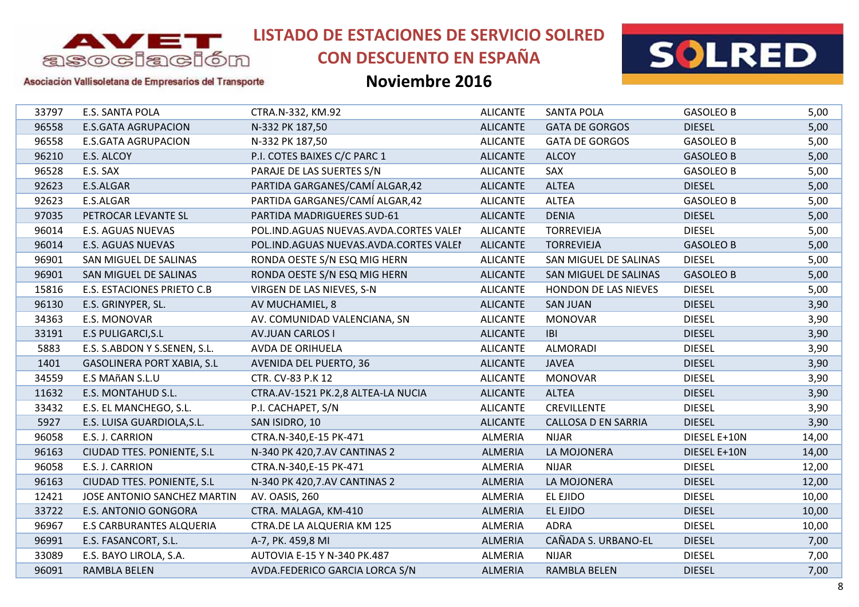

# **CON DESCUENTO EN ESPAÑA**



Asociación Vallisoletana de Empresarios del Transporte

| 33797 | E.S. SANTA POLA                   | CTRA.N-332, KM.92                          | <b>ALICANTE</b> | <b>SANTA POLA</b>          | <b>GASOLEO B</b> | 5,00  |
|-------|-----------------------------------|--------------------------------------------|-----------------|----------------------------|------------------|-------|
| 96558 | <b>E.S.GATA AGRUPACION</b>        | N-332 PK 187,50                            | <b>ALICANTE</b> | <b>GATA DE GORGOS</b>      | <b>DIESEL</b>    | 5,00  |
| 96558 | <b>E.S.GATA AGRUPACION</b>        | N-332 PK 187,50                            | <b>ALICANTE</b> | <b>GATA DE GORGOS</b>      | <b>GASOLEO B</b> | 5,00  |
| 96210 | E.S. ALCOY                        | P.I. COTES BAIXES C/C PARC 1               | <b>ALICANTE</b> | <b>ALCOY</b>               | <b>GASOLEO B</b> | 5,00  |
| 96528 | E.S. SAX                          | PARAJE DE LAS SUERTES S/N                  | <b>ALICANTE</b> | SAX                        | <b>GASOLEO B</b> | 5,00  |
| 92623 | E.S.ALGAR                         | PARTIDA GARGANES/CAMÍ ALGAR,42             | <b>ALICANTE</b> | <b>ALTEA</b>               | <b>DIESEL</b>    | 5,00  |
| 92623 | E.S.ALGAR                         | PARTIDA GARGANES/CAMÍ ALGAR,42             | <b>ALICANTE</b> | <b>ALTEA</b>               | <b>GASOLEO B</b> | 5,00  |
| 97035 | PETROCAR LEVANTE SL               | PARTIDA MADRIGUERES SUD-61                 | <b>ALICANTE</b> | <b>DENIA</b>               | <b>DIESEL</b>    | 5,00  |
| 96014 | <b>E.S. AGUAS NUEVAS</b>          | POL. IND. AGUAS NUEVAS. AVDA. CORTES VALEI | <b>ALICANTE</b> | <b>TORREVIEJA</b>          | <b>DIESEL</b>    | 5,00  |
| 96014 | E.S. AGUAS NUEVAS                 | POL.IND.AGUAS NUEVAS.AVDA.CORTES VALEI     | <b>ALICANTE</b> | <b>TORREVIEJA</b>          | <b>GASOLEO B</b> | 5,00  |
| 96901 | SAN MIGUEL DE SALINAS             | RONDA OESTE S/N ESQ MIG HERN               | <b>ALICANTE</b> | SAN MIGUEL DE SALINAS      | <b>DIESEL</b>    | 5,00  |
| 96901 | SAN MIGUEL DE SALINAS             | RONDA OESTE S/N ESQ MIG HERN               | <b>ALICANTE</b> | SAN MIGUEL DE SALINAS      | <b>GASOLEO B</b> | 5,00  |
| 15816 | E.S. ESTACIONES PRIETO C.B        | VIRGEN DE LAS NIEVES, S-N                  | <b>ALICANTE</b> | HONDON DE LAS NIEVES       | <b>DIESEL</b>    | 5,00  |
| 96130 | E.S. GRINYPER, SL.                | AV MUCHAMIEL, 8                            | <b>ALICANTE</b> | <b>SAN JUAN</b>            | <b>DIESEL</b>    | 3,90  |
| 34363 | E.S. MONOVAR                      | AV. COMUNIDAD VALENCIANA, SN               | <b>ALICANTE</b> | <b>MONOVAR</b>             | <b>DIESEL</b>    | 3,90  |
| 33191 | <b>E.S PULIGARCI, S.L</b>         | <b>AV.JUAN CARLOS I</b>                    | <b>ALICANTE</b> | <b>IBI</b>                 | <b>DIESEL</b>    | 3,90  |
| 5883  | E.S. S.ABDON Y S.SENEN, S.L.      | AVDA DE ORIHUELA                           | <b>ALICANTE</b> | <b>ALMORADI</b>            | <b>DIESEL</b>    | 3,90  |
| 1401  | <b>GASOLINERA PORT XABIA, S.L</b> | <b>AVENIDA DEL PUERTO, 36</b>              | <b>ALICANTE</b> | <b>JAVEA</b>               | <b>DIESEL</b>    | 3,90  |
| 34559 | E.S MAñAN S.L.U                   | CTR. CV-83 P.K 12                          | <b>ALICANTE</b> | <b>MONOVAR</b>             | <b>DIESEL</b>    | 3,90  |
| 11632 | E.S. MONTAHUD S.L.                | CTRA.AV-1521 PK.2,8 ALTEA-LA NUCIA         | <b>ALICANTE</b> | <b>ALTEA</b>               | <b>DIESEL</b>    | 3,90  |
| 33432 | E.S. EL MANCHEGO, S.L.            | P.I. CACHAPET, S/N                         | <b>ALICANTE</b> | <b>CREVILLENTE</b>         | <b>DIESEL</b>    | 3,90  |
| 5927  | E.S. LUISA GUARDIOLA, S.L.        | SAN ISIDRO, 10                             | <b>ALICANTE</b> | <b>CALLOSA D EN SARRIA</b> | <b>DIESEL</b>    | 3,90  |
| 96058 | E.S. J. CARRION                   | CTRA.N-340,E-15 PK-471                     | <b>ALMERIA</b>  | <b>NIJAR</b>               | DIESEL E+10N     | 14,00 |
| 96163 | CIUDAD TTES. PONIENTE, S.L        | N-340 PK 420,7.AV CANTINAS 2               | <b>ALMERIA</b>  | LA MOJONERA                | DIESEL E+10N     | 14,00 |
| 96058 | E.S. J. CARRION                   | CTRA.N-340,E-15 PK-471                     | ALMERIA         | <b>NIJAR</b>               | <b>DIESEL</b>    | 12,00 |
| 96163 | CIUDAD TTES. PONIENTE, S.L.       | N-340 PK 420,7.AV CANTINAS 2               | <b>ALMERIA</b>  | LA MOJONERA                | <b>DIESEL</b>    | 12,00 |
| 12421 | JOSE ANTONIO SANCHEZ MARTIN       | AV. OASIS, 260                             | <b>ALMERIA</b>  | EL EJIDO                   | <b>DIESEL</b>    | 10,00 |
| 33722 | <b>E.S. ANTONIO GONGORA</b>       | CTRA. MALAGA, KM-410                       | <b>ALMERIA</b>  | EL EJIDO                   | <b>DIESEL</b>    | 10,00 |
| 96967 | <b>E.S CARBURANTES ALQUERIA</b>   | CTRA.DE LA ALQUERIA KM 125                 | <b>ALMERIA</b>  | <b>ADRA</b>                | <b>DIESEL</b>    | 10,00 |
| 96991 | E.S. FASANCORT, S.L.              | A-7, PK. 459,8 MI                          | <b>ALMERIA</b>  | CAÑADA S. URBANO-EL        | <b>DIESEL</b>    | 7,00  |
| 33089 | E.S. BAYO LIROLA, S.A.            | AUTOVIA E-15 Y N-340 PK.487                | ALMERIA         | <b>NIJAR</b>               | <b>DIESEL</b>    | 7,00  |
| 96091 | RAMBLA BELEN                      | AVDA.FEDERICO GARCIA LORCA S/N             | <b>ALMERIA</b>  | <b>RAMBLA BELEN</b>        | <b>DIESEL</b>    | 7,00  |
|       |                                   |                                            |                 |                            |                  |       |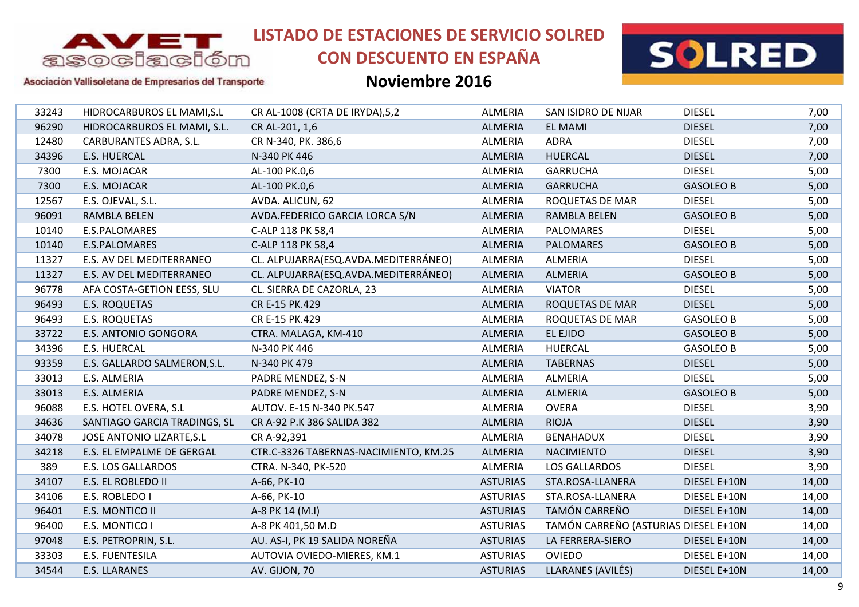

# **CON DESCUENTO EN ESPAÑA**



Asociación Vallisoletana de Empresarios del Transporte

| 33243 | HIDROCARBUROS EL MAMI, S.L   | CR AL-1008 (CRTA DE IRYDA), 5, 2      | <b>ALMERIA</b>  | SAN ISIDRO DE NIJAR                  | <b>DIESEL</b>    | 7,00  |
|-------|------------------------------|---------------------------------------|-----------------|--------------------------------------|------------------|-------|
| 96290 | HIDROCARBUROS EL MAMI, S.L.  | CR AL-201, 1,6                        | ALMERIA         | <b>EL MAMI</b>                       | <b>DIESEL</b>    | 7,00  |
| 12480 | CARBURANTES ADRA, S.L.       | CR N-340, PK. 386,6                   | ALMERIA         | <b>ADRA</b>                          | <b>DIESEL</b>    | 7,00  |
| 34396 | <b>E.S. HUERCAL</b>          | N-340 PK 446                          | <b>ALMERIA</b>  | <b>HUERCAL</b>                       | <b>DIESEL</b>    | 7,00  |
| 7300  | E.S. MOJACAR                 | AL-100 PK.0,6                         | <b>ALMERIA</b>  | <b>GARRUCHA</b>                      | <b>DIESEL</b>    | 5,00  |
| 7300  | E.S. MOJACAR                 | AL-100 PK.0,6                         | ALMERIA         | <b>GARRUCHA</b>                      | <b>GASOLEO B</b> | 5,00  |
| 12567 | E.S. OJEVAL, S.L.            | AVDA. ALICUN, 62                      | ALMERIA         | ROQUETAS DE MAR                      | <b>DIESEL</b>    | 5,00  |
| 96091 | <b>RAMBLA BELEN</b>          | AVDA.FEDERICO GARCIA LORCA S/N        | <b>ALMERIA</b>  | <b>RAMBLA BELEN</b>                  | <b>GASOLEO B</b> | 5,00  |
| 10140 | E.S.PALOMARES                | C-ALP 118 PK 58,4                     | ALMERIA         | <b>PALOMARES</b>                     | <b>DIESEL</b>    | 5,00  |
| 10140 | E.S.PALOMARES                | C-ALP 118 PK 58,4                     | <b>ALMERIA</b>  | <b>PALOMARES</b>                     | <b>GASOLEO B</b> | 5,00  |
| 11327 | E.S. AV DEL MEDITERRANEO     | CL. ALPUJARRA(ESQ.AVDA.MEDITERRÁNEO)  | <b>ALMERIA</b>  | <b>ALMERIA</b>                       | <b>DIESEL</b>    | 5,00  |
| 11327 | E.S. AV DEL MEDITERRANEO     | CL. ALPUJARRA(ESQ.AVDA.MEDITERRÁNEO)  | ALMERIA         | <b>ALMERIA</b>                       | <b>GASOLEO B</b> | 5,00  |
| 96778 | AFA COSTA-GETION EESS, SLU   | CL. SIERRA DE CAZORLA, 23             | <b>ALMERIA</b>  | <b>VIATOR</b>                        | <b>DIESEL</b>    | 5,00  |
| 96493 | <b>E.S. ROQUETAS</b>         | CR E-15 PK.429                        | <b>ALMERIA</b>  | ROQUETAS DE MAR                      | <b>DIESEL</b>    | 5,00  |
| 96493 | E.S. ROQUETAS                | CR E-15 PK.429                        | <b>ALMERIA</b>  | ROQUETAS DE MAR                      | <b>GASOLEO B</b> | 5,00  |
| 33722 | <b>E.S. ANTONIO GONGORA</b>  | CTRA. MALAGA, KM-410                  | <b>ALMERIA</b>  | EL EJIDO                             | <b>GASOLEO B</b> | 5,00  |
| 34396 | <b>E.S. HUERCAL</b>          | N-340 PK 446                          | ALMERIA         | <b>HUERCAL</b>                       | <b>GASOLEO B</b> | 5,00  |
| 93359 | E.S. GALLARDO SALMERON, S.L. | N-340 PK 479                          | ALMERIA         | <b>TABERNAS</b>                      | <b>DIESEL</b>    | 5,00  |
| 33013 | E.S. ALMERIA                 | PADRE MENDEZ, S-N                     | <b>ALMERIA</b>  | <b>ALMERIA</b>                       | <b>DIESEL</b>    | 5,00  |
| 33013 | E.S. ALMERIA                 | PADRE MENDEZ, S-N                     | <b>ALMERIA</b>  | <b>ALMERIA</b>                       | <b>GASOLEO B</b> | 5,00  |
| 96088 | E.S. HOTEL OVERA, S.L        | AUTOV. E-15 N-340 PK.547              | <b>ALMERIA</b>  | <b>OVERA</b>                         | <b>DIESEL</b>    | 3,90  |
| 34636 | SANTIAGO GARCIA TRADINGS, SL | CR A-92 P.K 386 SALIDA 382            | <b>ALMERIA</b>  | <b>RIOJA</b>                         | <b>DIESEL</b>    | 3,90  |
| 34078 | JOSE ANTONIO LIZARTE, S.L    | CR A-92,391                           | ALMERIA         | <b>BENAHADUX</b>                     | <b>DIESEL</b>    | 3,90  |
| 34218 | E.S. EL EMPALME DE GERGAL    | CTR.C-3326 TABERNAS-NACIMIENTO, KM.25 | ALMERIA         | <b>NACIMIENTO</b>                    | <b>DIESEL</b>    | 3,90  |
| 389   | E.S. LOS GALLARDOS           | CTRA. N-340, PK-520                   | ALMERIA         | LOS GALLARDOS                        | <b>DIESEL</b>    | 3,90  |
| 34107 | E.S. EL ROBLEDO II           | A-66, PK-10                           | <b>ASTURIAS</b> | STA.ROSA-LLANERA                     | DIESEL E+10N     | 14,00 |
| 34106 | E.S. ROBLEDO I               | A-66, PK-10                           | <b>ASTURIAS</b> | STA.ROSA-LLANERA                     | DIESEL E+10N     | 14,00 |
| 96401 | E.S. MONTICO II              | A-8 PK 14 (M.I)                       | <b>ASTURIAS</b> | TAMÓN CARREÑO                        | DIESEL E+10N     | 14,00 |
| 96400 | E.S. MONTICO I               | A-8 PK 401,50 M.D                     | <b>ASTURIAS</b> | TAMÓN CARREÑO (ASTURIAS DIESEL E+10N |                  | 14,00 |
| 97048 | E.S. PETROPRIN, S.L.         | AU. AS-I, PK 19 SALIDA NOREÑA         | <b>ASTURIAS</b> | LA FERRERA-SIERO                     | DIESEL E+10N     | 14,00 |
| 33303 | E.S. FUENTESILA              | AUTOVIA OVIEDO-MIERES, KM.1           | <b>ASTURIAS</b> | <b>OVIEDO</b>                        | DIESEL E+10N     | 14,00 |
| 34544 | <b>E.S. LLARANES</b>         | AV. GIJON, 70                         | <b>ASTURIAS</b> | LLARANES (AVILÉS)                    | DIESEL E+10N     | 14,00 |
|       |                              |                                       |                 |                                      |                  |       |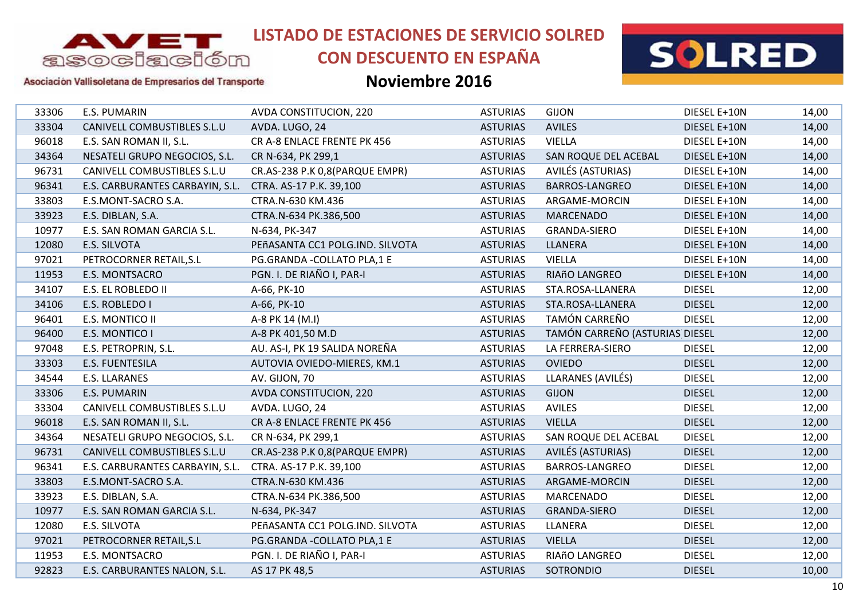

# **CON DESCUENTO EN ESPAÑA**



#### Asociación Vallisoletana de Empresarios del Transporte

| 33306 | E.S. PUMARIN                    | AVDA CONSTITUCION, 220          | <b>ASTURIAS</b> | <b>GIJON</b>                   | DIESEL E+10N  | 14,00 |
|-------|---------------------------------|---------------------------------|-----------------|--------------------------------|---------------|-------|
| 33304 | CANIVELL COMBUSTIBLES S.L.U     | AVDA. LUGO, 24                  | <b>ASTURIAS</b> | <b>AVILES</b>                  | DIESEL E+10N  | 14,00 |
| 96018 | E.S. SAN ROMAN II, S.L.         | CR A-8 ENLACE FRENTE PK 456     | <b>ASTURIAS</b> | <b>VIELLA</b>                  | DIESEL E+10N  | 14,00 |
| 34364 | NESATELI GRUPO NEGOCIOS, S.L.   | CR N-634, PK 299,1              | <b>ASTURIAS</b> | SAN ROQUE DEL ACEBAL           | DIESEL E+10N  | 14,00 |
| 96731 | CANIVELL COMBUSTIBLES S.L.U     | CR.AS-238 P.K 0,8(PARQUE EMPR)  | <b>ASTURIAS</b> | AVILÉS (ASTURIAS)              | DIESEL E+10N  | 14,00 |
| 96341 | E.S. CARBURANTES CARBAYIN, S.L. | CTRA. AS-17 P.K. 39,100         | <b>ASTURIAS</b> | <b>BARROS-LANGREO</b>          | DIESEL E+10N  | 14,00 |
| 33803 | E.S.MONT-SACRO S.A.             | CTRA.N-630 KM.436               | <b>ASTURIAS</b> | ARGAME-MORCIN                  | DIESEL E+10N  | 14,00 |
| 33923 | E.S. DIBLAN, S.A.               | CTRA.N-634 PK.386,500           | <b>ASTURIAS</b> | <b>MARCENADO</b>               | DIESEL E+10N  | 14,00 |
| 10977 | E.S. SAN ROMAN GARCIA S.L.      | N-634, PK-347                   | <b>ASTURIAS</b> | <b>GRANDA-SIERO</b>            | DIESEL E+10N  | 14,00 |
| 12080 | E.S. SILVOTA                    | PEñASANTA CC1 POLG.IND. SILVOTA | <b>ASTURIAS</b> | <b>LLANERA</b>                 | DIESEL E+10N  | 14,00 |
| 97021 | PETROCORNER RETAIL, S.L         | PG.GRANDA - COLLATO PLA, 1 E    | <b>ASTURIAS</b> | <b>VIELLA</b>                  | DIESEL E+10N  | 14,00 |
| 11953 | E.S. MONTSACRO                  | PGN. I. DE RIAÑO I, PAR-I       | <b>ASTURIAS</b> | RIAñO LANGREO                  | DIESEL E+10N  | 14,00 |
| 34107 | E.S. EL ROBLEDO II              | A-66, PK-10                     | <b>ASTURIAS</b> | STA.ROSA-LLANERA               | <b>DIESEL</b> | 12,00 |
| 34106 | E.S. ROBLEDO I                  | A-66, PK-10                     | <b>ASTURIAS</b> | STA.ROSA-LLANERA               | <b>DIESEL</b> | 12,00 |
| 96401 | E.S. MONTICO II                 | A-8 PK 14 (M.I)                 | <b>ASTURIAS</b> | TAMÓN CARREÑO                  | <b>DIESEL</b> | 12,00 |
| 96400 | E.S. MONTICO I                  | A-8 PK 401,50 M.D               | <b>ASTURIAS</b> | TAMÓN CARREÑO (ASTURIAS DIESEL |               | 12,00 |
| 97048 | E.S. PETROPRIN, S.L.            | AU. AS-I, PK 19 SALIDA NOREÑA   | <b>ASTURIAS</b> | LA FERRERA-SIERO               | <b>DIESEL</b> | 12,00 |
| 33303 | E.S. FUENTESILA                 | AUTOVIA OVIEDO-MIERES, KM.1     | <b>ASTURIAS</b> | <b>OVIEDO</b>                  | <b>DIESEL</b> | 12,00 |
| 34544 | E.S. LLARANES                   | AV. GIJON, 70                   | <b>ASTURIAS</b> | LLARANES (AVILÉS)              | <b>DIESEL</b> | 12,00 |
| 33306 | <b>E.S. PUMARIN</b>             | AVDA CONSTITUCION, 220          | <b>ASTURIAS</b> | <b>GIJON</b>                   | <b>DIESEL</b> | 12,00 |
| 33304 | CANIVELL COMBUSTIBLES S.L.U     | AVDA. LUGO, 24                  | <b>ASTURIAS</b> | <b>AVILES</b>                  | <b>DIESEL</b> | 12,00 |
| 96018 | E.S. SAN ROMAN II, S.L.         | CR A-8 ENLACE FRENTE PK 456     | <b>ASTURIAS</b> | <b>VIELLA</b>                  | <b>DIESEL</b> | 12,00 |
| 34364 | NESATELI GRUPO NEGOCIOS, S.L.   | CR N-634, PK 299,1              | <b>ASTURIAS</b> | SAN ROQUE DEL ACEBAL           | <b>DIESEL</b> | 12,00 |
| 96731 | CANIVELL COMBUSTIBLES S.L.U     | CR.AS-238 P.K 0,8(PARQUE EMPR)  | <b>ASTURIAS</b> | AVILÉS (ASTURIAS)              | <b>DIESEL</b> | 12,00 |
| 96341 | E.S. CARBURANTES CARBAYIN, S.L. | CTRA. AS-17 P.K. 39,100         | <b>ASTURIAS</b> | <b>BARROS-LANGREO</b>          | <b>DIESEL</b> | 12,00 |
| 33803 | E.S.MONT-SACRO S.A.             | CTRA.N-630 KM.436               | <b>ASTURIAS</b> | ARGAME-MORCIN                  | <b>DIESEL</b> | 12,00 |
| 33923 | E.S. DIBLAN, S.A.               | CTRA.N-634 PK.386,500           | <b>ASTURIAS</b> | <b>MARCENADO</b>               | <b>DIESEL</b> | 12,00 |
| 10977 | E.S. SAN ROMAN GARCIA S.L.      | N-634, PK-347                   | <b>ASTURIAS</b> | <b>GRANDA-SIERO</b>            | <b>DIESEL</b> | 12,00 |
| 12080 | E.S. SILVOTA                    | PEñASANTA CC1 POLG.IND. SILVOTA | <b>ASTURIAS</b> | LLANERA                        | <b>DIESEL</b> | 12,00 |
| 97021 | PETROCORNER RETAIL, S.L         | PG.GRANDA - COLLATO PLA, 1 E    | <b>ASTURIAS</b> | <b>VIELLA</b>                  | <b>DIESEL</b> | 12,00 |
| 11953 | E.S. MONTSACRO                  | PGN. I. DE RIAÑO I, PAR-I       | <b>ASTURIAS</b> | RIAñO LANGREO                  | <b>DIESEL</b> | 12,00 |
| 92823 | E.S. CARBURANTES NALON, S.L.    | AS 17 PK 48,5                   | <b>ASTURIAS</b> | <b>SOTRONDIO</b>               | <b>DIESEL</b> | 10,00 |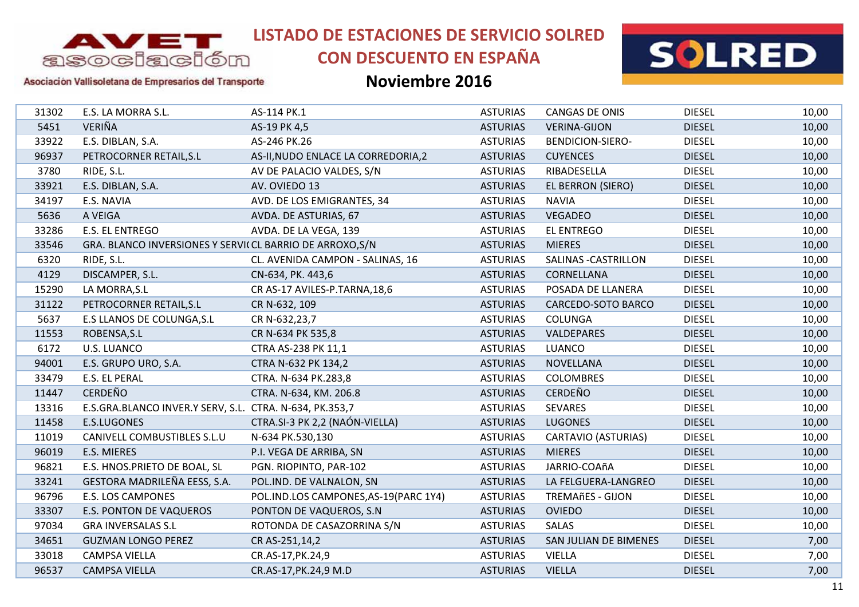

# **CON DESCUENTO EN ESPAÑA**



Asociación Vallisoletana de Empresarios del Transporte

| 31302 | E.S. LA MORRA S.L.                                        | AS-114 PK.1                            | <b>ASTURIAS</b> | <b>CANGAS DE ONIS</b>      | <b>DIESEL</b> | 10,00 |
|-------|-----------------------------------------------------------|----------------------------------------|-----------------|----------------------------|---------------|-------|
| 5451  | VERIÑA                                                    | AS-19 PK 4,5                           | <b>ASTURIAS</b> | <b>VERINA-GIJON</b>        | <b>DIESEL</b> | 10,00 |
| 33922 | E.S. DIBLAN, S.A.                                         | AS-246 PK.26                           | <b>ASTURIAS</b> | <b>BENDICION-SIERO-</b>    | <b>DIESEL</b> | 10,00 |
| 96937 | PETROCORNER RETAIL, S.L                                   | AS-II, NUDO ENLACE LA CORREDORIA, 2    | <b>ASTURIAS</b> | <b>CUYENCES</b>            | <b>DIESEL</b> | 10,00 |
| 3780  | RIDE, S.L.                                                | AV DE PALACIO VALDES, S/N              | <b>ASTURIAS</b> | RIBADESELLA                | <b>DIESEL</b> | 10,00 |
| 33921 | E.S. DIBLAN, S.A.                                         | AV. OVIEDO 13                          | <b>ASTURIAS</b> | <b>EL BERRON (SIERO)</b>   | <b>DIESEL</b> | 10,00 |
| 34197 | E.S. NAVIA                                                | AVD. DE LOS EMIGRANTES, 34             | <b>ASTURIAS</b> | <b>NAVIA</b>               | <b>DIESEL</b> | 10,00 |
| 5636  | A VEIGA                                                   | AVDA. DE ASTURIAS, 67                  | <b>ASTURIAS</b> | <b>VEGADEO</b>             | <b>DIESEL</b> | 10,00 |
| 33286 | E.S. EL ENTREGO                                           | AVDA. DE LA VEGA, 139                  | <b>ASTURIAS</b> | <b>EL ENTREGO</b>          | <b>DIESEL</b> | 10,00 |
| 33546 | GRA. BLANCO INVERSIONES Y SERVI( CL BARRIO DE ARROXO, S/N |                                        | <b>ASTURIAS</b> | <b>MIERES</b>              | <b>DIESEL</b> | 10,00 |
| 6320  | RIDE, S.L.                                                | CL. AVENIDA CAMPON - SALINAS, 16       | <b>ASTURIAS</b> | SALINAS - CASTRILLON       | <b>DIESEL</b> | 10,00 |
| 4129  | DISCAMPER, S.L.                                           | CN-634, PK. 443,6                      | <b>ASTURIAS</b> | CORNELLANA                 | <b>DIESEL</b> | 10,00 |
| 15290 | LA MORRA, S.L                                             | CR AS-17 AVILES-P.TARNA, 18, 6         | <b>ASTURIAS</b> | POSADA DE LLANERA          | <b>DIESEL</b> | 10,00 |
| 31122 | PETROCORNER RETAIL, S.L                                   | CR N-632, 109                          | <b>ASTURIAS</b> | CARCEDO-SOTO BARCO         | <b>DIESEL</b> | 10,00 |
| 5637  | <b>E.S LLANOS DE COLUNGA, S.L</b>                         | CR N-632,23,7                          | <b>ASTURIAS</b> | <b>COLUNGA</b>             | <b>DIESEL</b> | 10,00 |
| 11553 | ROBENSA, S.L                                              | CR N-634 PK 535,8                      | <b>ASTURIAS</b> | VALDEPARES                 | <b>DIESEL</b> | 10,00 |
| 6172  | <b>U.S. LUANCO</b>                                        | CTRA AS-238 PK 11,1                    | <b>ASTURIAS</b> | <b>LUANCO</b>              | <b>DIESEL</b> | 10,00 |
| 94001 | E.S. GRUPO URO, S.A.                                      | CTRA N-632 PK 134,2                    | <b>ASTURIAS</b> | <b>NOVELLANA</b>           | <b>DIESEL</b> | 10,00 |
| 33479 | E.S. EL PERAL                                             | CTRA. N-634 PK.283,8                   | <b>ASTURIAS</b> | <b>COLOMBRES</b>           | <b>DIESEL</b> | 10,00 |
| 11447 | <b>CERDEÑO</b>                                            | CTRA. N-634, KM. 206.8                 | <b>ASTURIAS</b> | <b>CERDEÑO</b>             | <b>DIESEL</b> | 10,00 |
| 13316 | E.S.GRA.BLANCO INVER.Y SERV, S.L. CTRA. N-634, PK.353,7   |                                        | <b>ASTURIAS</b> | <b>SEVARES</b>             | <b>DIESEL</b> | 10,00 |
| 11458 | E.S.LUGONES                                               | CTRA.SI-3 PK 2,2 (NAÓN-VIELLA)         | <b>ASTURIAS</b> | <b>LUGONES</b>             | <b>DIESEL</b> | 10,00 |
| 11019 | CANIVELL COMBUSTIBLES S.L.U                               | N-634 PK.530,130                       | <b>ASTURIAS</b> | <b>CARTAVIO (ASTURIAS)</b> | <b>DIESEL</b> | 10,00 |
| 96019 | E.S. MIERES                                               | P.I. VEGA DE ARRIBA, SN                | <b>ASTURIAS</b> | <b>MIERES</b>              | <b>DIESEL</b> | 10,00 |
| 96821 | E.S. HNOS.PRIETO DE BOAL, SL                              | PGN. RIOPINTO, PAR-102                 | <b>ASTURIAS</b> | JARRIO-COAñA               | <b>DIESEL</b> | 10,00 |
| 33241 | GESTORA MADRILEÑA EESS, S.A.                              | POL.IND. DE VALNALON, SN               | <b>ASTURIAS</b> | LA FELGUERA-LANGREO        | <b>DIESEL</b> | 10,00 |
| 96796 | <b>E.S. LOS CAMPONES</b>                                  | POL.IND.LOS CAMPONES, AS-19 (PARC 1Y4) | <b>ASTURIAS</b> | <b>TREMAñES - GIJON</b>    | <b>DIESEL</b> | 10,00 |
| 33307 | <b>E.S. PONTON DE VAQUEROS</b>                            | PONTON DE VAQUEROS, S.N.               | <b>ASTURIAS</b> | <b>OVIEDO</b>              | <b>DIESEL</b> | 10,00 |
| 97034 | <b>GRA INVERSALAS S.L</b>                                 | ROTONDA DE CASAZORRINA S/N             | <b>ASTURIAS</b> | <b>SALAS</b>               | <b>DIESEL</b> | 10,00 |
| 34651 | <b>GUZMAN LONGO PEREZ</b>                                 | CR AS-251,14,2                         | <b>ASTURIAS</b> | SAN JULIAN DE BIMENES      | <b>DIESEL</b> | 7,00  |
| 33018 | <b>CAMPSA VIELLA</b>                                      | CR.AS-17, PK.24, 9                     | <b>ASTURIAS</b> | <b>VIELLA</b>              | <b>DIESEL</b> | 7,00  |
| 96537 | <b>CAMPSA VIELLA</b>                                      | CR.AS-17, PK.24, 9 M.D                 | <b>ASTURIAS</b> | <b>VIELLA</b>              | <b>DIESEL</b> | 7,00  |
|       |                                                           |                                        |                 |                            |               |       |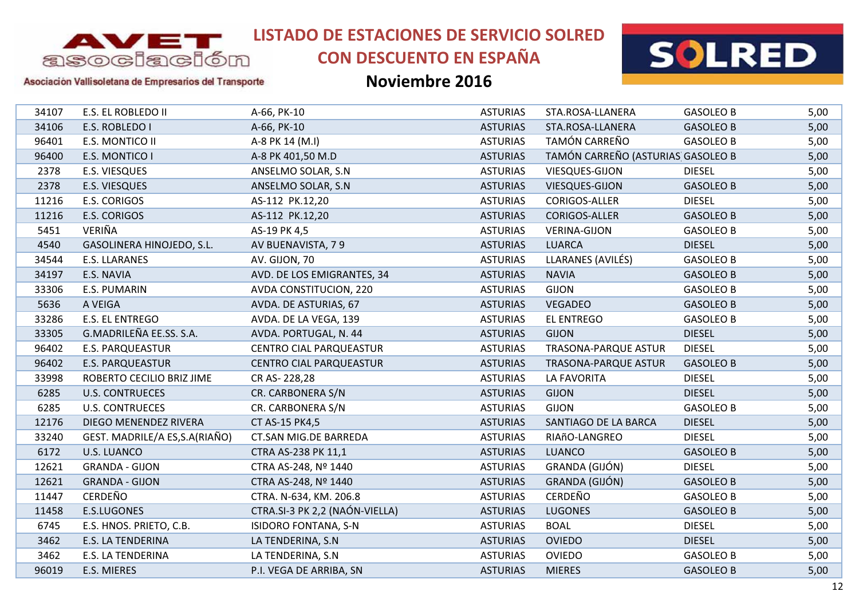

# **CON DESCUENTO EN ESPAÑA**



#### Asociación Vallisoletana de Empresarios del Transporte

| <b>GASOLEO B</b><br>34107<br>E.S. EL ROBLEDO II<br>A-66, PK-10<br><b>ASTURIAS</b><br>STA.ROSA-LLANERA<br>34106<br>E.S. ROBLEDO I<br>A-66, PK-10<br><b>ASTURIAS</b><br><b>GASOLEO B</b><br>STA.ROSA-LLANERA<br>TAMÓN CARREÑO<br>96401<br><b>ASTURIAS</b><br>E.S. MONTICO II<br>A-8 PK 14 (M.I)<br><b>GASOLEO B</b><br>TAMÓN CARREÑO (ASTURIAS GASOLEO B<br>96400<br>E.S. MONTICO I<br><b>ASTURIAS</b><br>A-8 PK 401,50 M.D<br>2378<br><b>E.S. VIESQUES</b><br><b>ASTURIAS</b><br>VIESQUES-GIJON<br><b>DIESEL</b><br>ANSELMO SOLAR, S.N.<br>2378<br>E.S. VIESQUES<br><b>ASTURIAS</b><br>VIESQUES-GIJON<br>ANSELMO SOLAR, S.N.<br><b>GASOLEO B</b><br><b>DIESEL</b><br>11216<br>E.S. CORIGOS<br><b>ASTURIAS</b><br>CORIGOS-ALLER<br>AS-112 PK.12,20<br>11216<br>E.S. CORIGOS<br><b>ASTURIAS</b><br>CORIGOS-ALLER<br><b>GASOLEO B</b><br>AS-112 PK.12,20<br>VERIÑA<br>5451<br>AS-19 PK 4,5<br><b>ASTURIAS</b><br><b>VERINA-GIJON</b><br><b>GASOLEO B</b><br>4540<br>GASOLINERA HINOJEDO, S.L.<br><b>DIESEL</b><br>AV BUENAVISTA, 79<br><b>ASTURIAS</b><br><b>LUARCA</b><br>E.S. LLARANES<br>LLARANES (AVILÉS)<br>34544<br>AV. GIJON, 70<br><b>ASTURIAS</b><br><b>GASOLEO B</b><br>34197<br><b>NAVIA</b><br>E.S. NAVIA<br>AVD. DE LOS EMIGRANTES, 34<br><b>ASTURIAS</b><br><b>GASOLEO B</b><br><b>GIJON</b><br>33306<br>E.S. PUMARIN<br>AVDA CONSTITUCION, 220<br><b>ASTURIAS</b><br><b>GASOLEO B</b><br>5636<br>A VEIGA<br><b>VEGADEO</b><br>AVDA. DE ASTURIAS, 67<br><b>ASTURIAS</b><br><b>GASOLEO B</b><br>E.S. EL ENTREGO<br>33286<br>AVDA. DE LA VEGA, 139<br><b>ASTURIAS</b><br><b>EL ENTREGO</b><br><b>GASOLEO B</b><br>G.MADRILEÑA EE.SS. S.A.<br>33305<br><b>ASTURIAS</b><br><b>GIJON</b><br><b>DIESEL</b><br>AVDA. PORTUGAL, N. 44<br>96402<br><b>E.S. PARQUEASTUR</b><br><b>ASTURIAS</b><br><b>DIESEL</b><br><b>CENTRO CIAL PARQUEASTUR</b><br><b>TRASONA-PARQUE ASTUR</b><br>96402<br><b>ASTURIAS</b><br><b>E.S. PARQUEASTUR</b><br><b>CENTRO CIAL PARQUEASTUR</b><br><b>TRASONA-PARQUE ASTUR</b><br><b>GASOLEO B</b><br>33998<br><b>ASTURIAS</b><br><b>DIESEL</b><br>ROBERTO CECILIO BRIZ JIME<br>CR AS-228,28<br>LA FAVORITA<br>6285<br><b>ASTURIAS</b><br><b>GIJON</b><br><b>DIESEL</b><br><b>U.S. CONTRUECES</b><br>CR. CARBONERA S/N<br>CR. CARBONERA S/N<br><b>ASTURIAS</b><br>6285<br><b>U.S. CONTRUECES</b><br><b>GIJON</b><br><b>GASOLEO B</b><br>12176<br>DIEGO MENENDEZ RIVERA<br>CT AS-15 PK4,5<br><b>ASTURIAS</b><br>SANTIAGO DE LA BARCA<br><b>DIESEL</b><br>GEST. MADRILE/A ES, S.A (RIAÑO)<br><b>CT.SAN MIG.DE BARREDA</b><br><b>ASTURIAS</b><br><b>DIESEL</b><br>33240<br>RIAñO-LANGREO<br>6172<br><b>U.S. LUANCO</b><br><b>ASTURIAS</b><br><b>LUANCO</b><br>CTRA AS-238 PK 11,1<br><b>GASOLEO B</b><br>GRANDA (GIJÓN)<br>12621<br><b>GRANDA - GIJON</b><br>CTRA AS-248, Nº 1440<br><b>ASTURIAS</b><br><b>DIESEL</b><br>GRANDA (GIJÓN)<br>12621<br><b>GRANDA - GIJON</b><br><b>ASTURIAS</b><br><b>GASOLEO B</b><br>CTRA AS-248, Nº 1440<br><b>CERDEÑO</b><br><b>CERDEÑO</b><br>11447<br>CTRA. N-634, KM. 206.8<br><b>ASTURIAS</b><br><b>GASOLEO B</b><br>CTRA.SI-3 PK 2,2 (NAÓN-VIELLA)<br><b>LUGONES</b><br>11458<br>E.S.LUGONES<br><b>ASTURIAS</b><br><b>GASOLEO B</b><br><b>BOAL</b><br>6745<br>E.S. HNOS. PRIETO, C.B.<br><b>ISIDORO FONTANA, S-N</b><br><b>ASTURIAS</b><br><b>DIESEL</b><br>3462<br><b>DIESEL</b><br><b>E.S. LA TENDERINA</b><br>LA TENDERINA, S.N.<br><b>ASTURIAS</b><br><b>OVIEDO</b><br>3462<br>E.S. LA TENDERINA<br>LA TENDERINA, S.N<br><b>ASTURIAS</b><br><b>OVIEDO</b><br><b>GASOLEO B</b><br>96019<br>E.S. MIERES<br>P.I. VEGA DE ARRIBA, SN<br><b>ASTURIAS</b><br><b>MIERES</b><br><b>GASOLEO B</b> |  |  |  |      |
|-----------------------------------------------------------------------------------------------------------------------------------------------------------------------------------------------------------------------------------------------------------------------------------------------------------------------------------------------------------------------------------------------------------------------------------------------------------------------------------------------------------------------------------------------------------------------------------------------------------------------------------------------------------------------------------------------------------------------------------------------------------------------------------------------------------------------------------------------------------------------------------------------------------------------------------------------------------------------------------------------------------------------------------------------------------------------------------------------------------------------------------------------------------------------------------------------------------------------------------------------------------------------------------------------------------------------------------------------------------------------------------------------------------------------------------------------------------------------------------------------------------------------------------------------------------------------------------------------------------------------------------------------------------------------------------------------------------------------------------------------------------------------------------------------------------------------------------------------------------------------------------------------------------------------------------------------------------------------------------------------------------------------------------------------------------------------------------------------------------------------------------------------------------------------------------------------------------------------------------------------------------------------------------------------------------------------------------------------------------------------------------------------------------------------------------------------------------------------------------------------------------------------------------------------------------------------------------------------------------------------------------------------------------------------------------------------------------------------------------------------------------------------------------------------------------------------------------------------------------------------------------------------------------------------------------------------------------------------------------------------------------------------------------------------------------------------------------------------------------------------------------------------------------------------------------------------------------------------------------------------------------------------------------------------------------------------------------------------------------------------------------------------------------------------------------------------------------------------------------------------------------------------------------------------------------------------------------------------------------------------------------------------------------|--|--|--|------|
|                                                                                                                                                                                                                                                                                                                                                                                                                                                                                                                                                                                                                                                                                                                                                                                                                                                                                                                                                                                                                                                                                                                                                                                                                                                                                                                                                                                                                                                                                                                                                                                                                                                                                                                                                                                                                                                                                                                                                                                                                                                                                                                                                                                                                                                                                                                                                                                                                                                                                                                                                                                                                                                                                                                                                                                                                                                                                                                                                                                                                                                                                                                                                                                                                                                                                                                                                                                                                                                                                                                                                                                                                                                           |  |  |  | 5,00 |
|                                                                                                                                                                                                                                                                                                                                                                                                                                                                                                                                                                                                                                                                                                                                                                                                                                                                                                                                                                                                                                                                                                                                                                                                                                                                                                                                                                                                                                                                                                                                                                                                                                                                                                                                                                                                                                                                                                                                                                                                                                                                                                                                                                                                                                                                                                                                                                                                                                                                                                                                                                                                                                                                                                                                                                                                                                                                                                                                                                                                                                                                                                                                                                                                                                                                                                                                                                                                                                                                                                                                                                                                                                                           |  |  |  | 5,00 |
|                                                                                                                                                                                                                                                                                                                                                                                                                                                                                                                                                                                                                                                                                                                                                                                                                                                                                                                                                                                                                                                                                                                                                                                                                                                                                                                                                                                                                                                                                                                                                                                                                                                                                                                                                                                                                                                                                                                                                                                                                                                                                                                                                                                                                                                                                                                                                                                                                                                                                                                                                                                                                                                                                                                                                                                                                                                                                                                                                                                                                                                                                                                                                                                                                                                                                                                                                                                                                                                                                                                                                                                                                                                           |  |  |  | 5,00 |
|                                                                                                                                                                                                                                                                                                                                                                                                                                                                                                                                                                                                                                                                                                                                                                                                                                                                                                                                                                                                                                                                                                                                                                                                                                                                                                                                                                                                                                                                                                                                                                                                                                                                                                                                                                                                                                                                                                                                                                                                                                                                                                                                                                                                                                                                                                                                                                                                                                                                                                                                                                                                                                                                                                                                                                                                                                                                                                                                                                                                                                                                                                                                                                                                                                                                                                                                                                                                                                                                                                                                                                                                                                                           |  |  |  | 5,00 |
|                                                                                                                                                                                                                                                                                                                                                                                                                                                                                                                                                                                                                                                                                                                                                                                                                                                                                                                                                                                                                                                                                                                                                                                                                                                                                                                                                                                                                                                                                                                                                                                                                                                                                                                                                                                                                                                                                                                                                                                                                                                                                                                                                                                                                                                                                                                                                                                                                                                                                                                                                                                                                                                                                                                                                                                                                                                                                                                                                                                                                                                                                                                                                                                                                                                                                                                                                                                                                                                                                                                                                                                                                                                           |  |  |  | 5,00 |
|                                                                                                                                                                                                                                                                                                                                                                                                                                                                                                                                                                                                                                                                                                                                                                                                                                                                                                                                                                                                                                                                                                                                                                                                                                                                                                                                                                                                                                                                                                                                                                                                                                                                                                                                                                                                                                                                                                                                                                                                                                                                                                                                                                                                                                                                                                                                                                                                                                                                                                                                                                                                                                                                                                                                                                                                                                                                                                                                                                                                                                                                                                                                                                                                                                                                                                                                                                                                                                                                                                                                                                                                                                                           |  |  |  | 5,00 |
|                                                                                                                                                                                                                                                                                                                                                                                                                                                                                                                                                                                                                                                                                                                                                                                                                                                                                                                                                                                                                                                                                                                                                                                                                                                                                                                                                                                                                                                                                                                                                                                                                                                                                                                                                                                                                                                                                                                                                                                                                                                                                                                                                                                                                                                                                                                                                                                                                                                                                                                                                                                                                                                                                                                                                                                                                                                                                                                                                                                                                                                                                                                                                                                                                                                                                                                                                                                                                                                                                                                                                                                                                                                           |  |  |  | 5,00 |
|                                                                                                                                                                                                                                                                                                                                                                                                                                                                                                                                                                                                                                                                                                                                                                                                                                                                                                                                                                                                                                                                                                                                                                                                                                                                                                                                                                                                                                                                                                                                                                                                                                                                                                                                                                                                                                                                                                                                                                                                                                                                                                                                                                                                                                                                                                                                                                                                                                                                                                                                                                                                                                                                                                                                                                                                                                                                                                                                                                                                                                                                                                                                                                                                                                                                                                                                                                                                                                                                                                                                                                                                                                                           |  |  |  | 5,00 |
|                                                                                                                                                                                                                                                                                                                                                                                                                                                                                                                                                                                                                                                                                                                                                                                                                                                                                                                                                                                                                                                                                                                                                                                                                                                                                                                                                                                                                                                                                                                                                                                                                                                                                                                                                                                                                                                                                                                                                                                                                                                                                                                                                                                                                                                                                                                                                                                                                                                                                                                                                                                                                                                                                                                                                                                                                                                                                                                                                                                                                                                                                                                                                                                                                                                                                                                                                                                                                                                                                                                                                                                                                                                           |  |  |  | 5,00 |
|                                                                                                                                                                                                                                                                                                                                                                                                                                                                                                                                                                                                                                                                                                                                                                                                                                                                                                                                                                                                                                                                                                                                                                                                                                                                                                                                                                                                                                                                                                                                                                                                                                                                                                                                                                                                                                                                                                                                                                                                                                                                                                                                                                                                                                                                                                                                                                                                                                                                                                                                                                                                                                                                                                                                                                                                                                                                                                                                                                                                                                                                                                                                                                                                                                                                                                                                                                                                                                                                                                                                                                                                                                                           |  |  |  | 5,00 |
|                                                                                                                                                                                                                                                                                                                                                                                                                                                                                                                                                                                                                                                                                                                                                                                                                                                                                                                                                                                                                                                                                                                                                                                                                                                                                                                                                                                                                                                                                                                                                                                                                                                                                                                                                                                                                                                                                                                                                                                                                                                                                                                                                                                                                                                                                                                                                                                                                                                                                                                                                                                                                                                                                                                                                                                                                                                                                                                                                                                                                                                                                                                                                                                                                                                                                                                                                                                                                                                                                                                                                                                                                                                           |  |  |  | 5,00 |
|                                                                                                                                                                                                                                                                                                                                                                                                                                                                                                                                                                                                                                                                                                                                                                                                                                                                                                                                                                                                                                                                                                                                                                                                                                                                                                                                                                                                                                                                                                                                                                                                                                                                                                                                                                                                                                                                                                                                                                                                                                                                                                                                                                                                                                                                                                                                                                                                                                                                                                                                                                                                                                                                                                                                                                                                                                                                                                                                                                                                                                                                                                                                                                                                                                                                                                                                                                                                                                                                                                                                                                                                                                                           |  |  |  | 5,00 |
|                                                                                                                                                                                                                                                                                                                                                                                                                                                                                                                                                                                                                                                                                                                                                                                                                                                                                                                                                                                                                                                                                                                                                                                                                                                                                                                                                                                                                                                                                                                                                                                                                                                                                                                                                                                                                                                                                                                                                                                                                                                                                                                                                                                                                                                                                                                                                                                                                                                                                                                                                                                                                                                                                                                                                                                                                                                                                                                                                                                                                                                                                                                                                                                                                                                                                                                                                                                                                                                                                                                                                                                                                                                           |  |  |  | 5,00 |
|                                                                                                                                                                                                                                                                                                                                                                                                                                                                                                                                                                                                                                                                                                                                                                                                                                                                                                                                                                                                                                                                                                                                                                                                                                                                                                                                                                                                                                                                                                                                                                                                                                                                                                                                                                                                                                                                                                                                                                                                                                                                                                                                                                                                                                                                                                                                                                                                                                                                                                                                                                                                                                                                                                                                                                                                                                                                                                                                                                                                                                                                                                                                                                                                                                                                                                                                                                                                                                                                                                                                                                                                                                                           |  |  |  | 5,00 |
|                                                                                                                                                                                                                                                                                                                                                                                                                                                                                                                                                                                                                                                                                                                                                                                                                                                                                                                                                                                                                                                                                                                                                                                                                                                                                                                                                                                                                                                                                                                                                                                                                                                                                                                                                                                                                                                                                                                                                                                                                                                                                                                                                                                                                                                                                                                                                                                                                                                                                                                                                                                                                                                                                                                                                                                                                                                                                                                                                                                                                                                                                                                                                                                                                                                                                                                                                                                                                                                                                                                                                                                                                                                           |  |  |  | 5,00 |
|                                                                                                                                                                                                                                                                                                                                                                                                                                                                                                                                                                                                                                                                                                                                                                                                                                                                                                                                                                                                                                                                                                                                                                                                                                                                                                                                                                                                                                                                                                                                                                                                                                                                                                                                                                                                                                                                                                                                                                                                                                                                                                                                                                                                                                                                                                                                                                                                                                                                                                                                                                                                                                                                                                                                                                                                                                                                                                                                                                                                                                                                                                                                                                                                                                                                                                                                                                                                                                                                                                                                                                                                                                                           |  |  |  | 5,00 |
|                                                                                                                                                                                                                                                                                                                                                                                                                                                                                                                                                                                                                                                                                                                                                                                                                                                                                                                                                                                                                                                                                                                                                                                                                                                                                                                                                                                                                                                                                                                                                                                                                                                                                                                                                                                                                                                                                                                                                                                                                                                                                                                                                                                                                                                                                                                                                                                                                                                                                                                                                                                                                                                                                                                                                                                                                                                                                                                                                                                                                                                                                                                                                                                                                                                                                                                                                                                                                                                                                                                                                                                                                                                           |  |  |  | 5,00 |
|                                                                                                                                                                                                                                                                                                                                                                                                                                                                                                                                                                                                                                                                                                                                                                                                                                                                                                                                                                                                                                                                                                                                                                                                                                                                                                                                                                                                                                                                                                                                                                                                                                                                                                                                                                                                                                                                                                                                                                                                                                                                                                                                                                                                                                                                                                                                                                                                                                                                                                                                                                                                                                                                                                                                                                                                                                                                                                                                                                                                                                                                                                                                                                                                                                                                                                                                                                                                                                                                                                                                                                                                                                                           |  |  |  | 5,00 |
|                                                                                                                                                                                                                                                                                                                                                                                                                                                                                                                                                                                                                                                                                                                                                                                                                                                                                                                                                                                                                                                                                                                                                                                                                                                                                                                                                                                                                                                                                                                                                                                                                                                                                                                                                                                                                                                                                                                                                                                                                                                                                                                                                                                                                                                                                                                                                                                                                                                                                                                                                                                                                                                                                                                                                                                                                                                                                                                                                                                                                                                                                                                                                                                                                                                                                                                                                                                                                                                                                                                                                                                                                                                           |  |  |  | 5,00 |
|                                                                                                                                                                                                                                                                                                                                                                                                                                                                                                                                                                                                                                                                                                                                                                                                                                                                                                                                                                                                                                                                                                                                                                                                                                                                                                                                                                                                                                                                                                                                                                                                                                                                                                                                                                                                                                                                                                                                                                                                                                                                                                                                                                                                                                                                                                                                                                                                                                                                                                                                                                                                                                                                                                                                                                                                                                                                                                                                                                                                                                                                                                                                                                                                                                                                                                                                                                                                                                                                                                                                                                                                                                                           |  |  |  | 5,00 |
|                                                                                                                                                                                                                                                                                                                                                                                                                                                                                                                                                                                                                                                                                                                                                                                                                                                                                                                                                                                                                                                                                                                                                                                                                                                                                                                                                                                                                                                                                                                                                                                                                                                                                                                                                                                                                                                                                                                                                                                                                                                                                                                                                                                                                                                                                                                                                                                                                                                                                                                                                                                                                                                                                                                                                                                                                                                                                                                                                                                                                                                                                                                                                                                                                                                                                                                                                                                                                                                                                                                                                                                                                                                           |  |  |  | 5,00 |
|                                                                                                                                                                                                                                                                                                                                                                                                                                                                                                                                                                                                                                                                                                                                                                                                                                                                                                                                                                                                                                                                                                                                                                                                                                                                                                                                                                                                                                                                                                                                                                                                                                                                                                                                                                                                                                                                                                                                                                                                                                                                                                                                                                                                                                                                                                                                                                                                                                                                                                                                                                                                                                                                                                                                                                                                                                                                                                                                                                                                                                                                                                                                                                                                                                                                                                                                                                                                                                                                                                                                                                                                                                                           |  |  |  | 5,00 |
|                                                                                                                                                                                                                                                                                                                                                                                                                                                                                                                                                                                                                                                                                                                                                                                                                                                                                                                                                                                                                                                                                                                                                                                                                                                                                                                                                                                                                                                                                                                                                                                                                                                                                                                                                                                                                                                                                                                                                                                                                                                                                                                                                                                                                                                                                                                                                                                                                                                                                                                                                                                                                                                                                                                                                                                                                                                                                                                                                                                                                                                                                                                                                                                                                                                                                                                                                                                                                                                                                                                                                                                                                                                           |  |  |  | 5,00 |
|                                                                                                                                                                                                                                                                                                                                                                                                                                                                                                                                                                                                                                                                                                                                                                                                                                                                                                                                                                                                                                                                                                                                                                                                                                                                                                                                                                                                                                                                                                                                                                                                                                                                                                                                                                                                                                                                                                                                                                                                                                                                                                                                                                                                                                                                                                                                                                                                                                                                                                                                                                                                                                                                                                                                                                                                                                                                                                                                                                                                                                                                                                                                                                                                                                                                                                                                                                                                                                                                                                                                                                                                                                                           |  |  |  | 5,00 |
|                                                                                                                                                                                                                                                                                                                                                                                                                                                                                                                                                                                                                                                                                                                                                                                                                                                                                                                                                                                                                                                                                                                                                                                                                                                                                                                                                                                                                                                                                                                                                                                                                                                                                                                                                                                                                                                                                                                                                                                                                                                                                                                                                                                                                                                                                                                                                                                                                                                                                                                                                                                                                                                                                                                                                                                                                                                                                                                                                                                                                                                                                                                                                                                                                                                                                                                                                                                                                                                                                                                                                                                                                                                           |  |  |  | 5,00 |
|                                                                                                                                                                                                                                                                                                                                                                                                                                                                                                                                                                                                                                                                                                                                                                                                                                                                                                                                                                                                                                                                                                                                                                                                                                                                                                                                                                                                                                                                                                                                                                                                                                                                                                                                                                                                                                                                                                                                                                                                                                                                                                                                                                                                                                                                                                                                                                                                                                                                                                                                                                                                                                                                                                                                                                                                                                                                                                                                                                                                                                                                                                                                                                                                                                                                                                                                                                                                                                                                                                                                                                                                                                                           |  |  |  | 5,00 |
|                                                                                                                                                                                                                                                                                                                                                                                                                                                                                                                                                                                                                                                                                                                                                                                                                                                                                                                                                                                                                                                                                                                                                                                                                                                                                                                                                                                                                                                                                                                                                                                                                                                                                                                                                                                                                                                                                                                                                                                                                                                                                                                                                                                                                                                                                                                                                                                                                                                                                                                                                                                                                                                                                                                                                                                                                                                                                                                                                                                                                                                                                                                                                                                                                                                                                                                                                                                                                                                                                                                                                                                                                                                           |  |  |  | 5,00 |
|                                                                                                                                                                                                                                                                                                                                                                                                                                                                                                                                                                                                                                                                                                                                                                                                                                                                                                                                                                                                                                                                                                                                                                                                                                                                                                                                                                                                                                                                                                                                                                                                                                                                                                                                                                                                                                                                                                                                                                                                                                                                                                                                                                                                                                                                                                                                                                                                                                                                                                                                                                                                                                                                                                                                                                                                                                                                                                                                                                                                                                                                                                                                                                                                                                                                                                                                                                                                                                                                                                                                                                                                                                                           |  |  |  | 5,00 |
|                                                                                                                                                                                                                                                                                                                                                                                                                                                                                                                                                                                                                                                                                                                                                                                                                                                                                                                                                                                                                                                                                                                                                                                                                                                                                                                                                                                                                                                                                                                                                                                                                                                                                                                                                                                                                                                                                                                                                                                                                                                                                                                                                                                                                                                                                                                                                                                                                                                                                                                                                                                                                                                                                                                                                                                                                                                                                                                                                                                                                                                                                                                                                                                                                                                                                                                                                                                                                                                                                                                                                                                                                                                           |  |  |  | 5,00 |
|                                                                                                                                                                                                                                                                                                                                                                                                                                                                                                                                                                                                                                                                                                                                                                                                                                                                                                                                                                                                                                                                                                                                                                                                                                                                                                                                                                                                                                                                                                                                                                                                                                                                                                                                                                                                                                                                                                                                                                                                                                                                                                                                                                                                                                                                                                                                                                                                                                                                                                                                                                                                                                                                                                                                                                                                                                                                                                                                                                                                                                                                                                                                                                                                                                                                                                                                                                                                                                                                                                                                                                                                                                                           |  |  |  | 5,00 |
|                                                                                                                                                                                                                                                                                                                                                                                                                                                                                                                                                                                                                                                                                                                                                                                                                                                                                                                                                                                                                                                                                                                                                                                                                                                                                                                                                                                                                                                                                                                                                                                                                                                                                                                                                                                                                                                                                                                                                                                                                                                                                                                                                                                                                                                                                                                                                                                                                                                                                                                                                                                                                                                                                                                                                                                                                                                                                                                                                                                                                                                                                                                                                                                                                                                                                                                                                                                                                                                                                                                                                                                                                                                           |  |  |  | 5,00 |
|                                                                                                                                                                                                                                                                                                                                                                                                                                                                                                                                                                                                                                                                                                                                                                                                                                                                                                                                                                                                                                                                                                                                                                                                                                                                                                                                                                                                                                                                                                                                                                                                                                                                                                                                                                                                                                                                                                                                                                                                                                                                                                                                                                                                                                                                                                                                                                                                                                                                                                                                                                                                                                                                                                                                                                                                                                                                                                                                                                                                                                                                                                                                                                                                                                                                                                                                                                                                                                                                                                                                                                                                                                                           |  |  |  | 5,00 |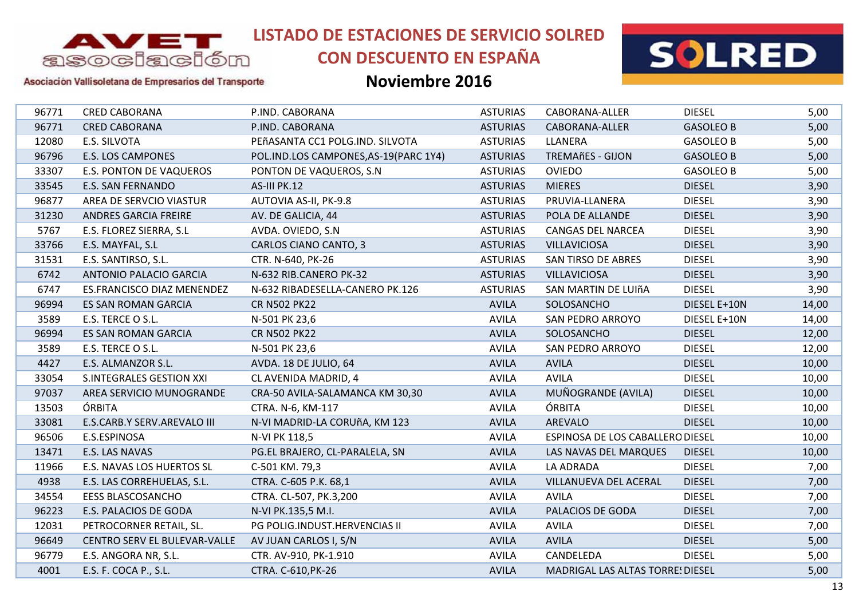

# **CON DESCUENTO EN ESPAÑA**



### Asociación Vallisoletana de Empresarios del Transporte

| <b>DIESEL</b><br>96771<br><b>CRED CABORANA</b><br>P.IND. CABORANA<br><b>ASTURIAS</b><br>CABORANA-ALLER<br>96771<br><b>ASTURIAS</b><br><b>CRED CABORANA</b><br>P.IND. CABORANA<br>CABORANA-ALLER<br>12080<br>E.S. SILVOTA<br>PEñASANTA CC1 POLG.IND. SILVOTA<br><b>ASTURIAS</b><br>LLANERA<br>96796<br><b>E.S. LOS CAMPONES</b><br>POL.IND.LOS CAMPONES, AS-19 (PARC 1Y4)<br><b>ASTURIAS</b><br><b>TREMAñES - GIJON</b><br><b>E.S. PONTON DE VAQUEROS</b><br><b>ASTURIAS</b><br><b>OVIEDO</b><br>33307<br>PONTON DE VAQUEROS, S.N.<br>33545<br>E.S. SAN FERNANDO<br>AS-III PK.12<br><b>MIERES</b><br><b>DIESEL</b><br><b>ASTURIAS</b><br>96877<br><b>DIESEL</b><br>AREA DE SERVCIO VIASTUR<br>AUTOVIA AS-II, PK-9.8<br><b>ASTURIAS</b><br>PRUVIA-LLANERA<br><b>DIESEL</b><br>31230<br>ANDRES GARCIA FREIRE<br>AV. DE GALICIA, 44<br><b>ASTURIAS</b><br>POLA DE ALLANDE<br>5767<br>E.S. FLOREZ SIERRA, S.L<br>AVDA. OVIEDO, S.N.<br><b>ASTURIAS</b><br><b>CANGAS DEL NARCEA</b><br><b>DIESEL</b><br>33766<br><b>DIESEL</b><br>E.S. MAYFAL, S.L<br>CARLOS CIANO CANTO, 3<br><b>ASTURIAS</b><br><b>VILLAVICIOSA</b><br>31531<br>E.S. SANTIRSO, S.L.<br><b>ASTURIAS</b><br><b>SAN TIRSO DE ABRES</b><br><b>DIESEL</b><br>CTR. N-640, PK-26<br>6742<br><b>ANTONIO PALACIO GARCIA</b><br>N-632 RIB.CANERO PK-32<br><b>ASTURIAS</b><br><b>VILLAVICIOSA</b><br><b>DIESEL</b><br><b>DIESEL</b><br>6747<br><b>ASTURIAS</b><br><b>ES.FRANCISCO DIAZ MENENDEZ</b><br>N-632 RIBADESELLA-CANERO PK.126<br>SAN MARTIN DE LUIñA<br><b>AVILA</b><br>96994<br>ES SAN ROMAN GARCIA<br><b>CR N502 PK22</b><br>SOLOSANCHO<br>3589<br>E.S. TERCE O S.L.<br>N-501 PK 23,6<br><b>AVILA</b><br><b>SAN PEDRO ARROYO</b><br>96994<br><b>AVILA</b><br><b>DIESEL</b><br><b>ES SAN ROMAN GARCIA</b><br><b>CR N502 PK22</b><br>SOLOSANCHO<br>3589<br>E.S. TERCE O S.L.<br>N-501 PK 23,6<br><b>AVILA</b><br><b>DIESEL</b><br><b>SAN PEDRO ARROYO</b><br><b>DIESEL</b><br>4427<br>E.S. ALMANZOR S.L.<br>AVDA. 18 DE JULIO, 64<br><b>AVILA</b><br><b>AVILA</b><br>33054<br>CL AVENIDA MADRID, 4<br><b>AVILA</b><br><b>AVILA</b><br><b>DIESEL</b><br><b>S.INTEGRALES GESTION XXI</b><br>MUÑOGRANDE (AVILA)<br>97037<br>CRA-50 AVILA-SALAMANCA KM 30,30<br><b>AVILA</b><br><b>DIESEL</b><br>AREA SERVICIO MUNOGRANDE<br>ÓRBITA<br>ÓRBITA<br><b>AVILA</b><br><b>DIESEL</b><br>13503<br>CTRA. N-6, KM-117<br>33081<br><b>AVILA</b><br><b>AREVALO</b><br><b>DIESEL</b><br>E.S.CARB.Y SERV.AREVALO III<br>N-VI MADRID-LA CORUñA, KM 123<br>E.S.ESPINOSA<br>96506<br>N-VI PK 118,5<br><b>AVILA</b><br>ESPINOSA DE LOS CABALLERO DIESEL<br>13471<br>E.S. LAS NAVAS<br>PG.EL BRAJERO, CL-PARALELA, SN<br><b>AVILA</b><br>LAS NAVAS DEL MARQUES<br><b>DIESEL</b><br>11966<br><b>AVILA</b><br>LA ADRADA<br><b>DIESEL</b><br>E.S. NAVAS LOS HUERTOS SL<br>C-501 KM. 79,3<br>4938<br>E.S. LAS CORREHUELAS, S.L.<br><b>AVILA</b><br>VILLANUEVA DEL ACERAL<br><b>DIESEL</b><br>CTRA. C-605 P.K. 68,1<br>34554<br><b>EESS BLASCOSANCHO</b><br>CTRA. CL-507, PK.3,200<br><b>AVILA</b><br><b>AVILA</b><br><b>DIESEL</b><br>96223<br>E.S. PALACIOS DE GODA<br><b>AVILA</b><br>PALACIOS DE GODA<br><b>DIESEL</b><br>N-VI PK.135,5 M.I.<br>PETROCORNER RETAIL, SL.<br>PG POLIG.INDUST.HERVENCIAS II<br>12031<br><b>AVILA</b><br><b>AVILA</b><br><b>DIESEL</b><br>96649<br><b>AVILA</b><br><b>AVILA</b><br><b>DIESEL</b><br>CENTRO SERV EL BULEVAR-VALLE<br>AV JUAN CARLOS I, S/N<br>96779<br><b>AVILA</b><br>CANDELEDA<br><b>DIESEL</b><br>E.S. ANGORA NR, S.L.<br>CTR. AV-910, PK-1.910<br>4001<br>E.S. F. COCA P., S.L.<br>CTRA. C-610, PK-26<br><b>AVILA</b><br><b>MADRIGAL LAS ALTAS TORRE! DIESEL</b> |  |  |                  |       |
|----------------------------------------------------------------------------------------------------------------------------------------------------------------------------------------------------------------------------------------------------------------------------------------------------------------------------------------------------------------------------------------------------------------------------------------------------------------------------------------------------------------------------------------------------------------------------------------------------------------------------------------------------------------------------------------------------------------------------------------------------------------------------------------------------------------------------------------------------------------------------------------------------------------------------------------------------------------------------------------------------------------------------------------------------------------------------------------------------------------------------------------------------------------------------------------------------------------------------------------------------------------------------------------------------------------------------------------------------------------------------------------------------------------------------------------------------------------------------------------------------------------------------------------------------------------------------------------------------------------------------------------------------------------------------------------------------------------------------------------------------------------------------------------------------------------------------------------------------------------------------------------------------------------------------------------------------------------------------------------------------------------------------------------------------------------------------------------------------------------------------------------------------------------------------------------------------------------------------------------------------------------------------------------------------------------------------------------------------------------------------------------------------------------------------------------------------------------------------------------------------------------------------------------------------------------------------------------------------------------------------------------------------------------------------------------------------------------------------------------------------------------------------------------------------------------------------------------------------------------------------------------------------------------------------------------------------------------------------------------------------------------------------------------------------------------------------------------------------------------------------------------------------------------------------------------------------------------------------------------------------------------------------------------------------------------------------------------------------------------------------------------------------------------------------------------------------------------------------------------------------------------------------------------------------------------------------------------------------------------------------------------------------|--|--|------------------|-------|
|                                                                                                                                                                                                                                                                                                                                                                                                                                                                                                                                                                                                                                                                                                                                                                                                                                                                                                                                                                                                                                                                                                                                                                                                                                                                                                                                                                                                                                                                                                                                                                                                                                                                                                                                                                                                                                                                                                                                                                                                                                                                                                                                                                                                                                                                                                                                                                                                                                                                                                                                                                                                                                                                                                                                                                                                                                                                                                                                                                                                                                                                                                                                                                                                                                                                                                                                                                                                                                                                                                                                                                                                                                                    |  |  |                  | 5,00  |
|                                                                                                                                                                                                                                                                                                                                                                                                                                                                                                                                                                                                                                                                                                                                                                                                                                                                                                                                                                                                                                                                                                                                                                                                                                                                                                                                                                                                                                                                                                                                                                                                                                                                                                                                                                                                                                                                                                                                                                                                                                                                                                                                                                                                                                                                                                                                                                                                                                                                                                                                                                                                                                                                                                                                                                                                                                                                                                                                                                                                                                                                                                                                                                                                                                                                                                                                                                                                                                                                                                                                                                                                                                                    |  |  | <b>GASOLEO B</b> | 5,00  |
|                                                                                                                                                                                                                                                                                                                                                                                                                                                                                                                                                                                                                                                                                                                                                                                                                                                                                                                                                                                                                                                                                                                                                                                                                                                                                                                                                                                                                                                                                                                                                                                                                                                                                                                                                                                                                                                                                                                                                                                                                                                                                                                                                                                                                                                                                                                                                                                                                                                                                                                                                                                                                                                                                                                                                                                                                                                                                                                                                                                                                                                                                                                                                                                                                                                                                                                                                                                                                                                                                                                                                                                                                                                    |  |  | <b>GASOLEO B</b> | 5,00  |
|                                                                                                                                                                                                                                                                                                                                                                                                                                                                                                                                                                                                                                                                                                                                                                                                                                                                                                                                                                                                                                                                                                                                                                                                                                                                                                                                                                                                                                                                                                                                                                                                                                                                                                                                                                                                                                                                                                                                                                                                                                                                                                                                                                                                                                                                                                                                                                                                                                                                                                                                                                                                                                                                                                                                                                                                                                                                                                                                                                                                                                                                                                                                                                                                                                                                                                                                                                                                                                                                                                                                                                                                                                                    |  |  | <b>GASOLEO B</b> | 5,00  |
|                                                                                                                                                                                                                                                                                                                                                                                                                                                                                                                                                                                                                                                                                                                                                                                                                                                                                                                                                                                                                                                                                                                                                                                                                                                                                                                                                                                                                                                                                                                                                                                                                                                                                                                                                                                                                                                                                                                                                                                                                                                                                                                                                                                                                                                                                                                                                                                                                                                                                                                                                                                                                                                                                                                                                                                                                                                                                                                                                                                                                                                                                                                                                                                                                                                                                                                                                                                                                                                                                                                                                                                                                                                    |  |  | <b>GASOLEO B</b> | 5,00  |
|                                                                                                                                                                                                                                                                                                                                                                                                                                                                                                                                                                                                                                                                                                                                                                                                                                                                                                                                                                                                                                                                                                                                                                                                                                                                                                                                                                                                                                                                                                                                                                                                                                                                                                                                                                                                                                                                                                                                                                                                                                                                                                                                                                                                                                                                                                                                                                                                                                                                                                                                                                                                                                                                                                                                                                                                                                                                                                                                                                                                                                                                                                                                                                                                                                                                                                                                                                                                                                                                                                                                                                                                                                                    |  |  |                  | 3,90  |
|                                                                                                                                                                                                                                                                                                                                                                                                                                                                                                                                                                                                                                                                                                                                                                                                                                                                                                                                                                                                                                                                                                                                                                                                                                                                                                                                                                                                                                                                                                                                                                                                                                                                                                                                                                                                                                                                                                                                                                                                                                                                                                                                                                                                                                                                                                                                                                                                                                                                                                                                                                                                                                                                                                                                                                                                                                                                                                                                                                                                                                                                                                                                                                                                                                                                                                                                                                                                                                                                                                                                                                                                                                                    |  |  |                  | 3,90  |
|                                                                                                                                                                                                                                                                                                                                                                                                                                                                                                                                                                                                                                                                                                                                                                                                                                                                                                                                                                                                                                                                                                                                                                                                                                                                                                                                                                                                                                                                                                                                                                                                                                                                                                                                                                                                                                                                                                                                                                                                                                                                                                                                                                                                                                                                                                                                                                                                                                                                                                                                                                                                                                                                                                                                                                                                                                                                                                                                                                                                                                                                                                                                                                                                                                                                                                                                                                                                                                                                                                                                                                                                                                                    |  |  |                  | 3,90  |
|                                                                                                                                                                                                                                                                                                                                                                                                                                                                                                                                                                                                                                                                                                                                                                                                                                                                                                                                                                                                                                                                                                                                                                                                                                                                                                                                                                                                                                                                                                                                                                                                                                                                                                                                                                                                                                                                                                                                                                                                                                                                                                                                                                                                                                                                                                                                                                                                                                                                                                                                                                                                                                                                                                                                                                                                                                                                                                                                                                                                                                                                                                                                                                                                                                                                                                                                                                                                                                                                                                                                                                                                                                                    |  |  |                  | 3,90  |
|                                                                                                                                                                                                                                                                                                                                                                                                                                                                                                                                                                                                                                                                                                                                                                                                                                                                                                                                                                                                                                                                                                                                                                                                                                                                                                                                                                                                                                                                                                                                                                                                                                                                                                                                                                                                                                                                                                                                                                                                                                                                                                                                                                                                                                                                                                                                                                                                                                                                                                                                                                                                                                                                                                                                                                                                                                                                                                                                                                                                                                                                                                                                                                                                                                                                                                                                                                                                                                                                                                                                                                                                                                                    |  |  |                  | 3,90  |
|                                                                                                                                                                                                                                                                                                                                                                                                                                                                                                                                                                                                                                                                                                                                                                                                                                                                                                                                                                                                                                                                                                                                                                                                                                                                                                                                                                                                                                                                                                                                                                                                                                                                                                                                                                                                                                                                                                                                                                                                                                                                                                                                                                                                                                                                                                                                                                                                                                                                                                                                                                                                                                                                                                                                                                                                                                                                                                                                                                                                                                                                                                                                                                                                                                                                                                                                                                                                                                                                                                                                                                                                                                                    |  |  |                  | 3,90  |
|                                                                                                                                                                                                                                                                                                                                                                                                                                                                                                                                                                                                                                                                                                                                                                                                                                                                                                                                                                                                                                                                                                                                                                                                                                                                                                                                                                                                                                                                                                                                                                                                                                                                                                                                                                                                                                                                                                                                                                                                                                                                                                                                                                                                                                                                                                                                                                                                                                                                                                                                                                                                                                                                                                                                                                                                                                                                                                                                                                                                                                                                                                                                                                                                                                                                                                                                                                                                                                                                                                                                                                                                                                                    |  |  |                  | 3,90  |
|                                                                                                                                                                                                                                                                                                                                                                                                                                                                                                                                                                                                                                                                                                                                                                                                                                                                                                                                                                                                                                                                                                                                                                                                                                                                                                                                                                                                                                                                                                                                                                                                                                                                                                                                                                                                                                                                                                                                                                                                                                                                                                                                                                                                                                                                                                                                                                                                                                                                                                                                                                                                                                                                                                                                                                                                                                                                                                                                                                                                                                                                                                                                                                                                                                                                                                                                                                                                                                                                                                                                                                                                                                                    |  |  |                  | 3,90  |
|                                                                                                                                                                                                                                                                                                                                                                                                                                                                                                                                                                                                                                                                                                                                                                                                                                                                                                                                                                                                                                                                                                                                                                                                                                                                                                                                                                                                                                                                                                                                                                                                                                                                                                                                                                                                                                                                                                                                                                                                                                                                                                                                                                                                                                                                                                                                                                                                                                                                                                                                                                                                                                                                                                                                                                                                                                                                                                                                                                                                                                                                                                                                                                                                                                                                                                                                                                                                                                                                                                                                                                                                                                                    |  |  | DIESEL E+10N     | 14,00 |
|                                                                                                                                                                                                                                                                                                                                                                                                                                                                                                                                                                                                                                                                                                                                                                                                                                                                                                                                                                                                                                                                                                                                                                                                                                                                                                                                                                                                                                                                                                                                                                                                                                                                                                                                                                                                                                                                                                                                                                                                                                                                                                                                                                                                                                                                                                                                                                                                                                                                                                                                                                                                                                                                                                                                                                                                                                                                                                                                                                                                                                                                                                                                                                                                                                                                                                                                                                                                                                                                                                                                                                                                                                                    |  |  | DIESEL E+10N     | 14,00 |
|                                                                                                                                                                                                                                                                                                                                                                                                                                                                                                                                                                                                                                                                                                                                                                                                                                                                                                                                                                                                                                                                                                                                                                                                                                                                                                                                                                                                                                                                                                                                                                                                                                                                                                                                                                                                                                                                                                                                                                                                                                                                                                                                                                                                                                                                                                                                                                                                                                                                                                                                                                                                                                                                                                                                                                                                                                                                                                                                                                                                                                                                                                                                                                                                                                                                                                                                                                                                                                                                                                                                                                                                                                                    |  |  |                  | 12,00 |
|                                                                                                                                                                                                                                                                                                                                                                                                                                                                                                                                                                                                                                                                                                                                                                                                                                                                                                                                                                                                                                                                                                                                                                                                                                                                                                                                                                                                                                                                                                                                                                                                                                                                                                                                                                                                                                                                                                                                                                                                                                                                                                                                                                                                                                                                                                                                                                                                                                                                                                                                                                                                                                                                                                                                                                                                                                                                                                                                                                                                                                                                                                                                                                                                                                                                                                                                                                                                                                                                                                                                                                                                                                                    |  |  |                  | 12,00 |
|                                                                                                                                                                                                                                                                                                                                                                                                                                                                                                                                                                                                                                                                                                                                                                                                                                                                                                                                                                                                                                                                                                                                                                                                                                                                                                                                                                                                                                                                                                                                                                                                                                                                                                                                                                                                                                                                                                                                                                                                                                                                                                                                                                                                                                                                                                                                                                                                                                                                                                                                                                                                                                                                                                                                                                                                                                                                                                                                                                                                                                                                                                                                                                                                                                                                                                                                                                                                                                                                                                                                                                                                                                                    |  |  |                  | 10,00 |
|                                                                                                                                                                                                                                                                                                                                                                                                                                                                                                                                                                                                                                                                                                                                                                                                                                                                                                                                                                                                                                                                                                                                                                                                                                                                                                                                                                                                                                                                                                                                                                                                                                                                                                                                                                                                                                                                                                                                                                                                                                                                                                                                                                                                                                                                                                                                                                                                                                                                                                                                                                                                                                                                                                                                                                                                                                                                                                                                                                                                                                                                                                                                                                                                                                                                                                                                                                                                                                                                                                                                                                                                                                                    |  |  |                  | 10,00 |
|                                                                                                                                                                                                                                                                                                                                                                                                                                                                                                                                                                                                                                                                                                                                                                                                                                                                                                                                                                                                                                                                                                                                                                                                                                                                                                                                                                                                                                                                                                                                                                                                                                                                                                                                                                                                                                                                                                                                                                                                                                                                                                                                                                                                                                                                                                                                                                                                                                                                                                                                                                                                                                                                                                                                                                                                                                                                                                                                                                                                                                                                                                                                                                                                                                                                                                                                                                                                                                                                                                                                                                                                                                                    |  |  |                  | 10,00 |
|                                                                                                                                                                                                                                                                                                                                                                                                                                                                                                                                                                                                                                                                                                                                                                                                                                                                                                                                                                                                                                                                                                                                                                                                                                                                                                                                                                                                                                                                                                                                                                                                                                                                                                                                                                                                                                                                                                                                                                                                                                                                                                                                                                                                                                                                                                                                                                                                                                                                                                                                                                                                                                                                                                                                                                                                                                                                                                                                                                                                                                                                                                                                                                                                                                                                                                                                                                                                                                                                                                                                                                                                                                                    |  |  |                  | 10,00 |
|                                                                                                                                                                                                                                                                                                                                                                                                                                                                                                                                                                                                                                                                                                                                                                                                                                                                                                                                                                                                                                                                                                                                                                                                                                                                                                                                                                                                                                                                                                                                                                                                                                                                                                                                                                                                                                                                                                                                                                                                                                                                                                                                                                                                                                                                                                                                                                                                                                                                                                                                                                                                                                                                                                                                                                                                                                                                                                                                                                                                                                                                                                                                                                                                                                                                                                                                                                                                                                                                                                                                                                                                                                                    |  |  |                  | 10,00 |
|                                                                                                                                                                                                                                                                                                                                                                                                                                                                                                                                                                                                                                                                                                                                                                                                                                                                                                                                                                                                                                                                                                                                                                                                                                                                                                                                                                                                                                                                                                                                                                                                                                                                                                                                                                                                                                                                                                                                                                                                                                                                                                                                                                                                                                                                                                                                                                                                                                                                                                                                                                                                                                                                                                                                                                                                                                                                                                                                                                                                                                                                                                                                                                                                                                                                                                                                                                                                                                                                                                                                                                                                                                                    |  |  |                  | 10,00 |
|                                                                                                                                                                                                                                                                                                                                                                                                                                                                                                                                                                                                                                                                                                                                                                                                                                                                                                                                                                                                                                                                                                                                                                                                                                                                                                                                                                                                                                                                                                                                                                                                                                                                                                                                                                                                                                                                                                                                                                                                                                                                                                                                                                                                                                                                                                                                                                                                                                                                                                                                                                                                                                                                                                                                                                                                                                                                                                                                                                                                                                                                                                                                                                                                                                                                                                                                                                                                                                                                                                                                                                                                                                                    |  |  |                  | 10,00 |
|                                                                                                                                                                                                                                                                                                                                                                                                                                                                                                                                                                                                                                                                                                                                                                                                                                                                                                                                                                                                                                                                                                                                                                                                                                                                                                                                                                                                                                                                                                                                                                                                                                                                                                                                                                                                                                                                                                                                                                                                                                                                                                                                                                                                                                                                                                                                                                                                                                                                                                                                                                                                                                                                                                                                                                                                                                                                                                                                                                                                                                                                                                                                                                                                                                                                                                                                                                                                                                                                                                                                                                                                                                                    |  |  |                  | 7,00  |
|                                                                                                                                                                                                                                                                                                                                                                                                                                                                                                                                                                                                                                                                                                                                                                                                                                                                                                                                                                                                                                                                                                                                                                                                                                                                                                                                                                                                                                                                                                                                                                                                                                                                                                                                                                                                                                                                                                                                                                                                                                                                                                                                                                                                                                                                                                                                                                                                                                                                                                                                                                                                                                                                                                                                                                                                                                                                                                                                                                                                                                                                                                                                                                                                                                                                                                                                                                                                                                                                                                                                                                                                                                                    |  |  |                  | 7,00  |
|                                                                                                                                                                                                                                                                                                                                                                                                                                                                                                                                                                                                                                                                                                                                                                                                                                                                                                                                                                                                                                                                                                                                                                                                                                                                                                                                                                                                                                                                                                                                                                                                                                                                                                                                                                                                                                                                                                                                                                                                                                                                                                                                                                                                                                                                                                                                                                                                                                                                                                                                                                                                                                                                                                                                                                                                                                                                                                                                                                                                                                                                                                                                                                                                                                                                                                                                                                                                                                                                                                                                                                                                                                                    |  |  |                  | 7,00  |
|                                                                                                                                                                                                                                                                                                                                                                                                                                                                                                                                                                                                                                                                                                                                                                                                                                                                                                                                                                                                                                                                                                                                                                                                                                                                                                                                                                                                                                                                                                                                                                                                                                                                                                                                                                                                                                                                                                                                                                                                                                                                                                                                                                                                                                                                                                                                                                                                                                                                                                                                                                                                                                                                                                                                                                                                                                                                                                                                                                                                                                                                                                                                                                                                                                                                                                                                                                                                                                                                                                                                                                                                                                                    |  |  |                  | 7,00  |
|                                                                                                                                                                                                                                                                                                                                                                                                                                                                                                                                                                                                                                                                                                                                                                                                                                                                                                                                                                                                                                                                                                                                                                                                                                                                                                                                                                                                                                                                                                                                                                                                                                                                                                                                                                                                                                                                                                                                                                                                                                                                                                                                                                                                                                                                                                                                                                                                                                                                                                                                                                                                                                                                                                                                                                                                                                                                                                                                                                                                                                                                                                                                                                                                                                                                                                                                                                                                                                                                                                                                                                                                                                                    |  |  |                  | 7,00  |
|                                                                                                                                                                                                                                                                                                                                                                                                                                                                                                                                                                                                                                                                                                                                                                                                                                                                                                                                                                                                                                                                                                                                                                                                                                                                                                                                                                                                                                                                                                                                                                                                                                                                                                                                                                                                                                                                                                                                                                                                                                                                                                                                                                                                                                                                                                                                                                                                                                                                                                                                                                                                                                                                                                                                                                                                                                                                                                                                                                                                                                                                                                                                                                                                                                                                                                                                                                                                                                                                                                                                                                                                                                                    |  |  |                  | 5,00  |
|                                                                                                                                                                                                                                                                                                                                                                                                                                                                                                                                                                                                                                                                                                                                                                                                                                                                                                                                                                                                                                                                                                                                                                                                                                                                                                                                                                                                                                                                                                                                                                                                                                                                                                                                                                                                                                                                                                                                                                                                                                                                                                                                                                                                                                                                                                                                                                                                                                                                                                                                                                                                                                                                                                                                                                                                                                                                                                                                                                                                                                                                                                                                                                                                                                                                                                                                                                                                                                                                                                                                                                                                                                                    |  |  |                  | 5,00  |
|                                                                                                                                                                                                                                                                                                                                                                                                                                                                                                                                                                                                                                                                                                                                                                                                                                                                                                                                                                                                                                                                                                                                                                                                                                                                                                                                                                                                                                                                                                                                                                                                                                                                                                                                                                                                                                                                                                                                                                                                                                                                                                                                                                                                                                                                                                                                                                                                                                                                                                                                                                                                                                                                                                                                                                                                                                                                                                                                                                                                                                                                                                                                                                                                                                                                                                                                                                                                                                                                                                                                                                                                                                                    |  |  |                  | 5,00  |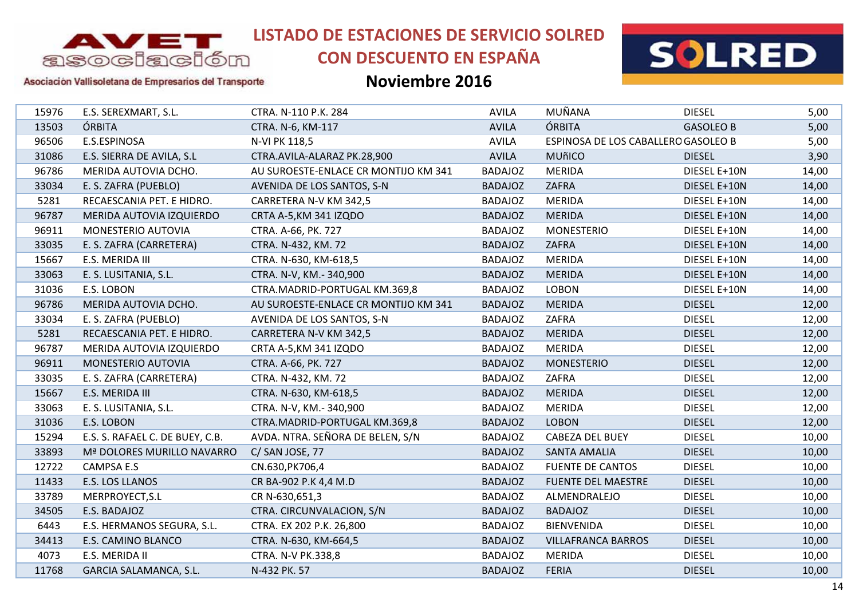

# **CON DESCUENTO EN ESPAÑA**



### Asociación Vallisoletana de Empresarios del Transporte

| 15976 | E.S. SEREXMART, S.L.            | CTRA. N-110 P.K. 284                 | <b>AVILA</b>   | MUÑANA                              | <b>DIESEL</b>    | 5,00  |
|-------|---------------------------------|--------------------------------------|----------------|-------------------------------------|------------------|-------|
| 13503 | ÓRBITA                          | CTRA. N-6, KM-117                    | <b>AVILA</b>   | ÓRBITA                              | <b>GASOLEO B</b> | 5,00  |
| 96506 | E.S.ESPINOSA                    | N-VI PK 118,5                        | <b>AVILA</b>   | ESPINOSA DE LOS CABALLERO GASOLEO B |                  | 5,00  |
| 31086 | E.S. SIERRA DE AVILA, S.L       | CTRA.AVILA-ALARAZ PK.28,900          | <b>AVILA</b>   | <b>MUñICO</b>                       | <b>DIESEL</b>    | 3,90  |
| 96786 | MERIDA AUTOVIA DCHO.            | AU SUROESTE-ENLACE CR MONTIJO KM 341 | <b>BADAJOZ</b> | <b>MERIDA</b>                       | DIESEL E+10N     | 14,00 |
| 33034 | E. S. ZAFRA (PUEBLO)            | AVENIDA DE LOS SANTOS, S-N           | <b>BADAJOZ</b> | ZAFRA                               | DIESEL E+10N     | 14,00 |
| 5281  | RECAESCANIA PET. E HIDRO.       | CARRETERA N-V KM 342,5               | <b>BADAJOZ</b> | <b>MERIDA</b>                       | DIESEL E+10N     | 14,00 |
| 96787 | MERIDA AUTOVIA IZQUIERDO        | CRTA A-5, KM 341 IZQDO               | <b>BADAJOZ</b> | <b>MERIDA</b>                       | DIESEL E+10N     | 14,00 |
| 96911 | MONESTERIO AUTOVIA              | CTRA. A-66, PK. 727                  | <b>BADAJOZ</b> | <b>MONESTERIO</b>                   | DIESEL E+10N     | 14,00 |
| 33035 | E. S. ZAFRA (CARRETERA)         | CTRA. N-432, KM. 72                  | <b>BADAJOZ</b> | ZAFRA                               | DIESEL E+10N     | 14,00 |
| 15667 | E.S. MERIDA III                 | CTRA. N-630, KM-618,5                | <b>BADAJOZ</b> | <b>MERIDA</b>                       | DIESEL E+10N     | 14,00 |
| 33063 | E. S. LUSITANIA, S.L.           | CTRA. N-V, KM.- 340,900              | <b>BADAJOZ</b> | <b>MERIDA</b>                       | DIESEL E+10N     | 14,00 |
| 31036 | E.S. LOBON                      | CTRA.MADRID-PORTUGAL KM.369,8        | <b>BADAJOZ</b> | <b>LOBON</b>                        | DIESEL E+10N     | 14,00 |
| 96786 | MERIDA AUTOVIA DCHO.            | AU SUROESTE-ENLACE CR MONTIJO KM 341 | <b>BADAJOZ</b> | <b>MERIDA</b>                       | <b>DIESEL</b>    | 12,00 |
| 33034 | E. S. ZAFRA (PUEBLO)            | AVENIDA DE LOS SANTOS, S-N           | <b>BADAJOZ</b> | ZAFRA                               | <b>DIESEL</b>    | 12,00 |
| 5281  | RECAESCANIA PET. E HIDRO.       | CARRETERA N-V KM 342,5               | <b>BADAJOZ</b> | <b>MERIDA</b>                       | <b>DIESEL</b>    | 12,00 |
| 96787 | MERIDA AUTOVIA IZQUIERDO        | CRTA A-5, KM 341 IZQDO               | <b>BADAJOZ</b> | <b>MERIDA</b>                       | <b>DIESEL</b>    | 12,00 |
| 96911 | MONESTERIO AUTOVIA              | CTRA. A-66, PK. 727                  | <b>BADAJOZ</b> | <b>MONESTERIO</b>                   | <b>DIESEL</b>    | 12,00 |
| 33035 | E. S. ZAFRA (CARRETERA)         | CTRA. N-432, KM. 72                  | <b>BADAJOZ</b> | ZAFRA                               | <b>DIESEL</b>    | 12,00 |
| 15667 | E.S. MERIDA III                 | CTRA. N-630, KM-618,5                | <b>BADAJOZ</b> | <b>MERIDA</b>                       | <b>DIESEL</b>    | 12,00 |
| 33063 | E. S. LUSITANIA, S.L.           | CTRA. N-V, KM.- 340,900              | <b>BADAJOZ</b> | <b>MERIDA</b>                       | <b>DIESEL</b>    | 12,00 |
| 31036 | E.S. LOBON                      | CTRA.MADRID-PORTUGAL KM.369,8        | <b>BADAJOZ</b> | <b>LOBON</b>                        | <b>DIESEL</b>    | 12,00 |
| 15294 | E.S. S. RAFAEL C. DE BUEY, C.B. | AVDA. NTRA. SEÑORA DE BELEN, S/N     | <b>BADAJOZ</b> | CABEZA DEL BUEY                     | <b>DIESEL</b>    | 10,00 |
| 33893 | Mª DOLORES MURILLO NAVARRO      | C/SAN JOSE, 77                       | <b>BADAJOZ</b> | <b>SANTA AMALIA</b>                 | <b>DIESEL</b>    | 10,00 |
| 12722 | <b>CAMPSA E.S</b>               | CN.630, PK706, 4                     | <b>BADAJOZ</b> | <b>FUENTE DE CANTOS</b>             | <b>DIESEL</b>    | 10,00 |
| 11433 | E.S. LOS LLANOS                 | CR BA-902 P.K 4,4 M.D                | <b>BADAJOZ</b> | <b>FUENTE DEL MAESTRE</b>           | <b>DIESEL</b>    | 10,00 |
| 33789 | MERPROYECT, S.L                 | CR N-630,651,3                       | <b>BADAJOZ</b> | ALMENDRALEJO                        | <b>DIESEL</b>    | 10,00 |
| 34505 | E.S. BADAJOZ                    | CTRA. CIRCUNVALACION, S/N            | <b>BADAJOZ</b> | <b>BADAJOZ</b>                      | <b>DIESEL</b>    | 10,00 |
| 6443  | E.S. HERMANOS SEGURA, S.L.      | CTRA. EX 202 P.K. 26,800             | <b>BADAJOZ</b> | <b>BIENVENIDA</b>                   | <b>DIESEL</b>    | 10,00 |
| 34413 | E.S. CAMINO BLANCO              | CTRA. N-630, KM-664,5                | <b>BADAJOZ</b> | <b>VILLAFRANCA BARROS</b>           | <b>DIESEL</b>    | 10,00 |
| 4073  | E.S. MERIDA II                  | CTRA. N-V PK.338,8                   | <b>BADAJOZ</b> | <b>MERIDA</b>                       | <b>DIESEL</b>    | 10,00 |
| 11768 | <b>GARCIA SALAMANCA, S.L.</b>   | N-432 PK. 57                         | <b>BADAJOZ</b> | <b>FERIA</b>                        | <b>DIESEL</b>    | 10,00 |
|       |                                 |                                      |                |                                     |                  |       |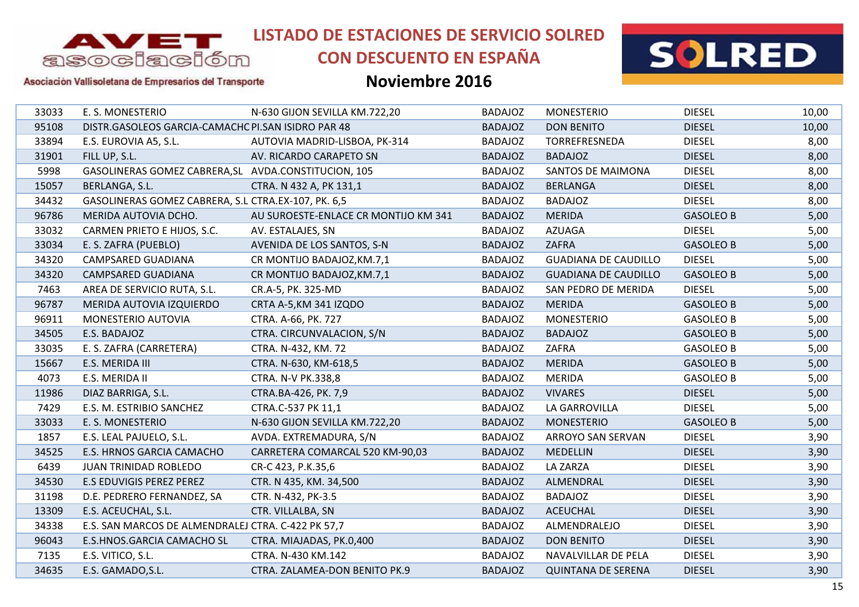

# **CON DESCUENTO EN ESPAÑA**



Asociación Vallisoletana de Empresarios del Transporte

| 33033 | E. S. MONESTERIO                                     | N-630 GIJON SEVILLA KM.722,20        | <b>BADAJOZ</b> | <b>MONESTERIO</b>           | <b>DIESEL</b>    | 10,00 |
|-------|------------------------------------------------------|--------------------------------------|----------------|-----------------------------|------------------|-------|
| 95108 | DISTR.GASOLEOS GARCIA-CAMACHC PI.SAN ISIDRO PAR 48   |                                      | <b>BADAJOZ</b> | <b>DON BENITO</b>           | <b>DIESEL</b>    | 10,00 |
| 33894 | E.S. EUROVIA A5, S.L.                                | AUTOVIA MADRID-LISBOA, PK-314        | <b>BADAJOZ</b> | TORREFRESNEDA               | <b>DIESEL</b>    | 8,00  |
| 31901 | FILL UP, S.L.                                        | AV. RICARDO CARAPETO SN              | <b>BADAJOZ</b> | <b>BADAJOZ</b>              | <b>DIESEL</b>    | 8,00  |
| 5998  | GASOLINERAS GOMEZ CABRERA, SL AVDA.CONSTITUCION, 105 |                                      | <b>BADAJOZ</b> | <b>SANTOS DE MAIMONA</b>    | <b>DIESEL</b>    | 8,00  |
| 15057 | BERLANGA, S.L.                                       | CTRA. N 432 A, PK 131,1              | <b>BADAJOZ</b> | <b>BERLANGA</b>             | <b>DIESEL</b>    | 8,00  |
| 34432 | GASOLINERAS GOMEZ CABRERA, S.L CTRA.EX-107, PK. 6,5  |                                      | <b>BADAJOZ</b> | <b>BADAJOZ</b>              | <b>DIESEL</b>    | 8,00  |
| 96786 | MERIDA AUTOVIA DCHO.                                 | AU SUROESTE-ENLACE CR MONTIJO KM 341 | <b>BADAJOZ</b> | <b>MERIDA</b>               | <b>GASOLEO B</b> | 5,00  |
| 33032 | CARMEN PRIETO E HIJOS, S.C.                          | AV. ESTALAJES, SN                    | <b>BADAJOZ</b> | <b>AZUAGA</b>               | <b>DIESEL</b>    | 5,00  |
| 33034 | E. S. ZAFRA (PUEBLO)                                 | AVENIDA DE LOS SANTOS, S-N           | <b>BADAJOZ</b> | ZAFRA                       | <b>GASOLEO B</b> | 5,00  |
| 34320 | <b>CAMPSARED GUADIANA</b>                            | CR MONTIJO BADAJOZ, KM.7,1           | <b>BADAJOZ</b> | <b>GUADIANA DE CAUDILLO</b> | <b>DIESEL</b>    | 5,00  |
| 34320 | <b>CAMPSARED GUADIANA</b>                            | CR MONTIJO BADAJOZ, KM.7,1           | <b>BADAJOZ</b> | <b>GUADIANA DE CAUDILLO</b> | <b>GASOLEO B</b> | 5,00  |
| 7463  | AREA DE SERVICIO RUTA, S.L.                          | CR.A-5, PK. 325-MD                   | <b>BADAJOZ</b> | SAN PEDRO DE MERIDA         | <b>DIESEL</b>    | 5,00  |
| 96787 | MERIDA AUTOVIA IZQUIERDO                             | CRTA A-5, KM 341 IZQDO               | <b>BADAJOZ</b> | <b>MERIDA</b>               | <b>GASOLEO B</b> | 5,00  |
| 96911 | MONESTERIO AUTOVIA                                   | CTRA. A-66, PK. 727                  | <b>BADAJOZ</b> | <b>MONESTERIO</b>           | <b>GASOLEO B</b> | 5,00  |
| 34505 | E.S. BADAJOZ                                         | CTRA. CIRCUNVALACION, S/N            | <b>BADAJOZ</b> | <b>BADAJOZ</b>              | <b>GASOLEO B</b> | 5,00  |
| 33035 | E. S. ZAFRA (CARRETERA)                              | CTRA. N-432, KM. 72                  | <b>BADAJOZ</b> | ZAFRA                       | <b>GASOLEO B</b> | 5,00  |
| 15667 | E.S. MERIDA III                                      | CTRA. N-630, KM-618,5                | <b>BADAJOZ</b> | <b>MERIDA</b>               | <b>GASOLEO B</b> | 5,00  |
| 4073  | E.S. MERIDA II                                       | <b>CTRA. N-V PK.338,8</b>            | <b>BADAJOZ</b> | <b>MERIDA</b>               | <b>GASOLEO B</b> | 5,00  |
| 11986 | DIAZ BARRIGA, S.L.                                   | CTRA.BA-426, PK. 7,9                 | <b>BADAJOZ</b> | <b>VIVARES</b>              | <b>DIESEL</b>    | 5,00  |
| 7429  | E.S. M. ESTRIBIO SANCHEZ                             | CTRA.C-537 PK 11,1                   | <b>BADAJOZ</b> | LA GARROVILLA               | <b>DIESEL</b>    | 5,00  |
| 33033 | E. S. MONESTERIO                                     | N-630 GIJON SEVILLA KM.722,20        | <b>BADAJOZ</b> | <b>MONESTERIO</b>           | <b>GASOLEO B</b> | 5,00  |
| 1857  | E.S. LEAL PAJUELO, S.L.                              | AVDA. EXTREMADURA, S/N               | <b>BADAJOZ</b> | ARROYO SAN SERVAN           | <b>DIESEL</b>    | 3,90  |
| 34525 | E.S. HRNOS GARCIA CAMACHO                            | CARRETERA COMARCAL 520 KM-90,03      | <b>BADAJOZ</b> | <b>MEDELLIN</b>             | <b>DIESEL</b>    | 3,90  |
| 6439  | JUAN TRINIDAD ROBLEDO                                | CR-C 423, P.K.35,6                   | <b>BADAJOZ</b> | <b>LA ZARZA</b>             | <b>DIESEL</b>    | 3,90  |
| 34530 | E.S EDUVIGIS PEREZ PEREZ                             | CTR. N 435, KM. 34,500               | <b>BADAJOZ</b> | ALMENDRAL                   | <b>DIESEL</b>    | 3,90  |
| 31198 | D.E. PEDRERO FERNANDEZ, SA                           | CTR. N-432, PK-3.5                   | <b>BADAJOZ</b> | <b>BADAJOZ</b>              | <b>DIESEL</b>    | 3,90  |
| 13309 | E.S. ACEUCHAL, S.L.                                  | CTR. VILLALBA, SN                    | <b>BADAJOZ</b> | <b>ACEUCHAL</b>             | <b>DIESEL</b>    | 3,90  |
| 34338 | E.S. SAN MARCOS DE ALMENDRALEJ CTRA. C-422 PK 57,7   |                                      | <b>BADAJOZ</b> | ALMENDRALEJO                | <b>DIESEL</b>    | 3,90  |
| 96043 | E.S.HNOS.GARCIA CAMACHO SL                           | CTRA. MIAJADAS, PK.0,400             | <b>BADAJOZ</b> | <b>DON BENITO</b>           | <b>DIESEL</b>    | 3,90  |
| 7135  | E.S. VITICO, S.L.                                    | CTRA. N-430 KM.142                   | <b>BADAJOZ</b> | NAVALVILLAR DE PELA         | <b>DIESEL</b>    | 3,90  |
| 34635 | E.S. GAMADO, S.L.                                    | CTRA. ZALAMEA-DON BENITO PK.9        | <b>BADAJOZ</b> | <b>QUINTANA DE SERENA</b>   | <b>DIESEL</b>    | 3,90  |
|       |                                                      |                                      |                |                             |                  |       |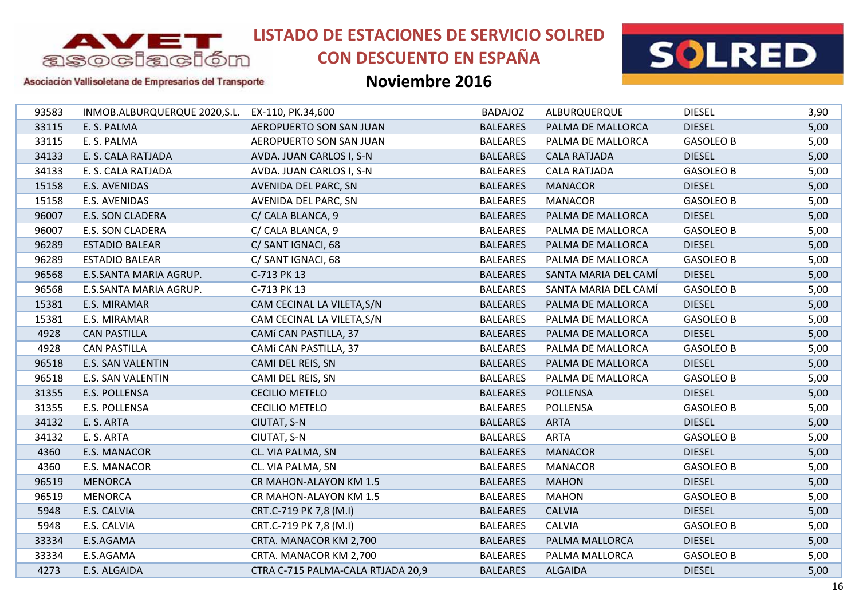

# **CON DESCUENTO EN ESPAÑA**



#### Asociación Vallisoletana de Empresarios del Transporte

| 93583 | INMOB.ALBURQUERQUE 2020, S.L. EX-110, PK.34, 600 |                                   | <b>BADAJOZ</b>  | ALBURQUERQUE         | <b>DIESEL</b>    | 3,90 |
|-------|--------------------------------------------------|-----------------------------------|-----------------|----------------------|------------------|------|
| 33115 | E. S. PALMA                                      | AEROPUERTO SON SAN JUAN           | <b>BALEARES</b> | PALMA DE MALLORCA    | <b>DIESEL</b>    | 5,00 |
| 33115 | E. S. PALMA                                      | AEROPUERTO SON SAN JUAN           | <b>BALEARES</b> | PALMA DE MALLORCA    | <b>GASOLEO B</b> | 5,00 |
| 34133 | E. S. CALA RATJADA                               | AVDA. JUAN CARLOS I, S-N          | <b>BALEARES</b> | <b>CALA RATJADA</b>  | <b>DIESEL</b>    | 5,00 |
| 34133 | E. S. CALA RATJADA                               | AVDA. JUAN CARLOS I, S-N          | <b>BALEARES</b> | <b>CALA RATJADA</b>  | <b>GASOLEO B</b> | 5,00 |
| 15158 | E.S. AVENIDAS                                    | AVENIDA DEL PARC, SN              | <b>BALEARES</b> | <b>MANACOR</b>       | <b>DIESEL</b>    | 5,00 |
| 15158 | E.S. AVENIDAS                                    | AVENIDA DEL PARC, SN              | <b>BALEARES</b> | <b>MANACOR</b>       | <b>GASOLEO B</b> | 5,00 |
| 96007 | E.S. SON CLADERA                                 | C/ CALA BLANCA, 9                 | <b>BALEARES</b> | PALMA DE MALLORCA    | <b>DIESEL</b>    | 5,00 |
| 96007 | <b>E.S. SON CLADERA</b>                          | C/ CALA BLANCA, 9                 | <b>BALEARES</b> | PALMA DE MALLORCA    | <b>GASOLEO B</b> | 5,00 |
| 96289 | <b>ESTADIO BALEAR</b>                            | C/ SANT IGNACI, 68                | <b>BALEARES</b> | PALMA DE MALLORCA    | <b>DIESEL</b>    | 5,00 |
| 96289 | <b>ESTADIO BALEAR</b>                            | C/ SANT IGNACI, 68                | <b>BALEARES</b> | PALMA DE MALLORCA    | <b>GASOLEO B</b> | 5,00 |
| 96568 | E.S.SANTA MARIA AGRUP.                           | C-713 PK 13                       | <b>BALEARES</b> | SANTA MARIA DEL CAMÍ | <b>DIESEL</b>    | 5,00 |
| 96568 | E.S.SANTA MARIA AGRUP.                           | C-713 PK 13                       | <b>BALEARES</b> | SANTA MARIA DEL CAMÍ | <b>GASOLEO B</b> | 5,00 |
| 15381 | E.S. MIRAMAR                                     | CAM CECINAL LA VILETA, S/N        | <b>BALEARES</b> | PALMA DE MALLORCA    | <b>DIESEL</b>    | 5,00 |
| 15381 | E.S. MIRAMAR                                     | CAM CECINAL LA VILETA, S/N        | <b>BALEARES</b> | PALMA DE MALLORCA    | <b>GASOLEO B</b> | 5,00 |
| 4928  | <b>CAN PASTILLA</b>                              | CAMÍ CAN PASTILLA, 37             | <b>BALEARES</b> | PALMA DE MALLORCA    | <b>DIESEL</b>    | 5,00 |
| 4928  | <b>CAN PASTILLA</b>                              | CAMÍ CAN PASTILLA, 37             | <b>BALEARES</b> | PALMA DE MALLORCA    | <b>GASOLEO B</b> | 5,00 |
| 96518 | <b>E.S. SAN VALENTIN</b>                         | CAMI DEL REIS, SN                 | <b>BALEARES</b> | PALMA DE MALLORCA    | <b>DIESEL</b>    | 5,00 |
| 96518 | E.S. SAN VALENTIN                                | CAMI DEL REIS, SN                 | <b>BALEARES</b> | PALMA DE MALLORCA    | <b>GASOLEO B</b> | 5,00 |
| 31355 | E.S. POLLENSA                                    | <b>CECILIO METELO</b>             | <b>BALEARES</b> | <b>POLLENSA</b>      | <b>DIESEL</b>    | 5,00 |
| 31355 | E.S. POLLENSA                                    | <b>CECILIO METELO</b>             | <b>BALEARES</b> | <b>POLLENSA</b>      | <b>GASOLEO B</b> | 5,00 |
| 34132 | E. S. ARTA                                       | CIUTAT, S-N                       | <b>BALEARES</b> | <b>ARTA</b>          | <b>DIESEL</b>    | 5,00 |
| 34132 | E. S. ARTA                                       | CIUTAT, S-N                       | <b>BALEARES</b> | <b>ARTA</b>          | <b>GASOLEO B</b> | 5,00 |
| 4360  | E.S. MANACOR                                     | CL. VIA PALMA, SN                 | <b>BALEARES</b> | <b>MANACOR</b>       | <b>DIESEL</b>    | 5,00 |
| 4360  | E.S. MANACOR                                     | CL. VIA PALMA, SN                 | <b>BALEARES</b> | <b>MANACOR</b>       | <b>GASOLEO B</b> | 5,00 |
| 96519 | <b>MENORCA</b>                                   | CR MAHON-ALAYON KM 1.5            | <b>BALEARES</b> | <b>MAHON</b>         | <b>DIESEL</b>    | 5,00 |
| 96519 | <b>MENORCA</b>                                   | CR MAHON-ALAYON KM 1.5            | <b>BALEARES</b> | <b>MAHON</b>         | <b>GASOLEO B</b> | 5,00 |
| 5948  | E.S. CALVIA                                      | CRT.C-719 PK 7,8 (M.I)            | <b>BALEARES</b> | <b>CALVIA</b>        | <b>DIESEL</b>    | 5,00 |
| 5948  | E.S. CALVIA                                      | CRT.C-719 PK 7,8 (M.I)            | <b>BALEARES</b> | <b>CALVIA</b>        | <b>GASOLEO B</b> | 5,00 |
| 33334 | E.S.AGAMA                                        | CRTA. MANACOR KM 2,700            | <b>BALEARES</b> | PALMA MALLORCA       | <b>DIESEL</b>    | 5,00 |
| 33334 | E.S.AGAMA                                        | CRTA. MANACOR KM 2,700            | <b>BALEARES</b> | PALMA MALLORCA       | <b>GASOLEO B</b> | 5,00 |
| 4273  | E.S. ALGAIDA                                     | CTRA C-715 PALMA-CALA RTJADA 20,9 | <b>BALEARES</b> | <b>ALGAIDA</b>       | <b>DIESEL</b>    | 5,00 |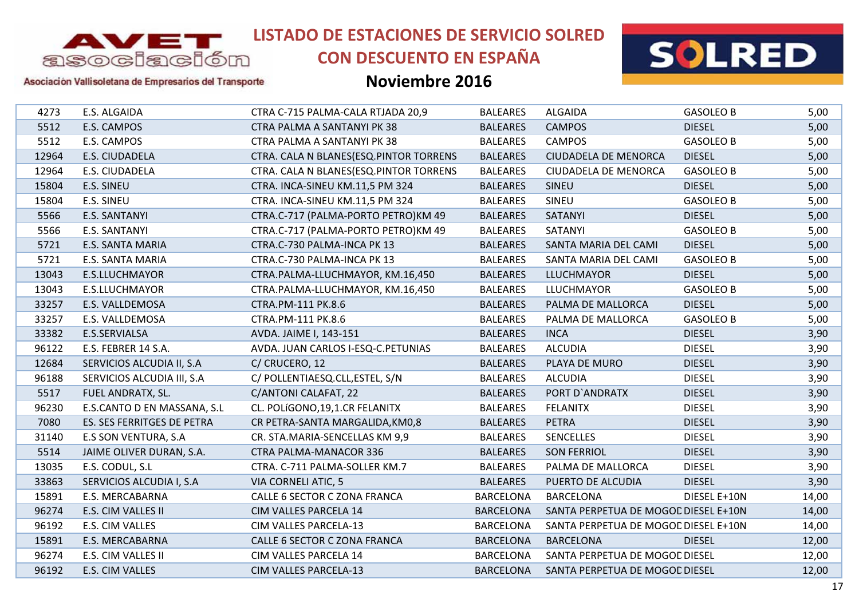

# **CON DESCUENTO EN ESPAÑA**



#### Asociación Vallisoletana de Empresarios del Transporte

| 4273  | E.S. ALGAIDA                | CTRA C-715 PALMA-CALA RTJADA 20,9      | <b>BALEARES</b>  | <b>ALGAIDA</b>                       | <b>GASOLEO B</b> | 5,00  |
|-------|-----------------------------|----------------------------------------|------------------|--------------------------------------|------------------|-------|
| 5512  | E.S. CAMPOS                 | CTRA PALMA A SANTANYI PK 38            | <b>BALEARES</b>  | <b>CAMPOS</b>                        | <b>DIESEL</b>    | 5,00  |
| 5512  | E.S. CAMPOS                 | CTRA PALMA A SANTANYI PK 38            | <b>BALEARES</b>  | <b>CAMPOS</b>                        | <b>GASOLEO B</b> | 5,00  |
| 12964 | E.S. CIUDADELA              | CTRA. CALA N BLANES(ESQ.PINTOR TORRENS | <b>BALEARES</b>  | <b>CIUDADELA DE MENORCA</b>          | <b>DIESEL</b>    | 5,00  |
| 12964 | E.S. CIUDADELA              | CTRA. CALA N BLANES(ESQ.PINTOR TORRENS | <b>BALEARES</b>  | <b>CIUDADELA DE MENORCA</b>          | <b>GASOLEO B</b> | 5,00  |
| 15804 | E.S. SINEU                  | CTRA. INCA-SINEU KM.11,5 PM 324        | <b>BALEARES</b>  | <b>SINEU</b>                         | <b>DIESEL</b>    | 5,00  |
| 15804 | E.S. SINEU                  | CTRA. INCA-SINEU KM.11,5 PM 324        | <b>BALEARES</b>  | SINEU                                | <b>GASOLEO B</b> | 5,00  |
| 5566  | E.S. SANTANYI               | CTRA.C-717 (PALMA-PORTO PETRO)KM 49    | <b>BALEARES</b>  | SATANYI                              | <b>DIESEL</b>    | 5,00  |
| 5566  | E.S. SANTANYI               | CTRA.C-717 (PALMA-PORTO PETRO)KM 49    | <b>BALEARES</b>  | SATANYI                              | <b>GASOLEO B</b> | 5,00  |
| 5721  | E.S. SANTA MARIA            | CTRA.C-730 PALMA-INCA PK 13            | <b>BALEARES</b>  | SANTA MARIA DEL CAMI                 | <b>DIESEL</b>    | 5,00  |
| 5721  | E.S. SANTA MARIA            | CTRA.C-730 PALMA-INCA PK 13            | <b>BALEARES</b>  | SANTA MARIA DEL CAMI                 | <b>GASOLEO B</b> | 5,00  |
| 13043 | E.S.LLUCHMAYOR              | CTRA.PALMA-LLUCHMAYOR, KM.16,450       | <b>BALEARES</b>  | <b>LLUCHMAYOR</b>                    | <b>DIESEL</b>    | 5,00  |
| 13043 | E.S.LLUCHMAYOR              | CTRA.PALMA-LLUCHMAYOR, KM.16,450       | <b>BALEARES</b>  | <b>LLUCHMAYOR</b>                    | <b>GASOLEO B</b> | 5,00  |
| 33257 | E.S. VALLDEMOSA             | CTRA.PM-111 PK.8.6                     | <b>BALEARES</b>  | PALMA DE MALLORCA                    | <b>DIESEL</b>    | 5,00  |
| 33257 | E.S. VALLDEMOSA             | CTRA.PM-111 PK.8.6                     | <b>BALEARES</b>  | PALMA DE MALLORCA                    | <b>GASOLEO B</b> | 5,00  |
| 33382 | E.S.SERVIALSA               | AVDA. JAIME I, 143-151                 | <b>BALEARES</b>  | <b>INCA</b>                          | <b>DIESEL</b>    | 3,90  |
| 96122 | E.S. FEBRER 14 S.A.         | AVDA. JUAN CARLOS I-ESQ-C.PETUNIAS     | <b>BALEARES</b>  | <b>ALCUDIA</b>                       | <b>DIESEL</b>    | 3,90  |
| 12684 | SERVICIOS ALCUDIA II, S.A   | C/ CRUCERO, 12                         | <b>BALEARES</b>  | PLAYA DE MURO                        | <b>DIESEL</b>    | 3,90  |
| 96188 | SERVICIOS ALCUDIA III, S.A  | C/ POLLENTIAESQ.CLL, ESTEL, S/N        | <b>BALEARES</b>  | <b>ALCUDIA</b>                       | <b>DIESEL</b>    | 3,90  |
| 5517  | FUEL ANDRATX, SL.           | C/ANTONI CALAFAT, 22                   | <b>BALEARES</b>  | PORT D'ANDRATX                       | <b>DIESEL</b>    | 3,90  |
| 96230 | E.S.CANTO D EN MASSANA, S.L | CL. POLÍGONO, 19, 1.CR FELANITX        | <b>BALEARES</b>  | <b>FELANITX</b>                      | <b>DIESEL</b>    | 3,90  |
| 7080  | ES. SES FERRITGES DE PETRA  | CR PETRA-SANTA MARGALIDA, KM0,8        | <b>BALEARES</b>  | <b>PETRA</b>                         | <b>DIESEL</b>    | 3,90  |
| 31140 | <b>E.S SON VENTURA, S.A</b> | CR. STA.MARIA-SENCELLAS KM 9,9         | <b>BALEARES</b>  | <b>SENCELLES</b>                     | <b>DIESEL</b>    | 3,90  |
| 5514  | JAIME OLIVER DURAN, S.A.    | <b>CTRA PALMA-MANACOR 336</b>          | <b>BALEARES</b>  | <b>SON FERRIOL</b>                   | <b>DIESEL</b>    | 3,90  |
| 13035 | E.S. CODUL, S.L             | CTRA. C-711 PALMA-SOLLER KM.7          | <b>BALEARES</b>  | PALMA DE MALLORCA                    | <b>DIESEL</b>    | 3,90  |
| 33863 | SERVICIOS ALCUDIA I, S.A    | <b>VIA CORNELI ATIC, 5</b>             | <b>BALEARES</b>  | PUERTO DE ALCUDIA                    | <b>DIESEL</b>    | 3,90  |
| 15891 | E.S. MERCABARNA             | CALLE 6 SECTOR C ZONA FRANCA           | <b>BARCELONA</b> | <b>BARCELONA</b>                     | DIESEL E+10N     | 14,00 |
| 96274 | E.S. CIM VALLES II          | CIM VALLES PARCELA 14                  | <b>BARCELONA</b> | SANTA PERPETUA DE MOGOL DIESEL E+10N |                  | 14,00 |
| 96192 | E.S. CIM VALLES             | CIM VALLES PARCELA-13                  | <b>BARCELONA</b> | SANTA PERPETUA DE MOGOL DIESEL E+10N |                  | 14,00 |
| 15891 | E.S. MERCABARNA             | CALLE 6 SECTOR C ZONA FRANCA           | <b>BARCELONA</b> | <b>BARCELONA</b>                     | <b>DIESEL</b>    | 12,00 |
| 96274 | E.S. CIM VALLES II          | CIM VALLES PARCELA 14                  | <b>BARCELONA</b> | SANTA PERPETUA DE MOGOC DIESEL       |                  | 12,00 |
| 96192 | E.S. CIM VALLES             | <b>CIM VALLES PARCELA-13</b>           | <b>BARCELONA</b> | SANTA PERPETUA DE MOGOD DIESEL       |                  | 12,00 |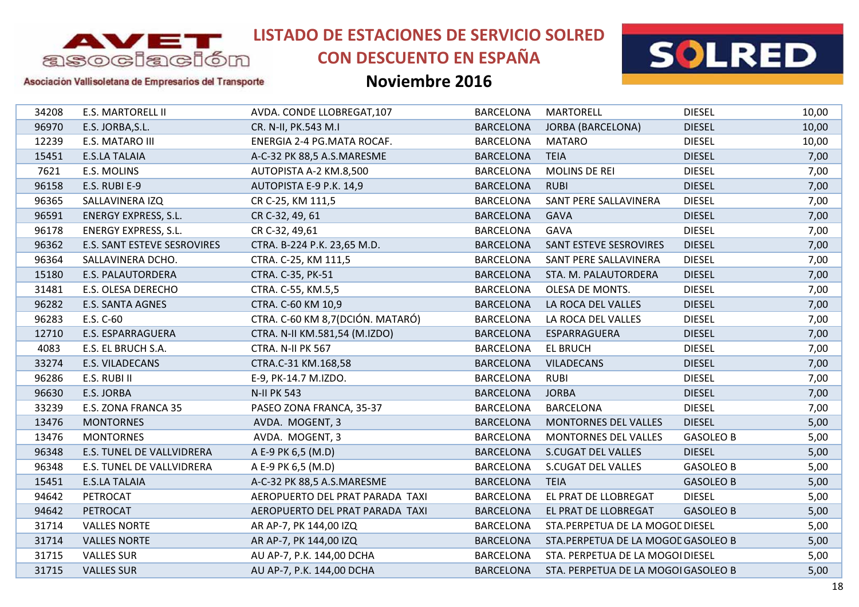

# **CON DESCUENTO EN ESPAÑA**



### Asociación Vallisoletana de Empresarios del Transporte

| 34208 | <b>E.S. MARTORELL II</b>    | AVDA. CONDE LLOBREGAT, 107        | <b>BARCELONA</b> | <b>MARTORELL</b>                    | <b>DIESEL</b>    | 10,00 |
|-------|-----------------------------|-----------------------------------|------------------|-------------------------------------|------------------|-------|
| 96970 | E.S. JORBA, S.L.            | CR. N-II, PK.543 M.I              | <b>BARCELONA</b> | <b>JORBA (BARCELONA)</b>            | <b>DIESEL</b>    | 10,00 |
| 12239 | E.S. MATARO III             | ENERGIA 2-4 PG.MATA ROCAF.        | <b>BARCELONA</b> | MATARO                              | <b>DIESEL</b>    | 10,00 |
| 15451 | <b>E.S.LA TALAIA</b>        | A-C-32 PK 88,5 A.S.MARESME        | <b>BARCELONA</b> | <b>TEIA</b>                         | <b>DIESEL</b>    | 7,00  |
| 7621  | E.S. MOLINS                 | AUTOPISTA A-2 KM.8,500            | <b>BARCELONA</b> | <b>MOLINS DE REI</b>                | <b>DIESEL</b>    | 7,00  |
| 96158 | E.S. RUBI E-9               | AUTOPISTA E-9 P.K. 14,9           | <b>BARCELONA</b> | <b>RUBI</b>                         | <b>DIESEL</b>    | 7,00  |
| 96365 | SALLAVINERA IZQ             | CR C-25, KM 111,5                 | <b>BARCELONA</b> | SANT PERE SALLAVINERA               | <b>DIESEL</b>    | 7,00  |
| 96591 | <b>ENERGY EXPRESS, S.L.</b> | CR C-32, 49, 61                   | <b>BARCELONA</b> | <b>GAVA</b>                         | <b>DIESEL</b>    | 7,00  |
| 96178 | <b>ENERGY EXPRESS, S.L.</b> | CR C-32, 49,61                    | <b>BARCELONA</b> | GAVA                                | <b>DIESEL</b>    | 7,00  |
| 96362 | E.S. SANT ESTEVE SESROVIRES | CTRA. B-224 P.K. 23,65 M.D.       | <b>BARCELONA</b> | SANT ESTEVE SESROVIRES              | <b>DIESEL</b>    | 7,00  |
| 96364 | SALLAVINERA DCHO.           | CTRA. C-25, KM 111,5              | <b>BARCELONA</b> | SANT PERE SALLAVINERA               | <b>DIESEL</b>    | 7,00  |
| 15180 | <b>E.S. PALAUTORDERA</b>    | CTRA. C-35, PK-51                 | <b>BARCELONA</b> | STA. M. PALAUTORDERA                | <b>DIESEL</b>    | 7,00  |
| 31481 | E.S. OLESA DERECHO          | CTRA. C-55, KM.5,5                | <b>BARCELONA</b> | OLESA DE MONTS.                     | <b>DIESEL</b>    | 7,00  |
| 96282 | <b>E.S. SANTA AGNES</b>     | CTRA. C-60 KM 10,9                | <b>BARCELONA</b> | LA ROCA DEL VALLES                  | <b>DIESEL</b>    | 7,00  |
| 96283 | E.S. C-60                   | CTRA. C-60 KM 8,7 (DCIÓN. MATARÓ) | <b>BARCELONA</b> | LA ROCA DEL VALLES                  | <b>DIESEL</b>    | 7,00  |
| 12710 | E.S. ESPARRAGUERA           | CTRA. N-II KM.581,54 (M.IZDO)     | <b>BARCELONA</b> | ESPARRAGUERA                        | <b>DIESEL</b>    | 7,00  |
| 4083  | E.S. EL BRUCH S.A.          | CTRA. N-II PK 567                 | <b>BARCELONA</b> | <b>EL BRUCH</b>                     | <b>DIESEL</b>    | 7,00  |
| 33274 | <b>E.S. VILADECANS</b>      | CTRA.C-31 KM.168,58               | <b>BARCELONA</b> | <b>VILADECANS</b>                   | <b>DIESEL</b>    | 7,00  |
| 96286 | E.S. RUBI II                | E-9, PK-14.7 M.IZDO.              | <b>BARCELONA</b> | <b>RUBI</b>                         | <b>DIESEL</b>    | 7,00  |
| 96630 | E.S. JORBA                  | <b>N-II PK 543</b>                | <b>BARCELONA</b> | <b>JORBA</b>                        | <b>DIESEL</b>    | 7,00  |
| 33239 | E.S. ZONA FRANCA 35         | PASEO ZONA FRANCA, 35-37          | <b>BARCELONA</b> | <b>BARCELONA</b>                    | <b>DIESEL</b>    | 7,00  |
| 13476 | <b>MONTORNES</b>            | AVDA. MOGENT, 3                   | <b>BARCELONA</b> | <b>MONTORNES DEL VALLES</b>         | <b>DIESEL</b>    | 5,00  |
| 13476 | <b>MONTORNES</b>            | AVDA. MOGENT, 3                   | <b>BARCELONA</b> | <b>MONTORNES DEL VALLES</b>         | <b>GASOLEO B</b> | 5,00  |
| 96348 | E.S. TUNEL DE VALLVIDRERA   | A E-9 PK 6,5 (M.D)                | <b>BARCELONA</b> | <b>S.CUGAT DEL VALLES</b>           | <b>DIESEL</b>    | 5,00  |
| 96348 | E.S. TUNEL DE VALLVIDRERA   | A E-9 PK 6,5 (M.D)                | <b>BARCELONA</b> | S.CUGAT DEL VALLES                  | <b>GASOLEO B</b> | 5,00  |
| 15451 | <b>E.S.LA TALAIA</b>        | A-C-32 PK 88,5 A.S.MARESME        | <b>BARCELONA</b> | <b>TEIA</b>                         | <b>GASOLEO B</b> | 5,00  |
| 94642 | PETROCAT                    | AEROPUERTO DEL PRAT PARADA TAXI   | <b>BARCELONA</b> | EL PRAT DE LLOBREGAT                | <b>DIESEL</b>    | 5,00  |
| 94642 | PETROCAT                    | AEROPUERTO DEL PRAT PARADA TAXI   | <b>BARCELONA</b> | EL PRAT DE LLOBREGAT                | <b>GASOLEO B</b> | 5,00  |
| 31714 | <b>VALLES NORTE</b>         | AR AP-7, PK 144,00 IZQ            | <b>BARCELONA</b> | STA.PERPETUA DE LA MOGOL DIESEL     |                  | 5,00  |
| 31714 | <b>VALLES NORTE</b>         | AR AP-7, PK 144,00 IZQ            | <b>BARCELONA</b> | STA.PERPETUA DE LA MOGOL GASOLEO B  |                  | 5,00  |
| 31715 | <b>VALLES SUR</b>           | AU AP-7, P.K. 144,00 DCHA         | <b>BARCELONA</b> | STA. PERPETUA DE LA MOGOI DIESEL    |                  | 5,00  |
| 31715 | <b>VALLES SUR</b>           | AU AP-7, P.K. 144,00 DCHA         | <b>BARCELONA</b> | STA. PERPETUA DE LA MOGOI GASOLEO B |                  | 5,00  |
|       |                             |                                   |                  |                                     |                  |       |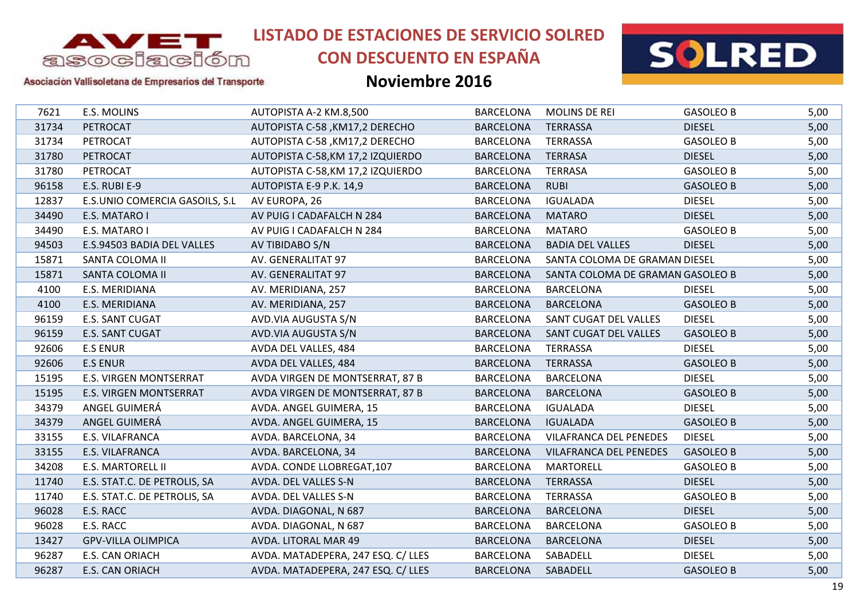

# **CON DESCUENTO EN ESPAÑA**



### Asociación Vallisoletana de Empresarios del Transporte

| E.S. MOLINS                    | AUTOPISTA A-2 KM.8,500             | <b>BARCELONA</b> | <b>MOLINS DE REI</b>          | <b>GASOLEO B</b> | 5,00                                                              |
|--------------------------------|------------------------------------|------------------|-------------------------------|------------------|-------------------------------------------------------------------|
| PETROCAT                       | AUTOPISTA C-58, KM17,2 DERECHO     | <b>BARCELONA</b> | <b>TERRASSA</b>               | <b>DIESEL</b>    | 5,00                                                              |
| PETROCAT                       | AUTOPISTA C-58, KM17,2 DERECHO     | <b>BARCELONA</b> | <b>TERRASSA</b>               | <b>GASOLEO B</b> | 5,00                                                              |
| PETROCAT                       | AUTOPISTA C-58, KM 17,2 IZQUIERDO  | <b>BARCELONA</b> | <b>TERRASA</b>                | <b>DIESEL</b>    | 5,00                                                              |
| PETROCAT                       | AUTOPISTA C-58, KM 17,2 IZQUIERDO  | <b>BARCELONA</b> | <b>TERRASA</b>                | <b>GASOLEO B</b> | 5,00                                                              |
| E.S. RUBI E-9                  | AUTOPISTA E-9 P.K. 14,9            | <b>BARCELONA</b> | <b>RUBI</b>                   | <b>GASOLEO B</b> | 5,00                                                              |
| E.S.UNIO COMERCIA GASOILS, S.L | AV EUROPA, 26                      | <b>BARCELONA</b> | <b>IGUALADA</b>               | <b>DIESEL</b>    | 5,00                                                              |
| E.S. MATARO I                  | AV PUIG I CADAFALCH N 284          | <b>BARCELONA</b> | <b>MATARO</b>                 | <b>DIESEL</b>    | 5,00                                                              |
| E.S. MATARO I                  | AV PUIG I CADAFALCH N 284          | <b>BARCELONA</b> | <b>MATARO</b>                 | <b>GASOLEO B</b> | 5,00                                                              |
| E.S.94503 BADIA DEL VALLES     | AV TIBIDABO S/N                    | <b>BARCELONA</b> | <b>BADIA DEL VALLES</b>       | <b>DIESEL</b>    | 5,00                                                              |
| SANTA COLOMA II                | AV. GENERALITAT 97                 | <b>BARCELONA</b> |                               |                  | 5,00                                                              |
| SANTA COLOMA II                | AV. GENERALITAT 97                 | <b>BARCELONA</b> |                               |                  | 5,00                                                              |
| E.S. MERIDIANA                 | AV. MERIDIANA, 257                 | <b>BARCELONA</b> | <b>BARCELONA</b>              | <b>DIESEL</b>    | 5,00                                                              |
| E.S. MERIDIANA                 | AV. MERIDIANA, 257                 | <b>BARCELONA</b> | <b>BARCELONA</b>              | <b>GASOLEO B</b> | 5,00                                                              |
| E.S. SANT CUGAT                | AVD.VIA AUGUSTA S/N                | <b>BARCELONA</b> | SANT CUGAT DEL VALLES         | <b>DIESEL</b>    | 5,00                                                              |
| E.S. SANT CUGAT                | AVD.VIA AUGUSTA S/N                | <b>BARCELONA</b> | SANT CUGAT DEL VALLES         | <b>GASOLEO B</b> | 5,00                                                              |
| <b>E.S ENUR</b>                | AVDA DEL VALLES, 484               | <b>BARCELONA</b> | <b>TERRASSA</b>               | <b>DIESEL</b>    | 5,00                                                              |
| <b>E.S ENUR</b>                | AVDA DEL VALLES, 484               | <b>BARCELONA</b> | <b>TERRASSA</b>               | <b>GASOLEO B</b> | 5,00                                                              |
| <b>E.S. VIRGEN MONTSERRAT</b>  | AVDA VIRGEN DE MONTSERRAT, 87 B    | <b>BARCELONA</b> | <b>BARCELONA</b>              | <b>DIESEL</b>    | 5,00                                                              |
| E.S. VIRGEN MONTSERRAT         | AVDA VIRGEN DE MONTSERRAT, 87 B    | <b>BARCELONA</b> | <b>BARCELONA</b>              | <b>GASOLEO B</b> | 5,00                                                              |
| ANGEL GUIMERÁ                  | AVDA. ANGEL GUIMERA, 15            | <b>BARCELONA</b> | <b>IGUALADA</b>               | <b>DIESEL</b>    | 5,00                                                              |
| ANGEL GUIMERÁ                  | AVDA. ANGEL GUIMERA, 15            | <b>BARCELONA</b> | <b>IGUALADA</b>               | <b>GASOLEO B</b> | 5,00                                                              |
| E.S. VILAFRANCA                | AVDA. BARCELONA, 34                | <b>BARCELONA</b> | VILAFRANCA DEL PENEDES        | <b>DIESEL</b>    | 5,00                                                              |
| <b>E.S. VILAFRANCA</b>         | AVDA. BARCELONA, 34                | <b>BARCELONA</b> | <b>VILAFRANCA DEL PENEDES</b> | <b>GASOLEO B</b> | 5,00                                                              |
| E.S. MARTORELL II              | AVDA. CONDE LLOBREGAT, 107         | <b>BARCELONA</b> | <b>MARTORELL</b>              | <b>GASOLEO B</b> | 5,00                                                              |
| E.S. STAT.C. DE PETROLIS, SA   | AVDA. DEL VALLES S-N               | <b>BARCELONA</b> | <b>TERRASSA</b>               | <b>DIESEL</b>    | 5,00                                                              |
| E.S. STAT.C. DE PETROLIS, SA   | AVDA. DEL VALLES S-N               | <b>BARCELONA</b> | <b>TERRASSA</b>               | <b>GASOLEO B</b> | 5,00                                                              |
| E.S. RACC                      | AVDA. DIAGONAL, N 687              | <b>BARCELONA</b> | <b>BARCELONA</b>              | <b>DIESEL</b>    | 5,00                                                              |
| E.S. RACC                      | AVDA. DIAGONAL, N 687              | <b>BARCELONA</b> | <b>BARCELONA</b>              | <b>GASOLEO B</b> | 5,00                                                              |
| <b>GPV-VILLA OLIMPICA</b>      | AVDA. LITORAL MAR 49               | <b>BARCELONA</b> | <b>BARCELONA</b>              | <b>DIESEL</b>    | 5,00                                                              |
| E.S. CAN ORIACH                | AVDA. MATADEPERA, 247 ESQ. C/ LLES | <b>BARCELONA</b> | SABADELL                      | <b>DIESEL</b>    | 5,00                                                              |
| E.S. CAN ORIACH                | AVDA. MATADEPERA, 247 ESQ. C/ LLES | <b>BARCELONA</b> | SABADELL                      | <b>GASOLEO B</b> | 5,00                                                              |
|                                |                                    |                  |                               |                  | SANTA COLOMA DE GRAMAN DIESEL<br>SANTA COLOMA DE GRAMAN GASOLEO B |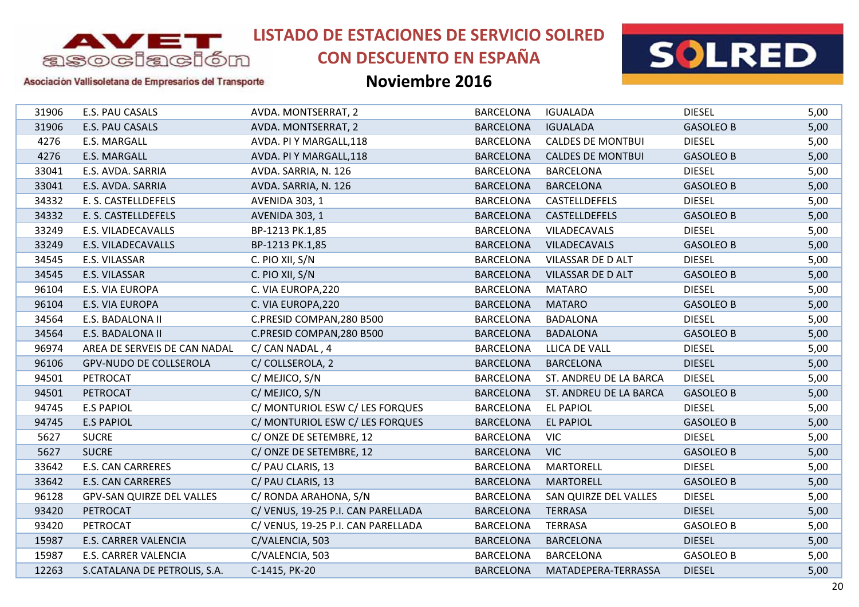

# **CON DESCUENTO EN ESPAÑA**



### Asociación Vallisoletana de Empresarios del Transporte

| 31906 | E.S. PAU CASALS                  | AVDA. MONTSERRAT, 2               | <b>BARCELONA</b> | <b>IGUALADA</b>          | <b>DIESEL</b>    | 5,00 |
|-------|----------------------------------|-----------------------------------|------------------|--------------------------|------------------|------|
| 31906 | E.S. PAU CASALS                  | AVDA. MONTSERRAT, 2               | <b>BARCELONA</b> | <b>IGUALADA</b>          | <b>GASOLEO B</b> | 5,00 |
| 4276  | E.S. MARGALL                     | AVDA. PI Y MARGALL, 118           | <b>BARCELONA</b> | <b>CALDES DE MONTBUI</b> | <b>DIESEL</b>    | 5,00 |
| 4276  | E.S. MARGALL                     | AVDA. PI Y MARGALL, 118           | <b>BARCELONA</b> | <b>CALDES DE MONTBUI</b> | <b>GASOLEO B</b> | 5,00 |
| 33041 | E.S. AVDA. SARRIA                | AVDA. SARRIA, N. 126              | <b>BARCELONA</b> | <b>BARCELONA</b>         | <b>DIESEL</b>    | 5,00 |
| 33041 | E.S. AVDA. SARRIA                | AVDA. SARRIA, N. 126              | <b>BARCELONA</b> | <b>BARCELONA</b>         | <b>GASOLEO B</b> | 5,00 |
| 34332 | E. S. CASTELLDEFELS              | AVENIDA 303, 1                    | <b>BARCELONA</b> | CASTELLDEFELS            | <b>DIESEL</b>    | 5,00 |
| 34332 | E. S. CASTELLDEFELS              | <b>AVENIDA 303, 1</b>             | <b>BARCELONA</b> | CASTELLDEFELS            | <b>GASOLEO B</b> | 5,00 |
| 33249 | E.S. VILADECAVALLS               | BP-1213 PK.1,85                   | <b>BARCELONA</b> | VILADECAVALS             | <b>DIESEL</b>    | 5,00 |
| 33249 | E.S. VILADECAVALLS               | BP-1213 PK.1,85                   | <b>BARCELONA</b> | <b>VILADECAVALS</b>      | <b>GASOLEO B</b> | 5,00 |
| 34545 | E.S. VILASSAR                    | C. PIO XII, S/N                   | <b>BARCELONA</b> | VILASSAR DE D ALT        | <b>DIESEL</b>    | 5,00 |
| 34545 | E.S. VILASSAR                    | C. PIO XII, S/N                   | <b>BARCELONA</b> | VILASSAR DE D ALT        | <b>GASOLEO B</b> | 5,00 |
| 96104 | E.S. VIA EUROPA                  | C. VIA EUROPA, 220                | <b>BARCELONA</b> | <b>MATARO</b>            | <b>DIESEL</b>    | 5,00 |
| 96104 | E.S. VIA EUROPA                  | C. VIA EUROPA, 220                | <b>BARCELONA</b> | <b>MATARO</b>            | <b>GASOLEO B</b> | 5,00 |
| 34564 | E.S. BADALONA II                 | C.PRESID COMPAN, 280 B500         | <b>BARCELONA</b> | <b>BADALONA</b>          | <b>DIESEL</b>    | 5,00 |
| 34564 | E.S. BADALONA II                 | C.PRESID COMPAN, 280 B500         | <b>BARCELONA</b> | <b>BADALONA</b>          | <b>GASOLEO B</b> | 5,00 |
| 96974 | AREA DE SERVEIS DE CAN NADAL     | C/ CAN NADAL, 4                   | <b>BARCELONA</b> | LLICA DE VALL            | <b>DIESEL</b>    | 5,00 |
| 96106 | <b>GPV-NUDO DE COLLSEROLA</b>    | C/ COLLSEROLA, 2                  | <b>BARCELONA</b> | <b>BARCELONA</b>         | <b>DIESEL</b>    | 5,00 |
| 94501 | PETROCAT                         | C/MEJICO, S/N                     | <b>BARCELONA</b> | ST. ANDREU DE LA BARCA   | <b>DIESEL</b>    | 5,00 |
| 94501 | PETROCAT                         | C/MEJICO, S/N                     | <b>BARCELONA</b> | ST. ANDREU DE LA BARCA   | <b>GASOLEO B</b> | 5,00 |
| 94745 | <b>E.S PAPIOL</b>                | C/ MONTURIOL ESW C/ LES FORQUES   | <b>BARCELONA</b> | <b>EL PAPIOL</b>         | <b>DIESEL</b>    | 5,00 |
| 94745 | <b>E.S PAPIOL</b>                | C/ MONTURIOL ESW C/ LES FORQUES   | <b>BARCELONA</b> | <b>EL PAPIOL</b>         | <b>GASOLEO B</b> | 5,00 |
| 5627  | <b>SUCRE</b>                     | C/ONZE DE SETEMBRE, 12            | <b>BARCELONA</b> | <b>VIC</b>               | <b>DIESEL</b>    | 5,00 |
| 5627  | <b>SUCRE</b>                     | C/ONZE DE SETEMBRE, 12            | <b>BARCELONA</b> | <b>VIC</b>               | <b>GASOLEO B</b> | 5,00 |
| 33642 | <b>E.S. CAN CARRERES</b>         | C/ PAU CLARIS, 13                 | <b>BARCELONA</b> | <b>MARTORELL</b>         | <b>DIESEL</b>    | 5,00 |
| 33642 | <b>E.S. CAN CARRERES</b>         | C/ PAU CLARIS, 13                 | <b>BARCELONA</b> | <b>MARTORELL</b>         | <b>GASOLEO B</b> | 5,00 |
| 96128 | <b>GPV-SAN QUIRZE DEL VALLES</b> | C/ RONDA ARAHONA, S/N             | <b>BARCELONA</b> | SAN QUIRZE DEL VALLES    | <b>DIESEL</b>    | 5,00 |
| 93420 | PETROCAT                         | C/VENUS, 19-25 P.I. CAN PARELLADA | <b>BARCELONA</b> | <b>TERRASA</b>           | <b>DIESEL</b>    | 5,00 |
| 93420 | PETROCAT                         | C/VENUS, 19-25 P.I. CAN PARELLADA | <b>BARCELONA</b> | <b>TERRASA</b>           | <b>GASOLEO B</b> | 5,00 |
| 15987 | E.S. CARRER VALENCIA             | C/VALENCIA, 503                   | <b>BARCELONA</b> | <b>BARCELONA</b>         | <b>DIESEL</b>    | 5,00 |
| 15987 | E.S. CARRER VALENCIA             | C/VALENCIA, 503                   | <b>BARCELONA</b> | <b>BARCELONA</b>         | <b>GASOLEO B</b> | 5,00 |
| 12263 | S.CATALANA DE PETROLIS, S.A.     | C-1415, PK-20                     | <b>BARCELONA</b> | MATADEPERA-TERRASSA      | <b>DIESEL</b>    | 5,00 |
|       |                                  |                                   |                  |                          |                  |      |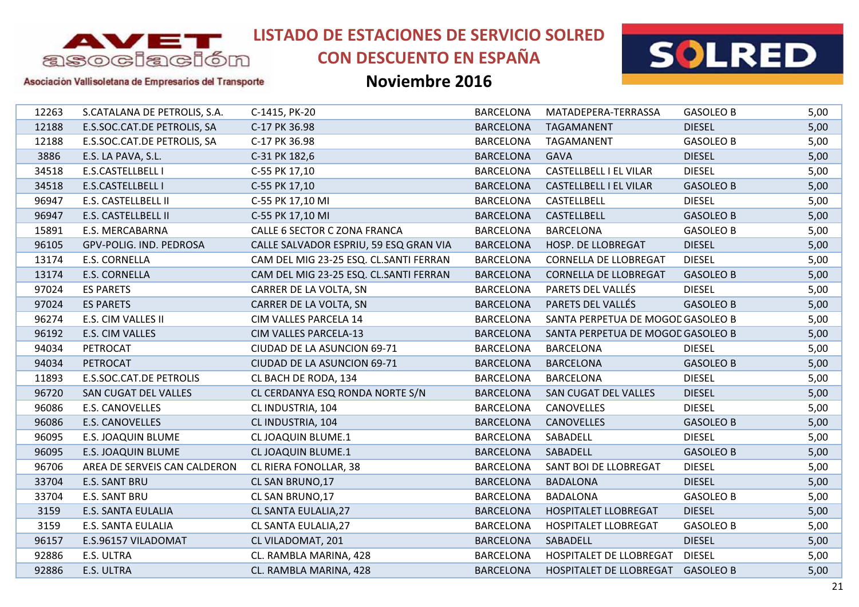

# **CON DESCUENTO EN ESPAÑA**



Asociación Vallisoletana de Empresarios del Transporte

| 12263 | S.CATALANA DE PETROLIS, S.A. | C-1415, PK-20                          | <b>BARCELONA</b> | MATADEPERA-TERRASSA               | <b>GASOLEO B</b> | 5,00 |
|-------|------------------------------|----------------------------------------|------------------|-----------------------------------|------------------|------|
| 12188 | E.S.SOC.CAT.DE PETROLIS, SA  | C-17 PK 36.98                          | <b>BARCELONA</b> | TAGAMANENT                        | <b>DIESEL</b>    | 5,00 |
| 12188 | E.S.SOC.CAT.DE PETROLIS, SA  | C-17 PK 36.98                          | <b>BARCELONA</b> | TAGAMANENT                        | <b>GASOLEO B</b> | 5,00 |
| 3886  | E.S. LA PAVA, S.L.           | C-31 PK 182,6                          | <b>BARCELONA</b> | <b>GAVA</b>                       | <b>DIESEL</b>    | 5,00 |
| 34518 | E.S.CASTELLBELL I            | C-55 PK 17,10                          | <b>BARCELONA</b> | <b>CASTELLBELL I EL VILAR</b>     | <b>DIESEL</b>    | 5,00 |
| 34518 | E.S.CASTELLBELL I            | C-55 PK 17,10                          | <b>BARCELONA</b> | CASTELLBELL I EL VILAR            | <b>GASOLEO B</b> | 5,00 |
| 96947 | E.S. CASTELLBELL II          | C-55 PK 17,10 MI                       | <b>BARCELONA</b> | CASTELLBELL                       | <b>DIESEL</b>    | 5,00 |
| 96947 | E.S. CASTELLBELL II          | C-55 PK 17,10 MI                       | <b>BARCELONA</b> | CASTELLBELL                       | <b>GASOLEO B</b> | 5,00 |
| 15891 | E.S. MERCABARNA              | CALLE 6 SECTOR C ZONA FRANCA           | <b>BARCELONA</b> | <b>BARCELONA</b>                  | <b>GASOLEO B</b> | 5,00 |
| 96105 | GPV-POLIG. IND. PEDROSA      | CALLE SALVADOR ESPRIU, 59 ESQ GRAN VIA | <b>BARCELONA</b> | HOSP. DE LLOBREGAT                | <b>DIESEL</b>    | 5,00 |
| 13174 | E.S. CORNELLA                | CAM DEL MIG 23-25 ESQ. CL.SANTI FERRAN | <b>BARCELONA</b> | <b>CORNELLA DE LLOBREGAT</b>      | <b>DIESEL</b>    | 5,00 |
| 13174 | <b>E.S. CORNELLA</b>         | CAM DEL MIG 23-25 ESQ. CL.SANTI FERRAN | <b>BARCELONA</b> | <b>CORNELLA DE LLOBREGAT</b>      | <b>GASOLEO B</b> | 5,00 |
| 97024 | <b>ES PARETS</b>             | CARRER DE LA VOLTA, SN                 | <b>BARCELONA</b> | PARETS DEL VALLÉS                 | <b>DIESEL</b>    | 5,00 |
| 97024 | <b>ES PARETS</b>             | CARRER DE LA VOLTA, SN                 | <b>BARCELONA</b> | PARETS DEL VALLÉS                 | <b>GASOLEO B</b> | 5,00 |
| 96274 | E.S. CIM VALLES II           | CIM VALLES PARCELA 14                  | <b>BARCELONA</b> | SANTA PERPETUA DE MOGOD GASOLEO B |                  | 5,00 |
| 96192 | E.S. CIM VALLES              | CIM VALLES PARCELA-13                  | <b>BARCELONA</b> | SANTA PERPETUA DE MOGOD GASOLEO B |                  | 5,00 |
| 94034 | PETROCAT                     | CIUDAD DE LA ASUNCION 69-71            | <b>BARCELONA</b> | <b>BARCELONA</b>                  | <b>DIESEL</b>    | 5,00 |
| 94034 | PETROCAT                     | CIUDAD DE LA ASUNCION 69-71            | <b>BARCELONA</b> | <b>BARCELONA</b>                  | <b>GASOLEO B</b> | 5,00 |
| 11893 | E.S.SOC.CAT.DE PETROLIS      | CL BACH DE RODA, 134                   | <b>BARCELONA</b> | <b>BARCELONA</b>                  | <b>DIESEL</b>    | 5,00 |
| 96720 | SAN CUGAT DEL VALLES         | CL CERDANYA ESQ RONDA NORTE S/N        | <b>BARCELONA</b> | SAN CUGAT DEL VALLES              | <b>DIESEL</b>    | 5,00 |
| 96086 | E.S. CANOVELLES              | CL INDUSTRIA, 104                      | <b>BARCELONA</b> | <b>CANOVELLES</b>                 | <b>DIESEL</b>    | 5,00 |
| 96086 | <b>E.S. CANOVELLES</b>       | CL INDUSTRIA, 104                      | <b>BARCELONA</b> | <b>CANOVELLES</b>                 | <b>GASOLEO B</b> | 5,00 |
| 96095 | E.S. JOAQUIN BLUME           | <b>CL JOAQUIN BLUME.1</b>              | <b>BARCELONA</b> | SABADELL                          | <b>DIESEL</b>    | 5,00 |
| 96095 | E.S. JOAQUIN BLUME           | <b>CL JOAQUIN BLUME.1</b>              | <b>BARCELONA</b> | SABADELL                          | <b>GASOLEO B</b> | 5,00 |
| 96706 | AREA DE SERVEIS CAN CALDERON | CL RIERA FONOLLAR, 38                  | <b>BARCELONA</b> | SANT BOI DE LLOBREGAT             | <b>DIESEL</b>    | 5,00 |
| 33704 | E.S. SANT BRU                | CL SAN BRUNO, 17                       | <b>BARCELONA</b> | <b>BADALONA</b>                   | <b>DIESEL</b>    | 5,00 |
| 33704 | E.S. SANT BRU                | CL SAN BRUNO, 17                       | <b>BARCELONA</b> | <b>BADALONA</b>                   | <b>GASOLEO B</b> | 5,00 |
| 3159  | E.S. SANTA EULALIA           | CL SANTA EULALIA, 27                   | <b>BARCELONA</b> | <b>HOSPITALET LLOBREGAT</b>       | <b>DIESEL</b>    | 5,00 |
| 3159  | E.S. SANTA EULALIA           | CL SANTA EULALIA, 27                   | <b>BARCELONA</b> | <b>HOSPITALET LLOBREGAT</b>       | <b>GASOLEO B</b> | 5,00 |
| 96157 | E.S.96157 VILADOMAT          | CL VILADOMAT, 201                      | <b>BARCELONA</b> | SABADELL                          | <b>DIESEL</b>    | 5,00 |
| 92886 | E.S. ULTRA                   | CL. RAMBLA MARINA, 428                 | <b>BARCELONA</b> | HOSPITALET DE LLOBREGAT           | <b>DIESEL</b>    | 5,00 |
| 92886 | E.S. ULTRA                   | CL. RAMBLA MARINA, 428                 | <b>BARCELONA</b> | HOSPITALET DE LLOBREGAT GASOLEO B |                  | 5,00 |
|       |                              |                                        |                  |                                   |                  |      |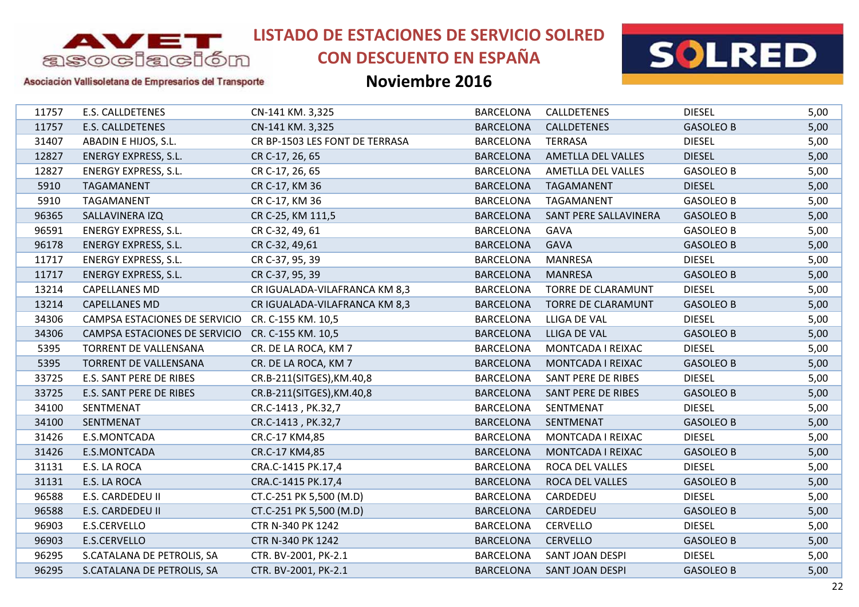

# **CON DESCUENTO EN ESPAÑA**



### Asociación Vallisoletana de Empresarios del Transporte

| 11757 | E.S. CALLDETENES                                 | CN-141 KM. 3,325               | <b>BARCELONA</b> | CALLDETENES           | <b>DIESEL</b>    | 5,00 |
|-------|--------------------------------------------------|--------------------------------|------------------|-----------------------|------------------|------|
| 11757 | E.S. CALLDETENES                                 | CN-141 KM. 3,325               | <b>BARCELONA</b> | CALLDETENES           | <b>GASOLEO B</b> | 5,00 |
| 31407 | ABADIN E HIJOS, S.L.                             | CR BP-1503 LES FONT DE TERRASA | <b>BARCELONA</b> | <b>TERRASA</b>        | <b>DIESEL</b>    | 5,00 |
| 12827 | <b>ENERGY EXPRESS, S.L.</b>                      | CR C-17, 26, 65                | <b>BARCELONA</b> | AMETLLA DEL VALLES    | <b>DIESEL</b>    | 5,00 |
| 12827 | <b>ENERGY EXPRESS, S.L.</b>                      | CR C-17, 26, 65                | <b>BARCELONA</b> | AMETLLA DEL VALLES    | <b>GASOLEO B</b> | 5,00 |
| 5910  | TAGAMANENT                                       | CR C-17, KM 36                 | <b>BARCELONA</b> | TAGAMANENT            | <b>DIESEL</b>    | 5,00 |
| 5910  | TAGAMANENT                                       | CR C-17, KM 36                 | <b>BARCELONA</b> | TAGAMANENT            | <b>GASOLEO B</b> | 5,00 |
| 96365 | SALLAVINERA IZQ                                  | CR C-25, KM 111,5              | <b>BARCELONA</b> | SANT PERE SALLAVINERA | <b>GASOLEO B</b> | 5,00 |
| 96591 | <b>ENERGY EXPRESS, S.L.</b>                      | CR C-32, 49, 61                | <b>BARCELONA</b> | GAVA                  | <b>GASOLEO B</b> | 5,00 |
| 96178 | <b>ENERGY EXPRESS, S.L.</b>                      | CR C-32, 49,61                 | <b>BARCELONA</b> | <b>GAVA</b>           | <b>GASOLEO B</b> | 5,00 |
| 11717 | <b>ENERGY EXPRESS, S.L.</b>                      | CR C-37, 95, 39                | <b>BARCELONA</b> | MANRESA               | <b>DIESEL</b>    | 5,00 |
| 11717 | <b>ENERGY EXPRESS, S.L.</b>                      | CR C-37, 95, 39                | <b>BARCELONA</b> | <b>MANRESA</b>        | <b>GASOLEO B</b> | 5,00 |
| 13214 | <b>CAPELLANES MD</b>                             | CR IGUALADA-VILAFRANCA KM 8,3  | <b>BARCELONA</b> | TORRE DE CLARAMUNT    | <b>DIESEL</b>    | 5,00 |
| 13214 | <b>CAPELLANES MD</b>                             | CR IGUALADA-VILAFRANCA KM 8,3  | <b>BARCELONA</b> | TORRE DE CLARAMUNT    | <b>GASOLEO B</b> | 5,00 |
| 34306 | CAMPSA ESTACIONES DE SERVICIO CR. C-155 KM. 10,5 |                                | <b>BARCELONA</b> | LLIGA DE VAL          | <b>DIESEL</b>    | 5,00 |
| 34306 | CAMPSA ESTACIONES DE SERVICIO                    | CR. C-155 KM. 10,5             | <b>BARCELONA</b> | LLIGA DE VAL          | <b>GASOLEO B</b> | 5,00 |
| 5395  | TORRENT DE VALLENSANA                            | CR. DE LA ROCA, KM 7           | <b>BARCELONA</b> | MONTCADA I REIXAC     | <b>DIESEL</b>    | 5,00 |
| 5395  | TORRENT DE VALLENSANA                            | CR. DE LA ROCA, KM 7           | <b>BARCELONA</b> | MONTCADA I REIXAC     | <b>GASOLEO B</b> | 5,00 |
| 33725 | E.S. SANT PERE DE RIBES                          | CR.B-211(SITGES), KM.40,8      | <b>BARCELONA</b> | SANT PERE DE RIBES    | <b>DIESEL</b>    | 5,00 |
| 33725 | E.S. SANT PERE DE RIBES                          | CR.B-211(SITGES), KM.40,8      | <b>BARCELONA</b> | SANT PERE DE RIBES    | <b>GASOLEO B</b> | 5,00 |
| 34100 | SENTMENAT                                        | CR.C-1413, PK.32,7             | <b>BARCELONA</b> | SENTMENAT             | <b>DIESEL</b>    | 5,00 |
| 34100 | SENTMENAT                                        | CR.C-1413, PK.32,7             | <b>BARCELONA</b> | SENTMENAT             | <b>GASOLEO B</b> | 5,00 |
| 31426 | E.S.MONTCADA                                     | CR.C-17 KM4,85                 | <b>BARCELONA</b> | MONTCADA I REIXAC     | <b>DIESEL</b>    | 5,00 |
| 31426 | E.S.MONTCADA                                     | CR.C-17 KM4,85                 | <b>BARCELONA</b> | MONTCADA I REIXAC     | <b>GASOLEO B</b> | 5,00 |
| 31131 | E.S. LA ROCA                                     | CRA.C-1415 PK.17,4             | <b>BARCELONA</b> | ROCA DEL VALLES       | <b>DIESEL</b>    | 5,00 |
| 31131 | E.S. LA ROCA                                     | CRA.C-1415 PK.17,4             | <b>BARCELONA</b> | ROCA DEL VALLES       | <b>GASOLEO B</b> | 5,00 |
| 96588 | E.S. CARDEDEU II                                 | CT.C-251 PK 5,500 (M.D)        | <b>BARCELONA</b> | CARDEDEU              | <b>DIESEL</b>    | 5,00 |
| 96588 | E.S. CARDEDEU II                                 | CT.C-251 PK 5,500 (M.D)        | <b>BARCELONA</b> | CARDEDEU              | <b>GASOLEO B</b> | 5,00 |
| 96903 | E.S.CERVELLO                                     | CTR N-340 PK 1242              | <b>BARCELONA</b> | <b>CERVELLO</b>       | <b>DIESEL</b>    | 5,00 |
| 96903 | E.S.CERVELLO                                     | CTR N-340 PK 1242              | <b>BARCELONA</b> | <b>CERVELLO</b>       | <b>GASOLEO B</b> | 5,00 |
| 96295 | S.CATALANA DE PETROLIS, SA                       | CTR. BV-2001, PK-2.1           | <b>BARCELONA</b> | SANT JOAN DESPI       | <b>DIESEL</b>    | 5,00 |
| 96295 | S.CATALANA DE PETROLIS, SA                       | CTR. BV-2001, PK-2.1           | <b>BARCELONA</b> | SANT JOAN DESPI       | <b>GASOLEO B</b> | 5,00 |
|       |                                                  |                                |                  |                       |                  |      |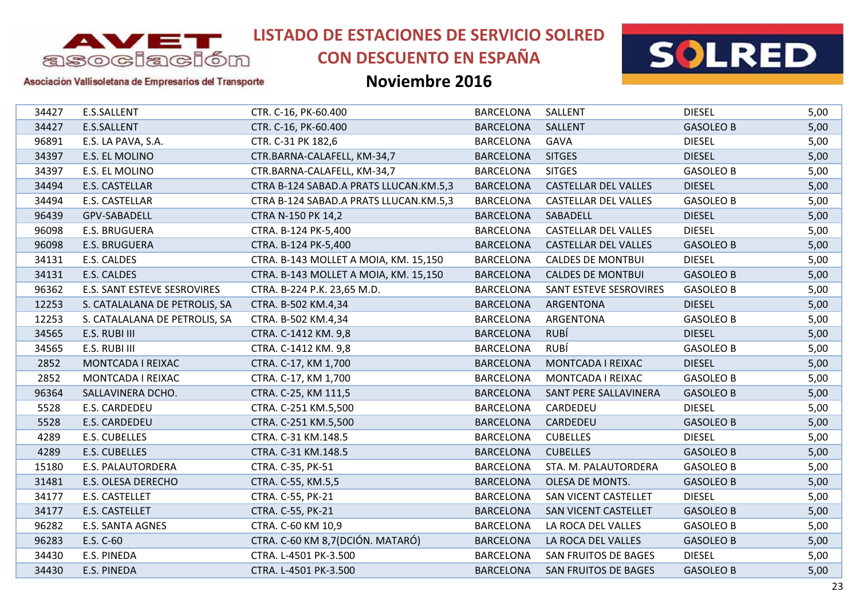

# **CON DESCUENTO EN ESPAÑA**



### Asociación Vallisoletana de Empresarios del Transporte

| 34427 | E.S.SALLENT                   | CTR. C-16, PK-60.400                   | <b>BARCELONA</b> | SALLENT                     | <b>DIESEL</b>    | 5,00 |
|-------|-------------------------------|----------------------------------------|------------------|-----------------------------|------------------|------|
| 34427 | E.S.SALLENT                   | CTR. C-16, PK-60.400                   | <b>BARCELONA</b> | SALLENT                     | <b>GASOLEO B</b> | 5,00 |
| 96891 | E.S. LA PAVA, S.A.            | CTR. C-31 PK 182,6                     | <b>BARCELONA</b> | GAVA                        | <b>DIESEL</b>    | 5,00 |
| 34397 | E.S. EL MOLINO                | CTR.BARNA-CALAFELL, KM-34,7            | <b>BARCELONA</b> | <b>SITGES</b>               | <b>DIESEL</b>    | 5,00 |
| 34397 | E.S. EL MOLINO                | CTR.BARNA-CALAFELL, KM-34,7            | <b>BARCELONA</b> | <b>SITGES</b>               | <b>GASOLEO B</b> | 5,00 |
| 34494 | E.S. CASTELLAR                | CTRA B-124 SABAD.A PRATS LLUCAN.KM.5,3 | <b>BARCELONA</b> | <b>CASTELLAR DEL VALLES</b> | <b>DIESEL</b>    | 5,00 |
| 34494 | E.S. CASTELLAR                | CTRA B-124 SABAD.A PRATS LLUCAN.KM.5,3 | <b>BARCELONA</b> | CASTELLAR DEL VALLES        | <b>GASOLEO B</b> | 5,00 |
| 96439 | GPV-SABADELL                  | CTRA N-150 PK 14,2                     | <b>BARCELONA</b> | SABADELL                    | <b>DIESEL</b>    | 5,00 |
| 96098 | <b>E.S. BRUGUERA</b>          | CTRA. B-124 PK-5,400                   | <b>BARCELONA</b> | <b>CASTELLAR DEL VALLES</b> | <b>DIESEL</b>    | 5,00 |
| 96098 | <b>E.S. BRUGUERA</b>          | CTRA. B-124 PK-5,400                   | <b>BARCELONA</b> | <b>CASTELLAR DEL VALLES</b> | <b>GASOLEO B</b> | 5,00 |
| 34131 | E.S. CALDES                   | CTRA. B-143 MOLLET A MOIA, KM. 15,150  | <b>BARCELONA</b> | <b>CALDES DE MONTBUI</b>    | <b>DIESEL</b>    | 5,00 |
| 34131 | E.S. CALDES                   | CTRA. B-143 MOLLET A MOIA, KM. 15,150  | <b>BARCELONA</b> | <b>CALDES DE MONTBUI</b>    | <b>GASOLEO B</b> | 5,00 |
| 96362 | E.S. SANT ESTEVE SESROVIRES   | CTRA. B-224 P.K. 23,65 M.D.            | <b>BARCELONA</b> | SANT ESTEVE SESROVIRES      | <b>GASOLEO B</b> | 5,00 |
| 12253 | S. CATALALANA DE PETROLIS, SA | CTRA. B-502 KM.4,34                    | <b>BARCELONA</b> | ARGENTONA                   | <b>DIESEL</b>    | 5,00 |
| 12253 | S. CATALALANA DE PETROLIS, SA | CTRA. B-502 KM.4,34                    | <b>BARCELONA</b> | ARGENTONA                   | <b>GASOLEO B</b> | 5,00 |
| 34565 | E.S. RUBI III                 | CTRA. C-1412 KM. 9,8                   | <b>BARCELONA</b> | <b>RUBÍ</b>                 | <b>DIESEL</b>    | 5,00 |
| 34565 | E.S. RUBI III                 | CTRA. C-1412 KM. 9,8                   | <b>BARCELONA</b> | <b>RUBÍ</b>                 | <b>GASOLEO B</b> | 5,00 |
| 2852  | MONTCADA I REIXAC             | CTRA. C-17, KM 1,700                   | <b>BARCELONA</b> | MONTCADA I REIXAC           | <b>DIESEL</b>    | 5,00 |
| 2852  | MONTCADA I REIXAC             | CTRA. C-17, KM 1,700                   | <b>BARCELONA</b> | MONTCADA I REIXAC           | <b>GASOLEO B</b> | 5,00 |
| 96364 | SALLAVINERA DCHO.             | CTRA. C-25, KM 111,5                   | <b>BARCELONA</b> | SANT PERE SALLAVINERA       | <b>GASOLEO B</b> | 5,00 |
| 5528  | E.S. CARDEDEU                 | CTRA. C-251 KM.5,500                   | <b>BARCELONA</b> | CARDEDEU                    | <b>DIESEL</b>    | 5,00 |
| 5528  | E.S. CARDEDEU                 | CTRA. C-251 KM.5,500                   | <b>BARCELONA</b> | CARDEDEU                    | <b>GASOLEO B</b> | 5,00 |
| 4289  | E.S. CUBELLES                 | CTRA. C-31 KM.148.5                    | <b>BARCELONA</b> | <b>CUBELLES</b>             | <b>DIESEL</b>    | 5,00 |
| 4289  | E.S. CUBELLES                 | CTRA. C-31 KM.148.5                    | <b>BARCELONA</b> | <b>CUBELLES</b>             | <b>GASOLEO B</b> | 5,00 |
| 15180 | E.S. PALAUTORDERA             | CTRA. C-35, PK-51                      | <b>BARCELONA</b> | STA. M. PALAUTORDERA        | <b>GASOLEO B</b> | 5,00 |
| 31481 | E.S. OLESA DERECHO            | CTRA. C-55, KM.5,5                     | <b>BARCELONA</b> | OLESA DE MONTS.             | <b>GASOLEO B</b> | 5,00 |
| 34177 | E.S. CASTELLET                | CTRA. C-55, PK-21                      | <b>BARCELONA</b> | SAN VICENT CASTELLET        | <b>DIESEL</b>    | 5,00 |
| 34177 | E.S. CASTELLET                | CTRA. C-55, PK-21                      | <b>BARCELONA</b> | <b>SAN VICENT CASTELLET</b> | <b>GASOLEO B</b> | 5,00 |
| 96282 | <b>E.S. SANTA AGNES</b>       | CTRA. C-60 KM 10,9                     | <b>BARCELONA</b> | LA ROCA DEL VALLES          | <b>GASOLEO B</b> | 5,00 |
| 96283 | E.S. C-60                     | CTRA. C-60 KM 8,7 (DCIÓN. MATARÓ)      | <b>BARCELONA</b> | LA ROCA DEL VALLES          | <b>GASOLEO B</b> | 5,00 |
| 34430 | E.S. PINEDA                   | CTRA. L-4501 PK-3.500                  | <b>BARCELONA</b> | <b>SAN FRUITOS DE BAGES</b> | <b>DIESEL</b>    | 5,00 |
| 34430 | E.S. PINEDA                   | CTRA. L-4501 PK-3.500                  | <b>BARCELONA</b> | SAN FRUITOS DE BAGES        | <b>GASOLEO B</b> | 5,00 |
|       |                               |                                        |                  |                             |                  |      |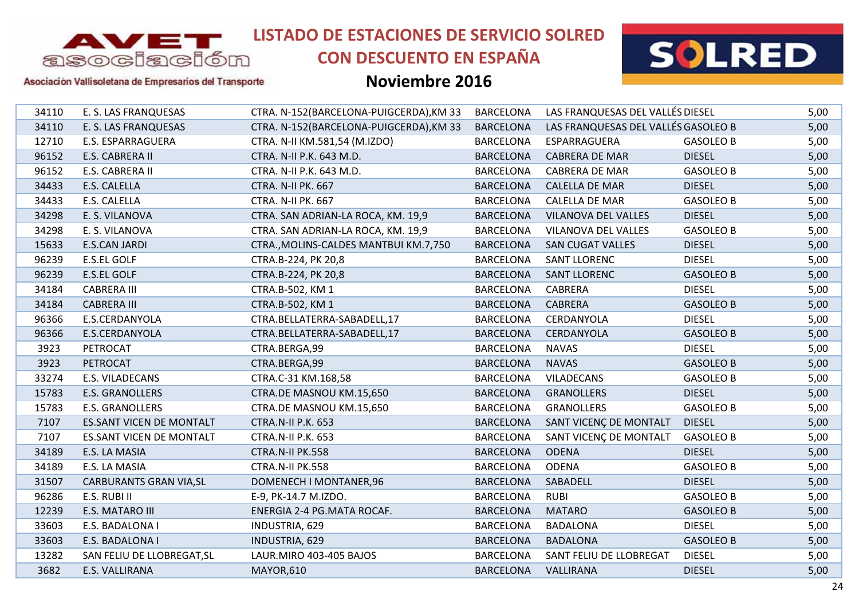

Asociación Vallisoletana de Empresarios del Transporte

**LISTADO DE ESTACIONES DE SERVICIO SOLRED**

## **CON DESCUENTO EN ESPAÑA**

### **Noviembre 2016**



 E. S. LAS FRANQUESAS CTRA. N-152(BARCELONA-PUIGCERDA),KM 33 BARCELONA LAS FRANQUESAS DEL VALLÉSDIESEL 5,00 E. S. LAS FRANQUESAS CTRA. N-152(BARCELONA-PUIGCERDA),KM 33 BARCELONA LAS FRANQUESAS DEL VALLÉSGASOLEO B 5,00 E.S. ESPARRAGUERA CTRA. N-II KM.581,54 (M.IZDO) BARCELONA ESPARRAGUERA GASOLEO B 5,00 E.S. CABRERA II CTRA. N-II P.K. 643 M.D.BARCELONA CABRERA DE MAR
BARCELONA 
S.00 E.S. CABRERA II CTRA. N-II P.K. 643 M.D. BARCELONA CABRERA DE MAR GASOLEO B 5,00 E.S. CALELLA CTRA. N-II PK. 667 BARCELONA CALELLA DE MAR DIESEL 5,00 E.S. CALELLA CTRA. N-II PK. 667 BARCELONA CALELLA DE MAR GASOLEO B 5,00 E. S. VILANOVA CTRA. SAN ADRIAN-LA ROCA, KM. 19,9 BARCELONA VILANOVA DEL VALLES DIESEL 5,00 E. S. VILANOVA CTRA. SAN ADRIAN-LA ROCA, KM. 19,9 BARCELONA VILANOVA DEL VALLES GASOLEO B 5,00 E.S.CAN JARDI CTRA.,MOLINS-CALDES MANTBUI KM.7,750 BARCELONA SAN CUGAT VALLES DIESEL 5,00 E.S.EL GOLF CTRA.B-224, PK 20,8 BARCELONA SANT LLORENC DIESEL 5,00 E.S.EL GOLF CTRA.B-224, PK 20,8 BARCELONA SANT LLORENC GASOLEO B 5,00 CABRERA III CTRA.B-502, KM 1 BARCELONA CABRERA DIESEL 5,00 CABRERA III CTRA.B-502, KM 1 BARCELONA CABRERA GASOLEO B 5,00 E.S.CERDANYOLA CTRA.BELLATERRA-SABADELL,17 BARCELONA CERDANYOLA DIESEL 5,00 E.S.CERDANYOLA CTRA.BELLATERRA-SABADELL,17 BARCELONA CERDANYOLA GASOLEO B 5,00 PETROCAT CTRA.BERGA,99 BARCELONA NAVAS DIESEL 5,00 PETROCAT CTRA.BERGA,99 BARCELONA NAVAS GASOLEO B 5,00 E.S. VILADECANS CTRA.C-31 KM.168,58 BARCELONA VILADECANS GASOLEO B 5,00 E.S. GRANOLLERS CTRA.DE MASNOU KM.15,650 BARCELONA GRANOLLERS DIESEL 5,00 E.S. GRANOLLERS CTRA.DE MASNOU KM.15,650 BARCELONA GRANOLLERS GASOLEO B 5,00 ES.SANT VICEN DE MONTALT CTRA.N-II P.K. 653BARCELONA SANT VICENC DE MONTALT DIESEL 5,00 ES.SANT VICEN DE MONTALT CTRA.N-II P.K. 653 BARCELONA SANT VICENÇ DE MONTALT GASOLEO B 5,00 E.S. LA MASIA CTRA.N-II PK.558 BARCELONA ODENA DIESEL 5,00 E.S. LA MASIA CTRA.N-II PK.558 BARCELONA ODENA GASOLEO B 5,00 31507 CARBURANTS GRAN VIA,SL DOMENECH I MONTANER,96 BARCELONA SABADELL DIESEL DIESEL 5,00 E.S. RUBI II E-9, PK-14.7 M.IZDO. BARCELONA RUBI GASOLEO B 5,00 E.S. MATARO III ENERGIA 2-4 PG.MATA ROCAF. BARCELONA MATARO GASOLEO B 5,00 E.S. BADALONA I INDUSTRIA, 629 BARCELONA BADALONA DIESEL 5,00 E.S. BADALONA I INDUSTRIA, 629 BARCELONA BADALONA GASOLEO B 5,00 SAN FELIU DE LLOBREGAT,SL LAUR.MIRO 403-405 BAJOS BARCELONA SANT FELIU DE LLOBREGAT DIESEL 5,00 E.S. VALLIRANA MAYOR,610 BARCELONA VALLIRANA DIESEL 5,00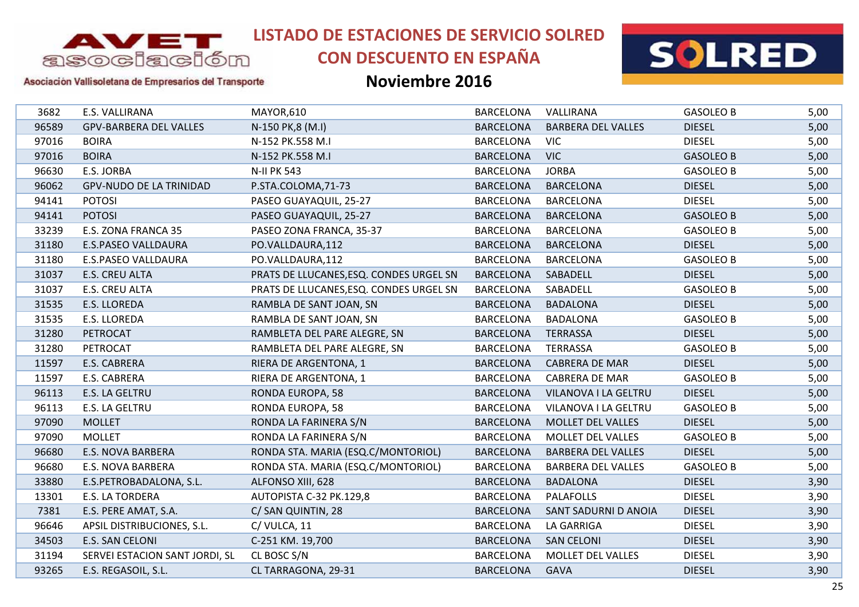

# **CON DESCUENTO EN ESPAÑA**



Asociación Vallisoletana de Empresarios del Transporte

| 3682  | E.S. VALLIRANA                 | MAYOR,610                               | <b>BARCELONA</b> | VALLIRANA                 | <b>GASOLEO B</b> | 5,00 |
|-------|--------------------------------|-----------------------------------------|------------------|---------------------------|------------------|------|
| 96589 | <b>GPV-BARBERA DEL VALLES</b>  | N-150 PK,8 (M.I)                        | <b>BARCELONA</b> | <b>BARBERA DEL VALLES</b> | <b>DIESEL</b>    | 5,00 |
| 97016 | <b>BOIRA</b>                   | N-152 PK.558 M.I                        | <b>BARCELONA</b> | <b>VIC</b>                | <b>DIESEL</b>    | 5,00 |
| 97016 | <b>BOIRA</b>                   | N-152 PK.558 M.I                        | <b>BARCELONA</b> | <b>VIC</b>                | <b>GASOLEO B</b> | 5,00 |
| 96630 | E.S. JORBA                     | <b>N-II PK 543</b>                      | <b>BARCELONA</b> | <b>JORBA</b>              | <b>GASOLEO B</b> | 5,00 |
| 96062 | <b>GPV-NUDO DE LA TRINIDAD</b> | P.STA.COLOMA, 71-73                     | <b>BARCELONA</b> | <b>BARCELONA</b>          | <b>DIESEL</b>    | 5,00 |
| 94141 | <b>POTOSI</b>                  | PASEO GUAYAQUIL, 25-27                  | <b>BARCELONA</b> | <b>BARCELONA</b>          | <b>DIESEL</b>    | 5,00 |
| 94141 | <b>POTOSI</b>                  | PASEO GUAYAQUIL, 25-27                  | <b>BARCELONA</b> | <b>BARCELONA</b>          | <b>GASOLEO B</b> | 5,00 |
| 33239 | E.S. ZONA FRANCA 35            | PASEO ZONA FRANCA, 35-37                | <b>BARCELONA</b> | <b>BARCELONA</b>          | <b>GASOLEO B</b> | 5,00 |
| 31180 | <b>E.S.PASEO VALLDAURA</b>     | PO.VALLDAURA,112                        | <b>BARCELONA</b> | <b>BARCELONA</b>          | <b>DIESEL</b>    | 5,00 |
| 31180 | E.S.PASEO VALLDAURA            | PO.VALLDAURA,112                        | <b>BARCELONA</b> | <b>BARCELONA</b>          | <b>GASOLEO B</b> | 5,00 |
| 31037 | E.S. CREU ALTA                 | PRATS DE LLUCANES, ESQ. CONDES URGEL SN | <b>BARCELONA</b> | SABADELL                  | <b>DIESEL</b>    | 5,00 |
| 31037 | E.S. CREU ALTA                 | PRATS DE LLUCANES, ESQ. CONDES URGEL SN | <b>BARCELONA</b> | SABADELL                  | <b>GASOLEO B</b> | 5,00 |
| 31535 | <b>E.S. LLOREDA</b>            | RAMBLA DE SANT JOAN, SN                 | <b>BARCELONA</b> | <b>BADALONA</b>           | <b>DIESEL</b>    | 5,00 |
| 31535 | E.S. LLOREDA                   | RAMBLA DE SANT JOAN, SN                 | <b>BARCELONA</b> | <b>BADALONA</b>           | <b>GASOLEO B</b> | 5,00 |
| 31280 | PETROCAT                       | RAMBLETA DEL PARE ALEGRE, SN            | <b>BARCELONA</b> | <b>TERRASSA</b>           | <b>DIESEL</b>    | 5,00 |
| 31280 | PETROCAT                       | RAMBLETA DEL PARE ALEGRE, SN            | <b>BARCELONA</b> | <b>TERRASSA</b>           | <b>GASOLEO B</b> | 5,00 |
| 11597 | E.S. CABRERA                   | RIERA DE ARGENTONA, 1                   | <b>BARCELONA</b> | <b>CABRERA DE MAR</b>     | <b>DIESEL</b>    | 5,00 |
| 11597 | E.S. CABRERA                   | RIERA DE ARGENTONA, 1                   | <b>BARCELONA</b> | <b>CABRERA DE MAR</b>     | <b>GASOLEO B</b> | 5,00 |
| 96113 | E.S. LA GELTRU                 | RONDA EUROPA, 58                        | <b>BARCELONA</b> | VILANOVA I LA GELTRU      | <b>DIESEL</b>    | 5,00 |
| 96113 | E.S. LA GELTRU                 | RONDA EUROPA, 58                        | <b>BARCELONA</b> | VILANOVA I LA GELTRU      | <b>GASOLEO B</b> | 5,00 |
| 97090 | <b>MOLLET</b>                  | RONDA LA FARINERA S/N                   | <b>BARCELONA</b> | <b>MOLLET DEL VALLES</b>  | <b>DIESEL</b>    | 5,00 |
| 97090 | <b>MOLLET</b>                  | RONDA LA FARINERA S/N                   | <b>BARCELONA</b> | MOLLET DEL VALLES         | <b>GASOLEO B</b> | 5,00 |
| 96680 | E.S. NOVA BARBERA              | RONDA STA. MARIA (ESQ.C/MONTORIOL)      | <b>BARCELONA</b> | <b>BARBERA DEL VALLES</b> | <b>DIESEL</b>    | 5,00 |
| 96680 | <b>E.S. NOVA BARBERA</b>       | RONDA STA. MARIA (ESQ.C/MONTORIOL)      | <b>BARCELONA</b> | <b>BARBERA DEL VALLES</b> | <b>GASOLEO B</b> | 5,00 |
| 33880 | E.S.PETROBADALONA, S.L.        | ALFONSO XIII, 628                       | <b>BARCELONA</b> | <b>BADALONA</b>           | <b>DIESEL</b>    | 3,90 |
| 13301 | E.S. LA TORDERA                | AUTOPISTA C-32 PK.129,8                 | <b>BARCELONA</b> | <b>PALAFOLLS</b>          | <b>DIESEL</b>    | 3,90 |
| 7381  | E.S. PERE AMAT, S.A.           | C/ SAN QUINTIN, 28                      | <b>BARCELONA</b> | SANT SADURNI D ANOIA      | <b>DIESEL</b>    | 3,90 |
| 96646 | APSIL DISTRIBUCIONES, S.L.     | C/VULCA, 11                             | <b>BARCELONA</b> | <b>LA GARRIGA</b>         | <b>DIESEL</b>    | 3,90 |
| 34503 | E.S. SAN CELONI                | C-251 KM. 19,700                        | <b>BARCELONA</b> | <b>SAN CELONI</b>         | <b>DIESEL</b>    | 3,90 |
| 31194 | SERVEI ESTACION SANT JORDI, SL | CL BOSC S/N                             | <b>BARCELONA</b> | MOLLET DEL VALLES         | <b>DIESEL</b>    | 3,90 |
| 93265 | E.S. REGASOIL, S.L.            | CL TARRAGONA, 29-31                     | <b>BARCELONA</b> | <b>GAVA</b>               | <b>DIESEL</b>    | 3,90 |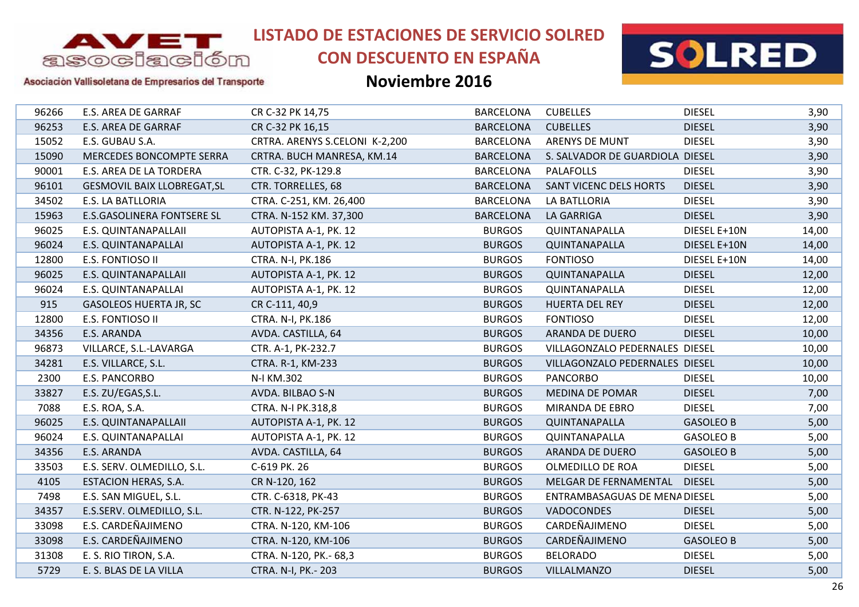

# **CON DESCUENTO EN ESPAÑA**



### Asociación Vallisoletana de Empresarios del Transporte

| 96266 | E.S. AREA DE GARRAF                | CR C-32 PK 14,75               | <b>BARCELONA</b> | <b>CUBELLES</b>                 | <b>DIESEL</b>    | 3,90  |
|-------|------------------------------------|--------------------------------|------------------|---------------------------------|------------------|-------|
| 96253 | <b>E.S. AREA DE GARRAF</b>         | CR C-32 PK 16,15               | <b>BARCELONA</b> | <b>CUBELLES</b>                 | <b>DIESEL</b>    | 3,90  |
| 15052 | E.S. GUBAU S.A.                    | CRTRA. ARENYS S.CELONI K-2,200 | <b>BARCELONA</b> | <b>ARENYS DE MUNT</b>           | <b>DIESEL</b>    | 3,90  |
| 15090 | MERCEDES BONCOMPTE SERRA           | CRTRA. BUCH MANRESA, KM.14     | <b>BARCELONA</b> | S. SALVADOR DE GUARDIOLA DIESEL |                  | 3,90  |
| 90001 | E.S. AREA DE LA TORDERA            | CTR. C-32, PK-129.8            | <b>BARCELONA</b> | <b>PALAFOLLS</b>                | <b>DIESEL</b>    | 3,90  |
| 96101 | <b>GESMOVIL BAIX LLOBREGAT, SL</b> | CTR. TORRELLES, 68             | <b>BARCELONA</b> | <b>SANT VICENC DELS HORTS</b>   | <b>DIESEL</b>    | 3,90  |
| 34502 | <b>E.S. LA BATLLORIA</b>           | CTRA. C-251, KM. 26,400        | <b>BARCELONA</b> | LA BATLLORIA                    | <b>DIESEL</b>    | 3,90  |
| 15963 | <b>E.S.GASOLINERA FONTSERE SL</b>  | CTRA. N-152 KM. 37,300         | <b>BARCELONA</b> | <b>LA GARRIGA</b>               | <b>DIESEL</b>    | 3,90  |
| 96025 | E.S. QUINTANAPALLAII               | AUTOPISTA A-1, PK. 12          | <b>BURGOS</b>    | QUINTANAPALLA                   | DIESEL E+10N     | 14,00 |
| 96024 | E.S. QUINTANAPALLAI                | AUTOPISTA A-1, PK. 12          | <b>BURGOS</b>    | QUINTANAPALLA                   | DIESEL E+10N     | 14,00 |
| 12800 | E.S. FONTIOSO II                   | CTRA. N-I, PK.186              | <b>BURGOS</b>    | <b>FONTIOSO</b>                 | DIESEL E+10N     | 14,00 |
| 96025 | E.S. QUINTANAPALLAII               | AUTOPISTA A-1, PK. 12          | <b>BURGOS</b>    | QUINTANAPALLA                   | <b>DIESEL</b>    | 12,00 |
| 96024 | E.S. QUINTANAPALLAI                | AUTOPISTA A-1, PK. 12          | <b>BURGOS</b>    | QUINTANAPALLA                   | <b>DIESEL</b>    | 12,00 |
| 915   | <b>GASOLEOS HUERTA JR, SC</b>      | CR C-111, 40,9                 | <b>BURGOS</b>    | <b>HUERTA DEL REY</b>           | <b>DIESEL</b>    | 12,00 |
| 12800 | E.S. FONTIOSO II                   | CTRA. N-I, PK.186              | <b>BURGOS</b>    | <b>FONTIOSO</b>                 | <b>DIESEL</b>    | 12,00 |
| 34356 | E.S. ARANDA                        | AVDA. CASTILLA, 64             | <b>BURGOS</b>    | ARANDA DE DUERO                 | <b>DIESEL</b>    | 10,00 |
| 96873 | VILLARCE, S.L.-LAVARGA             | CTR. A-1, PK-232.7             | <b>BURGOS</b>    | VILLAGONZALO PEDERNALES DIESEL  |                  | 10,00 |
| 34281 | E.S. VILLARCE, S.L.                | CTRA. R-1, KM-233              | <b>BURGOS</b>    | VILLAGONZALO PEDERNALES DIESEL  |                  | 10,00 |
| 2300  | E.S. PANCORBO                      | N-I KM.302                     | <b>BURGOS</b>    | <b>PANCORBO</b>                 | <b>DIESEL</b>    | 10,00 |
| 33827 | E.S. ZU/EGAS, S.L.                 | AVDA. BILBAO S-N               | <b>BURGOS</b>    | <b>MEDINA DE POMAR</b>          | <b>DIESEL</b>    | 7,00  |
| 7088  | E.S. ROA, S.A.                     | CTRA. N-I PK.318,8             | <b>BURGOS</b>    | MIRANDA DE EBRO                 | <b>DIESEL</b>    | 7,00  |
| 96025 | E.S. QUINTANAPALLAII               | AUTOPISTA A-1, PK. 12          | <b>BURGOS</b>    | QUINTANAPALLA                   | <b>GASOLEO B</b> | 5,00  |
| 96024 | E.S. QUINTANAPALLAI                | AUTOPISTA A-1, PK. 12          | <b>BURGOS</b>    | QUINTANAPALLA                   | <b>GASOLEO B</b> | 5,00  |
| 34356 | E.S. ARANDA                        | AVDA. CASTILLA, 64             | <b>BURGOS</b>    | ARANDA DE DUERO                 | <b>GASOLEO B</b> | 5,00  |
| 33503 | E.S. SERV. OLMEDILLO, S.L.         | C-619 PK. 26                   | <b>BURGOS</b>    | OLMEDILLO DE ROA                | <b>DIESEL</b>    | 5,00  |
| 4105  | ESTACION HERAS, S.A.               | CR N-120, 162                  | <b>BURGOS</b>    | MELGAR DE FERNAMENTAL           | <b>DIESEL</b>    | 5,00  |
| 7498  | E.S. SAN MIGUEL, S.L.              | CTR. C-6318, PK-43             | <b>BURGOS</b>    | ENTRAMBASAGUAS DE MENA DIESEL   |                  | 5,00  |
| 34357 | E.S.SERV. OLMEDILLO, S.L.          | CTR. N-122, PK-257             | <b>BURGOS</b>    | <b>VADOCONDES</b>               | <b>DIESEL</b>    | 5,00  |
| 33098 | E.S. CARDEÑAJIMENO                 | CTRA. N-120, KM-106            | <b>BURGOS</b>    | CARDEÑAJIMENO                   | <b>DIESEL</b>    | 5,00  |
| 33098 | E.S. CARDEÑAJIMENO                 | CTRA. N-120, KM-106            | <b>BURGOS</b>    | CARDEÑAJIMENO                   | <b>GASOLEO B</b> | 5,00  |
| 31308 | E. S. RIO TIRON, S.A.              | CTRA. N-120, PK.- 68,3         | <b>BURGOS</b>    | <b>BELORADO</b>                 | <b>DIESEL</b>    | 5,00  |
| 5729  | E. S. BLAS DE LA VILLA             | CTRA. N-I, PK. - 203           | <b>BURGOS</b>    | <b>VILLALMANZO</b>              | <b>DIESEL</b>    | 5,00  |
|       |                                    |                                |                  |                                 |                  |       |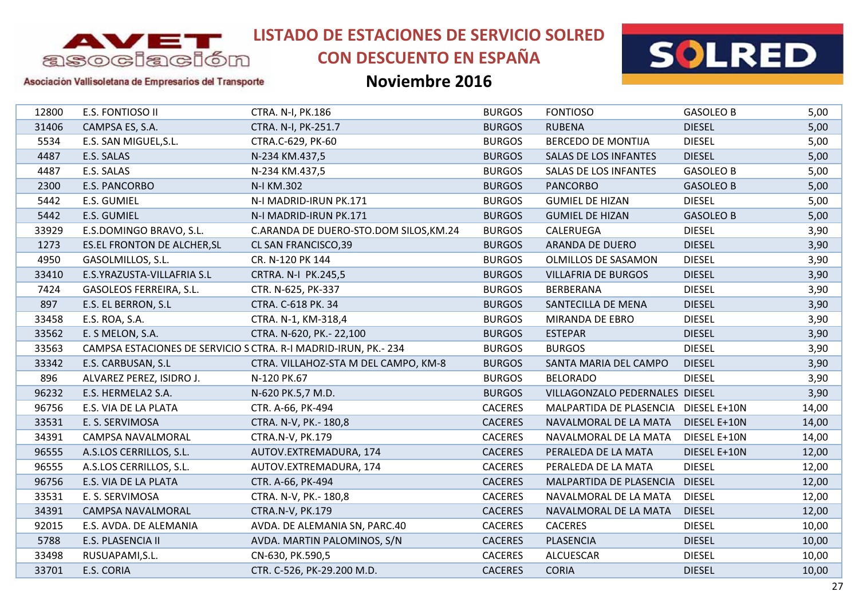

# **CON DESCUENTO EN ESPAÑA**



#### Asociación Vallisoletana de Empresarios del Transporte

| 12800 | E.S. FONTIOSO II                                               | CTRA. N-I, PK.186                      | <b>BURGOS</b>  | <b>FONTIOSO</b>                      | <b>GASOLEO B</b> | 5,00  |
|-------|----------------------------------------------------------------|----------------------------------------|----------------|--------------------------------------|------------------|-------|
| 31406 | CAMPSA ES, S.A.                                                | CTRA. N-I, PK-251.7                    | <b>BURGOS</b>  | <b>RUBENA</b>                        | <b>DIESEL</b>    | 5,00  |
| 5534  | E.S. SAN MIGUEL, S.L.                                          | CTRA.C-629, PK-60                      | <b>BURGOS</b>  | <b>BERCEDO DE MONTIJA</b>            | <b>DIESEL</b>    | 5,00  |
| 4487  | E.S. SALAS                                                     | N-234 KM.437,5                         | <b>BURGOS</b>  | <b>SALAS DE LOS INFANTES</b>         | <b>DIESEL</b>    | 5,00  |
| 4487  | E.S. SALAS                                                     | N-234 KM.437,5                         | <b>BURGOS</b>  | SALAS DE LOS INFANTES                | <b>GASOLEO B</b> | 5,00  |
| 2300  | E.S. PANCORBO                                                  | N-I KM.302                             | <b>BURGOS</b>  | <b>PANCORBO</b>                      | <b>GASOLEO B</b> | 5,00  |
| 5442  | E.S. GUMIEL                                                    | N-I MADRID-IRUN PK.171                 | <b>BURGOS</b>  | <b>GUMIEL DE HIZAN</b>               | <b>DIESEL</b>    | 5,00  |
| 5442  | E.S. GUMIEL                                                    | N-I MADRID-IRUN PK.171                 | <b>BURGOS</b>  | <b>GUMIEL DE HIZAN</b>               | <b>GASOLEO B</b> | 5,00  |
| 33929 | E.S.DOMINGO BRAVO, S.L.                                        | C.ARANDA DE DUERO-STO.DOM SILOS, KM.24 | <b>BURGOS</b>  | CALERUEGA                            | <b>DIESEL</b>    | 3,90  |
| 1273  | <b>ES.EL FRONTON DE ALCHER, SL</b>                             | CL SAN FRANCISCO, 39                   | <b>BURGOS</b>  | ARANDA DE DUERO                      | <b>DIESEL</b>    | 3,90  |
| 4950  | GASOLMILLOS, S.L.                                              | CR. N-120 PK 144                       | <b>BURGOS</b>  | OLMILLOS DE SASAMON                  | <b>DIESEL</b>    | 3,90  |
| 33410 | E.S.YRAZUSTA-VILLAFRIA S.L                                     | CRTRA. N-I PK.245,5                    | <b>BURGOS</b>  | <b>VILLAFRIA DE BURGOS</b>           | <b>DIESEL</b>    | 3,90  |
| 7424  | GASOLEOS FERREIRA, S.L.                                        | CTR. N-625, PK-337                     | <b>BURGOS</b>  | BERBERANA                            | <b>DIESEL</b>    | 3,90  |
| 897   | E.S. EL BERRON, S.L                                            | CTRA. C-618 PK. 34                     | <b>BURGOS</b>  | SANTECILLA DE MENA                   | <b>DIESEL</b>    | 3,90  |
| 33458 | E.S. ROA, S.A.                                                 | CTRA. N-1, KM-318,4                    | <b>BURGOS</b>  | MIRANDA DE EBRO                      | <b>DIESEL</b>    | 3,90  |
| 33562 | E. S MELON, S.A.                                               | CTRA. N-620, PK.- 22,100               | <b>BURGOS</b>  | <b>ESTEPAR</b>                       | <b>DIESEL</b>    | 3,90  |
| 33563 | CAMPSA ESTACIONES DE SERVICIO S CTRA. R-I MADRID-IRUN, PK.-234 |                                        | <b>BURGOS</b>  | <b>BURGOS</b>                        | <b>DIESEL</b>    | 3,90  |
| 33342 | E.S. CARBUSAN, S.L                                             | CTRA. VILLAHOZ-STA M DEL CAMPO, KM-8   | <b>BURGOS</b>  | SANTA MARIA DEL CAMPO                | <b>DIESEL</b>    | 3,90  |
| 896   | ALVAREZ PEREZ, ISIDRO J.                                       | N-120 PK.67                            | <b>BURGOS</b>  | <b>BELORADO</b>                      | <b>DIESEL</b>    | 3,90  |
| 96232 | E.S. HERMELA2 S.A.                                             | N-620 PK.5,7 M.D.                      | <b>BURGOS</b>  | VILLAGONZALO PEDERNALES DIESEL       |                  | 3,90  |
| 96756 | E.S. VIA DE LA PLATA                                           | CTR. A-66, PK-494                      | <b>CACERES</b> | MALPARTIDA DE PLASENCIA DIESEL E+10N |                  | 14,00 |
| 33531 | E. S. SERVIMOSA                                                | CTRA. N-V, PK.- 180,8                  | <b>CACERES</b> | NAVALMORAL DE LA MATA                | DIESEL E+10N     | 14,00 |
| 34391 | CAMPSA NAVALMORAL                                              | CTRA.N-V, PK.179                       | <b>CACERES</b> | NAVALMORAL DE LA MATA                | DIESEL E+10N     | 14,00 |
| 96555 | A.S.LOS CERRILLOS, S.L.                                        | AUTOV.EXTREMADURA, 174                 | <b>CACERES</b> | PERALEDA DE LA MATA                  | DIESEL E+10N     | 12,00 |
| 96555 | A.S.LOS CERRILLOS, S.L.                                        | AUTOV.EXTREMADURA, 174                 | <b>CACERES</b> | PERALEDA DE LA MATA                  | <b>DIESEL</b>    | 12,00 |
| 96756 | E.S. VIA DE LA PLATA                                           | CTR. A-66, PK-494                      | <b>CACERES</b> | MALPARTIDA DE PLASENCIA              | <b>DIESEL</b>    | 12,00 |
| 33531 | E. S. SERVIMOSA                                                | CTRA. N-V, PK.- 180,8                  | <b>CACERES</b> | NAVALMORAL DE LA MATA                | <b>DIESEL</b>    | 12,00 |
| 34391 | CAMPSA NAVALMORAL                                              | CTRA.N-V, PK.179                       | <b>CACERES</b> | NAVALMORAL DE LA MATA                | <b>DIESEL</b>    | 12,00 |
| 92015 | E.S. AVDA. DE ALEMANIA                                         | AVDA. DE ALEMANIA SN, PARC.40          | <b>CACERES</b> | <b>CACERES</b>                       | <b>DIESEL</b>    | 10,00 |
| 5788  | E.S. PLASENCIA II                                              | AVDA. MARTIN PALOMINOS, S/N            | <b>CACERES</b> | <b>PLASENCIA</b>                     | <b>DIESEL</b>    | 10,00 |
| 33498 | RUSUAPAMI, S.L.                                                | CN-630, PK.590,5                       | <b>CACERES</b> | <b>ALCUESCAR</b>                     | <b>DIESEL</b>    | 10,00 |
| 33701 | E.S. CORIA                                                     | CTR. C-526, PK-29.200 M.D.             | <b>CACERES</b> | <b>CORIA</b>                         | <b>DIESEL</b>    | 10,00 |
|       |                                                                |                                        |                |                                      |                  |       |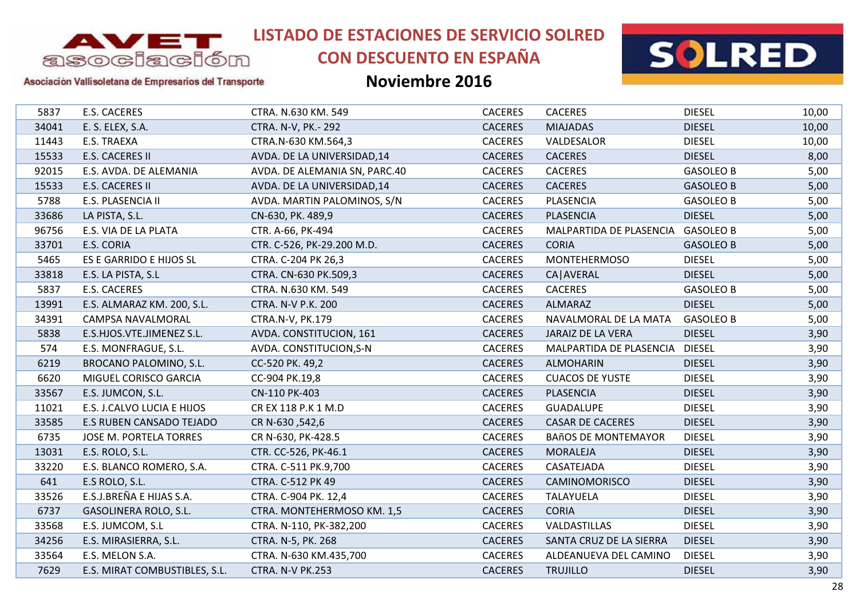

# **CON DESCUENTO EN ESPAÑA**



### Asociación Vallisoletana de Empresarios del Transporte

| 5837<br>34041<br>11443<br>15533<br>92015<br>15533<br>5788<br>33686 | <b>E.S. CACERES</b><br>E. S. ELEX, S.A.<br>E.S. TRAEXA<br>E.S. CACERES II<br>E.S. AVDA. DE ALEMANIA<br>E.S. CACERES II<br>E.S. PLASENCIA II<br>LA PISTA, S.L.<br>E.S. VIA DE LA PLATA<br>E.S. CORIA | CTRA. N.630 KM. 549<br>CTRA. N-V, PK.- 292<br>CTRA.N-630 KM.564,3<br>AVDA. DE LA UNIVERSIDAD, 14<br>AVDA. DE ALEMANIA SN, PARC.40<br>AVDA. DE LA UNIVERSIDAD, 14<br>AVDA. MARTIN PALOMINOS, S/N<br>CN-630, PK. 489,9<br>CTR. A-66, PK-494 | <b>CACERES</b><br><b>CACERES</b><br><b>CACERES</b><br><b>CACERES</b><br><b>CACERES</b><br><b>CACERES</b><br><b>CACERES</b><br><b>CACERES</b> | <b>CACERES</b><br><b>MIAJADAS</b><br>VALDESALOR<br><b>CACERES</b><br><b>CACERES</b><br><b>CACERES</b><br>PLASENCIA | <b>DIESEL</b><br><b>DIESEL</b><br><b>DIESEL</b><br><b>DIESEL</b><br><b>GASOLEO B</b><br><b>GASOLEO B</b> | 10,00<br>10,00<br>10,00<br>8,00<br>5,00<br>5,00 |
|--------------------------------------------------------------------|-----------------------------------------------------------------------------------------------------------------------------------------------------------------------------------------------------|-------------------------------------------------------------------------------------------------------------------------------------------------------------------------------------------------------------------------------------------|----------------------------------------------------------------------------------------------------------------------------------------------|--------------------------------------------------------------------------------------------------------------------|----------------------------------------------------------------------------------------------------------|-------------------------------------------------|
|                                                                    |                                                                                                                                                                                                     |                                                                                                                                                                                                                                           |                                                                                                                                              |                                                                                                                    |                                                                                                          |                                                 |
|                                                                    |                                                                                                                                                                                                     |                                                                                                                                                                                                                                           |                                                                                                                                              |                                                                                                                    |                                                                                                          |                                                 |
|                                                                    |                                                                                                                                                                                                     |                                                                                                                                                                                                                                           |                                                                                                                                              |                                                                                                                    |                                                                                                          |                                                 |
|                                                                    |                                                                                                                                                                                                     |                                                                                                                                                                                                                                           |                                                                                                                                              |                                                                                                                    |                                                                                                          |                                                 |
|                                                                    |                                                                                                                                                                                                     |                                                                                                                                                                                                                                           |                                                                                                                                              |                                                                                                                    |                                                                                                          |                                                 |
|                                                                    |                                                                                                                                                                                                     |                                                                                                                                                                                                                                           |                                                                                                                                              |                                                                                                                    |                                                                                                          |                                                 |
|                                                                    |                                                                                                                                                                                                     |                                                                                                                                                                                                                                           |                                                                                                                                              |                                                                                                                    | <b>GASOLEO B</b>                                                                                         | 5,00                                            |
|                                                                    |                                                                                                                                                                                                     |                                                                                                                                                                                                                                           |                                                                                                                                              | <b>PLASENCIA</b>                                                                                                   | <b>DIESEL</b>                                                                                            | 5,00                                            |
| 96756                                                              |                                                                                                                                                                                                     |                                                                                                                                                                                                                                           | <b>CACERES</b>                                                                                                                               | MALPARTIDA DE PLASENCIA                                                                                            | <b>GASOLEO B</b>                                                                                         | 5,00                                            |
| 33701                                                              |                                                                                                                                                                                                     | CTR. C-526, PK-29.200 M.D.                                                                                                                                                                                                                | <b>CACERES</b>                                                                                                                               | <b>CORIA</b>                                                                                                       | <b>GASOLEO B</b>                                                                                         | 5,00                                            |
| 5465                                                               | ES E GARRIDO E HIJOS SL                                                                                                                                                                             | CTRA. C-204 PK 26,3                                                                                                                                                                                                                       | <b>CACERES</b>                                                                                                                               | <b>MONTEHERMOSO</b>                                                                                                | <b>DIESEL</b>                                                                                            | 5,00                                            |
| 33818                                                              | E.S. LA PISTA, S.L                                                                                                                                                                                  | CTRA. CN-630 PK.509,3                                                                                                                                                                                                                     | <b>CACERES</b>                                                                                                                               | CA   AVERAL                                                                                                        | <b>DIESEL</b>                                                                                            | 5,00                                            |
| 5837                                                               | E.S. CACERES                                                                                                                                                                                        | CTRA. N.630 KM. 549                                                                                                                                                                                                                       | <b>CACERES</b>                                                                                                                               | <b>CACERES</b>                                                                                                     | <b>GASOLEO B</b>                                                                                         | 5,00                                            |
| 13991                                                              | E.S. ALMARAZ KM. 200, S.L.                                                                                                                                                                          | <b>CTRA. N-V P.K. 200</b>                                                                                                                                                                                                                 | <b>CACERES</b>                                                                                                                               | ALMARAZ                                                                                                            | <b>DIESEL</b>                                                                                            | 5,00                                            |
| 34391                                                              | CAMPSA NAVALMORAL                                                                                                                                                                                   | CTRA.N-V, PK.179                                                                                                                                                                                                                          | <b>CACERES</b>                                                                                                                               | NAVALMORAL DE LA MATA                                                                                              | <b>GASOLEO B</b>                                                                                         | 5,00                                            |
| 5838                                                               | E.S.HJOS.VTE.JIMENEZ S.L.                                                                                                                                                                           | AVDA. CONSTITUCION, 161                                                                                                                                                                                                                   | <b>CACERES</b>                                                                                                                               | JARAIZ DE LA VERA                                                                                                  | <b>DIESEL</b>                                                                                            | 3,90                                            |
| 574                                                                | E.S. MONFRAGUE, S.L.                                                                                                                                                                                | AVDA. CONSTITUCION, S-N                                                                                                                                                                                                                   | <b>CACERES</b>                                                                                                                               | MALPARTIDA DE PLASENCIA                                                                                            | <b>DIESEL</b>                                                                                            | 3,90                                            |
| 6219                                                               | BROCANO PALOMINO, S.L.                                                                                                                                                                              | CC-520 PK. 49,2                                                                                                                                                                                                                           | <b>CACERES</b>                                                                                                                               | <b>ALMOHARIN</b>                                                                                                   | <b>DIESEL</b>                                                                                            | 3,90                                            |
| 6620                                                               | MIGUEL CORISCO GARCIA                                                                                                                                                                               | CC-904 PK.19,8                                                                                                                                                                                                                            | <b>CACERES</b>                                                                                                                               | <b>CUACOS DE YUSTE</b>                                                                                             | <b>DIESEL</b>                                                                                            | 3,90                                            |
| 33567                                                              | E.S. JUMCON, S.L.                                                                                                                                                                                   | CN-110 PK-403                                                                                                                                                                                                                             | <b>CACERES</b>                                                                                                                               | <b>PLASENCIA</b>                                                                                                   | <b>DIESEL</b>                                                                                            | 3,90                                            |
| 11021                                                              | E.S. J.CALVO LUCIA E HIJOS                                                                                                                                                                          | CR EX 118 P.K 1 M.D                                                                                                                                                                                                                       | <b>CACERES</b>                                                                                                                               | <b>GUADALUPE</b>                                                                                                   | <b>DIESEL</b>                                                                                            | 3,90                                            |
| 33585                                                              | E.S RUBEN CANSADO TEJADO                                                                                                                                                                            | CR N-630, 542,6                                                                                                                                                                                                                           | <b>CACERES</b>                                                                                                                               | <b>CASAR DE CACERES</b>                                                                                            | <b>DIESEL</b>                                                                                            | 3,90                                            |
| 6735                                                               | JOSE M. PORTELA TORRES                                                                                                                                                                              | CR N-630, PK-428.5                                                                                                                                                                                                                        | <b>CACERES</b>                                                                                                                               | <b>BAñOS DE MONTEMAYOR</b>                                                                                         | <b>DIESEL</b>                                                                                            | 3,90                                            |
| 13031                                                              | E.S. ROLO, S.L.                                                                                                                                                                                     | CTR. CC-526, PK-46.1                                                                                                                                                                                                                      | <b>CACERES</b>                                                                                                                               | <b>MORALEJA</b>                                                                                                    | <b>DIESEL</b>                                                                                            | 3,90                                            |
| 33220                                                              | E.S. BLANCO ROMERO, S.A.                                                                                                                                                                            | CTRA. C-511 PK.9,700                                                                                                                                                                                                                      | <b>CACERES</b>                                                                                                                               | CASATEJADA                                                                                                         | <b>DIESEL</b>                                                                                            | 3,90                                            |
| 641                                                                | E.S ROLO, S.L.                                                                                                                                                                                      | CTRA. C-512 PK 49                                                                                                                                                                                                                         | <b>CACERES</b>                                                                                                                               | <b>CAMINOMORISCO</b>                                                                                               | <b>DIESEL</b>                                                                                            | 3,90                                            |
| 33526                                                              | E.S.J.BREÑA E HIJAS S.A.                                                                                                                                                                            | CTRA. C-904 PK. 12,4                                                                                                                                                                                                                      | <b>CACERES</b>                                                                                                                               | <b>TALAYUELA</b>                                                                                                   | <b>DIESEL</b>                                                                                            | 3,90                                            |
| 6737                                                               | GASOLINERA ROLO, S.L.                                                                                                                                                                               | CTRA. MONTEHERMOSO KM. 1,5                                                                                                                                                                                                                | <b>CACERES</b>                                                                                                                               | <b>CORIA</b>                                                                                                       | <b>DIESEL</b>                                                                                            | 3,90                                            |
| 33568                                                              | E.S. JUMCOM, S.L                                                                                                                                                                                    | CTRA. N-110, PK-382,200                                                                                                                                                                                                                   | <b>CACERES</b>                                                                                                                               | VALDASTILLAS                                                                                                       | <b>DIESEL</b>                                                                                            | 3,90                                            |
| 34256                                                              | E.S. MIRASIERRA, S.L.                                                                                                                                                                               | CTRA. N-5, PK. 268                                                                                                                                                                                                                        | <b>CACERES</b>                                                                                                                               | SANTA CRUZ DE LA SIERRA                                                                                            | <b>DIESEL</b>                                                                                            | 3,90                                            |
| 33564                                                              | E.S. MELON S.A.                                                                                                                                                                                     | CTRA. N-630 KM.435,700                                                                                                                                                                                                                    | <b>CACERES</b>                                                                                                                               | ALDEANUEVA DEL CAMINO                                                                                              | <b>DIESEL</b>                                                                                            | 3,90                                            |
| 7629                                                               | E.S. MIRAT COMBUSTIBLES, S.L.                                                                                                                                                                       | CTRA. N-V PK.253                                                                                                                                                                                                                          | <b>CACERES</b>                                                                                                                               | <b>TRUJILLO</b>                                                                                                    | <b>DIESEL</b>                                                                                            | 3,90                                            |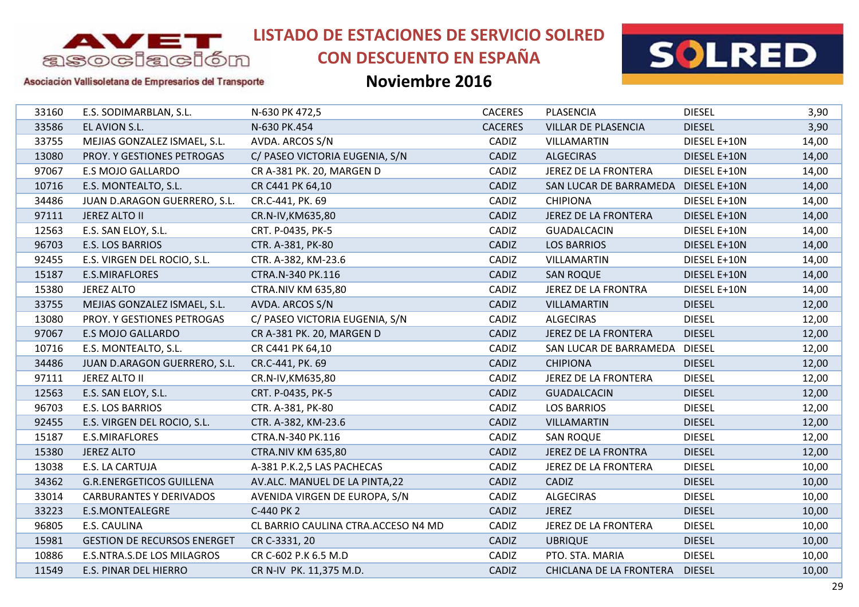

# **CON DESCUENTO EN ESPAÑA**



Asociación Vallisoletana de Empresarios del Transporte

| 33160 | E.S. SODIMARBLAN, S.L.             | N-630 PK 472,5                      | <b>CACERES</b> | PLASENCIA                   | <b>DIESEL</b> | 3,90  |
|-------|------------------------------------|-------------------------------------|----------------|-----------------------------|---------------|-------|
| 33586 | EL AVION S.L.                      | N-630 PK.454                        | <b>CACERES</b> | VILLAR DE PLASENCIA         | <b>DIESEL</b> | 3,90  |
| 33755 | MEJIAS GONZALEZ ISMAEL, S.L.       | AVDA. ARCOS S/N                     | CADIZ          | VILLAMARTIN                 | DIESEL E+10N  | 14,00 |
| 13080 | PROY. Y GESTIONES PETROGAS         | C/ PASEO VICTORIA EUGENIA, S/N      | CADIZ          | <b>ALGECIRAS</b>            | DIESEL E+10N  | 14,00 |
| 97067 | <b>E.S MOJO GALLARDO</b>           | CR A-381 PK. 20, MARGEN D           | CADIZ          | <b>JEREZ DE LA FRONTERA</b> | DIESEL E+10N  | 14,00 |
| 10716 | E.S. MONTEALTO, S.L.               | CR C441 PK 64,10                    | CADIZ          | SAN LUCAR DE BARRAMEDA      | DIESEL E+10N  | 14,00 |
| 34486 | JUAN D.ARAGON GUERRERO, S.L.       | CR.C-441, PK. 69                    | CADIZ          | <b>CHIPIONA</b>             | DIESEL E+10N  | 14,00 |
| 97111 | <b>JEREZ ALTO II</b>               | CR.N-IV, KM635, 80                  | CADIZ          | <b>JEREZ DE LA FRONTERA</b> | DIESEL E+10N  | 14,00 |
| 12563 | E.S. SAN ELOY, S.L.                | CRT. P-0435, PK-5                   | CADIZ          | <b>GUADALCACIN</b>          | DIESEL E+10N  | 14,00 |
| 96703 | E.S. LOS BARRIOS                   | CTR. A-381, PK-80                   | CADIZ          | <b>LOS BARRIOS</b>          | DIESEL E+10N  | 14,00 |
| 92455 | E.S. VIRGEN DEL ROCIO, S.L.        | CTR. A-382, KM-23.6                 | CADIZ          | <b>VILLAMARTIN</b>          | DIESEL E+10N  | 14,00 |
| 15187 | E.S.MIRAFLORES                     | CTRA.N-340 PK.116                   | CADIZ          | <b>SAN ROQUE</b>            | DIESEL E+10N  | 14,00 |
| 15380 | <b>JEREZ ALTO</b>                  | <b>CTRA.NIV KM 635,80</b>           | CADIZ          | JEREZ DE LA FRONTRA         | DIESEL E+10N  | 14,00 |
| 33755 | MEJIAS GONZALEZ ISMAEL, S.L.       | AVDA. ARCOS S/N                     | CADIZ          | <b>VILLAMARTIN</b>          | <b>DIESEL</b> | 12,00 |
| 13080 | PROY. Y GESTIONES PETROGAS         | C/ PASEO VICTORIA EUGENIA, S/N      | CADIZ          | <b>ALGECIRAS</b>            | <b>DIESEL</b> | 12,00 |
| 97067 | <b>E.S MOJO GALLARDO</b>           | CR A-381 PK. 20, MARGEN D           | CADIZ          | <b>JEREZ DE LA FRONTERA</b> | <b>DIESEL</b> | 12,00 |
| 10716 | E.S. MONTEALTO, S.L.               | CR C441 PK 64,10                    | CADIZ          | SAN LUCAR DE BARRAMEDA      | <b>DIESEL</b> | 12,00 |
| 34486 | JUAN D.ARAGON GUERRERO, S.L.       | CR.C-441, PK. 69                    | CADIZ          | <b>CHIPIONA</b>             | <b>DIESEL</b> | 12,00 |
| 97111 | JEREZ ALTO II                      | CR.N-IV, KM635, 80                  | CADIZ          | JEREZ DE LA FRONTERA        | <b>DIESEL</b> | 12,00 |
| 12563 | E.S. SAN ELOY, S.L.                | CRT. P-0435, PK-5                   | CADIZ          | <b>GUADALCACIN</b>          | <b>DIESEL</b> | 12,00 |
| 96703 | E.S. LOS BARRIOS                   | CTR. A-381, PK-80                   | CADIZ          | <b>LOS BARRIOS</b>          | <b>DIESEL</b> | 12,00 |
| 92455 | E.S. VIRGEN DEL ROCIO, S.L.        | CTR. A-382, KM-23.6                 | CADIZ          | <b>VILLAMARTIN</b>          | <b>DIESEL</b> | 12,00 |
| 15187 | E.S.MIRAFLORES                     | CTRA.N-340 PK.116                   | CADIZ          | <b>SAN ROQUE</b>            | <b>DIESEL</b> | 12,00 |
| 15380 | <b>JEREZ ALTO</b>                  | <b>CTRA.NIV KM 635,80</b>           | CADIZ          | <b>JEREZ DE LA FRONTRA</b>  | <b>DIESEL</b> | 12,00 |
| 13038 | E.S. LA CARTUJA                    | A-381 P.K.2,5 LAS PACHECAS          | CADIZ          | <b>JEREZ DE LA FRONTERA</b> | <b>DIESEL</b> | 10,00 |
| 34362 | <b>G.R.ENERGETICOS GUILLENA</b>    | AV.ALC. MANUEL DE LA PINTA,22       | CADIZ          | CADIZ                       | <b>DIESEL</b> | 10,00 |
| 33014 | <b>CARBURANTES Y DERIVADOS</b>     | AVENIDA VIRGEN DE EUROPA, S/N       | CADIZ          | <b>ALGECIRAS</b>            | <b>DIESEL</b> | 10,00 |
| 33223 | <b>E.S.MONTEALEGRE</b>             | C-440 PK 2                          | CADIZ          | <b>JEREZ</b>                | <b>DIESEL</b> | 10,00 |
| 96805 | E.S. CAULINA                       | CL BARRIO CAULINA CTRA.ACCESO N4 MD | CADIZ          | JEREZ DE LA FRONTERA        | <b>DIESEL</b> | 10,00 |
| 15981 | <b>GESTION DE RECURSOS ENERGET</b> | CR C-3331, 20                       | CADIZ          | <b>UBRIQUE</b>              | <b>DIESEL</b> | 10,00 |
| 10886 | E.S.NTRA.S.DE LOS MILAGROS         | CR C-602 P.K 6.5 M.D                | CADIZ          | PTO. STA. MARIA             | <b>DIESEL</b> | 10,00 |
| 11549 | E.S. PINAR DEL HIERRO              | CR N-IV PK. 11,375 M.D.             | CADIZ          | CHICLANA DE LA FRONTERA     | <b>DIESEL</b> | 10,00 |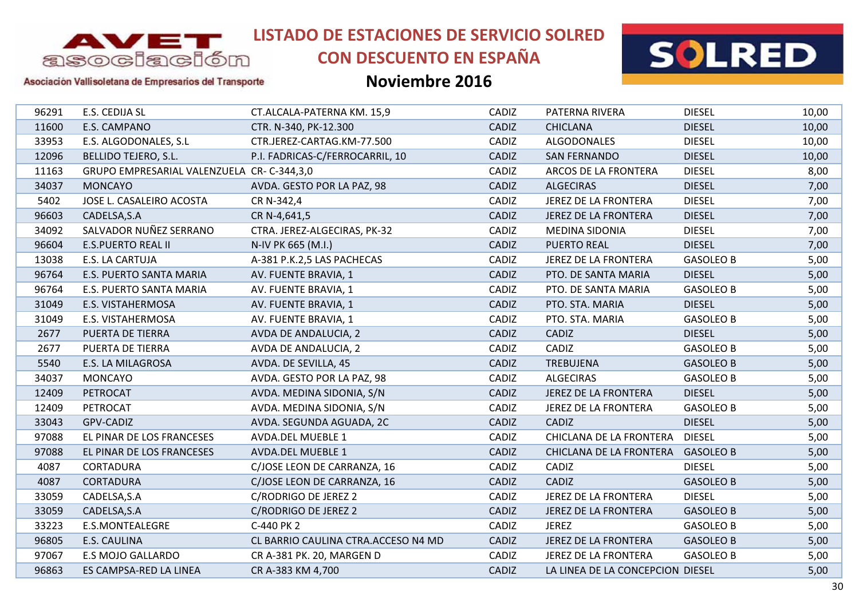

# **CON DESCUENTO EN ESPAÑA**



### Asociación Vallisoletana de Empresarios del Transporte

| 96291 | E.S. CEDIJA SL                            | CT.ALCALA-PATERNA KM. 15,9          | CADIZ | PATERNA RIVERA                   | <b>DIESEL</b>    | 10,00 |
|-------|-------------------------------------------|-------------------------------------|-------|----------------------------------|------------------|-------|
| 11600 | E.S. CAMPANO                              | CTR. N-340, PK-12.300               | CADIZ | <b>CHICLANA</b>                  | <b>DIESEL</b>    | 10,00 |
| 33953 | E.S. ALGODONALES, S.L                     | CTR.JEREZ-CARTAG.KM-77.500          | CADIZ | <b>ALGODONALES</b>               | <b>DIESEL</b>    | 10,00 |
| 12096 | BELLIDO TEJERO, S.L.                      | P.I. FADRICAS-C/FERROCARRIL, 10     | CADIZ | <b>SAN FERNANDO</b>              | <b>DIESEL</b>    | 10,00 |
| 11163 | GRUPO EMPRESARIAL VALENZUELA CR-C-344,3,0 |                                     | CADIZ | ARCOS DE LA FRONTERA             | <b>DIESEL</b>    | 8,00  |
| 34037 | <b>MONCAYO</b>                            | AVDA. GESTO POR LA PAZ, 98          | CADIZ | <b>ALGECIRAS</b>                 | <b>DIESEL</b>    | 7,00  |
| 5402  | JOSE L. CASALEIRO ACOSTA                  | CR N-342,4                          | CADIZ | JEREZ DE LA FRONTERA             | <b>DIESEL</b>    | 7,00  |
| 96603 | CADELSA, S.A                              | CR N-4,641,5                        | CADIZ | JEREZ DE LA FRONTERA             | <b>DIESEL</b>    | 7,00  |
| 34092 | SALVADOR NUÑEZ SERRANO                    | CTRA. JEREZ-ALGECIRAS, PK-32        | CADIZ | <b>MEDINA SIDONIA</b>            | <b>DIESEL</b>    | 7,00  |
| 96604 | <b>E.S.PUERTO REAL II</b>                 | N-IV PK 665 (M.I.)                  | CADIZ | <b>PUERTO REAL</b>               | <b>DIESEL</b>    | 7,00  |
| 13038 | E.S. LA CARTUJA                           | A-381 P.K.2,5 LAS PACHECAS          | CADIZ | JEREZ DE LA FRONTERA             | <b>GASOLEO B</b> | 5,00  |
| 96764 | E.S. PUERTO SANTA MARIA                   | AV. FUENTE BRAVIA, 1                | CADIZ | PTO. DE SANTA MARIA              | <b>DIESEL</b>    | 5,00  |
| 96764 | E.S. PUERTO SANTA MARIA                   | AV. FUENTE BRAVIA, 1                | CADIZ | PTO. DE SANTA MARIA              | <b>GASOLEO B</b> | 5,00  |
| 31049 | E.S. VISTAHERMOSA                         | AV. FUENTE BRAVIA, 1                | CADIZ | PTO. STA. MARIA                  | <b>DIESEL</b>    | 5,00  |
| 31049 | E.S. VISTAHERMOSA                         | AV. FUENTE BRAVIA, 1                | CADIZ | PTO. STA. MARIA                  | <b>GASOLEO B</b> | 5,00  |
| 2677  | PUERTA DE TIERRA                          | AVDA DE ANDALUCIA, 2                | CADIZ | CADIZ                            | <b>DIESEL</b>    | 5,00  |
| 2677  | PUERTA DE TIERRA                          | AVDA DE ANDALUCIA, 2                | CADIZ | CADIZ                            | <b>GASOLEO B</b> | 5,00  |
| 5540  | E.S. LA MILAGROSA                         | AVDA. DE SEVILLA, 45                | CADIZ | <b>TREBUJENA</b>                 | <b>GASOLEO B</b> | 5,00  |
| 34037 | <b>MONCAYO</b>                            | AVDA. GESTO POR LA PAZ, 98          | CADIZ | <b>ALGECIRAS</b>                 | <b>GASOLEO B</b> | 5,00  |
| 12409 | PETROCAT                                  | AVDA. MEDINA SIDONIA, S/N           | CADIZ | JEREZ DE LA FRONTERA             | <b>DIESEL</b>    | 5,00  |
| 12409 | PETROCAT                                  | AVDA. MEDINA SIDONIA, S/N           | CADIZ | JEREZ DE LA FRONTERA             | <b>GASOLEO B</b> | 5,00  |
| 33043 | GPV-CADIZ                                 | AVDA. SEGUNDA AGUADA, 2C            | CADIZ | CADIZ                            | <b>DIESEL</b>    | 5,00  |
| 97088 | EL PINAR DE LOS FRANCESES                 | <b>AVDA.DEL MUEBLE 1</b>            | CADIZ | CHICLANA DE LA FRONTERA          | <b>DIESEL</b>    | 5,00  |
| 97088 | EL PINAR DE LOS FRANCESES                 | <b>AVDA.DEL MUEBLE 1</b>            | CADIZ | CHICLANA DE LA FRONTERA          | <b>GASOLEO B</b> | 5,00  |
| 4087  | <b>CORTADURA</b>                          | C/JOSE LEON DE CARRANZA, 16         | CADIZ | CADIZ                            | <b>DIESEL</b>    | 5,00  |
| 4087  | <b>CORTADURA</b>                          | C/JOSE LEON DE CARRANZA, 16         | CADIZ | CADIZ                            | <b>GASOLEO B</b> | 5,00  |
| 33059 | CADELSA, S.A                              | C/RODRIGO DE JEREZ 2                | CADIZ | JEREZ DE LA FRONTERA             | <b>DIESEL</b>    | 5,00  |
| 33059 | CADELSA, S.A                              | C/RODRIGO DE JEREZ 2                | CADIZ | JEREZ DE LA FRONTERA             | <b>GASOLEO B</b> | 5,00  |
| 33223 | E.S.MONTEALEGRE                           | C-440 PK 2                          | CADIZ | <b>JEREZ</b>                     | <b>GASOLEO B</b> | 5,00  |
| 96805 | <b>E.S. CAULINA</b>                       | CL BARRIO CAULINA CTRA.ACCESO N4 MD | CADIZ | <b>JEREZ DE LA FRONTERA</b>      | <b>GASOLEO B</b> | 5,00  |
| 97067 | E.S MOJO GALLARDO                         | CR A-381 PK. 20, MARGEN D           | CADIZ | JEREZ DE LA FRONTERA             | <b>GASOLEO B</b> | 5,00  |
| 96863 | ES CAMPSA-RED LA LINEA                    | CR A-383 KM 4,700                   | CADIZ | LA LINEA DE LA CONCEPCION DIESEL |                  | 5,00  |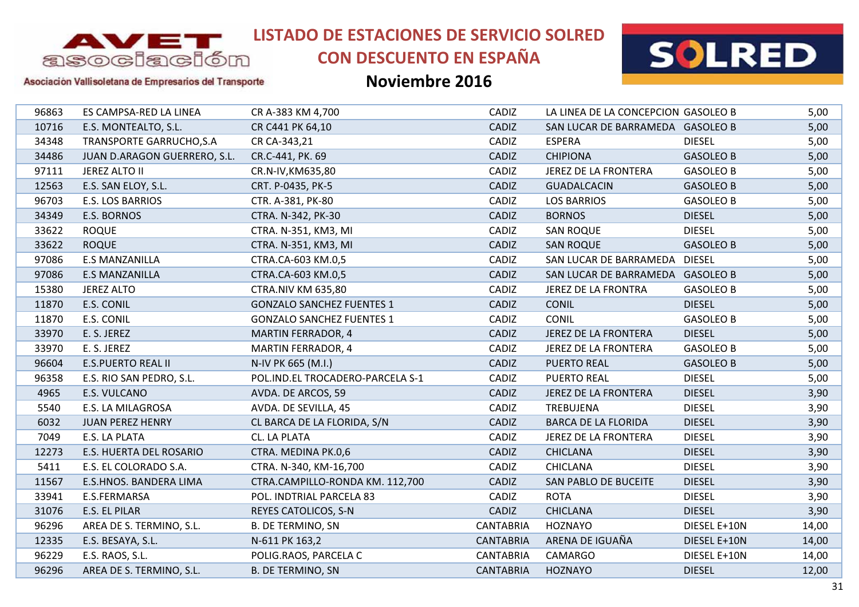

# **CON DESCUENTO EN ESPAÑA**



#### Asociación Vallisoletana de Empresarios del Transporte

| 96863 | ES CAMPSA-RED LA LINEA       | CR A-383 KM 4,700                | CADIZ            | LA LINEA DE LA CONCEPCION GASOLEO B |                  | 5,00  |
|-------|------------------------------|----------------------------------|------------------|-------------------------------------|------------------|-------|
| 10716 | E.S. MONTEALTO, S.L.         | CR C441 PK 64,10                 | CADIZ            | SAN LUCAR DE BARRAMEDA GASOLEO B    |                  | 5,00  |
| 34348 | TRANSPORTE GARRUCHO, S.A     | CR CA-343,21                     | CADIZ            | <b>ESPERA</b>                       | <b>DIESEL</b>    | 5,00  |
| 34486 | JUAN D.ARAGON GUERRERO, S.L. | CR.C-441, PK. 69                 | CADIZ            | <b>CHIPIONA</b>                     | <b>GASOLEO B</b> | 5,00  |
| 97111 | JEREZ ALTO II                | CR.N-IV, KM635, 80               | CADIZ            | JEREZ DE LA FRONTERA                | <b>GASOLEO B</b> | 5,00  |
| 12563 | E.S. SAN ELOY, S.L.          | CRT. P-0435, PK-5                | CADIZ            | <b>GUADALCACIN</b>                  | <b>GASOLEO B</b> | 5,00  |
| 96703 | <b>E.S. LOS BARRIOS</b>      | CTR. A-381, PK-80                | CADIZ            | <b>LOS BARRIOS</b>                  | <b>GASOLEO B</b> | 5,00  |
| 34349 | E.S. BORNOS                  | CTRA. N-342, PK-30               | CADIZ            | <b>BORNOS</b>                       | <b>DIESEL</b>    | 5,00  |
| 33622 | <b>ROQUE</b>                 | CTRA. N-351, KM3, MI             | CADIZ            | <b>SAN ROQUE</b>                    | <b>DIESEL</b>    | 5,00  |
| 33622 | <b>ROQUE</b>                 | CTRA. N-351, KM3, MI             | CADIZ            | <b>SAN ROQUE</b>                    | <b>GASOLEO B</b> | 5,00  |
| 97086 | <b>E.S MANZANILLA</b>        | CTRA.CA-603 KM.0,5               | CADIZ            | SAN LUCAR DE BARRAMEDA DIESEL       |                  | 5,00  |
| 97086 | <b>E.S MANZANILLA</b>        | CTRA.CA-603 KM.0,5               | CADIZ            | SAN LUCAR DE BARRAMEDA GASOLEO B    |                  | 5,00  |
| 15380 | <b>JEREZ ALTO</b>            | <b>CTRA.NIV KM 635,80</b>        | CADIZ            | JEREZ DE LA FRONTRA                 | <b>GASOLEO B</b> | 5,00  |
| 11870 | E.S. CONIL                   | <b>GONZALO SANCHEZ FUENTES 1</b> | CADIZ            | <b>CONIL</b>                        | <b>DIESEL</b>    | 5,00  |
| 11870 | E.S. CONIL                   | <b>GONZALO SANCHEZ FUENTES 1</b> | CADIZ            | <b>CONIL</b>                        | <b>GASOLEO B</b> | 5,00  |
| 33970 | E. S. JEREZ                  | <b>MARTIN FERRADOR, 4</b>        | CADIZ            | JEREZ DE LA FRONTERA                | <b>DIESEL</b>    | 5,00  |
| 33970 | E. S. JEREZ                  | <b>MARTIN FERRADOR, 4</b>        | CADIZ            | JEREZ DE LA FRONTERA                | <b>GASOLEO B</b> | 5,00  |
| 96604 | <b>E.S.PUERTO REAL II</b>    | N-IV PK 665 (M.I.)               | CADIZ            | <b>PUERTO REAL</b>                  | <b>GASOLEO B</b> | 5,00  |
| 96358 | E.S. RIO SAN PEDRO, S.L.     | POL.IND.EL TROCADERO-PARCELA S-1 | CADIZ            | <b>PUERTO REAL</b>                  | <b>DIESEL</b>    | 5,00  |
| 4965  | E.S. VULCANO                 | AVDA. DE ARCOS, 59               | CADIZ            | JEREZ DE LA FRONTERA                | <b>DIESEL</b>    | 3,90  |
| 5540  | E.S. LA MILAGROSA            | AVDA. DE SEVILLA, 45             | CADIZ            | TREBUJENA                           | <b>DIESEL</b>    | 3,90  |
| 6032  | <b>JUAN PEREZ HENRY</b>      | CL BARCA DE LA FLORIDA, S/N      | CADIZ            | <b>BARCA DE LA FLORIDA</b>          | <b>DIESEL</b>    | 3,90  |
| 7049  | E.S. LA PLATA                | CL. LA PLATA                     | CADIZ            | JEREZ DE LA FRONTERA                | <b>DIESEL</b>    | 3,90  |
| 12273 | E.S. HUERTA DEL ROSARIO      | CTRA. MEDINA PK.0,6              | <b>CADIZ</b>     | <b>CHICLANA</b>                     | <b>DIESEL</b>    | 3,90  |
| 5411  | E.S. EL COLORADO S.A.        | CTRA. N-340, KM-16,700           | CADIZ            | <b>CHICLANA</b>                     | <b>DIESEL</b>    | 3,90  |
| 11567 | E.S.HNOS. BANDERA LIMA       | CTRA.CAMPILLO-RONDA KM. 112,700  | CADIZ            | SAN PABLO DE BUCEITE                | <b>DIESEL</b>    | 3,90  |
| 33941 | E.S.FERMARSA                 | POL. INDTRIAL PARCELA 83         | CADIZ            | <b>ROTA</b>                         | <b>DIESEL</b>    | 3,90  |
| 31076 | E.S. EL PILAR                | REYES CATOLICOS, S-N             | CADIZ            | <b>CHICLANA</b>                     | <b>DIESEL</b>    | 3,90  |
| 96296 | AREA DE S. TERMINO, S.L.     | <b>B. DE TERMINO, SN</b>         | <b>CANTABRIA</b> | <b>HOZNAYO</b>                      | DIESEL E+10N     | 14,00 |
| 12335 | E.S. BESAYA, S.L.            | N-611 PK 163,2                   | <b>CANTABRIA</b> | ARENA DE IGUAÑA                     | DIESEL E+10N     | 14,00 |
| 96229 | E.S. RAOS, S.L.              | POLIG.RAOS, PARCELA C            | CANTABRIA        | CAMARGO                             | DIESEL E+10N     | 14,00 |
| 96296 | AREA DE S. TERMINO, S.L.     | <b>B. DE TERMINO, SN</b>         | <b>CANTABRIA</b> | <b>HOZNAYO</b>                      | <b>DIESEL</b>    | 12,00 |
|       |                              |                                  |                  |                                     |                  |       |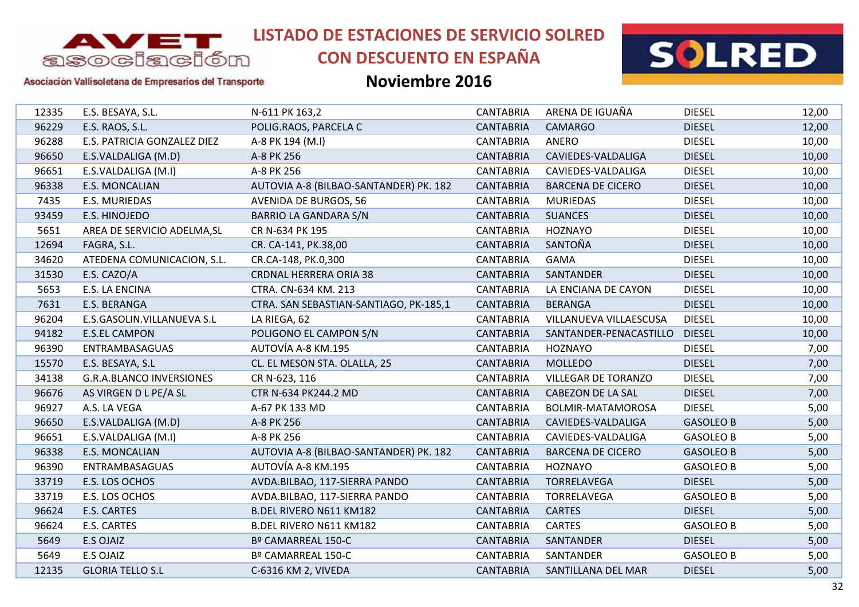

# **CON DESCUENTO EN ESPAÑA**



### Asociación Vallisoletana de Empresarios del Transporte

| 12335<br>E.S. BESAYA, S.L.<br>96229<br>E.S. RAOS, S.L.<br>96288<br>E.S. PATRICIA GONZALEZ DIEZ<br>96650<br>E.S.VALDALIGA (M.D)<br>96651<br>E.S.VALDALIGA (M.I)<br>96338<br>E.S. MONCALIAN<br>7435<br>E.S. MURIEDAS<br>93459<br>E.S. HINOJEDO<br>5651<br>AREA DE SERVICIO ADELMA, SL<br>12694<br>FAGRA, S.L.<br>34620<br>ATEDENA COMUNICACION, S.L.<br>E.S. CAZO/A<br>31530<br>5653<br>E.S. LA ENCINA<br>7631<br>E.S. BERANGA<br>96204<br>E.S.GASOLIN.VILLANUEVA S.L<br>94182<br><b>E.S.EL CAMPON</b><br>96390<br>ENTRAMBASAGUAS<br>15570<br>E.S. BESAYA, S.L<br>34138<br><b>G.R.A.BLANCO INVERSIONES</b><br>96676<br>AS VIRGEN D L PE/A SL<br>A.S. LA VEGA<br>96927<br>96650<br>E.S.VALDALIGA (M.D)<br>96651<br>E.S.VALDALIGA (M.I)<br>96338<br>E.S. MONCALIAN<br>96390<br>ENTRAMBASAGUAS<br>33719<br>E.S. LOS OCHOS<br>33719<br>E.S. LOS OCHOS<br>96624<br>E.S. CARTES<br>96624<br>E.S. CARTES<br>5649<br>E.S OJAIZ<br>5649<br>E.S OJAIZ |                                        |                  |                            |                  |       |
|-------------------------------------------------------------------------------------------------------------------------------------------------------------------------------------------------------------------------------------------------------------------------------------------------------------------------------------------------------------------------------------------------------------------------------------------------------------------------------------------------------------------------------------------------------------------------------------------------------------------------------------------------------------------------------------------------------------------------------------------------------------------------------------------------------------------------------------------------------------------------------------------------------------------------------------------|----------------------------------------|------------------|----------------------------|------------------|-------|
|                                                                                                                                                                                                                                                                                                                                                                                                                                                                                                                                                                                                                                                                                                                                                                                                                                                                                                                                           | N-611 PK 163,2                         | <b>CANTABRIA</b> | ARENA DE IGUAÑA            | <b>DIESEL</b>    | 12,00 |
|                                                                                                                                                                                                                                                                                                                                                                                                                                                                                                                                                                                                                                                                                                                                                                                                                                                                                                                                           | POLIG.RAOS, PARCELA C                  | <b>CANTABRIA</b> | <b>CAMARGO</b>             | <b>DIESEL</b>    | 12,00 |
|                                                                                                                                                                                                                                                                                                                                                                                                                                                                                                                                                                                                                                                                                                                                                                                                                                                                                                                                           | A-8 PK 194 (M.I)                       | <b>CANTABRIA</b> | ANERO                      | <b>DIESEL</b>    | 10,00 |
|                                                                                                                                                                                                                                                                                                                                                                                                                                                                                                                                                                                                                                                                                                                                                                                                                                                                                                                                           | A-8 PK 256                             | <b>CANTABRIA</b> | CAVIEDES-VALDALIGA         | <b>DIESEL</b>    | 10,00 |
|                                                                                                                                                                                                                                                                                                                                                                                                                                                                                                                                                                                                                                                                                                                                                                                                                                                                                                                                           | A-8 PK 256                             | <b>CANTABRIA</b> | CAVIEDES-VALDALIGA         | <b>DIESEL</b>    | 10,00 |
|                                                                                                                                                                                                                                                                                                                                                                                                                                                                                                                                                                                                                                                                                                                                                                                                                                                                                                                                           | AUTOVIA A-8 (BILBAO-SANTANDER) PK. 182 | <b>CANTABRIA</b> | <b>BARCENA DE CICERO</b>   | <b>DIESEL</b>    | 10,00 |
|                                                                                                                                                                                                                                                                                                                                                                                                                                                                                                                                                                                                                                                                                                                                                                                                                                                                                                                                           | <b>AVENIDA DE BURGOS, 56</b>           | <b>CANTABRIA</b> | <b>MURIEDAS</b>            | <b>DIESEL</b>    | 10,00 |
|                                                                                                                                                                                                                                                                                                                                                                                                                                                                                                                                                                                                                                                                                                                                                                                                                                                                                                                                           | <b>BARRIO LA GANDARA S/N</b>           | <b>CANTABRIA</b> | <b>SUANCES</b>             | <b>DIESEL</b>    | 10,00 |
|                                                                                                                                                                                                                                                                                                                                                                                                                                                                                                                                                                                                                                                                                                                                                                                                                                                                                                                                           | CR N-634 PK 195                        | <b>CANTABRIA</b> | <b>HOZNAYO</b>             | <b>DIESEL</b>    | 10,00 |
|                                                                                                                                                                                                                                                                                                                                                                                                                                                                                                                                                                                                                                                                                                                                                                                                                                                                                                                                           | CR. CA-141, PK.38,00                   | <b>CANTABRIA</b> | SANTOÑA                    | <b>DIESEL</b>    | 10,00 |
|                                                                                                                                                                                                                                                                                                                                                                                                                                                                                                                                                                                                                                                                                                                                                                                                                                                                                                                                           | CR.CA-148, PK.0,300                    | <b>CANTABRIA</b> | <b>GAMA</b>                | <b>DIESEL</b>    | 10,00 |
|                                                                                                                                                                                                                                                                                                                                                                                                                                                                                                                                                                                                                                                                                                                                                                                                                                                                                                                                           | <b>CRDNAL HERRERA ORIA 38</b>          | <b>CANTABRIA</b> | SANTANDER                  | <b>DIESEL</b>    | 10,00 |
|                                                                                                                                                                                                                                                                                                                                                                                                                                                                                                                                                                                                                                                                                                                                                                                                                                                                                                                                           | CTRA. CN-634 KM. 213                   | <b>CANTABRIA</b> | LA ENCIANA DE CAYON        | <b>DIESEL</b>    | 10,00 |
|                                                                                                                                                                                                                                                                                                                                                                                                                                                                                                                                                                                                                                                                                                                                                                                                                                                                                                                                           | CTRA. SAN SEBASTIAN-SANTIAGO, PK-185,1 | <b>CANTABRIA</b> | <b>BERANGA</b>             | <b>DIESEL</b>    | 10,00 |
|                                                                                                                                                                                                                                                                                                                                                                                                                                                                                                                                                                                                                                                                                                                                                                                                                                                                                                                                           | LA RIEGA, 62                           | <b>CANTABRIA</b> | VILLANUEVA VILLAESCUSA     | <b>DIESEL</b>    | 10,00 |
|                                                                                                                                                                                                                                                                                                                                                                                                                                                                                                                                                                                                                                                                                                                                                                                                                                                                                                                                           | POLIGONO EL CAMPON S/N                 | <b>CANTABRIA</b> | SANTANDER-PENACASTILLO     | <b>DIESEL</b>    | 10,00 |
|                                                                                                                                                                                                                                                                                                                                                                                                                                                                                                                                                                                                                                                                                                                                                                                                                                                                                                                                           | AUTOVÍA A-8 KM.195                     | <b>CANTABRIA</b> | <b>HOZNAYO</b>             | <b>DIESEL</b>    | 7,00  |
|                                                                                                                                                                                                                                                                                                                                                                                                                                                                                                                                                                                                                                                                                                                                                                                                                                                                                                                                           | CL. EL MESON STA. OLALLA, 25           | <b>CANTABRIA</b> | <b>MOLLEDO</b>             | <b>DIESEL</b>    | 7,00  |
|                                                                                                                                                                                                                                                                                                                                                                                                                                                                                                                                                                                                                                                                                                                                                                                                                                                                                                                                           | CR N-623, 116                          | <b>CANTABRIA</b> | <b>VILLEGAR DE TORANZO</b> | <b>DIESEL</b>    | 7,00  |
|                                                                                                                                                                                                                                                                                                                                                                                                                                                                                                                                                                                                                                                                                                                                                                                                                                                                                                                                           | CTR N-634 PK244.2 MD                   | <b>CANTABRIA</b> | CABEZON DE LA SAL          | <b>DIESEL</b>    | 7,00  |
|                                                                                                                                                                                                                                                                                                                                                                                                                                                                                                                                                                                                                                                                                                                                                                                                                                                                                                                                           | A-67 PK 133 MD                         | <b>CANTABRIA</b> | BOLMIR-MATAMOROSA          | <b>DIESEL</b>    | 5,00  |
|                                                                                                                                                                                                                                                                                                                                                                                                                                                                                                                                                                                                                                                                                                                                                                                                                                                                                                                                           | A-8 PK 256                             | <b>CANTABRIA</b> | CAVIEDES-VALDALIGA         | <b>GASOLEO B</b> | 5,00  |
|                                                                                                                                                                                                                                                                                                                                                                                                                                                                                                                                                                                                                                                                                                                                                                                                                                                                                                                                           | A-8 PK 256                             | <b>CANTABRIA</b> | CAVIEDES-VALDALIGA         | <b>GASOLEO B</b> | 5,00  |
|                                                                                                                                                                                                                                                                                                                                                                                                                                                                                                                                                                                                                                                                                                                                                                                                                                                                                                                                           | AUTOVIA A-8 (BILBAO-SANTANDER) PK. 182 | <b>CANTABRIA</b> | <b>BARCENA DE CICERO</b>   | <b>GASOLEO B</b> | 5,00  |
|                                                                                                                                                                                                                                                                                                                                                                                                                                                                                                                                                                                                                                                                                                                                                                                                                                                                                                                                           | AUTOVÍA A-8 KM.195                     | <b>CANTABRIA</b> | HOZNAYO                    | <b>GASOLEO B</b> | 5,00  |
|                                                                                                                                                                                                                                                                                                                                                                                                                                                                                                                                                                                                                                                                                                                                                                                                                                                                                                                                           | AVDA.BILBAO, 117-SIERRA PANDO          | <b>CANTABRIA</b> | TORRELAVEGA                | <b>DIESEL</b>    | 5,00  |
|                                                                                                                                                                                                                                                                                                                                                                                                                                                                                                                                                                                                                                                                                                                                                                                                                                                                                                                                           | AVDA.BILBAO, 117-SIERRA PANDO          | <b>CANTABRIA</b> | TORRELAVEGA                | <b>GASOLEO B</b> | 5,00  |
|                                                                                                                                                                                                                                                                                                                                                                                                                                                                                                                                                                                                                                                                                                                                                                                                                                                                                                                                           | B.DEL RIVERO N611 KM182                | <b>CANTABRIA</b> | <b>CARTES</b>              | <b>DIESEL</b>    | 5,00  |
|                                                                                                                                                                                                                                                                                                                                                                                                                                                                                                                                                                                                                                                                                                                                                                                                                                                                                                                                           | B.DEL RIVERO N611 KM182                | <b>CANTABRIA</b> | <b>CARTES</b>              | <b>GASOLEO B</b> | 5,00  |
|                                                                                                                                                                                                                                                                                                                                                                                                                                                                                                                                                                                                                                                                                                                                                                                                                                                                                                                                           | Bº CAMARREAL 150-C                     | <b>CANTABRIA</b> | SANTANDER                  | <b>DIESEL</b>    | 5,00  |
|                                                                                                                                                                                                                                                                                                                                                                                                                                                                                                                                                                                                                                                                                                                                                                                                                                                                                                                                           | Bº CAMARREAL 150-C                     | <b>CANTABRIA</b> | SANTANDER                  | <b>GASOLEO B</b> | 5,00  |
| 12135<br><b>GLORIA TELLO S.L</b>                                                                                                                                                                                                                                                                                                                                                                                                                                                                                                                                                                                                                                                                                                                                                                                                                                                                                                          | C-6316 KM 2, VIVEDA                    | <b>CANTABRIA</b> | SANTILLANA DEL MAR         | <b>DIESEL</b>    | 5,00  |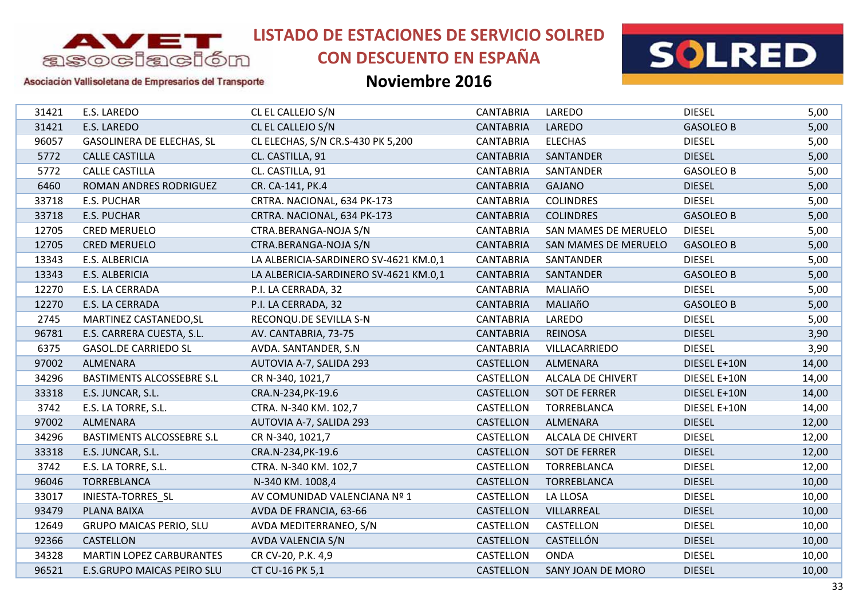

# **CON DESCUENTO EN ESPAÑA**



Asociación Vallisoletana de Empresarios del Transporte

| 31421 | E.S. LAREDO                      | CL EL CALLEJO S/N                     | <b>CANTABRIA</b> | LAREDO               | <b>DIESEL</b>    | 5,00  |
|-------|----------------------------------|---------------------------------------|------------------|----------------------|------------------|-------|
| 31421 | E.S. LAREDO                      | CL EL CALLEJO S/N                     | <b>CANTABRIA</b> | LAREDO               | <b>GASOLEO B</b> | 5,00  |
| 96057 | <b>GASOLINERA DE ELECHAS, SL</b> | CL ELECHAS, S/N CR.S-430 PK 5,200     | <b>CANTABRIA</b> | <b>ELECHAS</b>       | <b>DIESEL</b>    | 5,00  |
| 5772  | <b>CALLE CASTILLA</b>            | CL. CASTILLA, 91                      | <b>CANTABRIA</b> | SANTANDER            | <b>DIESEL</b>    | 5,00  |
| 5772  | <b>CALLE CASTILLA</b>            | CL. CASTILLA, 91                      | <b>CANTABRIA</b> | SANTANDER            | <b>GASOLEO B</b> | 5,00  |
| 6460  | ROMAN ANDRES RODRIGUEZ           | CR. CA-141, PK.4                      | <b>CANTABRIA</b> | <b>GAJANO</b>        | <b>DIESEL</b>    | 5,00  |
| 33718 | E.S. PUCHAR                      | CRTRA. NACIONAL, 634 PK-173           | <b>CANTABRIA</b> | <b>COLINDRES</b>     | <b>DIESEL</b>    | 5,00  |
| 33718 | <b>E.S. PUCHAR</b>               | CRTRA. NACIONAL, 634 PK-173           | <b>CANTABRIA</b> | <b>COLINDRES</b>     | <b>GASOLEO B</b> | 5,00  |
| 12705 | <b>CRED MERUELO</b>              | CTRA.BERANGA-NOJA S/N                 | <b>CANTABRIA</b> | SAN MAMES DE MERUELO | <b>DIESEL</b>    | 5,00  |
| 12705 | <b>CRED MERUELO</b>              | CTRA.BERANGA-NOJA S/N                 | <b>CANTABRIA</b> | SAN MAMES DE MERUELO | <b>GASOLEO B</b> | 5,00  |
| 13343 | E.S. ALBERICIA                   | LA ALBERICIA-SARDINERO SV-4621 KM.0,1 | <b>CANTABRIA</b> | SANTANDER            | <b>DIESEL</b>    | 5,00  |
| 13343 | E.S. ALBERICIA                   | LA ALBERICIA-SARDINERO SV-4621 KM.0,1 | <b>CANTABRIA</b> | SANTANDER            | <b>GASOLEO B</b> | 5,00  |
| 12270 | E.S. LA CERRADA                  | P.I. LA CERRADA, 32                   | <b>CANTABRIA</b> | MALIAñO              | <b>DIESEL</b>    | 5,00  |
| 12270 | E.S. LA CERRADA                  | P.I. LA CERRADA, 32                   | <b>CANTABRIA</b> | <b>MALIAñO</b>       | <b>GASOLEO B</b> | 5,00  |
| 2745  | MARTINEZ CASTANEDO, SL           | RECONQU.DE SEVILLA S-N                | <b>CANTABRIA</b> | LAREDO               | <b>DIESEL</b>    | 5,00  |
| 96781 | E.S. CARRERA CUESTA, S.L.        | AV. CANTABRIA, 73-75                  | <b>CANTABRIA</b> | <b>REINOSA</b>       | <b>DIESEL</b>    | 3,90  |
| 6375  | <b>GASOL.DE CARRIEDO SL</b>      | AVDA. SANTANDER, S.N.                 | <b>CANTABRIA</b> | VILLACARRIEDO        | <b>DIESEL</b>    | 3,90  |
| 97002 | ALMENARA                         | AUTOVIA A-7, SALIDA 293               | <b>CASTELLON</b> | <b>ALMENARA</b>      | DIESEL E+10N     | 14,00 |
| 34296 | <b>BASTIMENTS ALCOSSEBRE S.L</b> | CR N-340, 1021,7                      | CASTELLON        | ALCALA DE CHIVERT    | DIESEL E+10N     | 14,00 |
| 33318 | E.S. JUNCAR, S.L.                | CRA.N-234, PK-19.6                    | CASTELLON        | <b>SOT DE FERRER</b> | DIESEL E+10N     | 14,00 |
| 3742  | E.S. LA TORRE, S.L.              | CTRA. N-340 KM. 102,7                 | CASTELLON        | TORREBLANCA          | DIESEL E+10N     | 14,00 |
| 97002 | ALMENARA                         | AUTOVIA A-7, SALIDA 293               | CASTELLON        | ALMENARA             | <b>DIESEL</b>    | 12,00 |
| 34296 | <b>BASTIMENTS ALCOSSEBRE S.L</b> | CR N-340, 1021,7                      | CASTELLON        | ALCALA DE CHIVERT    | <b>DIESEL</b>    | 12,00 |
| 33318 | E.S. JUNCAR, S.L.                | CRA.N-234, PK-19.6                    | <b>CASTELLON</b> | <b>SOT DE FERRER</b> | <b>DIESEL</b>    | 12,00 |
| 3742  | E.S. LA TORRE, S.L.              | CTRA. N-340 KM. 102,7                 | CASTELLON        | TORREBLANCA          | <b>DIESEL</b>    | 12,00 |
| 96046 | TORREBLANCA                      | N-340 KM. 1008,4                      | CASTELLON        | <b>TORREBLANCA</b>   | <b>DIESEL</b>    | 10,00 |
| 33017 | INIESTA-TORRES_SL                | AV COMUNIDAD VALENCIANA Nº 1          | CASTELLON        | LA LLOSA             | <b>DIESEL</b>    | 10,00 |
| 93479 | PLANA BAIXA                      | AVDA DE FRANCIA, 63-66                | CASTELLON        | VILLARREAL           | <b>DIESEL</b>    | 10,00 |
| 12649 | <b>GRUPO MAICAS PERIO, SLU</b>   | AVDA MEDITERRANEO, S/N                | CASTELLON        | CASTELLON            | <b>DIESEL</b>    | 10,00 |
| 92366 | CASTELLON                        | AVDA VALENCIA S/N                     | CASTELLON        | CASTELLÓN            | <b>DIESEL</b>    | 10,00 |
| 34328 | <b>MARTIN LOPEZ CARBURANTES</b>  | CR CV-20, P.K. 4,9                    | CASTELLON        | <b>ONDA</b>          | <b>DIESEL</b>    | 10,00 |
| 96521 | E.S.GRUPO MAICAS PEIRO SLU       | CT CU-16 PK 5,1                       | CASTELLON        | SANY JOAN DE MORO    | <b>DIESEL</b>    | 10,00 |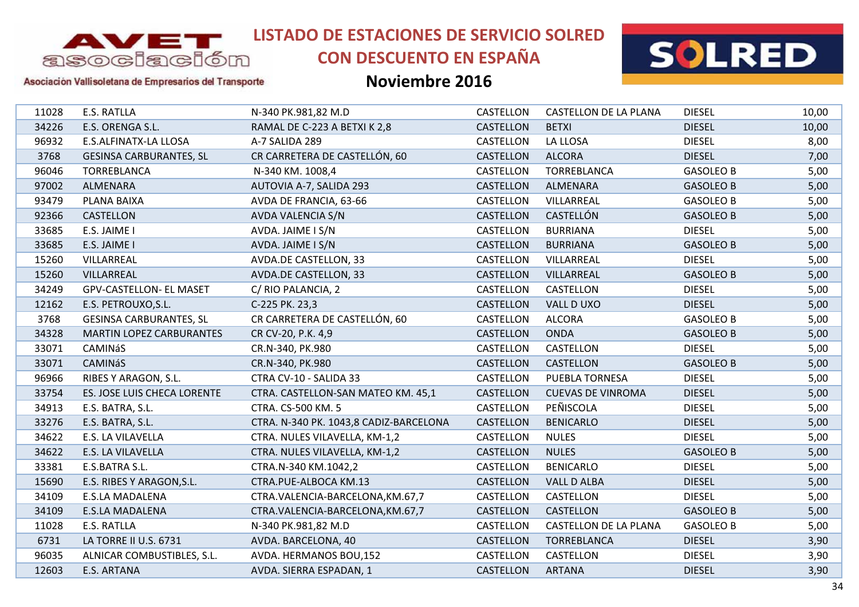

# **CON DESCUENTO EN ESPAÑA**



### Asociación Vallisoletana de Empresarios del Transporte

| 11028 | E.S. RATLLA                     | N-340 PK.981,82 M.D                    | CASTELLON        | CASTELLON DE LA PLANA        | <b>DIESEL</b>    | 10,00 |
|-------|---------------------------------|----------------------------------------|------------------|------------------------------|------------------|-------|
| 34226 | E.S. ORENGA S.L.                | RAMAL DE C-223 A BETXI K 2,8           | <b>CASTELLON</b> | <b>BETXI</b>                 | <b>DIESEL</b>    | 10,00 |
| 96932 | E.S.ALFINATX-LA LLOSA           | A-7 SALIDA 289                         | CASTELLON        | LA LLOSA                     | <b>DIESEL</b>    | 8,00  |
| 3768  | <b>GESINSA CARBURANTES, SL</b>  | CR CARRETERA DE CASTELLÓN, 60          | CASTELLON        | <b>ALCORA</b>                | <b>DIESEL</b>    | 7,00  |
| 96046 | <b>TORREBLANCA</b>              | N-340 KM. 1008,4                       | CASTELLON        | <b>TORREBLANCA</b>           | <b>GASOLEO B</b> | 5,00  |
| 97002 | ALMENARA                        | AUTOVIA A-7, SALIDA 293                | CASTELLON        | ALMENARA                     | <b>GASOLEO B</b> | 5,00  |
| 93479 | PLANA BAIXA                     | AVDA DE FRANCIA, 63-66                 | CASTELLON        | VILLARREAL                   | <b>GASOLEO B</b> | 5,00  |
| 92366 | <b>CASTELLON</b>                | AVDA VALENCIA S/N                      | <b>CASTELLON</b> | CASTELLÓN                    | <b>GASOLEO B</b> | 5,00  |
| 33685 | E.S. JAIME I                    | AVDA. JAIME I S/N                      | CASTELLON        | <b>BURRIANA</b>              | <b>DIESEL</b>    | 5,00  |
| 33685 | E.S. JAIME I                    | AVDA. JAIME I S/N                      | CASTELLON        | <b>BURRIANA</b>              | <b>GASOLEO B</b> | 5,00  |
| 15260 | VILLARREAL                      | AVDA.DE CASTELLON, 33                  | CASTELLON        | VILLARREAL                   | <b>DIESEL</b>    | 5,00  |
| 15260 | VILLARREAL                      | AVDA.DE CASTELLON, 33                  | CASTELLON        | VILLARREAL                   | <b>GASOLEO B</b> | 5,00  |
| 34249 | <b>GPV-CASTELLON- EL MASET</b>  | C/RIO PALANCIA, 2                      | CASTELLON        | CASTELLON                    | <b>DIESEL</b>    | 5,00  |
| 12162 | E.S. PETROUXO, S.L.             | C-225 PK. 23,3                         | CASTELLON        | VALL DUXO                    | <b>DIESEL</b>    | 5,00  |
| 3768  | <b>GESINSA CARBURANTES, SL</b>  | CR CARRETERA DE CASTELLÓN, 60          | CASTELLON        | <b>ALCORA</b>                | <b>GASOLEO B</b> | 5,00  |
| 34328 | <b>MARTIN LOPEZ CARBURANTES</b> | CR CV-20, P.K. 4,9                     | <b>CASTELLON</b> | <b>ONDA</b>                  | <b>GASOLEO B</b> | 5,00  |
| 33071 | CAMINáS                         | CR.N-340, PK.980                       | CASTELLON        | CASTELLON                    | <b>DIESEL</b>    | 5,00  |
| 33071 | <b>CAMINáS</b>                  | CR.N-340, PK.980                       | <b>CASTELLON</b> | CASTELLON                    | <b>GASOLEO B</b> | 5,00  |
| 96966 | RIBES Y ARAGON, S.L.            | CTRA CV-10 - SALIDA 33                 | CASTELLON        | PUEBLA TORNESA               | <b>DIESEL</b>    | 5,00  |
| 33754 | ES. JOSE LUIS CHECA LORENTE     | CTRA. CASTELLON-SAN MATEO KM. 45,1     | CASTELLON        | <b>CUEVAS DE VINROMA</b>     | <b>DIESEL</b>    | 5,00  |
| 34913 | E.S. BATRA, S.L.                | CTRA. CS-500 KM. 5                     | CASTELLON        | PEÑISCOLA                    | <b>DIESEL</b>    | 5,00  |
| 33276 | E.S. BATRA, S.L.                | CTRA. N-340 PK. 1043,8 CADIZ-BARCELONA | CASTELLON        | <b>BENICARLO</b>             | <b>DIESEL</b>    | 5,00  |
| 34622 | E.S. LA VILAVELLA               | CTRA. NULES VILAVELLA, KM-1,2          | CASTELLON        | <b>NULES</b>                 | <b>DIESEL</b>    | 5,00  |
| 34622 | E.S. LA VILAVELLA               | CTRA. NULES VILAVELLA, KM-1,2          | <b>CASTELLON</b> | <b>NULES</b>                 | <b>GASOLEO B</b> | 5,00  |
| 33381 | E.S.BATRA S.L.                  | CTRA.N-340 KM.1042,2                   | CASTELLON        | <b>BENICARLO</b>             | <b>DIESEL</b>    | 5,00  |
| 15690 | E.S. RIBES Y ARAGON, S.L.       | CTRA.PUE-ALBOCA KM.13                  | CASTELLON        | <b>VALL D ALBA</b>           | <b>DIESEL</b>    | 5,00  |
| 34109 | <b>E.S.LA MADALENA</b>          | CTRA.VALENCIA-BARCELONA, KM.67,7       | CASTELLON        | CASTELLON                    | <b>DIESEL</b>    | 5,00  |
| 34109 | E.S.LA MADALENA                 | CTRA.VALENCIA-BARCELONA, KM.67,7       | CASTELLON        | CASTELLON                    | <b>GASOLEO B</b> | 5,00  |
| 11028 | E.S. RATLLA                     | N-340 PK.981,82 M.D                    | CASTELLON        | <b>CASTELLON DE LA PLANA</b> | <b>GASOLEO B</b> | 5,00  |
| 6731  | LA TORRE II U.S. 6731           | AVDA. BARCELONA, 40                    | <b>CASTELLON</b> | TORREBLANCA                  | <b>DIESEL</b>    | 3,90  |
| 96035 | ALNICAR COMBUSTIBLES, S.L.      | AVDA. HERMANOS BOU, 152                | CASTELLON        | CASTELLON                    | <b>DIESEL</b>    | 3,90  |
| 12603 | E.S. ARTANA                     | AVDA. SIERRA ESPADAN, 1                | CASTELLON        | <b>ARTANA</b>                | <b>DIESEL</b>    | 3,90  |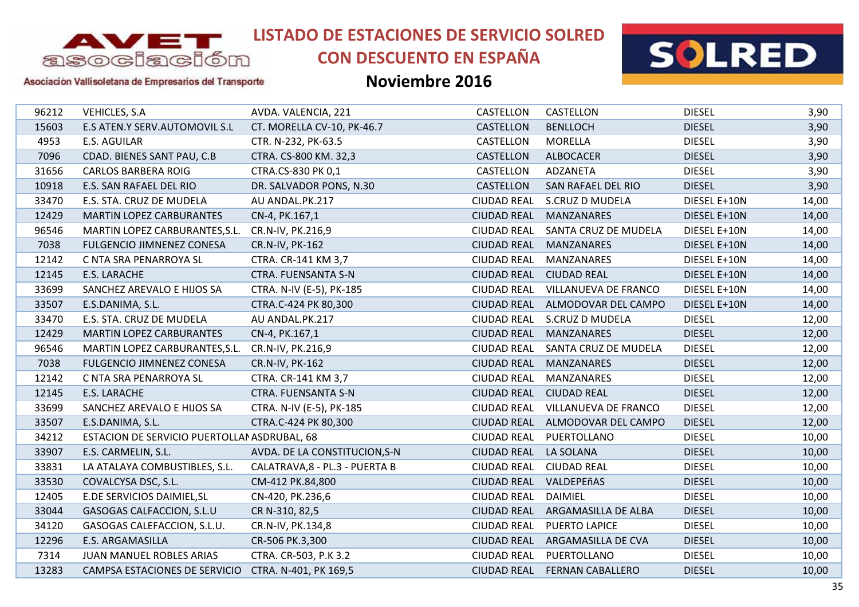

# **CON DESCUENTO EN ESPAÑA**



### Asociación Vallisoletana de Empresarios del Transporte

| 96212 | VEHICLES, S.A                                    | AVDA. VALENCIA, 221            | CASTELLON          | CASTELLON                    | <b>DIESEL</b> | 3,90  |
|-------|--------------------------------------------------|--------------------------------|--------------------|------------------------------|---------------|-------|
| 15603 | E.S ATEN.Y SERV.AUTOMOVIL S.L                    | CT. MORELLA CV-10, PK-46.7     | CASTELLON          | <b>BENLLOCH</b>              | <b>DIESEL</b> | 3,90  |
| 4953  | E.S. AGUILAR                                     | CTR. N-232, PK-63.5            | CASTELLON          | MORELLA                      | <b>DIESEL</b> | 3,90  |
| 7096  | CDAD. BIENES SANT PAU, C.B                       | CTRA. CS-800 KM. 32,3          | CASTELLON          | <b>ALBOCACER</b>             | <b>DIESEL</b> | 3,90  |
| 31656 | <b>CARLOS BARBERA ROIG</b>                       | CTRA.CS-830 PK 0,1             | CASTELLON          | ADZANETA                     | <b>DIESEL</b> | 3,90  |
| 10918 | E.S. SAN RAFAEL DEL RIO                          | DR. SALVADOR PONS, N.30        | CASTELLON          | SAN RAFAEL DEL RIO           | <b>DIESEL</b> | 3,90  |
| 33470 | E.S. STA. CRUZ DE MUDELA                         | AU ANDAL.PK.217                | <b>CIUDAD REAL</b> | S.CRUZ D MUDELA              | DIESEL E+10N  | 14,00 |
| 12429 | <b>MARTIN LOPEZ CARBURANTES</b>                  | CN-4, PK.167,1                 | <b>CIUDAD REAL</b> | <b>MANZANARES</b>            | DIESEL E+10N  | 14,00 |
| 96546 | MARTIN LOPEZ CARBURANTES, S.L. CR.N-IV, PK.216,9 |                                | <b>CIUDAD REAL</b> | SANTA CRUZ DE MUDELA         | DIESEL E+10N  | 14,00 |
| 7038  | <b>FULGENCIO JIMNENEZ CONESA</b>                 | CR.N-IV, PK-162                | <b>CIUDAD REAL</b> | <b>MANZANARES</b>            | DIESEL E+10N  | 14,00 |
| 12142 | C NTA SRA PENARROYA SL                           | CTRA. CR-141 KM 3,7            | <b>CIUDAD REAL</b> | <b>MANZANARES</b>            | DIESEL E+10N  | 14,00 |
| 12145 | E.S. LARACHE                                     | <b>CTRA. FUENSANTA S-N</b>     | <b>CIUDAD REAL</b> | <b>CIUDAD REAL</b>           | DIESEL E+10N  | 14,00 |
| 33699 | SANCHEZ AREVALO E HIJOS SA                       | CTRA. N-IV (E-5), PK-185       | <b>CIUDAD REAL</b> | VILLANUEVA DE FRANCO         | DIESEL E+10N  | 14,00 |
| 33507 | E.S.DANIMA, S.L.                                 | CTRA.C-424 PK 80,300           | <b>CIUDAD REAL</b> | ALMODOVAR DEL CAMPO          | DIESEL E+10N  | 14,00 |
| 33470 | E.S. STA. CRUZ DE MUDELA                         | AU ANDAL.PK.217                | <b>CIUDAD REAL</b> | S.CRUZ D MUDELA              | <b>DIESEL</b> | 12,00 |
| 12429 | <b>MARTIN LOPEZ CARBURANTES</b>                  | CN-4, PK.167,1                 | <b>CIUDAD REAL</b> | <b>MANZANARES</b>            | <b>DIESEL</b> | 12,00 |
| 96546 | MARTIN LOPEZ CARBURANTES, S.L.                   | CR.N-IV, PK.216,9              | <b>CIUDAD REAL</b> | SANTA CRUZ DE MUDELA         | <b>DIESEL</b> | 12,00 |
| 7038  | FULGENCIO JIMNENEZ CONESA                        | CR.N-IV, PK-162                | <b>CIUDAD REAL</b> | <b>MANZANARES</b>            | <b>DIESEL</b> | 12,00 |
| 12142 | C NTA SRA PENARROYA SL                           | CTRA. CR-141 KM 3,7            | <b>CIUDAD REAL</b> | MANZANARES                   | <b>DIESEL</b> | 12,00 |
| 12145 | E.S. LARACHE                                     | <b>CTRA. FUENSANTA S-N</b>     | <b>CIUDAD REAL</b> | <b>CIUDAD REAL</b>           | <b>DIESEL</b> | 12,00 |
| 33699 | SANCHEZ AREVALO E HIJOS SA                       | CTRA. N-IV (E-5), PK-185       | <b>CIUDAD REAL</b> | VILLANUEVA DE FRANCO         | <b>DIESEL</b> | 12,00 |
| 33507 | E.S.DANIMA, S.L.                                 | CTRA.C-424 PK 80,300           | <b>CIUDAD REAL</b> | ALMODOVAR DEL CAMPO          | <b>DIESEL</b> | 12,00 |
| 34212 | ESTACION DE SERVICIO PUERTOLLAN ASDRUBAL, 68     |                                | <b>CIUDAD REAL</b> | PUERTOLLANO                  | <b>DIESEL</b> | 10,00 |
| 33907 | E.S. CARMELIN, S.L.                              | AVDA. DE LA CONSTITUCION, S-N  | <b>CIUDAD REAL</b> | <b>LA SOLANA</b>             | <b>DIESEL</b> | 10,00 |
| 33831 | LA ATALAYA COMBUSTIBLES, S.L.                    | CALATRAVA, 8 - PL.3 - PUERTA B | <b>CIUDAD REAL</b> | <b>CIUDAD REAL</b>           | <b>DIESEL</b> | 10,00 |
| 33530 | COVALCYSA DSC, S.L.                              | CM-412 PK.84,800               | <b>CIUDAD REAL</b> | VALDEPEñAS                   | <b>DIESEL</b> | 10,00 |
| 12405 | E.DE SERVICIOS DAIMIEL, SL                       | CN-420, PK.236,6               | <b>CIUDAD REAL</b> | DAIMIEL                      | <b>DIESEL</b> | 10,00 |
| 33044 | GASOGAS CALFACCION, S.L.U                        | CR N-310, 82,5                 | <b>CIUDAD REAL</b> | ARGAMASILLA DE ALBA          | <b>DIESEL</b> | 10,00 |
| 34120 | GASOGAS CALEFACCION, S.L.U.                      | CR.N-IV, PK.134,8              | <b>CIUDAD REAL</b> | PUERTO LAPICE                | <b>DIESEL</b> | 10,00 |
| 12296 | <b>E.S. ARGAMASILLA</b>                          | CR-506 PK.3,300                | <b>CIUDAD REAL</b> | ARGAMASILLA DE CVA           | <b>DIESEL</b> | 10,00 |
| 7314  | JUAN MANUEL ROBLES ARIAS                         | CTRA. CR-503, P.K 3.2          | <b>CIUDAD REAL</b> | PUERTOLLANO                  | <b>DIESEL</b> | 10,00 |
| 13283 | CAMPSA ESTACIONES DE SERVICIO                    | CTRA. N-401, PK 169,5          |                    | CIUDAD REAL FERNAN CABALLERO | <b>DIESEL</b> | 10,00 |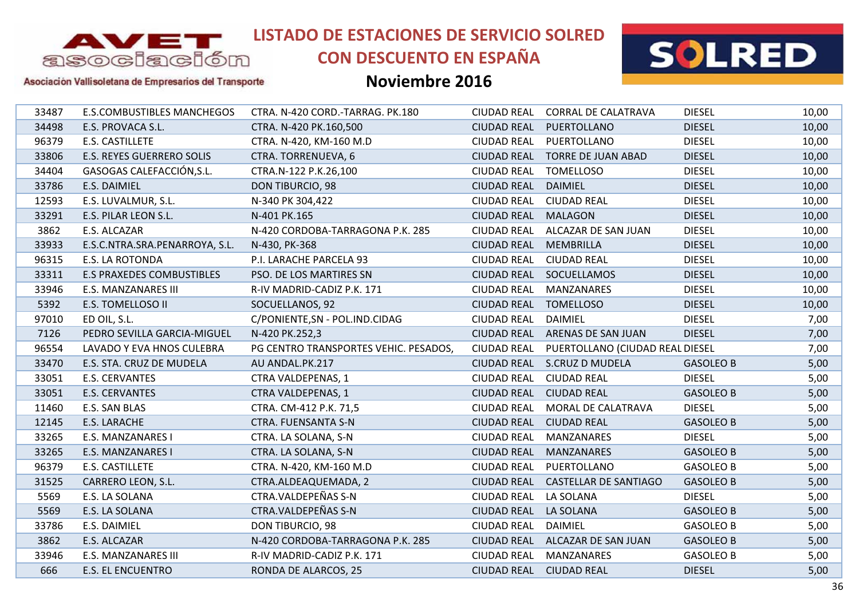

# **CON DESCUENTO EN ESPAÑA**



### Asociación Vallisoletana de Empresarios del Transporte

| 33487 | <b>E.S.COMBUSTIBLES MANCHEGOS</b> | CTRA. N-420 CORD.-TARRAG. PK.180      | <b>CIUDAD REAL</b> | <b>CORRAL DE CALATRAVA</b>      | <b>DIESEL</b>    | 10,00 |
|-------|-----------------------------------|---------------------------------------|--------------------|---------------------------------|------------------|-------|
| 34498 | E.S. PROVACA S.L.                 | CTRA. N-420 PK.160,500                | <b>CIUDAD REAL</b> | PUERTOLLANO                     | <b>DIESEL</b>    | 10,00 |
| 96379 | E.S. CASTILLETE                   | CTRA. N-420, KM-160 M.D               | <b>CIUDAD REAL</b> | PUERTOLLANO                     | <b>DIESEL</b>    | 10,00 |
| 33806 | <b>E.S. REYES GUERRERO SOLIS</b>  | CTRA. TORRENUEVA, 6                   | <b>CIUDAD REAL</b> | <b>TORRE DE JUAN ABAD</b>       | <b>DIESEL</b>    | 10,00 |
| 34404 | GASOGAS CALEFACCIÓN, S.L.         | CTRA.N-122 P.K.26,100                 | <b>CIUDAD REAL</b> | <b>TOMELLOSO</b>                | <b>DIESEL</b>    | 10,00 |
| 33786 | E.S. DAIMIEL                      | DON TIBURCIO, 98                      | <b>CIUDAD REAL</b> | <b>DAIMIEL</b>                  | <b>DIESEL</b>    | 10,00 |
| 12593 | E.S. LUVALMUR, S.L.               | N-340 PK 304,422                      | <b>CIUDAD REAL</b> | <b>CIUDAD REAL</b>              | <b>DIESEL</b>    | 10,00 |
| 33291 | E.S. PILAR LEON S.L.              | N-401 PK.165                          | <b>CIUDAD REAL</b> | <b>MALAGON</b>                  | <b>DIESEL</b>    | 10,00 |
| 3862  | E.S. ALCAZAR                      | N-420 CORDOBA-TARRAGONA P.K. 285      | <b>CIUDAD REAL</b> | ALCAZAR DE SAN JUAN             | <b>DIESEL</b>    | 10,00 |
| 33933 | E.S.C.NTRA.SRA.PENARROYA, S.L.    | N-430, PK-368                         | <b>CIUDAD REAL</b> | <b>MEMBRILLA</b>                | <b>DIESEL</b>    | 10,00 |
| 96315 | <b>E.S. LA ROTONDA</b>            | P.I. LARACHE PARCELA 93               | <b>CIUDAD REAL</b> | <b>CIUDAD REAL</b>              | <b>DIESEL</b>    | 10,00 |
| 33311 | <b>E.S PRAXEDES COMBUSTIBLES</b>  | PSO. DE LOS MARTIRES SN               |                    | CIUDAD REAL SOCUELLAMOS         | <b>DIESEL</b>    | 10,00 |
| 33946 | <b>E.S. MANZANARES III</b>        | R-IV MADRID-CADIZ P.K. 171            | <b>CIUDAD REAL</b> | MANZANARES                      | <b>DIESEL</b>    | 10,00 |
| 5392  | E.S. TOMELLOSO II                 | SOCUELLANOS, 92                       | <b>CIUDAD REAL</b> | <b>TOMELLOSO</b>                | <b>DIESEL</b>    | 10,00 |
| 97010 | ED OIL, S.L.                      | C/PONIENTE, SN - POL. IND. CIDAG      | <b>CIUDAD REAL</b> | DAIMIEL                         | <b>DIESEL</b>    | 7,00  |
| 7126  | PEDRO SEVILLA GARCIA-MIGUEL       | N-420 PK.252,3                        | <b>CIUDAD REAL</b> | ARENAS DE SAN JUAN              | <b>DIESEL</b>    | 7,00  |
| 96554 | LAVADO Y EVA HNOS CULEBRA         | PG CENTRO TRANSPORTES VEHIC. PESADOS, | <b>CIUDAD REAL</b> | PUERTOLLANO (CIUDAD REAL DIESEL |                  | 7,00  |
| 33470 | E.S. STA. CRUZ DE MUDELA          | AU ANDAL.PK.217                       |                    | CIUDAD REAL S.CRUZ D MUDELA     | <b>GASOLEO B</b> | 5,00  |
| 33051 | E.S. CERVANTES                    | CTRA VALDEPENAS, 1                    | <b>CIUDAD REAL</b> | <b>CIUDAD REAL</b>              | <b>DIESEL</b>    | 5,00  |
| 33051 | E.S. CERVANTES                    | <b>CTRA VALDEPENAS, 1</b>             | <b>CIUDAD REAL</b> | <b>CIUDAD REAL</b>              | <b>GASOLEO B</b> | 5,00  |
| 11460 | E.S. SAN BLAS                     | CTRA. CM-412 P.K. 71,5                | <b>CIUDAD REAL</b> | MORAL DE CALATRAVA              | <b>DIESEL</b>    | 5,00  |
| 12145 | E.S. LARACHE                      | <b>CTRA. FUENSANTA S-N</b>            | <b>CIUDAD REAL</b> | <b>CIUDAD REAL</b>              | <b>GASOLEO B</b> | 5,00  |
| 33265 | E.S. MANZANARES I                 | CTRA. LA SOLANA, S-N                  | <b>CIUDAD REAL</b> | <b>MANZANARES</b>               | <b>DIESEL</b>    | 5,00  |
| 33265 | E.S. MANZANARES I                 | CTRA. LA SOLANA, S-N                  | <b>CIUDAD REAL</b> | <b>MANZANARES</b>               | <b>GASOLEO B</b> | 5,00  |
| 96379 | E.S. CASTILLETE                   | CTRA. N-420, KM-160 M.D               | <b>CIUDAD REAL</b> | PUERTOLLANO                     | <b>GASOLEO B</b> | 5,00  |
| 31525 | CARRERO LEON, S.L.                | CTRA.ALDEAQUEMADA, 2                  | <b>CIUDAD REAL</b> | <b>CASTELLAR DE SANTIAGO</b>    | <b>GASOLEO B</b> | 5,00  |
| 5569  | E.S. LA SOLANA                    | CTRA.VALDEPEÑAS S-N                   | <b>CIUDAD REAL</b> | LA SOLANA                       | <b>DIESEL</b>    | 5,00  |
| 5569  | E.S. LA SOLANA                    | CTRA.VALDEPEÑAS S-N                   | <b>CIUDAD REAL</b> | LA SOLANA                       | <b>GASOLEO B</b> | 5,00  |
| 33786 | E.S. DAIMIEL                      | <b>DON TIBURCIO, 98</b>               | <b>CIUDAD REAL</b> | DAIMIEL                         | <b>GASOLEO B</b> | 5,00  |
| 3862  | E.S. ALCAZAR                      | N-420 CORDOBA-TARRAGONA P.K. 285      |                    | CIUDAD REAL ALCAZAR DE SAN JUAN | <b>GASOLEO B</b> | 5,00  |
| 33946 | <b>E.S. MANZANARES III</b>        | R-IV MADRID-CADIZ P.K. 171            | <b>CIUDAD REAL</b> | <b>MANZANARES</b>               | <b>GASOLEO B</b> | 5,00  |
| 666   | <b>E.S. EL ENCUENTRO</b>          | RONDA DE ALARCOS, 25                  | CIUDAD REAL        | <b>CIUDAD REAL</b>              | <b>DIESEL</b>    | 5,00  |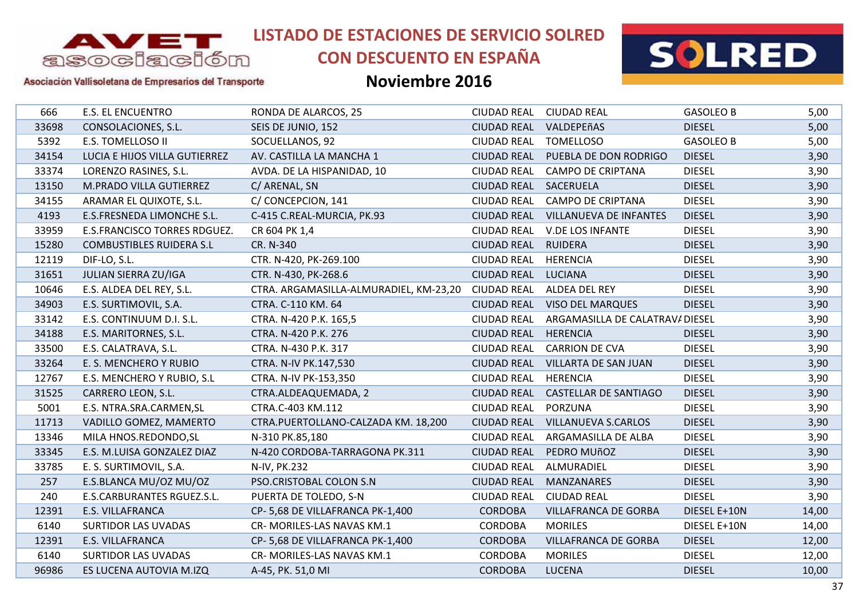

# **CON DESCUENTO EN ESPAÑA**



### Asociación Vallisoletana de Empresarios del Transporte

| <b>E.S. EL ENCUENTRO</b>        | RONDA DE ALARCOS, 25                   | <b>CIUDAD REAL</b> | <b>CIUDAD REAL</b>          | <b>GASOLEO B</b> | 5,00                            |
|---------------------------------|----------------------------------------|--------------------|-----------------------------|------------------|---------------------------------|
| CONSOLACIONES, S.L.             | SEIS DE JUNIO, 152                     | <b>CIUDAD REAL</b> | VALDEPEñAS                  | <b>DIESEL</b>    | 5,00                            |
| E.S. TOMELLOSO II               | SOCUELLANOS, 92                        | <b>CIUDAD REAL</b> | <b>TOMELLOSO</b>            | <b>GASOLEO B</b> | 5,00                            |
| LUCIA E HIJOS VILLA GUTIERREZ   | AV. CASTILLA LA MANCHA 1               | <b>CIUDAD REAL</b> | PUEBLA DE DON RODRIGO       | <b>DIESEL</b>    | 3,90                            |
| LORENZO RASINES, S.L.           | AVDA. DE LA HISPANIDAD, 10             | <b>CIUDAD REAL</b> | <b>CAMPO DE CRIPTANA</b>    | <b>DIESEL</b>    | 3,90                            |
| M.PRADO VILLA GUTIERREZ         | C/ ARENAL, SN                          | <b>CIUDAD REAL</b> | SACERUELA                   | <b>DIESEL</b>    | 3,90                            |
| ARAMAR EL QUIXOTE, S.L.         | C/CONCEPCION, 141                      | <b>CIUDAD REAL</b> | <b>CAMPO DE CRIPTANA</b>    | <b>DIESEL</b>    | 3,90                            |
| E.S.FRESNEDA LIMONCHE S.L.      | C-415 C.REAL-MURCIA, PK.93             | <b>CIUDAD REAL</b> | VILLANUEVA DE INFANTES      | <b>DIESEL</b>    | 3,90                            |
| E.S.FRANCISCO TORRES RDGUEZ.    | CR 604 PK 1,4                          | <b>CIUDAD REAL</b> | <b>V.DE LOS INFANTE</b>     | <b>DIESEL</b>    | 3,90                            |
| <b>COMBUSTIBLES RUIDERA S.L</b> | CR. N-340                              | <b>CIUDAD REAL</b> | <b>RUIDERA</b>              | <b>DIESEL</b>    | 3,90                            |
| DIF-LO, S.L.                    | CTR. N-420, PK-269.100                 | <b>CIUDAD REAL</b> | <b>HERENCIA</b>             | <b>DIESEL</b>    | 3,90                            |
| JULIAN SIERRA ZU/IGA            | CTR. N-430, PK-268.6                   | <b>CIUDAD REAL</b> | <b>LUCIANA</b>              | <b>DIESEL</b>    | 3,90                            |
| E.S. ALDEA DEL REY, S.L.        | CTRA. ARGAMASILLA-ALMURADIEL, KM-23,20 | <b>CIUDAD REAL</b> | ALDEA DEL REY               | <b>DIESEL</b>    | 3,90                            |
| E.S. SURTIMOVIL, S.A.           | CTRA. C-110 KM. 64                     | <b>CIUDAD REAL</b> | <b>VISO DEL MARQUES</b>     | <b>DIESEL</b>    | 3,90                            |
| E.S. CONTINUUM D.I. S.L.        | CTRA. N-420 P.K. 165,5                 | <b>CIUDAD REAL</b> |                             |                  | 3,90                            |
| E.S. MARITORNES, S.L.           | CTRA. N-420 P.K. 276                   | <b>CIUDAD REAL</b> | <b>HERENCIA</b>             | <b>DIESEL</b>    | 3,90                            |
| E.S. CALATRAVA, S.L.            | CTRA. N-430 P.K. 317                   | <b>CIUDAD REAL</b> | <b>CARRION DE CVA</b>       | <b>DIESEL</b>    | 3,90                            |
| E. S. MENCHERO Y RUBIO          | CTRA. N-IV PK.147,530                  | <b>CIUDAD REAL</b> | <b>VILLARTA DE SAN JUAN</b> | <b>DIESEL</b>    | 3,90                            |
| E.S. MENCHERO Y RUBIO, S.L.     | CTRA. N-IV PK-153,350                  | <b>CIUDAD REAL</b> | <b>HERENCIA</b>             | <b>DIESEL</b>    | 3,90                            |
| CARRERO LEON, S.L.              | CTRA.ALDEAQUEMADA, 2                   | <b>CIUDAD REAL</b> | CASTELLAR DE SANTIAGO       | <b>DIESEL</b>    | 3,90                            |
| E.S. NTRA.SRA.CARMEN,SL         | CTRA.C-403 KM.112                      | <b>CIUDAD REAL</b> | PORZUNA                     | <b>DIESEL</b>    | 3,90                            |
| VADILLO GOMEZ, MAMERTO          | CTRA.PUERTOLLANO-CALZADA KM. 18,200    | <b>CIUDAD REAL</b> | <b>VILLANUEVA S.CARLOS</b>  | <b>DIESEL</b>    | 3,90                            |
| MILA HNOS.REDONDO, SL           | N-310 PK.85,180                        | <b>CIUDAD REAL</b> | ARGAMASILLA DE ALBA         | <b>DIESEL</b>    | 3,90                            |
| E.S. M.LUISA GONZALEZ DIAZ      | N-420 CORDOBA-TARRAGONA PK.311         | <b>CIUDAD REAL</b> | PEDRO MUñOZ                 | <b>DIESEL</b>    | 3,90                            |
| E. S. SURTIMOVIL, S.A.          | N-IV, PK.232                           | <b>CIUDAD REAL</b> | ALMURADIEL                  | <b>DIESEL</b>    | 3,90                            |
| E.S.BLANCA MU/OZ MU/OZ          | PSO.CRISTOBAL COLON S.N                | <b>CIUDAD REAL</b> | <b>MANZANARES</b>           | <b>DIESEL</b>    | 3,90                            |
| E.S.CARBURANTES RGUEZ.S.L.      | PUERTA DE TOLEDO, S-N                  | <b>CIUDAD REAL</b> | <b>CIUDAD REAL</b>          | <b>DIESEL</b>    | 3,90                            |
| E.S. VILLAFRANCA                | CP-5,68 DE VILLAFRANCA PK-1,400        | <b>CORDOBA</b>     | <b>VILLAFRANCA DE GORBA</b> | DIESEL E+10N     | 14,00                           |
| <b>SURTIDOR LAS UVADAS</b>      | CR- MORILES-LAS NAVAS KM.1             | <b>CORDOBA</b>     | <b>MORILES</b>              | DIESEL E+10N     | 14,00                           |
| <b>E.S. VILLAFRANCA</b>         | CP-5,68 DE VILLAFRANCA PK-1,400        | <b>CORDOBA</b>     | <b>VILLAFRANCA DE GORBA</b> | <b>DIESEL</b>    | 12,00                           |
| <b>SURTIDOR LAS UVADAS</b>      | CR- MORILES-LAS NAVAS KM.1             | <b>CORDOBA</b>     | <b>MORILES</b>              | <b>DIESEL</b>    | 12,00                           |
| ES LUCENA AUTOVIA M.IZQ         | A-45, PK. 51,0 MI                      | <b>CORDOBA</b>     | <b>LUCENA</b>               | <b>DIESEL</b>    | 10,00                           |
|                                 |                                        |                    |                             |                  | ARGAMASILLA DE CALATRAV/ DIESEL |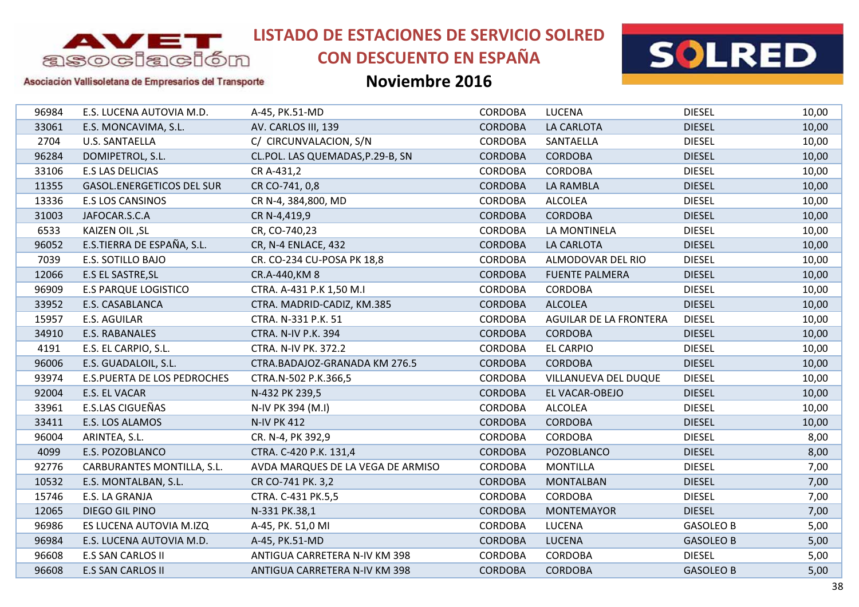

# **CON DESCUENTO EN ESPAÑA**



Asociación Vallisoletana de Empresarios del Transporte

| 96984 | E.S. LUCENA AUTOVIA M.D.           | A-45, PK.51-MD                    | <b>CORDOBA</b> | LUCENA                 | <b>DIESEL</b>    | 10,00 |
|-------|------------------------------------|-----------------------------------|----------------|------------------------|------------------|-------|
| 33061 | E.S. MONCAVIMA, S.L.               | AV. CARLOS III, 139               | <b>CORDOBA</b> | LA CARLOTA             | <b>DIESEL</b>    | 10,00 |
| 2704  | <b>U.S. SANTAELLA</b>              | C/ CIRCUNVALACION, S/N            | <b>CORDOBA</b> | SANTAELLA              | <b>DIESEL</b>    | 10,00 |
| 96284 | DOMIPETROL, S.L.                   | CL.POL. LAS QUEMADAS, P.29-B, SN  | <b>CORDOBA</b> | <b>CORDOBA</b>         | <b>DIESEL</b>    | 10,00 |
| 33106 | <b>E.S LAS DELICIAS</b>            | CR A-431,2                        | <b>CORDOBA</b> | <b>CORDOBA</b>         | <b>DIESEL</b>    | 10,00 |
| 11355 | <b>GASOL.ENERGETICOS DEL SUR</b>   | CR CO-741, 0,8                    | <b>CORDOBA</b> | LA RAMBLA              | <b>DIESEL</b>    | 10,00 |
| 13336 | <b>E.S LOS CANSINOS</b>            | CR N-4, 384,800, MD               | <b>CORDOBA</b> | <b>ALCOLEA</b>         | <b>DIESEL</b>    | 10,00 |
| 31003 | JAFOCAR.S.C.A                      | CR N-4,419,9                      | <b>CORDOBA</b> | <b>CORDOBA</b>         | <b>DIESEL</b>    | 10,00 |
| 6533  | KAIZEN OIL, SL                     | CR, CO-740,23                     | <b>CORDOBA</b> | LA MONTINELA           | <b>DIESEL</b>    | 10,00 |
| 96052 | E.S.TIERRA DE ESPAÑA, S.L.         | CR, N-4 ENLACE, 432               | <b>CORDOBA</b> | LA CARLOTA             | <b>DIESEL</b>    | 10,00 |
| 7039  | E.S. SOTILLO BAJO                  | CR. CO-234 CU-POSA PK 18,8        | <b>CORDOBA</b> | ALMODOVAR DEL RIO      | <b>DIESEL</b>    | 10,00 |
| 12066 | E.S EL SASTRE, SL                  | CR.A-440, KM 8                    | <b>CORDOBA</b> | <b>FUENTE PALMERA</b>  | <b>DIESEL</b>    | 10,00 |
| 96909 | <b>E.S PARQUE LOGISTICO</b>        | CTRA. A-431 P.K 1,50 M.I          | CORDOBA        | <b>CORDOBA</b>         | <b>DIESEL</b>    | 10,00 |
| 33952 | E.S. CASABLANCA                    | CTRA. MADRID-CADIZ, KM.385        | <b>CORDOBA</b> | <b>ALCOLEA</b>         | <b>DIESEL</b>    | 10,00 |
| 15957 | <b>E.S. AGUILAR</b>                | CTRA. N-331 P.K. 51               | <b>CORDOBA</b> | AGUILAR DE LA FRONTERA | <b>DIESEL</b>    | 10,00 |
| 34910 | E.S. RABANALES                     | <b>CTRA. N-IV P.K. 394</b>        | <b>CORDOBA</b> | <b>CORDOBA</b>         | <b>DIESEL</b>    | 10,00 |
| 4191  | E.S. EL CARPIO, S.L.               | <b>CTRA. N-IV PK. 372.2</b>       | <b>CORDOBA</b> | <b>EL CARPIO</b>       | <b>DIESEL</b>    | 10,00 |
| 96006 | E.S. GUADALOIL, S.L.               | CTRA.BADAJOZ-GRANADA KM 276.5     | <b>CORDOBA</b> | <b>CORDOBA</b>         | <b>DIESEL</b>    | 10,00 |
| 93974 | <b>E.S.PUERTA DE LOS PEDROCHES</b> | CTRA.N-502 P.K.366,5              | CORDOBA        | VILLANUEVA DEL DUQUE   | <b>DIESEL</b>    | 10,00 |
| 92004 | E.S. EL VACAR                      | N-432 PK 239,5                    | <b>CORDOBA</b> | EL VACAR-OBEJO         | <b>DIESEL</b>    | 10,00 |
| 33961 | E.S.LAS CIGUEÑAS                   | N-IV PK 394 (M.I)                 | <b>CORDOBA</b> | <b>ALCOLEA</b>         | <b>DIESEL</b>    | 10,00 |
| 33411 | E.S. LOS ALAMOS                    | <b>N-IV PK 412</b>                | <b>CORDOBA</b> | <b>CORDOBA</b>         | <b>DIESEL</b>    | 10,00 |
| 96004 | ARINTEA, S.L.                      | CR. N-4, PK 392,9                 | <b>CORDOBA</b> | <b>CORDOBA</b>         | <b>DIESEL</b>    | 8,00  |
| 4099  | E.S. POZOBLANCO                    | CTRA. C-420 P.K. 131,4            | <b>CORDOBA</b> | POZOBLANCO             | <b>DIESEL</b>    | 8,00  |
| 92776 | CARBURANTES MONTILLA, S.L.         | AVDA MARQUES DE LA VEGA DE ARMISO | <b>CORDOBA</b> | <b>MONTILLA</b>        | <b>DIESEL</b>    | 7,00  |
| 10532 | E.S. MONTALBAN, S.L.               | CR CO-741 PK. 3,2                 | <b>CORDOBA</b> | <b>MONTALBAN</b>       | <b>DIESEL</b>    | 7,00  |
| 15746 | E.S. LA GRANJA                     | CTRA. C-431 PK.5,5                | <b>CORDOBA</b> | <b>CORDOBA</b>         | <b>DIESEL</b>    | 7,00  |
| 12065 | DIEGO GIL PINO                     | N-331 PK.38,1                     | <b>CORDOBA</b> | <b>MONTEMAYOR</b>      | <b>DIESEL</b>    | 7,00  |
| 96986 | ES LUCENA AUTOVIA M.IZQ            | A-45, PK. 51,0 MI                 | <b>CORDOBA</b> | LUCENA                 | <b>GASOLEO B</b> | 5,00  |
| 96984 | E.S. LUCENA AUTOVIA M.D.           | A-45, PK.51-MD                    | <b>CORDOBA</b> | <b>LUCENA</b>          | <b>GASOLEO B</b> | 5,00  |
| 96608 | <b>E.S SAN CARLOS II</b>           | ANTIGUA CARRETERA N-IV KM 398     | <b>CORDOBA</b> | <b>CORDOBA</b>         | <b>DIESEL</b>    | 5,00  |
| 96608 | <b>E.S SAN CARLOS II</b>           | ANTIGUA CARRETERA N-IV KM 398     | <b>CORDOBA</b> | <b>CORDOBA</b>         | <b>GASOLEO B</b> | 5,00  |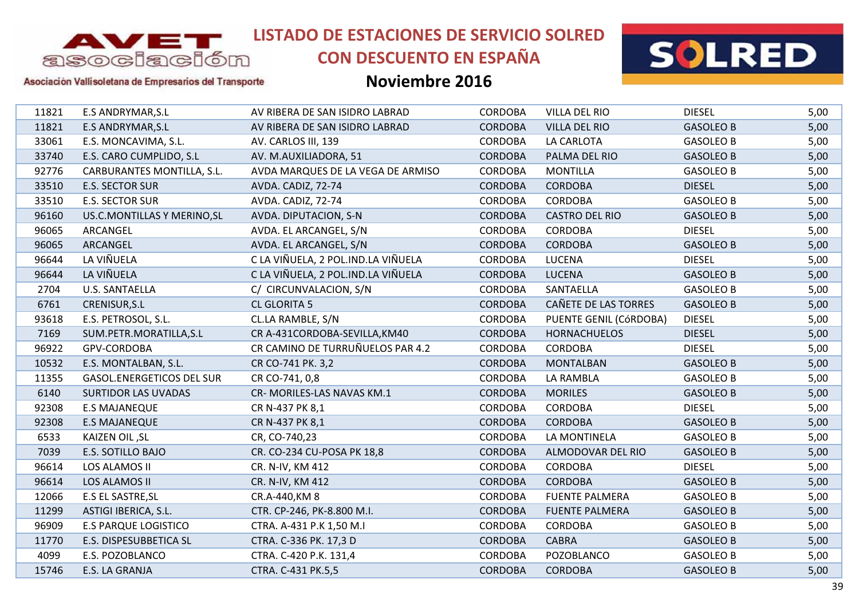

# **CON DESCUENTO EN ESPAÑA**





### Asociación Vallisoletana de Empresarios del Transporte

| <b>Noviembre 2016</b> |  |
|-----------------------|--|
|-----------------------|--|

| 11821 | <b>E.S ANDRYMAR, S.L</b>         | AV RIBERA DE SAN ISIDRO LABRAD     | <b>CORDOBA</b> | <b>VILLA DEL RIO</b>   | <b>DIESEL</b>    | 5,00 |
|-------|----------------------------------|------------------------------------|----------------|------------------------|------------------|------|
| 11821 | <b>E.S ANDRYMAR, S.L</b>         | AV RIBERA DE SAN ISIDRO LABRAD     | <b>CORDOBA</b> | <b>VILLA DEL RIO</b>   | <b>GASOLEO B</b> | 5,00 |
| 33061 | E.S. MONCAVIMA, S.L.             | AV. CARLOS III, 139                | CORDOBA        | LA CARLOTA             | <b>GASOLEO B</b> | 5,00 |
| 33740 | E.S. CARO CUMPLIDO, S.L          | AV. M.AUXILIADORA, 51              | <b>CORDOBA</b> | PALMA DEL RIO          | <b>GASOLEO B</b> | 5,00 |
| 92776 | CARBURANTES MONTILLA, S.L.       | AVDA MARQUES DE LA VEGA DE ARMISO  | <b>CORDOBA</b> | <b>MONTILLA</b>        | <b>GASOLEO B</b> | 5,00 |
| 33510 | <b>E.S. SECTOR SUR</b>           | AVDA. CADIZ, 72-74                 | <b>CORDOBA</b> | <b>CORDOBA</b>         | <b>DIESEL</b>    | 5,00 |
| 33510 | E.S. SECTOR SUR                  | AVDA. CADIZ, 72-74                 | CORDOBA        | CORDOBA                | <b>GASOLEO B</b> | 5,00 |
| 96160 | US.C.MONTILLAS Y MERINO, SL      | AVDA. DIPUTACION, S-N              | <b>CORDOBA</b> | <b>CASTRO DEL RIO</b>  | <b>GASOLEO B</b> | 5,00 |
| 96065 | ARCANGEL                         | AVDA. EL ARCANGEL, S/N             | CORDOBA        | <b>CORDOBA</b>         | <b>DIESEL</b>    | 5,00 |
| 96065 | ARCANGEL                         | AVDA. EL ARCANGEL, S/N             | <b>CORDOBA</b> | <b>CORDOBA</b>         | <b>GASOLEO B</b> | 5,00 |
| 96644 | LA VIÑUELA                       | C LA VIÑUELA, 2 POL.IND.LA VIÑUELA | <b>CORDOBA</b> | <b>LUCENA</b>          | <b>DIESEL</b>    | 5,00 |
| 96644 | LA VIÑUELA                       | C LA VIÑUELA, 2 POL.IND.LA VIÑUELA | <b>CORDOBA</b> | <b>LUCENA</b>          | <b>GASOLEO B</b> | 5,00 |
| 2704  | U.S. SANTAELLA                   | C/ CIRCUNVALACION, S/N             | CORDOBA        | SANTAELLA              | <b>GASOLEO B</b> | 5,00 |
| 6761  | CRENISUR, S.L                    | <b>CL GLORITA 5</b>                | <b>CORDOBA</b> | CAÑETE DE LAS TORRES   | <b>GASOLEO B</b> | 5,00 |
| 93618 | E.S. PETROSOL, S.L.              | CL.LA RAMBLE, S/N                  | CORDOBA        | PUENTE GENIL (CÓRDOBA) | <b>DIESEL</b>    | 5,00 |
| 7169  | SUM.PETR.MORATILLA,S.L           | CR A-431CORDOBA-SEVILLA, KM40      | <b>CORDOBA</b> | <b>HORNACHUELOS</b>    | <b>DIESEL</b>    | 5,00 |
| 96922 | GPV-CORDOBA                      | CR CAMINO DE TURRUÑUELOS PAR 4.2   | <b>CORDOBA</b> | <b>CORDOBA</b>         | <b>DIESEL</b>    | 5,00 |
| 10532 | E.S. MONTALBAN, S.L.             | CR CO-741 PK. 3,2                  | <b>CORDOBA</b> | <b>MONTALBAN</b>       | <b>GASOLEO B</b> | 5,00 |
| 11355 | <b>GASOL.ENERGETICOS DEL SUR</b> | CR CO-741, 0,8                     | CORDOBA        | LA RAMBLA              | <b>GASOLEO B</b> | 5,00 |
| 6140  | <b>SURTIDOR LAS UVADAS</b>       | CR-MORILES-LAS NAVAS KM.1          | <b>CORDOBA</b> | <b>MORILES</b>         | <b>GASOLEO B</b> | 5,00 |
| 92308 | <b>E.S MAJANEQUE</b>             | CR N-437 PK 8,1                    | CORDOBA        | <b>CORDOBA</b>         | <b>DIESEL</b>    | 5,00 |
| 92308 | <b>E.S MAJANEQUE</b>             | CR N-437 PK 8,1                    | <b>CORDOBA</b> | <b>CORDOBA</b>         | <b>GASOLEO B</b> | 5,00 |
| 6533  | KAIZEN OIL, SL                   | CR, CO-740,23                      | <b>CORDOBA</b> | LA MONTINELA           | <b>GASOLEO B</b> | 5,00 |
| 7039  | <b>E.S. SOTILLO BAJO</b>         | CR. CO-234 CU-POSA PK 18,8         | <b>CORDOBA</b> | ALMODOVAR DEL RIO      | <b>GASOLEO B</b> | 5,00 |
| 96614 | LOS ALAMOS II                    | CR. N-IV, KM 412                   | <b>CORDOBA</b> | <b>CORDOBA</b>         | <b>DIESEL</b>    | 5,00 |
| 96614 | LOS ALAMOS II                    | CR. N-IV, KM 412                   | <b>CORDOBA</b> | <b>CORDOBA</b>         | <b>GASOLEO B</b> | 5,00 |
| 12066 | E.S EL SASTRE, SL                | CR.A-440, KM 8                     | <b>CORDOBA</b> | <b>FUENTE PALMERA</b>  | <b>GASOLEO B</b> | 5,00 |
| 11299 | ASTIGI IBERICA, S.L.             | CTR. CP-246, PK-8.800 M.I.         | <b>CORDOBA</b> | <b>FUENTE PALMERA</b>  | <b>GASOLEO B</b> | 5,00 |
| 96909 | <b>E.S PARQUE LOGISTICO</b>      | CTRA. A-431 P.K 1,50 M.I           | <b>CORDOBA</b> | <b>CORDOBA</b>         | <b>GASOLEO B</b> | 5,00 |
| 11770 | E.S. DISPESUBBETICA SL           | CTRA. C-336 PK. 17,3 D             | <b>CORDOBA</b> | <b>CABRA</b>           | <b>GASOLEO B</b> | 5,00 |
| 4099  | E.S. POZOBLANCO                  | CTRA. C-420 P.K. 131,4             | CORDOBA        | POZOBLANCO             | <b>GASOLEO B</b> | 5,00 |
| 15746 | E.S. LA GRANJA                   | CTRA. C-431 PK.5,5                 | <b>CORDOBA</b> | <b>CORDOBA</b>         | <b>GASOLEO B</b> | 5,00 |
|       |                                  |                                    |                |                        |                  |      |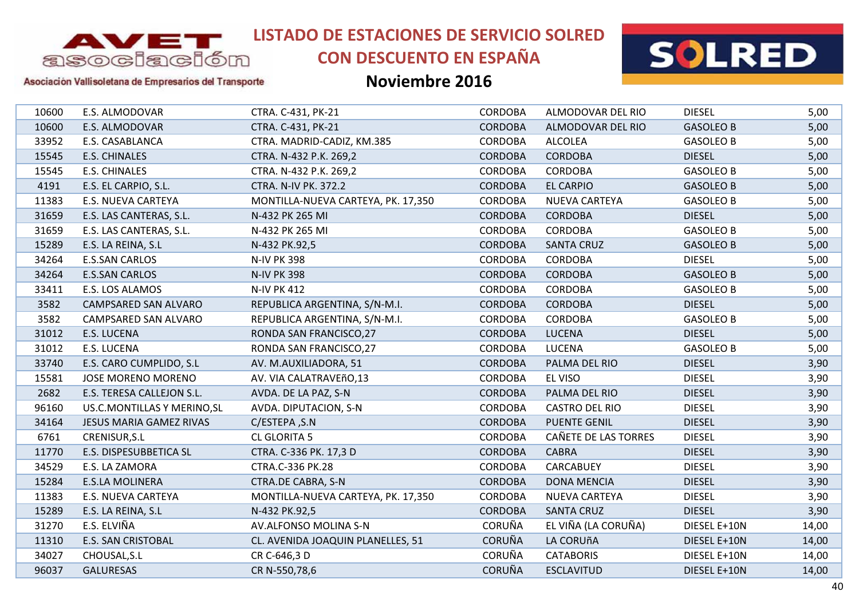

# **CON DESCUENTO EN ESPAÑA**



### Asociación Vallisoletana de Empresarios del Transporte

| 10600 | E.S. ALMODOVAR                 | CTRA. C-431, PK-21                 | <b>CORDOBA</b> | ALMODOVAR DEL RIO    | <b>DIESEL</b>    | 5,00  |
|-------|--------------------------------|------------------------------------|----------------|----------------------|------------------|-------|
| 10600 | E.S. ALMODOVAR                 | CTRA. C-431, PK-21                 | <b>CORDOBA</b> | ALMODOVAR DEL RIO    | <b>GASOLEO B</b> | 5,00  |
| 33952 | E.S. CASABLANCA                | CTRA. MADRID-CADIZ, KM.385         | CORDOBA        | <b>ALCOLEA</b>       | <b>GASOLEO B</b> | 5,00  |
| 15545 | E.S. CHINALES                  | CTRA. N-432 P.K. 269,2             | <b>CORDOBA</b> | <b>CORDOBA</b>       | <b>DIESEL</b>    | 5,00  |
| 15545 | <b>E.S. CHINALES</b>           | CTRA. N-432 P.K. 269,2             | <b>CORDOBA</b> | <b>CORDOBA</b>       | <b>GASOLEO B</b> | 5,00  |
| 4191  | E.S. EL CARPIO, S.L.           | <b>CTRA. N-IV PK. 372.2</b>        | <b>CORDOBA</b> | <b>EL CARPIO</b>     | <b>GASOLEO B</b> | 5,00  |
| 11383 | E.S. NUEVA CARTEYA             | MONTILLA-NUEVA CARTEYA, PK. 17,350 | <b>CORDOBA</b> | NUEVA CARTEYA        | <b>GASOLEO B</b> | 5,00  |
| 31659 | E.S. LAS CANTERAS, S.L.        | N-432 PK 265 MI                    | <b>CORDOBA</b> | <b>CORDOBA</b>       | <b>DIESEL</b>    | 5,00  |
| 31659 | E.S. LAS CANTERAS, S.L.        | N-432 PK 265 MI                    | <b>CORDOBA</b> | <b>CORDOBA</b>       | <b>GASOLEO B</b> | 5,00  |
| 15289 | E.S. LA REINA, S.L             | N-432 PK.92,5                      | <b>CORDOBA</b> | <b>SANTA CRUZ</b>    | <b>GASOLEO B</b> | 5,00  |
| 34264 | <b>E.S.SAN CARLOS</b>          | <b>N-IV PK 398</b>                 | <b>CORDOBA</b> | <b>CORDOBA</b>       | <b>DIESEL</b>    | 5,00  |
| 34264 | <b>E.S.SAN CARLOS</b>          | <b>N-IV PK 398</b>                 | <b>CORDOBA</b> | <b>CORDOBA</b>       | <b>GASOLEO B</b> | 5,00  |
| 33411 | E.S. LOS ALAMOS                | <b>N-IV PK 412</b>                 | CORDOBA        | <b>CORDOBA</b>       | <b>GASOLEO B</b> | 5,00  |
| 3582  | CAMPSARED SAN ALVARO           | REPUBLICA ARGENTINA, S/N-M.I.      | <b>CORDOBA</b> | <b>CORDOBA</b>       | <b>DIESEL</b>    | 5,00  |
| 3582  | CAMPSARED SAN ALVARO           | REPUBLICA ARGENTINA, S/N-M.I.      | <b>CORDOBA</b> | <b>CORDOBA</b>       | <b>GASOLEO B</b> | 5,00  |
| 31012 | E.S. LUCENA                    | RONDA SAN FRANCISCO, 27            | <b>CORDOBA</b> | <b>LUCENA</b>        | <b>DIESEL</b>    | 5,00  |
| 31012 | E.S. LUCENA                    | RONDA SAN FRANCISCO, 27            | <b>CORDOBA</b> | <b>LUCENA</b>        | <b>GASOLEO B</b> | 5,00  |
| 33740 | E.S. CARO CUMPLIDO, S.L        | AV. M.AUXILIADORA, 51              | <b>CORDOBA</b> | PALMA DEL RIO        | <b>DIESEL</b>    | 3,90  |
| 15581 | <b>JOSE MORENO MORENO</b>      | AV. VIA CALATRAVEñO,13             | CORDOBA        | EL VISO              | <b>DIESEL</b>    | 3,90  |
| 2682  | E.S. TERESA CALLEJON S.L.      | AVDA. DE LA PAZ, S-N               | <b>CORDOBA</b> | PALMA DEL RIO        | <b>DIESEL</b>    | 3,90  |
| 96160 | US.C.MONTILLAS Y MERINO, SL    | AVDA. DIPUTACION, S-N              | CORDOBA        | CASTRO DEL RIO       | <b>DIESEL</b>    | 3,90  |
| 34164 | <b>JESUS MARIA GAMEZ RIVAS</b> | C/ESTEPA, S.N                      | <b>CORDOBA</b> | <b>PUENTE GENIL</b>  | <b>DIESEL</b>    | 3,90  |
| 6761  | CRENISUR, S.L                  | CL GLORITA 5                       | <b>CORDOBA</b> | CAÑETE DE LAS TORRES | <b>DIESEL</b>    | 3,90  |
| 11770 | E.S. DISPESUBBETICA SL         | CTRA. C-336 PK. 17,3 D             | <b>CORDOBA</b> | <b>CABRA</b>         | <b>DIESEL</b>    | 3,90  |
| 34529 | E.S. LA ZAMORA                 | CTRA.C-336 PK.28                   | <b>CORDOBA</b> | CARCABUEY            | <b>DIESEL</b>    | 3,90  |
| 15284 | <b>E.S.LA MOLINERA</b>         | <b>CTRA.DE CABRA, S-N</b>          | <b>CORDOBA</b> | <b>DONA MENCIA</b>   | <b>DIESEL</b>    | 3,90  |
| 11383 | E.S. NUEVA CARTEYA             | MONTILLA-NUEVA CARTEYA, PK. 17,350 | CORDOBA        | NUEVA CARTEYA        | <b>DIESEL</b>    | 3,90  |
| 15289 | E.S. LA REINA, S.L             | N-432 PK.92,5                      | <b>CORDOBA</b> | <b>SANTA CRUZ</b>    | <b>DIESEL</b>    | 3,90  |
| 31270 | E.S. ELVIÑA                    | AV.ALFONSO MOLINA S-N              | <b>CORUÑA</b>  | EL VIÑA (LA CORUÑA)  | DIESEL E+10N     | 14,00 |
| 11310 | <b>E.S. SAN CRISTOBAL</b>      | CL. AVENIDA JOAQUIN PLANELLES, 51  | <b>CORUÑA</b>  | LA CORUñA            | DIESEL E+10N     | 14,00 |
| 34027 | CHOUSAL, S.L                   | CR C-646,3 D                       | CORUÑA         | <b>CATABORIS</b>     | DIESEL E+10N     | 14,00 |
| 96037 | <b>GALURESAS</b>               | CR N-550,78,6                      | <b>CORUÑA</b>  | <b>ESCLAVITUD</b>    | DIESEL E+10N     | 14,00 |
|       |                                |                                    |                |                      |                  |       |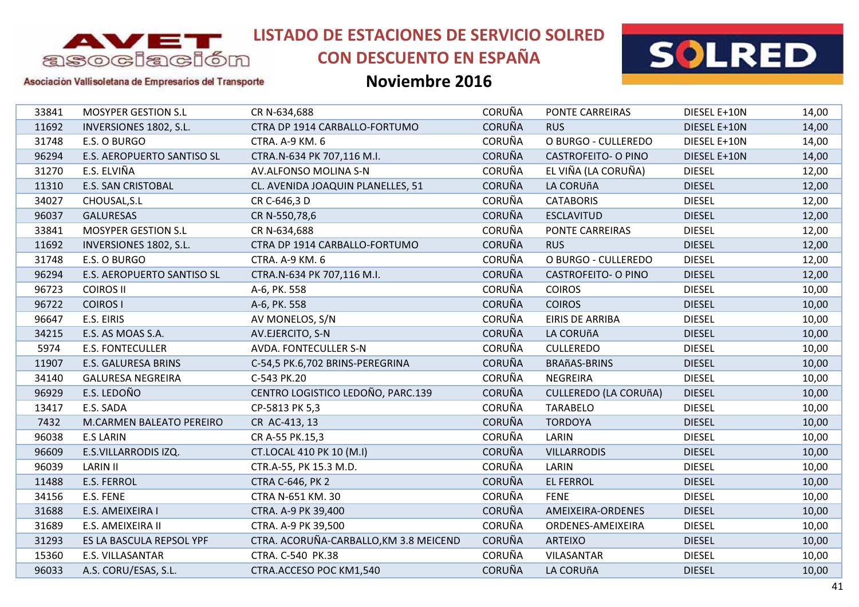

# **CON DESCUENTO EN ESPAÑA**



### Asociación Vallisoletana de Empresarios del Transporte

| <b>CORUÑA</b><br>11692<br>INVERSIONES 1802, S.L.<br>CTRA DP 1914 CARBALLO-FORTUMO<br><b>RUS</b><br>DIESEL E+10N<br><b>CORUÑA</b><br>O BURGO - CULLEREDO<br>31748<br>E.S. O BURGO<br>CTRA. A-9 KM. 6<br>DIESEL E+10N<br><b>CORUÑA</b><br>96294<br><b>E.S. AEROPUERTO SANTISO SL</b><br>CTRA.N-634 PK 707,116 M.I.<br><b>CASTROFEITO- O PINO</b><br>DIESEL E+10N<br>E.S. ELVIÑA<br><b>CORUÑA</b><br>EL VIÑA (LA CORUÑA)<br>AV.ALFONSO MOLINA S-N<br>31270<br><b>DIESEL</b><br><b>CORUÑA</b><br>LA CORUñA<br><b>DIESEL</b><br>11310<br><b>E.S. SAN CRISTOBAL</b><br>CL. AVENIDA JOAQUIN PLANELLES, 51<br><b>CORUÑA</b><br>34027<br>CHOUSAL, S.L<br>CR C-646,3 D<br><b>CATABORIS</b><br><b>DIESEL</b><br><b>CORUÑA</b><br><b>DIESEL</b><br>96037<br><b>GALURESAS</b><br><b>ESCLAVITUD</b><br>CR N-550,78,6<br><b>CORUÑA</b><br><b>MOSYPER GESTION S.L</b><br><b>DIESEL</b><br>33841<br>CR N-634,688<br><b>PONTE CARREIRAS</b><br><b>CORUÑA</b><br>11692<br>INVERSIONES 1802, S.L.<br>CTRA DP 1914 CARBALLO-FORTUMO<br><b>RUS</b><br><b>DIESEL</b><br><b>CORUÑA</b><br><b>DIESEL</b><br>31748<br>E.S. O BURGO<br>CTRA. A-9 KM. 6<br>O BURGO - CULLEREDO<br><b>CORUÑA</b><br>96294<br><b>E.S. AEROPUERTO SANTISO SL</b><br>CTRA.N-634 PK 707,116 M.I.<br><b>CASTROFEITO- O PINO</b><br><b>DIESEL</b><br><b>CORUÑA</b><br><b>DIESEL</b><br>96723<br><b>COIROS II</b><br>A-6, PK. 558<br><b>COIROS</b><br><b>CORUÑA</b><br><b>COIROS I</b><br><b>COIROS</b><br><b>DIESEL</b><br>96722<br>A-6, PK. 558<br><b>CORUÑA</b><br><b>DIESEL</b><br>96647<br>E.S. EIRIS<br>AV MONELOS, S/N<br><b>EIRIS DE ARRIBA</b><br><b>CORUÑA</b><br><b>DIESEL</b><br>34215<br>E.S. AS MOAS S.A.<br>AV.EJERCITO, S-N<br>LA CORUñA<br><b>CORUÑA</b><br>5974<br><b>E.S. FONTECULLER</b><br>AVDA. FONTECULLER S-N<br><b>CULLEREDO</b><br><b>DIESEL</b><br><b>CORUÑA</b><br><b>E.S. GALURESA BRINS</b><br><b>DIESEL</b><br>11907<br>C-54,5 PK.6,702 BRINS-PEREGRINA<br><b>BRAñAS-BRINS</b><br>CORUÑA<br>34140<br><b>GALURESA NEGREIRA</b><br>C-543 PK.20<br><b>NEGREIRA</b><br><b>DIESEL</b><br>CENTRO LOGISTICO LEDOÑO, PARC.139<br><b>CORUÑA</b><br>E.S. LEDOÑO<br>96929<br><b>CULLEREDO (LA CORUñA)</b><br><b>DIESEL</b><br>CORUÑA<br>E.S. SADA<br>CP-5813 PK 5,3<br><b>TARABELO</b><br><b>DIESEL</b><br>13417<br><b>CORUÑA</b><br>7432<br><b>TORDOYA</b><br><b>DIESEL</b><br><b>M.CARMEN BALEATO PEREIRO</b><br>CR AC-413, 13<br><b>CORUÑA</b><br>96038<br><b>E.S LARIN</b><br>CR A-55 PK.15,3<br>LARIN<br><b>DIESEL</b><br><b>CORUÑA</b><br>96609<br>E.S.VILLARRODIS IZQ.<br><b>DIESEL</b><br>CT.LOCAL 410 PK 10 (M.I)<br><b>VILLARRODIS</b><br><b>CORUÑA</b><br>96039<br><b>LARIN II</b><br>CTR.A-55, PK 15.3 M.D.<br>LARIN<br><b>DIESEL</b><br><b>CORUÑA</b><br><b>EL FERROL</b><br>11488<br>E.S. FERROL<br><b>CTRA C-646, PK 2</b><br><b>DIESEL</b><br><b>CORUÑA</b><br>E.S. FENE<br><b>FENE</b><br><b>DIESEL</b><br>34156<br>CTRA N-651 KM. 30<br><b>CORUÑA</b><br>31688<br>E.S. AMEIXEIRA I<br>CTRA. A-9 PK 39,400<br>AMEIXEIRA-ORDENES<br><b>DIESEL</b><br><b>CORUÑA</b><br>31689<br>E.S. AMEIXEIRA II<br>CTRA. A-9 PK 39,500<br>ORDENES-AMEIXEIRA<br><b>DIESEL</b><br><b>CORUÑA</b><br>CTRA. ACORUÑA-CARBALLO, KM 3.8 MEICEND<br>31293<br>ES LA BASCULA REPSOL YPF<br><b>ARTEIXO</b><br><b>DIESEL</b><br><b>CORUÑA</b><br>15360<br>E.S. VILLASANTAR<br>CTRA. C-540 PK.38<br>VILASANTAR<br><b>DIESEL</b> | 33841 | <b>MOSYPER GESTION S.L</b> | CR N-634,688            | <b>CORUÑA</b> | <b>PONTE CARREIRAS</b> | DIESEL E+10N  | 14,00 |
|------------------------------------------------------------------------------------------------------------------------------------------------------------------------------------------------------------------------------------------------------------------------------------------------------------------------------------------------------------------------------------------------------------------------------------------------------------------------------------------------------------------------------------------------------------------------------------------------------------------------------------------------------------------------------------------------------------------------------------------------------------------------------------------------------------------------------------------------------------------------------------------------------------------------------------------------------------------------------------------------------------------------------------------------------------------------------------------------------------------------------------------------------------------------------------------------------------------------------------------------------------------------------------------------------------------------------------------------------------------------------------------------------------------------------------------------------------------------------------------------------------------------------------------------------------------------------------------------------------------------------------------------------------------------------------------------------------------------------------------------------------------------------------------------------------------------------------------------------------------------------------------------------------------------------------------------------------------------------------------------------------------------------------------------------------------------------------------------------------------------------------------------------------------------------------------------------------------------------------------------------------------------------------------------------------------------------------------------------------------------------------------------------------------------------------------------------------------------------------------------------------------------------------------------------------------------------------------------------------------------------------------------------------------------------------------------------------------------------------------------------------------------------------------------------------------------------------------------------------------------------------------------------------------------------------------------------------------------------------------------------------------------------------------------------------------------------------------------------------------------------------------------------------------------------------------------------------------------------------------------------------------------------------------------------------------------------------------------------------------------------------|-------|----------------------------|-------------------------|---------------|------------------------|---------------|-------|
|                                                                                                                                                                                                                                                                                                                                                                                                                                                                                                                                                                                                                                                                                                                                                                                                                                                                                                                                                                                                                                                                                                                                                                                                                                                                                                                                                                                                                                                                                                                                                                                                                                                                                                                                                                                                                                                                                                                                                                                                                                                                                                                                                                                                                                                                                                                                                                                                                                                                                                                                                                                                                                                                                                                                                                                                                                                                                                                                                                                                                                                                                                                                                                                                                                                                                                                                                                                    |       |                            |                         |               |                        |               | 14,00 |
|                                                                                                                                                                                                                                                                                                                                                                                                                                                                                                                                                                                                                                                                                                                                                                                                                                                                                                                                                                                                                                                                                                                                                                                                                                                                                                                                                                                                                                                                                                                                                                                                                                                                                                                                                                                                                                                                                                                                                                                                                                                                                                                                                                                                                                                                                                                                                                                                                                                                                                                                                                                                                                                                                                                                                                                                                                                                                                                                                                                                                                                                                                                                                                                                                                                                                                                                                                                    |       |                            |                         |               |                        |               | 14,00 |
|                                                                                                                                                                                                                                                                                                                                                                                                                                                                                                                                                                                                                                                                                                                                                                                                                                                                                                                                                                                                                                                                                                                                                                                                                                                                                                                                                                                                                                                                                                                                                                                                                                                                                                                                                                                                                                                                                                                                                                                                                                                                                                                                                                                                                                                                                                                                                                                                                                                                                                                                                                                                                                                                                                                                                                                                                                                                                                                                                                                                                                                                                                                                                                                                                                                                                                                                                                                    |       |                            |                         |               |                        |               | 14,00 |
|                                                                                                                                                                                                                                                                                                                                                                                                                                                                                                                                                                                                                                                                                                                                                                                                                                                                                                                                                                                                                                                                                                                                                                                                                                                                                                                                                                                                                                                                                                                                                                                                                                                                                                                                                                                                                                                                                                                                                                                                                                                                                                                                                                                                                                                                                                                                                                                                                                                                                                                                                                                                                                                                                                                                                                                                                                                                                                                                                                                                                                                                                                                                                                                                                                                                                                                                                                                    |       |                            |                         |               |                        |               | 12,00 |
|                                                                                                                                                                                                                                                                                                                                                                                                                                                                                                                                                                                                                                                                                                                                                                                                                                                                                                                                                                                                                                                                                                                                                                                                                                                                                                                                                                                                                                                                                                                                                                                                                                                                                                                                                                                                                                                                                                                                                                                                                                                                                                                                                                                                                                                                                                                                                                                                                                                                                                                                                                                                                                                                                                                                                                                                                                                                                                                                                                                                                                                                                                                                                                                                                                                                                                                                                                                    |       |                            |                         |               |                        |               | 12,00 |
|                                                                                                                                                                                                                                                                                                                                                                                                                                                                                                                                                                                                                                                                                                                                                                                                                                                                                                                                                                                                                                                                                                                                                                                                                                                                                                                                                                                                                                                                                                                                                                                                                                                                                                                                                                                                                                                                                                                                                                                                                                                                                                                                                                                                                                                                                                                                                                                                                                                                                                                                                                                                                                                                                                                                                                                                                                                                                                                                                                                                                                                                                                                                                                                                                                                                                                                                                                                    |       |                            |                         |               |                        |               | 12,00 |
|                                                                                                                                                                                                                                                                                                                                                                                                                                                                                                                                                                                                                                                                                                                                                                                                                                                                                                                                                                                                                                                                                                                                                                                                                                                                                                                                                                                                                                                                                                                                                                                                                                                                                                                                                                                                                                                                                                                                                                                                                                                                                                                                                                                                                                                                                                                                                                                                                                                                                                                                                                                                                                                                                                                                                                                                                                                                                                                                                                                                                                                                                                                                                                                                                                                                                                                                                                                    |       |                            |                         |               |                        |               | 12,00 |
|                                                                                                                                                                                                                                                                                                                                                                                                                                                                                                                                                                                                                                                                                                                                                                                                                                                                                                                                                                                                                                                                                                                                                                                                                                                                                                                                                                                                                                                                                                                                                                                                                                                                                                                                                                                                                                                                                                                                                                                                                                                                                                                                                                                                                                                                                                                                                                                                                                                                                                                                                                                                                                                                                                                                                                                                                                                                                                                                                                                                                                                                                                                                                                                                                                                                                                                                                                                    |       |                            |                         |               |                        |               | 12,00 |
|                                                                                                                                                                                                                                                                                                                                                                                                                                                                                                                                                                                                                                                                                                                                                                                                                                                                                                                                                                                                                                                                                                                                                                                                                                                                                                                                                                                                                                                                                                                                                                                                                                                                                                                                                                                                                                                                                                                                                                                                                                                                                                                                                                                                                                                                                                                                                                                                                                                                                                                                                                                                                                                                                                                                                                                                                                                                                                                                                                                                                                                                                                                                                                                                                                                                                                                                                                                    |       |                            |                         |               |                        |               | 12,00 |
|                                                                                                                                                                                                                                                                                                                                                                                                                                                                                                                                                                                                                                                                                                                                                                                                                                                                                                                                                                                                                                                                                                                                                                                                                                                                                                                                                                                                                                                                                                                                                                                                                                                                                                                                                                                                                                                                                                                                                                                                                                                                                                                                                                                                                                                                                                                                                                                                                                                                                                                                                                                                                                                                                                                                                                                                                                                                                                                                                                                                                                                                                                                                                                                                                                                                                                                                                                                    |       |                            |                         |               |                        |               | 12,00 |
|                                                                                                                                                                                                                                                                                                                                                                                                                                                                                                                                                                                                                                                                                                                                                                                                                                                                                                                                                                                                                                                                                                                                                                                                                                                                                                                                                                                                                                                                                                                                                                                                                                                                                                                                                                                                                                                                                                                                                                                                                                                                                                                                                                                                                                                                                                                                                                                                                                                                                                                                                                                                                                                                                                                                                                                                                                                                                                                                                                                                                                                                                                                                                                                                                                                                                                                                                                                    |       |                            |                         |               |                        |               | 12,00 |
|                                                                                                                                                                                                                                                                                                                                                                                                                                                                                                                                                                                                                                                                                                                                                                                                                                                                                                                                                                                                                                                                                                                                                                                                                                                                                                                                                                                                                                                                                                                                                                                                                                                                                                                                                                                                                                                                                                                                                                                                                                                                                                                                                                                                                                                                                                                                                                                                                                                                                                                                                                                                                                                                                                                                                                                                                                                                                                                                                                                                                                                                                                                                                                                                                                                                                                                                                                                    |       |                            |                         |               |                        |               | 10,00 |
|                                                                                                                                                                                                                                                                                                                                                                                                                                                                                                                                                                                                                                                                                                                                                                                                                                                                                                                                                                                                                                                                                                                                                                                                                                                                                                                                                                                                                                                                                                                                                                                                                                                                                                                                                                                                                                                                                                                                                                                                                                                                                                                                                                                                                                                                                                                                                                                                                                                                                                                                                                                                                                                                                                                                                                                                                                                                                                                                                                                                                                                                                                                                                                                                                                                                                                                                                                                    |       |                            |                         |               |                        |               | 10,00 |
|                                                                                                                                                                                                                                                                                                                                                                                                                                                                                                                                                                                                                                                                                                                                                                                                                                                                                                                                                                                                                                                                                                                                                                                                                                                                                                                                                                                                                                                                                                                                                                                                                                                                                                                                                                                                                                                                                                                                                                                                                                                                                                                                                                                                                                                                                                                                                                                                                                                                                                                                                                                                                                                                                                                                                                                                                                                                                                                                                                                                                                                                                                                                                                                                                                                                                                                                                                                    |       |                            |                         |               |                        |               | 10,00 |
|                                                                                                                                                                                                                                                                                                                                                                                                                                                                                                                                                                                                                                                                                                                                                                                                                                                                                                                                                                                                                                                                                                                                                                                                                                                                                                                                                                                                                                                                                                                                                                                                                                                                                                                                                                                                                                                                                                                                                                                                                                                                                                                                                                                                                                                                                                                                                                                                                                                                                                                                                                                                                                                                                                                                                                                                                                                                                                                                                                                                                                                                                                                                                                                                                                                                                                                                                                                    |       |                            |                         |               |                        |               | 10,00 |
|                                                                                                                                                                                                                                                                                                                                                                                                                                                                                                                                                                                                                                                                                                                                                                                                                                                                                                                                                                                                                                                                                                                                                                                                                                                                                                                                                                                                                                                                                                                                                                                                                                                                                                                                                                                                                                                                                                                                                                                                                                                                                                                                                                                                                                                                                                                                                                                                                                                                                                                                                                                                                                                                                                                                                                                                                                                                                                                                                                                                                                                                                                                                                                                                                                                                                                                                                                                    |       |                            |                         |               |                        |               | 10,00 |
|                                                                                                                                                                                                                                                                                                                                                                                                                                                                                                                                                                                                                                                                                                                                                                                                                                                                                                                                                                                                                                                                                                                                                                                                                                                                                                                                                                                                                                                                                                                                                                                                                                                                                                                                                                                                                                                                                                                                                                                                                                                                                                                                                                                                                                                                                                                                                                                                                                                                                                                                                                                                                                                                                                                                                                                                                                                                                                                                                                                                                                                                                                                                                                                                                                                                                                                                                                                    |       |                            |                         |               |                        |               | 10,00 |
|                                                                                                                                                                                                                                                                                                                                                                                                                                                                                                                                                                                                                                                                                                                                                                                                                                                                                                                                                                                                                                                                                                                                                                                                                                                                                                                                                                                                                                                                                                                                                                                                                                                                                                                                                                                                                                                                                                                                                                                                                                                                                                                                                                                                                                                                                                                                                                                                                                                                                                                                                                                                                                                                                                                                                                                                                                                                                                                                                                                                                                                                                                                                                                                                                                                                                                                                                                                    |       |                            |                         |               |                        |               | 10,00 |
|                                                                                                                                                                                                                                                                                                                                                                                                                                                                                                                                                                                                                                                                                                                                                                                                                                                                                                                                                                                                                                                                                                                                                                                                                                                                                                                                                                                                                                                                                                                                                                                                                                                                                                                                                                                                                                                                                                                                                                                                                                                                                                                                                                                                                                                                                                                                                                                                                                                                                                                                                                                                                                                                                                                                                                                                                                                                                                                                                                                                                                                                                                                                                                                                                                                                                                                                                                                    |       |                            |                         |               |                        |               | 10,00 |
|                                                                                                                                                                                                                                                                                                                                                                                                                                                                                                                                                                                                                                                                                                                                                                                                                                                                                                                                                                                                                                                                                                                                                                                                                                                                                                                                                                                                                                                                                                                                                                                                                                                                                                                                                                                                                                                                                                                                                                                                                                                                                                                                                                                                                                                                                                                                                                                                                                                                                                                                                                                                                                                                                                                                                                                                                                                                                                                                                                                                                                                                                                                                                                                                                                                                                                                                                                                    |       |                            |                         |               |                        |               | 10,00 |
|                                                                                                                                                                                                                                                                                                                                                                                                                                                                                                                                                                                                                                                                                                                                                                                                                                                                                                                                                                                                                                                                                                                                                                                                                                                                                                                                                                                                                                                                                                                                                                                                                                                                                                                                                                                                                                                                                                                                                                                                                                                                                                                                                                                                                                                                                                                                                                                                                                                                                                                                                                                                                                                                                                                                                                                                                                                                                                                                                                                                                                                                                                                                                                                                                                                                                                                                                                                    |       |                            |                         |               |                        |               | 10,00 |
|                                                                                                                                                                                                                                                                                                                                                                                                                                                                                                                                                                                                                                                                                                                                                                                                                                                                                                                                                                                                                                                                                                                                                                                                                                                                                                                                                                                                                                                                                                                                                                                                                                                                                                                                                                                                                                                                                                                                                                                                                                                                                                                                                                                                                                                                                                                                                                                                                                                                                                                                                                                                                                                                                                                                                                                                                                                                                                                                                                                                                                                                                                                                                                                                                                                                                                                                                                                    |       |                            |                         |               |                        |               | 10,00 |
|                                                                                                                                                                                                                                                                                                                                                                                                                                                                                                                                                                                                                                                                                                                                                                                                                                                                                                                                                                                                                                                                                                                                                                                                                                                                                                                                                                                                                                                                                                                                                                                                                                                                                                                                                                                                                                                                                                                                                                                                                                                                                                                                                                                                                                                                                                                                                                                                                                                                                                                                                                                                                                                                                                                                                                                                                                                                                                                                                                                                                                                                                                                                                                                                                                                                                                                                                                                    |       |                            |                         |               |                        |               | 10,00 |
|                                                                                                                                                                                                                                                                                                                                                                                                                                                                                                                                                                                                                                                                                                                                                                                                                                                                                                                                                                                                                                                                                                                                                                                                                                                                                                                                                                                                                                                                                                                                                                                                                                                                                                                                                                                                                                                                                                                                                                                                                                                                                                                                                                                                                                                                                                                                                                                                                                                                                                                                                                                                                                                                                                                                                                                                                                                                                                                                                                                                                                                                                                                                                                                                                                                                                                                                                                                    |       |                            |                         |               |                        |               | 10,00 |
|                                                                                                                                                                                                                                                                                                                                                                                                                                                                                                                                                                                                                                                                                                                                                                                                                                                                                                                                                                                                                                                                                                                                                                                                                                                                                                                                                                                                                                                                                                                                                                                                                                                                                                                                                                                                                                                                                                                                                                                                                                                                                                                                                                                                                                                                                                                                                                                                                                                                                                                                                                                                                                                                                                                                                                                                                                                                                                                                                                                                                                                                                                                                                                                                                                                                                                                                                                                    |       |                            |                         |               |                        |               | 10,00 |
|                                                                                                                                                                                                                                                                                                                                                                                                                                                                                                                                                                                                                                                                                                                                                                                                                                                                                                                                                                                                                                                                                                                                                                                                                                                                                                                                                                                                                                                                                                                                                                                                                                                                                                                                                                                                                                                                                                                                                                                                                                                                                                                                                                                                                                                                                                                                                                                                                                                                                                                                                                                                                                                                                                                                                                                                                                                                                                                                                                                                                                                                                                                                                                                                                                                                                                                                                                                    |       |                            |                         |               |                        |               | 10,00 |
|                                                                                                                                                                                                                                                                                                                                                                                                                                                                                                                                                                                                                                                                                                                                                                                                                                                                                                                                                                                                                                                                                                                                                                                                                                                                                                                                                                                                                                                                                                                                                                                                                                                                                                                                                                                                                                                                                                                                                                                                                                                                                                                                                                                                                                                                                                                                                                                                                                                                                                                                                                                                                                                                                                                                                                                                                                                                                                                                                                                                                                                                                                                                                                                                                                                                                                                                                                                    |       |                            |                         |               |                        |               | 10,00 |
|                                                                                                                                                                                                                                                                                                                                                                                                                                                                                                                                                                                                                                                                                                                                                                                                                                                                                                                                                                                                                                                                                                                                                                                                                                                                                                                                                                                                                                                                                                                                                                                                                                                                                                                                                                                                                                                                                                                                                                                                                                                                                                                                                                                                                                                                                                                                                                                                                                                                                                                                                                                                                                                                                                                                                                                                                                                                                                                                                                                                                                                                                                                                                                                                                                                                                                                                                                                    |       |                            |                         |               |                        |               | 10,00 |
|                                                                                                                                                                                                                                                                                                                                                                                                                                                                                                                                                                                                                                                                                                                                                                                                                                                                                                                                                                                                                                                                                                                                                                                                                                                                                                                                                                                                                                                                                                                                                                                                                                                                                                                                                                                                                                                                                                                                                                                                                                                                                                                                                                                                                                                                                                                                                                                                                                                                                                                                                                                                                                                                                                                                                                                                                                                                                                                                                                                                                                                                                                                                                                                                                                                                                                                                                                                    |       |                            |                         |               |                        |               | 10,00 |
|                                                                                                                                                                                                                                                                                                                                                                                                                                                                                                                                                                                                                                                                                                                                                                                                                                                                                                                                                                                                                                                                                                                                                                                                                                                                                                                                                                                                                                                                                                                                                                                                                                                                                                                                                                                                                                                                                                                                                                                                                                                                                                                                                                                                                                                                                                                                                                                                                                                                                                                                                                                                                                                                                                                                                                                                                                                                                                                                                                                                                                                                                                                                                                                                                                                                                                                                                                                    |       |                            |                         |               |                        |               | 10,00 |
|                                                                                                                                                                                                                                                                                                                                                                                                                                                                                                                                                                                                                                                                                                                                                                                                                                                                                                                                                                                                                                                                                                                                                                                                                                                                                                                                                                                                                                                                                                                                                                                                                                                                                                                                                                                                                                                                                                                                                                                                                                                                                                                                                                                                                                                                                                                                                                                                                                                                                                                                                                                                                                                                                                                                                                                                                                                                                                                                                                                                                                                                                                                                                                                                                                                                                                                                                                                    | 96033 | A.S. CORU/ESAS, S.L.       | CTRA.ACCESO POC KM1,540 | <b>CORUÑA</b> | LA CORUñA              | <b>DIESEL</b> | 10,00 |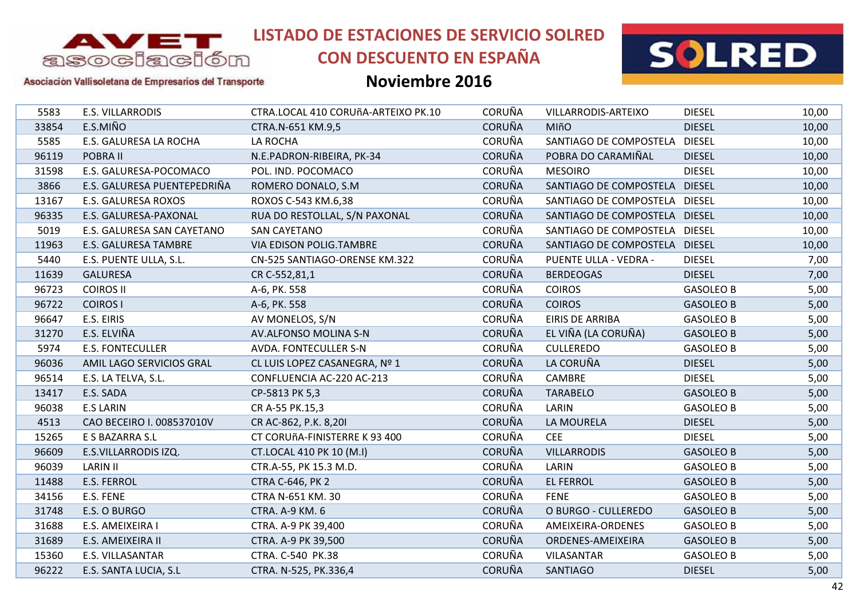

# **CON DESCUENTO EN ESPAÑA**

### **Noviembre 2016**



Asociación Vallisoletana de Empresarios del Transporte

| 5583  | E.S. VILLARRODIS            | CTRA.LOCAL 410 CORUñA-ARTEIXO PK.10 | <b>CORUÑA</b> | VILLARRODIS-ARTEIXO           | <b>DIESEL</b>    | 10,00 |
|-------|-----------------------------|-------------------------------------|---------------|-------------------------------|------------------|-------|
| 33854 | E.S.MIÑO                    | CTRA.N-651 KM.9,5                   | <b>CORUÑA</b> | <b>MIñO</b>                   | <b>DIESEL</b>    | 10,00 |
| 5585  | E.S. GALURESA LA ROCHA      | LA ROCHA                            | <b>CORUÑA</b> | SANTIAGO DE COMPOSTELA        | <b>DIESEL</b>    | 10,00 |
| 96119 | POBRA II                    | N.E.PADRON-RIBEIRA, PK-34           | <b>CORUÑA</b> | POBRA DO CARAMIÑAL            | <b>DIESEL</b>    | 10,00 |
| 31598 | E.S. GALURESA-POCOMACO      | POL. IND. POCOMACO                  | <b>CORUÑA</b> | <b>MESOIRO</b>                | <b>DIESEL</b>    | 10,00 |
| 3866  | E.S. GALURESA PUENTEPEDRIÑA | ROMERO DONALO, S.M.                 | <b>CORUÑA</b> | SANTIAGO DE COMPOSTELA DIESEL |                  | 10,00 |
| 13167 | E.S. GALURESA ROXOS         | ROXOS C-543 KM.6,38                 | <b>CORUÑA</b> | SANTIAGO DE COMPOSTELA DIESEL |                  | 10,00 |
| 96335 | E.S. GALURESA-PAXONAL       | RUA DO RESTOLLAL, S/N PAXONAL       | <b>CORUÑA</b> | SANTIAGO DE COMPOSTELA DIESEL |                  | 10,00 |
| 5019  | E.S. GALURESA SAN CAYETANO  | <b>SAN CAYETANO</b>                 | <b>CORUÑA</b> | SANTIAGO DE COMPOSTELA DIESEL |                  | 10,00 |
| 11963 | E.S. GALURESA TAMBRE        | VIA EDISON POLIG.TAMBRE             | <b>CORUÑA</b> | SANTIAGO DE COMPOSTELA DIESEL |                  | 10,00 |
| 5440  | E.S. PUENTE ULLA, S.L.      | CN-525 SANTIAGO-ORENSE KM.322       | <b>CORUÑA</b> | PUENTE ULLA - VEDRA -         | <b>DIESEL</b>    | 7,00  |
| 11639 | <b>GALURESA</b>             | CR C-552,81,1                       | <b>CORUÑA</b> | <b>BERDEOGAS</b>              | <b>DIESEL</b>    | 7,00  |
| 96723 | <b>COIROS II</b>            | A-6, PK. 558                        | <b>CORUÑA</b> | <b>COIROS</b>                 | <b>GASOLEO B</b> | 5,00  |
| 96722 | <b>COIROS I</b>             | A-6, PK. 558                        | <b>CORUÑA</b> | <b>COIROS</b>                 | <b>GASOLEO B</b> | 5,00  |
| 96647 | E.S. EIRIS                  | AV MONELOS, S/N                     | <b>CORUÑA</b> | <b>EIRIS DE ARRIBA</b>        | <b>GASOLEO B</b> | 5,00  |
| 31270 | E.S. ELVIÑA                 | AV.ALFONSO MOLINA S-N               | <b>CORUÑA</b> | EL VIÑA (LA CORUÑA)           | <b>GASOLEO B</b> | 5,00  |
| 5974  | <b>E.S. FONTECULLER</b>     | AVDA. FONTECULLER S-N               | <b>CORUÑA</b> | <b>CULLEREDO</b>              | <b>GASOLEO B</b> | 5,00  |
| 96036 | AMIL LAGO SERVICIOS GRAL    | CL LUIS LOPEZ CASANEGRA, Nº 1       | <b>CORUÑA</b> | LA CORUÑA                     | <b>DIESEL</b>    | 5,00  |
| 96514 | E.S. LA TELVA, S.L.         | CONFLUENCIA AC-220 AC-213           | <b>CORUÑA</b> | CAMBRE                        | <b>DIESEL</b>    | 5,00  |
| 13417 | E.S. SADA                   | CP-5813 PK 5,3                      | <b>CORUÑA</b> | <b>TARABELO</b>               | <b>GASOLEO B</b> | 5,00  |
| 96038 | <b>E.S LARIN</b>            | CR A-55 PK.15,3                     | <b>CORUÑA</b> | LARIN                         | <b>GASOLEO B</b> | 5,00  |
| 4513  | CAO BECEIRO I. 008537010V   | CR AC-862, P.K. 8,201               | <b>CORUÑA</b> | <b>LA MOURELA</b>             | <b>DIESEL</b>    | 5,00  |
| 15265 | E S BAZARRA S.L             | CT CORUñA-FINISTERRE K 93 400       | <b>CORUÑA</b> | <b>CEE</b>                    | <b>DIESEL</b>    | 5,00  |
| 96609 | E.S.VILLARRODIS IZQ.        | CT.LOCAL 410 PK 10 (M.I)            | <b>CORUÑA</b> | <b>VILLARRODIS</b>            | <b>GASOLEO B</b> | 5,00  |
| 96039 | <b>LARIN II</b>             | CTR.A-55, PK 15.3 M.D.              | <b>CORUÑA</b> | LARIN                         | <b>GASOLEO B</b> | 5,00  |
| 11488 | E.S. FERROL                 | <b>CTRA C-646, PK 2</b>             | <b>CORUÑA</b> | <b>EL FERROL</b>              | <b>GASOLEO B</b> | 5,00  |
| 34156 | E.S. FENE                   | CTRA N-651 KM. 30                   | <b>CORUÑA</b> | <b>FENE</b>                   | <b>GASOLEO B</b> | 5,00  |
| 31748 | E.S. O BURGO                | <b>CTRA. A-9 KM. 6</b>              | <b>CORUÑA</b> | O BURGO - CULLEREDO           | <b>GASOLEO B</b> | 5,00  |
| 31688 | E.S. AMEIXEIRA I            | CTRA. A-9 PK 39,400                 | <b>CORUÑA</b> | AMEIXEIRA-ORDENES             | <b>GASOLEO B</b> | 5,00  |
| 31689 | E.S. AMEIXEIRA II           | CTRA. A-9 PK 39,500                 | <b>CORUÑA</b> | ORDENES-AMEIXEIRA             | <b>GASOLEO B</b> | 5,00  |
| 15360 | E.S. VILLASANTAR            | CTRA. C-540 PK.38                   | <b>CORUÑA</b> | <b>VILASANTAR</b>             | <b>GASOLEO B</b> | 5,00  |
| 96222 | E.S. SANTA LUCIA, S.L       | CTRA. N-525, PK.336,4               | <b>CORUÑA</b> | SANTIAGO                      | <b>DIESEL</b>    | 5,00  |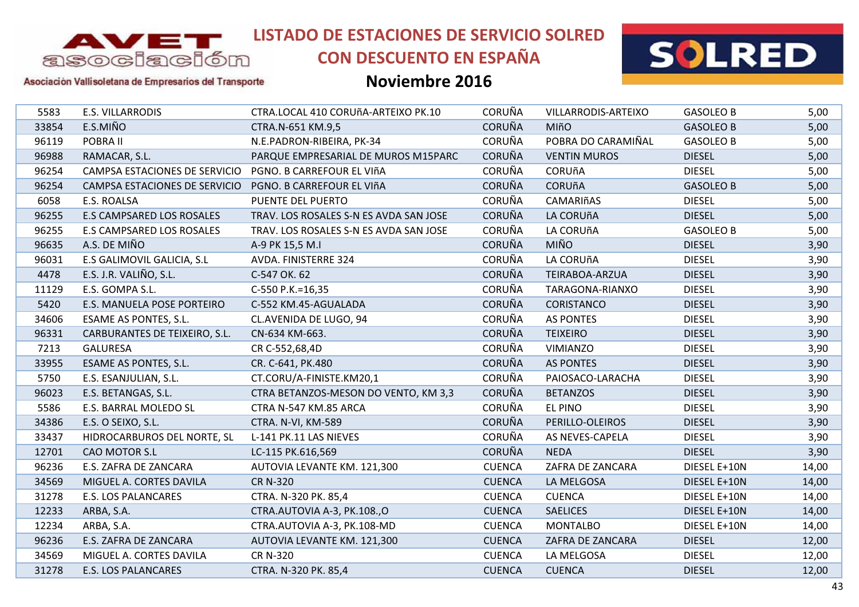

# **CON DESCUENTO EN ESPAÑA**



### Asociación Vallisoletana de Empresarios del Transporte

| <b>CORUÑA</b><br><b>E.S. VILLARRODIS</b><br>5583<br>CTRA.LOCAL 410 CORUñA-ARTEIXO PK.10<br>VILLARRODIS-ARTEIXO<br><b>GASOLEO B</b><br><b>CORUÑA</b><br>E.S.MIÑO<br>33854<br><b>MIñO</b><br>CTRA.N-651 KM.9,5<br><b>GASOLEO B</b><br><b>CORUÑA</b><br>POBRA DO CARAMIÑAL<br>96119<br>POBRA II<br>N.E.PADRON-RIBEIRA, PK-34<br><b>GASOLEO B</b><br><b>CORUÑA</b><br>96988<br>RAMACAR, S.L.<br>PARQUE EMPRESARIAL DE MUROS M15PARC<br><b>VENTIN MUROS</b><br><b>DIESEL</b><br><b>CORUÑA</b><br>96254<br>CAMPSA ESTACIONES DE SERVICIO<br><b>CORUñA</b><br><b>DIESEL</b><br>PGNO. B CARREFOUR EL VIñA<br><b>CORUÑA</b><br>96254<br><b>CORUñA</b><br>CAMPSA ESTACIONES DE SERVICIO<br>PGNO. B CARREFOUR EL VIñA<br><b>GASOLEO B</b><br><b>CORUÑA</b><br>6058<br>CAMARIñAS<br>E.S. ROALSA<br>PUENTE DEL PUERTO<br><b>DIESEL</b><br><b>CORUÑA</b><br>LA CORUñA<br><b>DIESEL</b><br>96255<br>E.S CAMPSARED LOS ROSALES<br>TRAV. LOS ROSALES S-N ES AVDA SAN JOSE<br><b>CORUÑA</b><br>96255<br>E.S CAMPSARED LOS ROSALES<br>TRAV. LOS ROSALES S-N ES AVDA SAN JOSE<br>LA CORUñA<br><b>GASOLEO B</b><br><b>MIÑO</b><br><b>CORUÑA</b><br>96635<br>A.S. DE MIÑO<br><b>DIESEL</b><br>A-9 PK 15,5 M.I<br><b>CORUÑA</b><br>96031<br>E.S GALIMOVIL GALICIA, S.L<br>LA CORUñA<br>AVDA. FINISTERRE 324<br><b>DIESEL</b><br>E.S. J.R. VALIÑO, S.L.<br><b>CORUÑA</b><br>4478<br>C-547 OK. 62<br><b>DIESEL</b><br>TEIRABOA-ARZUA<br><b>CORUÑA</b><br>11129<br>E.S. GOMPA S.L.<br><b>DIESEL</b><br>TARAGONA-RIANXO<br>C-550 P.K.=16,35<br><b>CORUÑA</b><br>5420<br>E.S. MANUELA POSE PORTEIRO<br>C-552 KM.45-AGUALADA<br>CORISTANCO<br><b>DIESEL</b><br><b>CORUÑA</b><br>34606<br>ESAME AS PONTES, S.L.<br>CL.AVENIDA DE LUGO, 94<br><b>AS PONTES</b><br><b>DIESEL</b><br><b>CORUÑA</b><br><b>DIESEL</b><br>96331<br>CARBURANTES DE TEIXEIRO, S.L.<br><b>TEIXEIRO</b><br>CN-634 KM-663.<br><b>CORUÑA</b><br>7213<br><b>GALURESA</b><br>CR C-552,68,4D<br>VIMIANZO<br><b>DIESEL</b><br><b>CORUÑA</b><br>33955<br><b>DIESEL</b><br>ESAME AS PONTES, S.L.<br>CR. C-641, PK.480<br><b>AS PONTES</b><br><b>CORUÑA</b><br><b>DIESEL</b><br>5750<br>CT.CORU/A-FINISTE.KM20,1<br>PAIOSACO-LARACHA<br>E.S. ESANJULIAN, S.L.<br><b>CORUÑA</b><br>96023<br>E.S. BETANGAS, S.L.<br>CTRA BETANZOS-MESON DO VENTO, KM 3,3<br><b>BETANZOS</b><br><b>DIESEL</b><br><b>CORUÑA</b><br>CTRA N-547 KM.85 ARCA<br><b>EL PINO</b><br><b>DIESEL</b><br>5586<br>E.S. BARRAL MOLEDO SL<br><b>CORUÑA</b><br>34386<br>E.S. O SEIXO, S.L.<br>PERILLO-OLEIROS<br><b>DIESEL</b><br>CTRA. N-VI, KM-589<br><b>CORUÑA</b><br>33437<br>HIDROCARBUROS DEL NORTE, SL<br>L-141 PK.11 LAS NIEVES<br>AS NEVES-CAPELA<br><b>DIESEL</b><br><b>CORUÑA</b><br>12701<br>CAO MOTOR S.L<br><b>NEDA</b><br><b>DIESEL</b><br>LC-115 PK.616,569<br>96236<br><b>CUENCA</b><br>ZAFRA DE ZANCARA<br>DIESEL E+10N<br>E.S. ZAFRA DE ZANCARA<br>AUTOVIA LEVANTE KM. 121,300<br><b>CUENCA</b><br>34569<br>MIGUEL A. CORTES DAVILA<br><b>CR N-320</b><br>LA MELGOSA<br>DIESEL E+10N<br>31278<br><b>E.S. LOS PALANCARES</b><br>CTRA. N-320 PK. 85,4<br><b>CUENCA</b><br><b>CUENCA</b><br>DIESEL E+10N<br>12233<br>CTRA.AUTOVIA A-3, PK.108.,O<br><b>CUENCA</b><br><b>SAELICES</b><br>DIESEL E+10N<br>ARBA, S.A.<br>12234<br>CTRA.AUTOVIA A-3, PK.108-MD<br><b>CUENCA</b><br><b>MONTALBO</b><br>ARBA, S.A.<br>DIESEL E+10N<br>96236<br><b>CUENCA</b><br><b>DIESEL</b><br>E.S. ZAFRA DE ZANCARA<br>AUTOVIA LEVANTE KM. 121,300<br>ZAFRA DE ZANCARA<br><b>CUENCA</b><br><b>DIESEL</b><br>34569<br>MIGUEL A. CORTES DAVILA<br><b>CR N-320</b><br>LA MELGOSA<br>31278<br><b>CUENCA</b><br><b>E.S. LOS PALANCARES</b><br>CTRA. N-320 PK. 85,4<br><b>CUENCA</b><br><b>DIESEL</b> |  |  |  |       |
|-------------------------------------------------------------------------------------------------------------------------------------------------------------------------------------------------------------------------------------------------------------------------------------------------------------------------------------------------------------------------------------------------------------------------------------------------------------------------------------------------------------------------------------------------------------------------------------------------------------------------------------------------------------------------------------------------------------------------------------------------------------------------------------------------------------------------------------------------------------------------------------------------------------------------------------------------------------------------------------------------------------------------------------------------------------------------------------------------------------------------------------------------------------------------------------------------------------------------------------------------------------------------------------------------------------------------------------------------------------------------------------------------------------------------------------------------------------------------------------------------------------------------------------------------------------------------------------------------------------------------------------------------------------------------------------------------------------------------------------------------------------------------------------------------------------------------------------------------------------------------------------------------------------------------------------------------------------------------------------------------------------------------------------------------------------------------------------------------------------------------------------------------------------------------------------------------------------------------------------------------------------------------------------------------------------------------------------------------------------------------------------------------------------------------------------------------------------------------------------------------------------------------------------------------------------------------------------------------------------------------------------------------------------------------------------------------------------------------------------------------------------------------------------------------------------------------------------------------------------------------------------------------------------------------------------------------------------------------------------------------------------------------------------------------------------------------------------------------------------------------------------------------------------------------------------------------------------------------------------------------------------------------------------------------------------------------------------------------------------------------------------------------------------------------------------------------------------------------------------------------------------------------------------------------------------------------------------------------------------------------------------------------------------------------------------------|--|--|--|-------|
|                                                                                                                                                                                                                                                                                                                                                                                                                                                                                                                                                                                                                                                                                                                                                                                                                                                                                                                                                                                                                                                                                                                                                                                                                                                                                                                                                                                                                                                                                                                                                                                                                                                                                                                                                                                                                                                                                                                                                                                                                                                                                                                                                                                                                                                                                                                                                                                                                                                                                                                                                                                                                                                                                                                                                                                                                                                                                                                                                                                                                                                                                                                                                                                                                                                                                                                                                                                                                                                                                                                                                                                                                                                                                           |  |  |  | 5,00  |
|                                                                                                                                                                                                                                                                                                                                                                                                                                                                                                                                                                                                                                                                                                                                                                                                                                                                                                                                                                                                                                                                                                                                                                                                                                                                                                                                                                                                                                                                                                                                                                                                                                                                                                                                                                                                                                                                                                                                                                                                                                                                                                                                                                                                                                                                                                                                                                                                                                                                                                                                                                                                                                                                                                                                                                                                                                                                                                                                                                                                                                                                                                                                                                                                                                                                                                                                                                                                                                                                                                                                                                                                                                                                                           |  |  |  | 5,00  |
|                                                                                                                                                                                                                                                                                                                                                                                                                                                                                                                                                                                                                                                                                                                                                                                                                                                                                                                                                                                                                                                                                                                                                                                                                                                                                                                                                                                                                                                                                                                                                                                                                                                                                                                                                                                                                                                                                                                                                                                                                                                                                                                                                                                                                                                                                                                                                                                                                                                                                                                                                                                                                                                                                                                                                                                                                                                                                                                                                                                                                                                                                                                                                                                                                                                                                                                                                                                                                                                                                                                                                                                                                                                                                           |  |  |  | 5,00  |
|                                                                                                                                                                                                                                                                                                                                                                                                                                                                                                                                                                                                                                                                                                                                                                                                                                                                                                                                                                                                                                                                                                                                                                                                                                                                                                                                                                                                                                                                                                                                                                                                                                                                                                                                                                                                                                                                                                                                                                                                                                                                                                                                                                                                                                                                                                                                                                                                                                                                                                                                                                                                                                                                                                                                                                                                                                                                                                                                                                                                                                                                                                                                                                                                                                                                                                                                                                                                                                                                                                                                                                                                                                                                                           |  |  |  | 5,00  |
|                                                                                                                                                                                                                                                                                                                                                                                                                                                                                                                                                                                                                                                                                                                                                                                                                                                                                                                                                                                                                                                                                                                                                                                                                                                                                                                                                                                                                                                                                                                                                                                                                                                                                                                                                                                                                                                                                                                                                                                                                                                                                                                                                                                                                                                                                                                                                                                                                                                                                                                                                                                                                                                                                                                                                                                                                                                                                                                                                                                                                                                                                                                                                                                                                                                                                                                                                                                                                                                                                                                                                                                                                                                                                           |  |  |  | 5,00  |
|                                                                                                                                                                                                                                                                                                                                                                                                                                                                                                                                                                                                                                                                                                                                                                                                                                                                                                                                                                                                                                                                                                                                                                                                                                                                                                                                                                                                                                                                                                                                                                                                                                                                                                                                                                                                                                                                                                                                                                                                                                                                                                                                                                                                                                                                                                                                                                                                                                                                                                                                                                                                                                                                                                                                                                                                                                                                                                                                                                                                                                                                                                                                                                                                                                                                                                                                                                                                                                                                                                                                                                                                                                                                                           |  |  |  | 5,00  |
|                                                                                                                                                                                                                                                                                                                                                                                                                                                                                                                                                                                                                                                                                                                                                                                                                                                                                                                                                                                                                                                                                                                                                                                                                                                                                                                                                                                                                                                                                                                                                                                                                                                                                                                                                                                                                                                                                                                                                                                                                                                                                                                                                                                                                                                                                                                                                                                                                                                                                                                                                                                                                                                                                                                                                                                                                                                                                                                                                                                                                                                                                                                                                                                                                                                                                                                                                                                                                                                                                                                                                                                                                                                                                           |  |  |  | 5,00  |
|                                                                                                                                                                                                                                                                                                                                                                                                                                                                                                                                                                                                                                                                                                                                                                                                                                                                                                                                                                                                                                                                                                                                                                                                                                                                                                                                                                                                                                                                                                                                                                                                                                                                                                                                                                                                                                                                                                                                                                                                                                                                                                                                                                                                                                                                                                                                                                                                                                                                                                                                                                                                                                                                                                                                                                                                                                                                                                                                                                                                                                                                                                                                                                                                                                                                                                                                                                                                                                                                                                                                                                                                                                                                                           |  |  |  | 5,00  |
|                                                                                                                                                                                                                                                                                                                                                                                                                                                                                                                                                                                                                                                                                                                                                                                                                                                                                                                                                                                                                                                                                                                                                                                                                                                                                                                                                                                                                                                                                                                                                                                                                                                                                                                                                                                                                                                                                                                                                                                                                                                                                                                                                                                                                                                                                                                                                                                                                                                                                                                                                                                                                                                                                                                                                                                                                                                                                                                                                                                                                                                                                                                                                                                                                                                                                                                                                                                                                                                                                                                                                                                                                                                                                           |  |  |  | 5,00  |
|                                                                                                                                                                                                                                                                                                                                                                                                                                                                                                                                                                                                                                                                                                                                                                                                                                                                                                                                                                                                                                                                                                                                                                                                                                                                                                                                                                                                                                                                                                                                                                                                                                                                                                                                                                                                                                                                                                                                                                                                                                                                                                                                                                                                                                                                                                                                                                                                                                                                                                                                                                                                                                                                                                                                                                                                                                                                                                                                                                                                                                                                                                                                                                                                                                                                                                                                                                                                                                                                                                                                                                                                                                                                                           |  |  |  | 3,90  |
|                                                                                                                                                                                                                                                                                                                                                                                                                                                                                                                                                                                                                                                                                                                                                                                                                                                                                                                                                                                                                                                                                                                                                                                                                                                                                                                                                                                                                                                                                                                                                                                                                                                                                                                                                                                                                                                                                                                                                                                                                                                                                                                                                                                                                                                                                                                                                                                                                                                                                                                                                                                                                                                                                                                                                                                                                                                                                                                                                                                                                                                                                                                                                                                                                                                                                                                                                                                                                                                                                                                                                                                                                                                                                           |  |  |  | 3,90  |
|                                                                                                                                                                                                                                                                                                                                                                                                                                                                                                                                                                                                                                                                                                                                                                                                                                                                                                                                                                                                                                                                                                                                                                                                                                                                                                                                                                                                                                                                                                                                                                                                                                                                                                                                                                                                                                                                                                                                                                                                                                                                                                                                                                                                                                                                                                                                                                                                                                                                                                                                                                                                                                                                                                                                                                                                                                                                                                                                                                                                                                                                                                                                                                                                                                                                                                                                                                                                                                                                                                                                                                                                                                                                                           |  |  |  | 3,90  |
|                                                                                                                                                                                                                                                                                                                                                                                                                                                                                                                                                                                                                                                                                                                                                                                                                                                                                                                                                                                                                                                                                                                                                                                                                                                                                                                                                                                                                                                                                                                                                                                                                                                                                                                                                                                                                                                                                                                                                                                                                                                                                                                                                                                                                                                                                                                                                                                                                                                                                                                                                                                                                                                                                                                                                                                                                                                                                                                                                                                                                                                                                                                                                                                                                                                                                                                                                                                                                                                                                                                                                                                                                                                                                           |  |  |  | 3,90  |
|                                                                                                                                                                                                                                                                                                                                                                                                                                                                                                                                                                                                                                                                                                                                                                                                                                                                                                                                                                                                                                                                                                                                                                                                                                                                                                                                                                                                                                                                                                                                                                                                                                                                                                                                                                                                                                                                                                                                                                                                                                                                                                                                                                                                                                                                                                                                                                                                                                                                                                                                                                                                                                                                                                                                                                                                                                                                                                                                                                                                                                                                                                                                                                                                                                                                                                                                                                                                                                                                                                                                                                                                                                                                                           |  |  |  | 3,90  |
|                                                                                                                                                                                                                                                                                                                                                                                                                                                                                                                                                                                                                                                                                                                                                                                                                                                                                                                                                                                                                                                                                                                                                                                                                                                                                                                                                                                                                                                                                                                                                                                                                                                                                                                                                                                                                                                                                                                                                                                                                                                                                                                                                                                                                                                                                                                                                                                                                                                                                                                                                                                                                                                                                                                                                                                                                                                                                                                                                                                                                                                                                                                                                                                                                                                                                                                                                                                                                                                                                                                                                                                                                                                                                           |  |  |  | 3,90  |
|                                                                                                                                                                                                                                                                                                                                                                                                                                                                                                                                                                                                                                                                                                                                                                                                                                                                                                                                                                                                                                                                                                                                                                                                                                                                                                                                                                                                                                                                                                                                                                                                                                                                                                                                                                                                                                                                                                                                                                                                                                                                                                                                                                                                                                                                                                                                                                                                                                                                                                                                                                                                                                                                                                                                                                                                                                                                                                                                                                                                                                                                                                                                                                                                                                                                                                                                                                                                                                                                                                                                                                                                                                                                                           |  |  |  | 3,90  |
|                                                                                                                                                                                                                                                                                                                                                                                                                                                                                                                                                                                                                                                                                                                                                                                                                                                                                                                                                                                                                                                                                                                                                                                                                                                                                                                                                                                                                                                                                                                                                                                                                                                                                                                                                                                                                                                                                                                                                                                                                                                                                                                                                                                                                                                                                                                                                                                                                                                                                                                                                                                                                                                                                                                                                                                                                                                                                                                                                                                                                                                                                                                                                                                                                                                                                                                                                                                                                                                                                                                                                                                                                                                                                           |  |  |  | 3,90  |
|                                                                                                                                                                                                                                                                                                                                                                                                                                                                                                                                                                                                                                                                                                                                                                                                                                                                                                                                                                                                                                                                                                                                                                                                                                                                                                                                                                                                                                                                                                                                                                                                                                                                                                                                                                                                                                                                                                                                                                                                                                                                                                                                                                                                                                                                                                                                                                                                                                                                                                                                                                                                                                                                                                                                                                                                                                                                                                                                                                                                                                                                                                                                                                                                                                                                                                                                                                                                                                                                                                                                                                                                                                                                                           |  |  |  | 3,90  |
|                                                                                                                                                                                                                                                                                                                                                                                                                                                                                                                                                                                                                                                                                                                                                                                                                                                                                                                                                                                                                                                                                                                                                                                                                                                                                                                                                                                                                                                                                                                                                                                                                                                                                                                                                                                                                                                                                                                                                                                                                                                                                                                                                                                                                                                                                                                                                                                                                                                                                                                                                                                                                                                                                                                                                                                                                                                                                                                                                                                                                                                                                                                                                                                                                                                                                                                                                                                                                                                                                                                                                                                                                                                                                           |  |  |  | 3,90  |
|                                                                                                                                                                                                                                                                                                                                                                                                                                                                                                                                                                                                                                                                                                                                                                                                                                                                                                                                                                                                                                                                                                                                                                                                                                                                                                                                                                                                                                                                                                                                                                                                                                                                                                                                                                                                                                                                                                                                                                                                                                                                                                                                                                                                                                                                                                                                                                                                                                                                                                                                                                                                                                                                                                                                                                                                                                                                                                                                                                                                                                                                                                                                                                                                                                                                                                                                                                                                                                                                                                                                                                                                                                                                                           |  |  |  | 3,90  |
|                                                                                                                                                                                                                                                                                                                                                                                                                                                                                                                                                                                                                                                                                                                                                                                                                                                                                                                                                                                                                                                                                                                                                                                                                                                                                                                                                                                                                                                                                                                                                                                                                                                                                                                                                                                                                                                                                                                                                                                                                                                                                                                                                                                                                                                                                                                                                                                                                                                                                                                                                                                                                                                                                                                                                                                                                                                                                                                                                                                                                                                                                                                                                                                                                                                                                                                                                                                                                                                                                                                                                                                                                                                                                           |  |  |  | 3,90  |
|                                                                                                                                                                                                                                                                                                                                                                                                                                                                                                                                                                                                                                                                                                                                                                                                                                                                                                                                                                                                                                                                                                                                                                                                                                                                                                                                                                                                                                                                                                                                                                                                                                                                                                                                                                                                                                                                                                                                                                                                                                                                                                                                                                                                                                                                                                                                                                                                                                                                                                                                                                                                                                                                                                                                                                                                                                                                                                                                                                                                                                                                                                                                                                                                                                                                                                                                                                                                                                                                                                                                                                                                                                                                                           |  |  |  | 3,90  |
|                                                                                                                                                                                                                                                                                                                                                                                                                                                                                                                                                                                                                                                                                                                                                                                                                                                                                                                                                                                                                                                                                                                                                                                                                                                                                                                                                                                                                                                                                                                                                                                                                                                                                                                                                                                                                                                                                                                                                                                                                                                                                                                                                                                                                                                                                                                                                                                                                                                                                                                                                                                                                                                                                                                                                                                                                                                                                                                                                                                                                                                                                                                                                                                                                                                                                                                                                                                                                                                                                                                                                                                                                                                                                           |  |  |  | 3,90  |
|                                                                                                                                                                                                                                                                                                                                                                                                                                                                                                                                                                                                                                                                                                                                                                                                                                                                                                                                                                                                                                                                                                                                                                                                                                                                                                                                                                                                                                                                                                                                                                                                                                                                                                                                                                                                                                                                                                                                                                                                                                                                                                                                                                                                                                                                                                                                                                                                                                                                                                                                                                                                                                                                                                                                                                                                                                                                                                                                                                                                                                                                                                                                                                                                                                                                                                                                                                                                                                                                                                                                                                                                                                                                                           |  |  |  | 3,90  |
|                                                                                                                                                                                                                                                                                                                                                                                                                                                                                                                                                                                                                                                                                                                                                                                                                                                                                                                                                                                                                                                                                                                                                                                                                                                                                                                                                                                                                                                                                                                                                                                                                                                                                                                                                                                                                                                                                                                                                                                                                                                                                                                                                                                                                                                                                                                                                                                                                                                                                                                                                                                                                                                                                                                                                                                                                                                                                                                                                                                                                                                                                                                                                                                                                                                                                                                                                                                                                                                                                                                                                                                                                                                                                           |  |  |  | 14,00 |
|                                                                                                                                                                                                                                                                                                                                                                                                                                                                                                                                                                                                                                                                                                                                                                                                                                                                                                                                                                                                                                                                                                                                                                                                                                                                                                                                                                                                                                                                                                                                                                                                                                                                                                                                                                                                                                                                                                                                                                                                                                                                                                                                                                                                                                                                                                                                                                                                                                                                                                                                                                                                                                                                                                                                                                                                                                                                                                                                                                                                                                                                                                                                                                                                                                                                                                                                                                                                                                                                                                                                                                                                                                                                                           |  |  |  | 14,00 |
|                                                                                                                                                                                                                                                                                                                                                                                                                                                                                                                                                                                                                                                                                                                                                                                                                                                                                                                                                                                                                                                                                                                                                                                                                                                                                                                                                                                                                                                                                                                                                                                                                                                                                                                                                                                                                                                                                                                                                                                                                                                                                                                                                                                                                                                                                                                                                                                                                                                                                                                                                                                                                                                                                                                                                                                                                                                                                                                                                                                                                                                                                                                                                                                                                                                                                                                                                                                                                                                                                                                                                                                                                                                                                           |  |  |  | 14,00 |
|                                                                                                                                                                                                                                                                                                                                                                                                                                                                                                                                                                                                                                                                                                                                                                                                                                                                                                                                                                                                                                                                                                                                                                                                                                                                                                                                                                                                                                                                                                                                                                                                                                                                                                                                                                                                                                                                                                                                                                                                                                                                                                                                                                                                                                                                                                                                                                                                                                                                                                                                                                                                                                                                                                                                                                                                                                                                                                                                                                                                                                                                                                                                                                                                                                                                                                                                                                                                                                                                                                                                                                                                                                                                                           |  |  |  | 14,00 |
|                                                                                                                                                                                                                                                                                                                                                                                                                                                                                                                                                                                                                                                                                                                                                                                                                                                                                                                                                                                                                                                                                                                                                                                                                                                                                                                                                                                                                                                                                                                                                                                                                                                                                                                                                                                                                                                                                                                                                                                                                                                                                                                                                                                                                                                                                                                                                                                                                                                                                                                                                                                                                                                                                                                                                                                                                                                                                                                                                                                                                                                                                                                                                                                                                                                                                                                                                                                                                                                                                                                                                                                                                                                                                           |  |  |  | 14,00 |
|                                                                                                                                                                                                                                                                                                                                                                                                                                                                                                                                                                                                                                                                                                                                                                                                                                                                                                                                                                                                                                                                                                                                                                                                                                                                                                                                                                                                                                                                                                                                                                                                                                                                                                                                                                                                                                                                                                                                                                                                                                                                                                                                                                                                                                                                                                                                                                                                                                                                                                                                                                                                                                                                                                                                                                                                                                                                                                                                                                                                                                                                                                                                                                                                                                                                                                                                                                                                                                                                                                                                                                                                                                                                                           |  |  |  | 12,00 |
|                                                                                                                                                                                                                                                                                                                                                                                                                                                                                                                                                                                                                                                                                                                                                                                                                                                                                                                                                                                                                                                                                                                                                                                                                                                                                                                                                                                                                                                                                                                                                                                                                                                                                                                                                                                                                                                                                                                                                                                                                                                                                                                                                                                                                                                                                                                                                                                                                                                                                                                                                                                                                                                                                                                                                                                                                                                                                                                                                                                                                                                                                                                                                                                                                                                                                                                                                                                                                                                                                                                                                                                                                                                                                           |  |  |  | 12,00 |
|                                                                                                                                                                                                                                                                                                                                                                                                                                                                                                                                                                                                                                                                                                                                                                                                                                                                                                                                                                                                                                                                                                                                                                                                                                                                                                                                                                                                                                                                                                                                                                                                                                                                                                                                                                                                                                                                                                                                                                                                                                                                                                                                                                                                                                                                                                                                                                                                                                                                                                                                                                                                                                                                                                                                                                                                                                                                                                                                                                                                                                                                                                                                                                                                                                                                                                                                                                                                                                                                                                                                                                                                                                                                                           |  |  |  | 12,00 |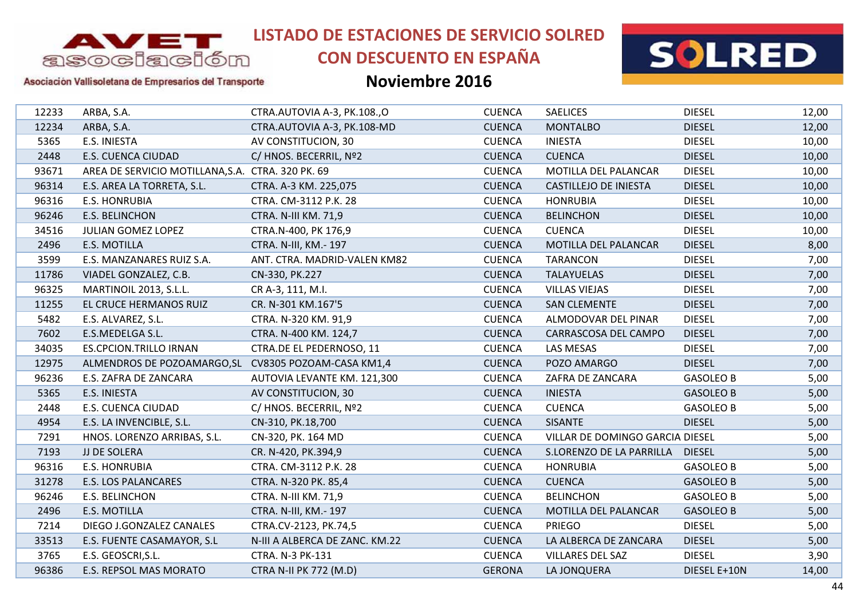

# **CON DESCUENTO EN ESPAÑA**





Asociación Vallisoletana de Empresarios del Transporte

| 12233 | ARBA, S.A.                                           | CTRA.AUTOVIA A-3, PK.108.,O    | <b>CUENCA</b> | <b>SAELICES</b>                 | <b>DIESEL</b>    | 12,00 |
|-------|------------------------------------------------------|--------------------------------|---------------|---------------------------------|------------------|-------|
| 12234 | ARBA, S.A.                                           | CTRA.AUTOVIA A-3, PK.108-MD    | <b>CUENCA</b> | <b>MONTALBO</b>                 | <b>DIESEL</b>    | 12,00 |
| 5365  | E.S. INIESTA                                         | AV CONSTITUCION, 30            | <b>CUENCA</b> | <b>INIESTA</b>                  | <b>DIESEL</b>    | 10,00 |
| 2448  | E.S. CUENCA CIUDAD                                   | C/ HNOS. BECERRIL, Nº2         | <b>CUENCA</b> | <b>CUENCA</b>                   | <b>DIESEL</b>    | 10,00 |
| 93671 | AREA DE SERVICIO MOTILLANA, S.A. CTRA. 320 PK. 69    |                                | <b>CUENCA</b> | MOTILLA DEL PALANCAR            | <b>DIESEL</b>    | 10,00 |
| 96314 | E.S. AREA LA TORRETA, S.L.                           | CTRA. A-3 KM. 225,075          | <b>CUENCA</b> | <b>CASTILLEJO DE INIESTA</b>    | <b>DIESEL</b>    | 10,00 |
| 96316 | <b>E.S. HONRUBIA</b>                                 | CTRA. CM-3112 P.K. 28          | <b>CUENCA</b> | <b>HONRUBIA</b>                 | <b>DIESEL</b>    | 10,00 |
| 96246 | E.S. BELINCHON                                       | <b>CTRA. N-III KM. 71,9</b>    | <b>CUENCA</b> | <b>BELINCHON</b>                | <b>DIESEL</b>    | 10,00 |
| 34516 | <b>JULIAN GOMEZ LOPEZ</b>                            | CTRA.N-400, PK 176,9           | <b>CUENCA</b> | <b>CUENCA</b>                   | <b>DIESEL</b>    | 10,00 |
| 2496  | E.S. MOTILLA                                         | CTRA. N-III, KM.- 197          | <b>CUENCA</b> | MOTILLA DEL PALANCAR            | <b>DIESEL</b>    | 8,00  |
| 3599  | E.S. MANZANARES RUIZ S.A.                            | ANT. CTRA. MADRID-VALEN KM82   | <b>CUENCA</b> | <b>TARANCON</b>                 | <b>DIESEL</b>    | 7,00  |
| 11786 | VIADEL GONZALEZ, C.B.                                | CN-330, PK.227                 | <b>CUENCA</b> | <b>TALAYUELAS</b>               | <b>DIESEL</b>    | 7,00  |
| 96325 | MARTINOIL 2013, S.L.L.                               | CR A-3, 111, M.I.              | <b>CUENCA</b> | <b>VILLAS VIEJAS</b>            | <b>DIESEL</b>    | 7,00  |
| 11255 | EL CRUCE HERMANOS RUIZ                               | CR. N-301 KM.167'5             | <b>CUENCA</b> | <b>SAN CLEMENTE</b>             | <b>DIESEL</b>    | 7,00  |
| 5482  | E.S. ALVAREZ, S.L.                                   | CTRA. N-320 KM. 91,9           | <b>CUENCA</b> | ALMODOVAR DEL PINAR             | <b>DIESEL</b>    | 7,00  |
| 7602  | E.S.MEDELGA S.L.                                     | CTRA. N-400 KM. 124,7          | <b>CUENCA</b> | CARRASCOSA DEL CAMPO            | <b>DIESEL</b>    | 7,00  |
| 34035 | <b>ES.CPCION.TRILLO IRNAN</b>                        | CTRA.DE EL PEDERNOSO, 11       | <b>CUENCA</b> | LAS MESAS                       | <b>DIESEL</b>    | 7,00  |
| 12975 | ALMENDROS DE POZOAMARGO, SL CV8305 POZOAM-CASA KM1,4 |                                | <b>CUENCA</b> | POZO AMARGO                     | <b>DIESEL</b>    | 7,00  |
| 96236 | E.S. ZAFRA DE ZANCARA                                | AUTOVIA LEVANTE KM. 121,300    | <b>CUENCA</b> | ZAFRA DE ZANCARA                | <b>GASOLEO B</b> | 5,00  |
| 5365  | E.S. INIESTA                                         | AV CONSTITUCION, 30            | <b>CUENCA</b> | <b>INIESTA</b>                  | <b>GASOLEO B</b> | 5,00  |
| 2448  | <b>E.S. CUENCA CIUDAD</b>                            | C/ HNOS. BECERRIL, Nº2         | <b>CUENCA</b> | <b>CUENCA</b>                   | <b>GASOLEO B</b> | 5,00  |
| 4954  | E.S. LA INVENCIBLE, S.L.                             | CN-310, PK.18,700              | <b>CUENCA</b> | <b>SISANTE</b>                  | <b>DIESEL</b>    | 5,00  |
| 7291  | HNOS. LORENZO ARRIBAS, S.L.                          | CN-320, PK. 164 MD             | <b>CUENCA</b> | VILLAR DE DOMINGO GARCIA DIESEL |                  | 5,00  |
| 7193  | JJ DE SOLERA                                         | CR. N-420, PK.394,9            | <b>CUENCA</b> | S.LORENZO DE LA PARRILLA        | <b>DIESEL</b>    | 5,00  |
| 96316 | <b>E.S. HONRUBIA</b>                                 | CTRA. CM-3112 P.K. 28          | <b>CUENCA</b> | <b>HONRUBIA</b>                 | <b>GASOLEO B</b> | 5,00  |
| 31278 | <b>E.S. LOS PALANCARES</b>                           | CTRA. N-320 PK. 85,4           | <b>CUENCA</b> | <b>CUENCA</b>                   | <b>GASOLEO B</b> | 5,00  |
| 96246 | <b>E.S. BELINCHON</b>                                | CTRA. N-III KM. 71,9           | <b>CUENCA</b> | <b>BELINCHON</b>                | <b>GASOLEO B</b> | 5,00  |
| 2496  | <b>E.S. MOTILLA</b>                                  | CTRA. N-III, KM.- 197          | <b>CUENCA</b> | MOTILLA DEL PALANCAR            | <b>GASOLEO B</b> | 5,00  |
| 7214  | DIEGO J.GONZALEZ CANALES                             | CTRA.CV-2123, PK.74,5          | <b>CUENCA</b> | <b>PRIEGO</b>                   | <b>DIESEL</b>    | 5,00  |
| 33513 | E.S. FUENTE CASAMAYOR, S.L                           | N-III A ALBERCA DE ZANC. KM.22 | <b>CUENCA</b> | LA ALBERCA DE ZANCARA           | <b>DIESEL</b>    | 5,00  |
| 3765  | E.S. GEOSCRI, S.L.                                   | CTRA. N-3 PK-131               | <b>CUENCA</b> | <b>VILLARES DEL SAZ</b>         | <b>DIESEL</b>    | 3,90  |
| 96386 | E.S. REPSOL MAS MORATO                               | <b>CTRA N-II PK 772 (M.D)</b>  | <b>GERONA</b> | LA JONQUERA                     | DIESEL E+10N     | 14,00 |
|       |                                                      |                                |               |                                 |                  |       |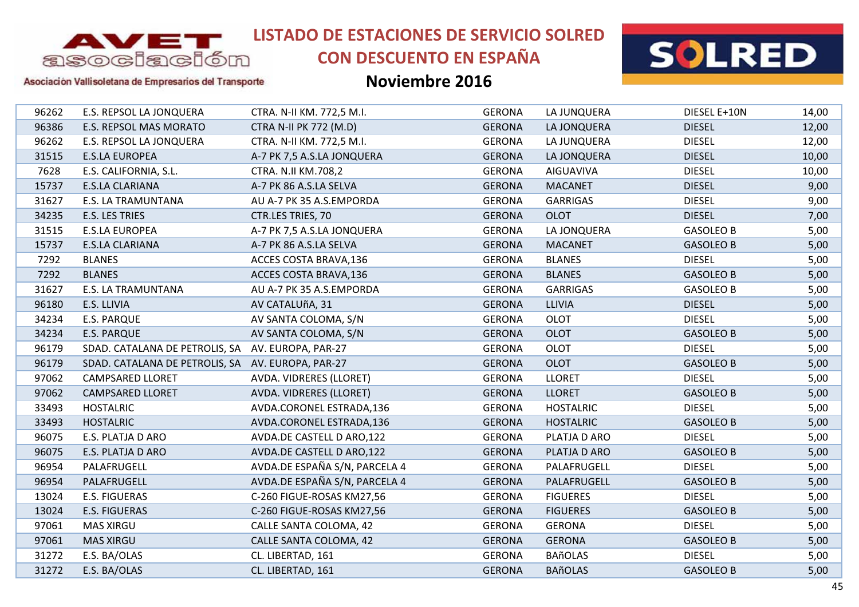

# **CON DESCUENTO EN ESPAÑA**



### Asociación Vallisoletana de Empresarios del Transporte

| 96262 | E.S. REPSOL LA JONQUERA                           | CTRA. N-II KM. 772,5 M.I.     | <b>GERONA</b> | LA JUNQUERA      | DIESEL E+10N     | 14,00 |
|-------|---------------------------------------------------|-------------------------------|---------------|------------------|------------------|-------|
| 96386 | E.S. REPSOL MAS MORATO                            | <b>CTRA N-II PK 772 (M.D)</b> | <b>GERONA</b> | LA JONQUERA      | <b>DIESEL</b>    | 12,00 |
| 96262 | E.S. REPSOL LA JONQUERA                           | CTRA. N-II KM. 772,5 M.I.     | <b>GERONA</b> | LA JUNQUERA      | <b>DIESEL</b>    | 12,00 |
| 31515 | <b>E.S.LA EUROPEA</b>                             | A-7 PK 7,5 A.S.LA JONQUERA    | <b>GERONA</b> | LA JONQUERA      | <b>DIESEL</b>    | 10,00 |
| 7628  | E.S. CALIFORNIA, S.L.                             | CTRA. N.II KM.708,2           | <b>GERONA</b> | <b>AIGUAVIVA</b> | <b>DIESEL</b>    | 10,00 |
| 15737 | E.S.LA CLARIANA                                   | A-7 PK 86 A.S.LA SELVA        | <b>GERONA</b> | <b>MACANET</b>   | <b>DIESEL</b>    | 9,00  |
| 31627 | <b>E.S. LA TRAMUNTANA</b>                         | AU A-7 PK 35 A.S.EMPORDA      | <b>GERONA</b> | <b>GARRIGAS</b>  | <b>DIESEL</b>    | 9,00  |
| 34235 | E.S. LES TRIES                                    | CTR.LES TRIES, 70             | <b>GERONA</b> | <b>OLOT</b>      | <b>DIESEL</b>    | 7,00  |
| 31515 | <b>E.S.LA EUROPEA</b>                             | A-7 PK 7,5 A.S.LA JONQUERA    | <b>GERONA</b> | LA JONQUERA      | <b>GASOLEO B</b> | 5,00  |
| 15737 | E.S.LA CLARIANA                                   | A-7 PK 86 A.S.LA SELVA        | <b>GERONA</b> | <b>MACANET</b>   | <b>GASOLEO B</b> | 5,00  |
| 7292  | <b>BLANES</b>                                     | ACCES COSTA BRAVA, 136        | <b>GERONA</b> | <b>BLANES</b>    | <b>DIESEL</b>    | 5,00  |
| 7292  | <b>BLANES</b>                                     | ACCES COSTA BRAVA, 136        | <b>GERONA</b> | <b>BLANES</b>    | <b>GASOLEO B</b> | 5,00  |
| 31627 | <b>E.S. LA TRAMUNTANA</b>                         | AU A-7 PK 35 A.S.EMPORDA      | <b>GERONA</b> | <b>GARRIGAS</b>  | <b>GASOLEO B</b> | 5,00  |
| 96180 | E.S. LLIVIA                                       | AV CATALUñA, 31               | <b>GERONA</b> | <b>LLIVIA</b>    | <b>DIESEL</b>    | 5,00  |
| 34234 | <b>E.S. PARQUE</b>                                | AV SANTA COLOMA, S/N          | <b>GERONA</b> | <b>OLOT</b>      | <b>DIESEL</b>    | 5,00  |
| 34234 | <b>E.S. PARQUE</b>                                | AV SANTA COLOMA, S/N          | <b>GERONA</b> | <b>OLOT</b>      | <b>GASOLEO B</b> | 5,00  |
| 96179 | SDAD. CATALANA DE PETROLIS, SA AV. EUROPA, PAR-27 |                               | <b>GERONA</b> | <b>OLOT</b>      | <b>DIESEL</b>    | 5,00  |
| 96179 | SDAD. CATALANA DE PETROLIS, SA AV. EUROPA, PAR-27 |                               | <b>GERONA</b> | <b>OLOT</b>      | <b>GASOLEO B</b> | 5,00  |
| 97062 | <b>CAMPSARED LLORET</b>                           | AVDA. VIDRERES (LLORET)       | <b>GERONA</b> | <b>LLORET</b>    | <b>DIESEL</b>    | 5,00  |
| 97062 | <b>CAMPSARED LLORET</b>                           | AVDA. VIDRERES (LLORET)       | <b>GERONA</b> | <b>LLORET</b>    | <b>GASOLEO B</b> | 5,00  |
| 33493 | <b>HOSTALRIC</b>                                  | AVDA.CORONEL ESTRADA,136      | <b>GERONA</b> | <b>HOSTALRIC</b> | <b>DIESEL</b>    | 5,00  |
| 33493 | <b>HOSTALRIC</b>                                  | AVDA.CORONEL ESTRADA,136      | <b>GERONA</b> | <b>HOSTALRIC</b> | <b>GASOLEO B</b> | 5,00  |
| 96075 | E.S. PLATJA D ARO                                 | AVDA.DE CASTELL D ARO,122     | <b>GERONA</b> | PLATJA D ARO     | <b>DIESEL</b>    | 5,00  |
| 96075 | E.S. PLATJA D ARO                                 | AVDA.DE CASTELL D ARO,122     | <b>GERONA</b> | PLATJA D ARO     | <b>GASOLEO B</b> | 5,00  |
| 96954 | PALAFRUGELL                                       | AVDA.DE ESPAÑA S/N, PARCELA 4 | <b>GERONA</b> | PALAFRUGELL      | <b>DIESEL</b>    | 5,00  |
| 96954 | PALAFRUGELL                                       | AVDA.DE ESPAÑA S/N, PARCELA 4 | <b>GERONA</b> | PALAFRUGELL      | <b>GASOLEO B</b> | 5,00  |
| 13024 | E.S. FIGUERAS                                     | C-260 FIGUE-ROSAS KM27,56     | <b>GERONA</b> | <b>FIGUERES</b>  | <b>DIESEL</b>    | 5,00  |
| 13024 | <b>E.S. FIGUERAS</b>                              | C-260 FIGUE-ROSAS KM27,56     | <b>GERONA</b> | <b>FIGUERES</b>  | <b>GASOLEO B</b> | 5,00  |
| 97061 | <b>MAS XIRGU</b>                                  | CALLE SANTA COLOMA, 42        | <b>GERONA</b> | <b>GERONA</b>    | <b>DIESEL</b>    | 5,00  |
| 97061 | <b>MAS XIRGU</b>                                  | CALLE SANTA COLOMA, 42        | <b>GERONA</b> | <b>GERONA</b>    | <b>GASOLEO B</b> | 5,00  |
| 31272 | E.S. BA/OLAS                                      | CL. LIBERTAD, 161             | <b>GERONA</b> | <b>BAñOLAS</b>   | <b>DIESEL</b>    | 5,00  |
| 31272 | E.S. BA/OLAS                                      | CL. LIBERTAD, 161             | <b>GERONA</b> | <b>BAñOLAS</b>   | <b>GASOLEO B</b> | 5,00  |
|       |                                                   |                               |               |                  |                  |       |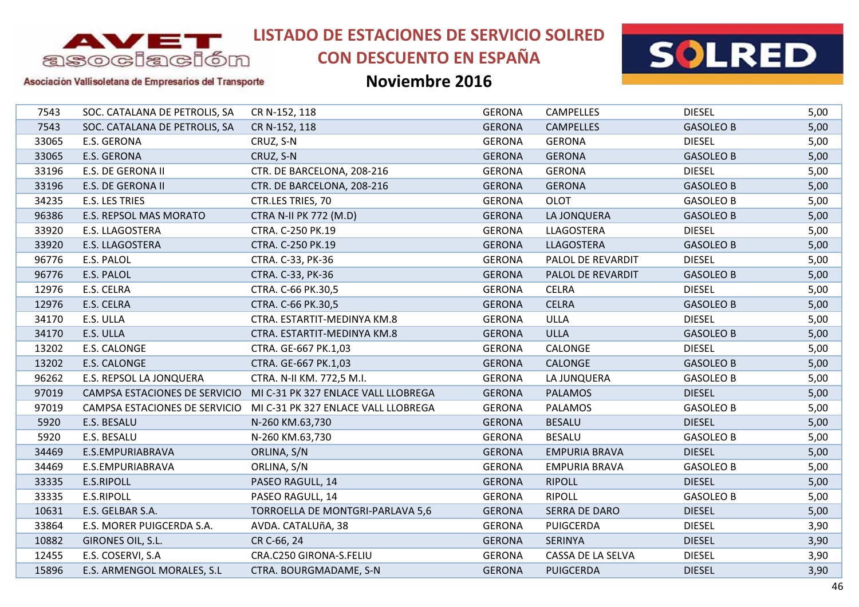

# **CON DESCUENTO EN ESPAÑA**



Asociación Vallisoletana de Empresarios del Transporte

| 7543  | SOC. CATALANA DE PETROLIS, SA | CR N-152, 118                       | <b>GERONA</b> | <b>CAMPELLES</b>     | <b>DIESEL</b>    | 5,00 |
|-------|-------------------------------|-------------------------------------|---------------|----------------------|------------------|------|
| 7543  | SOC. CATALANA DE PETROLIS, SA | CR N-152, 118                       | <b>GERONA</b> | <b>CAMPELLES</b>     | <b>GASOLEO B</b> | 5,00 |
| 33065 | E.S. GERONA                   | CRUZ, S-N                           | <b>GERONA</b> | <b>GERONA</b>        | <b>DIESEL</b>    | 5,00 |
| 33065 | E.S. GERONA                   | CRUZ, S-N                           | <b>GERONA</b> | <b>GERONA</b>        | <b>GASOLEO B</b> | 5,00 |
| 33196 | E.S. DE GERONA II             | CTR. DE BARCELONA, 208-216          | <b>GERONA</b> | <b>GERONA</b>        | <b>DIESEL</b>    | 5,00 |
| 33196 | E.S. DE GERONA II             | CTR. DE BARCELONA, 208-216          | <b>GERONA</b> | <b>GERONA</b>        | <b>GASOLEO B</b> | 5,00 |
| 34235 | E.S. LES TRIES                | CTR.LES TRIES, 70                   | <b>GERONA</b> | <b>OLOT</b>          | <b>GASOLEO B</b> | 5,00 |
| 96386 | E.S. REPSOL MAS MORATO        | <b>CTRA N-II PK 772 (M.D)</b>       | <b>GERONA</b> | LA JONQUERA          | <b>GASOLEO B</b> | 5,00 |
| 33920 | E.S. LLAGOSTERA               | CTRA. C-250 PK.19                   | <b>GERONA</b> | LLAGOSTERA           | <b>DIESEL</b>    | 5,00 |
| 33920 | E.S. LLAGOSTERA               | CTRA. C-250 PK.19                   | <b>GERONA</b> | LLAGOSTERA           | <b>GASOLEO B</b> | 5,00 |
| 96776 | E.S. PALOL                    | CTRA. C-33, PK-36                   | <b>GERONA</b> | PALOL DE REVARDIT    | <b>DIESEL</b>    | 5,00 |
| 96776 | E.S. PALOL                    | CTRA. C-33, PK-36                   | <b>GERONA</b> | PALOL DE REVARDIT    | <b>GASOLEO B</b> | 5,00 |
| 12976 | E.S. CELRA                    | CTRA. C-66 PK.30,5                  | <b>GERONA</b> | <b>CELRA</b>         | <b>DIESEL</b>    | 5,00 |
| 12976 | E.S. CELRA                    | CTRA. C-66 PK.30,5                  | <b>GERONA</b> | <b>CELRA</b>         | <b>GASOLEO B</b> | 5,00 |
| 34170 | E.S. ULLA                     | CTRA. ESTARTIT-MEDINYA KM.8         | <b>GERONA</b> | <b>ULLA</b>          | <b>DIESEL</b>    | 5,00 |
| 34170 | E.S. ULLA                     | CTRA. ESTARTIT-MEDINYA KM.8         | <b>GERONA</b> | <b>ULLA</b>          | <b>GASOLEO B</b> | 5,00 |
| 13202 | E.S. CALONGE                  | CTRA. GE-667 PK.1,03                | <b>GERONA</b> | CALONGE              | <b>DIESEL</b>    | 5,00 |
| 13202 | E.S. CALONGE                  | CTRA. GE-667 PK.1,03                | <b>GERONA</b> | CALONGE              | <b>GASOLEO B</b> | 5,00 |
| 96262 | E.S. REPSOL LA JONQUERA       | CTRA. N-II KM. 772,5 M.I.           | <b>GERONA</b> | LA JUNQUERA          | <b>GASOLEO B</b> | 5,00 |
| 97019 | CAMPSA ESTACIONES DE SERVICIO | MI C-31 PK 327 ENLACE VALL LLOBREGA | <b>GERONA</b> | <b>PALAMOS</b>       | <b>DIESEL</b>    | 5,00 |
| 97019 | CAMPSA ESTACIONES DE SERVICIO | MI C-31 PK 327 ENLACE VALL LLOBREGA | <b>GERONA</b> | <b>PALAMOS</b>       | <b>GASOLEO B</b> | 5,00 |
| 5920  | E.S. BESALU                   | N-260 KM.63,730                     | <b>GERONA</b> | <b>BESALU</b>        | <b>DIESEL</b>    | 5,00 |
| 5920  | E.S. BESALU                   | N-260 KM.63,730                     | <b>GERONA</b> | <b>BESALU</b>        | <b>GASOLEO B</b> | 5,00 |
| 34469 | E.S.EMPURIABRAVA              | ORLINA, S/N                         | <b>GERONA</b> | <b>EMPURIA BRAVA</b> | <b>DIESEL</b>    | 5,00 |
| 34469 | E.S.EMPURIABRAVA              | ORLINA, S/N                         | <b>GERONA</b> | <b>EMPURIA BRAVA</b> | <b>GASOLEO B</b> | 5,00 |
| 33335 | E.S.RIPOLL                    | PASEO RAGULL, 14                    | <b>GERONA</b> | <b>RIPOLL</b>        | <b>DIESEL</b>    | 5,00 |
| 33335 | E.S.RIPOLL                    | PASEO RAGULL, 14                    | <b>GERONA</b> | <b>RIPOLL</b>        | <b>GASOLEO B</b> | 5,00 |
| 10631 | E.S. GELBAR S.A.              | TORROELLA DE MONTGRI-PARLAVA 5,6    | <b>GERONA</b> | <b>SERRA DE DARO</b> | <b>DIESEL</b>    | 5,00 |
| 33864 | E.S. MORER PUIGCERDA S.A.     | AVDA. CATALUñA, 38                  | <b>GERONA</b> | <b>PUIGCERDA</b>     | <b>DIESEL</b>    | 3,90 |
| 10882 | GIRONES OIL, S.L.             | CR C-66, 24                         | <b>GERONA</b> | <b>SERINYA</b>       | <b>DIESEL</b>    | 3,90 |
| 12455 | E.S. COSERVI, S.A             | CRA.C250 GIRONA-S.FELIU             | <b>GERONA</b> | CASSA DE LA SELVA    | <b>DIESEL</b>    | 3,90 |
| 15896 | E.S. ARMENGOL MORALES, S.L    | CTRA. BOURGMADAME, S-N              | <b>GERONA</b> | <b>PUIGCERDA</b>     | <b>DIESEL</b>    | 3,90 |
|       |                               |                                     |               |                      |                  |      |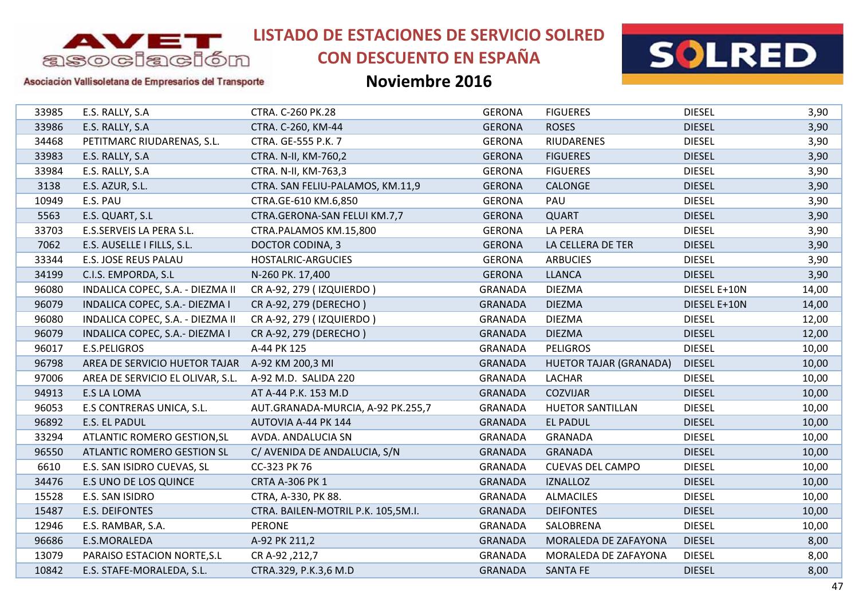

# **CON DESCUENTO EN ESPAÑA**



### Asociación Vallisoletana de Empresarios del Transporte

| 33985 | E.S. RALLY, S.A                                | CTRA. C-260 PK.28                  | <b>GERONA</b>  | <b>FIGUERES</b>               | <b>DIESEL</b> | 3,90  |
|-------|------------------------------------------------|------------------------------------|----------------|-------------------------------|---------------|-------|
| 33986 | E.S. RALLY, S.A                                | CTRA. C-260, KM-44                 | <b>GERONA</b>  | <b>ROSES</b>                  | <b>DIESEL</b> | 3,90  |
| 34468 | PETITMARC RIUDARENAS, S.L.                     | CTRA. GE-555 P.K. 7                | <b>GERONA</b>  | <b>RIUDARENES</b>             | <b>DIESEL</b> | 3,90  |
| 33983 | E.S. RALLY, S.A                                | CTRA. N-II, KM-760,2               | <b>GERONA</b>  | <b>FIGUERES</b>               | <b>DIESEL</b> | 3,90  |
| 33984 | E.S. RALLY, S.A                                | CTRA. N-II, KM-763,3               | <b>GERONA</b>  | <b>FIGUERES</b>               | <b>DIESEL</b> | 3,90  |
| 3138  | E.S. AZUR, S.L.                                | CTRA. SAN FELIU-PALAMOS, KM.11,9   | <b>GERONA</b>  | CALONGE                       | <b>DIESEL</b> | 3,90  |
| 10949 | E.S. PAU                                       | CTRA.GE-610 KM.6,850               | <b>GERONA</b>  | PAU                           | <b>DIESEL</b> | 3,90  |
| 5563  | E.S. QUART, S.L                                | CTRA.GERONA-SAN FELUI KM.7,7       | <b>GERONA</b>  | <b>QUART</b>                  | <b>DIESEL</b> | 3,90  |
| 33703 | E.S.SERVEIS LA PERA S.L.                       | CTRA.PALAMOS KM.15,800             | <b>GERONA</b>  | <b>LA PERA</b>                | <b>DIESEL</b> | 3,90  |
| 7062  | E.S. AUSELLE I FILLS, S.L.                     | DOCTOR CODINA, 3                   | <b>GERONA</b>  | LA CELLERA DE TER             | <b>DIESEL</b> | 3,90  |
| 33344 | E.S. JOSE REUS PALAU                           | HOSTALRIC-ARGUCIES                 | <b>GERONA</b>  | <b>ARBUCIES</b>               | <b>DIESEL</b> | 3,90  |
| 34199 | C.I.S. EMPORDA, S.L                            | N-260 PK. 17,400                   | <b>GERONA</b>  | <b>LLANCA</b>                 | <b>DIESEL</b> | 3,90  |
| 96080 | INDALICA COPEC, S.A. - DIEZMA II               | CR A-92, 279 (IZQUIERDO)           | <b>GRANADA</b> | <b>DIEZMA</b>                 | DIESEL E+10N  | 14,00 |
| 96079 | INDALICA COPEC, S.A.- DIEZMA I                 | CR A-92, 279 (DERECHO)             | <b>GRANADA</b> | <b>DIEZMA</b>                 | DIESEL E+10N  | 14,00 |
| 96080 | INDALICA COPEC, S.A. - DIEZMA II               | CR A-92, 279 (IZQUIERDO)           | <b>GRANADA</b> | <b>DIEZMA</b>                 | <b>DIESEL</b> | 12,00 |
| 96079 | INDALICA COPEC, S.A.- DIEZMA I                 | CR A-92, 279 (DERECHO)             | <b>GRANADA</b> | <b>DIEZMA</b>                 | <b>DIESEL</b> | 12,00 |
| 96017 | <b>E.S.PELIGROS</b>                            | A-44 PK 125                        | <b>GRANADA</b> | <b>PELIGROS</b>               | <b>DIESEL</b> | 10,00 |
| 96798 | AREA DE SERVICIO HUETOR TAJAR A-92 KM 200,3 MI |                                    | <b>GRANADA</b> | <b>HUETOR TAJAR (GRANADA)</b> | <b>DIESEL</b> | 10,00 |
| 97006 | AREA DE SERVICIO EL OLIVAR, S.L.               | A-92 M.D. SALIDA 220               | <b>GRANADA</b> | LACHAR                        | <b>DIESEL</b> | 10,00 |
| 94913 | <b>E.S LA LOMA</b>                             | AT A-44 P.K. 153 M.D               | <b>GRANADA</b> | <b>COZVIJAR</b>               | <b>DIESEL</b> | 10,00 |
| 96053 | E.S CONTRERAS UNICA, S.L.                      | AUT.GRANADA-MURCIA, A-92 PK.255,7  | <b>GRANADA</b> | <b>HUETOR SANTILLAN</b>       | <b>DIESEL</b> | 10,00 |
| 96892 | E.S. EL PADUL                                  | AUTOVIA A-44 PK 144                | <b>GRANADA</b> | <b>EL PADUL</b>               | <b>DIESEL</b> | 10,00 |
| 33294 | ATLANTIC ROMERO GESTION, SL                    | AVDA. ANDALUCIA SN                 | <b>GRANADA</b> | GRANADA                       | <b>DIESEL</b> | 10,00 |
| 96550 | <b>ATLANTIC ROMERO GESTION SL</b>              | C/ AVENIDA DE ANDALUCIA, S/N       | <b>GRANADA</b> | <b>GRANADA</b>                | <b>DIESEL</b> | 10,00 |
| 6610  | E.S. SAN ISIDRO CUEVAS, SL                     | CC-323 PK 76                       | <b>GRANADA</b> | <b>CUEVAS DEL CAMPO</b>       | <b>DIESEL</b> | 10,00 |
| 34476 | E.S UNO DE LOS QUINCE                          | <b>CRTA A-306 PK 1</b>             | <b>GRANADA</b> | <b>IZNALLOZ</b>               | <b>DIESEL</b> | 10,00 |
| 15528 | E.S. SAN ISIDRO                                | CTRA, A-330, PK 88.                | <b>GRANADA</b> | <b>ALMACILES</b>              | <b>DIESEL</b> | 10,00 |
| 15487 | E.S. DEIFONTES                                 | CTRA. BAILEN-MOTRIL P.K. 105,5M.I. | <b>GRANADA</b> | <b>DEIFONTES</b>              | <b>DIESEL</b> | 10,00 |
| 12946 | E.S. RAMBAR, S.A.                              | <b>PERONE</b>                      | <b>GRANADA</b> | SALOBRENA                     | <b>DIESEL</b> | 10,00 |
| 96686 | E.S.MORALEDA                                   | A-92 PK 211,2                      | <b>GRANADA</b> | MORALEDA DE ZAFAYONA          | <b>DIESEL</b> | 8,00  |
| 13079 | PARAISO ESTACION NORTE, S.L                    | CR A-92, 212,7                     | <b>GRANADA</b> | MORALEDA DE ZAFAYONA          | <b>DIESEL</b> | 8,00  |
| 10842 | E.S. STAFE-MORALEDA, S.L.                      | CTRA.329, P.K.3,6 M.D              | <b>GRANADA</b> | <b>SANTA FE</b>               | <b>DIESEL</b> | 8,00  |
|       |                                                |                                    |                |                               |               |       |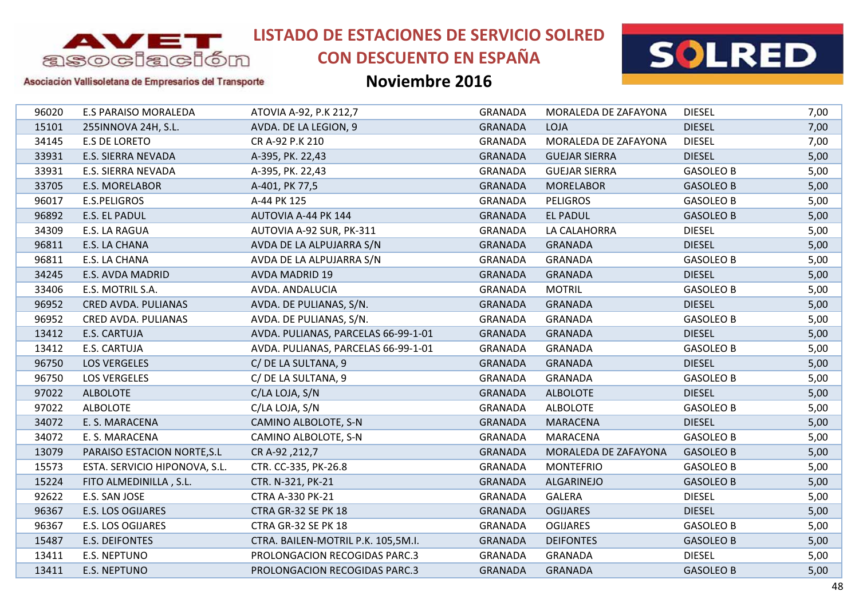

# **CON DESCUENTO EN ESPAÑA**



### Asociación Vallisoletana de Empresarios del Transporte

| 96020 | <b>E.S PARAISO MORALEDA</b>   | ATOVIA A-92, P.K 212,7              | <b>GRANADA</b> | MORALEDA DE ZAFAYONA | <b>DIESEL</b>    | 7,00 |
|-------|-------------------------------|-------------------------------------|----------------|----------------------|------------------|------|
| 15101 | 255INNOVA 24H, S.L.           | AVDA. DE LA LEGION, 9               | <b>GRANADA</b> | LOJA                 | <b>DIESEL</b>    | 7,00 |
| 34145 | <b>E.S DE LORETO</b>          | CR A-92 P.K 210                     | <b>GRANADA</b> | MORALEDA DE ZAFAYONA | <b>DIESEL</b>    | 7,00 |
| 33931 | E.S. SIERRA NEVADA            | A-395, PK. 22,43                    | <b>GRANADA</b> | <b>GUEJAR SIERRA</b> | <b>DIESEL</b>    | 5,00 |
| 33931 | E.S. SIERRA NEVADA            | A-395, PK. 22,43                    | <b>GRANADA</b> | <b>GUEJAR SIERRA</b> | <b>GASOLEO B</b> | 5,00 |
| 33705 | <b>E.S. MORELABOR</b>         | A-401, PK 77,5                      | <b>GRANADA</b> | <b>MORELABOR</b>     | <b>GASOLEO B</b> | 5,00 |
| 96017 | E.S.PELIGROS                  | A-44 PK 125                         | <b>GRANADA</b> | <b>PELIGROS</b>      | <b>GASOLEO B</b> | 5,00 |
| 96892 | E.S. EL PADUL                 | AUTOVIA A-44 PK 144                 | <b>GRANADA</b> | <b>EL PADUL</b>      | <b>GASOLEO B</b> | 5,00 |
| 34309 | E.S. LA RAGUA                 | AUTOVIA A-92 SUR, PK-311            | <b>GRANADA</b> | LA CALAHORRA         | <b>DIESEL</b>    | 5,00 |
| 96811 | E.S. LA CHANA                 | AVDA DE LA ALPUJARRA S/N            | <b>GRANADA</b> | <b>GRANADA</b>       | <b>DIESEL</b>    | 5,00 |
| 96811 | E.S. LA CHANA                 | AVDA DE LA ALPUJARRA S/N            | <b>GRANADA</b> | <b>GRANADA</b>       | <b>GASOLEO B</b> | 5,00 |
| 34245 | E.S. AVDA MADRID              | <b>AVDA MADRID 19</b>               | <b>GRANADA</b> | <b>GRANADA</b>       | <b>DIESEL</b>    | 5,00 |
| 33406 | E.S. MOTRIL S.A.              | AVDA. ANDALUCIA                     | <b>GRANADA</b> | <b>MOTRIL</b>        | <b>GASOLEO B</b> | 5,00 |
| 96952 | CRED AVDA. PULIANAS           | AVDA. DE PULIANAS, S/N.             | <b>GRANADA</b> | <b>GRANADA</b>       | <b>DIESEL</b>    | 5,00 |
| 96952 | CRED AVDA. PULIANAS           | AVDA. DE PULIANAS, S/N.             | <b>GRANADA</b> | <b>GRANADA</b>       | <b>GASOLEO B</b> | 5,00 |
| 13412 | E.S. CARTUJA                  | AVDA. PULIANAS, PARCELAS 66-99-1-01 | <b>GRANADA</b> | <b>GRANADA</b>       | <b>DIESEL</b>    | 5,00 |
| 13412 | E.S. CARTUJA                  | AVDA. PULIANAS, PARCELAS 66-99-1-01 | <b>GRANADA</b> | <b>GRANADA</b>       | <b>GASOLEO B</b> | 5,00 |
| 96750 | <b>LOS VERGELES</b>           | C/ DE LA SULTANA, 9                 | <b>GRANADA</b> | <b>GRANADA</b>       | <b>DIESEL</b>    | 5,00 |
| 96750 | <b>LOS VERGELES</b>           | C/DE LA SULTANA, 9                  | <b>GRANADA</b> | <b>GRANADA</b>       | <b>GASOLEO B</b> | 5,00 |
| 97022 | <b>ALBOLOTE</b>               | C/LA LOJA, S/N                      | <b>GRANADA</b> | <b>ALBOLOTE</b>      | <b>DIESEL</b>    | 5,00 |
| 97022 | <b>ALBOLOTE</b>               | C/LA LOJA, S/N                      | <b>GRANADA</b> | <b>ALBOLOTE</b>      | <b>GASOLEO B</b> | 5,00 |
| 34072 | E. S. MARACENA                | CAMINO ALBOLOTE, S-N                | <b>GRANADA</b> | <b>MARACENA</b>      | <b>DIESEL</b>    | 5,00 |
| 34072 | E. S. MARACENA                | CAMINO ALBOLOTE, S-N                | <b>GRANADA</b> | <b>MARACENA</b>      | <b>GASOLEO B</b> | 5,00 |
| 13079 | PARAISO ESTACION NORTE, S.L   | CR A-92, 212,7                      | <b>GRANADA</b> | MORALEDA DE ZAFAYONA | <b>GASOLEO B</b> | 5,00 |
| 15573 | ESTA. SERVICIO HIPONOVA, S.L. | CTR. CC-335, PK-26.8                | <b>GRANADA</b> | <b>MONTEFRIO</b>     | <b>GASOLEO B</b> | 5,00 |
| 15224 | FITO ALMEDINILLA, S.L.        | CTR. N-321, PK-21                   | <b>GRANADA</b> | ALGARINEJO           | <b>GASOLEO B</b> | 5,00 |
| 92622 | E.S. SAN JOSE                 | CTRA A-330 PK-21                    | <b>GRANADA</b> | <b>GALERA</b>        | <b>DIESEL</b>    | 5,00 |
| 96367 | E.S. LOS OGIJARES             | CTRA GR-32 SE PK 18                 | <b>GRANADA</b> | <b>OGIJARES</b>      | <b>DIESEL</b>    | 5,00 |
| 96367 | E.S. LOS OGIJARES             | CTRA GR-32 SE PK 18                 | <b>GRANADA</b> | <b>OGIJARES</b>      | <b>GASOLEO B</b> | 5,00 |
| 15487 | E.S. DEIFONTES                | CTRA. BAILEN-MOTRIL P.K. 105,5M.I.  | <b>GRANADA</b> | <b>DEIFONTES</b>     | <b>GASOLEO B</b> | 5,00 |
| 13411 | E.S. NEPTUNO                  | PROLONGACION RECOGIDAS PARC.3       | <b>GRANADA</b> | <b>GRANADA</b>       | <b>DIESEL</b>    | 5,00 |
| 13411 | E.S. NEPTUNO                  | PROLONGACION RECOGIDAS PARC.3       | <b>GRANADA</b> | <b>GRANADA</b>       | <b>GASOLEO B</b> | 5,00 |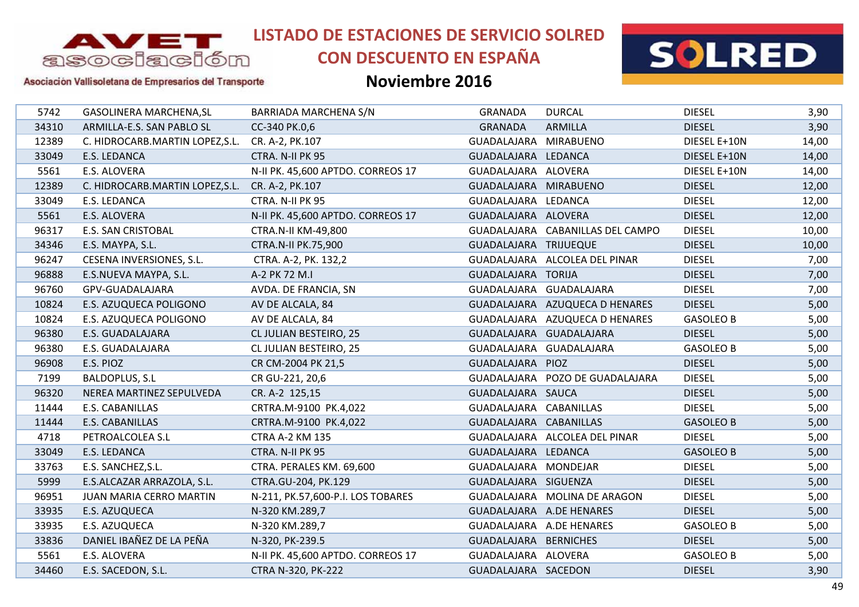

# **CON DESCUENTO EN ESPAÑA**



Asociación Vallisoletana de Empresarios del Transporte

| 5742  | <b>GASOLINERA MARCHENA, SL</b>                  | BARRIADA MARCHENA S/N             | GRANADA                | <b>DURCAL</b>                    | <b>DIESEL</b>    | 3,90  |
|-------|-------------------------------------------------|-----------------------------------|------------------------|----------------------------------|------------------|-------|
| 34310 | ARMILLA-E.S. SAN PABLO SL                       | CC-340 PK.0,6                     | <b>GRANADA</b>         | <b>ARMILLA</b>                   | <b>DIESEL</b>    | 3,90  |
| 12389 | C. HIDROCARB.MARTIN LOPEZ, S.L. CR. A-2, PK.107 |                                   | GUADALAJARA MIRABUENO  |                                  | DIESEL E+10N     | 14,00 |
| 33049 | E.S. LEDANCA                                    | CTRA. N-II PK 95                  | GUADALAJARA LEDANCA    |                                  | DIESEL E+10N     | 14,00 |
| 5561  | E.S. ALOVERA                                    | N-II PK. 45,600 APTDO. CORREOS 17 | GUADALAJARA ALOVERA    |                                  | DIESEL E+10N     | 14,00 |
| 12389 | C. HIDROCARB.MARTIN LOPEZ, S.L.                 | CR. A-2, PK.107                   | GUADALAJARA MIRABUENO  |                                  | <b>DIESEL</b>    | 12,00 |
| 33049 | E.S. LEDANCA                                    | CTRA. N-II PK 95                  | GUADALAJARA LEDANCA    |                                  | <b>DIESEL</b>    | 12,00 |
| 5561  | E.S. ALOVERA                                    | N-II PK. 45,600 APTDO. CORREOS 17 | GUADALAJARA ALOVERA    |                                  | <b>DIESEL</b>    | 12,00 |
| 96317 | <b>E.S. SAN CRISTOBAL</b>                       | CTRA.N-II KM-49,800               |                        | GUADALAJARA CABANILLAS DEL CAMPO | <b>DIESEL</b>    | 10,00 |
| 34346 | E.S. MAYPA, S.L.                                | <b>CTRA.N-II PK.75,900</b>        | GUADALAJARA TRIJUEQUE  |                                  | <b>DIESEL</b>    | 10,00 |
| 96247 | <b>CESENA INVERSIONES, S.L.</b>                 | CTRA. A-2, PK. 132,2              |                        | GUADALAJARA ALCOLEA DEL PINAR    | <b>DIESEL</b>    | 7,00  |
| 96888 | E.S.NUEVA MAYPA, S.L.                           | A-2 PK 72 M.I                     | GUADALAJARA TORIJA     |                                  | <b>DIESEL</b>    | 7,00  |
| 96760 | GPV-GUADALAJARA                                 | AVDA. DE FRANCIA, SN              |                        | GUADALAJARA GUADALAJARA          | <b>DIESEL</b>    | 7,00  |
| 10824 | E.S. AZUQUECA POLIGONO                          | AV DE ALCALA, 84                  |                        | GUADALAJARA AZUQUECA D HENARES   | <b>DIESEL</b>    | 5,00  |
| 10824 | E.S. AZUQUECA POLIGONO                          | AV DE ALCALA, 84                  |                        | GUADALAJARA AZUQUECA D HENARES   | <b>GASOLEO B</b> | 5,00  |
| 96380 | E.S. GUADALAJARA                                | CL JULIAN BESTEIRO, 25            |                        | GUADALAJARA GUADALAJARA          | <b>DIESEL</b>    | 5,00  |
| 96380 | E.S. GUADALAJARA                                | CL JULIAN BESTEIRO, 25            |                        | GUADALAJARA GUADALAJARA          | <b>GASOLEO B</b> | 5,00  |
| 96908 | E.S. PIOZ                                       | CR CM-2004 PK 21,5                | GUADALAJARA PIOZ       |                                  | <b>DIESEL</b>    | 5,00  |
| 7199  | BALDOPLUS, S.L                                  | CR GU-221, 20,6                   |                        | GUADALAJARA POZO DE GUADALAJARA  | <b>DIESEL</b>    | 5,00  |
| 96320 | NEREA MARTINEZ SEPULVEDA                        | CR. A-2 125,15                    | GUADALAJARA SAUCA      |                                  | <b>DIESEL</b>    | 5,00  |
| 11444 | E.S. CABANILLAS                                 | CRTRA.M-9100 PK.4,022             | GUADALAJARA CABANILLAS |                                  | <b>DIESEL</b>    | 5,00  |
| 11444 | E.S. CABANILLAS                                 | CRTRA.M-9100 PK.4,022             | GUADALAJARA CABANILLAS |                                  | <b>GASOLEO B</b> | 5,00  |
| 4718  | PETROALCOLEA S.L                                | <b>CTRA A-2 KM 135</b>            |                        | GUADALAJARA ALCOLEA DEL PINAR    | <b>DIESEL</b>    | 5,00  |
| 33049 | E.S. LEDANCA                                    | CTRA. N-II PK 95                  | GUADALAJARA LEDANCA    |                                  | <b>GASOLEO B</b> | 5,00  |
| 33763 | E.S. SANCHEZ, S.L.                              | CTRA. PERALES KM. 69,600          | GUADALAJARA MONDEJAR   |                                  | <b>DIESEL</b>    | 5,00  |
| 5999  | E.S.ALCAZAR ARRAZOLA, S.L.                      | CTRA.GU-204, PK.129               | GUADALAJARA SIGUENZA   |                                  | <b>DIESEL</b>    | 5,00  |
| 96951 | JUAN MARIA CERRO MARTIN                         | N-211, PK.57,600-P.I. LOS TOBARES |                        | GUADALAJARA MOLINA DE ARAGON     | <b>DIESEL</b>    | 5,00  |
| 33935 | E.S. AZUQUECA                                   | N-320 KM.289,7                    |                        | GUADALAJARA A.DE HENARES         | <b>DIESEL</b>    | 5,00  |
| 33935 | E.S. AZUQUECA                                   | N-320 KM.289,7                    |                        | GUADALAJARA A.DE HENARES         | <b>GASOLEO B</b> | 5,00  |
| 33836 | DANIEL IBAÑEZ DE LA PEÑA                        | N-320, PK-239.5                   | GUADALAJARA BERNICHES  |                                  | <b>DIESEL</b>    | 5,00  |
| 5561  | E.S. ALOVERA                                    | N-II PK. 45,600 APTDO. CORREOS 17 | GUADALAJARA ALOVERA    |                                  | <b>GASOLEO B</b> | 5,00  |
| 34460 | E.S. SACEDON, S.L.                              | CTRA N-320, PK-222                | GUADALAJARA SACEDON    |                                  | <b>DIESEL</b>    | 3,90  |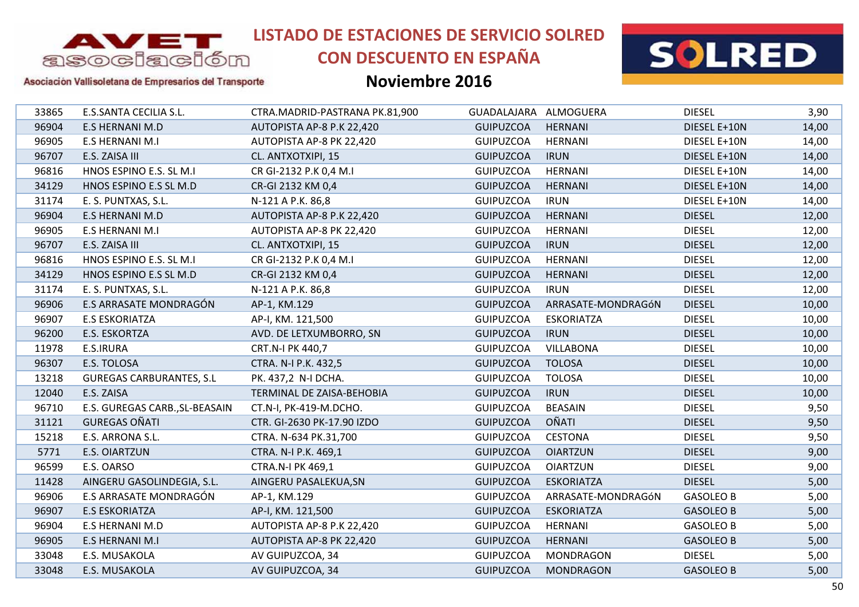

# **CON DESCUENTO EN ESPAÑA**



### Asociación Vallisoletana de Empresarios del Transporte

| E.S.SANTA CECILIA S.L.<br><b>DIESEL</b><br>33865<br>CTRA.MADRID-PASTRANA PK.81,900<br>GUADALAJARA ALMOGUERA<br>96904<br><b>GUIPUZCOA</b><br><b>HERNANI</b><br>DIESEL E+10N<br><b>E.S HERNANI M.D</b><br>AUTOPISTA AP-8 P.K 22,420<br>96905<br><b>GUIPUZCOA</b><br><b>HERNANI</b><br>E.S HERNANI M.I<br>AUTOPISTA AP-8 PK 22,420<br>DIESEL E+10N<br>96707<br>E.S. ZAISA III<br><b>GUIPUZCOA</b><br><b>IRUN</b><br>DIESEL E+10N<br>CL. ANTXOTXIPI, 15<br>96816<br>HNOS ESPINO E.S. SL M.I<br>CR GI-2132 P.K 0,4 M.I<br><b>GUIPUZCOA</b><br><b>HERNANI</b><br>DIESEL E+10N<br>34129<br>CR-GI 2132 KM 0,4<br><b>GUIPUZCOA</b><br><b>HERNANI</b><br>HNOS ESPINO E.S SL M.D<br>DIESEL E+10N<br><b>IRUN</b><br>31174<br><b>GUIPUZCOA</b><br>DIESEL E+10N<br>E. S. PUNTXAS, S.L.<br>N-121 A P.K. 86,8<br>96904<br>E.S HERNANI M.D<br><b>GUIPUZCOA</b><br><b>HERNANI</b><br><b>DIESEL</b><br>AUTOPISTA AP-8 P.K 22,420<br>96905<br>E.S HERNANI M.I<br><b>GUIPUZCOA</b><br><b>HERNANI</b><br><b>DIESEL</b><br>AUTOPISTA AP-8 PK 22,420<br>96707<br><b>DIESEL</b><br>E.S. ZAISA III<br>CL. ANTXOTXIPI, 15<br><b>GUIPUZCOA</b><br><b>IRUN</b><br>96816<br>HNOS ESPINO E.S. SL M.I<br>CR GI-2132 P.K 0,4 M.I<br><b>GUIPUZCOA</b><br><b>HERNANI</b><br><b>DIESEL</b><br>34129<br><b>DIESEL</b><br>HNOS ESPINO E.S SL M.D<br>CR-GI 2132 KM 0,4<br><b>GUIPUZCOA</b><br><b>HERNANI</b><br><b>IRUN</b><br><b>DIESEL</b><br>31174<br>E. S. PUNTXAS, S.L.<br><b>GUIPUZCOA</b><br>N-121 A P.K. 86,8<br>96906<br>E.S ARRASATE MONDRAGÓN<br>AP-1, KM.129<br><b>GUIPUZCOA</b><br>ARRASATE-MONDRAGÓN<br><b>DIESEL</b><br>96907<br><b>E.S ESKORIATZA</b><br>AP-I, KM. 121,500<br><b>GUIPUZCOA</b><br><b>ESKORIATZA</b><br><b>DIESEL</b><br>96200<br>E.S. ESKORTZA<br>AVD. DE LETXUMBORRO, SN<br><b>IRUN</b><br><b>DIESEL</b><br><b>GUIPUZCOA</b><br><b>GUIPUZCOA</b><br><b>VILLABONA</b><br>11978<br>E.S.IRURA<br>CRT.N-I PK 440,7<br><b>DIESEL</b><br>96307<br><b>TOLOSA</b><br><b>DIESEL</b><br>E.S. TOLOSA<br>CTRA. N-I P.K. 432,5<br><b>GUIPUZCOA</b><br><b>TOLOSA</b><br><b>DIESEL</b><br>13218<br><b>GUREGAS CARBURANTES, S.L</b><br>PK. 437,2 N-I DCHA.<br><b>GUIPUZCOA</b><br>12040<br>E.S. ZAISA<br><b>GUIPUZCOA</b><br><b>IRUN</b><br><b>DIESEL</b><br>TERMINAL DE ZAISA-BEHOBIA<br><b>BEASAIN</b><br><b>DIESEL</b><br>96710<br>E.S. GUREGAS CARB., SL-BEASAIN<br>CT.N-I, PK-419-M.DCHO.<br><b>GUIPUZCOA</b><br><b>OÑATI</b><br><b>GUREGAS OÑATI</b><br>31121<br>CTR. GI-2630 PK-17.90 IZDO<br><b>GUIPUZCOA</b><br><b>DIESEL</b><br>E.S. ARRONA S.L.<br><b>GUIPUZCOA</b><br><b>CESTONA</b><br><b>DIESEL</b><br>15218<br>CTRA. N-634 PK.31,700<br><b>DIESEL</b><br>5771<br><b>E.S. OIARTZUN</b><br><b>GUIPUZCOA</b><br><b>OIARTZUN</b><br>CTRA. N-I P.K. 469,1<br>E.S. OARSO<br><b>DIESEL</b><br>96599<br><b>CTRA.N-I PK 469,1</b><br><b>GUIPUZCOA</b><br><b>OIARTZUN</b><br>11428<br>AINGERU GASOLINDEGIA, S.L.<br><b>GUIPUZCOA</b><br><b>ESKORIATZA</b><br><b>DIESEL</b><br>AINGERU PASALEKUA, SN<br>E.S ARRASATE MONDRAGÓN<br>96906<br><b>GUIPUZCOA</b><br>ARRASATE-MONDRAGÓN<br><b>GASOLEO B</b><br>AP-1, KM.129<br>96907<br><b>E.S ESKORIATZA</b><br>AP-I, KM. 121,500<br><b>GUIPUZCOA</b><br><b>ESKORIATZA</b><br><b>GASOLEO B</b><br>96904<br>E.S HERNANI M.D<br>AUTOPISTA AP-8 P.K 22,420<br><b>GUIPUZCOA</b><br><b>HERNANI</b><br><b>GASOLEO B</b><br>96905<br><b>E.S HERNANI M.I</b><br>AUTOPISTA AP-8 PK 22,420<br><b>GUIPUZCOA</b><br><b>HERNANI</b><br><b>GASOLEO B</b><br>33048<br><b>GUIPUZCOA</b><br><b>DIESEL</b><br>E.S. MUSAKOLA<br>AV GUIPUZCOA, 34<br>MONDRAGON<br>33048<br>AV GUIPUZCOA, 34<br>E.S. MUSAKOLA<br><b>GUIPUZCOA</b><br><b>MONDRAGON</b><br><b>GASOLEO B</b> |  |  |  |       |
|-------------------------------------------------------------------------------------------------------------------------------------------------------------------------------------------------------------------------------------------------------------------------------------------------------------------------------------------------------------------------------------------------------------------------------------------------------------------------------------------------------------------------------------------------------------------------------------------------------------------------------------------------------------------------------------------------------------------------------------------------------------------------------------------------------------------------------------------------------------------------------------------------------------------------------------------------------------------------------------------------------------------------------------------------------------------------------------------------------------------------------------------------------------------------------------------------------------------------------------------------------------------------------------------------------------------------------------------------------------------------------------------------------------------------------------------------------------------------------------------------------------------------------------------------------------------------------------------------------------------------------------------------------------------------------------------------------------------------------------------------------------------------------------------------------------------------------------------------------------------------------------------------------------------------------------------------------------------------------------------------------------------------------------------------------------------------------------------------------------------------------------------------------------------------------------------------------------------------------------------------------------------------------------------------------------------------------------------------------------------------------------------------------------------------------------------------------------------------------------------------------------------------------------------------------------------------------------------------------------------------------------------------------------------------------------------------------------------------------------------------------------------------------------------------------------------------------------------------------------------------------------------------------------------------------------------------------------------------------------------------------------------------------------------------------------------------------------------------------------------------------------------------------------------------------------------------------------------------------------------------------------------------------------------------------------------------------------------------------------------------------------------------------------------------------------------------------------------------------------------------------------------------------------------------------------------------------------------------------------------------------------------------------------------------------|--|--|--|-------|
|                                                                                                                                                                                                                                                                                                                                                                                                                                                                                                                                                                                                                                                                                                                                                                                                                                                                                                                                                                                                                                                                                                                                                                                                                                                                                                                                                                                                                                                                                                                                                                                                                                                                                                                                                                                                                                                                                                                                                                                                                                                                                                                                                                                                                                                                                                                                                                                                                                                                                                                                                                                                                                                                                                                                                                                                                                                                                                                                                                                                                                                                                                                                                                                                                                                                                                                                                                                                                                                                                                                                                                                                                                                                               |  |  |  | 3,90  |
|                                                                                                                                                                                                                                                                                                                                                                                                                                                                                                                                                                                                                                                                                                                                                                                                                                                                                                                                                                                                                                                                                                                                                                                                                                                                                                                                                                                                                                                                                                                                                                                                                                                                                                                                                                                                                                                                                                                                                                                                                                                                                                                                                                                                                                                                                                                                                                                                                                                                                                                                                                                                                                                                                                                                                                                                                                                                                                                                                                                                                                                                                                                                                                                                                                                                                                                                                                                                                                                                                                                                                                                                                                                                               |  |  |  | 14,00 |
|                                                                                                                                                                                                                                                                                                                                                                                                                                                                                                                                                                                                                                                                                                                                                                                                                                                                                                                                                                                                                                                                                                                                                                                                                                                                                                                                                                                                                                                                                                                                                                                                                                                                                                                                                                                                                                                                                                                                                                                                                                                                                                                                                                                                                                                                                                                                                                                                                                                                                                                                                                                                                                                                                                                                                                                                                                                                                                                                                                                                                                                                                                                                                                                                                                                                                                                                                                                                                                                                                                                                                                                                                                                                               |  |  |  | 14,00 |
|                                                                                                                                                                                                                                                                                                                                                                                                                                                                                                                                                                                                                                                                                                                                                                                                                                                                                                                                                                                                                                                                                                                                                                                                                                                                                                                                                                                                                                                                                                                                                                                                                                                                                                                                                                                                                                                                                                                                                                                                                                                                                                                                                                                                                                                                                                                                                                                                                                                                                                                                                                                                                                                                                                                                                                                                                                                                                                                                                                                                                                                                                                                                                                                                                                                                                                                                                                                                                                                                                                                                                                                                                                                                               |  |  |  | 14,00 |
|                                                                                                                                                                                                                                                                                                                                                                                                                                                                                                                                                                                                                                                                                                                                                                                                                                                                                                                                                                                                                                                                                                                                                                                                                                                                                                                                                                                                                                                                                                                                                                                                                                                                                                                                                                                                                                                                                                                                                                                                                                                                                                                                                                                                                                                                                                                                                                                                                                                                                                                                                                                                                                                                                                                                                                                                                                                                                                                                                                                                                                                                                                                                                                                                                                                                                                                                                                                                                                                                                                                                                                                                                                                                               |  |  |  | 14,00 |
|                                                                                                                                                                                                                                                                                                                                                                                                                                                                                                                                                                                                                                                                                                                                                                                                                                                                                                                                                                                                                                                                                                                                                                                                                                                                                                                                                                                                                                                                                                                                                                                                                                                                                                                                                                                                                                                                                                                                                                                                                                                                                                                                                                                                                                                                                                                                                                                                                                                                                                                                                                                                                                                                                                                                                                                                                                                                                                                                                                                                                                                                                                                                                                                                                                                                                                                                                                                                                                                                                                                                                                                                                                                                               |  |  |  | 14,00 |
|                                                                                                                                                                                                                                                                                                                                                                                                                                                                                                                                                                                                                                                                                                                                                                                                                                                                                                                                                                                                                                                                                                                                                                                                                                                                                                                                                                                                                                                                                                                                                                                                                                                                                                                                                                                                                                                                                                                                                                                                                                                                                                                                                                                                                                                                                                                                                                                                                                                                                                                                                                                                                                                                                                                                                                                                                                                                                                                                                                                                                                                                                                                                                                                                                                                                                                                                                                                                                                                                                                                                                                                                                                                                               |  |  |  | 14,00 |
|                                                                                                                                                                                                                                                                                                                                                                                                                                                                                                                                                                                                                                                                                                                                                                                                                                                                                                                                                                                                                                                                                                                                                                                                                                                                                                                                                                                                                                                                                                                                                                                                                                                                                                                                                                                                                                                                                                                                                                                                                                                                                                                                                                                                                                                                                                                                                                                                                                                                                                                                                                                                                                                                                                                                                                                                                                                                                                                                                                                                                                                                                                                                                                                                                                                                                                                                                                                                                                                                                                                                                                                                                                                                               |  |  |  | 12,00 |
|                                                                                                                                                                                                                                                                                                                                                                                                                                                                                                                                                                                                                                                                                                                                                                                                                                                                                                                                                                                                                                                                                                                                                                                                                                                                                                                                                                                                                                                                                                                                                                                                                                                                                                                                                                                                                                                                                                                                                                                                                                                                                                                                                                                                                                                                                                                                                                                                                                                                                                                                                                                                                                                                                                                                                                                                                                                                                                                                                                                                                                                                                                                                                                                                                                                                                                                                                                                                                                                                                                                                                                                                                                                                               |  |  |  | 12,00 |
|                                                                                                                                                                                                                                                                                                                                                                                                                                                                                                                                                                                                                                                                                                                                                                                                                                                                                                                                                                                                                                                                                                                                                                                                                                                                                                                                                                                                                                                                                                                                                                                                                                                                                                                                                                                                                                                                                                                                                                                                                                                                                                                                                                                                                                                                                                                                                                                                                                                                                                                                                                                                                                                                                                                                                                                                                                                                                                                                                                                                                                                                                                                                                                                                                                                                                                                                                                                                                                                                                                                                                                                                                                                                               |  |  |  | 12,00 |
|                                                                                                                                                                                                                                                                                                                                                                                                                                                                                                                                                                                                                                                                                                                                                                                                                                                                                                                                                                                                                                                                                                                                                                                                                                                                                                                                                                                                                                                                                                                                                                                                                                                                                                                                                                                                                                                                                                                                                                                                                                                                                                                                                                                                                                                                                                                                                                                                                                                                                                                                                                                                                                                                                                                                                                                                                                                                                                                                                                                                                                                                                                                                                                                                                                                                                                                                                                                                                                                                                                                                                                                                                                                                               |  |  |  | 12,00 |
|                                                                                                                                                                                                                                                                                                                                                                                                                                                                                                                                                                                                                                                                                                                                                                                                                                                                                                                                                                                                                                                                                                                                                                                                                                                                                                                                                                                                                                                                                                                                                                                                                                                                                                                                                                                                                                                                                                                                                                                                                                                                                                                                                                                                                                                                                                                                                                                                                                                                                                                                                                                                                                                                                                                                                                                                                                                                                                                                                                                                                                                                                                                                                                                                                                                                                                                                                                                                                                                                                                                                                                                                                                                                               |  |  |  | 12,00 |
|                                                                                                                                                                                                                                                                                                                                                                                                                                                                                                                                                                                                                                                                                                                                                                                                                                                                                                                                                                                                                                                                                                                                                                                                                                                                                                                                                                                                                                                                                                                                                                                                                                                                                                                                                                                                                                                                                                                                                                                                                                                                                                                                                                                                                                                                                                                                                                                                                                                                                                                                                                                                                                                                                                                                                                                                                                                                                                                                                                                                                                                                                                                                                                                                                                                                                                                                                                                                                                                                                                                                                                                                                                                                               |  |  |  | 12,00 |
|                                                                                                                                                                                                                                                                                                                                                                                                                                                                                                                                                                                                                                                                                                                                                                                                                                                                                                                                                                                                                                                                                                                                                                                                                                                                                                                                                                                                                                                                                                                                                                                                                                                                                                                                                                                                                                                                                                                                                                                                                                                                                                                                                                                                                                                                                                                                                                                                                                                                                                                                                                                                                                                                                                                                                                                                                                                                                                                                                                                                                                                                                                                                                                                                                                                                                                                                                                                                                                                                                                                                                                                                                                                                               |  |  |  | 10,00 |
|                                                                                                                                                                                                                                                                                                                                                                                                                                                                                                                                                                                                                                                                                                                                                                                                                                                                                                                                                                                                                                                                                                                                                                                                                                                                                                                                                                                                                                                                                                                                                                                                                                                                                                                                                                                                                                                                                                                                                                                                                                                                                                                                                                                                                                                                                                                                                                                                                                                                                                                                                                                                                                                                                                                                                                                                                                                                                                                                                                                                                                                                                                                                                                                                                                                                                                                                                                                                                                                                                                                                                                                                                                                                               |  |  |  | 10,00 |
|                                                                                                                                                                                                                                                                                                                                                                                                                                                                                                                                                                                                                                                                                                                                                                                                                                                                                                                                                                                                                                                                                                                                                                                                                                                                                                                                                                                                                                                                                                                                                                                                                                                                                                                                                                                                                                                                                                                                                                                                                                                                                                                                                                                                                                                                                                                                                                                                                                                                                                                                                                                                                                                                                                                                                                                                                                                                                                                                                                                                                                                                                                                                                                                                                                                                                                                                                                                                                                                                                                                                                                                                                                                                               |  |  |  | 10,00 |
|                                                                                                                                                                                                                                                                                                                                                                                                                                                                                                                                                                                                                                                                                                                                                                                                                                                                                                                                                                                                                                                                                                                                                                                                                                                                                                                                                                                                                                                                                                                                                                                                                                                                                                                                                                                                                                                                                                                                                                                                                                                                                                                                                                                                                                                                                                                                                                                                                                                                                                                                                                                                                                                                                                                                                                                                                                                                                                                                                                                                                                                                                                                                                                                                                                                                                                                                                                                                                                                                                                                                                                                                                                                                               |  |  |  | 10,00 |
|                                                                                                                                                                                                                                                                                                                                                                                                                                                                                                                                                                                                                                                                                                                                                                                                                                                                                                                                                                                                                                                                                                                                                                                                                                                                                                                                                                                                                                                                                                                                                                                                                                                                                                                                                                                                                                                                                                                                                                                                                                                                                                                                                                                                                                                                                                                                                                                                                                                                                                                                                                                                                                                                                                                                                                                                                                                                                                                                                                                                                                                                                                                                                                                                                                                                                                                                                                                                                                                                                                                                                                                                                                                                               |  |  |  | 10,00 |
|                                                                                                                                                                                                                                                                                                                                                                                                                                                                                                                                                                                                                                                                                                                                                                                                                                                                                                                                                                                                                                                                                                                                                                                                                                                                                                                                                                                                                                                                                                                                                                                                                                                                                                                                                                                                                                                                                                                                                                                                                                                                                                                                                                                                                                                                                                                                                                                                                                                                                                                                                                                                                                                                                                                                                                                                                                                                                                                                                                                                                                                                                                                                                                                                                                                                                                                                                                                                                                                                                                                                                                                                                                                                               |  |  |  | 10,00 |
|                                                                                                                                                                                                                                                                                                                                                                                                                                                                                                                                                                                                                                                                                                                                                                                                                                                                                                                                                                                                                                                                                                                                                                                                                                                                                                                                                                                                                                                                                                                                                                                                                                                                                                                                                                                                                                                                                                                                                                                                                                                                                                                                                                                                                                                                                                                                                                                                                                                                                                                                                                                                                                                                                                                                                                                                                                                                                                                                                                                                                                                                                                                                                                                                                                                                                                                                                                                                                                                                                                                                                                                                                                                                               |  |  |  | 10,00 |
|                                                                                                                                                                                                                                                                                                                                                                                                                                                                                                                                                                                                                                                                                                                                                                                                                                                                                                                                                                                                                                                                                                                                                                                                                                                                                                                                                                                                                                                                                                                                                                                                                                                                                                                                                                                                                                                                                                                                                                                                                                                                                                                                                                                                                                                                                                                                                                                                                                                                                                                                                                                                                                                                                                                                                                                                                                                                                                                                                                                                                                                                                                                                                                                                                                                                                                                                                                                                                                                                                                                                                                                                                                                                               |  |  |  | 9,50  |
|                                                                                                                                                                                                                                                                                                                                                                                                                                                                                                                                                                                                                                                                                                                                                                                                                                                                                                                                                                                                                                                                                                                                                                                                                                                                                                                                                                                                                                                                                                                                                                                                                                                                                                                                                                                                                                                                                                                                                                                                                                                                                                                                                                                                                                                                                                                                                                                                                                                                                                                                                                                                                                                                                                                                                                                                                                                                                                                                                                                                                                                                                                                                                                                                                                                                                                                                                                                                                                                                                                                                                                                                                                                                               |  |  |  | 9,50  |
|                                                                                                                                                                                                                                                                                                                                                                                                                                                                                                                                                                                                                                                                                                                                                                                                                                                                                                                                                                                                                                                                                                                                                                                                                                                                                                                                                                                                                                                                                                                                                                                                                                                                                                                                                                                                                                                                                                                                                                                                                                                                                                                                                                                                                                                                                                                                                                                                                                                                                                                                                                                                                                                                                                                                                                                                                                                                                                                                                                                                                                                                                                                                                                                                                                                                                                                                                                                                                                                                                                                                                                                                                                                                               |  |  |  | 9,50  |
|                                                                                                                                                                                                                                                                                                                                                                                                                                                                                                                                                                                                                                                                                                                                                                                                                                                                                                                                                                                                                                                                                                                                                                                                                                                                                                                                                                                                                                                                                                                                                                                                                                                                                                                                                                                                                                                                                                                                                                                                                                                                                                                                                                                                                                                                                                                                                                                                                                                                                                                                                                                                                                                                                                                                                                                                                                                                                                                                                                                                                                                                                                                                                                                                                                                                                                                                                                                                                                                                                                                                                                                                                                                                               |  |  |  | 9,00  |
|                                                                                                                                                                                                                                                                                                                                                                                                                                                                                                                                                                                                                                                                                                                                                                                                                                                                                                                                                                                                                                                                                                                                                                                                                                                                                                                                                                                                                                                                                                                                                                                                                                                                                                                                                                                                                                                                                                                                                                                                                                                                                                                                                                                                                                                                                                                                                                                                                                                                                                                                                                                                                                                                                                                                                                                                                                                                                                                                                                                                                                                                                                                                                                                                                                                                                                                                                                                                                                                                                                                                                                                                                                                                               |  |  |  | 9,00  |
|                                                                                                                                                                                                                                                                                                                                                                                                                                                                                                                                                                                                                                                                                                                                                                                                                                                                                                                                                                                                                                                                                                                                                                                                                                                                                                                                                                                                                                                                                                                                                                                                                                                                                                                                                                                                                                                                                                                                                                                                                                                                                                                                                                                                                                                                                                                                                                                                                                                                                                                                                                                                                                                                                                                                                                                                                                                                                                                                                                                                                                                                                                                                                                                                                                                                                                                                                                                                                                                                                                                                                                                                                                                                               |  |  |  | 5,00  |
|                                                                                                                                                                                                                                                                                                                                                                                                                                                                                                                                                                                                                                                                                                                                                                                                                                                                                                                                                                                                                                                                                                                                                                                                                                                                                                                                                                                                                                                                                                                                                                                                                                                                                                                                                                                                                                                                                                                                                                                                                                                                                                                                                                                                                                                                                                                                                                                                                                                                                                                                                                                                                                                                                                                                                                                                                                                                                                                                                                                                                                                                                                                                                                                                                                                                                                                                                                                                                                                                                                                                                                                                                                                                               |  |  |  | 5,00  |
|                                                                                                                                                                                                                                                                                                                                                                                                                                                                                                                                                                                                                                                                                                                                                                                                                                                                                                                                                                                                                                                                                                                                                                                                                                                                                                                                                                                                                                                                                                                                                                                                                                                                                                                                                                                                                                                                                                                                                                                                                                                                                                                                                                                                                                                                                                                                                                                                                                                                                                                                                                                                                                                                                                                                                                                                                                                                                                                                                                                                                                                                                                                                                                                                                                                                                                                                                                                                                                                                                                                                                                                                                                                                               |  |  |  | 5,00  |
|                                                                                                                                                                                                                                                                                                                                                                                                                                                                                                                                                                                                                                                                                                                                                                                                                                                                                                                                                                                                                                                                                                                                                                                                                                                                                                                                                                                                                                                                                                                                                                                                                                                                                                                                                                                                                                                                                                                                                                                                                                                                                                                                                                                                                                                                                                                                                                                                                                                                                                                                                                                                                                                                                                                                                                                                                                                                                                                                                                                                                                                                                                                                                                                                                                                                                                                                                                                                                                                                                                                                                                                                                                                                               |  |  |  | 5,00  |
|                                                                                                                                                                                                                                                                                                                                                                                                                                                                                                                                                                                                                                                                                                                                                                                                                                                                                                                                                                                                                                                                                                                                                                                                                                                                                                                                                                                                                                                                                                                                                                                                                                                                                                                                                                                                                                                                                                                                                                                                                                                                                                                                                                                                                                                                                                                                                                                                                                                                                                                                                                                                                                                                                                                                                                                                                                                                                                                                                                                                                                                                                                                                                                                                                                                                                                                                                                                                                                                                                                                                                                                                                                                                               |  |  |  | 5,00  |
|                                                                                                                                                                                                                                                                                                                                                                                                                                                                                                                                                                                                                                                                                                                                                                                                                                                                                                                                                                                                                                                                                                                                                                                                                                                                                                                                                                                                                                                                                                                                                                                                                                                                                                                                                                                                                                                                                                                                                                                                                                                                                                                                                                                                                                                                                                                                                                                                                                                                                                                                                                                                                                                                                                                                                                                                                                                                                                                                                                                                                                                                                                                                                                                                                                                                                                                                                                                                                                                                                                                                                                                                                                                                               |  |  |  | 5,00  |
|                                                                                                                                                                                                                                                                                                                                                                                                                                                                                                                                                                                                                                                                                                                                                                                                                                                                                                                                                                                                                                                                                                                                                                                                                                                                                                                                                                                                                                                                                                                                                                                                                                                                                                                                                                                                                                                                                                                                                                                                                                                                                                                                                                                                                                                                                                                                                                                                                                                                                                                                                                                                                                                                                                                                                                                                                                                                                                                                                                                                                                                                                                                                                                                                                                                                                                                                                                                                                                                                                                                                                                                                                                                                               |  |  |  | 5,00  |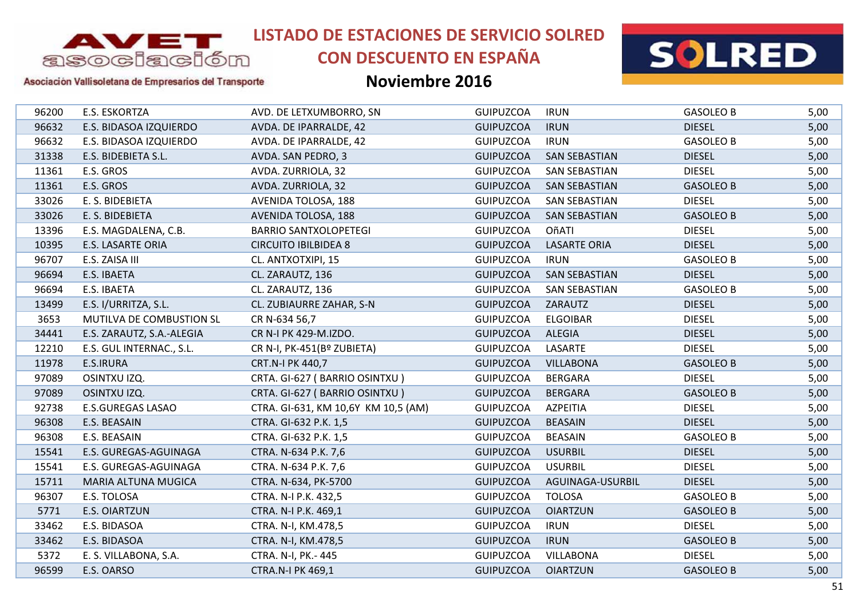

# **CON DESCUENTO EN ESPAÑA**



### Asociación Vallisoletana de Empresarios del Transporte

| 96200<br>E.S. ESKORTZA<br><b>GASOLEO B</b><br>AVD. DE LETXUMBORRO, SN<br><b>GUIPUZCOA</b><br><b>IRUN</b><br><b>DIESEL</b><br>96632<br>E.S. BIDASOA IZQUIERDO<br>AVDA. DE IPARRALDE, 42<br><b>GUIPUZCOA</b><br><b>IRUN</b><br>96632<br>E.S. BIDASOA IZQUIERDO<br><b>GUIPUZCOA</b><br><b>IRUN</b><br><b>GASOLEO B</b><br>AVDA. DE IPARRALDE, 42<br>31338<br>E.S. BIDEBIETA S.L.<br><b>GUIPUZCOA</b><br><b>SAN SEBASTIAN</b><br><b>DIESEL</b><br>AVDA. SAN PEDRO, 3<br>E.S. GROS<br><b>GUIPUZCOA</b><br><b>DIESEL</b><br>11361<br>AVDA. ZURRIOLA, 32<br><b>SAN SEBASTIAN</b><br>11361<br>E.S. GROS<br><b>GUIPUZCOA</b><br>AVDA. ZURRIOLA, 32<br><b>SAN SEBASTIAN</b><br><b>GASOLEO B</b><br>33026<br>E. S. BIDEBIETA<br><b>GUIPUZCOA</b><br><b>SAN SEBASTIAN</b><br><b>DIESEL</b><br>AVENIDA TOLOSA, 188<br>33026<br>E. S. BIDEBIETA<br>AVENIDA TOLOSA, 188<br><b>GUIPUZCOA</b><br><b>SAN SEBASTIAN</b><br><b>GASOLEO B</b><br><b>DIESEL</b><br>13396<br>E.S. MAGDALENA, C.B.<br><b>BARRIO SANTXOLOPETEGI</b><br><b>GUIPUZCOA</b><br>OñATI<br>E.S. LASARTE ORIA<br><b>DIESEL</b><br>10395<br><b>CIRCUITO IBILBIDEA 8</b><br><b>GUIPUZCOA</b><br><b>LASARTE ORIA</b><br>96707<br>E.S. ZAISA III<br><b>GUIPUZCOA</b><br>CL. ANTXOTXIPI, 15<br><b>IRUN</b><br><b>GASOLEO B</b><br>96694<br>E.S. IBAETA<br><b>GUIPUZCOA</b><br><b>SAN SEBASTIAN</b><br><b>DIESEL</b><br>CL. ZARAUTZ, 136<br>96694<br>E.S. IBAETA<br><b>GUIPUZCOA</b><br>CL. ZARAUTZ, 136<br>SAN SEBASTIAN<br><b>GASOLEO B</b><br>E.S. I/URRITZA, S.L.<br>CL. ZUBIAURRE ZAHAR, S-N<br><b>GUIPUZCOA</b><br><b>DIESEL</b><br>13499<br>ZARAUTZ<br>3653<br><b>GUIPUZCOA</b><br><b>ELGOIBAR</b><br><b>DIESEL</b><br>MUTILVA DE COMBUSTION SL<br>CR N-634 56,7<br>34441<br><b>GUIPUZCOA</b><br><b>ALEGIA</b><br><b>DIESEL</b><br>E.S. ZARAUTZ, S.A.-ALEGIA<br>CR N-I PK 429-M.IZDO.<br>12210<br>E.S. GUL INTERNAC., S.L.<br><b>GUIPUZCOA</b><br>LASARTE<br><b>DIESEL</b><br>CR N-I, PK-451(Bº ZUBIETA)<br>11978<br>E.S.IRURA<br>CRT.N-I PK 440,7<br><b>GUIPUZCOA</b><br><b>VILLABONA</b><br><b>GASOLEO B</b><br>97089<br>OSINTXU IZQ.<br>CRTA. GI-627 (BARRIO OSINTXU)<br><b>GUIPUZCOA</b><br><b>BERGARA</b><br><b>DIESEL</b><br>OSINTXU IZQ.<br>CRTA. GI-627 (BARRIO OSINTXU)<br>97089<br><b>GUIPUZCOA</b><br><b>BERGARA</b><br><b>GASOLEO B</b><br><b>DIESEL</b><br>92738<br><b>E.S.GUREGAS LASAO</b><br>CTRA. GI-631, KM 10,6Y KM 10,5 (AM)<br><b>GUIPUZCOA</b><br>AZPEITIA<br>96308<br><b>BEASAIN</b><br><b>DIESEL</b><br>E.S. BEASAIN<br><b>GUIPUZCOA</b><br>CTRA. GI-632 P.K. 1,5<br><b>GUIPUZCOA</b><br>96308<br>E.S. BEASAIN<br><b>BEASAIN</b><br><b>GASOLEO B</b><br>CTRA. GI-632 P.K. 1,5<br>15541<br><b>GUIPUZCOA</b><br><b>USURBIL</b><br><b>DIESEL</b><br>E.S. GUREGAS-AGUINAGA<br>CTRA. N-634 P.K. 7,6<br>15541<br><b>USURBIL</b><br><b>DIESEL</b><br>E.S. GUREGAS-AGUINAGA<br><b>GUIPUZCOA</b><br>CTRA. N-634 P.K. 7,6<br>15711<br><b>GUIPUZCOA</b><br>AGUINAGA-USURBIL<br><b>DIESEL</b><br>MARIA ALTUNA MUGICA<br>CTRA. N-634, PK-5700<br>96307<br><b>GUIPUZCOA</b><br><b>TOLOSA</b><br><b>GASOLEO B</b><br>E.S. TOLOSA<br>CTRA. N-I P.K. 432,5<br><b>E.S. OIARTZUN</b><br>5771<br>CTRA. N-I P.K. 469,1<br><b>GUIPUZCOA</b><br><b>OIARTZUN</b><br><b>GASOLEO B</b><br>33462<br>E.S. BIDASOA<br><b>GUIPUZCOA</b><br><b>DIESEL</b><br>CTRA. N-I, KM.478,5<br><b>IRUN</b><br>33462<br>E.S. BIDASOA<br>CTRA. N-I, KM.478,5<br><b>GUIPUZCOA</b><br><b>IRUN</b><br><b>GASOLEO B</b><br>5372<br>E. S. VILLABONA, S.A.<br><b>GUIPUZCOA</b><br><b>VILLABONA</b><br><b>DIESEL</b><br>CTRA. N-I, PK.- 445<br>96599<br>E.S. OARSO<br><b>GUIPUZCOA</b><br><b>OIARTZUN</b><br><b>GASOLEO B</b><br><b>CTRA.N-I PK 469,1</b> |  |  |  |      |
|--------------------------------------------------------------------------------------------------------------------------------------------------------------------------------------------------------------------------------------------------------------------------------------------------------------------------------------------------------------------------------------------------------------------------------------------------------------------------------------------------------------------------------------------------------------------------------------------------------------------------------------------------------------------------------------------------------------------------------------------------------------------------------------------------------------------------------------------------------------------------------------------------------------------------------------------------------------------------------------------------------------------------------------------------------------------------------------------------------------------------------------------------------------------------------------------------------------------------------------------------------------------------------------------------------------------------------------------------------------------------------------------------------------------------------------------------------------------------------------------------------------------------------------------------------------------------------------------------------------------------------------------------------------------------------------------------------------------------------------------------------------------------------------------------------------------------------------------------------------------------------------------------------------------------------------------------------------------------------------------------------------------------------------------------------------------------------------------------------------------------------------------------------------------------------------------------------------------------------------------------------------------------------------------------------------------------------------------------------------------------------------------------------------------------------------------------------------------------------------------------------------------------------------------------------------------------------------------------------------------------------------------------------------------------------------------------------------------------------------------------------------------------------------------------------------------------------------------------------------------------------------------------------------------------------------------------------------------------------------------------------------------------------------------------------------------------------------------------------------------------------------------------------------------------------------------------------------------------------------------------------------------------------------------------------------------------------------------------------------------------------------------------------------------------------------------------------------------------------------------------------------------------------------------------------------------------------------------------------------------------------------------------------------------------------|--|--|--|------|
|                                                                                                                                                                                                                                                                                                                                                                                                                                                                                                                                                                                                                                                                                                                                                                                                                                                                                                                                                                                                                                                                                                                                                                                                                                                                                                                                                                                                                                                                                                                                                                                                                                                                                                                                                                                                                                                                                                                                                                                                                                                                                                                                                                                                                                                                                                                                                                                                                                                                                                                                                                                                                                                                                                                                                                                                                                                                                                                                                                                                                                                                                                                                                                                                                                                                                                                                                                                                                                                                                                                                                                                                                                                                                |  |  |  | 5,00 |
|                                                                                                                                                                                                                                                                                                                                                                                                                                                                                                                                                                                                                                                                                                                                                                                                                                                                                                                                                                                                                                                                                                                                                                                                                                                                                                                                                                                                                                                                                                                                                                                                                                                                                                                                                                                                                                                                                                                                                                                                                                                                                                                                                                                                                                                                                                                                                                                                                                                                                                                                                                                                                                                                                                                                                                                                                                                                                                                                                                                                                                                                                                                                                                                                                                                                                                                                                                                                                                                                                                                                                                                                                                                                                |  |  |  | 5,00 |
|                                                                                                                                                                                                                                                                                                                                                                                                                                                                                                                                                                                                                                                                                                                                                                                                                                                                                                                                                                                                                                                                                                                                                                                                                                                                                                                                                                                                                                                                                                                                                                                                                                                                                                                                                                                                                                                                                                                                                                                                                                                                                                                                                                                                                                                                                                                                                                                                                                                                                                                                                                                                                                                                                                                                                                                                                                                                                                                                                                                                                                                                                                                                                                                                                                                                                                                                                                                                                                                                                                                                                                                                                                                                                |  |  |  | 5,00 |
|                                                                                                                                                                                                                                                                                                                                                                                                                                                                                                                                                                                                                                                                                                                                                                                                                                                                                                                                                                                                                                                                                                                                                                                                                                                                                                                                                                                                                                                                                                                                                                                                                                                                                                                                                                                                                                                                                                                                                                                                                                                                                                                                                                                                                                                                                                                                                                                                                                                                                                                                                                                                                                                                                                                                                                                                                                                                                                                                                                                                                                                                                                                                                                                                                                                                                                                                                                                                                                                                                                                                                                                                                                                                                |  |  |  | 5,00 |
|                                                                                                                                                                                                                                                                                                                                                                                                                                                                                                                                                                                                                                                                                                                                                                                                                                                                                                                                                                                                                                                                                                                                                                                                                                                                                                                                                                                                                                                                                                                                                                                                                                                                                                                                                                                                                                                                                                                                                                                                                                                                                                                                                                                                                                                                                                                                                                                                                                                                                                                                                                                                                                                                                                                                                                                                                                                                                                                                                                                                                                                                                                                                                                                                                                                                                                                                                                                                                                                                                                                                                                                                                                                                                |  |  |  | 5,00 |
|                                                                                                                                                                                                                                                                                                                                                                                                                                                                                                                                                                                                                                                                                                                                                                                                                                                                                                                                                                                                                                                                                                                                                                                                                                                                                                                                                                                                                                                                                                                                                                                                                                                                                                                                                                                                                                                                                                                                                                                                                                                                                                                                                                                                                                                                                                                                                                                                                                                                                                                                                                                                                                                                                                                                                                                                                                                                                                                                                                                                                                                                                                                                                                                                                                                                                                                                                                                                                                                                                                                                                                                                                                                                                |  |  |  | 5,00 |
|                                                                                                                                                                                                                                                                                                                                                                                                                                                                                                                                                                                                                                                                                                                                                                                                                                                                                                                                                                                                                                                                                                                                                                                                                                                                                                                                                                                                                                                                                                                                                                                                                                                                                                                                                                                                                                                                                                                                                                                                                                                                                                                                                                                                                                                                                                                                                                                                                                                                                                                                                                                                                                                                                                                                                                                                                                                                                                                                                                                                                                                                                                                                                                                                                                                                                                                                                                                                                                                                                                                                                                                                                                                                                |  |  |  | 5,00 |
|                                                                                                                                                                                                                                                                                                                                                                                                                                                                                                                                                                                                                                                                                                                                                                                                                                                                                                                                                                                                                                                                                                                                                                                                                                                                                                                                                                                                                                                                                                                                                                                                                                                                                                                                                                                                                                                                                                                                                                                                                                                                                                                                                                                                                                                                                                                                                                                                                                                                                                                                                                                                                                                                                                                                                                                                                                                                                                                                                                                                                                                                                                                                                                                                                                                                                                                                                                                                                                                                                                                                                                                                                                                                                |  |  |  | 5,00 |
|                                                                                                                                                                                                                                                                                                                                                                                                                                                                                                                                                                                                                                                                                                                                                                                                                                                                                                                                                                                                                                                                                                                                                                                                                                                                                                                                                                                                                                                                                                                                                                                                                                                                                                                                                                                                                                                                                                                                                                                                                                                                                                                                                                                                                                                                                                                                                                                                                                                                                                                                                                                                                                                                                                                                                                                                                                                                                                                                                                                                                                                                                                                                                                                                                                                                                                                                                                                                                                                                                                                                                                                                                                                                                |  |  |  | 5,00 |
|                                                                                                                                                                                                                                                                                                                                                                                                                                                                                                                                                                                                                                                                                                                                                                                                                                                                                                                                                                                                                                                                                                                                                                                                                                                                                                                                                                                                                                                                                                                                                                                                                                                                                                                                                                                                                                                                                                                                                                                                                                                                                                                                                                                                                                                                                                                                                                                                                                                                                                                                                                                                                                                                                                                                                                                                                                                                                                                                                                                                                                                                                                                                                                                                                                                                                                                                                                                                                                                                                                                                                                                                                                                                                |  |  |  | 5,00 |
|                                                                                                                                                                                                                                                                                                                                                                                                                                                                                                                                                                                                                                                                                                                                                                                                                                                                                                                                                                                                                                                                                                                                                                                                                                                                                                                                                                                                                                                                                                                                                                                                                                                                                                                                                                                                                                                                                                                                                                                                                                                                                                                                                                                                                                                                                                                                                                                                                                                                                                                                                                                                                                                                                                                                                                                                                                                                                                                                                                                                                                                                                                                                                                                                                                                                                                                                                                                                                                                                                                                                                                                                                                                                                |  |  |  | 5,00 |
|                                                                                                                                                                                                                                                                                                                                                                                                                                                                                                                                                                                                                                                                                                                                                                                                                                                                                                                                                                                                                                                                                                                                                                                                                                                                                                                                                                                                                                                                                                                                                                                                                                                                                                                                                                                                                                                                                                                                                                                                                                                                                                                                                                                                                                                                                                                                                                                                                                                                                                                                                                                                                                                                                                                                                                                                                                                                                                                                                                                                                                                                                                                                                                                                                                                                                                                                                                                                                                                                                                                                                                                                                                                                                |  |  |  | 5,00 |
|                                                                                                                                                                                                                                                                                                                                                                                                                                                                                                                                                                                                                                                                                                                                                                                                                                                                                                                                                                                                                                                                                                                                                                                                                                                                                                                                                                                                                                                                                                                                                                                                                                                                                                                                                                                                                                                                                                                                                                                                                                                                                                                                                                                                                                                                                                                                                                                                                                                                                                                                                                                                                                                                                                                                                                                                                                                                                                                                                                                                                                                                                                                                                                                                                                                                                                                                                                                                                                                                                                                                                                                                                                                                                |  |  |  | 5,00 |
|                                                                                                                                                                                                                                                                                                                                                                                                                                                                                                                                                                                                                                                                                                                                                                                                                                                                                                                                                                                                                                                                                                                                                                                                                                                                                                                                                                                                                                                                                                                                                                                                                                                                                                                                                                                                                                                                                                                                                                                                                                                                                                                                                                                                                                                                                                                                                                                                                                                                                                                                                                                                                                                                                                                                                                                                                                                                                                                                                                                                                                                                                                                                                                                                                                                                                                                                                                                                                                                                                                                                                                                                                                                                                |  |  |  | 5,00 |
|                                                                                                                                                                                                                                                                                                                                                                                                                                                                                                                                                                                                                                                                                                                                                                                                                                                                                                                                                                                                                                                                                                                                                                                                                                                                                                                                                                                                                                                                                                                                                                                                                                                                                                                                                                                                                                                                                                                                                                                                                                                                                                                                                                                                                                                                                                                                                                                                                                                                                                                                                                                                                                                                                                                                                                                                                                                                                                                                                                                                                                                                                                                                                                                                                                                                                                                                                                                                                                                                                                                                                                                                                                                                                |  |  |  | 5,00 |
|                                                                                                                                                                                                                                                                                                                                                                                                                                                                                                                                                                                                                                                                                                                                                                                                                                                                                                                                                                                                                                                                                                                                                                                                                                                                                                                                                                                                                                                                                                                                                                                                                                                                                                                                                                                                                                                                                                                                                                                                                                                                                                                                                                                                                                                                                                                                                                                                                                                                                                                                                                                                                                                                                                                                                                                                                                                                                                                                                                                                                                                                                                                                                                                                                                                                                                                                                                                                                                                                                                                                                                                                                                                                                |  |  |  | 5,00 |
|                                                                                                                                                                                                                                                                                                                                                                                                                                                                                                                                                                                                                                                                                                                                                                                                                                                                                                                                                                                                                                                                                                                                                                                                                                                                                                                                                                                                                                                                                                                                                                                                                                                                                                                                                                                                                                                                                                                                                                                                                                                                                                                                                                                                                                                                                                                                                                                                                                                                                                                                                                                                                                                                                                                                                                                                                                                                                                                                                                                                                                                                                                                                                                                                                                                                                                                                                                                                                                                                                                                                                                                                                                                                                |  |  |  | 5,00 |
|                                                                                                                                                                                                                                                                                                                                                                                                                                                                                                                                                                                                                                                                                                                                                                                                                                                                                                                                                                                                                                                                                                                                                                                                                                                                                                                                                                                                                                                                                                                                                                                                                                                                                                                                                                                                                                                                                                                                                                                                                                                                                                                                                                                                                                                                                                                                                                                                                                                                                                                                                                                                                                                                                                                                                                                                                                                                                                                                                                                                                                                                                                                                                                                                                                                                                                                                                                                                                                                                                                                                                                                                                                                                                |  |  |  | 5,00 |
|                                                                                                                                                                                                                                                                                                                                                                                                                                                                                                                                                                                                                                                                                                                                                                                                                                                                                                                                                                                                                                                                                                                                                                                                                                                                                                                                                                                                                                                                                                                                                                                                                                                                                                                                                                                                                                                                                                                                                                                                                                                                                                                                                                                                                                                                                                                                                                                                                                                                                                                                                                                                                                                                                                                                                                                                                                                                                                                                                                                                                                                                                                                                                                                                                                                                                                                                                                                                                                                                                                                                                                                                                                                                                |  |  |  | 5,00 |
|                                                                                                                                                                                                                                                                                                                                                                                                                                                                                                                                                                                                                                                                                                                                                                                                                                                                                                                                                                                                                                                                                                                                                                                                                                                                                                                                                                                                                                                                                                                                                                                                                                                                                                                                                                                                                                                                                                                                                                                                                                                                                                                                                                                                                                                                                                                                                                                                                                                                                                                                                                                                                                                                                                                                                                                                                                                                                                                                                                                                                                                                                                                                                                                                                                                                                                                                                                                                                                                                                                                                                                                                                                                                                |  |  |  | 5,00 |
|                                                                                                                                                                                                                                                                                                                                                                                                                                                                                                                                                                                                                                                                                                                                                                                                                                                                                                                                                                                                                                                                                                                                                                                                                                                                                                                                                                                                                                                                                                                                                                                                                                                                                                                                                                                                                                                                                                                                                                                                                                                                                                                                                                                                                                                                                                                                                                                                                                                                                                                                                                                                                                                                                                                                                                                                                                                                                                                                                                                                                                                                                                                                                                                                                                                                                                                                                                                                                                                                                                                                                                                                                                                                                |  |  |  | 5,00 |
|                                                                                                                                                                                                                                                                                                                                                                                                                                                                                                                                                                                                                                                                                                                                                                                                                                                                                                                                                                                                                                                                                                                                                                                                                                                                                                                                                                                                                                                                                                                                                                                                                                                                                                                                                                                                                                                                                                                                                                                                                                                                                                                                                                                                                                                                                                                                                                                                                                                                                                                                                                                                                                                                                                                                                                                                                                                                                                                                                                                                                                                                                                                                                                                                                                                                                                                                                                                                                                                                                                                                                                                                                                                                                |  |  |  | 5,00 |
|                                                                                                                                                                                                                                                                                                                                                                                                                                                                                                                                                                                                                                                                                                                                                                                                                                                                                                                                                                                                                                                                                                                                                                                                                                                                                                                                                                                                                                                                                                                                                                                                                                                                                                                                                                                                                                                                                                                                                                                                                                                                                                                                                                                                                                                                                                                                                                                                                                                                                                                                                                                                                                                                                                                                                                                                                                                                                                                                                                                                                                                                                                                                                                                                                                                                                                                                                                                                                                                                                                                                                                                                                                                                                |  |  |  | 5,00 |
|                                                                                                                                                                                                                                                                                                                                                                                                                                                                                                                                                                                                                                                                                                                                                                                                                                                                                                                                                                                                                                                                                                                                                                                                                                                                                                                                                                                                                                                                                                                                                                                                                                                                                                                                                                                                                                                                                                                                                                                                                                                                                                                                                                                                                                                                                                                                                                                                                                                                                                                                                                                                                                                                                                                                                                                                                                                                                                                                                                                                                                                                                                                                                                                                                                                                                                                                                                                                                                                                                                                                                                                                                                                                                |  |  |  | 5,00 |
|                                                                                                                                                                                                                                                                                                                                                                                                                                                                                                                                                                                                                                                                                                                                                                                                                                                                                                                                                                                                                                                                                                                                                                                                                                                                                                                                                                                                                                                                                                                                                                                                                                                                                                                                                                                                                                                                                                                                                                                                                                                                                                                                                                                                                                                                                                                                                                                                                                                                                                                                                                                                                                                                                                                                                                                                                                                                                                                                                                                                                                                                                                                                                                                                                                                                                                                                                                                                                                                                                                                                                                                                                                                                                |  |  |  | 5,00 |
|                                                                                                                                                                                                                                                                                                                                                                                                                                                                                                                                                                                                                                                                                                                                                                                                                                                                                                                                                                                                                                                                                                                                                                                                                                                                                                                                                                                                                                                                                                                                                                                                                                                                                                                                                                                                                                                                                                                                                                                                                                                                                                                                                                                                                                                                                                                                                                                                                                                                                                                                                                                                                                                                                                                                                                                                                                                                                                                                                                                                                                                                                                                                                                                                                                                                                                                                                                                                                                                                                                                                                                                                                                                                                |  |  |  | 5,00 |
|                                                                                                                                                                                                                                                                                                                                                                                                                                                                                                                                                                                                                                                                                                                                                                                                                                                                                                                                                                                                                                                                                                                                                                                                                                                                                                                                                                                                                                                                                                                                                                                                                                                                                                                                                                                                                                                                                                                                                                                                                                                                                                                                                                                                                                                                                                                                                                                                                                                                                                                                                                                                                                                                                                                                                                                                                                                                                                                                                                                                                                                                                                                                                                                                                                                                                                                                                                                                                                                                                                                                                                                                                                                                                |  |  |  | 5,00 |
|                                                                                                                                                                                                                                                                                                                                                                                                                                                                                                                                                                                                                                                                                                                                                                                                                                                                                                                                                                                                                                                                                                                                                                                                                                                                                                                                                                                                                                                                                                                                                                                                                                                                                                                                                                                                                                                                                                                                                                                                                                                                                                                                                                                                                                                                                                                                                                                                                                                                                                                                                                                                                                                                                                                                                                                                                                                                                                                                                                                                                                                                                                                                                                                                                                                                                                                                                                                                                                                                                                                                                                                                                                                                                |  |  |  | 5,00 |
|                                                                                                                                                                                                                                                                                                                                                                                                                                                                                                                                                                                                                                                                                                                                                                                                                                                                                                                                                                                                                                                                                                                                                                                                                                                                                                                                                                                                                                                                                                                                                                                                                                                                                                                                                                                                                                                                                                                                                                                                                                                                                                                                                                                                                                                                                                                                                                                                                                                                                                                                                                                                                                                                                                                                                                                                                                                                                                                                                                                                                                                                                                                                                                                                                                                                                                                                                                                                                                                                                                                                                                                                                                                                                |  |  |  | 5,00 |
|                                                                                                                                                                                                                                                                                                                                                                                                                                                                                                                                                                                                                                                                                                                                                                                                                                                                                                                                                                                                                                                                                                                                                                                                                                                                                                                                                                                                                                                                                                                                                                                                                                                                                                                                                                                                                                                                                                                                                                                                                                                                                                                                                                                                                                                                                                                                                                                                                                                                                                                                                                                                                                                                                                                                                                                                                                                                                                                                                                                                                                                                                                                                                                                                                                                                                                                                                                                                                                                                                                                                                                                                                                                                                |  |  |  | 5,00 |
|                                                                                                                                                                                                                                                                                                                                                                                                                                                                                                                                                                                                                                                                                                                                                                                                                                                                                                                                                                                                                                                                                                                                                                                                                                                                                                                                                                                                                                                                                                                                                                                                                                                                                                                                                                                                                                                                                                                                                                                                                                                                                                                                                                                                                                                                                                                                                                                                                                                                                                                                                                                                                                                                                                                                                                                                                                                                                                                                                                                                                                                                                                                                                                                                                                                                                                                                                                                                                                                                                                                                                                                                                                                                                |  |  |  | 5,00 |
|                                                                                                                                                                                                                                                                                                                                                                                                                                                                                                                                                                                                                                                                                                                                                                                                                                                                                                                                                                                                                                                                                                                                                                                                                                                                                                                                                                                                                                                                                                                                                                                                                                                                                                                                                                                                                                                                                                                                                                                                                                                                                                                                                                                                                                                                                                                                                                                                                                                                                                                                                                                                                                                                                                                                                                                                                                                                                                                                                                                                                                                                                                                                                                                                                                                                                                                                                                                                                                                                                                                                                                                                                                                                                |  |  |  | 5,00 |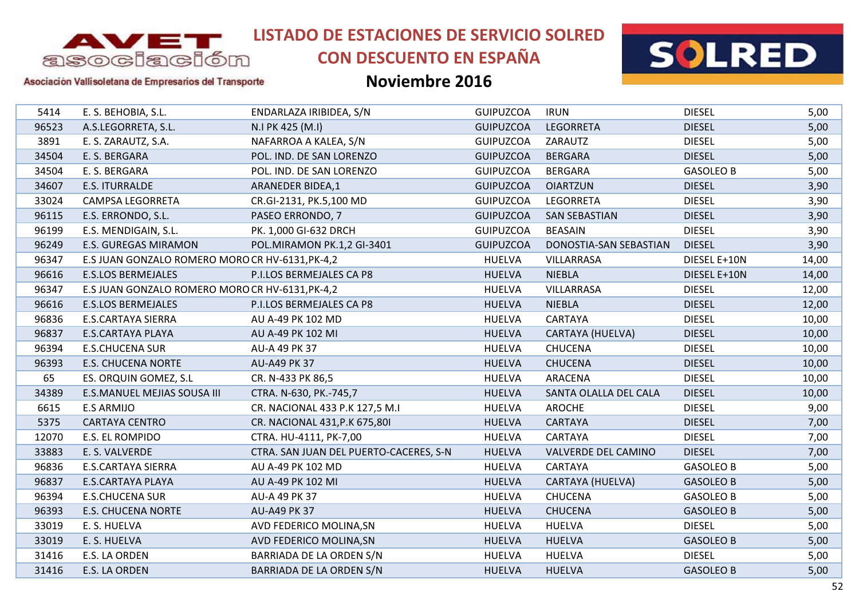

# **CON DESCUENTO EN ESPAÑA**



### Asociación Vallisoletana de Empresarios del Transporte

| 5414  | E. S. BEHOBIA, S.L.                              | ENDARLAZA IRIBIDEA, S/N                | <b>GUIPUZCOA</b> | <b>IRUN</b>            | <b>DIESEL</b>    | 5,00  |
|-------|--------------------------------------------------|----------------------------------------|------------------|------------------------|------------------|-------|
| 96523 | A.S.LEGORRETA, S.L.                              | N.I PK 425 (M.I)                       | <b>GUIPUZCOA</b> | <b>LEGORRETA</b>       | <b>DIESEL</b>    | 5,00  |
| 3891  | E. S. ZARAUTZ, S.A.                              | NAFARROA A KALEA, S/N                  | <b>GUIPUZCOA</b> | ZARAUTZ                | <b>DIESEL</b>    | 5,00  |
| 34504 | E. S. BERGARA                                    | POL. IND. DE SAN LORENZO               | <b>GUIPUZCOA</b> | <b>BERGARA</b>         | <b>DIESEL</b>    | 5,00  |
| 34504 | E. S. BERGARA                                    | POL. IND. DE SAN LORENZO               | <b>GUIPUZCOA</b> | <b>BERGARA</b>         | <b>GASOLEO B</b> | 5,00  |
| 34607 | E.S. ITURRALDE                                   | <b>ARANEDER BIDEA,1</b>                | <b>GUIPUZCOA</b> | <b>OIARTZUN</b>        | <b>DIESEL</b>    | 3,90  |
| 33024 | CAMPSA LEGORRETA                                 | CR.GI-2131, PK.5,100 MD                | <b>GUIPUZCOA</b> | LEGORRETA              | <b>DIESEL</b>    | 3,90  |
| 96115 | E.S. ERRONDO, S.L.                               | PASEO ERRONDO, 7                       | <b>GUIPUZCOA</b> | <b>SAN SEBASTIAN</b>   | <b>DIESEL</b>    | 3,90  |
| 96199 | E.S. MENDIGAIN, S.L.                             | PK. 1,000 GI-632 DRCH                  | <b>GUIPUZCOA</b> | <b>BEASAIN</b>         | <b>DIESEL</b>    | 3,90  |
| 96249 | <b>E.S. GUREGAS MIRAMON</b>                      | POL.MIRAMON PK.1,2 GI-3401             | <b>GUIPUZCOA</b> | DONOSTIA-SAN SEBASTIAN | <b>DIESEL</b>    | 3,90  |
| 96347 | E.S JUAN GONZALO ROMERO MORO CR HV-6131, PK-4, 2 |                                        | <b>HUELVA</b>    | VILLARRASA             | DIESEL E+10N     | 14,00 |
| 96616 | <b>E.S.LOS BERMEJALES</b>                        | P.I.LOS BERMEJALES CA P8               | <b>HUELVA</b>    | <b>NIEBLA</b>          | DIESEL E+10N     | 14,00 |
| 96347 | E.S JUAN GONZALO ROMERO MORO CR HV-6131, PK-4,2  |                                        | <b>HUELVA</b>    | VILLARRASA             | <b>DIESEL</b>    | 12,00 |
| 96616 | <b>E.S.LOS BERMEJALES</b>                        | P.I.LOS BERMEJALES CA P8               | <b>HUELVA</b>    | <b>NIEBLA</b>          | <b>DIESEL</b>    | 12,00 |
| 96836 | <b>E.S.CARTAYA SIERRA</b>                        | AU A-49 PK 102 MD                      | <b>HUELVA</b>    | CARTAYA                | <b>DIESEL</b>    | 10,00 |
| 96837 | <b>E.S.CARTAYA PLAYA</b>                         | AU A-49 PK 102 MI                      | <b>HUELVA</b>    | CARTAYA (HUELVA)       | <b>DIESEL</b>    | 10,00 |
| 96394 | <b>E.S.CHUCENA SUR</b>                           | AU-A 49 PK 37                          | <b>HUELVA</b>    | <b>CHUCENA</b>         | <b>DIESEL</b>    | 10,00 |
| 96393 | <b>E.S. CHUCENA NORTE</b>                        | AU-A49 PK 37                           | <b>HUELVA</b>    | <b>CHUCENA</b>         | <b>DIESEL</b>    | 10,00 |
| 65    | ES. ORQUIN GOMEZ, S.L                            | CR. N-433 PK 86,5                      | <b>HUELVA</b>    | ARACENA                | <b>DIESEL</b>    | 10,00 |
| 34389 | E.S.MANUEL MEJIAS SOUSA III                      | CTRA. N-630, PK.-745,7                 | <b>HUELVA</b>    | SANTA OLALLA DEL CALA  | <b>DIESEL</b>    | 10,00 |
| 6615  | <b>E.S ARMIJO</b>                                | CR. NACIONAL 433 P.K 127,5 M.I         | <b>HUELVA</b>    | AROCHE                 | <b>DIESEL</b>    | 9,00  |
| 5375  | <b>CARTAYA CENTRO</b>                            | CR. NACIONAL 431, P.K 675, 801         | <b>HUELVA</b>    | CARTAYA                | <b>DIESEL</b>    | 7,00  |
| 12070 | E.S. EL ROMPIDO                                  | CTRA. HU-4111, PK-7,00                 | <b>HUELVA</b>    | CARTAYA                | <b>DIESEL</b>    | 7,00  |
| 33883 | E. S. VALVERDE                                   | CTRA. SAN JUAN DEL PUERTO-CACERES, S-N | <b>HUELVA</b>    | VALVERDE DEL CAMINO    | <b>DIESEL</b>    | 7,00  |
| 96836 | <b>E.S.CARTAYA SIERRA</b>                        | AU A-49 PK 102 MD                      | <b>HUELVA</b>    | CARTAYA                | <b>GASOLEO B</b> | 5,00  |
| 96837 | <b>E.S.CARTAYA PLAYA</b>                         | AU A-49 PK 102 MI                      | <b>HUELVA</b>    | CARTAYA (HUELVA)       | <b>GASOLEO B</b> | 5,00  |
| 96394 | <b>E.S.CHUCENA SUR</b>                           | AU-A 49 PK 37                          | <b>HUELVA</b>    | <b>CHUCENA</b>         | <b>GASOLEO B</b> | 5,00  |
| 96393 | <b>E.S. CHUCENA NORTE</b>                        | <b>AU-A49 PK 37</b>                    | <b>HUELVA</b>    | <b>CHUCENA</b>         | <b>GASOLEO B</b> | 5,00  |
| 33019 | E. S. HUELVA                                     | AVD FEDERICO MOLINA, SN                | <b>HUELVA</b>    | <b>HUELVA</b>          | <b>DIESEL</b>    | 5,00  |
| 33019 | E. S. HUELVA                                     | AVD FEDERICO MOLINA, SN                | <b>HUELVA</b>    | <b>HUELVA</b>          | <b>GASOLEO B</b> | 5,00  |
| 31416 | E.S. LA ORDEN                                    | BARRIADA DE LA ORDEN S/N               | <b>HUELVA</b>    | <b>HUELVA</b>          | <b>DIESEL</b>    | 5,00  |
| 31416 | E.S. LA ORDEN                                    | BARRIADA DE LA ORDEN S/N               | <b>HUELVA</b>    | <b>HUELVA</b>          | <b>GASOLEO B</b> | 5,00  |
|       |                                                  |                                        |                  |                        |                  |       |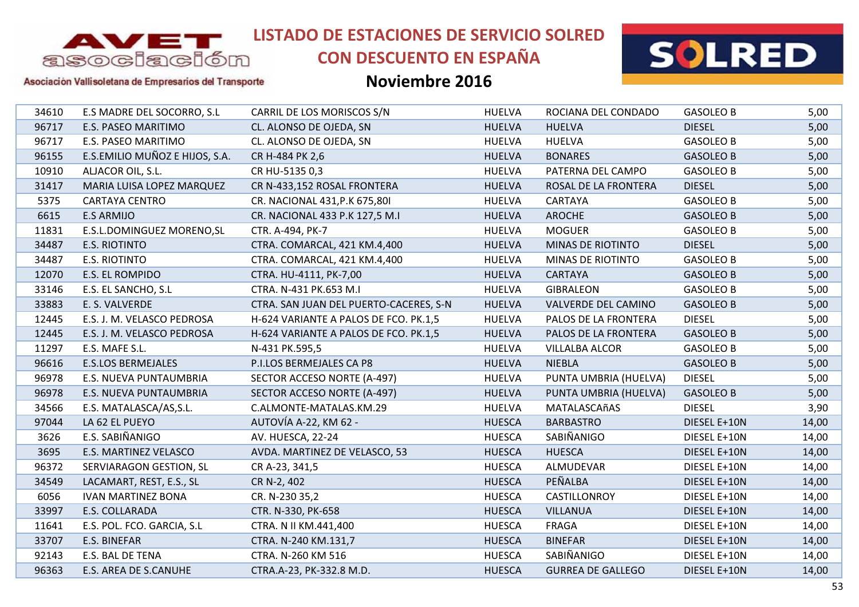

# **CON DESCUENTO EN ESPAÑA**



### Asociación Vallisoletana de Empresarios del Transporte

| 34610 | E.S MADRE DEL SOCORRO, S.L     | CARRIL DE LOS MORISCOS S/N             | <b>HUELVA</b> | ROCIANA DEL CONDADO      | <b>GASOLEO B</b> | 5,00  |
|-------|--------------------------------|----------------------------------------|---------------|--------------------------|------------------|-------|
| 96717 | E.S. PASEO MARITIMO            | CL. ALONSO DE OJEDA, SN                | <b>HUELVA</b> | <b>HUELVA</b>            | <b>DIESEL</b>    | 5,00  |
| 96717 | E.S. PASEO MARITIMO            | CL. ALONSO DE OJEDA, SN                | <b>HUELVA</b> | <b>HUELVA</b>            | <b>GASOLEO B</b> | 5,00  |
| 96155 | E.S.EMILIO MUÑOZ E HIJOS, S.A. | CR H-484 PK 2,6                        | <b>HUELVA</b> | <b>BONARES</b>           | <b>GASOLEO B</b> | 5,00  |
| 10910 | ALJACOR OIL, S.L.              | CR HU-5135 0,3                         | <b>HUELVA</b> | PATERNA DEL CAMPO        | <b>GASOLEO B</b> | 5,00  |
| 31417 | MARIA LUISA LOPEZ MARQUEZ      | CR N-433,152 ROSAL FRONTERA            | <b>HUELVA</b> | ROSAL DE LA FRONTERA     | <b>DIESEL</b>    | 5,00  |
| 5375  | <b>CARTAYA CENTRO</b>          | CR. NACIONAL 431, P.K 675, 801         | <b>HUELVA</b> | CARTAYA                  | <b>GASOLEO B</b> | 5,00  |
| 6615  | <b>E.S ARMIJO</b>              | CR. NACIONAL 433 P.K 127,5 M.I         | <b>HUELVA</b> | <b>AROCHE</b>            | <b>GASOLEO B</b> | 5,00  |
| 11831 | E.S.L.DOMINGUEZ MORENO, SL     | CTR. A-494, PK-7                       | <b>HUELVA</b> | <b>MOGUER</b>            | <b>GASOLEO B</b> | 5,00  |
| 34487 | <b>E.S. RIOTINTO</b>           | CTRA. COMARCAL, 421 KM.4,400           | <b>HUELVA</b> | <b>MINAS DE RIOTINTO</b> | <b>DIESEL</b>    | 5,00  |
| 34487 | E.S. RIOTINTO                  | CTRA. COMARCAL, 421 KM.4,400           | <b>HUELVA</b> | MINAS DE RIOTINTO        | <b>GASOLEO B</b> | 5,00  |
| 12070 | E.S. EL ROMPIDO                | CTRA. HU-4111, PK-7,00                 | <b>HUELVA</b> | <b>CARTAYA</b>           | <b>GASOLEO B</b> | 5,00  |
| 33146 | E.S. EL SANCHO, S.L            | CTRA. N-431 PK.653 M.I                 | <b>HUELVA</b> | <b>GIBRALEON</b>         | <b>GASOLEO B</b> | 5,00  |
| 33883 | E. S. VALVERDE                 | CTRA. SAN JUAN DEL PUERTO-CACERES, S-N | <b>HUELVA</b> | VALVERDE DEL CAMINO      | <b>GASOLEO B</b> | 5,00  |
| 12445 | E.S. J. M. VELASCO PEDROSA     | H-624 VARIANTE A PALOS DE FCO. PK.1,5  | <b>HUELVA</b> | PALOS DE LA FRONTERA     | <b>DIESEL</b>    | 5,00  |
| 12445 | E.S. J. M. VELASCO PEDROSA     | H-624 VARIANTE A PALOS DE FCO. PK.1,5  | <b>HUELVA</b> | PALOS DE LA FRONTERA     | <b>GASOLEO B</b> | 5,00  |
| 11297 | E.S. MAFE S.L.                 | N-431 PK.595,5                         | <b>HUELVA</b> | <b>VILLALBA ALCOR</b>    | <b>GASOLEO B</b> | 5,00  |
| 96616 | <b>E.S.LOS BERMEJALES</b>      | P.I.LOS BERMEJALES CA P8               | <b>HUELVA</b> | <b>NIEBLA</b>            | <b>GASOLEO B</b> | 5,00  |
| 96978 | E.S. NUEVA PUNTAUMBRIA         | SECTOR ACCESO NORTE (A-497)            | <b>HUELVA</b> | PUNTA UMBRIA (HUELVA)    | <b>DIESEL</b>    | 5,00  |
| 96978 | E.S. NUEVA PUNTAUMBRIA         | SECTOR ACCESO NORTE (A-497)            | <b>HUELVA</b> | PUNTA UMBRIA (HUELVA)    | <b>GASOLEO B</b> | 5,00  |
| 34566 | E.S. MATALASCA/AS,S.L.         | C.ALMONTE-MATALAS.KM.29                | <b>HUELVA</b> | MATALASCAñAS             | <b>DIESEL</b>    | 3,90  |
| 97044 | LA 62 EL PUEYO                 | AUTOVÍA A-22, KM 62 -                  | <b>HUESCA</b> | <b>BARBASTRO</b>         | DIESEL E+10N     | 14,00 |
| 3626  | E.S. SABIÑANIGO                | AV. HUESCA, 22-24                      | <b>HUESCA</b> | SABIÑANIGO               | DIESEL E+10N     | 14,00 |
| 3695  | E.S. MARTINEZ VELASCO          | AVDA. MARTINEZ DE VELASCO, 53          | <b>HUESCA</b> | <b>HUESCA</b>            | DIESEL E+10N     | 14,00 |
| 96372 | SERVIARAGON GESTION, SL        | CR A-23, 341,5                         | <b>HUESCA</b> | ALMUDEVAR                | DIESEL E+10N     | 14,00 |
| 34549 | LACAMART, REST, E.S., SL       | CR N-2, 402                            | <b>HUESCA</b> | PEÑALBA                  | DIESEL E+10N     | 14,00 |
| 6056  | <b>IVAN MARTINEZ BONA</b>      | CR. N-230 35,2                         | <b>HUESCA</b> | CASTILLONROY             | DIESEL E+10N     | 14,00 |
| 33997 | E.S. COLLARADA                 | CTR. N-330, PK-658                     | <b>HUESCA</b> | <b>VILLANUA</b>          | DIESEL E+10N     | 14,00 |
| 11641 | E.S. POL. FCO. GARCIA, S.L     | CTRA. N II KM.441,400                  | <b>HUESCA</b> | FRAGA                    | DIESEL E+10N     | 14,00 |
| 33707 | E.S. BINEFAR                   | CTRA. N-240 KM.131,7                   | <b>HUESCA</b> | <b>BINEFAR</b>           | DIESEL E+10N     | 14,00 |
| 92143 | E.S. BAL DE TENA               | CTRA. N-260 KM 516                     | <b>HUESCA</b> | SABIÑANIGO               | DIESEL E+10N     | 14,00 |
| 96363 | E.S. AREA DE S.CANUHE          | CTRA.A-23, PK-332.8 M.D.               | <b>HUESCA</b> | <b>GURREA DE GALLEGO</b> | DIESEL E+10N     | 14,00 |
|       |                                |                                        |               |                          |                  |       |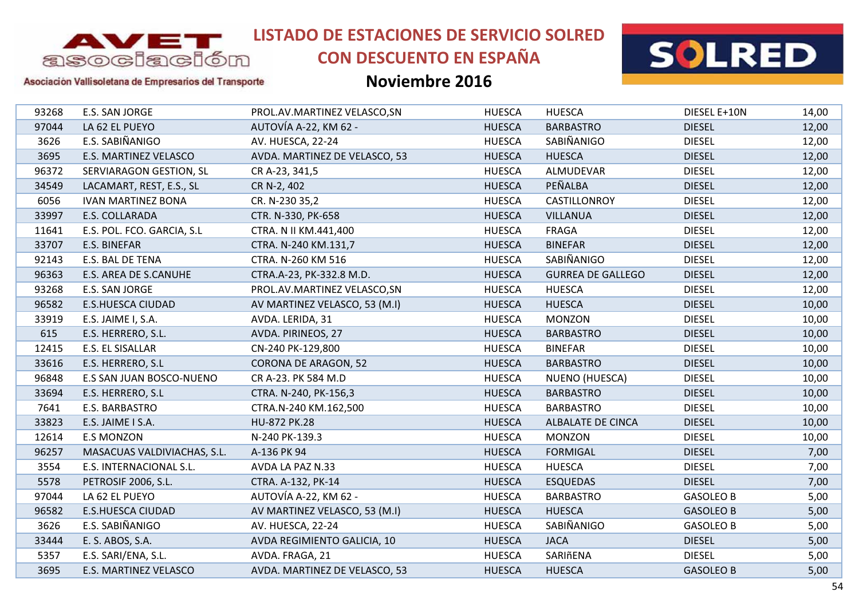

# **CON DESCUENTO EN ESPAÑA**



### Asociación Vallisoletana de Empresarios del Transporte

| 93268<br>E.S. SAN JORGE<br>PROL.AV.MARTINEZ VELASCO, SN<br><b>HUESCA</b><br><b>HUESCA</b><br>DIESEL E+10N<br>97044<br>LA 62 EL PUEYO<br>AUTOVÍA A-22, KM 62 -<br><b>HUESCA</b><br><b>BARBASTRO</b><br><b>DIESEL</b><br>E.S. SABIÑANIGO<br>SABIÑANIGO<br><b>HUESCA</b><br><b>DIESEL</b><br>3626<br>AV. HUESCA, 22-24<br>3695<br>E.S. MARTINEZ VELASCO<br>AVDA. MARTINEZ DE VELASCO, 53<br><b>HUESCA</b><br><b>HUESCA</b><br><b>DIESEL</b><br>96372<br>SERVIARAGON GESTION, SL<br><b>HUESCA</b><br>ALMUDEVAR<br><b>DIESEL</b><br>CR A-23, 341,5<br>PEÑALBA<br>34549<br><b>HUESCA</b><br><b>DIESEL</b><br>LACAMART, REST, E.S., SL<br>CR N-2, 402<br>6056<br><b>HUESCA</b><br><b>DIESEL</b><br><b>IVAN MARTINEZ BONA</b><br>CASTILLONROY<br>CR. N-230 35,2<br>33997<br>E.S. COLLARADA<br>CTR. N-330, PK-658<br><b>HUESCA</b><br><b>VILLANUA</b><br><b>DIESEL</b><br>11641<br>E.S. POL. FCO. GARCIA, S.L<br><b>HUESCA</b><br>FRAGA<br><b>DIESEL</b><br>CTRA. N II KM.441,400<br>33707<br><b>BINEFAR</b><br><b>DIESEL</b><br>E.S. BINEFAR<br>CTRA. N-240 KM.131,7<br><b>HUESCA</b><br>SABIÑANIGO<br>92143<br>E.S. BAL DE TENA<br>CTRA. N-260 KM 516<br><b>HUESCA</b><br><b>DIESEL</b><br>96363<br><b>HUESCA</b><br><b>DIESEL</b><br>E.S. AREA DE S.CANUHE<br>CTRA.A-23, PK-332.8 M.D.<br><b>GURREA DE GALLEGO</b><br><b>DIESEL</b><br>93268<br><b>HUESCA</b><br>E.S. SAN JORGE<br>PROL.AV.MARTINEZ VELASCO, SN<br><b>HUESCA</b><br>96582<br><b>E.S.HUESCA CIUDAD</b><br>AV MARTINEZ VELASCO, 53 (M.I)<br><b>HUESCA</b><br><b>HUESCA</b><br><b>DIESEL</b><br><b>DIESEL</b><br>33919<br>E.S. JAIME I, S.A.<br>AVDA. LERIDA, 31<br><b>HUESCA</b><br><b>MONZON</b><br>615<br><b>DIESEL</b><br>E.S. HERRERO, S.L.<br><b>HUESCA</b><br><b>BARBASTRO</b><br>AVDA. PIRINEOS, 27<br>E.S. EL SISALLAR<br><b>BINEFAR</b><br>12415<br>CN-240 PK-129,800<br><b>HUESCA</b><br><b>DIESEL</b><br>33616<br>E.S. HERRERO, S.L.<br><b>HUESCA</b><br><b>DIESEL</b><br><b>CORONA DE ARAGON, 52</b><br><b>BARBASTRO</b><br>96848<br><b>HUESCA</b><br><b>DIESEL</b><br>E.S SAN JUAN BOSCO-NUENO<br>CR A-23. PK 584 M.D<br>NUENO (HUESCA)<br>33694<br><b>HUESCA</b><br><b>BARBASTRO</b><br><b>DIESEL</b><br>E.S. HERRERO, S.L.<br>CTRA. N-240, PK-156,3<br>E.S. BARBASTRO<br><b>DIESEL</b><br>7641<br>CTRA.N-240 KM.162,500<br><b>HUESCA</b><br><b>BARBASTRO</b><br>33823<br><b>DIESEL</b><br>E.S. JAIME I S.A.<br>HU-872 PK.28<br><b>HUESCA</b><br><b>ALBALATE DE CINCA</b><br><b>MONZON</b><br>12614<br><b>E.S MONZON</b><br><b>HUESCA</b><br><b>DIESEL</b><br>N-240 PK-139.3<br><b>DIESEL</b><br>96257<br>MASACUAS VALDIVIACHAS, S.L.<br>A-136 PK 94<br><b>HUESCA</b><br><b>FORMIGAL</b><br>3554<br><b>HUESCA</b><br><b>DIESEL</b><br>E.S. INTERNACIONAL S.L.<br>AVDA LA PAZ N.33<br><b>HUESCA</b><br>5578<br>PETROSIF 2006, S.L.<br><b>HUESCA</b><br><b>ESQUEDAS</b><br><b>DIESEL</b><br>CTRA. A-132, PK-14<br>AUTOVÍA A-22, KM 62 -<br>97044<br>LA 62 EL PUEYO<br><b>HUESCA</b><br><b>GASOLEO B</b><br><b>BARBASTRO</b><br>96582<br><b>E.S.HUESCA CIUDAD</b><br>AV MARTINEZ VELASCO, 53 (M.I)<br><b>HUESCA</b><br><b>HUESCA</b><br><b>GASOLEO B</b><br>E.S. SABIÑANIGO<br>3626<br>SABIÑANIGO<br>AV. HUESCA, 22-24<br><b>HUESCA</b><br><b>GASOLEO B</b><br>33444<br><b>HUESCA</b><br><b>JACA</b><br><b>DIESEL</b><br>E. S. ABOS, S.A.<br>AVDA REGIMIENTO GALICIA, 10<br>5357<br>AVDA. FRAGA, 21<br><b>HUESCA</b><br>SARIñENA<br><b>DIESEL</b><br>E.S. SARI/ENA, S.L.<br>3695<br>AVDA. MARTINEZ DE VELASCO, 53<br>E.S. MARTINEZ VELASCO<br><b>HUESCA</b><br><b>HUESCA</b><br><b>GASOLEO B</b> |  |  |  |       |
|---------------------------------------------------------------------------------------------------------------------------------------------------------------------------------------------------------------------------------------------------------------------------------------------------------------------------------------------------------------------------------------------------------------------------------------------------------------------------------------------------------------------------------------------------------------------------------------------------------------------------------------------------------------------------------------------------------------------------------------------------------------------------------------------------------------------------------------------------------------------------------------------------------------------------------------------------------------------------------------------------------------------------------------------------------------------------------------------------------------------------------------------------------------------------------------------------------------------------------------------------------------------------------------------------------------------------------------------------------------------------------------------------------------------------------------------------------------------------------------------------------------------------------------------------------------------------------------------------------------------------------------------------------------------------------------------------------------------------------------------------------------------------------------------------------------------------------------------------------------------------------------------------------------------------------------------------------------------------------------------------------------------------------------------------------------------------------------------------------------------------------------------------------------------------------------------------------------------------------------------------------------------------------------------------------------------------------------------------------------------------------------------------------------------------------------------------------------------------------------------------------------------------------------------------------------------------------------------------------------------------------------------------------------------------------------------------------------------------------------------------------------------------------------------------------------------------------------------------------------------------------------------------------------------------------------------------------------------------------------------------------------------------------------------------------------------------------------------------------------------------------------------------------------------------------------------------------------------------------------------------------------------------------------------------------------------------------------------------------------------------------------------------------------------------------------------------------------------------------------------------------------------------------------------------------------------|--|--|--|-------|
|                                                                                                                                                                                                                                                                                                                                                                                                                                                                                                                                                                                                                                                                                                                                                                                                                                                                                                                                                                                                                                                                                                                                                                                                                                                                                                                                                                                                                                                                                                                                                                                                                                                                                                                                                                                                                                                                                                                                                                                                                                                                                                                                                                                                                                                                                                                                                                                                                                                                                                                                                                                                                                                                                                                                                                                                                                                                                                                                                                                                                                                                                                                                                                                                                                                                                                                                                                                                                                                                                                                                                                     |  |  |  | 14,00 |
|                                                                                                                                                                                                                                                                                                                                                                                                                                                                                                                                                                                                                                                                                                                                                                                                                                                                                                                                                                                                                                                                                                                                                                                                                                                                                                                                                                                                                                                                                                                                                                                                                                                                                                                                                                                                                                                                                                                                                                                                                                                                                                                                                                                                                                                                                                                                                                                                                                                                                                                                                                                                                                                                                                                                                                                                                                                                                                                                                                                                                                                                                                                                                                                                                                                                                                                                                                                                                                                                                                                                                                     |  |  |  | 12,00 |
|                                                                                                                                                                                                                                                                                                                                                                                                                                                                                                                                                                                                                                                                                                                                                                                                                                                                                                                                                                                                                                                                                                                                                                                                                                                                                                                                                                                                                                                                                                                                                                                                                                                                                                                                                                                                                                                                                                                                                                                                                                                                                                                                                                                                                                                                                                                                                                                                                                                                                                                                                                                                                                                                                                                                                                                                                                                                                                                                                                                                                                                                                                                                                                                                                                                                                                                                                                                                                                                                                                                                                                     |  |  |  | 12,00 |
|                                                                                                                                                                                                                                                                                                                                                                                                                                                                                                                                                                                                                                                                                                                                                                                                                                                                                                                                                                                                                                                                                                                                                                                                                                                                                                                                                                                                                                                                                                                                                                                                                                                                                                                                                                                                                                                                                                                                                                                                                                                                                                                                                                                                                                                                                                                                                                                                                                                                                                                                                                                                                                                                                                                                                                                                                                                                                                                                                                                                                                                                                                                                                                                                                                                                                                                                                                                                                                                                                                                                                                     |  |  |  | 12,00 |
|                                                                                                                                                                                                                                                                                                                                                                                                                                                                                                                                                                                                                                                                                                                                                                                                                                                                                                                                                                                                                                                                                                                                                                                                                                                                                                                                                                                                                                                                                                                                                                                                                                                                                                                                                                                                                                                                                                                                                                                                                                                                                                                                                                                                                                                                                                                                                                                                                                                                                                                                                                                                                                                                                                                                                                                                                                                                                                                                                                                                                                                                                                                                                                                                                                                                                                                                                                                                                                                                                                                                                                     |  |  |  | 12,00 |
|                                                                                                                                                                                                                                                                                                                                                                                                                                                                                                                                                                                                                                                                                                                                                                                                                                                                                                                                                                                                                                                                                                                                                                                                                                                                                                                                                                                                                                                                                                                                                                                                                                                                                                                                                                                                                                                                                                                                                                                                                                                                                                                                                                                                                                                                                                                                                                                                                                                                                                                                                                                                                                                                                                                                                                                                                                                                                                                                                                                                                                                                                                                                                                                                                                                                                                                                                                                                                                                                                                                                                                     |  |  |  | 12,00 |
|                                                                                                                                                                                                                                                                                                                                                                                                                                                                                                                                                                                                                                                                                                                                                                                                                                                                                                                                                                                                                                                                                                                                                                                                                                                                                                                                                                                                                                                                                                                                                                                                                                                                                                                                                                                                                                                                                                                                                                                                                                                                                                                                                                                                                                                                                                                                                                                                                                                                                                                                                                                                                                                                                                                                                                                                                                                                                                                                                                                                                                                                                                                                                                                                                                                                                                                                                                                                                                                                                                                                                                     |  |  |  | 12,00 |
|                                                                                                                                                                                                                                                                                                                                                                                                                                                                                                                                                                                                                                                                                                                                                                                                                                                                                                                                                                                                                                                                                                                                                                                                                                                                                                                                                                                                                                                                                                                                                                                                                                                                                                                                                                                                                                                                                                                                                                                                                                                                                                                                                                                                                                                                                                                                                                                                                                                                                                                                                                                                                                                                                                                                                                                                                                                                                                                                                                                                                                                                                                                                                                                                                                                                                                                                                                                                                                                                                                                                                                     |  |  |  | 12,00 |
|                                                                                                                                                                                                                                                                                                                                                                                                                                                                                                                                                                                                                                                                                                                                                                                                                                                                                                                                                                                                                                                                                                                                                                                                                                                                                                                                                                                                                                                                                                                                                                                                                                                                                                                                                                                                                                                                                                                                                                                                                                                                                                                                                                                                                                                                                                                                                                                                                                                                                                                                                                                                                                                                                                                                                                                                                                                                                                                                                                                                                                                                                                                                                                                                                                                                                                                                                                                                                                                                                                                                                                     |  |  |  | 12,00 |
|                                                                                                                                                                                                                                                                                                                                                                                                                                                                                                                                                                                                                                                                                                                                                                                                                                                                                                                                                                                                                                                                                                                                                                                                                                                                                                                                                                                                                                                                                                                                                                                                                                                                                                                                                                                                                                                                                                                                                                                                                                                                                                                                                                                                                                                                                                                                                                                                                                                                                                                                                                                                                                                                                                                                                                                                                                                                                                                                                                                                                                                                                                                                                                                                                                                                                                                                                                                                                                                                                                                                                                     |  |  |  | 12,00 |
|                                                                                                                                                                                                                                                                                                                                                                                                                                                                                                                                                                                                                                                                                                                                                                                                                                                                                                                                                                                                                                                                                                                                                                                                                                                                                                                                                                                                                                                                                                                                                                                                                                                                                                                                                                                                                                                                                                                                                                                                                                                                                                                                                                                                                                                                                                                                                                                                                                                                                                                                                                                                                                                                                                                                                                                                                                                                                                                                                                                                                                                                                                                                                                                                                                                                                                                                                                                                                                                                                                                                                                     |  |  |  | 12,00 |
|                                                                                                                                                                                                                                                                                                                                                                                                                                                                                                                                                                                                                                                                                                                                                                                                                                                                                                                                                                                                                                                                                                                                                                                                                                                                                                                                                                                                                                                                                                                                                                                                                                                                                                                                                                                                                                                                                                                                                                                                                                                                                                                                                                                                                                                                                                                                                                                                                                                                                                                                                                                                                                                                                                                                                                                                                                                                                                                                                                                                                                                                                                                                                                                                                                                                                                                                                                                                                                                                                                                                                                     |  |  |  | 12,00 |
|                                                                                                                                                                                                                                                                                                                                                                                                                                                                                                                                                                                                                                                                                                                                                                                                                                                                                                                                                                                                                                                                                                                                                                                                                                                                                                                                                                                                                                                                                                                                                                                                                                                                                                                                                                                                                                                                                                                                                                                                                                                                                                                                                                                                                                                                                                                                                                                                                                                                                                                                                                                                                                                                                                                                                                                                                                                                                                                                                                                                                                                                                                                                                                                                                                                                                                                                                                                                                                                                                                                                                                     |  |  |  | 12,00 |
|                                                                                                                                                                                                                                                                                                                                                                                                                                                                                                                                                                                                                                                                                                                                                                                                                                                                                                                                                                                                                                                                                                                                                                                                                                                                                                                                                                                                                                                                                                                                                                                                                                                                                                                                                                                                                                                                                                                                                                                                                                                                                                                                                                                                                                                                                                                                                                                                                                                                                                                                                                                                                                                                                                                                                                                                                                                                                                                                                                                                                                                                                                                                                                                                                                                                                                                                                                                                                                                                                                                                                                     |  |  |  | 10,00 |
|                                                                                                                                                                                                                                                                                                                                                                                                                                                                                                                                                                                                                                                                                                                                                                                                                                                                                                                                                                                                                                                                                                                                                                                                                                                                                                                                                                                                                                                                                                                                                                                                                                                                                                                                                                                                                                                                                                                                                                                                                                                                                                                                                                                                                                                                                                                                                                                                                                                                                                                                                                                                                                                                                                                                                                                                                                                                                                                                                                                                                                                                                                                                                                                                                                                                                                                                                                                                                                                                                                                                                                     |  |  |  | 10,00 |
|                                                                                                                                                                                                                                                                                                                                                                                                                                                                                                                                                                                                                                                                                                                                                                                                                                                                                                                                                                                                                                                                                                                                                                                                                                                                                                                                                                                                                                                                                                                                                                                                                                                                                                                                                                                                                                                                                                                                                                                                                                                                                                                                                                                                                                                                                                                                                                                                                                                                                                                                                                                                                                                                                                                                                                                                                                                                                                                                                                                                                                                                                                                                                                                                                                                                                                                                                                                                                                                                                                                                                                     |  |  |  | 10,00 |
|                                                                                                                                                                                                                                                                                                                                                                                                                                                                                                                                                                                                                                                                                                                                                                                                                                                                                                                                                                                                                                                                                                                                                                                                                                                                                                                                                                                                                                                                                                                                                                                                                                                                                                                                                                                                                                                                                                                                                                                                                                                                                                                                                                                                                                                                                                                                                                                                                                                                                                                                                                                                                                                                                                                                                                                                                                                                                                                                                                                                                                                                                                                                                                                                                                                                                                                                                                                                                                                                                                                                                                     |  |  |  | 10,00 |
|                                                                                                                                                                                                                                                                                                                                                                                                                                                                                                                                                                                                                                                                                                                                                                                                                                                                                                                                                                                                                                                                                                                                                                                                                                                                                                                                                                                                                                                                                                                                                                                                                                                                                                                                                                                                                                                                                                                                                                                                                                                                                                                                                                                                                                                                                                                                                                                                                                                                                                                                                                                                                                                                                                                                                                                                                                                                                                                                                                                                                                                                                                                                                                                                                                                                                                                                                                                                                                                                                                                                                                     |  |  |  | 10,00 |
|                                                                                                                                                                                                                                                                                                                                                                                                                                                                                                                                                                                                                                                                                                                                                                                                                                                                                                                                                                                                                                                                                                                                                                                                                                                                                                                                                                                                                                                                                                                                                                                                                                                                                                                                                                                                                                                                                                                                                                                                                                                                                                                                                                                                                                                                                                                                                                                                                                                                                                                                                                                                                                                                                                                                                                                                                                                                                                                                                                                                                                                                                                                                                                                                                                                                                                                                                                                                                                                                                                                                                                     |  |  |  | 10,00 |
|                                                                                                                                                                                                                                                                                                                                                                                                                                                                                                                                                                                                                                                                                                                                                                                                                                                                                                                                                                                                                                                                                                                                                                                                                                                                                                                                                                                                                                                                                                                                                                                                                                                                                                                                                                                                                                                                                                                                                                                                                                                                                                                                                                                                                                                                                                                                                                                                                                                                                                                                                                                                                                                                                                                                                                                                                                                                                                                                                                                                                                                                                                                                                                                                                                                                                                                                                                                                                                                                                                                                                                     |  |  |  | 10,00 |
|                                                                                                                                                                                                                                                                                                                                                                                                                                                                                                                                                                                                                                                                                                                                                                                                                                                                                                                                                                                                                                                                                                                                                                                                                                                                                                                                                                                                                                                                                                                                                                                                                                                                                                                                                                                                                                                                                                                                                                                                                                                                                                                                                                                                                                                                                                                                                                                                                                                                                                                                                                                                                                                                                                                                                                                                                                                                                                                                                                                                                                                                                                                                                                                                                                                                                                                                                                                                                                                                                                                                                                     |  |  |  | 10,00 |
|                                                                                                                                                                                                                                                                                                                                                                                                                                                                                                                                                                                                                                                                                                                                                                                                                                                                                                                                                                                                                                                                                                                                                                                                                                                                                                                                                                                                                                                                                                                                                                                                                                                                                                                                                                                                                                                                                                                                                                                                                                                                                                                                                                                                                                                                                                                                                                                                                                                                                                                                                                                                                                                                                                                                                                                                                                                                                                                                                                                                                                                                                                                                                                                                                                                                                                                                                                                                                                                                                                                                                                     |  |  |  | 10,00 |
|                                                                                                                                                                                                                                                                                                                                                                                                                                                                                                                                                                                                                                                                                                                                                                                                                                                                                                                                                                                                                                                                                                                                                                                                                                                                                                                                                                                                                                                                                                                                                                                                                                                                                                                                                                                                                                                                                                                                                                                                                                                                                                                                                                                                                                                                                                                                                                                                                                                                                                                                                                                                                                                                                                                                                                                                                                                                                                                                                                                                                                                                                                                                                                                                                                                                                                                                                                                                                                                                                                                                                                     |  |  |  | 10,00 |
|                                                                                                                                                                                                                                                                                                                                                                                                                                                                                                                                                                                                                                                                                                                                                                                                                                                                                                                                                                                                                                                                                                                                                                                                                                                                                                                                                                                                                                                                                                                                                                                                                                                                                                                                                                                                                                                                                                                                                                                                                                                                                                                                                                                                                                                                                                                                                                                                                                                                                                                                                                                                                                                                                                                                                                                                                                                                                                                                                                                                                                                                                                                                                                                                                                                                                                                                                                                                                                                                                                                                                                     |  |  |  | 7,00  |
|                                                                                                                                                                                                                                                                                                                                                                                                                                                                                                                                                                                                                                                                                                                                                                                                                                                                                                                                                                                                                                                                                                                                                                                                                                                                                                                                                                                                                                                                                                                                                                                                                                                                                                                                                                                                                                                                                                                                                                                                                                                                                                                                                                                                                                                                                                                                                                                                                                                                                                                                                                                                                                                                                                                                                                                                                                                                                                                                                                                                                                                                                                                                                                                                                                                                                                                                                                                                                                                                                                                                                                     |  |  |  | 7,00  |
|                                                                                                                                                                                                                                                                                                                                                                                                                                                                                                                                                                                                                                                                                                                                                                                                                                                                                                                                                                                                                                                                                                                                                                                                                                                                                                                                                                                                                                                                                                                                                                                                                                                                                                                                                                                                                                                                                                                                                                                                                                                                                                                                                                                                                                                                                                                                                                                                                                                                                                                                                                                                                                                                                                                                                                                                                                                                                                                                                                                                                                                                                                                                                                                                                                                                                                                                                                                                                                                                                                                                                                     |  |  |  | 7,00  |
|                                                                                                                                                                                                                                                                                                                                                                                                                                                                                                                                                                                                                                                                                                                                                                                                                                                                                                                                                                                                                                                                                                                                                                                                                                                                                                                                                                                                                                                                                                                                                                                                                                                                                                                                                                                                                                                                                                                                                                                                                                                                                                                                                                                                                                                                                                                                                                                                                                                                                                                                                                                                                                                                                                                                                                                                                                                                                                                                                                                                                                                                                                                                                                                                                                                                                                                                                                                                                                                                                                                                                                     |  |  |  | 5,00  |
|                                                                                                                                                                                                                                                                                                                                                                                                                                                                                                                                                                                                                                                                                                                                                                                                                                                                                                                                                                                                                                                                                                                                                                                                                                                                                                                                                                                                                                                                                                                                                                                                                                                                                                                                                                                                                                                                                                                                                                                                                                                                                                                                                                                                                                                                                                                                                                                                                                                                                                                                                                                                                                                                                                                                                                                                                                                                                                                                                                                                                                                                                                                                                                                                                                                                                                                                                                                                                                                                                                                                                                     |  |  |  | 5,00  |
|                                                                                                                                                                                                                                                                                                                                                                                                                                                                                                                                                                                                                                                                                                                                                                                                                                                                                                                                                                                                                                                                                                                                                                                                                                                                                                                                                                                                                                                                                                                                                                                                                                                                                                                                                                                                                                                                                                                                                                                                                                                                                                                                                                                                                                                                                                                                                                                                                                                                                                                                                                                                                                                                                                                                                                                                                                                                                                                                                                                                                                                                                                                                                                                                                                                                                                                                                                                                                                                                                                                                                                     |  |  |  | 5,00  |
|                                                                                                                                                                                                                                                                                                                                                                                                                                                                                                                                                                                                                                                                                                                                                                                                                                                                                                                                                                                                                                                                                                                                                                                                                                                                                                                                                                                                                                                                                                                                                                                                                                                                                                                                                                                                                                                                                                                                                                                                                                                                                                                                                                                                                                                                                                                                                                                                                                                                                                                                                                                                                                                                                                                                                                                                                                                                                                                                                                                                                                                                                                                                                                                                                                                                                                                                                                                                                                                                                                                                                                     |  |  |  | 5,00  |
|                                                                                                                                                                                                                                                                                                                                                                                                                                                                                                                                                                                                                                                                                                                                                                                                                                                                                                                                                                                                                                                                                                                                                                                                                                                                                                                                                                                                                                                                                                                                                                                                                                                                                                                                                                                                                                                                                                                                                                                                                                                                                                                                                                                                                                                                                                                                                                                                                                                                                                                                                                                                                                                                                                                                                                                                                                                                                                                                                                                                                                                                                                                                                                                                                                                                                                                                                                                                                                                                                                                                                                     |  |  |  | 5,00  |
|                                                                                                                                                                                                                                                                                                                                                                                                                                                                                                                                                                                                                                                                                                                                                                                                                                                                                                                                                                                                                                                                                                                                                                                                                                                                                                                                                                                                                                                                                                                                                                                                                                                                                                                                                                                                                                                                                                                                                                                                                                                                                                                                                                                                                                                                                                                                                                                                                                                                                                                                                                                                                                                                                                                                                                                                                                                                                                                                                                                                                                                                                                                                                                                                                                                                                                                                                                                                                                                                                                                                                                     |  |  |  | 5,00  |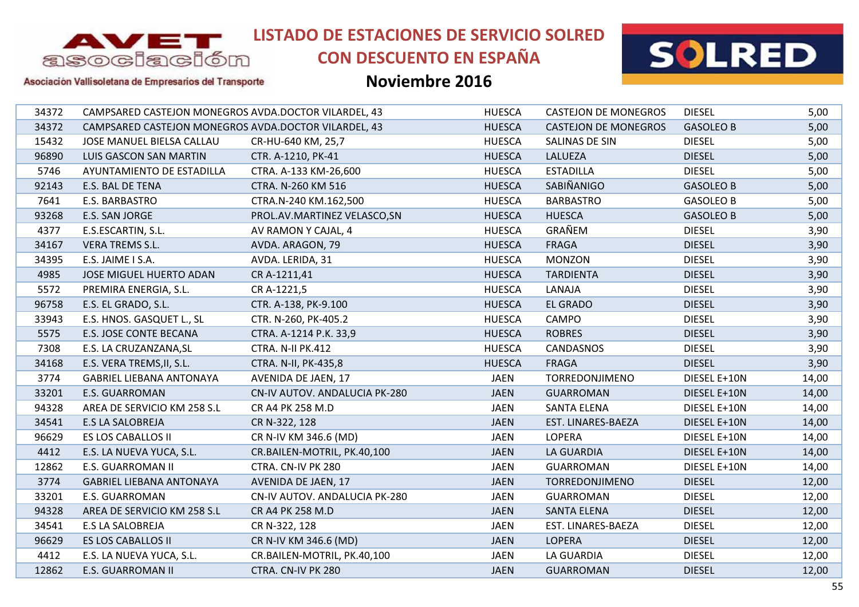

## **CON DESCUENTO EN ESPAÑA**



Asociación Vallisoletana de Empresarios del Transporte

| 34372 | CAMPSARED CASTEJON MONEGROS AVDA.DOCTOR VILARDEL, 43 |                               | <b>HUESCA</b> | <b>CASTEJON DE MONEGROS</b> | <b>DIESEL</b>    | 5,00  |
|-------|------------------------------------------------------|-------------------------------|---------------|-----------------------------|------------------|-------|
| 34372 | CAMPSARED CASTEJON MONEGROS AVDA.DOCTOR VILARDEL, 43 |                               | <b>HUESCA</b> | <b>CASTEJON DE MONEGROS</b> | <b>GASOLEO B</b> | 5,00  |
| 15432 | JOSE MANUEL BIELSA CALLAU                            | CR-HU-640 KM, 25,7            | <b>HUESCA</b> | SALINAS DE SIN              | <b>DIESEL</b>    | 5,00  |
| 96890 | <b>LUIS GASCON SAN MARTIN</b>                        | CTR. A-1210, PK-41            | <b>HUESCA</b> | LALUEZA                     | <b>DIESEL</b>    | 5,00  |
| 5746  | AYUNTAMIENTO DE ESTADILLA                            | CTRA. A-133 KM-26,600         | <b>HUESCA</b> | <b>ESTADILLA</b>            | <b>DIESEL</b>    | 5,00  |
| 92143 | E.S. BAL DE TENA                                     | CTRA. N-260 KM 516            | <b>HUESCA</b> | SABIÑANIGO                  | <b>GASOLEO B</b> | 5,00  |
| 7641  | E.S. BARBASTRO                                       | CTRA.N-240 KM.162,500         | <b>HUESCA</b> | <b>BARBASTRO</b>            | <b>GASOLEO B</b> | 5,00  |
| 93268 | E.S. SAN JORGE                                       | PROL.AV.MARTINEZ VELASCO, SN  | <b>HUESCA</b> | <b>HUESCA</b>               | <b>GASOLEO B</b> | 5,00  |
| 4377  | E.S.ESCARTIN, S.L.                                   | AV RAMON Y CAJAL, 4           | <b>HUESCA</b> | GRAÑEM                      | <b>DIESEL</b>    | 3,90  |
| 34167 | <b>VERA TREMS S.L.</b>                               | AVDA. ARAGON, 79              | <b>HUESCA</b> | <b>FRAGA</b>                | <b>DIESEL</b>    | 3,90  |
| 34395 | E.S. JAIME I S.A.                                    | AVDA. LERIDA, 31              | <b>HUESCA</b> | <b>MONZON</b>               | <b>DIESEL</b>    | 3,90  |
| 4985  | JOSE MIGUEL HUERTO ADAN                              | CR A-1211,41                  | <b>HUESCA</b> | <b>TARDIENTA</b>            | <b>DIESEL</b>    | 3,90  |
| 5572  | PREMIRA ENERGIA, S.L.                                | CR A-1221,5                   | <b>HUESCA</b> | LANAJA                      | <b>DIESEL</b>    | 3,90  |
| 96758 | E.S. EL GRADO, S.L.                                  | CTR. A-138, PK-9.100          | <b>HUESCA</b> | <b>EL GRADO</b>             | <b>DIESEL</b>    | 3,90  |
| 33943 | E.S. HNOS. GASQUET L., SL                            | CTR. N-260, PK-405.2          | <b>HUESCA</b> | CAMPO                       | <b>DIESEL</b>    | 3,90  |
| 5575  | E.S. JOSE CONTE BECANA                               | CTRA. A-1214 P.K. 33,9        | <b>HUESCA</b> | <b>ROBRES</b>               | <b>DIESEL</b>    | 3,90  |
| 7308  | E.S. LA CRUZANZANA, SL                               | CTRA. N-II PK.412             | <b>HUESCA</b> | <b>CANDASNOS</b>            | <b>DIESEL</b>    | 3,90  |
| 34168 | E.S. VERA TREMS, II, S.L.                            | CTRA. N-II, PK-435,8          | <b>HUESCA</b> | <b>FRAGA</b>                | <b>DIESEL</b>    | 3,90  |
| 3774  | <b>GABRIEL LIEBANA ANTONAYA</b>                      | AVENIDA DE JAEN, 17           | <b>JAEN</b>   | TORREDONJIMENO              | DIESEL E+10N     | 14,00 |
| 33201 | <b>E.S. GUARROMAN</b>                                | CN-IV AUTOV. ANDALUCIA PK-280 | <b>JAEN</b>   | <b>GUARROMAN</b>            | DIESEL E+10N     | 14,00 |
| 94328 | AREA DE SERVICIO KM 258 S.L                          | CR A4 PK 258 M.D              | JAEN          | SANTA ELENA                 | DIESEL E+10N     | 14,00 |
| 34541 | <b>E.S LA SALOBREJA</b>                              | CR N-322, 128                 | <b>JAEN</b>   | EST. LINARES-BAEZA          | DIESEL E+10N     | 14,00 |
| 96629 | ES LOS CABALLOS II                                   | CR N-IV KM 346.6 (MD)         | <b>JAEN</b>   | LOPERA                      | DIESEL E+10N     | 14,00 |
| 4412  | E.S. LA NUEVA YUCA, S.L.                             | CR.BAILEN-MOTRIL, PK.40,100   | <b>JAEN</b>   | <b>LA GUARDIA</b>           | DIESEL E+10N     | 14,00 |
| 12862 | E.S. GUARROMAN II                                    | CTRA. CN-IV PK 280            | <b>JAEN</b>   | <b>GUARROMAN</b>            | DIESEL E+10N     | 14,00 |
| 3774  | <b>GABRIEL LIEBANA ANTONAYA</b>                      | AVENIDA DE JAEN, 17           | <b>JAEN</b>   | TORREDONJIMENO              | <b>DIESEL</b>    | 12,00 |
| 33201 | E.S. GUARROMAN                                       | CN-IV AUTOV. ANDALUCIA PK-280 | JAEN          | <b>GUARROMAN</b>            | <b>DIESEL</b>    | 12,00 |
| 94328 | AREA DE SERVICIO KM 258 S.L                          | CR A4 PK 258 M.D              | <b>JAEN</b>   | <b>SANTA ELENA</b>          | <b>DIESEL</b>    | 12,00 |
| 34541 | <b>E.S LA SALOBREJA</b>                              | CR N-322, 128                 | <b>JAEN</b>   | EST. LINARES-BAEZA          | <b>DIESEL</b>    | 12,00 |
| 96629 | <b>ES LOS CABALLOS II</b>                            | CR N-IV KM 346.6 (MD)         | <b>JAEN</b>   | <b>LOPERA</b>               | <b>DIESEL</b>    | 12,00 |
| 4412  | E.S. LA NUEVA YUCA, S.L.                             | CR.BAILEN-MOTRIL, PK.40,100   | <b>JAEN</b>   | LA GUARDIA                  | <b>DIESEL</b>    | 12,00 |
| 12862 | E.S. GUARROMAN II                                    | CTRA. CN-IV PK 280            | <b>JAEN</b>   | <b>GUARROMAN</b>            | <b>DIESEL</b>    | 12,00 |
|       |                                                      |                               |               |                             |                  |       |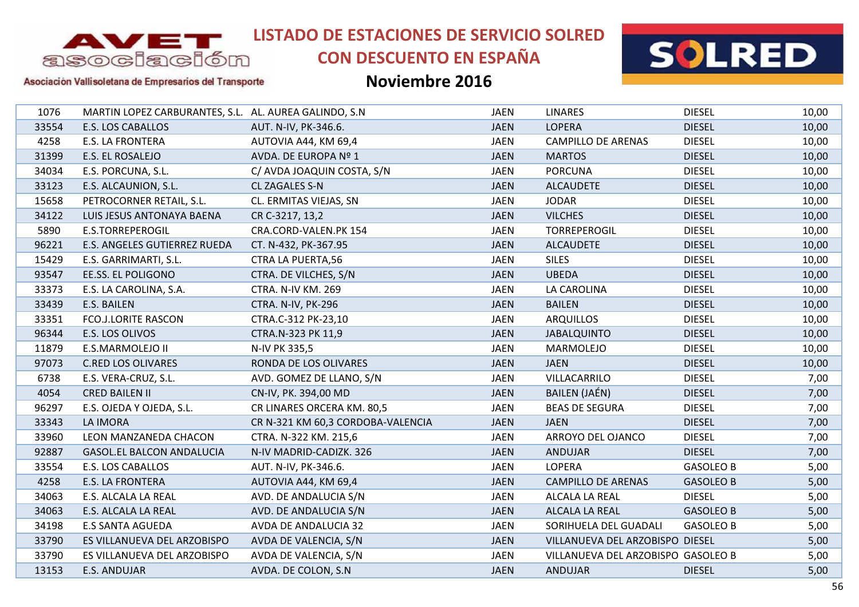

# **CON DESCUENTO EN ESPAÑA**



Asociación Vallisoletana de Empresarios del Transporte

| 1076  | MARTIN LOPEZ CARBURANTES, S.L. AL. AUREA GALINDO, S.N. |                                   | <b>JAEN</b> | <b>LINARES</b>                     | <b>DIESEL</b>    | 10,00 |
|-------|--------------------------------------------------------|-----------------------------------|-------------|------------------------------------|------------------|-------|
| 33554 | <b>E.S. LOS CABALLOS</b>                               | AUT. N-IV, PK-346.6.              | <b>JAEN</b> | <b>LOPERA</b>                      | <b>DIESEL</b>    | 10,00 |
| 4258  | E.S. LA FRONTERA                                       | AUTOVIA A44, KM 69,4              | <b>JAEN</b> | <b>CAMPILLO DE ARENAS</b>          | <b>DIESEL</b>    | 10,00 |
| 31399 | E.S. EL ROSALEJO                                       | AVDA. DE EUROPA Nº 1              | <b>JAEN</b> | <b>MARTOS</b>                      | <b>DIESEL</b>    | 10,00 |
| 34034 | E.S. PORCUNA, S.L.                                     | C/ AVDA JOAQUIN COSTA, S/N        | <b>JAEN</b> | <b>PORCUNA</b>                     | <b>DIESEL</b>    | 10,00 |
| 33123 | E.S. ALCAUNION, S.L.                                   | CL ZAGALES S-N                    | <b>JAEN</b> | <b>ALCAUDETE</b>                   | <b>DIESEL</b>    | 10,00 |
| 15658 | PETROCORNER RETAIL, S.L.                               | CL. ERMITAS VIEJAS, SN            | <b>JAEN</b> | <b>JODAR</b>                       | <b>DIESEL</b>    | 10,00 |
| 34122 | LUIS JESUS ANTONAYA BAENA                              | CR C-3217, 13,2                   | <b>JAEN</b> | <b>VILCHES</b>                     | <b>DIESEL</b>    | 10,00 |
| 5890  | E.S.TORREPEROGIL                                       | CRA.CORD-VALEN.PK 154             | <b>JAEN</b> | TORREPEROGIL                       | <b>DIESEL</b>    | 10,00 |
| 96221 | E.S. ANGELES GUTIERREZ RUEDA                           | CT. N-432, PK-367.95              | <b>JAEN</b> | <b>ALCAUDETE</b>                   | <b>DIESEL</b>    | 10,00 |
| 15429 | E.S. GARRIMARTI, S.L.                                  | <b>CTRA LA PUERTA,56</b>          | <b>JAEN</b> | <b>SILES</b>                       | <b>DIESEL</b>    | 10,00 |
| 93547 | EE.SS. EL POLIGONO                                     | CTRA. DE VILCHES, S/N             | <b>JAEN</b> | <b>UBEDA</b>                       | <b>DIESEL</b>    | 10,00 |
| 33373 | E.S. LA CAROLINA, S.A.                                 | <b>CTRA. N-IV KM. 269</b>         | <b>JAEN</b> | LA CAROLINA                        | <b>DIESEL</b>    | 10,00 |
| 33439 | E.S. BAILEN                                            | CTRA. N-IV, PK-296                | <b>JAEN</b> | <b>BAILEN</b>                      | <b>DIESEL</b>    | 10,00 |
| 33351 | <b>FCO.J.LORITE RASCON</b>                             | CTRA.C-312 PK-23,10               | <b>JAEN</b> | <b>ARQUILLOS</b>                   | <b>DIESEL</b>    | 10,00 |
| 96344 | E.S. LOS OLIVOS                                        | CTRA.N-323 PK 11,9                | <b>JAEN</b> | <b>JABALQUINTO</b>                 | <b>DIESEL</b>    | 10,00 |
| 11879 | E.S.MARMOLEJO II                                       | N-IV PK 335,5                     | <b>JAEN</b> | <b>MARMOLEJO</b>                   | <b>DIESEL</b>    | 10,00 |
| 97073 | <b>C.RED LOS OLIVARES</b>                              | RONDA DE LOS OLIVARES             | <b>JAEN</b> | <b>JAEN</b>                        | <b>DIESEL</b>    | 10,00 |
| 6738  | E.S. VERA-CRUZ, S.L.                                   | AVD. GOMEZ DE LLANO, S/N          | <b>JAEN</b> | VILLACARRILO                       | <b>DIESEL</b>    | 7,00  |
| 4054  | <b>CRED BAILEN II</b>                                  | CN-IV, PK. 394,00 MD              | <b>JAEN</b> | BAILEN (JAÉN)                      | <b>DIESEL</b>    | 7,00  |
| 96297 | E.S. OJEDA Y OJEDA, S.L.                               | CR LINARES ORCERA KM. 80,5        | JAEN        | <b>BEAS DE SEGURA</b>              | <b>DIESEL</b>    | 7,00  |
| 33343 | LA IMORA                                               | CR N-321 KM 60,3 CORDOBA-VALENCIA | <b>JAEN</b> | <b>JAEN</b>                        | <b>DIESEL</b>    | 7,00  |
| 33960 | LEON MANZANEDA CHACON                                  | CTRA. N-322 KM. 215,6             | JAEN        | ARROYO DEL OJANCO                  | <b>DIESEL</b>    | 7,00  |
| 92887 | <b>GASOL.EL BALCON ANDALUCIA</b>                       | N-IV MADRID-CADIZK. 326           | <b>JAEN</b> | <b>ANDUJAR</b>                     | <b>DIESEL</b>    | 7,00  |
| 33554 | E.S. LOS CABALLOS                                      | AUT. N-IV, PK-346.6.              | <b>JAEN</b> | <b>LOPERA</b>                      | <b>GASOLEO B</b> | 5,00  |
| 4258  | <b>E.S. LA FRONTERA</b>                                | AUTOVIA A44, KM 69,4              | <b>JAEN</b> | <b>CAMPILLO DE ARENAS</b>          | <b>GASOLEO B</b> | 5,00  |
| 34063 | E.S. ALCALA LA REAL                                    | AVD. DE ANDALUCIA S/N             | JAEN        | ALCALA LA REAL                     | <b>DIESEL</b>    | 5,00  |
| 34063 | E.S. ALCALA LA REAL                                    | AVD. DE ANDALUCIA S/N             | <b>JAEN</b> | ALCALA LA REAL                     | <b>GASOLEO B</b> | 5,00  |
| 34198 | <b>E.S SANTA AGUEDA</b>                                | AVDA DE ANDALUCIA 32              | JAEN        | SORIHUELA DEL GUADALI              | <b>GASOLEO B</b> | 5,00  |
| 33790 | ES VILLANUEVA DEL ARZOBISPO                            | AVDA DE VALENCIA, S/N             | <b>JAEN</b> | VILLANUEVA DEL ARZOBISPO DIESEL    |                  | 5,00  |
| 33790 | ES VILLANUEVA DEL ARZOBISPO                            | AVDA DE VALENCIA, S/N             | <b>JAEN</b> | VILLANUEVA DEL ARZOBISPO GASOLEO B |                  | 5,00  |
| 13153 | E.S. ANDUJAR                                           | AVDA. DE COLON, S.N.              | <b>JAEN</b> | <b>ANDUJAR</b>                     | <b>DIESEL</b>    | 5,00  |
|       |                                                        |                                   |             |                                    |                  |       |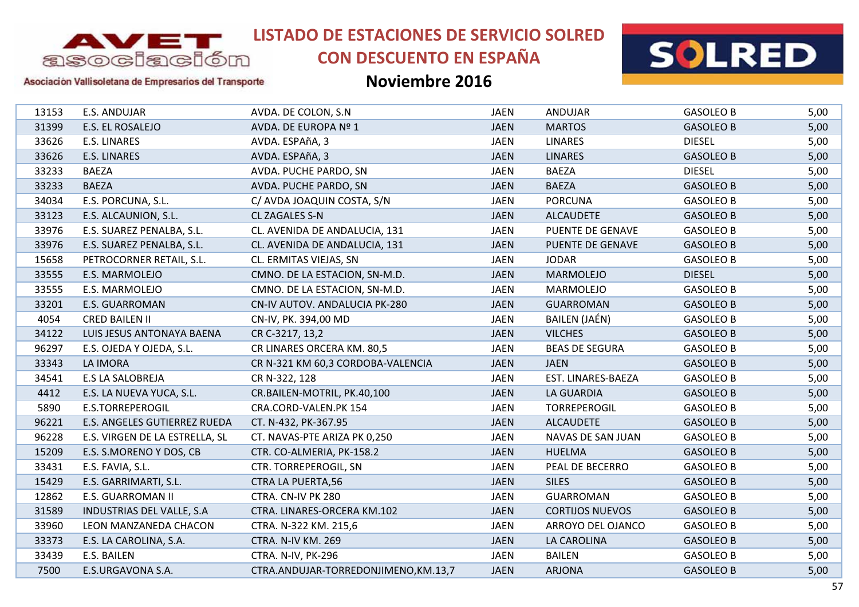

# **CON DESCUENTO EN ESPAÑA**



### Asociación Vallisoletana de Empresarios del Transporte

| 13153 | E.S. ANDUJAR                     | AVDA. DE COLON, S.N.                | <b>JAEN</b> | ANDUJAR                | <b>GASOLEO B</b> | 5,00 |
|-------|----------------------------------|-------------------------------------|-------------|------------------------|------------------|------|
| 31399 | E.S. EL ROSALEJO                 | AVDA. DE EUROPA Nº 1                | <b>JAEN</b> | <b>MARTOS</b>          | <b>GASOLEO B</b> | 5,00 |
| 33626 | E.S. LINARES                     | AVDA. ESPAñA, 3                     | <b>JAEN</b> | <b>LINARES</b>         | <b>DIESEL</b>    | 5,00 |
| 33626 | <b>E.S. LINARES</b>              | AVDA. ESPAñA, 3                     | <b>JAEN</b> | <b>LINARES</b>         | <b>GASOLEO B</b> | 5,00 |
| 33233 | <b>BAEZA</b>                     | AVDA. PUCHE PARDO, SN               | <b>JAEN</b> | <b>BAEZA</b>           | <b>DIESEL</b>    | 5,00 |
| 33233 | <b>BAEZA</b>                     | AVDA. PUCHE PARDO, SN               | <b>JAEN</b> | <b>BAEZA</b>           | <b>GASOLEO B</b> | 5,00 |
| 34034 | E.S. PORCUNA, S.L.               | C/ AVDA JOAQUIN COSTA, S/N          | <b>JAEN</b> | <b>PORCUNA</b>         | <b>GASOLEO B</b> | 5,00 |
| 33123 | E.S. ALCAUNION, S.L.             | <b>CL ZAGALES S-N</b>               | <b>JAEN</b> | <b>ALCAUDETE</b>       | <b>GASOLEO B</b> | 5,00 |
| 33976 | E.S. SUAREZ PENALBA, S.L.        | CL. AVENIDA DE ANDALUCIA, 131       | <b>JAEN</b> | PUENTE DE GENAVE       | <b>GASOLEO B</b> | 5,00 |
| 33976 | E.S. SUAREZ PENALBA, S.L.        | CL. AVENIDA DE ANDALUCIA, 131       | <b>JAEN</b> | PUENTE DE GENAVE       | <b>GASOLEO B</b> | 5,00 |
| 15658 | PETROCORNER RETAIL, S.L.         | CL. ERMITAS VIEJAS, SN              | <b>JAEN</b> | <b>JODAR</b>           | <b>GASOLEO B</b> | 5,00 |
| 33555 | E.S. MARMOLEJO                   | CMNO. DE LA ESTACION, SN-M.D.       | <b>JAEN</b> | <b>MARMOLEJO</b>       | <b>DIESEL</b>    | 5,00 |
| 33555 | E.S. MARMOLEJO                   | CMNO. DE LA ESTACION, SN-M.D.       | <b>JAEN</b> | MARMOLEJO              | <b>GASOLEO B</b> | 5,00 |
| 33201 | <b>E.S. GUARROMAN</b>            | CN-IV AUTOV. ANDALUCIA PK-280       | <b>JAEN</b> | <b>GUARROMAN</b>       | <b>GASOLEO B</b> | 5,00 |
| 4054  | <b>CRED BAILEN II</b>            | CN-IV, PK. 394,00 MD                | <b>JAEN</b> | <b>BAILEN (JAÉN)</b>   | <b>GASOLEO B</b> | 5,00 |
| 34122 | LUIS JESUS ANTONAYA BAENA        | CR C-3217, 13,2                     | <b>JAEN</b> | <b>VILCHES</b>         | <b>GASOLEO B</b> | 5,00 |
| 96297 | E.S. OJEDA Y OJEDA, S.L.         | CR LINARES ORCERA KM. 80,5          | <b>JAEN</b> | <b>BEAS DE SEGURA</b>  | <b>GASOLEO B</b> | 5,00 |
| 33343 | <b>LA IMORA</b>                  | CR N-321 KM 60,3 CORDOBA-VALENCIA   | <b>JAEN</b> | <b>JAEN</b>            | <b>GASOLEO B</b> | 5,00 |
| 34541 | <b>E.S LA SALOBREJA</b>          | CR N-322, 128                       | <b>JAEN</b> | EST. LINARES-BAEZA     | <b>GASOLEO B</b> | 5,00 |
| 4412  | E.S. LA NUEVA YUCA, S.L.         | CR.BAILEN-MOTRIL, PK.40,100         | <b>JAEN</b> | <b>LA GUARDIA</b>      | <b>GASOLEO B</b> | 5,00 |
| 5890  | E.S.TORREPEROGIL                 | CRA.CORD-VALEN.PK 154               | <b>JAEN</b> | <b>TORREPEROGIL</b>    | <b>GASOLEO B</b> | 5,00 |
| 96221 | E.S. ANGELES GUTIERREZ RUEDA     | CT. N-432, PK-367.95                | <b>JAEN</b> | <b>ALCAUDETE</b>       | <b>GASOLEO B</b> | 5,00 |
| 96228 | E.S. VIRGEN DE LA ESTRELLA, SL   | CT. NAVAS-PTE ARIZA PK 0,250        | <b>JAEN</b> | NAVAS DE SAN JUAN      | <b>GASOLEO B</b> | 5,00 |
| 15209 | E.S. S.MORENO Y DOS, CB          | CTR. CO-ALMERIA, PK-158.2           | <b>JAEN</b> | <b>HUELMA</b>          | <b>GASOLEO B</b> | 5,00 |
| 33431 | E.S. FAVIA, S.L.                 | CTR. TORREPEROGIL, SN               | <b>JAEN</b> | PEAL DE BECERRO        | <b>GASOLEO B</b> | 5,00 |
| 15429 | E.S. GARRIMARTI, S.L.            | <b>CTRA LA PUERTA,56</b>            | <b>JAEN</b> | <b>SILES</b>           | <b>GASOLEO B</b> | 5,00 |
| 12862 | E.S. GUARROMAN II                | CTRA. CN-IV PK 280                  | <b>JAEN</b> | <b>GUARROMAN</b>       | <b>GASOLEO B</b> | 5,00 |
| 31589 | <b>INDUSTRIAS DEL VALLE, S.A</b> | CTRA. LINARES-ORCERA KM.102         | <b>JAEN</b> | <b>CORTIJOS NUEVOS</b> | <b>GASOLEO B</b> | 5,00 |
| 33960 | LEON MANZANEDA CHACON            | CTRA. N-322 KM. 215,6               | <b>JAEN</b> | ARROYO DEL OJANCO      | <b>GASOLEO B</b> | 5,00 |
| 33373 | E.S. LA CAROLINA, S.A.           | CTRA. N-IV KM. 269                  | <b>JAEN</b> | LA CAROLINA            | <b>GASOLEO B</b> | 5,00 |
| 33439 | E.S. BAILEN                      | CTRA. N-IV, PK-296                  | <b>JAEN</b> | <b>BAILEN</b>          | <b>GASOLEO B</b> | 5,00 |
| 7500  | E.S.URGAVONA S.A.                | CTRA.ANDUJAR-TORREDONJIMENO,KM.13,7 | <b>JAEN</b> | <b>ARJONA</b>          | <b>GASOLEO B</b> | 5,00 |
|       |                                  |                                     |             |                        |                  |      |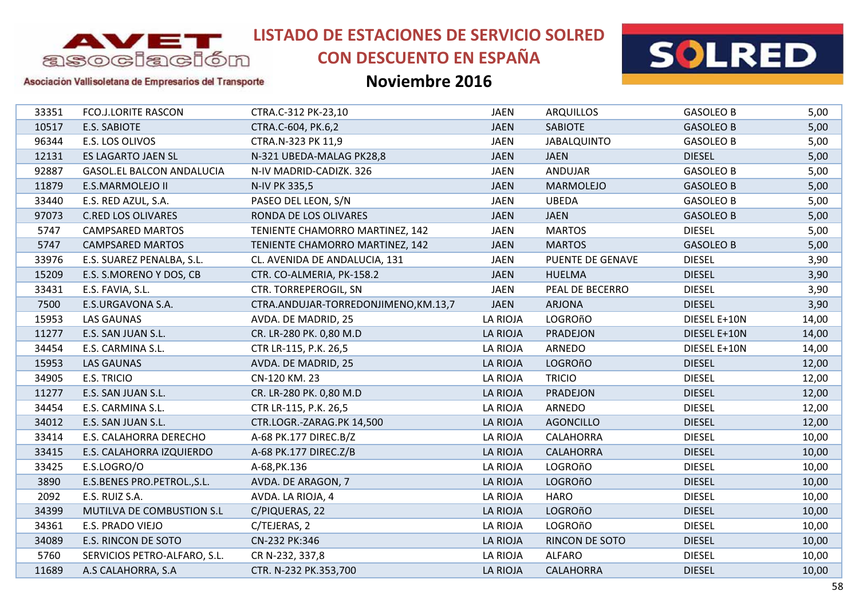

# **CON DESCUENTO EN ESPAÑA**



Asociación Vallisoletana de Empresarios del Transporte

| 33351 | <b>FCO.J.LORITE RASCON</b>       | CTRA.C-312 PK-23,10                 | <b>JAEN</b>     | <b>ARQUILLOS</b>   | <b>GASOLEO B</b> | 5,00  |
|-------|----------------------------------|-------------------------------------|-----------------|--------------------|------------------|-------|
| 10517 | <b>E.S. SABIOTE</b>              | CTRA.C-604, PK.6,2                  | <b>JAEN</b>     | <b>SABIOTE</b>     | <b>GASOLEO B</b> | 5,00  |
| 96344 | E.S. LOS OLIVOS                  | CTRA.N-323 PK 11,9                  | <b>JAEN</b>     | <b>JABALQUINTO</b> | <b>GASOLEO B</b> | 5,00  |
| 12131 | ES LAGARTO JAEN SL               | N-321 UBEDA-MALAG PK28,8            | <b>JAEN</b>     | <b>JAEN</b>        | <b>DIESEL</b>    | 5,00  |
| 92887 | <b>GASOL.EL BALCON ANDALUCIA</b> | N-IV MADRID-CADIZK. 326             | JAEN            | ANDUJAR            | <b>GASOLEO B</b> | 5,00  |
| 11879 | E.S.MARMOLEJO II                 | N-IV PK 335,5                       | <b>JAEN</b>     | <b>MARMOLEJO</b>   | <b>GASOLEO B</b> | 5,00  |
| 33440 | E.S. RED AZUL, S.A.              | PASEO DEL LEON, S/N                 | <b>JAEN</b>     | <b>UBEDA</b>       | <b>GASOLEO B</b> | 5,00  |
| 97073 | <b>C.RED LOS OLIVARES</b>        | RONDA DE LOS OLIVARES               | <b>JAEN</b>     | <b>JAEN</b>        | <b>GASOLEO B</b> | 5,00  |
| 5747  | <b>CAMPSARED MARTOS</b>          | TENIENTE CHAMORRO MARTINEZ, 142     | <b>JAEN</b>     | <b>MARTOS</b>      | <b>DIESEL</b>    | 5,00  |
| 5747  | <b>CAMPSARED MARTOS</b>          | TENIENTE CHAMORRO MARTINEZ, 142     | <b>JAEN</b>     | <b>MARTOS</b>      | <b>GASOLEO B</b> | 5,00  |
| 33976 | E.S. SUAREZ PENALBA, S.L.        | CL. AVENIDA DE ANDALUCIA, 131       | <b>JAEN</b>     | PUENTE DE GENAVE   | <b>DIESEL</b>    | 3,90  |
| 15209 | E.S. S.MORENO Y DOS, CB          | CTR. CO-ALMERIA, PK-158.2           | <b>JAEN</b>     | <b>HUELMA</b>      | <b>DIESEL</b>    | 3,90  |
| 33431 | E.S. FAVIA, S.L.                 | CTR. TORREPEROGIL, SN               | <b>JAEN</b>     | PEAL DE BECERRO    | <b>DIESEL</b>    | 3,90  |
| 7500  | E.S.URGAVONA S.A.                | CTRA.ANDUJAR-TORREDONJIMENO,KM.13,7 | <b>JAEN</b>     | <b>ARJONA</b>      | <b>DIESEL</b>    | 3,90  |
| 15953 | <b>LAS GAUNAS</b>                | AVDA. DE MADRID, 25                 | LA RIOJA        | <b>LOGROñO</b>     | DIESEL E+10N     | 14,00 |
| 11277 | E.S. SAN JUAN S.L.               | CR. LR-280 PK. 0,80 M.D             | LA RIOJA        | PRADEJON           | DIESEL E+10N     | 14,00 |
| 34454 | E.S. CARMINA S.L.                | CTR LR-115, P.K. 26,5               | LA RIOJA        | ARNEDO             | DIESEL E+10N     | 14,00 |
| 15953 | <b>LAS GAUNAS</b>                | AVDA. DE MADRID, 25                 | LA RIOJA        | <b>LOGROñO</b>     | <b>DIESEL</b>    | 12,00 |
| 34905 | E.S. TRICIO                      | CN-120 KM. 23                       | <b>LA RIOJA</b> | <b>TRICIO</b>      | <b>DIESEL</b>    | 12,00 |
| 11277 | E.S. SAN JUAN S.L.               | CR. LR-280 PK. 0,80 M.D             | <b>LA RIOJA</b> | PRADEJON           | <b>DIESEL</b>    | 12,00 |
| 34454 | E.S. CARMINA S.L.                | CTR LR-115, P.K. 26,5               | LA RIOJA        | ARNEDO             | <b>DIESEL</b>    | 12,00 |
| 34012 | E.S. SAN JUAN S.L.               | CTR.LOGR.-ZARAG.PK 14,500           | LA RIOJA        | <b>AGONCILLO</b>   | <b>DIESEL</b>    | 12,00 |
| 33414 | E.S. CALAHORRA DERECHO           | A-68 PK.177 DIREC.B/Z               | LA RIOJA        | <b>CALAHORRA</b>   | <b>DIESEL</b>    | 10,00 |
| 33415 | E.S. CALAHORRA IZQUIERDO         | A-68 PK.177 DIREC.Z/B               | LA RIOJA        | <b>CALAHORRA</b>   | <b>DIESEL</b>    | 10,00 |
| 33425 | E.S.LOGRO/O                      | A-68, PK. 136                       | LA RIOJA        | <b>LOGROñO</b>     | <b>DIESEL</b>    | 10,00 |
| 3890  | E.S.BENES PRO.PETROL., S.L.      | AVDA. DE ARAGON, 7                  | LA RIOJA        | <b>LOGROñO</b>     | <b>DIESEL</b>    | 10,00 |
| 2092  | E.S. RUIZ S.A.                   | AVDA. LA RIOJA, 4                   | LA RIOJA        | <b>HARO</b>        | <b>DIESEL</b>    | 10,00 |
| 34399 | MUTILVA DE COMBUSTION S.L        | C/PIQUERAS, 22                      | <b>LA RIOJA</b> | <b>LOGROñO</b>     | <b>DIESEL</b>    | 10,00 |
| 34361 | E.S. PRADO VIEJO                 | C/TEJERAS, 2                        | LA RIOJA        | <b>LOGROñO</b>     | <b>DIESEL</b>    | 10,00 |
| 34089 | E.S. RINCON DE SOTO              | CN-232 PK:346                       | LA RIOJA        | RINCON DE SOTO     | <b>DIESEL</b>    | 10,00 |
| 5760  | SERVICIOS PETRO-ALFARO, S.L.     | CR N-232, 337,8                     | <b>LA RIOJA</b> | <b>ALFARO</b>      | <b>DIESEL</b>    | 10,00 |
| 11689 | A.S CALAHORRA, S.A               | CTR. N-232 PK.353,700               | LA RIOJA        | <b>CALAHORRA</b>   | <b>DIESEL</b>    | 10,00 |
|       |                                  |                                     |                 |                    |                  |       |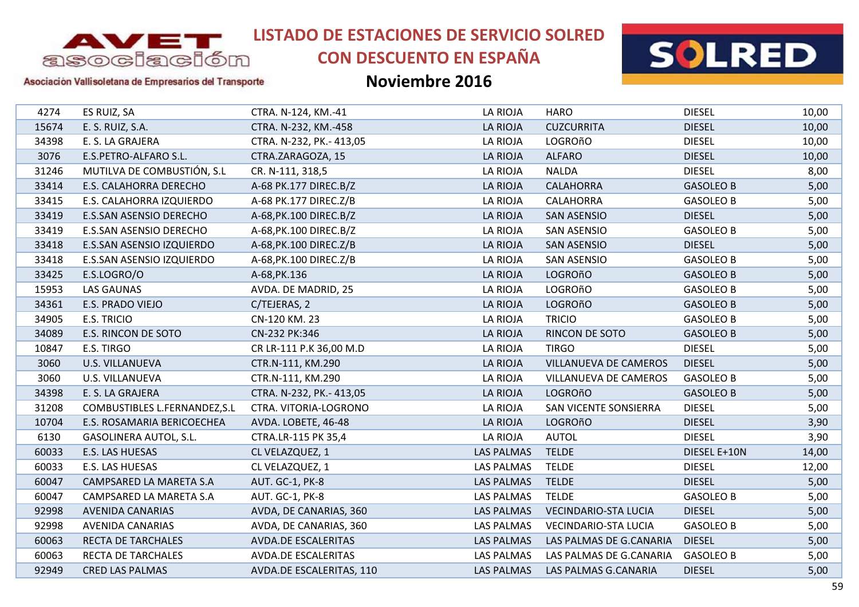

# **CON DESCUENTO EN ESPAÑA**



### Asociación Vallisoletana de Empresarios del Transporte

| 4274  | ES RUIZ, SA                   | CTRA. N-124, KM.-41        | LA RIOJA          | <b>HARO</b>                 | <b>DIESEL</b>    | 10,00 |
|-------|-------------------------------|----------------------------|-------------------|-----------------------------|------------------|-------|
| 15674 | E. S. RUIZ, S.A.              | CTRA. N-232, KM.-458       | <b>LA RIOJA</b>   | <b>CUZCURRITA</b>           | <b>DIESEL</b>    | 10,00 |
| 34398 | E. S. LA GRAJERA              | CTRA. N-232, PK.- 413,05   | LA RIOJA          | <b>LOGROñO</b>              | <b>DIESEL</b>    | 10,00 |
| 3076  | E.S.PETRO-ALFARO S.L.         | CTRA.ZARAGOZA, 15          | <b>LA RIOJA</b>   | <b>ALFARO</b>               | <b>DIESEL</b>    | 10,00 |
| 31246 | MUTILVA DE COMBUSTIÓN, S.L    | CR. N-111, 318,5           | LA RIOJA          | <b>NALDA</b>                | <b>DIESEL</b>    | 8,00  |
| 33414 | E.S. CALAHORRA DERECHO        | A-68 PK.177 DIREC.B/Z      | LA RIOJA          | <b>CALAHORRA</b>            | <b>GASOLEO B</b> | 5,00  |
| 33415 | E.S. CALAHORRA IZQUIERDO      | A-68 PK.177 DIREC.Z/B      | LA RIOJA          | <b>CALAHORRA</b>            | <b>GASOLEO B</b> | 5,00  |
| 33419 | E.S.SAN ASENSIO DERECHO       | A-68, PK. 100 DIREC. B/Z   | <b>LA RIOJA</b>   | <b>SAN ASENSIO</b>          | <b>DIESEL</b>    | 5,00  |
| 33419 | E.S.SAN ASENSIO DERECHO       | A-68, PK. 100 DIREC. B/Z   | LA RIOJA          | <b>SAN ASENSIO</b>          | <b>GASOLEO B</b> | 5,00  |
| 33418 | E.S.SAN ASENSIO IZQUIERDO     | A-68, PK. 100 DIREC. Z/B   | <b>LA RIOJA</b>   | <b>SAN ASENSIO</b>          | <b>DIESEL</b>    | 5,00  |
| 33418 | E.S.SAN ASENSIO IZQUIERDO     | A-68, PK. 100 DIREC. Z/B   | <b>LA RIOJA</b>   | <b>SAN ASENSIO</b>          | <b>GASOLEO B</b> | 5,00  |
| 33425 | E.S.LOGRO/O                   | A-68, PK. 136              | <b>LA RIOJA</b>   | <b>LOGROñO</b>              | <b>GASOLEO B</b> | 5,00  |
| 15953 | <b>LAS GAUNAS</b>             | AVDA. DE MADRID, 25        | LA RIOJA          | LOGROñO                     | <b>GASOLEO B</b> | 5,00  |
| 34361 | E.S. PRADO VIEJO              | C/TEJERAS, 2               | <b>LA RIOJA</b>   | <b>LOGROñO</b>              | <b>GASOLEO B</b> | 5,00  |
| 34905 | E.S. TRICIO                   | CN-120 KM. 23              | LA RIOJA          | <b>TRICIO</b>               | <b>GASOLEO B</b> | 5,00  |
| 34089 | E.S. RINCON DE SOTO           | CN-232 PK:346              | <b>LA RIOJA</b>   | RINCON DE SOTO              | <b>GASOLEO B</b> | 5,00  |
| 10847 | E.S. TIRGO                    | CR LR-111 P.K 36,00 M.D    | LA RIOJA          | <b>TIRGO</b>                | <b>DIESEL</b>    | 5,00  |
| 3060  | U.S. VILLANUEVA               | CTR.N-111, KM.290          | <b>LA RIOJA</b>   | VILLANUEVA DE CAMEROS       | <b>DIESEL</b>    | 5,00  |
| 3060  | U.S. VILLANUEVA               | CTR.N-111, KM.290          | LA RIOJA          | VILLANUEVA DE CAMEROS       | <b>GASOLEO B</b> | 5,00  |
| 34398 | E. S. LA GRAJERA              | CTRA. N-232, PK.- 413,05   | <b>LA RIOJA</b>   | <b>LOGROñO</b>              | <b>GASOLEO B</b> | 5,00  |
| 31208 | COMBUSTIBLES L.FERNANDEZ, S.L | CTRA. VITORIA-LOGRONO      | LA RIOJA          | SAN VICENTE SONSIERRA       | <b>DIESEL</b>    | 5,00  |
| 10704 | E.S. ROSAMARIA BERICOECHEA    | AVDA. LOBETE, 46-48        | <b>LA RIOJA</b>   | <b>LOGROñO</b>              | <b>DIESEL</b>    | 3,90  |
| 6130  | <b>GASOLINERA AUTOL, S.L.</b> | CTRA.LR-115 PK 35,4        | LA RIOJA          | <b>AUTOL</b>                | <b>DIESEL</b>    | 3,90  |
| 60033 | E.S. LAS HUESAS               | CL VELAZQUEZ, 1            | <b>LAS PALMAS</b> | <b>TELDE</b>                | DIESEL E+10N     | 14,00 |
| 60033 | E.S. LAS HUESAS               | CL VELAZQUEZ, 1            | <b>LAS PALMAS</b> | <b>TELDE</b>                | <b>DIESEL</b>    | 12,00 |
| 60047 | CAMPSARED LA MARETA S.A       | AUT. GC-1, PK-8            | <b>LAS PALMAS</b> | <b>TELDE</b>                | <b>DIESEL</b>    | 5,00  |
| 60047 | CAMPSARED LA MARETA S.A       | AUT. GC-1, PK-8            | LAS PALMAS        | <b>TELDE</b>                | <b>GASOLEO B</b> | 5,00  |
| 92998 | <b>AVENIDA CANARIAS</b>       | AVDA, DE CANARIAS, 360     | <b>LAS PALMAS</b> | <b>VECINDARIO-STA LUCIA</b> | <b>DIESEL</b>    | 5,00  |
| 92998 | <b>AVENIDA CANARIAS</b>       | AVDA, DE CANARIAS, 360     | <b>LAS PALMAS</b> | <b>VECINDARIO-STA LUCIA</b> | <b>GASOLEO B</b> | 5,00  |
| 60063 | <b>RECTA DE TARCHALES</b>     | <b>AVDA.DE ESCALERITAS</b> | <b>LAS PALMAS</b> | LAS PALMAS DE G.CANARIA     | <b>DIESEL</b>    | 5,00  |
| 60063 | RECTA DE TARCHALES            | <b>AVDA.DE ESCALERITAS</b> | LAS PALMAS        | LAS PALMAS DE G.CANARIA     | <b>GASOLEO B</b> | 5,00  |
| 92949 | <b>CRED LAS PALMAS</b>        | AVDA.DE ESCALERITAS, 110   | <b>LAS PALMAS</b> | LAS PALMAS G.CANARIA        | <b>DIESEL</b>    | 5,00  |
|       |                               |                            |                   |                             |                  |       |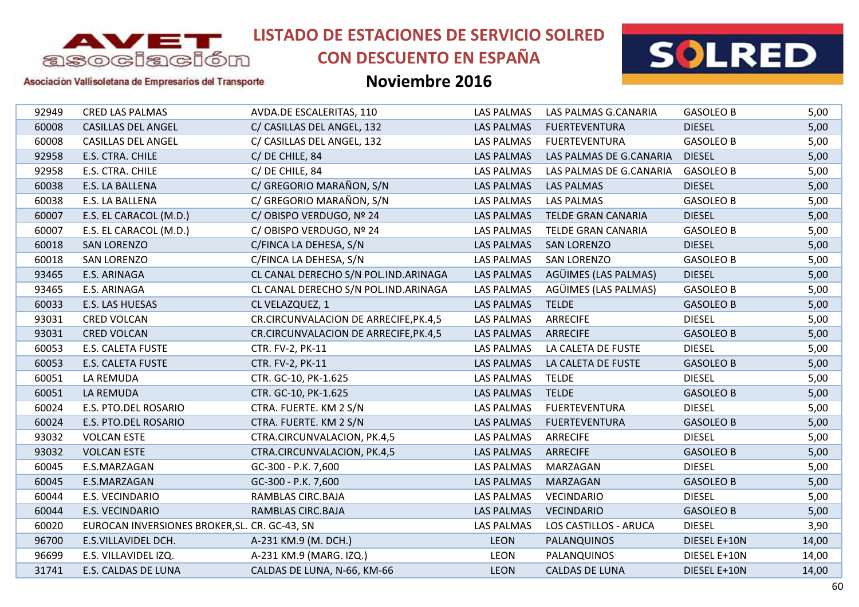

# **CON DESCUENTO EN ESPAÑA**



Asociación Vallisoletana de Empresarios del Transporte

| 92949 | <b>CRED LAS PALMAS</b>                        | AVDA.DE ESCALERITAS, 110              | LAS PALMAS        | LAS PALMAS G.CANARIA      | <b>GASOLEO B</b> | 5,00  |
|-------|-----------------------------------------------|---------------------------------------|-------------------|---------------------------|------------------|-------|
| 60008 | <b>CASILLAS DEL ANGEL</b>                     | C/ CASILLAS DEL ANGEL, 132            | <b>LAS PALMAS</b> | <b>FUERTEVENTURA</b>      | <b>DIESEL</b>    | 5,00  |
| 60008 | <b>CASILLAS DEL ANGEL</b>                     | C/ CASILLAS DEL ANGEL, 132            | LAS PALMAS        | <b>FUERTEVENTURA</b>      | <b>GASOLEO B</b> | 5,00  |
| 92958 | E.S. CTRA. CHILE                              | C/DE CHILE, 84                        | <b>LAS PALMAS</b> | LAS PALMAS DE G.CANARIA   | <b>DIESEL</b>    | 5,00  |
| 92958 | E.S. CTRA. CHILE                              | C/DE CHILE, 84                        | <b>LAS PALMAS</b> | LAS PALMAS DE G.CANARIA   | <b>GASOLEO B</b> | 5,00  |
| 60038 | E.S. LA BALLENA                               | C/ GREGORIO MARAÑON, S/N              | <b>LAS PALMAS</b> | <b>LAS PALMAS</b>         | <b>DIESEL</b>    | 5,00  |
| 60038 | E.S. LA BALLENA                               | C/ GREGORIO MARAÑON, S/N              | <b>LAS PALMAS</b> | <b>LAS PALMAS</b>         | <b>GASOLEO B</b> | 5,00  |
| 60007 | E.S. EL CARACOL (M.D.)                        | C/OBISPO VERDUGO, Nº 24               | <b>LAS PALMAS</b> | <b>TELDE GRAN CANARIA</b> | <b>DIESEL</b>    | 5,00  |
| 60007 | E.S. EL CARACOL (M.D.)                        | C/OBISPO VERDUGO, Nº 24               | <b>LAS PALMAS</b> | <b>TELDE GRAN CANARIA</b> | <b>GASOLEO B</b> | 5,00  |
| 60018 | <b>SAN LORENZO</b>                            | C/FINCA LA DEHESA, S/N                | <b>LAS PALMAS</b> | <b>SAN LORENZO</b>        | <b>DIESEL</b>    | 5,00  |
| 60018 | <b>SAN LORENZO</b>                            | C/FINCA LA DEHESA, S/N                | <b>LAS PALMAS</b> | <b>SAN LORENZO</b>        | <b>GASOLEO B</b> | 5,00  |
| 93465 | E.S. ARINAGA                                  | CL CANAL DERECHO S/N POL.IND.ARINAGA  | <b>LAS PALMAS</b> | AGÜIMES (LAS PALMAS)      | <b>DIESEL</b>    | 5,00  |
| 93465 | E.S. ARINAGA                                  | CL CANAL DERECHO S/N POL.IND.ARINAGA  | <b>LAS PALMAS</b> | AGÜIMES (LAS PALMAS)      | <b>GASOLEO B</b> | 5,00  |
| 60033 | E.S. LAS HUESAS                               | CL VELAZQUEZ, 1                       | <b>LAS PALMAS</b> | <b>TELDE</b>              | <b>GASOLEO B</b> | 5,00  |
| 93031 | <b>CRED VOLCAN</b>                            | CR.CIRCUNVALACION DE ARRECIFE, PK.4,5 | <b>LAS PALMAS</b> | <b>ARRECIFE</b>           | <b>DIESEL</b>    | 5,00  |
| 93031 | <b>CRED VOLCAN</b>                            | CR.CIRCUNVALACION DE ARRECIFE, PK.4,5 | <b>LAS PALMAS</b> | <b>ARRECIFE</b>           | <b>GASOLEO B</b> | 5,00  |
| 60053 | E.S. CALETA FUSTE                             | CTR. FV-2, PK-11                      | <b>LAS PALMAS</b> | LA CALETA DE FUSTE        | <b>DIESEL</b>    | 5,00  |
| 60053 | <b>E.S. CALETA FUSTE</b>                      | CTR. FV-2, PK-11                      | <b>LAS PALMAS</b> | LA CALETA DE FUSTE        | <b>GASOLEO B</b> | 5,00  |
| 60051 | LA REMUDA                                     | CTR. GC-10, PK-1.625                  | <b>LAS PALMAS</b> | <b>TELDE</b>              | <b>DIESEL</b>    | 5,00  |
| 60051 | LA REMUDA                                     | CTR. GC-10, PK-1.625                  | <b>LAS PALMAS</b> | <b>TELDE</b>              | <b>GASOLEO B</b> | 5,00  |
| 60024 | E.S. PTO.DEL ROSARIO                          | CTRA. FUERTE. KM 2 S/N                | LAS PALMAS        | <b>FUERTEVENTURA</b>      | <b>DIESEL</b>    | 5,00  |
| 60024 | E.S. PTO.DEL ROSARIO                          | CTRA. FUERTE. KM 2 S/N                | <b>LAS PALMAS</b> | <b>FUERTEVENTURA</b>      | <b>GASOLEO B</b> | 5,00  |
| 93032 | <b>VOLCAN ESTE</b>                            | CTRA.CIRCUNVALACION, PK.4,5           | <b>LAS PALMAS</b> | <b>ARRECIFE</b>           | <b>DIESEL</b>    | 5,00  |
| 93032 | <b>VOLCAN ESTE</b>                            | CTRA.CIRCUNVALACION, PK.4,5           | <b>LAS PALMAS</b> | <b>ARRECIFE</b>           | <b>GASOLEO B</b> | 5,00  |
| 60045 | E.S.MARZAGAN                                  | GC-300 - P.K. 7,600                   | <b>LAS PALMAS</b> | MARZAGAN                  | <b>DIESEL</b>    | 5,00  |
| 60045 | E.S.MARZAGAN                                  | GC-300 - P.K. 7,600                   | <b>LAS PALMAS</b> | MARZAGAN                  | <b>GASOLEO B</b> | 5,00  |
| 60044 | E.S. VECINDARIO                               | RAMBLAS CIRC.BAJA                     | <b>LAS PALMAS</b> | <b>VECINDARIO</b>         | <b>DIESEL</b>    | 5,00  |
| 60044 | E.S. VECINDARIO                               | RAMBLAS CIRC.BAJA                     | <b>LAS PALMAS</b> | <b>VECINDARIO</b>         | <b>GASOLEO B</b> | 5,00  |
| 60020 | EUROCAN INVERSIONES BROKER, SL. CR. GC-43, SN |                                       | <b>LAS PALMAS</b> | LOS CASTILLOS - ARUCA     | <b>DIESEL</b>    | 3,90  |
| 96700 | E.S.VILLAVIDEL DCH.                           | A-231 KM.9 (M. DCH.)                  | <b>LEON</b>       | PALANQUINOS               | DIESEL E+10N     | 14,00 |
| 96699 | E.S. VILLAVIDEL IZQ.                          | A-231 KM.9 (MARG. IZQ.)               | <b>LEON</b>       | PALANQUINOS               | DIESEL E+10N     | 14,00 |
| 31741 | E.S. CALDAS DE LUNA                           | CALDAS DE LUNA, N-66, KM-66           | <b>LEON</b>       | <b>CALDAS DE LUNA</b>     | DIESEL E+10N     | 14,00 |
|       |                                               |                                       |                   |                           |                  |       |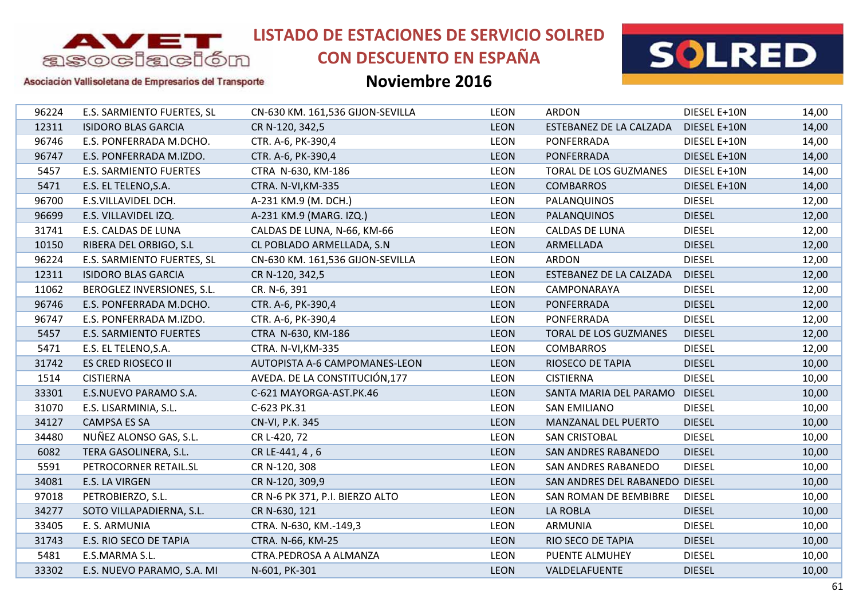

# **CON DESCUENTO EN ESPAÑA**



### Asociación Vallisoletana de Empresarios del Transporte

| 96224 | E.S. SARMIENTO FUERTES, SL    | CN-630 KM. 161,536 GIJON-SEVILLA | <b>LEON</b> | <b>ARDON</b>                   | DIESEL E+10N  | 14,00 |
|-------|-------------------------------|----------------------------------|-------------|--------------------------------|---------------|-------|
| 12311 | <b>ISIDORO BLAS GARCIA</b>    | CR N-120, 342,5                  | <b>LEON</b> | ESTEBANEZ DE LA CALZADA        | DIESEL E+10N  | 14,00 |
| 96746 | E.S. PONFERRADA M.DCHO.       | CTR. A-6, PK-390,4               | <b>LEON</b> | PONFERRADA                     | DIESEL E+10N  | 14,00 |
| 96747 | E.S. PONFERRADA M.IZDO.       | CTR. A-6, PK-390,4               | <b>LEON</b> | PONFERRADA                     | DIESEL E+10N  | 14,00 |
| 5457  | <b>E.S. SARMIENTO FUERTES</b> | CTRA N-630, KM-186               | <b>LEON</b> | <b>TORAL DE LOS GUZMANES</b>   | DIESEL E+10N  | 14,00 |
| 5471  | E.S. EL TELENO, S.A.          | CTRA. N-VI, KM-335               | <b>LEON</b> | <b>COMBARROS</b>               | DIESEL E+10N  | 14,00 |
| 96700 | E.S.VILLAVIDEL DCH.           | A-231 KM.9 (M. DCH.)             | <b>LEON</b> | PALANQUINOS                    | <b>DIESEL</b> | 12,00 |
| 96699 | E.S. VILLAVIDEL IZQ.          | A-231 KM.9 (MARG. IZQ.)          | <b>LEON</b> | <b>PALANQUINOS</b>             | <b>DIESEL</b> | 12,00 |
| 31741 | E.S. CALDAS DE LUNA           | CALDAS DE LUNA, N-66, KM-66      | LEON        | <b>CALDAS DE LUNA</b>          | <b>DIESEL</b> | 12,00 |
| 10150 | RIBERA DEL ORBIGO, S.L        | CL POBLADO ARMELLADA, S.N        | <b>LEON</b> | ARMELLADA                      | <b>DIESEL</b> | 12,00 |
| 96224 | E.S. SARMIENTO FUERTES, SL    | CN-630 KM. 161,536 GIJON-SEVILLA | <b>LEON</b> | ARDON                          | <b>DIESEL</b> | 12,00 |
| 12311 | <b>ISIDORO BLAS GARCIA</b>    | CR N-120, 342,5                  | <b>LEON</b> | ESTEBANEZ DE LA CALZADA        | <b>DIESEL</b> | 12,00 |
| 11062 | BEROGLEZ INVERSIONES, S.L.    | CR. N-6, 391                     | <b>LEON</b> | CAMPONARAYA                    | <b>DIESEL</b> | 12,00 |
| 96746 | E.S. PONFERRADA M.DCHO.       | CTR. A-6, PK-390,4               | <b>LEON</b> | PONFERRADA                     | <b>DIESEL</b> | 12,00 |
| 96747 | E.S. PONFERRADA M.IZDO.       | CTR. A-6, PK-390,4               | <b>LEON</b> | PONFERRADA                     | <b>DIESEL</b> | 12,00 |
| 5457  | E.S. SARMIENTO FUERTES        | CTRA N-630, KM-186               | <b>LEON</b> | <b>TORAL DE LOS GUZMANES</b>   | <b>DIESEL</b> | 12,00 |
| 5471  | E.S. EL TELENO, S.A.          | CTRA. N-VI, KM-335               | <b>LEON</b> | <b>COMBARROS</b>               | <b>DIESEL</b> | 12,00 |
| 31742 | <b>ES CRED RIOSECO II</b>     | AUTOPISTA A-6 CAMPOMANES-LEON    | <b>LEON</b> | <b>RIOSECO DE TAPIA</b>        | <b>DIESEL</b> | 10,00 |
| 1514  | <b>CISTIERNA</b>              | AVEDA. DE LA CONSTITUCIÓN, 177   | <b>LEON</b> | <b>CISTIERNA</b>               | <b>DIESEL</b> | 10,00 |
| 33301 | E.S.NUEVO PARAMO S.A.         | C-621 MAYORGA-AST.PK.46          | <b>LEON</b> | SANTA MARIA DEL PARAMO         | <b>DIESEL</b> | 10,00 |
| 31070 | E.S. LISARMINIA, S.L.         | C-623 PK.31                      | <b>LEON</b> | <b>SAN EMILIANO</b>            | <b>DIESEL</b> | 10,00 |
| 34127 | <b>CAMPSA ES SA</b>           | CN-VI, P.K. 345                  | <b>LEON</b> | MANZANAL DEL PUERTO            | <b>DIESEL</b> | 10,00 |
| 34480 | NUÑEZ ALONSO GAS, S.L.        | CR L-420, 72                     | <b>LEON</b> | <b>SAN CRISTOBAL</b>           | <b>DIESEL</b> | 10,00 |
| 6082  | TERA GASOLINERA, S.L.         | CR LE-441, 4, 6                  | <b>LEON</b> | <b>SAN ANDRES RABANEDO</b>     | <b>DIESEL</b> | 10,00 |
| 5591  | PETROCORNER RETAIL.SL         | CR N-120, 308                    | <b>LEON</b> | <b>SAN ANDRES RABANEDO</b>     | <b>DIESEL</b> | 10,00 |
| 34081 | E.S. LA VIRGEN                | CR N-120, 309,9                  | <b>LEON</b> | SAN ANDRES DEL RABANEDO DIESEL |               | 10,00 |
| 97018 | PETROBIERZO, S.L.             | CR N-6 PK 371, P.I. BIERZO ALTO  | <b>LEON</b> | SAN ROMAN DE BEMBIBRE          | <b>DIESEL</b> | 10,00 |
| 34277 | SOTO VILLAPADIERNA, S.L.      | CR N-630, 121                    | <b>LEON</b> | LA ROBLA                       | <b>DIESEL</b> | 10,00 |
| 33405 | E. S. ARMUNIA                 | CTRA. N-630, KM.-149,3           | <b>LEON</b> | <b>ARMUNIA</b>                 | <b>DIESEL</b> | 10,00 |
| 31743 | E.S. RIO SECO DE TAPIA        | CTRA. N-66, KM-25                | <b>LEON</b> | RIO SECO DE TAPIA              | <b>DIESEL</b> | 10,00 |
| 5481  | E.S.MARMA S.L.                | CTRA.PEDROSA A ALMANZA           | LEON        | PUENTE ALMUHEY                 | <b>DIESEL</b> | 10,00 |
| 33302 | E.S. NUEVO PARAMO, S.A. MI    | N-601, PK-301                    | <b>LEON</b> | VALDELAFUENTE                  | <b>DIESEL</b> | 10,00 |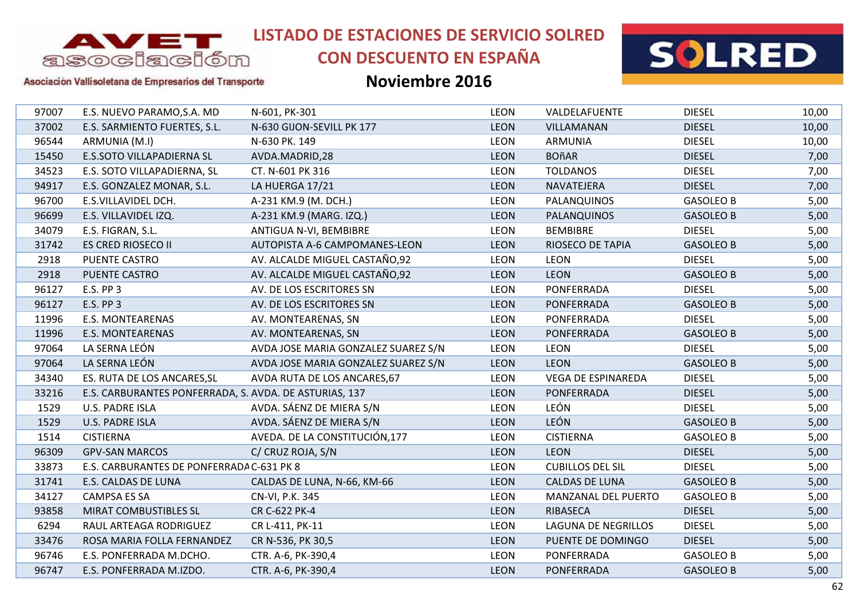

# **CON DESCUENTO EN ESPAÑA**



Asociación Vallisoletana de Empresarios del Transporte

| 97007 | E.S. NUEVO PARAMO, S.A. MD                             | N-601, PK-301                       | <b>LEON</b> | VALDELAFUENTE             | <b>DIESEL</b>    | 10,00 |
|-------|--------------------------------------------------------|-------------------------------------|-------------|---------------------------|------------------|-------|
| 37002 | E.S. SARMIENTO FUERTES, S.L.                           | N-630 GIJON-SEVILL PK 177           | <b>LEON</b> | VILLAMANAN                | <b>DIESEL</b>    | 10,00 |
| 96544 | ARMUNIA (M.I)                                          | N-630 PK. 149                       | <b>LEON</b> | ARMUNIA                   | <b>DIESEL</b>    | 10,00 |
| 15450 | E.S.SOTO VILLAPADIERNA SL                              | AVDA.MADRID,28                      | <b>LEON</b> | <b>BOñAR</b>              | <b>DIESEL</b>    | 7,00  |
| 34523 | E.S. SOTO VILLAPADIERNA, SL                            | CT. N-601 PK 316                    | <b>LEON</b> | <b>TOLDANOS</b>           | <b>DIESEL</b>    | 7,00  |
| 94917 | E.S. GONZALEZ MONAR, S.L.                              | LA HUERGA 17/21                     | <b>LEON</b> | <b>NAVATEJERA</b>         | <b>DIESEL</b>    | 7,00  |
| 96700 | E.S.VILLAVIDEL DCH.                                    | A-231 KM.9 (M. DCH.)                | LEON        | PALANQUINOS               | <b>GASOLEO B</b> | 5,00  |
| 96699 | E.S. VILLAVIDEL IZQ.                                   | A-231 KM.9 (MARG. IZQ.)             | <b>LEON</b> | <b>PALANQUINOS</b>        | <b>GASOLEO B</b> | 5,00  |
| 34079 | E.S. FIGRAN, S.L.                                      | ANTIGUA N-VI, BEMBIBRE              | <b>LEON</b> | <b>BEMBIBRE</b>           | <b>DIESEL</b>    | 5,00  |
| 31742 | <b>ES CRED RIOSECO II</b>                              | AUTOPISTA A-6 CAMPOMANES-LEON       | <b>LEON</b> | RIOSECO DE TAPIA          | <b>GASOLEO B</b> | 5,00  |
| 2918  | PUENTE CASTRO                                          | AV. ALCALDE MIGUEL CASTAÑO,92       | <b>LEON</b> | <b>LEON</b>               | <b>DIESEL</b>    | 5,00  |
| 2918  | <b>PUENTE CASTRO</b>                                   | AV. ALCALDE MIGUEL CASTAÑO,92       | <b>LEON</b> | <b>LEON</b>               | <b>GASOLEO B</b> | 5,00  |
| 96127 | <b>E.S. PP 3</b>                                       | AV. DE LOS ESCRITORES SN            | <b>LEON</b> | PONFERRADA                | <b>DIESEL</b>    | 5,00  |
| 96127 | E.S. PP 3                                              | AV. DE LOS ESCRITORES SN            | <b>LEON</b> | PONFERRADA                | <b>GASOLEO B</b> | 5,00  |
| 11996 | <b>E.S. MONTEARENAS</b>                                | AV. MONTEARENAS, SN                 | <b>LEON</b> | PONFERRADA                | <b>DIESEL</b>    | 5,00  |
| 11996 | <b>E.S. MONTEARENAS</b>                                | AV. MONTEARENAS, SN                 | <b>LEON</b> | PONFERRADA                | <b>GASOLEO B</b> | 5,00  |
| 97064 | LA SERNA LEÓN                                          | AVDA JOSE MARIA GONZALEZ SUAREZ S/N | <b>LEON</b> | <b>LEON</b>               | <b>DIESEL</b>    | 5,00  |
| 97064 | LA SERNA LEÓN                                          | AVDA JOSE MARIA GONZALEZ SUAREZ S/N | <b>LEON</b> | <b>LEON</b>               | <b>GASOLEO B</b> | 5,00  |
| 34340 | ES. RUTA DE LOS ANCARES, SL                            | AVDA RUTA DE LOS ANCARES, 67        | <b>LEON</b> | <b>VEGA DE ESPINAREDA</b> | <b>DIESEL</b>    | 5,00  |
| 33216 | E.S. CARBURANTES PONFERRADA, S. AVDA. DE ASTURIAS, 137 |                                     | <b>LEON</b> | <b>PONFERRADA</b>         | <b>DIESEL</b>    | 5,00  |
| 1529  | <b>U.S. PADRE ISLA</b>                                 | AVDA. SÁENZ DE MIERA S/N            | <b>LEON</b> | LEÓN                      | <b>DIESEL</b>    | 5,00  |
| 1529  | <b>U.S. PADRE ISLA</b>                                 | AVDA. SÁENZ DE MIERA S/N            | <b>LEON</b> | <b>LEÓN</b>               | <b>GASOLEO B</b> | 5,00  |
| 1514  | <b>CISTIERNA</b>                                       | AVEDA. DE LA CONSTITUCIÓN, 177      | <b>LEON</b> | <b>CISTIERNA</b>          | <b>GASOLEO B</b> | 5,00  |
| 96309 | <b>GPV-SAN MARCOS</b>                                  | C/ CRUZ ROJA, S/N                   | <b>LEON</b> | <b>LEON</b>               | <b>DIESEL</b>    | 5,00  |
| 33873 | E.S. CARBURANTES DE PONFERRADA C-631 PK 8              |                                     | <b>LEON</b> | <b>CUBILLOS DEL SIL</b>   | <b>DIESEL</b>    | 5,00  |
| 31741 | E.S. CALDAS DE LUNA                                    | CALDAS DE LUNA, N-66, KM-66         | <b>LEON</b> | <b>CALDAS DE LUNA</b>     | <b>GASOLEO B</b> | 5,00  |
| 34127 | <b>CAMPSA ES SA</b>                                    | CN-VI, P.K. 345                     | <b>LEON</b> | MANZANAL DEL PUERTO       | <b>GASOLEO B</b> | 5,00  |
| 93858 | MIRAT COMBUSTIBLES SL                                  | CR C-622 PK-4                       | <b>LEON</b> | RIBASECA                  | <b>DIESEL</b>    | 5,00  |
| 6294  | RAUL ARTEAGA RODRIGUEZ                                 | CR L-411, PK-11                     | <b>LEON</b> | LAGUNA DE NEGRILLOS       | <b>DIESEL</b>    | 5,00  |
| 33476 | ROSA MARIA FOLLA FERNANDEZ                             | CR N-536, PK 30,5                   | LEON        | PUENTE DE DOMINGO         | <b>DIESEL</b>    | 5,00  |
| 96746 | E.S. PONFERRADA M.DCHO.                                | CTR. A-6, PK-390,4                  | <b>LEON</b> | PONFERRADA                | <b>GASOLEO B</b> | 5,00  |
| 96747 | E.S. PONFERRADA M.IZDO.                                | CTR. A-6, PK-390,4                  | <b>LEON</b> | <b>PONFERRADA</b>         | <b>GASOLEO B</b> | 5,00  |
|       |                                                        |                                     |             |                           |                  |       |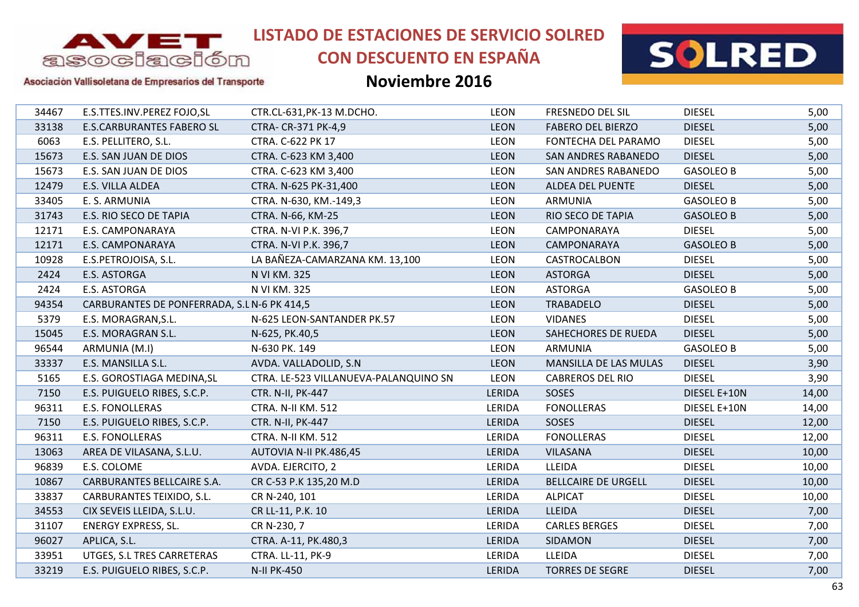

# **CON DESCUENTO EN ESPAÑA**



### Asociación Vallisoletana de Empresarios del Transporte

| 34467 | E.S.TTES.INV.PEREZ FOJO,SL                  | CTR.CL-631, PK-13 M.DCHO.             | <b>LEON</b>   | FRESNEDO DEL SIL           | <b>DIESEL</b>    | 5,00  |
|-------|---------------------------------------------|---------------------------------------|---------------|----------------------------|------------------|-------|
| 33138 | <b>E.S.CARBURANTES FABERO SL</b>            | CTRA- CR-371 PK-4,9                   | <b>LEON</b>   | <b>FABERO DEL BIERZO</b>   | <b>DIESEL</b>    | 5,00  |
| 6063  | E.S. PELLITERO, S.L.                        | CTRA. C-622 PK 17                     | <b>LEON</b>   | FONTECHA DEL PARAMO        | <b>DIESEL</b>    | 5,00  |
| 15673 | E.S. SAN JUAN DE DIOS                       | CTRA. C-623 KM 3,400                  | <b>LEON</b>   | <b>SAN ANDRES RABANEDO</b> | <b>DIESEL</b>    | 5,00  |
| 15673 | E.S. SAN JUAN DE DIOS                       | CTRA. C-623 KM 3,400                  | <b>LEON</b>   | SAN ANDRES RABANEDO        | <b>GASOLEO B</b> | 5,00  |
| 12479 | E.S. VILLA ALDEA                            | CTRA. N-625 PK-31,400                 | <b>LEON</b>   | <b>ALDEA DEL PUENTE</b>    | <b>DIESEL</b>    | 5,00  |
| 33405 | E. S. ARMUNIA                               | CTRA. N-630, KM.-149,3                | <b>LEON</b>   | <b>ARMUNIA</b>             | <b>GASOLEO B</b> | 5,00  |
| 31743 | E.S. RIO SECO DE TAPIA                      | CTRA. N-66, KM-25                     | <b>LEON</b>   | RIO SECO DE TAPIA          | <b>GASOLEO B</b> | 5,00  |
| 12171 | E.S. CAMPONARAYA                            | CTRA. N-VI P.K. 396,7                 | <b>LEON</b>   | CAMPONARAYA                | <b>DIESEL</b>    | 5,00  |
| 12171 | <b>E.S. CAMPONARAYA</b>                     | CTRA. N-VI P.K. 396,7                 | <b>LEON</b>   | CAMPONARAYA                | <b>GASOLEO B</b> | 5,00  |
| 10928 | E.S.PETROJOISA, S.L.                        | LA BAÑEZA-CAMARZANA KM. 13,100        | <b>LEON</b>   | CASTROCALBON               | <b>DIESEL</b>    | 5,00  |
| 2424  | E.S. ASTORGA                                | N VI KM. 325                          | <b>LEON</b>   | <b>ASTORGA</b>             | <b>DIESEL</b>    | 5,00  |
| 2424  | E.S. ASTORGA                                | N VI KM. 325                          | <b>LEON</b>   | <b>ASTORGA</b>             | <b>GASOLEO B</b> | 5,00  |
| 94354 | CARBURANTES DE PONFERRADA, S.L N-6 PK 414,5 |                                       | <b>LEON</b>   | <b>TRABADELO</b>           | <b>DIESEL</b>    | 5,00  |
| 5379  | E.S. MORAGRAN, S.L.                         | N-625 LEON-SANTANDER PK.57            | <b>LEON</b>   | <b>VIDANES</b>             | <b>DIESEL</b>    | 5,00  |
| 15045 | E.S. MORAGRAN S.L.                          | N-625, PK.40,5                        | <b>LEON</b>   | SAHECHORES DE RUEDA        | <b>DIESEL</b>    | 5,00  |
| 96544 | ARMUNIA (M.I)                               | N-630 PK. 149                         | <b>LEON</b>   | <b>ARMUNIA</b>             | <b>GASOLEO B</b> | 5,00  |
| 33337 | E.S. MANSILLA S.L.                          | AVDA. VALLADOLID, S.N.                | <b>LEON</b>   | MANSILLA DE LAS MULAS      | <b>DIESEL</b>    | 3,90  |
| 5165  | E.S. GOROSTIAGA MEDINA, SL                  | CTRA. LE-523 VILLANUEVA-PALANQUINO SN | <b>LEON</b>   | <b>CABREROS DEL RIO</b>    | <b>DIESEL</b>    | 3,90  |
| 7150  | E.S. PUIGUELO RIBES, S.C.P.                 | CTR. N-II, PK-447                     | LERIDA        | SOSES                      | DIESEL E+10N     | 14,00 |
| 96311 | <b>E.S. FONOLLERAS</b>                      | CTRA. N-II KM. 512                    | LERIDA        | <b>FONOLLERAS</b>          | DIESEL E+10N     | 14,00 |
| 7150  | E.S. PUIGUELO RIBES, S.C.P.                 | CTR. N-II, PK-447                     | <b>LERIDA</b> | <b>SOSES</b>               | <b>DIESEL</b>    | 12,00 |
| 96311 | <b>E.S. FONOLLERAS</b>                      | CTRA. N-II KM. 512                    | LERIDA        | <b>FONOLLERAS</b>          | <b>DIESEL</b>    | 12,00 |
| 13063 | AREA DE VILASANA, S.L.U.                    | AUTOVIA N-II PK.486,45                | LERIDA        | <b>VILASANA</b>            | <b>DIESEL</b>    | 10,00 |
| 96839 | E.S. COLOME                                 | AVDA. EJERCITO, 2                     | LERIDA        | <b>LLEIDA</b>              | <b>DIESEL</b>    | 10,00 |
| 10867 | CARBURANTES BELLCAIRE S.A.                  | CR C-53 P.K 135,20 M.D                | LERIDA        | <b>BELLCAIRE DE URGELL</b> | <b>DIESEL</b>    | 10,00 |
| 33837 | CARBURANTES TEIXIDO, S.L.                   | CR N-240, 101                         | LERIDA        | <b>ALPICAT</b>             | <b>DIESEL</b>    | 10,00 |
| 34553 | CIX SEVEIS LLEIDA, S.L.U.                   | CR LL-11, P.K. 10                     | LERIDA        | <b>LLEIDA</b>              | <b>DIESEL</b>    | 7,00  |
| 31107 | <b>ENERGY EXPRESS, SL.</b>                  | CR N-230, 7                           | LERIDA        | <b>CARLES BERGES</b>       | <b>DIESEL</b>    | 7,00  |
| 96027 | APLICA, S.L.                                | CTRA. A-11, PK.480,3                  | LERIDA        | SIDAMON                    | <b>DIESEL</b>    | 7,00  |
| 33951 | UTGES, S.L TRES CARRETERAS                  | CTRA. LL-11, PK-9                     | LERIDA        | LLEIDA                     | <b>DIESEL</b>    | 7,00  |
| 33219 | E.S. PUIGUELO RIBES, S.C.P.                 | <b>N-II PK-450</b>                    | LERIDA        | <b>TORRES DE SEGRE</b>     | <b>DIESEL</b>    | 7,00  |
|       |                                             |                                       |               |                            |                  |       |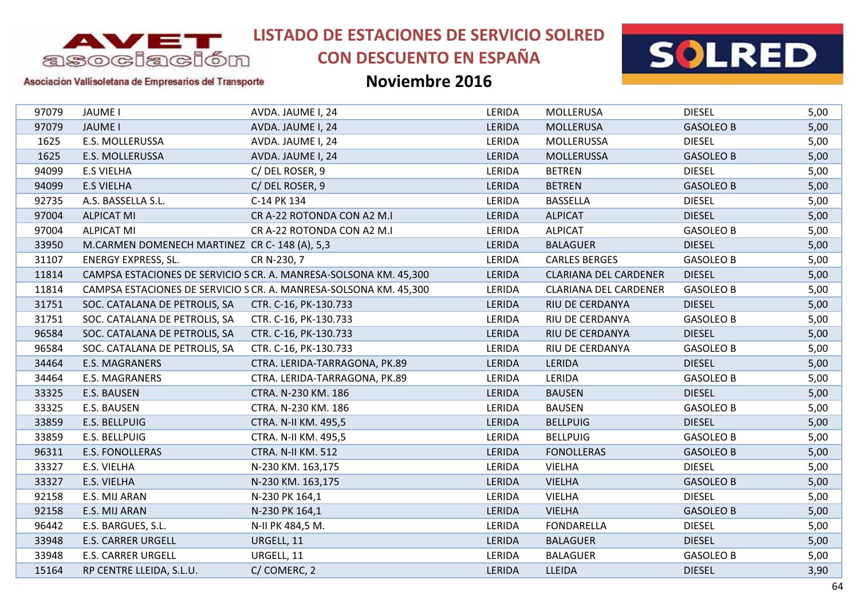

# **CON DESCUENTO EN ESPAÑA**



### Asociación Vallisoletana de Empresarios del Transporte

| 97079 | <b>JAUME I</b>                                      | AVDA. JAUME I, 24                                                 | LERIDA | <b>MOLLERUSA</b>             | <b>DIESEL</b>    | 5,00 |
|-------|-----------------------------------------------------|-------------------------------------------------------------------|--------|------------------------------|------------------|------|
| 97079 | <b>JAUME I</b>                                      | AVDA. JAUME I, 24                                                 | LERIDA | <b>MOLLERUSA</b>             | <b>GASOLEO B</b> | 5,00 |
| 1625  | E.S. MOLLERUSSA                                     | AVDA. JAUME I, 24                                                 | LERIDA | MOLLERUSSA                   | <b>DIESEL</b>    | 5,00 |
| 1625  | E.S. MOLLERUSSA                                     | AVDA. JAUME I, 24                                                 | LERIDA | MOLLERUSSA                   | <b>GASOLEO B</b> | 5,00 |
| 94099 | <b>E.S VIELHA</b>                                   | C/DEL ROSER, 9                                                    | LERIDA | <b>BETREN</b>                | <b>DIESEL</b>    | 5,00 |
| 94099 | <b>E.S VIELHA</b>                                   | C/DEL ROSER, 9                                                    | LERIDA | <b>BETREN</b>                | <b>GASOLEO B</b> | 5,00 |
| 92735 | A.S. BASSELLA S.L.                                  | C-14 PK 134                                                       | LERIDA | <b>BASSELLA</b>              | <b>DIESEL</b>    | 5,00 |
| 97004 | <b>ALPICAT MI</b>                                   | CR A-22 ROTONDA CON A2 M.I                                        | LERIDA | <b>ALPICAT</b>               | <b>DIESEL</b>    | 5,00 |
| 97004 | <b>ALPICAT MI</b>                                   | CR A-22 ROTONDA CON A2 M.I                                        | LERIDA | <b>ALPICAT</b>               | <b>GASOLEO B</b> | 5,00 |
| 33950 | M.CARMEN DOMENECH MARTINEZ CR C-148 (A), 5,3        |                                                                   | LERIDA | <b>BALAGUER</b>              | <b>DIESEL</b>    | 5,00 |
| 31107 | <b>ENERGY EXPRESS, SL.</b>                          | CR N-230, 7                                                       | LERIDA | <b>CARLES BERGES</b>         | <b>GASOLEO B</b> | 5,00 |
| 11814 |                                                     | CAMPSA ESTACIONES DE SERVICIO S CR. A. MANRESA-SOLSONA KM. 45,300 | LERIDA | <b>CLARIANA DEL CARDENER</b> | <b>DIESEL</b>    | 5,00 |
| 11814 |                                                     | CAMPSA ESTACIONES DE SERVICIO S CR. A. MANRESA-SOLSONA KM. 45,300 | LERIDA | <b>CLARIANA DEL CARDENER</b> | <b>GASOLEO B</b> | 5,00 |
| 31751 | SOC. CATALANA DE PETROLIS, SA CTR. C-16, PK-130.733 |                                                                   | LERIDA | RIU DE CERDANYA              | <b>DIESEL</b>    | 5,00 |
| 31751 | SOC. CATALANA DE PETROLIS, SA                       | CTR. C-16, PK-130.733                                             | LERIDA | RIU DE CERDANYA              | <b>GASOLEO B</b> | 5,00 |
| 96584 | SOC. CATALANA DE PETROLIS, SA                       | CTR. C-16, PK-130.733                                             | LERIDA | RIU DE CERDANYA              | <b>DIESEL</b>    | 5,00 |
| 96584 | SOC. CATALANA DE PETROLIS, SA                       | CTR. C-16, PK-130.733                                             | LERIDA | RIU DE CERDANYA              | <b>GASOLEO B</b> | 5,00 |
| 34464 | E.S. MAGRANERS                                      | CTRA. LERIDA-TARRAGONA, PK.89                                     | LERIDA | LERIDA                       | <b>DIESEL</b>    | 5,00 |
| 34464 | E.S. MAGRANERS                                      | CTRA. LERIDA-TARRAGONA, PK.89                                     | LERIDA | LERIDA                       | <b>GASOLEO B</b> | 5,00 |
| 33325 | E.S. BAUSEN                                         | CTRA. N-230 KM. 186                                               | LERIDA | <b>BAUSEN</b>                | <b>DIESEL</b>    | 5,00 |
| 33325 | E.S. BAUSEN                                         | CTRA. N-230 KM. 186                                               | LERIDA | <b>BAUSEN</b>                | <b>GASOLEO B</b> | 5,00 |
| 33859 | E.S. BELLPUIG                                       | CTRA. N-II KM. 495,5                                              | LERIDA | <b>BELLPUIG</b>              | <b>DIESEL</b>    | 5,00 |
| 33859 | E.S. BELLPUIG                                       | CTRA. N-II KM. 495,5                                              | LERIDA | <b>BELLPUIG</b>              | <b>GASOLEO B</b> | 5,00 |
| 96311 | <b>E.S. FONOLLERAS</b>                              | CTRA. N-II KM. 512                                                | LERIDA | <b>FONOLLERAS</b>            | <b>GASOLEO B</b> | 5,00 |
| 33327 | E.S. VIELHA                                         | N-230 KM. 163,175                                                 | LERIDA | <b>VIELHA</b>                | <b>DIESEL</b>    | 5,00 |
| 33327 | E.S. VIELHA                                         | N-230 KM. 163,175                                                 | LERIDA | <b>VIELHA</b>                | <b>GASOLEO B</b> | 5,00 |
| 92158 | E.S. MIJ ARAN                                       | N-230 PK 164,1                                                    | LERIDA | <b>VIELHA</b>                | <b>DIESEL</b>    | 5,00 |
| 92158 | E.S. MIJ ARAN                                       | N-230 PK 164,1                                                    | LERIDA | <b>VIELHA</b>                | <b>GASOLEO B</b> | 5,00 |
| 96442 | E.S. BARGUES, S.L.                                  | N-II PK 484,5 M.                                                  | LERIDA | <b>FONDARELLA</b>            | <b>DIESEL</b>    | 5,00 |
| 33948 | <b>E.S. CARRER URGELL</b>                           | URGELL, 11                                                        | LERIDA | <b>BALAGUER</b>              | <b>DIESEL</b>    | 5,00 |
| 33948 | <b>E.S. CARRER URGELL</b>                           | URGELL, 11                                                        | LERIDA | <b>BALAGUER</b>              | <b>GASOLEO B</b> | 5,00 |
| 15164 | RP CENTRE LLEIDA, S.L.U.                            | C/COMERC, 2                                                       | LERIDA | <b>LLEIDA</b>                | <b>DIESEL</b>    | 3,90 |
|       |                                                     |                                                                   |        |                              |                  |      |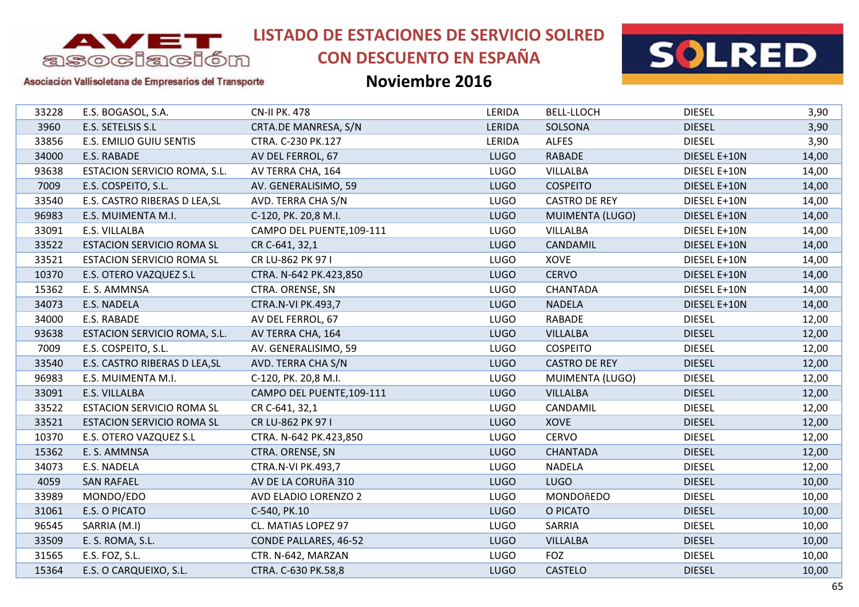

# **CON DESCUENTO EN ESPAÑA**



### Asociación Vallisoletana de Empresarios del Transporte

| 33228 | E.S. BOGASOL, S.A.               | <b>CN-II PK. 478</b>      | LERIDA      | <b>BELL-LLOCH</b>    | <b>DIESEL</b> | 3,90  |
|-------|----------------------------------|---------------------------|-------------|----------------------|---------------|-------|
| 3960  | E.S. SETELSIS S.L                | CRTA.DE MANRESA, S/N      | LERIDA      | SOLSONA              | <b>DIESEL</b> | 3,90  |
| 33856 | E.S. EMILIO GUIU SENTIS          | CTRA. C-230 PK.127        | LERIDA      | <b>ALFES</b>         | <b>DIESEL</b> | 3,90  |
| 34000 | E.S. RABADE                      | AV DEL FERROL, 67         | <b>LUGO</b> | <b>RABADE</b>        | DIESEL E+10N  | 14,00 |
| 93638 | ESTACION SERVICIO ROMA, S.L.     | AV TERRA CHA, 164         | <b>LUGO</b> | <b>VILLALBA</b>      | DIESEL E+10N  | 14,00 |
| 7009  | E.S. COSPEITO, S.L.              | AV. GENERALISIMO, 59      | <b>LUGO</b> | <b>COSPEITO</b>      | DIESEL E+10N  | 14,00 |
| 33540 | E.S. CASTRO RIBERAS D LEA, SL    | AVD. TERRA CHA S/N        | <b>LUGO</b> | <b>CASTRO DE REY</b> | DIESEL E+10N  | 14,00 |
| 96983 | E.S. MUIMENTA M.I.               | C-120, PK. 20,8 M.I.      | <b>LUGO</b> | MUIMENTA (LUGO)      | DIESEL E+10N  | 14,00 |
| 33091 | E.S. VILLALBA                    | CAMPO DEL PUENTE, 109-111 | <b>LUGO</b> | <b>VILLALBA</b>      | DIESEL E+10N  | 14,00 |
| 33522 | <b>ESTACION SERVICIO ROMA SL</b> | CR C-641, 32,1            | <b>LUGO</b> | CANDAMIL             | DIESEL E+10N  | 14,00 |
| 33521 | <b>ESTACION SERVICIO ROMA SL</b> | CR LU-862 PK 97 I         | <b>LUGO</b> | XOVE                 | DIESEL E+10N  | 14,00 |
| 10370 | E.S. OTERO VAZQUEZ S.L           | CTRA. N-642 PK.423,850    | <b>LUGO</b> | <b>CERVO</b>         | DIESEL E+10N  | 14,00 |
| 15362 | E. S. AMMNSA                     | CTRA. ORENSE, SN          | <b>LUGO</b> | <b>CHANTADA</b>      | DIESEL E+10N  | 14,00 |
| 34073 | E.S. NADELA                      | <b>CTRA.N-VI PK.493,7</b> | <b>LUGO</b> | <b>NADELA</b>        | DIESEL E+10N  | 14,00 |
| 34000 | E.S. RABADE                      | AV DEL FERROL, 67         | <b>LUGO</b> | <b>RABADE</b>        | <b>DIESEL</b> | 12,00 |
| 93638 | ESTACION SERVICIO ROMA, S.L.     | AV TERRA CHA, 164         | <b>LUGO</b> | <b>VILLALBA</b>      | <b>DIESEL</b> | 12,00 |
| 7009  | E.S. COSPEITO, S.L.              | AV. GENERALISIMO, 59      | <b>LUGO</b> | <b>COSPEITO</b>      | <b>DIESEL</b> | 12,00 |
| 33540 | E.S. CASTRO RIBERAS D LEA, SL    | AVD. TERRA CHA S/N        | <b>LUGO</b> | <b>CASTRO DE REY</b> | <b>DIESEL</b> | 12,00 |
| 96983 | E.S. MUIMENTA M.I.               | C-120, PK. 20,8 M.I.      | <b>LUGO</b> | MUIMENTA (LUGO)      | <b>DIESEL</b> | 12,00 |
| 33091 | E.S. VILLALBA                    | CAMPO DEL PUENTE, 109-111 | <b>LUGO</b> | <b>VILLALBA</b>      | <b>DIESEL</b> | 12,00 |
| 33522 | <b>ESTACION SERVICIO ROMA SL</b> | CR C-641, 32,1            | <b>LUGO</b> | CANDAMIL             | <b>DIESEL</b> | 12,00 |
| 33521 | <b>ESTACION SERVICIO ROMA SL</b> | CR LU-862 PK 97 I         | <b>LUGO</b> | XOVE                 | <b>DIESEL</b> | 12,00 |
| 10370 | E.S. OTERO VAZQUEZ S.L           | CTRA. N-642 PK.423,850    | <b>LUGO</b> | <b>CERVO</b>         | <b>DIESEL</b> | 12,00 |
| 15362 | E. S. AMMNSA                     | CTRA. ORENSE, SN          | <b>LUGO</b> | <b>CHANTADA</b>      | <b>DIESEL</b> | 12,00 |
| 34073 | E.S. NADELA                      | <b>CTRA.N-VI PK.493,7</b> | <b>LUGO</b> | <b>NADELA</b>        | <b>DIESEL</b> | 12,00 |
| 4059  | <b>SAN RAFAEL</b>                | AV DE LA CORUÑA 310       | <b>LUGO</b> | <b>LUGO</b>          | <b>DIESEL</b> | 10,00 |
| 33989 | MONDO/EDO                        | AVD ELADIO LORENZO 2      | <b>LUGO</b> | MONDOñEDO            | <b>DIESEL</b> | 10,00 |
| 31061 | E.S. O PICATO                    | C-540, PK.10              | <b>LUGO</b> | O PICATO             | <b>DIESEL</b> | 10,00 |
| 96545 | SARRIA (M.I)                     | CL. MATIAS LOPEZ 97       | <b>LUGO</b> | SARRIA               | <b>DIESEL</b> | 10,00 |
| 33509 | E. S. ROMA, S.L.                 | CONDE PALLARES, 46-52     | <b>LUGO</b> | <b>VILLALBA</b>      | <b>DIESEL</b> | 10,00 |
| 31565 | E.S. FOZ, S.L.                   | CTR. N-642, MARZAN        | <b>LUGO</b> | <b>FOZ</b>           | <b>DIESEL</b> | 10,00 |
| 15364 | E.S. O CARQUEIXO, S.L.           | CTRA. C-630 PK.58,8       | <b>LUGO</b> | <b>CASTELO</b>       | <b>DIESEL</b> | 10,00 |
|       |                                  |                           |             |                      |               |       |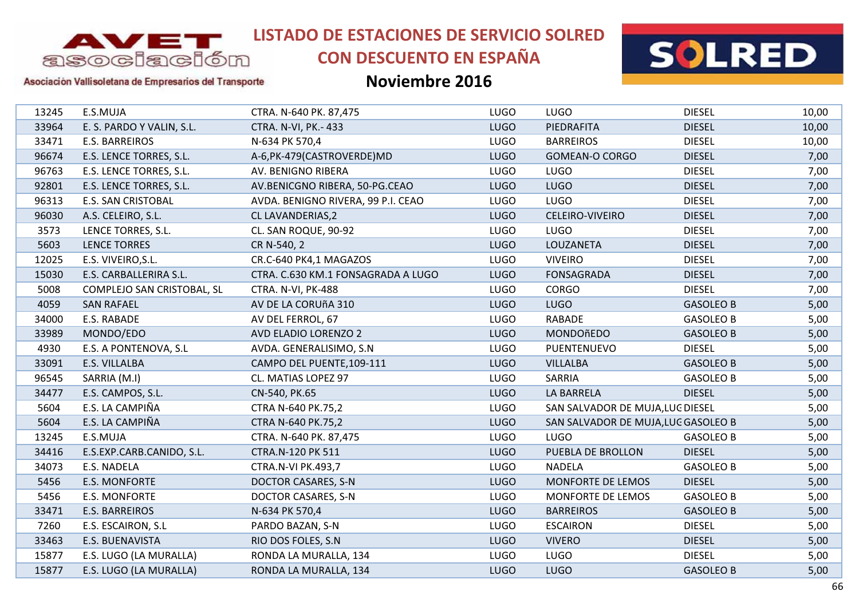

# **CON DESCUENTO EN ESPAÑA**



### Asociación Vallisoletana de Empresarios del Transporte

| 13245 | E.S.MUJA                   | CTRA. N-640 PK. 87,475             | <b>LUGO</b> | <b>LUGO</b>                         | <b>DIESEL</b>    | 10,00 |
|-------|----------------------------|------------------------------------|-------------|-------------------------------------|------------------|-------|
| 33964 | E. S. PARDO Y VALIN, S.L.  | <b>CTRA. N-VI, PK.- 433</b>        | <b>LUGO</b> | PIEDRAFITA                          | <b>DIESEL</b>    | 10,00 |
| 33471 | E.S. BARREIROS             | N-634 PK 570,4                     | <b>LUGO</b> | <b>BARREIROS</b>                    | <b>DIESEL</b>    | 10,00 |
| 96674 | E.S. LENCE TORRES, S.L.    | A-6, PK-479 (CASTROVERDE) MD       | <b>LUGO</b> | <b>GOMEAN-O CORGO</b>               | <b>DIESEL</b>    | 7,00  |
| 96763 | E.S. LENCE TORRES, S.L.    | AV. BENIGNO RIBERA                 | <b>LUGO</b> | <b>LUGO</b>                         | <b>DIESEL</b>    | 7,00  |
| 92801 | E.S. LENCE TORRES, S.L.    | AV.BENICGNO RIBERA, 50-PG.CEAO     | <b>LUGO</b> | <b>LUGO</b>                         | <b>DIESEL</b>    | 7,00  |
| 96313 | <b>E.S. SAN CRISTOBAL</b>  | AVDA. BENIGNO RIVERA, 99 P.I. CEAO | <b>LUGO</b> | <b>LUGO</b>                         | <b>DIESEL</b>    | 7,00  |
| 96030 | A.S. CELEIRO, S.L.         | CL LAVANDERIAS, 2                  | <b>LUGO</b> | CELEIRO-VIVEIRO                     | <b>DIESEL</b>    | 7,00  |
| 3573  | LENCE TORRES, S.L.         | CL. SAN ROQUE, 90-92               | <b>LUGO</b> | <b>LUGO</b>                         | <b>DIESEL</b>    | 7,00  |
| 5603  | <b>LENCE TORRES</b>        | CR N-540, 2                        | <b>LUGO</b> | LOUZANETA                           | <b>DIESEL</b>    | 7,00  |
| 12025 | E.S. VIVEIRO, S.L.         | CR.C-640 PK4,1 MAGAZOS             | <b>LUGO</b> | <b>VIVEIRO</b>                      | <b>DIESEL</b>    | 7,00  |
| 15030 | E.S. CARBALLERIRA S.L.     | CTRA. C.630 KM.1 FONSAGRADA A LUGO | <b>LUGO</b> | <b>FONSAGRADA</b>                   | <b>DIESEL</b>    | 7,00  |
| 5008  | COMPLEJO SAN CRISTOBAL, SL | CTRA. N-VI, PK-488                 | <b>LUGO</b> | <b>CORGO</b>                        | <b>DIESEL</b>    | 7,00  |
| 4059  | <b>SAN RAFAEL</b>          | AV DE LA CORUÑA 310                | <b>LUGO</b> | <b>LUGO</b>                         | <b>GASOLEO B</b> | 5,00  |
| 34000 | E.S. RABADE                | AV DEL FERROL, 67                  | <b>LUGO</b> | <b>RABADE</b>                       | <b>GASOLEO B</b> | 5,00  |
| 33989 | MONDO/EDO                  | AVD ELADIO LORENZO 2               | <b>LUGO</b> | MONDOñEDO                           | <b>GASOLEO B</b> | 5,00  |
| 4930  | E.S. A PONTENOVA, S.L      | AVDA. GENERALISIMO, S.N            | <b>LUGO</b> | PUENTENUEVO                         | <b>DIESEL</b>    | 5,00  |
| 33091 | E.S. VILLALBA              | CAMPO DEL PUENTE, 109-111          | <b>LUGO</b> | <b>VILLALBA</b>                     | <b>GASOLEO B</b> | 5,00  |
| 96545 | SARRIA (M.I)               | CL. MATIAS LOPEZ 97                | <b>LUGO</b> | <b>SARRIA</b>                       | <b>GASOLEO B</b> | 5,00  |
| 34477 | E.S. CAMPOS, S.L.          | CN-540, PK.65                      | <b>LUGO</b> | LA BARRELA                          | <b>DIESEL</b>    | 5,00  |
| 5604  | E.S. LA CAMPIÑA            | CTRA N-640 PK.75,2                 | <b>LUGO</b> | SAN SALVADOR DE MUJA, LUG DIESEL    |                  | 5,00  |
| 5604  | E.S. LA CAMPIÑA            | CTRA N-640 PK.75,2                 | <b>LUGO</b> | SAN SALVADOR DE MUJA, LUG GASOLEO B |                  | 5,00  |
| 13245 | E.S.MUJA                   | CTRA. N-640 PK. 87,475             | <b>LUGO</b> | <b>LUGO</b>                         | <b>GASOLEO B</b> | 5,00  |
| 34416 | E.S.EXP.CARB.CANIDO, S.L.  | CTRA.N-120 PK 511                  | <b>LUGO</b> | PUEBLA DE BROLLON                   | <b>DIESEL</b>    | 5,00  |
| 34073 | E.S. NADELA                | <b>CTRA.N-VI PK.493,7</b>          | <b>LUGO</b> | <b>NADELA</b>                       | <b>GASOLEO B</b> | 5,00  |
| 5456  | <b>E.S. MONFORTE</b>       | DOCTOR CASARES, S-N                | <b>LUGO</b> | MONFORTE DE LEMOS                   | <b>DIESEL</b>    | 5,00  |
|       |                            |                                    | <b>LUGO</b> | MONFORTE DE LEMOS                   | <b>GASOLEO B</b> |       |
| 5456  | E.S. MONFORTE              | DOCTOR CASARES, S-N                |             |                                     |                  | 5,00  |
| 33471 | E.S. BARREIROS             | N-634 PK 570,4                     | <b>LUGO</b> | <b>BARREIROS</b>                    | <b>GASOLEO B</b> | 5,00  |
| 7260  | E.S. ESCAIRON, S.L         | PARDO BAZAN, S-N                   | <b>LUGO</b> | <b>ESCAIRON</b>                     | <b>DIESEL</b>    | 5,00  |
| 33463 | E.S. BUENAVISTA            | RIO DOS FOLES, S.N.                | <b>LUGO</b> | <b>VIVERO</b>                       | <b>DIESEL</b>    | 5,00  |
| 15877 | E.S. LUGO (LA MURALLA)     | RONDA LA MURALLA, 134              | <b>LUGO</b> | <b>LUGO</b>                         | <b>DIESEL</b>    | 5,00  |
| 15877 | E.S. LUGO (LA MURALLA)     | RONDA LA MURALLA, 134              | <b>LUGO</b> | <b>LUGO</b>                         | <b>GASOLEO B</b> | 5,00  |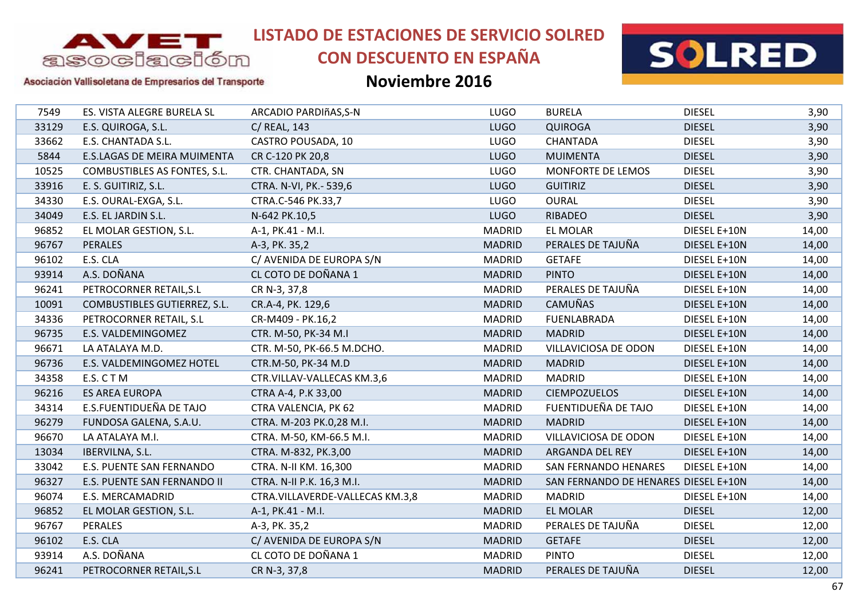

# **CON DESCUENTO EN ESPAÑA**



### Asociación Vallisoletana de Empresarios del Transporte

| 7549  | ES. VISTA ALEGRE BURELA SL   | ARCADIO PARDIñAS, S-N           | <b>LUGO</b>   | <b>BURELA</b>                        | <b>DIESEL</b> | 3,90  |
|-------|------------------------------|---------------------------------|---------------|--------------------------------------|---------------|-------|
| 33129 | E.S. QUIROGA, S.L.           | C/ REAL, 143                    | <b>LUGO</b>   | <b>QUIROGA</b>                       | <b>DIESEL</b> | 3,90  |
| 33662 | E.S. CHANTADA S.L.           | CASTRO POUSADA, 10              | <b>LUGO</b>   | <b>CHANTADA</b>                      | <b>DIESEL</b> | 3,90  |
| 5844  | E.S.LAGAS DE MEIRA MUIMENTA  | CR C-120 PK 20,8                | <b>LUGO</b>   | <b>MUIMENTA</b>                      | <b>DIESEL</b> | 3,90  |
| 10525 | COMBUSTIBLES AS FONTES, S.L. | CTR. CHANTADA, SN               | <b>LUGO</b>   | MONFORTE DE LEMOS                    | <b>DIESEL</b> | 3,90  |
| 33916 | E. S. GUITIRIZ, S.L.         | CTRA. N-VI, PK.- 539,6          | <b>LUGO</b>   | <b>GUITIRIZ</b>                      | <b>DIESEL</b> | 3,90  |
| 34330 | E.S. OURAL-EXGA, S.L.        | CTRA.C-546 PK.33,7              | <b>LUGO</b>   | <b>OURAL</b>                         | <b>DIESEL</b> | 3,90  |
| 34049 | E.S. EL JARDIN S.L.          | N-642 PK.10,5                   | <b>LUGO</b>   | RIBADEO                              | <b>DIESEL</b> | 3,90  |
| 96852 | EL MOLAR GESTION, S.L.       | A-1, PK.41 - M.I.               | <b>MADRID</b> | <b>EL MOLAR</b>                      | DIESEL E+10N  | 14,00 |
| 96767 | <b>PERALES</b>               | A-3, PK. 35,2                   | <b>MADRID</b> | PERALES DE TAJUÑA                    | DIESEL E+10N  | 14,00 |
| 96102 | E.S. CLA                     | C/ AVENIDA DE EUROPA S/N        | <b>MADRID</b> | <b>GETAFE</b>                        | DIESEL E+10N  | 14,00 |
| 93914 | A.S. DOÑANA                  | CL COTO DE DOÑANA 1             | <b>MADRID</b> | <b>PINTO</b>                         | DIESEL E+10N  | 14,00 |
| 96241 | PETROCORNER RETAIL, S.L      | CR N-3, 37,8                    | <b>MADRID</b> | PERALES DE TAJUÑA                    | DIESEL E+10N  | 14,00 |
| 10091 | COMBUSTIBLES GUTIERREZ, S.L. | CR.A-4, PK. 129,6               | <b>MADRID</b> | <b>CAMUÑAS</b>                       | DIESEL E+10N  | 14,00 |
| 34336 | PETROCORNER RETAIL, S.L      | CR-M409 - PK.16,2               | <b>MADRID</b> | <b>FUENLABRADA</b>                   | DIESEL E+10N  | 14,00 |
| 96735 | E.S. VALDEMINGOMEZ           | CTR. M-50, PK-34 M.I            | <b>MADRID</b> | <b>MADRID</b>                        | DIESEL E+10N  | 14,00 |
| 96671 | LA ATALAYA M.D.              | CTR. M-50, PK-66.5 M.DCHO.      | <b>MADRID</b> | VILLAVICIOSA DE ODON                 | DIESEL E+10N  | 14,00 |
| 96736 | E.S. VALDEMINGOMEZ HOTEL     | CTR.M-50, PK-34 M.D             | <b>MADRID</b> | <b>MADRID</b>                        | DIESEL E+10N  | 14,00 |
| 34358 | E.S. CTM                     | CTR.VILLAV-VALLECAS KM.3,6      | <b>MADRID</b> | <b>MADRID</b>                        | DIESEL E+10N  | 14,00 |
| 96216 | <b>ES AREA EUROPA</b>        | CTRA A-4, P.K 33,00             | <b>MADRID</b> | <b>CIEMPOZUELOS</b>                  | DIESEL E+10N  | 14,00 |
| 34314 | E.S.FUENTIDUEÑA DE TAJO      | CTRA VALENCIA, PK 62            | <b>MADRID</b> | FUENTIDUEÑA DE TAJO                  | DIESEL E+10N  | 14,00 |
| 96279 | FUNDOSA GALENA, S.A.U.       | CTRA. M-203 PK.0,28 M.I.        | <b>MADRID</b> | <b>MADRID</b>                        | DIESEL E+10N  | 14,00 |
| 96670 | LA ATALAYA M.I.              | CTRA. M-50, KM-66.5 M.I.        | <b>MADRID</b> | VILLAVICIOSA DE ODON                 | DIESEL E+10N  | 14,00 |
| 13034 | IBERVILNA, S.L.              | CTRA. M-832, PK.3,00            | <b>MADRID</b> | ARGANDA DEL REY                      | DIESEL E+10N  | 14,00 |
| 33042 | E.S. PUENTE SAN FERNANDO     | CTRA. N-II KM. 16,300           | <b>MADRID</b> | <b>SAN FERNANDO HENARES</b>          | DIESEL E+10N  | 14,00 |
| 96327 | E.S. PUENTE SAN FERNANDO II  | CTRA. N-II P.K. 16,3 M.I.       | <b>MADRID</b> | SAN FERNANDO DE HENARES DIESEL E+10N |               | 14,00 |
| 96074 | E.S. MERCAMADRID             | CTRA.VILLAVERDE-VALLECAS KM.3,8 | <b>MADRID</b> | <b>MADRID</b>                        | DIESEL E+10N  | 14,00 |
| 96852 | EL MOLAR GESTION, S.L.       | A-1, PK.41 - M.I.               | <b>MADRID</b> | <b>EL MOLAR</b>                      | <b>DIESEL</b> | 12,00 |
| 96767 | PERALES                      | A-3, PK. 35,2                   | <b>MADRID</b> | PERALES DE TAJUÑA                    | <b>DIESEL</b> | 12,00 |
| 96102 | E.S. CLA                     | C/ AVENIDA DE EUROPA S/N        | <b>MADRID</b> | <b>GETAFE</b>                        | <b>DIESEL</b> | 12,00 |
| 93914 | A.S. DOÑANA                  | CL COTO DE DOÑANA 1             | <b>MADRID</b> | <b>PINTO</b>                         | <b>DIESEL</b> | 12,00 |
| 96241 | PETROCORNER RETAIL, S.L      | CR N-3, 37,8                    | <b>MADRID</b> | PERALES DE TAJUÑA                    | <b>DIESEL</b> | 12,00 |
|       |                              |                                 |               |                                      |               |       |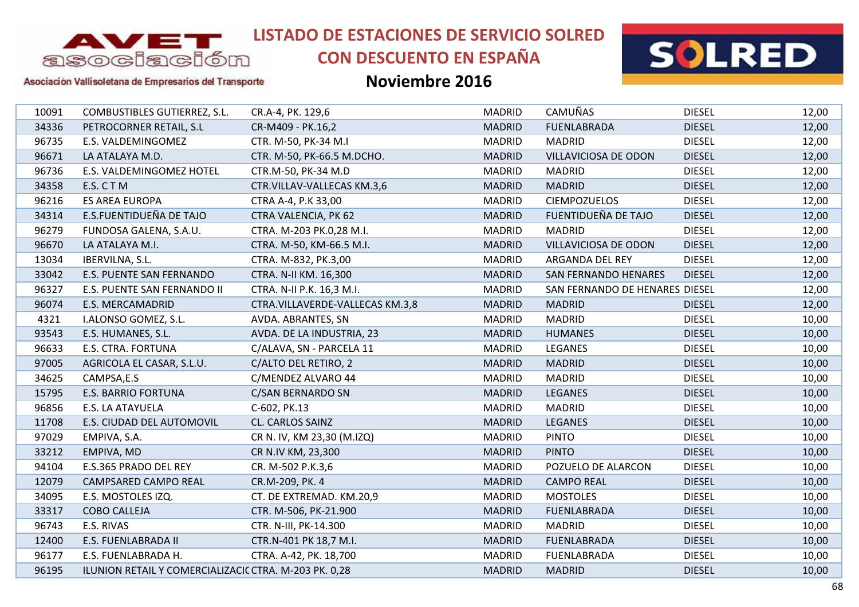

# **CON DESCUENTO EN ESPAÑA**



### Asociación Vallisoletana de Empresarios del Transporte

| 10091 | COMBUSTIBLES GUTIERREZ, S.L.                          | CR.A-4, PK. 129,6               | <b>MADRID</b> | CAMUÑAS                        | <b>DIESEL</b> | 12,00 |
|-------|-------------------------------------------------------|---------------------------------|---------------|--------------------------------|---------------|-------|
| 34336 | PETROCORNER RETAIL, S.L                               | CR-M409 - PK.16,2               | <b>MADRID</b> | <b>FUENLABRADA</b>             | <b>DIESEL</b> | 12,00 |
| 96735 | E.S. VALDEMINGOMEZ                                    | CTR. M-50, PK-34 M.I            | <b>MADRID</b> | <b>MADRID</b>                  | <b>DIESEL</b> | 12,00 |
| 96671 | LA ATALAYA M.D.                                       | CTR. M-50, PK-66.5 M.DCHO.      | <b>MADRID</b> | VILLAVICIOSA DE ODON           | <b>DIESEL</b> | 12,00 |
| 96736 | E.S. VALDEMINGOMEZ HOTEL                              | CTR.M-50, PK-34 M.D             | <b>MADRID</b> | <b>MADRID</b>                  | <b>DIESEL</b> | 12,00 |
| 34358 | E.S. CTM                                              | CTR.VILLAV-VALLECAS KM.3,6      | <b>MADRID</b> | <b>MADRID</b>                  | <b>DIESEL</b> | 12,00 |
| 96216 | <b>ES AREA EUROPA</b>                                 | CTRA A-4, P.K 33,00             | <b>MADRID</b> | <b>CIEMPOZUELOS</b>            | <b>DIESEL</b> | 12,00 |
| 34314 | E.S.FUENTIDUEÑA DE TAJO                               | CTRA VALENCIA, PK 62            | <b>MADRID</b> | FUENTIDUEÑA DE TAJO            | <b>DIESEL</b> | 12,00 |
| 96279 | FUNDOSA GALENA, S.A.U.                                | CTRA. M-203 PK.0,28 M.I.        | <b>MADRID</b> | <b>MADRID</b>                  | <b>DIESEL</b> | 12,00 |
| 96670 | LA ATALAYA M.I.                                       | CTRA. M-50, KM-66.5 M.I.        | <b>MADRID</b> | VILLAVICIOSA DE ODON           | <b>DIESEL</b> | 12,00 |
| 13034 | IBERVILNA, S.L.                                       | CTRA. M-832, PK.3,00            | <b>MADRID</b> | ARGANDA DEL REY                | <b>DIESEL</b> | 12,00 |
| 33042 | E.S. PUENTE SAN FERNANDO                              | CTRA. N-II KM. 16,300           | <b>MADRID</b> | <b>SAN FERNANDO HENARES</b>    | <b>DIESEL</b> | 12,00 |
| 96327 | E.S. PUENTE SAN FERNANDO II                           | CTRA. N-II P.K. 16,3 M.I.       | <b>MADRID</b> | SAN FERNANDO DE HENARES DIESEL |               | 12,00 |
| 96074 | E.S. MERCAMADRID                                      | CTRA.VILLAVERDE-VALLECAS KM.3,8 | <b>MADRID</b> | <b>MADRID</b>                  | <b>DIESEL</b> | 12,00 |
| 4321  | I.ALONSO GOMEZ, S.L.                                  | AVDA. ABRANTES, SN              | <b>MADRID</b> | <b>MADRID</b>                  | <b>DIESEL</b> | 10,00 |
| 93543 | E.S. HUMANES, S.L.                                    | AVDA. DE LA INDUSTRIA, 23       | <b>MADRID</b> | <b>HUMANES</b>                 | <b>DIESEL</b> | 10,00 |
| 96633 | E.S. CTRA. FORTUNA                                    | C/ALAVA, SN - PARCELA 11        | <b>MADRID</b> | <b>LEGANES</b>                 | <b>DIESEL</b> | 10,00 |
| 97005 | AGRICOLA EL CASAR, S.L.U.                             | C/ALTO DEL RETIRO, 2            | <b>MADRID</b> | <b>MADRID</b>                  | <b>DIESEL</b> | 10,00 |
| 34625 | CAMPSA,E.S                                            | C/MENDEZ ALVARO 44              | <b>MADRID</b> | <b>MADRID</b>                  | <b>DIESEL</b> | 10,00 |
| 15795 | <b>E.S. BARRIO FORTUNA</b>                            | C/SAN BERNARDO SN               | <b>MADRID</b> | <b>LEGANES</b>                 | <b>DIESEL</b> | 10,00 |
| 96856 | E.S. LA ATAYUELA                                      | C-602, PK.13                    | <b>MADRID</b> | <b>MADRID</b>                  | <b>DIESEL</b> | 10,00 |
| 11708 | E.S. CIUDAD DEL AUTOMOVIL                             | CL. CARLOS SAINZ                | <b>MADRID</b> | <b>LEGANES</b>                 | <b>DIESEL</b> | 10,00 |
| 97029 | EMPIVA, S.A.                                          | CR N. IV, KM 23,30 (M.IZQ)      | <b>MADRID</b> | <b>PINTO</b>                   | <b>DIESEL</b> | 10,00 |
| 33212 | EMPIVA, MD                                            | CR N.IV KM, 23,300              | <b>MADRID</b> | <b>PINTO</b>                   | <b>DIESEL</b> | 10,00 |
| 94104 | E.S.365 PRADO DEL REY                                 | CR. M-502 P.K.3,6               | <b>MADRID</b> | POZUELO DE ALARCON             | <b>DIESEL</b> | 10,00 |
| 12079 | CAMPSARED CAMPO REAL                                  | CR.M-209, PK. 4                 | <b>MADRID</b> | <b>CAMPO REAL</b>              | <b>DIESEL</b> | 10,00 |
| 34095 | E.S. MOSTOLES IZQ.                                    | CT. DE EXTREMAD. KM.20,9        | <b>MADRID</b> | <b>MOSTOLES</b>                | <b>DIESEL</b> | 10,00 |
| 33317 | <b>COBO CALLEJA</b>                                   | CTR. M-506, PK-21.900           | <b>MADRID</b> | <b>FUENLABRADA</b>             | <b>DIESEL</b> | 10,00 |
| 96743 | E.S. RIVAS                                            | CTR. N-III, PK-14.300           | <b>MADRID</b> | <b>MADRID</b>                  | <b>DIESEL</b> | 10,00 |
| 12400 | E.S. FUENLABRADA II                                   | CTR.N-401 PK 18,7 M.I.          | <b>MADRID</b> | <b>FUENLABRADA</b>             | <b>DIESEL</b> | 10,00 |
| 96177 | E.S. FUENLABRADA H.                                   | CTRA. A-42, PK. 18,700          | <b>MADRID</b> | <b>FUENLABRADA</b>             | <b>DIESEL</b> | 10,00 |
| 96195 | ILUNION RETAIL Y COMERCIALIZACIC CTRA. M-203 PK. 0,28 |                                 | <b>MADRID</b> | <b>MADRID</b>                  | <b>DIESEL</b> | 10,00 |
|       |                                                       |                                 |               |                                |               |       |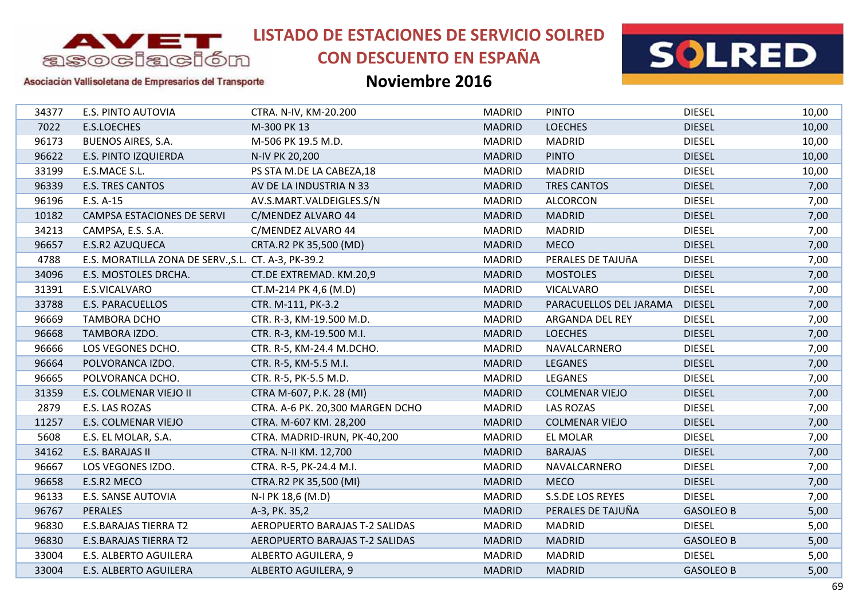

# **CON DESCUENTO EN ESPAÑA**



### Asociación Vallisoletana de Empresarios del Transporte

| 34377 | E.S. PINTO AUTOVIA                                  | CTRA. N-IV, KM-20.200            | <b>MADRID</b> | <b>PINTO</b>           | <b>DIESEL</b>    | 10,00 |
|-------|-----------------------------------------------------|----------------------------------|---------------|------------------------|------------------|-------|
| 7022  | E.S.LOECHES                                         | M-300 PK 13                      | <b>MADRID</b> | <b>LOECHES</b>         | <b>DIESEL</b>    | 10,00 |
| 96173 | <b>BUENOS AIRES, S.A.</b>                           | M-506 PK 19.5 M.D.               | <b>MADRID</b> | <b>MADRID</b>          | <b>DIESEL</b>    | 10,00 |
| 96622 | E.S. PINTO IZQUIERDA                                | N-IV PK 20,200                   | <b>MADRID</b> | <b>PINTO</b>           | <b>DIESEL</b>    | 10,00 |
| 33199 | E.S.MACE S.L.                                       | PS STA M.DE LA CABEZA, 18        | <b>MADRID</b> | <b>MADRID</b>          | <b>DIESEL</b>    | 10,00 |
| 96339 | <b>E.S. TRES CANTOS</b>                             | AV DE LA INDUSTRIA N 33          | <b>MADRID</b> | <b>TRES CANTOS</b>     | <b>DIESEL</b>    | 7,00  |
| 96196 | E.S. A-15                                           | AV.S.MART.VALDEIGLES.S/N         | <b>MADRID</b> | <b>ALCORCON</b>        | <b>DIESEL</b>    | 7,00  |
| 10182 | <b>CAMPSA ESTACIONES DE SERVI</b>                   | C/MENDEZ ALVARO 44               | <b>MADRID</b> | <b>MADRID</b>          | <b>DIESEL</b>    | 7,00  |
| 34213 | CAMPSA, E.S. S.A.                                   | C/MENDEZ ALVARO 44               | <b>MADRID</b> | <b>MADRID</b>          | <b>DIESEL</b>    | 7,00  |
| 96657 | <b>E.S.R2 AZUQUECA</b>                              | CRTA.R2 PK 35,500 (MD)           | <b>MADRID</b> | <b>MECO</b>            | <b>DIESEL</b>    | 7,00  |
| 4788  | E.S. MORATILLA ZONA DE SERV., S.L. CT. A-3, PK-39.2 |                                  | <b>MADRID</b> | PERALES DE TAJUñA      | <b>DIESEL</b>    | 7,00  |
| 34096 | E.S. MOSTOLES DRCHA.                                | CT.DE EXTREMAD. KM.20,9          | <b>MADRID</b> | <b>MOSTOLES</b>        | <b>DIESEL</b>    | 7,00  |
| 31391 | E.S.VICALVARO                                       | CT.M-214 PK 4,6 (M.D)            | <b>MADRID</b> | <b>VICALVARO</b>       | <b>DIESEL</b>    | 7,00  |
| 33788 | E.S. PARACUELLOS                                    | CTR. M-111, PK-3.2               | <b>MADRID</b> | PARACUELLOS DEL JARAMA | <b>DIESEL</b>    | 7,00  |
| 96669 | <b>TAMBORA DCHO</b>                                 | CTR. R-3, KM-19.500 M.D.         | <b>MADRID</b> | ARGANDA DEL REY        | <b>DIESEL</b>    | 7,00  |
| 96668 | TAMBORA IZDO.                                       | CTR. R-3, KM-19.500 M.I.         | <b>MADRID</b> | <b>LOECHES</b>         | <b>DIESEL</b>    | 7,00  |
| 96666 | LOS VEGONES DCHO.                                   | CTR. R-5, KM-24.4 M.DCHO.        | <b>MADRID</b> | NAVALCARNERO           | <b>DIESEL</b>    | 7,00  |
| 96664 | POLVORANCA IZDO.                                    | CTR. R-5, KM-5.5 M.I.            | <b>MADRID</b> | <b>LEGANES</b>         | <b>DIESEL</b>    | 7,00  |
| 96665 | POLVORANCA DCHO.                                    | CTR. R-5, PK-5.5 M.D.            | <b>MADRID</b> | LEGANES                | <b>DIESEL</b>    | 7,00  |
| 31359 | E.S. COLMENAR VIEJO II                              | CTRA M-607, P.K. 28 (MI)         | <b>MADRID</b> | <b>COLMENAR VIEJO</b>  | <b>DIESEL</b>    | 7,00  |
| 2879  | E.S. LAS ROZAS                                      | CTRA. A-6 PK. 20,300 MARGEN DCHO | <b>MADRID</b> | <b>LAS ROZAS</b>       | <b>DIESEL</b>    | 7,00  |
| 11257 | E.S. COLMENAR VIEJO                                 | CTRA. M-607 KM. 28,200           | <b>MADRID</b> | <b>COLMENAR VIEJO</b>  | <b>DIESEL</b>    | 7,00  |
| 5608  | E.S. EL MOLAR, S.A.                                 | CTRA. MADRID-IRUN, PK-40,200     | <b>MADRID</b> | <b>EL MOLAR</b>        | <b>DIESEL</b>    | 7,00  |
| 34162 | E.S. BARAJAS II                                     | CTRA. N-II KM. 12,700            | <b>MADRID</b> | <b>BARAJAS</b>         | <b>DIESEL</b>    | 7,00  |
| 96667 | LOS VEGONES IZDO.                                   | CTRA. R-5, PK-24.4 M.I.          | <b>MADRID</b> | NAVALCARNERO           | <b>DIESEL</b>    | 7,00  |
| 96658 | E.S.R2 MECO                                         | CTRA.R2 PK 35,500 (MI)           | <b>MADRID</b> | <b>MECO</b>            | <b>DIESEL</b>    | 7,00  |
| 96133 | <b>E.S. SANSE AUTOVIA</b>                           | N-I PK 18,6 (M.D)                | <b>MADRID</b> | S.S.DE LOS REYES       | <b>DIESEL</b>    | 7,00  |
| 96767 | <b>PERALES</b>                                      | A-3, PK. 35,2                    | <b>MADRID</b> | PERALES DE TAJUÑA      | <b>GASOLEO B</b> | 5,00  |
| 96830 | <b>E.S.BARAJAS TIERRA T2</b>                        | AEROPUERTO BARAJAS T-2 SALIDAS   | <b>MADRID</b> | <b>MADRID</b>          | <b>DIESEL</b>    | 5,00  |
| 96830 | <b>E.S.BARAJAS TIERRA T2</b>                        | AEROPUERTO BARAJAS T-2 SALIDAS   | <b>MADRID</b> | <b>MADRID</b>          | <b>GASOLEO B</b> | 5,00  |
| 33004 | E.S. ALBERTO AGUILERA                               | ALBERTO AGUILERA, 9              | <b>MADRID</b> | <b>MADRID</b>          | <b>DIESEL</b>    | 5,00  |
| 33004 | E.S. ALBERTO AGUILERA                               | <b>ALBERTO AGUILERA, 9</b>       | <b>MADRID</b> | <b>MADRID</b>          | <b>GASOLEO B</b> | 5,00  |
|       |                                                     |                                  |               |                        |                  |       |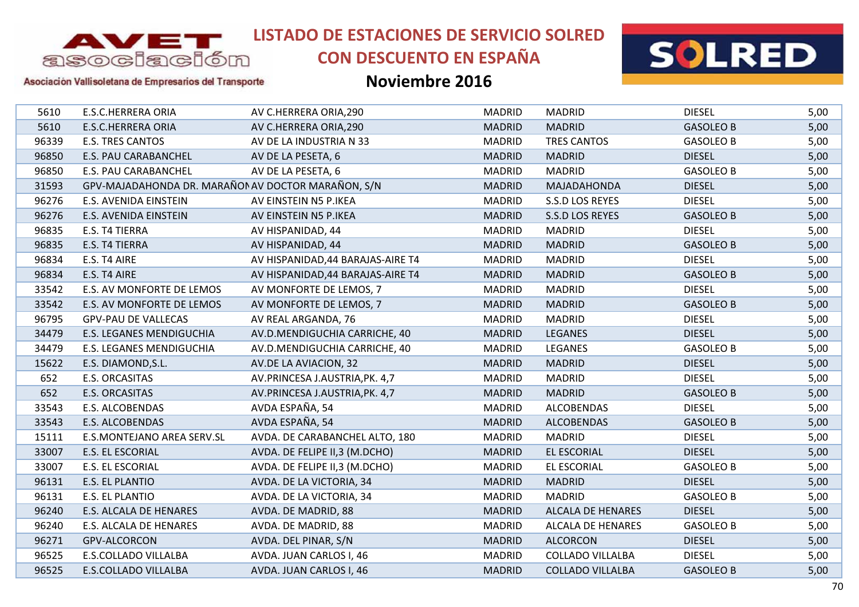

# **CON DESCUENTO EN ESPAÑA**

### **Noviembre 2016**



Asociación Vallisoletana de Empresarios del Transporte

| 5610  | <b>E.S.C.HERRERA ORIA</b>                          | AV C.HERRERA ORIA, 290            | <b>MADRID</b> | <b>MADRID</b>            | <b>DIESEL</b>    | 5,00 |
|-------|----------------------------------------------------|-----------------------------------|---------------|--------------------------|------------------|------|
| 5610  | <b>E.S.C.HERRERA ORIA</b>                          | AV C.HERRERA ORIA, 290            | <b>MADRID</b> | <b>MADRID</b>            | <b>GASOLEO B</b> | 5,00 |
| 96339 | <b>E.S. TRES CANTOS</b>                            | AV DE LA INDUSTRIA N 33           | <b>MADRID</b> | <b>TRES CANTOS</b>       | <b>GASOLEO B</b> | 5,00 |
| 96850 | E.S. PAU CARABANCHEL                               | AV DE LA PESETA, 6                | <b>MADRID</b> | <b>MADRID</b>            | <b>DIESEL</b>    | 5,00 |
| 96850 | <b>E.S. PAU CARABANCHEL</b>                        | AV DE LA PESETA, 6                | <b>MADRID</b> | <b>MADRID</b>            | <b>GASOLEO B</b> | 5,00 |
| 31593 | GPV-MAJADAHONDA DR. MARAÑON AV DOCTOR MARAÑON, S/N |                                   | <b>MADRID</b> | MAJADAHONDA              | <b>DIESEL</b>    | 5,00 |
| 96276 | E.S. AVENIDA EINSTEIN                              | AV EINSTEIN N5 P.IKEA             | <b>MADRID</b> | S.S.D LOS REYES          | <b>DIESEL</b>    | 5,00 |
| 96276 | E.S. AVENIDA EINSTEIN                              | AV EINSTEIN N5 P.IKEA             | <b>MADRID</b> | S.S.D LOS REYES          | <b>GASOLEO B</b> | 5,00 |
| 96835 | E.S. T4 TIERRA                                     | AV HISPANIDAD, 44                 | <b>MADRID</b> | <b>MADRID</b>            | <b>DIESEL</b>    | 5,00 |
| 96835 | E.S. T4 TIERRA                                     | AV HISPANIDAD, 44                 | <b>MADRID</b> | <b>MADRID</b>            | <b>GASOLEO B</b> | 5,00 |
| 96834 | E.S. T4 AIRE                                       | AV HISPANIDAD, 44 BARAJAS-AIRE T4 | <b>MADRID</b> | <b>MADRID</b>            | <b>DIESEL</b>    | 5,00 |
| 96834 | E.S. T4 AIRE                                       | AV HISPANIDAD, 44 BARAJAS-AIRE T4 | <b>MADRID</b> | <b>MADRID</b>            | <b>GASOLEO B</b> | 5,00 |
| 33542 | E.S. AV MONFORTE DE LEMOS                          | AV MONFORTE DE LEMOS, 7           | <b>MADRID</b> | <b>MADRID</b>            | <b>DIESEL</b>    | 5,00 |
| 33542 | E.S. AV MONFORTE DE LEMOS                          | AV MONFORTE DE LEMOS, 7           | <b>MADRID</b> | <b>MADRID</b>            | <b>GASOLEO B</b> | 5,00 |
| 96795 | <b>GPV-PAU DE VALLECAS</b>                         | AV REAL ARGANDA, 76               | <b>MADRID</b> | <b>MADRID</b>            | <b>DIESEL</b>    | 5,00 |
| 34479 | E.S. LEGANES MENDIGUCHIA                           | AV.D.MENDIGUCHIA CARRICHE, 40     | <b>MADRID</b> | <b>LEGANES</b>           | <b>DIESEL</b>    | 5,00 |
| 34479 | E.S. LEGANES MENDIGUCHIA                           | AV.D.MENDIGUCHIA CARRICHE, 40     | <b>MADRID</b> | <b>LEGANES</b>           | <b>GASOLEO B</b> | 5,00 |
| 15622 | E.S. DIAMOND, S.L.                                 | AV.DE LA AVIACION, 32             | <b>MADRID</b> | <b>MADRID</b>            | <b>DIESEL</b>    | 5,00 |
| 652   | E.S. ORCASITAS                                     | AV.PRINCESA J.AUSTRIA, PK. 4,7    | <b>MADRID</b> | <b>MADRID</b>            | <b>DIESEL</b>    | 5,00 |
| 652   | <b>E.S. ORCASITAS</b>                              | AV.PRINCESA J.AUSTRIA, PK. 4,7    | <b>MADRID</b> | <b>MADRID</b>            | <b>GASOLEO B</b> | 5,00 |
| 33543 | E.S. ALCOBENDAS                                    | AVDA ESPAÑA, 54                   | <b>MADRID</b> | <b>ALCOBENDAS</b>        | <b>DIESEL</b>    | 5,00 |
| 33543 | E.S. ALCOBENDAS                                    | AVDA ESPAÑA, 54                   | <b>MADRID</b> | <b>ALCOBENDAS</b>        | <b>GASOLEO B</b> | 5,00 |
| 15111 | E.S.MONTEJANO AREA SERV.SL                         | AVDA. DE CARABANCHEL ALTO, 180    | <b>MADRID</b> | <b>MADRID</b>            | <b>DIESEL</b>    | 5,00 |
| 33007 | E.S. EL ESCORIAL                                   | AVDA. DE FELIPE II,3 (M.DCHO)     | <b>MADRID</b> | <b>EL ESCORIAL</b>       | <b>DIESEL</b>    | 5,00 |
| 33007 | E.S. EL ESCORIAL                                   | AVDA. DE FELIPE II,3 (M.DCHO)     | <b>MADRID</b> | <b>EL ESCORIAL</b>       | <b>GASOLEO B</b> | 5,00 |
| 96131 | E.S. EL PLANTIO                                    | AVDA. DE LA VICTORIA, 34          | <b>MADRID</b> | <b>MADRID</b>            | <b>DIESEL</b>    | 5,00 |
| 96131 | E.S. EL PLANTIO                                    | AVDA. DE LA VICTORIA, 34          | <b>MADRID</b> | <b>MADRID</b>            | <b>GASOLEO B</b> | 5,00 |
| 96240 | E.S. ALCALA DE HENARES                             | AVDA. DE MADRID, 88               | <b>MADRID</b> | <b>ALCALA DE HENARES</b> | <b>DIESEL</b>    | 5,00 |
| 96240 | E.S. ALCALA DE HENARES                             | AVDA. DE MADRID, 88               | <b>MADRID</b> | <b>ALCALA DE HENARES</b> | <b>GASOLEO B</b> | 5,00 |
| 96271 | <b>GPV-ALCORCON</b>                                | AVDA. DEL PINAR, S/N              | <b>MADRID</b> | <b>ALCORCON</b>          | <b>DIESEL</b>    | 5,00 |
| 96525 | <b>E.S.COLLADO VILLALBA</b>                        | AVDA. JUAN CARLOS I, 46           | <b>MADRID</b> | <b>COLLADO VILLALBA</b>  | <b>DIESEL</b>    | 5,00 |
| 96525 | <b>E.S.COLLADO VILLALBA</b>                        | AVDA. JUAN CARLOS I, 46           | <b>MADRID</b> | <b>COLLADO VILLALBA</b>  | <b>GASOLEO B</b> | 5,00 |
|       |                                                    |                                   |               |                          |                  |      |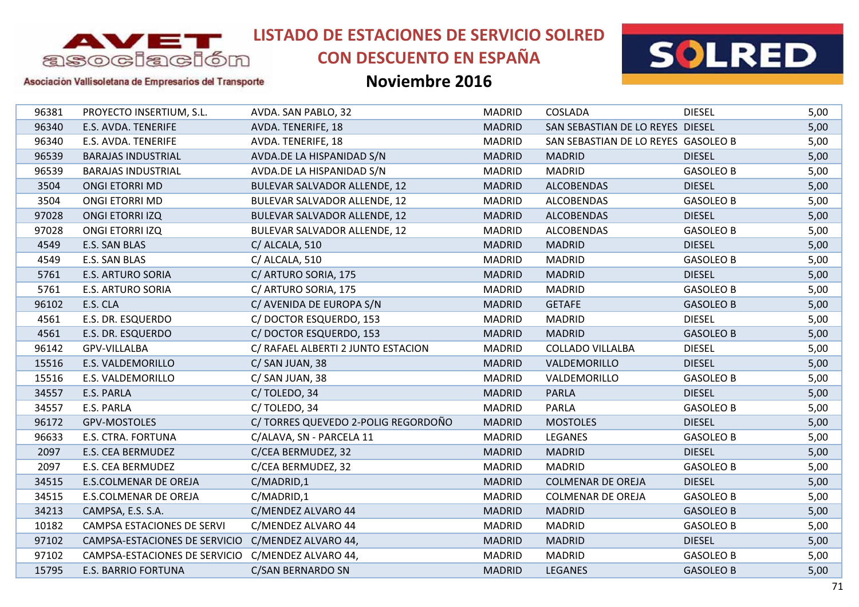

# **CON DESCUENTO EN ESPAÑA**



### Asociación Vallisoletana de Empresarios del Transporte

| 96381 | PROYECTO INSERTIUM, S.L.      | AVDA. SAN PABLO, 32                 | <b>MADRID</b> | COSLADA                             | <b>DIESEL</b>    | 5,00 |
|-------|-------------------------------|-------------------------------------|---------------|-------------------------------------|------------------|------|
| 96340 | E.S. AVDA. TENERIFE           | AVDA. TENERIFE, 18                  | <b>MADRID</b> | SAN SEBASTIAN DE LO REYES DIESEL    |                  | 5,00 |
| 96340 | E.S. AVDA. TENERIFE           | AVDA. TENERIFE, 18                  | <b>MADRID</b> | SAN SEBASTIAN DE LO REYES GASOLEO B |                  | 5,00 |
| 96539 | <b>BARAJAS INDUSTRIAL</b>     | AVDA.DE LA HISPANIDAD S/N           | <b>MADRID</b> | <b>MADRID</b>                       | <b>DIESEL</b>    | 5,00 |
| 96539 | <b>BARAJAS INDUSTRIAL</b>     | AVDA.DE LA HISPANIDAD S/N           | <b>MADRID</b> | <b>MADRID</b>                       | <b>GASOLEO B</b> | 5,00 |
| 3504  | <b>ONGI ETORRI MD</b>         | BULEVAR SALVADOR ALLENDE, 12        | <b>MADRID</b> | <b>ALCOBENDAS</b>                   | <b>DIESEL</b>    | 5,00 |
| 3504  | ONGI ETORRI MD                | BULEVAR SALVADOR ALLENDE, 12        | <b>MADRID</b> | <b>ALCOBENDAS</b>                   | <b>GASOLEO B</b> | 5,00 |
| 97028 | <b>ONGI ETORRI IZQ</b>        | <b>BULEVAR SALVADOR ALLENDE, 12</b> | <b>MADRID</b> | <b>ALCOBENDAS</b>                   | <b>DIESEL</b>    | 5,00 |
| 97028 | <b>ONGI ETORRI IZQ</b>        | BULEVAR SALVADOR ALLENDE, 12        | <b>MADRID</b> | <b>ALCOBENDAS</b>                   | <b>GASOLEO B</b> | 5,00 |
| 4549  | E.S. SAN BLAS                 | C/ ALCALA, 510                      | <b>MADRID</b> | <b>MADRID</b>                       | <b>DIESEL</b>    | 5,00 |
| 4549  | E.S. SAN BLAS                 | C/ ALCALA, 510                      | <b>MADRID</b> | <b>MADRID</b>                       | <b>GASOLEO B</b> | 5,00 |
| 5761  | <b>E.S. ARTURO SORIA</b>      | C/ ARTURO SORIA, 175                | <b>MADRID</b> | <b>MADRID</b>                       | <b>DIESEL</b>    | 5,00 |
| 5761  | <b>E.S. ARTURO SORIA</b>      | C/ ARTURO SORIA, 175                | <b>MADRID</b> | <b>MADRID</b>                       | <b>GASOLEO B</b> | 5,00 |
| 96102 | E.S. CLA                      | C/ AVENIDA DE EUROPA S/N            | <b>MADRID</b> | <b>GETAFE</b>                       | <b>GASOLEO B</b> | 5,00 |
| 4561  | E.S. DR. ESQUERDO             | C/DOCTOR ESQUERDO, 153              | <b>MADRID</b> | <b>MADRID</b>                       | <b>DIESEL</b>    | 5,00 |
| 4561  | E.S. DR. ESQUERDO             | C/DOCTOR ESQUERDO, 153              | <b>MADRID</b> | <b>MADRID</b>                       | <b>GASOLEO B</b> | 5,00 |
| 96142 | GPV-VILLALBA                  | C/ RAFAEL ALBERTI 2 JUNTO ESTACION  | <b>MADRID</b> | <b>COLLADO VILLALBA</b>             | <b>DIESEL</b>    | 5,00 |
| 15516 | E.S. VALDEMORILLO             | C/SAN JUAN, 38                      | <b>MADRID</b> | VALDEMORILLO                        | <b>DIESEL</b>    | 5,00 |
| 15516 | E.S. VALDEMORILLO             | C/SAN JUAN, 38                      | <b>MADRID</b> | VALDEMORILLO                        | <b>GASOLEO B</b> | 5,00 |
| 34557 | E.S. PARLA                    | C/TOLEDO, 34                        | <b>MADRID</b> | <b>PARLA</b>                        | <b>DIESEL</b>    | 5,00 |
| 34557 | E.S. PARLA                    | C/TOLEDO, 34                        | <b>MADRID</b> | <b>PARLA</b>                        | <b>GASOLEO B</b> | 5,00 |
| 96172 | GPV-MOSTOLES                  | C/ TORRES QUEVEDO 2-POLIG REGORDOÑO | <b>MADRID</b> | <b>MOSTOLES</b>                     | <b>DIESEL</b>    | 5,00 |
| 96633 | E.S. CTRA. FORTUNA            | C/ALAVA, SN - PARCELA 11            | <b>MADRID</b> | LEGANES                             | <b>GASOLEO B</b> | 5,00 |
| 2097  | E.S. CEA BERMUDEZ             | C/CEA BERMUDEZ, 32                  | <b>MADRID</b> | <b>MADRID</b>                       | <b>DIESEL</b>    | 5,00 |
| 2097  | E.S. CEA BERMUDEZ             | C/CEA BERMUDEZ, 32                  | <b>MADRID</b> | <b>MADRID</b>                       | <b>GASOLEO B</b> | 5,00 |
| 34515 | E.S.COLMENAR DE OREJA         | C/MADRID,1                          | <b>MADRID</b> | <b>COLMENAR DE OREJA</b>            | <b>DIESEL</b>    | 5,00 |
| 34515 | <b>E.S.COLMENAR DE OREJA</b>  | C/MADRID,1                          | <b>MADRID</b> | <b>COLMENAR DE OREJA</b>            | <b>GASOLEO B</b> | 5,00 |
| 34213 | CAMPSA, E.S. S.A.             | C/MENDEZ ALVARO 44                  | <b>MADRID</b> | <b>MADRID</b>                       | <b>GASOLEO B</b> | 5,00 |
| 10182 | CAMPSA ESTACIONES DE SERVI    | C/MENDEZ ALVARO 44                  | <b>MADRID</b> | <b>MADRID</b>                       | <b>GASOLEO B</b> | 5,00 |
| 97102 | CAMPSA-ESTACIONES DE SERVICIO | C/MENDEZ ALVARO 44,                 | <b>MADRID</b> | <b>MADRID</b>                       | <b>DIESEL</b>    | 5,00 |
| 97102 | CAMPSA-ESTACIONES DE SERVICIO | C/MENDEZ ALVARO 44,                 | <b>MADRID</b> | <b>MADRID</b>                       | <b>GASOLEO B</b> | 5,00 |
| 15795 | <b>E.S. BARRIO FORTUNA</b>    | C/SAN BERNARDO SN                   | <b>MADRID</b> | <b>LEGANES</b>                      | <b>GASOLEO B</b> | 5,00 |
|       |                               |                                     |               |                                     |                  |      |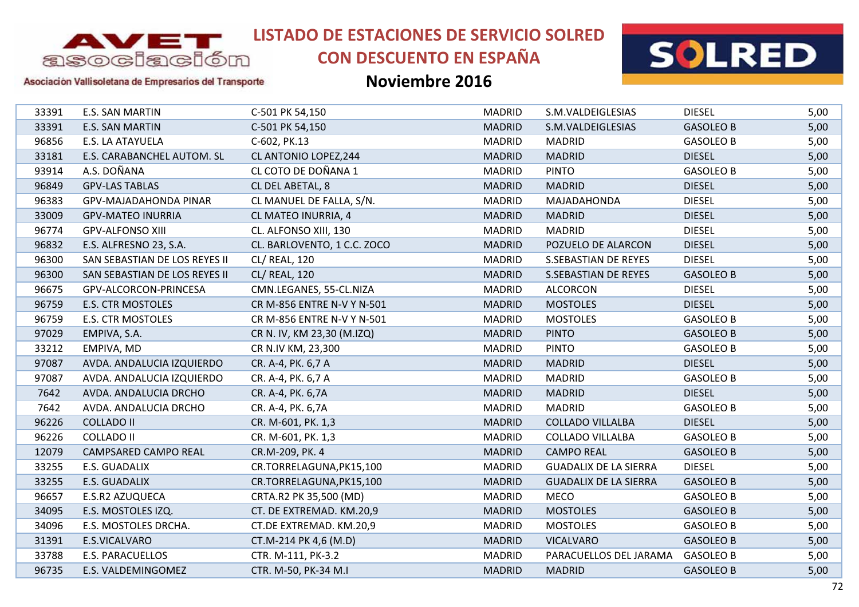

# **CON DESCUENTO EN ESPAÑA**



### Asociación Vallisoletana de Empresarios del Transporte

| E.S. SAN MARTIN               | C-501 PK 54,150             | <b>MADRID</b> | S.M.VALDEIGLESIAS            | <b>DIESEL</b>    | 5,00 |
|-------------------------------|-----------------------------|---------------|------------------------------|------------------|------|
| <b>E.S. SAN MARTIN</b>        | C-501 PK 54,150             | <b>MADRID</b> | S.M.VALDEIGLESIAS            | <b>GASOLEO B</b> | 5,00 |
| E.S. LA ATAYUELA              | C-602, PK.13                | <b>MADRID</b> | <b>MADRID</b>                | <b>GASOLEO B</b> | 5,00 |
| E.S. CARABANCHEL AUTOM. SL    | CL ANTONIO LOPEZ, 244       | <b>MADRID</b> | <b>MADRID</b>                | <b>DIESEL</b>    | 5,00 |
| A.S. DOÑANA                   | CL COTO DE DOÑANA 1         | <b>MADRID</b> | <b>PINTO</b>                 | <b>GASOLEO B</b> | 5,00 |
| <b>GPV-LAS TABLAS</b>         | CL DEL ABETAL, 8            | <b>MADRID</b> | <b>MADRID</b>                | <b>DIESEL</b>    | 5,00 |
| GPV-MAJADAHONDA PINAR         | CL MANUEL DE FALLA, S/N.    | <b>MADRID</b> | MAJADAHONDA                  | <b>DIESEL</b>    | 5,00 |
| <b>GPV-MATEO INURRIA</b>      | CL MATEO INURRIA, 4         | <b>MADRID</b> | <b>MADRID</b>                | <b>DIESEL</b>    | 5,00 |
| <b>GPV-ALFONSO XIII</b>       | CL. ALFONSO XIII, 130       | <b>MADRID</b> | <b>MADRID</b>                | <b>DIESEL</b>    | 5,00 |
| E.S. ALFRESNO 23, S.A.        | CL. BARLOVENTO, 1 C.C. ZOCO | <b>MADRID</b> | POZUELO DE ALARCON           | <b>DIESEL</b>    | 5,00 |
| SAN SEBASTIAN DE LOS REYES II | CL/ REAL, 120               | <b>MADRID</b> | <b>S.SEBASTIAN DE REYES</b>  | <b>DIESEL</b>    | 5,00 |
| SAN SEBASTIAN DE LOS REYES II | CL/ REAL, 120               | <b>MADRID</b> | <b>S.SEBASTIAN DE REYES</b>  | <b>GASOLEO B</b> | 5,00 |
| GPV-ALCORCON-PRINCESA         | CMN.LEGANES, 55-CL.NIZA     | <b>MADRID</b> | <b>ALCORCON</b>              | <b>DIESEL</b>    | 5,00 |
| <b>E.S. CTR MOSTOLES</b>      | CR M-856 ENTRE N-V Y N-501  | <b>MADRID</b> | <b>MOSTOLES</b>              | <b>DIESEL</b>    | 5,00 |
| <b>E.S. CTR MOSTOLES</b>      | CR M-856 ENTRE N-V Y N-501  | <b>MADRID</b> | <b>MOSTOLES</b>              | <b>GASOLEO B</b> | 5,00 |
| EMPIVA, S.A.                  | CR N. IV, KM 23,30 (M.IZQ)  | <b>MADRID</b> | <b>PINTO</b>                 | <b>GASOLEO B</b> | 5,00 |
| EMPIVA, MD                    | CR N.IV KM, 23,300          | <b>MADRID</b> | <b>PINTO</b>                 | <b>GASOLEO B</b> | 5,00 |
| AVDA. ANDALUCIA IZQUIERDO     | CR. A-4, PK. 6,7 A          | <b>MADRID</b> | <b>MADRID</b>                | <b>DIESEL</b>    | 5,00 |
| AVDA. ANDALUCIA IZQUIERDO     | CR. A-4, PK. 6,7 A          | <b>MADRID</b> | <b>MADRID</b>                | <b>GASOLEO B</b> | 5,00 |
| AVDA. ANDALUCIA DRCHO         | CR. A-4, PK. 6,7A           | <b>MADRID</b> | <b>MADRID</b>                | <b>DIESEL</b>    | 5,00 |
| AVDA. ANDALUCIA DRCHO         | CR. A-4, PK. 6,7A           | <b>MADRID</b> | <b>MADRID</b>                | <b>GASOLEO B</b> | 5,00 |
| <b>COLLADO II</b>             | CR. M-601, PK. 1,3          | <b>MADRID</b> | <b>COLLADO VILLALBA</b>      | <b>DIESEL</b>    | 5,00 |
| <b>COLLADO II</b>             | CR. M-601, PK. 1,3          | <b>MADRID</b> | <b>COLLADO VILLALBA</b>      | <b>GASOLEO B</b> | 5,00 |
| <b>CAMPSARED CAMPO REAL</b>   | CR.M-209, PK. 4             | <b>MADRID</b> | <b>CAMPO REAL</b>            | <b>GASOLEO B</b> | 5,00 |
| E.S. GUADALIX                 | CR.TORRELAGUNA, PK15,100    | <b>MADRID</b> | <b>GUADALIX DE LA SIERRA</b> | <b>DIESEL</b>    | 5,00 |
| E.S. GUADALIX                 | CR.TORRELAGUNA, PK15, 100   | <b>MADRID</b> | <b>GUADALIX DE LA SIERRA</b> | <b>GASOLEO B</b> | 5,00 |
| E.S.R2 AZUQUECA               | CRTA.R2 PK 35,500 (MD)      | <b>MADRID</b> | <b>MECO</b>                  | <b>GASOLEO B</b> | 5,00 |
| E.S. MOSTOLES IZQ.            | CT. DE EXTREMAD. KM.20,9    | <b>MADRID</b> | <b>MOSTOLES</b>              | <b>GASOLEO B</b> | 5,00 |
| E.S. MOSTOLES DRCHA.          | CT.DE EXTREMAD. KM.20,9     | <b>MADRID</b> | <b>MOSTOLES</b>              | <b>GASOLEO B</b> | 5,00 |
| E.S.VICALVARO                 | CT.M-214 PK 4,6 (M.D)       | <b>MADRID</b> | <b>VICALVARO</b>             | <b>GASOLEO B</b> | 5,00 |
| E.S. PARACUELLOS              | CTR. M-111, PK-3.2          | <b>MADRID</b> | PARACUELLOS DEL JARAMA       | <b>GASOLEO B</b> | 5,00 |
| E.S. VALDEMINGOMEZ            | CTR. M-50, PK-34 M.I        | <b>MADRID</b> | <b>MADRID</b>                | <b>GASOLEO B</b> | 5,00 |
|                               |                             |               |                              |                  |      |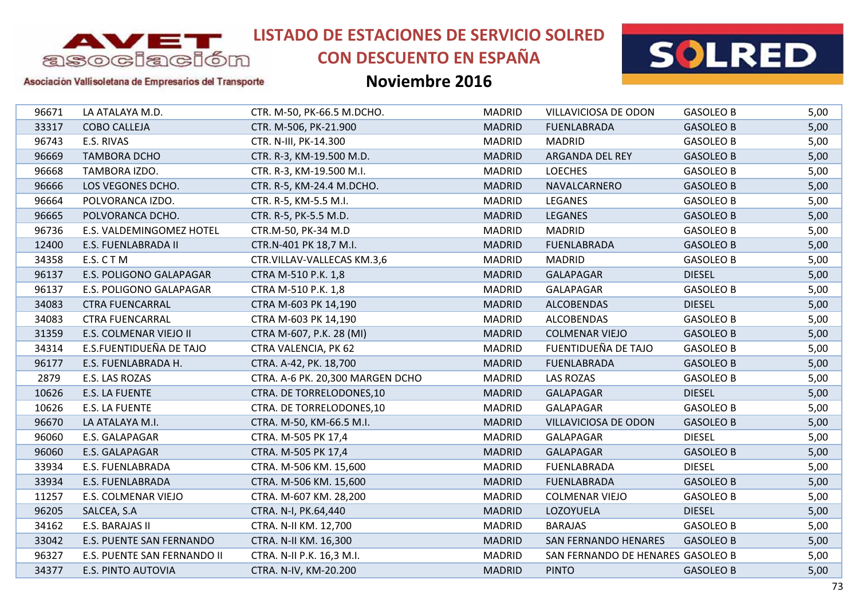

# **CON DESCUENTO EN ESPAÑA**



### Asociación Vallisoletana de Empresarios del Transporte

| 96671<br>33317<br>96743<br>96669<br>96668<br>96666<br>96664<br>96665<br>96736<br>12400 | LA ATALAYA M.D.<br><b>COBO CALLEJA</b><br>E.S. RIVAS<br><b>TAMBORA DCHO</b><br>TAMBORA IZDO.<br>LOS VEGONES DCHO.<br>POLVORANCA IZDO.<br>POLVORANCA DCHO.<br>E.S. VALDEMINGOMEZ HOTEL<br>E.S. FUENLABRADA II<br>E.S. CTM<br>E.S. POLIGONO GALAPAGAR | CTR. M-50, PK-66.5 M.DCHO.<br>CTR. M-506, PK-21.900<br>CTR. N-III, PK-14.300<br>CTR. R-3, KM-19.500 M.D.<br>CTR. R-3, KM-19.500 M.I.<br>CTR. R-5, KM-24.4 M.DCHO.<br>CTR. R-5, KM-5.5 M.I.<br>CTR. R-5, PK-5.5 M.D.<br>CTR.M-50, PK-34 M.D<br>CTR.N-401 PK 18,7 M.I.<br>CTR.VILLAV-VALLECAS KM.3,6 | <b>MADRID</b><br><b>MADRID</b><br><b>MADRID</b><br><b>MADRID</b><br><b>MADRID</b><br><b>MADRID</b><br><b>MADRID</b><br><b>MADRID</b><br><b>MADRID</b><br><b>MADRID</b> | VILLAVICIOSA DE ODON<br><b>FUENLABRADA</b><br><b>MADRID</b><br>ARGANDA DEL REY<br><b>LOECHES</b><br>NAVALCARNERO<br>LEGANES<br><b>LEGANES</b><br><b>MADRID</b><br><b>FUENLABRADA</b> | <b>GASOLEO B</b><br><b>GASOLEO B</b><br><b>GASOLEO B</b><br><b>GASOLEO B</b><br><b>GASOLEO B</b><br><b>GASOLEO B</b><br><b>GASOLEO B</b><br><b>GASOLEO B</b><br><b>GASOLEO B</b> | 5,00<br>5,00<br>5,00<br>5,00<br>5,00<br>5,00<br>5,00<br>5,00<br>5,00 |
|----------------------------------------------------------------------------------------|-----------------------------------------------------------------------------------------------------------------------------------------------------------------------------------------------------------------------------------------------------|----------------------------------------------------------------------------------------------------------------------------------------------------------------------------------------------------------------------------------------------------------------------------------------------------|------------------------------------------------------------------------------------------------------------------------------------------------------------------------|--------------------------------------------------------------------------------------------------------------------------------------------------------------------------------------|----------------------------------------------------------------------------------------------------------------------------------------------------------------------------------|----------------------------------------------------------------------|
|                                                                                        |                                                                                                                                                                                                                                                     |                                                                                                                                                                                                                                                                                                    |                                                                                                                                                                        |                                                                                                                                                                                      |                                                                                                                                                                                  |                                                                      |
|                                                                                        |                                                                                                                                                                                                                                                     |                                                                                                                                                                                                                                                                                                    |                                                                                                                                                                        |                                                                                                                                                                                      |                                                                                                                                                                                  |                                                                      |
|                                                                                        |                                                                                                                                                                                                                                                     |                                                                                                                                                                                                                                                                                                    |                                                                                                                                                                        |                                                                                                                                                                                      |                                                                                                                                                                                  |                                                                      |
|                                                                                        |                                                                                                                                                                                                                                                     |                                                                                                                                                                                                                                                                                                    |                                                                                                                                                                        |                                                                                                                                                                                      |                                                                                                                                                                                  |                                                                      |
|                                                                                        |                                                                                                                                                                                                                                                     |                                                                                                                                                                                                                                                                                                    |                                                                                                                                                                        |                                                                                                                                                                                      |                                                                                                                                                                                  |                                                                      |
|                                                                                        |                                                                                                                                                                                                                                                     |                                                                                                                                                                                                                                                                                                    |                                                                                                                                                                        |                                                                                                                                                                                      |                                                                                                                                                                                  |                                                                      |
|                                                                                        |                                                                                                                                                                                                                                                     |                                                                                                                                                                                                                                                                                                    |                                                                                                                                                                        |                                                                                                                                                                                      |                                                                                                                                                                                  |                                                                      |
|                                                                                        |                                                                                                                                                                                                                                                     |                                                                                                                                                                                                                                                                                                    |                                                                                                                                                                        |                                                                                                                                                                                      |                                                                                                                                                                                  |                                                                      |
|                                                                                        |                                                                                                                                                                                                                                                     |                                                                                                                                                                                                                                                                                                    |                                                                                                                                                                        |                                                                                                                                                                                      |                                                                                                                                                                                  |                                                                      |
|                                                                                        |                                                                                                                                                                                                                                                     |                                                                                                                                                                                                                                                                                                    |                                                                                                                                                                        |                                                                                                                                                                                      | <b>GASOLEO B</b>                                                                                                                                                                 | 5,00                                                                 |
| 34358                                                                                  |                                                                                                                                                                                                                                                     |                                                                                                                                                                                                                                                                                                    | <b>MADRID</b>                                                                                                                                                          | <b>MADRID</b>                                                                                                                                                                        | <b>GASOLEO B</b>                                                                                                                                                                 | 5,00                                                                 |
| 96137                                                                                  |                                                                                                                                                                                                                                                     | CTRA M-510 P.K. 1,8                                                                                                                                                                                                                                                                                | <b>MADRID</b>                                                                                                                                                          | <b>GALAPAGAR</b>                                                                                                                                                                     | <b>DIESEL</b>                                                                                                                                                                    | 5,00                                                                 |
| 96137                                                                                  | E.S. POLIGONO GALAPAGAR                                                                                                                                                                                                                             | CTRA M-510 P.K. 1,8                                                                                                                                                                                                                                                                                | <b>MADRID</b>                                                                                                                                                          | GALAPAGAR                                                                                                                                                                            | <b>GASOLEO B</b>                                                                                                                                                                 | 5,00                                                                 |
| 34083                                                                                  | <b>CTRA FUENCARRAL</b>                                                                                                                                                                                                                              | CTRA M-603 PK 14,190                                                                                                                                                                                                                                                                               | <b>MADRID</b>                                                                                                                                                          | <b>ALCOBENDAS</b>                                                                                                                                                                    | <b>DIESEL</b>                                                                                                                                                                    | 5,00                                                                 |
| 34083                                                                                  | <b>CTRA FUENCARRAL</b>                                                                                                                                                                                                                              | CTRA M-603 PK 14,190                                                                                                                                                                                                                                                                               | <b>MADRID</b>                                                                                                                                                          | <b>ALCOBENDAS</b>                                                                                                                                                                    | <b>GASOLEO B</b>                                                                                                                                                                 | 5,00                                                                 |
| 31359                                                                                  | E.S. COLMENAR VIEJO II                                                                                                                                                                                                                              | CTRA M-607, P.K. 28 (MI)                                                                                                                                                                                                                                                                           | <b>MADRID</b>                                                                                                                                                          | <b>COLMENAR VIEJO</b>                                                                                                                                                                | <b>GASOLEO B</b>                                                                                                                                                                 | 5,00                                                                 |
| 34314                                                                                  | E.S.FUENTIDUEÑA DE TAJO                                                                                                                                                                                                                             | <b>CTRA VALENCIA, PK 62</b>                                                                                                                                                                                                                                                                        | <b>MADRID</b>                                                                                                                                                          | FUENTIDUEÑA DE TAJO                                                                                                                                                                  | <b>GASOLEO B</b>                                                                                                                                                                 | 5,00                                                                 |
| 96177                                                                                  | E.S. FUENLABRADA H.                                                                                                                                                                                                                                 | CTRA. A-42, PK. 18,700                                                                                                                                                                                                                                                                             | <b>MADRID</b>                                                                                                                                                          | <b>FUENLABRADA</b>                                                                                                                                                                   | <b>GASOLEO B</b>                                                                                                                                                                 | 5,00                                                                 |
| 2879                                                                                   | E.S. LAS ROZAS                                                                                                                                                                                                                                      | CTRA. A-6 PK. 20,300 MARGEN DCHO                                                                                                                                                                                                                                                                   | <b>MADRID</b>                                                                                                                                                          | <b>LAS ROZAS</b>                                                                                                                                                                     | <b>GASOLEO B</b>                                                                                                                                                                 | 5,00                                                                 |
| 10626                                                                                  | E.S. LA FUENTE                                                                                                                                                                                                                                      | CTRA. DE TORRELODONES, 10                                                                                                                                                                                                                                                                          | <b>MADRID</b>                                                                                                                                                          | <b>GALAPAGAR</b>                                                                                                                                                                     | <b>DIESEL</b>                                                                                                                                                                    | 5,00                                                                 |
| 10626                                                                                  | E.S. LA FUENTE                                                                                                                                                                                                                                      | CTRA. DE TORRELODONES,10                                                                                                                                                                                                                                                                           | <b>MADRID</b>                                                                                                                                                          | <b>GALAPAGAR</b>                                                                                                                                                                     | <b>GASOLEO B</b>                                                                                                                                                                 | 5,00                                                                 |
| 96670                                                                                  | LA ATALAYA M.I.                                                                                                                                                                                                                                     | CTRA. M-50, KM-66.5 M.I.                                                                                                                                                                                                                                                                           | <b>MADRID</b>                                                                                                                                                          | <b>VILLAVICIOSA DE ODON</b>                                                                                                                                                          | <b>GASOLEO B</b>                                                                                                                                                                 | 5,00                                                                 |
| 96060                                                                                  | E.S. GALAPAGAR                                                                                                                                                                                                                                      | CTRA. M-505 PK 17,4                                                                                                                                                                                                                                                                                | <b>MADRID</b>                                                                                                                                                          | <b>GALAPAGAR</b>                                                                                                                                                                     | <b>DIESEL</b>                                                                                                                                                                    | 5,00                                                                 |
| 96060                                                                                  | E.S. GALAPAGAR                                                                                                                                                                                                                                      | CTRA. M-505 PK 17,4                                                                                                                                                                                                                                                                                | <b>MADRID</b>                                                                                                                                                          | <b>GALAPAGAR</b>                                                                                                                                                                     | <b>GASOLEO B</b>                                                                                                                                                                 | 5,00                                                                 |
| 33934                                                                                  | E.S. FUENLABRADA                                                                                                                                                                                                                                    | CTRA. M-506 KM. 15,600                                                                                                                                                                                                                                                                             | <b>MADRID</b>                                                                                                                                                          | <b>FUENLABRADA</b>                                                                                                                                                                   | <b>DIESEL</b>                                                                                                                                                                    | 5,00                                                                 |
| 33934                                                                                  | E.S. FUENLABRADA                                                                                                                                                                                                                                    | CTRA. M-506 KM. 15,600                                                                                                                                                                                                                                                                             | <b>MADRID</b>                                                                                                                                                          | <b>FUENLABRADA</b>                                                                                                                                                                   | <b>GASOLEO B</b>                                                                                                                                                                 | 5,00                                                                 |
| 11257                                                                                  | E.S. COLMENAR VIEJO                                                                                                                                                                                                                                 | CTRA. M-607 KM. 28,200                                                                                                                                                                                                                                                                             | <b>MADRID</b>                                                                                                                                                          | <b>COLMENAR VIEJO</b>                                                                                                                                                                | <b>GASOLEO B</b>                                                                                                                                                                 | 5,00                                                                 |
| 96205                                                                                  | SALCEA, S.A                                                                                                                                                                                                                                         | CTRA. N-I, PK.64,440                                                                                                                                                                                                                                                                               | <b>MADRID</b>                                                                                                                                                          | LOZOYUELA                                                                                                                                                                            | <b>DIESEL</b>                                                                                                                                                                    | 5,00                                                                 |
| 34162                                                                                  | E.S. BARAJAS II                                                                                                                                                                                                                                     | CTRA. N-II KM. 12,700                                                                                                                                                                                                                                                                              | <b>MADRID</b>                                                                                                                                                          | <b>BARAJAS</b>                                                                                                                                                                       | <b>GASOLEO B</b>                                                                                                                                                                 | 5,00                                                                 |
| 33042                                                                                  | E.S. PUENTE SAN FERNANDO                                                                                                                                                                                                                            | CTRA. N-II KM. 16,300                                                                                                                                                                                                                                                                              | <b>MADRID</b>                                                                                                                                                          | <b>SAN FERNANDO HENARES</b>                                                                                                                                                          | <b>GASOLEO B</b>                                                                                                                                                                 | 5,00                                                                 |
| 96327                                                                                  | E.S. PUENTE SAN FERNANDO II                                                                                                                                                                                                                         | CTRA. N-II P.K. 16,3 M.I.                                                                                                                                                                                                                                                                          | <b>MADRID</b>                                                                                                                                                          | SAN FERNANDO DE HENARES GASOLEO B                                                                                                                                                    |                                                                                                                                                                                  | 5,00                                                                 |
| 34377                                                                                  | <b>E.S. PINTO AUTOVIA</b>                                                                                                                                                                                                                           | CTRA. N-IV, KM-20.200                                                                                                                                                                                                                                                                              | <b>MADRID</b>                                                                                                                                                          | <b>PINTO</b>                                                                                                                                                                         | <b>GASOLEO B</b>                                                                                                                                                                 | 5,00                                                                 |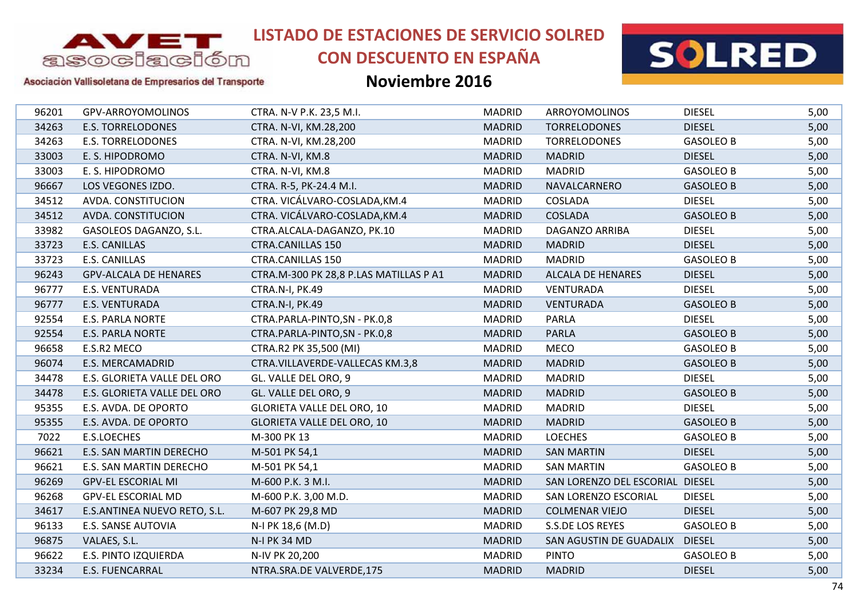

# **CON DESCUENTO EN ESPAÑA**



#### Asociación Vallisoletana de Empresarios del Transporte

| 96201 | GPV-ARROYOMOLINOS            | CTRA. N-V P.K. 23,5 M.I.               | <b>MADRID</b> | <b>ARROYOMOLINOS</b>            | <b>DIESEL</b>    | 5,00 |
|-------|------------------------------|----------------------------------------|---------------|---------------------------------|------------------|------|
| 34263 | <b>E.S. TORRELODONES</b>     | CTRA. N-VI, KM.28,200                  | <b>MADRID</b> | <b>TORRELODONES</b>             | <b>DIESEL</b>    | 5,00 |
| 34263 | <b>E.S. TORRELODONES</b>     | CTRA. N-VI, KM.28,200                  | <b>MADRID</b> | <b>TORRELODONES</b>             | <b>GASOLEO B</b> | 5,00 |
| 33003 | E. S. HIPODROMO              | CTRA. N-VI, KM.8                       | <b>MADRID</b> | <b>MADRID</b>                   | <b>DIESEL</b>    | 5,00 |
| 33003 | E. S. HIPODROMO              | CTRA. N-VI, KM.8                       | <b>MADRID</b> | <b>MADRID</b>                   | <b>GASOLEO B</b> | 5,00 |
| 96667 | LOS VEGONES IZDO.            | CTRA. R-5, PK-24.4 M.I.                | <b>MADRID</b> | NAVALCARNERO                    | <b>GASOLEO B</b> | 5,00 |
| 34512 | AVDA. CONSTITUCION           | CTRA. VICÁLVARO-COSLADA, KM.4          | <b>MADRID</b> | COSLADA                         | <b>DIESEL</b>    | 5,00 |
| 34512 | AVDA. CONSTITUCION           | CTRA. VICÁLVARO-COSLADA, KM.4          | <b>MADRID</b> | <b>COSLADA</b>                  | <b>GASOLEO B</b> | 5,00 |
| 33982 | GASOLEOS DAGANZO, S.L.       | CTRA.ALCALA-DAGANZO, PK.10             | <b>MADRID</b> | DAGANZO ARRIBA                  | <b>DIESEL</b>    | 5,00 |
| 33723 | <b>E.S. CANILLAS</b>         | <b>CTRA.CANILLAS 150</b>               | <b>MADRID</b> | <b>MADRID</b>                   | <b>DIESEL</b>    | 5,00 |
| 33723 | <b>E.S. CANILLAS</b>         | <b>CTRA.CANILLAS 150</b>               | <b>MADRID</b> | <b>MADRID</b>                   | <b>GASOLEO B</b> | 5,00 |
| 96243 | <b>GPV-ALCALA DE HENARES</b> | CTRA.M-300 PK 28,8 P.LAS MATILLAS P A1 | <b>MADRID</b> | <b>ALCALA DE HENARES</b>        | <b>DIESEL</b>    | 5,00 |
| 96777 | E.S. VENTURADA               | CTRA.N-I, PK.49                        | <b>MADRID</b> | <b>VENTURADA</b>                | <b>DIESEL</b>    | 5,00 |
| 96777 | E.S. VENTURADA               | CTRA.N-I, PK.49                        | <b>MADRID</b> | <b>VENTURADA</b>                | <b>GASOLEO B</b> | 5,00 |
| 92554 | <b>E.S. PARLA NORTE</b>      | CTRA.PARLA-PINTO,SN - PK.0,8           | <b>MADRID</b> | <b>PARLA</b>                    | <b>DIESEL</b>    | 5,00 |
| 92554 | <b>E.S. PARLA NORTE</b>      | CTRA.PARLA-PINTO,SN - PK.0,8           | <b>MADRID</b> | <b>PARLA</b>                    | <b>GASOLEO B</b> | 5,00 |
| 96658 | E.S.R2 MECO                  | CTRA.R2 PK 35,500 (MI)                 | <b>MADRID</b> | <b>MECO</b>                     | <b>GASOLEO B</b> | 5,00 |
| 96074 | E.S. MERCAMADRID             | CTRA.VILLAVERDE-VALLECAS KM.3,8        | <b>MADRID</b> | <b>MADRID</b>                   | <b>GASOLEO B</b> | 5,00 |
| 34478 | E.S. GLORIETA VALLE DEL ORO  | GL. VALLE DEL ORO, 9                   | <b>MADRID</b> | <b>MADRID</b>                   | <b>DIESEL</b>    | 5,00 |
| 34478 | E.S. GLORIETA VALLE DEL ORO  | GL. VALLE DEL ORO, 9                   | <b>MADRID</b> | <b>MADRID</b>                   | <b>GASOLEO B</b> | 5,00 |
| 95355 | E.S. AVDA. DE OPORTO         | <b>GLORIETA VALLE DEL ORO, 10</b>      | <b>MADRID</b> | <b>MADRID</b>                   | <b>DIESEL</b>    | 5,00 |
| 95355 | E.S. AVDA. DE OPORTO         | <b>GLORIETA VALLE DEL ORO, 10</b>      | <b>MADRID</b> | <b>MADRID</b>                   | <b>GASOLEO B</b> | 5,00 |
| 7022  | <b>E.S.LOECHES</b>           | M-300 PK 13                            | <b>MADRID</b> | <b>LOECHES</b>                  | <b>GASOLEO B</b> | 5,00 |
| 96621 | E.S. SAN MARTIN DERECHO      | M-501 PK 54,1                          | <b>MADRID</b> | <b>SAN MARTIN</b>               | <b>DIESEL</b>    | 5,00 |
| 96621 | E.S. SAN MARTIN DERECHO      | M-501 PK 54,1                          | <b>MADRID</b> | <b>SAN MARTIN</b>               | <b>GASOLEO B</b> | 5,00 |
| 96269 | <b>GPV-EL ESCORIAL MI</b>    | M-600 P.K. 3 M.I.                      | <b>MADRID</b> | SAN LORENZO DEL ESCORIAL DIESEL |                  | 5,00 |
| 96268 | <b>GPV-EL ESCORIAL MD</b>    | M-600 P.K. 3,00 M.D.                   | <b>MADRID</b> | SAN LORENZO ESCORIAL            | <b>DIESEL</b>    | 5,00 |
| 34617 | E.S.ANTINEA NUEVO RETO, S.L. | M-607 PK 29,8 MD                       | <b>MADRID</b> | <b>COLMENAR VIEJO</b>           | <b>DIESEL</b>    | 5,00 |
| 96133 | E.S. SANSE AUTOVIA           | N-I PK 18,6 (M.D)                      | <b>MADRID</b> | S.S.DE LOS REYES                | <b>GASOLEO B</b> | 5,00 |
| 96875 | VALAES, S.L.                 | <b>N-I PK 34 MD</b>                    | <b>MADRID</b> | SAN AGUSTIN DE GUADALIX         | <b>DIESEL</b>    | 5,00 |
| 96622 | E.S. PINTO IZQUIERDA         | N-IV PK 20,200                         | <b>MADRID</b> | <b>PINTO</b>                    | <b>GASOLEO B</b> | 5,00 |
| 33234 | <b>E.S. FUENCARRAL</b>       | NTRA.SRA.DE VALVERDE,175               | <b>MADRID</b> | <b>MADRID</b>                   | <b>DIESEL</b>    | 5,00 |
|       |                              |                                        |               |                                 |                  |      |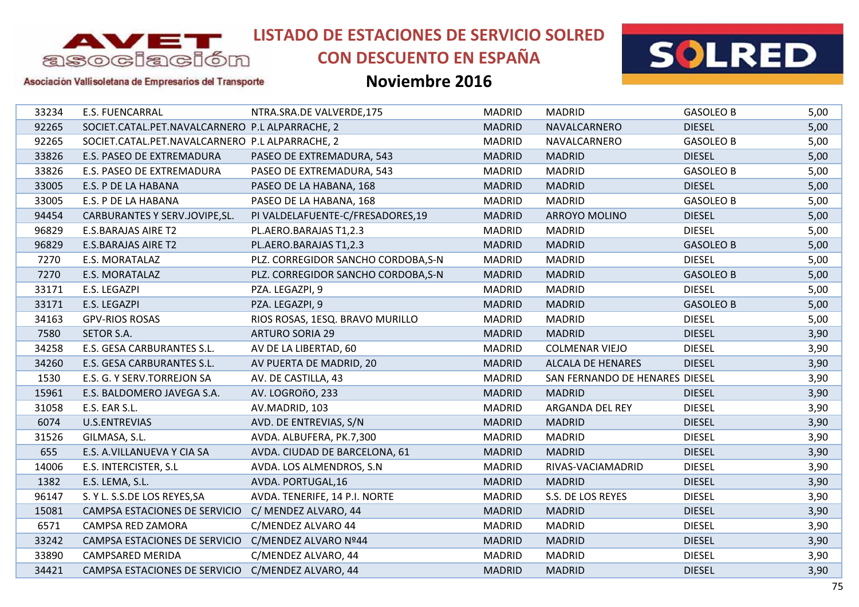

## **CON DESCUENTO EN ESPAÑA**



Asociación Vallisoletana de Empresarios del Transporte

| 33234 | <b>E.S. FUENCARRAL</b>                          | NTRA.SRA.DE VALVERDE,175            | <b>MADRID</b> | <b>MADRID</b>                  | <b>GASOLEO B</b> | 5,00 |
|-------|-------------------------------------------------|-------------------------------------|---------------|--------------------------------|------------------|------|
| 92265 | SOCIET.CATAL.PET.NAVALCARNERO P.L ALPARRACHE, 2 |                                     | <b>MADRID</b> | NAVALCARNERO                   | <b>DIESEL</b>    | 5,00 |
| 92265 | SOCIET.CATAL.PET.NAVALCARNERO P.L ALPARRACHE, 2 |                                     | <b>MADRID</b> | NAVALCARNERO                   | <b>GASOLEO B</b> | 5,00 |
| 33826 | E.S. PASEO DE EXTREMADURA                       | PASEO DE EXTREMADURA, 543           | <b>MADRID</b> | <b>MADRID</b>                  | <b>DIESEL</b>    | 5,00 |
| 33826 | E.S. PASEO DE EXTREMADURA                       | PASEO DE EXTREMADURA, 543           | <b>MADRID</b> | <b>MADRID</b>                  | <b>GASOLEO B</b> | 5,00 |
| 33005 | E.S. P DE LA HABANA                             | PASEO DE LA HABANA, 168             | <b>MADRID</b> | <b>MADRID</b>                  | <b>DIESEL</b>    | 5,00 |
| 33005 | E.S. P DE LA HABANA                             | PASEO DE LA HABANA, 168             | <b>MADRID</b> | <b>MADRID</b>                  | <b>GASOLEO B</b> | 5,00 |
| 94454 | CARBURANTES Y SERV.JOVIPE, SL.                  | PI VALDELAFUENTE-C/FRESADORES,19    | <b>MADRID</b> | <b>ARROYO MOLINO</b>           | <b>DIESEL</b>    | 5,00 |
| 96829 | <b>E.S.BARAJAS AIRE T2</b>                      | PL.AERO.BARAJAS T1,2.3              | <b>MADRID</b> | <b>MADRID</b>                  | <b>DIESEL</b>    | 5,00 |
| 96829 | <b>E.S.BARAJAS AIRE T2</b>                      | PL.AERO.BARAJAS T1,2.3              | <b>MADRID</b> | <b>MADRID</b>                  | <b>GASOLEO B</b> | 5,00 |
| 7270  | E.S. MORATALAZ                                  | PLZ. CORREGIDOR SANCHO CORDOBA, S-N | <b>MADRID</b> | <b>MADRID</b>                  | <b>DIESEL</b>    | 5,00 |
| 7270  | E.S. MORATALAZ                                  | PLZ. CORREGIDOR SANCHO CORDOBA, S-N | <b>MADRID</b> | <b>MADRID</b>                  | <b>GASOLEO B</b> | 5,00 |
| 33171 | E.S. LEGAZPI                                    | PZA. LEGAZPI, 9                     | <b>MADRID</b> | <b>MADRID</b>                  | <b>DIESEL</b>    | 5,00 |
| 33171 | E.S. LEGAZPI                                    | PZA. LEGAZPI, 9                     | <b>MADRID</b> | <b>MADRID</b>                  | <b>GASOLEO B</b> | 5,00 |
| 34163 | <b>GPV-RIOS ROSAS</b>                           | RIOS ROSAS, 1ESQ. BRAVO MURILLO     | <b>MADRID</b> | <b>MADRID</b>                  | <b>DIESEL</b>    | 5,00 |
| 7580  | SETOR S.A.                                      | <b>ARTURO SORIA 29</b>              | <b>MADRID</b> | <b>MADRID</b>                  | <b>DIESEL</b>    | 3,90 |
| 34258 | E.S. GESA CARBURANTES S.L.                      | AV DE LA LIBERTAD, 60               | <b>MADRID</b> | <b>COLMENAR VIEJO</b>          | <b>DIESEL</b>    | 3,90 |
| 34260 | E.S. GESA CARBURANTES S.L.                      | AV PUERTA DE MADRID, 20             | <b>MADRID</b> | <b>ALCALA DE HENARES</b>       | <b>DIESEL</b>    | 3,90 |
| 1530  | E.S. G. Y SERV.TORREJON SA                      | AV. DE CASTILLA, 43                 | <b>MADRID</b> | SAN FERNANDO DE HENARES DIESEL |                  | 3,90 |
| 15961 | E.S. BALDOMERO JAVEGA S.A.                      | AV. LOGROñO, 233                    | <b>MADRID</b> | <b>MADRID</b>                  | <b>DIESEL</b>    | 3,90 |
| 31058 | E.S. EAR S.L.                                   | AV.MADRID, 103                      | <b>MADRID</b> | ARGANDA DEL REY                | <b>DIESEL</b>    | 3,90 |
| 6074  | <b>U.S.ENTREVIAS</b>                            | AVD. DE ENTREVIAS, S/N              | <b>MADRID</b> | <b>MADRID</b>                  | <b>DIESEL</b>    | 3,90 |
| 31526 | GILMASA, S.L.                                   | AVDA. ALBUFERA, PK.7,300            | <b>MADRID</b> | <b>MADRID</b>                  | <b>DIESEL</b>    | 3,90 |
| 655   | E.S. A.VILLANUEVA Y CIA SA                      | AVDA. CIUDAD DE BARCELONA, 61       | <b>MADRID</b> | <b>MADRID</b>                  | <b>DIESEL</b>    | 3,90 |
| 14006 | E.S. INTERCISTER, S.L                           | AVDA. LOS ALMENDROS, S.N.           | <b>MADRID</b> | RIVAS-VACIAMADRID              | <b>DIESEL</b>    | 3,90 |
| 1382  | E.S. LEMA, S.L.                                 | AVDA. PORTUGAL, 16                  | <b>MADRID</b> | <b>MADRID</b>                  | <b>DIESEL</b>    | 3,90 |
| 96147 | S. Y L. S.S.DE LOS REYES, SA                    | AVDA. TENERIFE, 14 P.I. NORTE       | <b>MADRID</b> | S.S. DE LOS REYES              | <b>DIESEL</b>    | 3,90 |
| 15081 | CAMPSA ESTACIONES DE SERVICIO                   | C/ MENDEZ ALVARO, 44                | <b>MADRID</b> | <b>MADRID</b>                  | <b>DIESEL</b>    | 3,90 |
| 6571  | CAMPSA RED ZAMORA                               | C/MENDEZ ALVARO 44                  | <b>MADRID</b> | <b>MADRID</b>                  | <b>DIESEL</b>    | 3,90 |
| 33242 | CAMPSA ESTACIONES DE SERVICIO                   | C/MENDEZ ALVARO Nº44                | <b>MADRID</b> | <b>MADRID</b>                  | <b>DIESEL</b>    | 3,90 |
| 33890 | CAMPSARED MERIDA                                | C/MENDEZ ALVARO, 44                 | <b>MADRID</b> | <b>MADRID</b>                  | <b>DIESEL</b>    | 3,90 |
| 34421 | CAMPSA ESTACIONES DE SERVICIO                   | C/MENDEZ ALVARO, 44                 | <b>MADRID</b> | <b>MADRID</b>                  | <b>DIESEL</b>    | 3,90 |
|       |                                                 |                                     |               |                                |                  |      |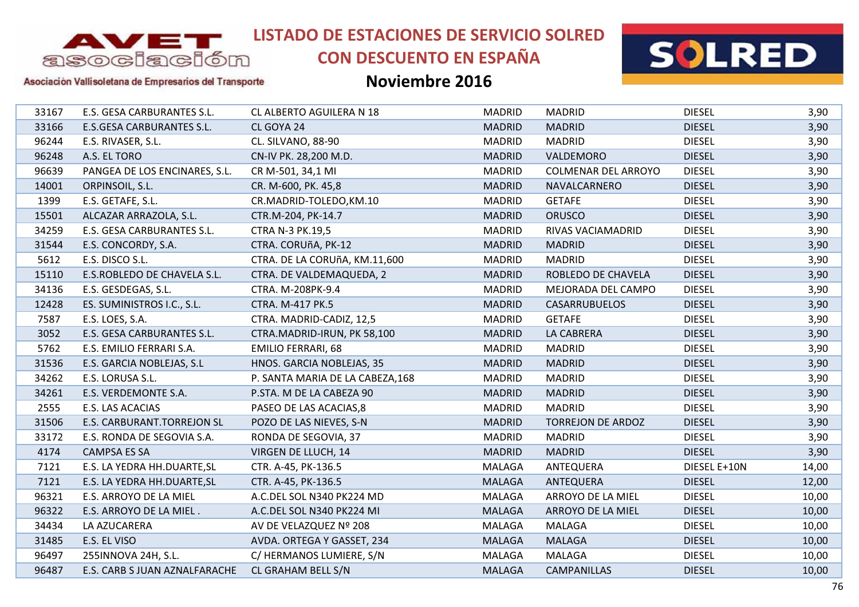

# **CON DESCUENTO EN ESPAÑA**



#### Asociación Vallisoletana de Empresarios del Transporte

| 33167 | E.S. GESA CARBURANTES S.L.       | <b>CL ALBERTO AGUILERA N 18</b>  | <b>MADRID</b> | <b>MADRID</b>            | <b>DIESEL</b> | 3,90  |
|-------|----------------------------------|----------------------------------|---------------|--------------------------|---------------|-------|
| 33166 | <b>E.S.GESA CARBURANTES S.L.</b> | CL GOYA 24                       | <b>MADRID</b> | <b>MADRID</b>            | <b>DIESEL</b> | 3,90  |
| 96244 | E.S. RIVASER, S.L.               | CL. SILVANO, 88-90               | <b>MADRID</b> | <b>MADRID</b>            | <b>DIESEL</b> | 3,90  |
| 96248 | A.S. EL TORO                     | CN-IV PK. 28,200 M.D.            | <b>MADRID</b> | VALDEMORO                | <b>DIESEL</b> | 3,90  |
| 96639 | PANGEA DE LOS ENCINARES, S.L.    | CR M-501, 34,1 MI                | <b>MADRID</b> | COLMENAR DEL ARROYO      | <b>DIESEL</b> | 3,90  |
| 14001 | ORPINSOIL, S.L.                  | CR. M-600, PK. 45,8              | <b>MADRID</b> | NAVALCARNERO             | <b>DIESEL</b> | 3,90  |
| 1399  | E.S. GETAFE, S.L.                | CR.MADRID-TOLEDO, KM.10          | <b>MADRID</b> | <b>GETAFE</b>            | <b>DIESEL</b> | 3,90  |
| 15501 | ALCAZAR ARRAZOLA, S.L.           | CTR.M-204, PK-14.7               | <b>MADRID</b> | <b>ORUSCO</b>            | <b>DIESEL</b> | 3,90  |
| 34259 | E.S. GESA CARBURANTES S.L.       | CTRA N-3 PK.19,5                 | <b>MADRID</b> | RIVAS VACIAMADRID        | <b>DIESEL</b> | 3,90  |
| 31544 | E.S. CONCORDY, S.A.              | CTRA. CORUñA, PK-12              | <b>MADRID</b> | <b>MADRID</b>            | <b>DIESEL</b> | 3,90  |
| 5612  | E.S. DISCO S.L.                  | CTRA. DE LA CORUñA, KM.11,600    | <b>MADRID</b> | <b>MADRID</b>            | <b>DIESEL</b> | 3,90  |
| 15110 | E.S.ROBLEDO DE CHAVELA S.L.      | CTRA. DE VALDEMAQUEDA, 2         | <b>MADRID</b> | ROBLEDO DE CHAVELA       | <b>DIESEL</b> | 3,90  |
| 34136 | E.S. GESDEGAS, S.L.              | CTRA. M-208PK-9.4                | <b>MADRID</b> | MEJORADA DEL CAMPO       | <b>DIESEL</b> | 3,90  |
| 12428 | ES. SUMINISTROS I.C., S.L.       | CTRA. M-417 PK.5                 | <b>MADRID</b> | <b>CASARRUBUELOS</b>     | <b>DIESEL</b> | 3,90  |
| 7587  | E.S. LOES, S.A.                  | CTRA. MADRID-CADIZ, 12,5         | <b>MADRID</b> | <b>GETAFE</b>            | <b>DIESEL</b> | 3,90  |
| 3052  | E.S. GESA CARBURANTES S.L.       | CTRA.MADRID-IRUN, PK 58,100      | <b>MADRID</b> | LA CABRERA               | <b>DIESEL</b> | 3,90  |
| 5762  | E.S. EMILIO FERRARI S.A.         | <b>EMILIO FERRARI, 68</b>        | <b>MADRID</b> | <b>MADRID</b>            | <b>DIESEL</b> | 3,90  |
| 31536 | E.S. GARCIA NOBLEJAS, S.L        | HNOS. GARCIA NOBLEJAS, 35        | <b>MADRID</b> | <b>MADRID</b>            | <b>DIESEL</b> | 3,90  |
| 34262 | E.S. LORUSA S.L.                 | P. SANTA MARIA DE LA CABEZA, 168 | <b>MADRID</b> | <b>MADRID</b>            | <b>DIESEL</b> | 3,90  |
| 34261 | E.S. VERDEMONTE S.A.             | P.STA. M DE LA CABEZA 90         | <b>MADRID</b> | <b>MADRID</b>            | <b>DIESEL</b> | 3,90  |
| 2555  | E.S. LAS ACACIAS                 | PASEO DE LAS ACACIAS, 8          | <b>MADRID</b> | <b>MADRID</b>            | <b>DIESEL</b> | 3,90  |
| 31506 | E.S. CARBURANT.TORREJON SL       | POZO DE LAS NIEVES, S-N          | <b>MADRID</b> | <b>TORREJON DE ARDOZ</b> | <b>DIESEL</b> | 3,90  |
| 33172 | E.S. RONDA DE SEGOVIA S.A.       | RONDA DE SEGOVIA, 37             | <b>MADRID</b> | <b>MADRID</b>            | <b>DIESEL</b> | 3,90  |
| 4174  | <b>CAMPSA ES SA</b>              | VIRGEN DE LLUCH, 14              | <b>MADRID</b> | <b>MADRID</b>            | <b>DIESEL</b> | 3,90  |
| 7121  | E.S. LA YEDRA HH.DUARTE, SL      | CTR. A-45, PK-136.5              | MALAGA        | ANTEQUERA                | DIESEL E+10N  | 14,00 |
| 7121  | E.S. LA YEDRA HH.DUARTE, SL      | CTR. A-45, PK-136.5              | <b>MALAGA</b> | ANTEQUERA                | <b>DIESEL</b> | 12,00 |
| 96321 | E.S. ARROYO DE LA MIEL           | A.C.DEL SOL N340 PK224 MD        | MALAGA        | ARROYO DE LA MIEL        | <b>DIESEL</b> | 10,00 |
| 96322 | E.S. ARROYO DE LA MIEL.          | A.C.DEL SOL N340 PK224 MI        | <b>MALAGA</b> | ARROYO DE LA MIEL        | <b>DIESEL</b> | 10,00 |
| 34434 | LA AZUCARERA                     | AV DE VELAZQUEZ Nº 208           | MALAGA        | <b>MALAGA</b>            | <b>DIESEL</b> | 10,00 |
| 31485 | E.S. EL VISO                     | AVDA. ORTEGA Y GASSET, 234       | <b>MALAGA</b> | <b>MALAGA</b>            | <b>DIESEL</b> | 10,00 |
| 96497 | 255INNOVA 24H, S.L.              | C/ HERMANOS LUMIERE, S/N         | MALAGA        | MALAGA                   | <b>DIESEL</b> | 10,00 |
| 96487 | E.S. CARB S JUAN AZNALFARACHE    | CL GRAHAM BELL S/N               | <b>MALAGA</b> | <b>CAMPANILLAS</b>       | <b>DIESEL</b> | 10,00 |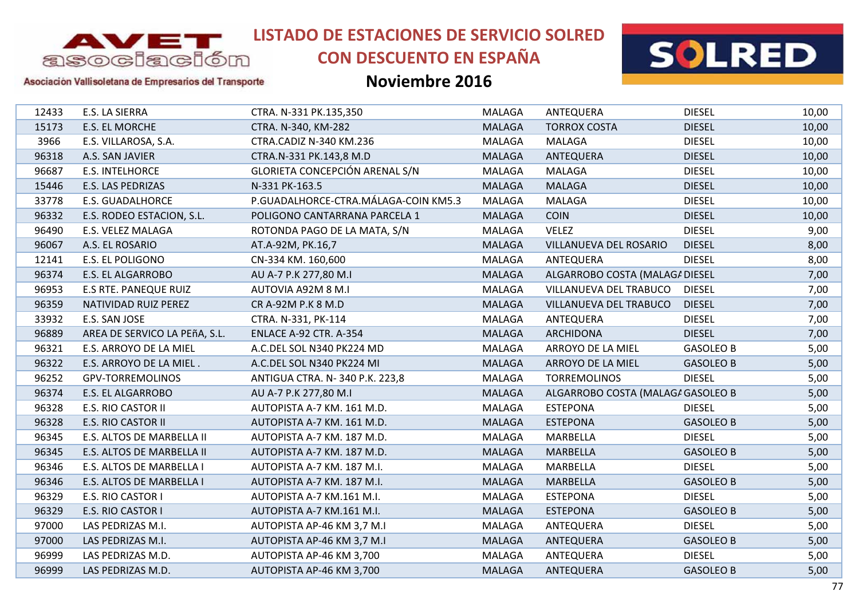

# **CON DESCUENTO EN ESPAÑA**



### Asociación Vallisoletana de Empresarios del Transporte

| 12433 | E.S. LA SIERRA                | CTRA. N-331 PK.135,350               | <b>MALAGA</b> | ANTEQUERA                         | <b>DIESEL</b>    | 10,00 |
|-------|-------------------------------|--------------------------------------|---------------|-----------------------------------|------------------|-------|
| 15173 | E.S. EL MORCHE                | CTRA. N-340, KM-282                  | <b>MALAGA</b> | <b>TORROX COSTA</b>               | <b>DIESEL</b>    | 10,00 |
| 3966  | E.S. VILLAROSA, S.A.          | CTRA.CADIZ N-340 KM.236              | MALAGA        | MALAGA                            | <b>DIESEL</b>    | 10,00 |
| 96318 | A.S. SAN JAVIER               | CTRA.N-331 PK.143,8 M.D              | <b>MALAGA</b> | ANTEQUERA                         | <b>DIESEL</b>    | 10,00 |
| 96687 | <b>E.S. INTELHORCE</b>        | GLORIETA CONCEPCIÓN ARENAL S/N       | <b>MALAGA</b> | <b>MALAGA</b>                     | <b>DIESEL</b>    | 10,00 |
| 15446 | E.S. LAS PEDRIZAS             | N-331 PK-163.5                       | <b>MALAGA</b> | <b>MALAGA</b>                     | <b>DIESEL</b>    | 10,00 |
| 33778 | <b>E.S. GUADALHORCE</b>       | P.GUADALHORCE-CTRA.MÁLAGA-COIN KM5.3 | MALAGA        | <b>MALAGA</b>                     | <b>DIESEL</b>    | 10,00 |
| 96332 | E.S. RODEO ESTACION, S.L.     | POLIGONO CANTARRANA PARCELA 1        | <b>MALAGA</b> | <b>COIN</b>                       | <b>DIESEL</b>    | 10,00 |
| 96490 | E.S. VELEZ MALAGA             | ROTONDA PAGO DE LA MATA, S/N         | <b>MALAGA</b> | <b>VELEZ</b>                      | <b>DIESEL</b>    | 9,00  |
| 96067 | A.S. EL ROSARIO               | AT.A-92M, PK.16,7                    | <b>MALAGA</b> | VILLANUEVA DEL ROSARIO            | <b>DIESEL</b>    | 8,00  |
| 12141 | E.S. EL POLIGONO              | CN-334 KM. 160,600                   | <b>MALAGA</b> | ANTEQUERA                         | <b>DIESEL</b>    | 8,00  |
| 96374 | <b>E.S. EL ALGARROBO</b>      | AU A-7 P.K 277,80 M.I                | <b>MALAGA</b> | ALGARROBO COSTA (MALAGA DIESEL    |                  | 7,00  |
| 96953 | <b>E.S RTE. PANEQUE RUIZ</b>  | AUTOVIA A92M 8 M.I                   | <b>MALAGA</b> | VILLANUEVA DEL TRABUCO            | <b>DIESEL</b>    | 7,00  |
| 96359 | NATIVIDAD RUIZ PEREZ          | CR A-92M P.K 8 M.D                   | <b>MALAGA</b> | VILLANUEVA DEL TRABUCO            | <b>DIESEL</b>    | 7,00  |
| 33932 | E.S. SAN JOSE                 | CTRA. N-331, PK-114                  | MALAGA        | ANTEQUERA                         | <b>DIESEL</b>    | 7,00  |
| 96889 | AREA DE SERVICO LA PEñA, S.L. | ENLACE A-92 CTR. A-354               | <b>MALAGA</b> | <b>ARCHIDONA</b>                  | <b>DIESEL</b>    | 7,00  |
| 96321 | E.S. ARROYO DE LA MIEL        | A.C.DEL SOL N340 PK224 MD            | MALAGA        | ARROYO DE LA MIEL                 | <b>GASOLEO B</b> | 5,00  |
| 96322 | E.S. ARROYO DE LA MIEL.       | A.C.DEL SOL N340 PK224 MI            | <b>MALAGA</b> | ARROYO DE LA MIEL                 | <b>GASOLEO B</b> | 5,00  |
| 96252 | <b>GPV-TORREMOLINOS</b>       | ANTIGUA CTRA. N-340 P.K. 223,8       | MALAGA        | <b>TORREMOLINOS</b>               | <b>DIESEL</b>    | 5,00  |
| 96374 | E.S. EL ALGARROBO             | AU A-7 P.K 277,80 M.I                | <b>MALAGA</b> | ALGARROBO COSTA (MALAGA GASOLEO B |                  | 5,00  |
| 96328 | E.S. RIO CASTOR II            | AUTOPISTA A-7 KM. 161 M.D.           | <b>MALAGA</b> | <b>ESTEPONA</b>                   | <b>DIESEL</b>    | 5,00  |
| 96328 | <b>E.S. RIO CASTOR II</b>     | AUTOPISTA A-7 KM. 161 M.D.           | <b>MALAGA</b> | <b>ESTEPONA</b>                   | <b>GASOLEO B</b> | 5,00  |
| 96345 | E.S. ALTOS DE MARBELLA II     | AUTOPISTA A-7 KM. 187 M.D.           | <b>MALAGA</b> | MARBELLA                          | <b>DIESEL</b>    | 5,00  |
| 96345 | E.S. ALTOS DE MARBELLA II     | AUTOPISTA A-7 KM. 187 M.D.           | <b>MALAGA</b> | <b>MARBELLA</b>                   | <b>GASOLEO B</b> | 5,00  |
| 96346 | E.S. ALTOS DE MARBELLA I      | AUTOPISTA A-7 KM. 187 M.I.           | <b>MALAGA</b> | <b>MARBELLA</b>                   | <b>DIESEL</b>    | 5,00  |
| 96346 | E.S. ALTOS DE MARBELLA I      | AUTOPISTA A-7 KM. 187 M.I.           | <b>MALAGA</b> | <b>MARBELLA</b>                   | <b>GASOLEO B</b> | 5,00  |
| 96329 | E.S. RIO CASTOR I             | AUTOPISTA A-7 KM.161 M.I.            | <b>MALAGA</b> | <b>ESTEPONA</b>                   | <b>DIESEL</b>    | 5,00  |
| 96329 | E.S. RIO CASTOR I             | AUTOPISTA A-7 KM.161 M.I.            | <b>MALAGA</b> | <b>ESTEPONA</b>                   | <b>GASOLEO B</b> | 5,00  |
| 97000 | LAS PEDRIZAS M.I.             | AUTOPISTA AP-46 KM 3,7 M.I           | <b>MALAGA</b> | ANTEQUERA                         | <b>DIESEL</b>    | 5,00  |
| 97000 | LAS PEDRIZAS M.I.             | AUTOPISTA AP-46 KM 3,7 M.I           | <b>MALAGA</b> | ANTEQUERA                         | <b>GASOLEO B</b> | 5,00  |
| 96999 | LAS PEDRIZAS M.D.             | AUTOPISTA AP-46 KM 3,700             | MALAGA        | ANTEQUERA                         | <b>DIESEL</b>    | 5,00  |
| 96999 | LAS PEDRIZAS M.D.             | AUTOPISTA AP-46 KM 3,700             | <b>MALAGA</b> | ANTEQUERA                         | <b>GASOLEO B</b> | 5,00  |
|       |                               |                                      |               |                                   |                  |       |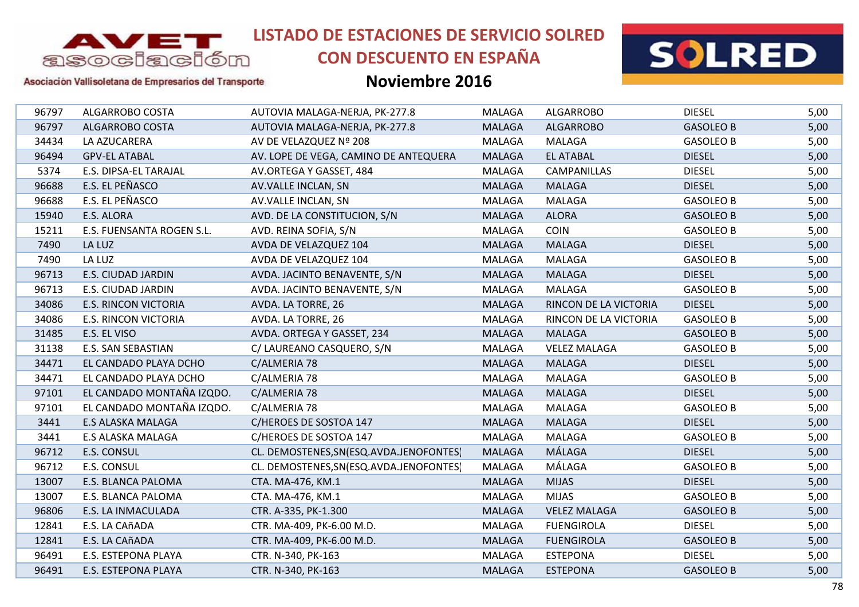

# **CON DESCUENTO EN ESPAÑA**



#### Asociación Vallisoletana de Empresarios del Transporte

| 96797 | ALGARROBO COSTA             | AUTOVIA MALAGA-NERJA, PK-277.8          | MALAGA        | <b>ALGARROBO</b>      | <b>DIESEL</b>    | 5,00 |
|-------|-----------------------------|-----------------------------------------|---------------|-----------------------|------------------|------|
| 96797 | <b>ALGARROBO COSTA</b>      | AUTOVIA MALAGA-NERJA, PK-277.8          | <b>MALAGA</b> | <b>ALGARROBO</b>      | <b>GASOLEO B</b> | 5,00 |
| 34434 | LA AZUCARERA                | AV DE VELAZQUEZ Nº 208                  | MALAGA        | MALAGA                | <b>GASOLEO B</b> | 5,00 |
| 96494 | <b>GPV-EL ATABAL</b>        | AV. LOPE DE VEGA, CAMINO DE ANTEQUERA   | <b>MALAGA</b> | <b>EL ATABAL</b>      | <b>DIESEL</b>    | 5,00 |
| 5374  | E.S. DIPSA-EL TARAJAL       | AV.ORTEGA Y GASSET, 484                 | <b>MALAGA</b> | CAMPANILLAS           | <b>DIESEL</b>    | 5,00 |
| 96688 | E.S. EL PEÑASCO             | AV. VALLE INCLAN, SN                    | <b>MALAGA</b> | <b>MALAGA</b>         | <b>DIESEL</b>    | 5,00 |
| 96688 | E.S. EL PEÑASCO             | AV. VALLE INCLAN, SN                    | MALAGA        | <b>MALAGA</b>         | <b>GASOLEO B</b> | 5,00 |
| 15940 | E.S. ALORA                  | AVD. DE LA CONSTITUCION, S/N            | <b>MALAGA</b> | <b>ALORA</b>          | <b>GASOLEO B</b> | 5,00 |
| 15211 | E.S. FUENSANTA ROGEN S.L.   | AVD. REINA SOFIA, S/N                   | MALAGA        | <b>COIN</b>           | <b>GASOLEO B</b> | 5,00 |
| 7490  | LA LUZ                      | AVDA DE VELAZQUEZ 104                   | <b>MALAGA</b> | <b>MALAGA</b>         | <b>DIESEL</b>    | 5,00 |
| 7490  | LA LUZ                      | AVDA DE VELAZQUEZ 104                   | <b>MALAGA</b> | <b>MALAGA</b>         | <b>GASOLEO B</b> | 5,00 |
| 96713 | <b>E.S. CIUDAD JARDIN</b>   | AVDA. JACINTO BENAVENTE, S/N            | <b>MALAGA</b> | <b>MALAGA</b>         | <b>DIESEL</b>    | 5,00 |
| 96713 | E.S. CIUDAD JARDIN          | AVDA. JACINTO BENAVENTE, S/N            | MALAGA        | <b>MALAGA</b>         | <b>GASOLEO B</b> | 5,00 |
| 34086 | <b>E.S. RINCON VICTORIA</b> | AVDA. LA TORRE, 26                      | <b>MALAGA</b> | RINCON DE LA VICTORIA | <b>DIESEL</b>    | 5,00 |
| 34086 | <b>E.S. RINCON VICTORIA</b> | AVDA. LA TORRE, 26                      | MALAGA        | RINCON DE LA VICTORIA | <b>GASOLEO B</b> | 5,00 |
| 31485 | E.S. EL VISO                | AVDA. ORTEGA Y GASSET, 234              | <b>MALAGA</b> | <b>MALAGA</b>         | <b>GASOLEO B</b> | 5,00 |
| 31138 | E.S. SAN SEBASTIAN          | C/ LAUREANO CASQUERO, S/N               | MALAGA        | <b>VELEZ MALAGA</b>   | <b>GASOLEO B</b> | 5,00 |
| 34471 | EL CANDADO PLAYA DCHO       | C/ALMERIA 78                            | <b>MALAGA</b> | <b>MALAGA</b>         | <b>DIESEL</b>    | 5,00 |
| 34471 | EL CANDADO PLAYA DCHO       | C/ALMERIA 78                            | MALAGA        | <b>MALAGA</b>         | <b>GASOLEO B</b> | 5,00 |
| 97101 | EL CANDADO MONTAÑA IZQDO.   | C/ALMERIA 78                            | <b>MALAGA</b> | <b>MALAGA</b>         | <b>DIESEL</b>    | 5,00 |
| 97101 | EL CANDADO MONTAÑA IZQDO.   | C/ALMERIA 78                            | MALAGA        | <b>MALAGA</b>         | <b>GASOLEO B</b> | 5,00 |
| 3441  | <b>E.S ALASKA MALAGA</b>    | C/HEROES DE SOSTOA 147                  | <b>MALAGA</b> | <b>MALAGA</b>         | <b>DIESEL</b>    | 5,00 |
| 3441  | <b>E.S ALASKA MALAGA</b>    | C/HEROES DE SOSTOA 147                  | MALAGA        | <b>MALAGA</b>         | <b>GASOLEO B</b> | 5,00 |
| 96712 | E.S. CONSUL                 | CL. DEMOSTENES, SN(ESQ.AVDA.JENOFONTES) | <b>MALAGA</b> | MÁLAGA                | <b>DIESEL</b>    | 5,00 |
| 96712 | E.S. CONSUL                 | CL. DEMOSTENES, SN(ESQ.AVDA.JENOFONTES) | MALAGA        | MÁLAGA                | <b>GASOLEO B</b> | 5,00 |
| 13007 | E.S. BLANCA PALOMA          | CTA. MA-476, KM.1                       | <b>MALAGA</b> | <b>MIJAS</b>          | <b>DIESEL</b>    | 5,00 |
| 13007 | E.S. BLANCA PALOMA          | CTA. MA-476, KM.1                       | MALAGA        | <b>MIJAS</b>          | <b>GASOLEO B</b> | 5,00 |
| 96806 | E.S. LA INMACULADA          | CTR. A-335, PK-1.300                    | <b>MALAGA</b> | <b>VELEZ MALAGA</b>   | <b>GASOLEO B</b> | 5,00 |
| 12841 | E.S. LA CAñADA              | CTR. MA-409, PK-6.00 M.D.               | MALAGA        | <b>FUENGIROLA</b>     | <b>DIESEL</b>    | 5,00 |
| 12841 | E.S. LA CAñADA              | CTR. MA-409, PK-6.00 M.D.               | <b>MALAGA</b> | <b>FUENGIROLA</b>     | <b>GASOLEO B</b> | 5,00 |
| 96491 | E.S. ESTEPONA PLAYA         | CTR. N-340, PK-163                      | MALAGA        | <b>ESTEPONA</b>       | <b>DIESEL</b>    | 5,00 |
| 96491 | E.S. ESTEPONA PLAYA         | CTR. N-340, PK-163                      | <b>MALAGA</b> | <b>ESTEPONA</b>       | <b>GASOLEO B</b> | 5,00 |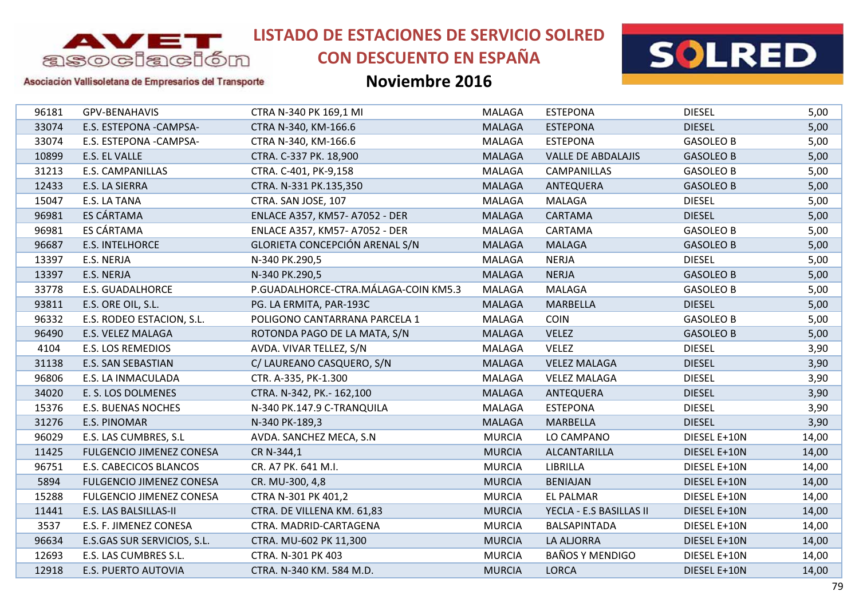

# **CON DESCUENTO EN ESPAÑA**



#### Asociación Vallisoletana de Empresarios del Transporte

| 96181 | GPV-BENAHAVIS                   | CTRA N-340 PK 169,1 MI               | MALAGA        | <b>ESTEPONA</b>           | <b>DIESEL</b>    | 5,00  |
|-------|---------------------------------|--------------------------------------|---------------|---------------------------|------------------|-------|
| 33074 | E.S. ESTEPONA -CAMPSA-          | CTRA N-340, KM-166.6                 | <b>MALAGA</b> | <b>ESTEPONA</b>           | <b>DIESEL</b>    | 5,00  |
| 33074 | E.S. ESTEPONA -CAMPSA-          | CTRA N-340, KM-166.6                 | <b>MALAGA</b> | <b>ESTEPONA</b>           | <b>GASOLEO B</b> | 5,00  |
| 10899 | E.S. EL VALLE                   | CTRA. C-337 PK. 18,900               | <b>MALAGA</b> | <b>VALLE DE ABDALAJIS</b> | <b>GASOLEO B</b> | 5,00  |
| 31213 | <b>E.S. CAMPANILLAS</b>         | CTRA. C-401, PK-9,158                | MALAGA        | CAMPANILLAS               | <b>GASOLEO B</b> | 5,00  |
| 12433 | E.S. LA SIERRA                  | CTRA. N-331 PK.135,350               | <b>MALAGA</b> | ANTEQUERA                 | <b>GASOLEO B</b> | 5,00  |
| 15047 | E.S. LA TANA                    | CTRA. SAN JOSE, 107                  | MALAGA        | <b>MALAGA</b>             | <b>DIESEL</b>    | 5,00  |
| 96981 | ES CÁRTAMA                      | ENLACE A357, KM57- A7052 - DER       | <b>MALAGA</b> | CARTAMA                   | <b>DIESEL</b>    | 5,00  |
| 96981 | ES CÁRTAMA                      | ENLACE A357, KM57-A7052 - DER        | <b>MALAGA</b> | CARTAMA                   | <b>GASOLEO B</b> | 5,00  |
| 96687 | <b>E.S. INTELHORCE</b>          | GLORIETA CONCEPCIÓN ARENAL S/N       | <b>MALAGA</b> | <b>MALAGA</b>             | <b>GASOLEO B</b> | 5,00  |
| 13397 | E.S. NERJA                      | N-340 PK.290,5                       | <b>MALAGA</b> | <b>NERJA</b>              | <b>DIESEL</b>    | 5,00  |
| 13397 | E.S. NERJA                      | N-340 PK.290,5                       | <b>MALAGA</b> | <b>NERJA</b>              | <b>GASOLEO B</b> | 5,00  |
| 33778 | <b>E.S. GUADALHORCE</b>         | P.GUADALHORCE-CTRA.MÁLAGA-COIN KM5.3 | MALAGA        | <b>MALAGA</b>             | <b>GASOLEO B</b> | 5,00  |
| 93811 | E.S. ORE OIL, S.L.              | PG. LA ERMITA, PAR-193C              | <b>MALAGA</b> | <b>MARBELLA</b>           | <b>DIESEL</b>    | 5,00  |
| 96332 | E.S. RODEO ESTACION, S.L.       | POLIGONO CANTARRANA PARCELA 1        | MALAGA        | <b>COIN</b>               | <b>GASOLEO B</b> | 5,00  |
| 96490 | E.S. VELEZ MALAGA               | ROTONDA PAGO DE LA MATA, S/N         | <b>MALAGA</b> | <b>VELEZ</b>              | <b>GASOLEO B</b> | 5,00  |
| 4104  | <b>E.S. LOS REMEDIOS</b>        | AVDA. VIVAR TELLEZ, S/N              | <b>MALAGA</b> | <b>VELEZ</b>              | <b>DIESEL</b>    | 3,90  |
| 31138 | E.S. SAN SEBASTIAN              | C/ LAUREANO CASQUERO, S/N            | <b>MALAGA</b> | <b>VELEZ MALAGA</b>       | <b>DIESEL</b>    | 3,90  |
| 96806 | E.S. LA INMACULADA              | CTR. A-335, PK-1.300                 | MALAGA        | <b>VELEZ MALAGA</b>       | <b>DIESEL</b>    | 3,90  |
| 34020 | E. S. LOS DOLMENES              | CTRA. N-342, PK.- 162,100            | <b>MALAGA</b> | <b>ANTEQUERA</b>          | <b>DIESEL</b>    | 3,90  |
| 15376 | <b>E.S. BUENAS NOCHES</b>       | N-340 PK.147.9 C-TRANQUILA           | <b>MALAGA</b> | <b>ESTEPONA</b>           | <b>DIESEL</b>    | 3,90  |
| 31276 | <b>E.S. PINOMAR</b>             | N-340 PK-189,3                       | <b>MALAGA</b> | <b>MARBELLA</b>           | <b>DIESEL</b>    | 3,90  |
| 96029 | E.S. LAS CUMBRES, S.L           | AVDA. SANCHEZ MECA, S.N.             | <b>MURCIA</b> | LO CAMPANO                | DIESEL E+10N     | 14,00 |
| 11425 | <b>FULGENCIO JIMENEZ CONESA</b> | CR N-344,1                           | <b>MURCIA</b> | ALCANTARILLA              | DIESEL E+10N     | 14,00 |
| 96751 | E.S. CABECICOS BLANCOS          | CR. A7 PK. 641 M.I.                  | <b>MURCIA</b> | LIBRILLA                  | DIESEL E+10N     | 14,00 |
| 5894  | <b>FULGENCIO JIMENEZ CONESA</b> | CR. MU-300, 4,8                      | <b>MURCIA</b> | <b>BENIAJAN</b>           | DIESEL E+10N     | 14,00 |
| 15288 | <b>FULGENCIO JIMENEZ CONESA</b> | CTRA N-301 PK 401,2                  | <b>MURCIA</b> | <b>EL PALMAR</b>          | DIESEL E+10N     | 14,00 |
| 11441 | E.S. LAS BALSILLAS-II           | CTRA. DE VILLENA KM. 61,83           | <b>MURCIA</b> | YECLA - E.S BASILLAS II   | DIESEL E+10N     | 14,00 |
| 3537  | E.S. F. JIMENEZ CONESA          | CTRA. MADRID-CARTAGENA               | <b>MURCIA</b> | BALSAPINTADA              | DIESEL E+10N     | 14,00 |
| 96634 | E.S.GAS SUR SERVICIOS, S.L.     | CTRA. MU-602 PK 11,300               | <b>MURCIA</b> | <b>LA ALJORRA</b>         | DIESEL E+10N     | 14,00 |
| 12693 | E.S. LAS CUMBRES S.L.           | CTRA. N-301 PK 403                   | <b>MURCIA</b> | <b>BAÑOS Y MENDIGO</b>    | DIESEL E+10N     | 14,00 |
| 12918 | <b>E.S. PUERTO AUTOVIA</b>      | CTRA. N-340 KM. 584 M.D.             | <b>MURCIA</b> | <b>LORCA</b>              | DIESEL E+10N     | 14,00 |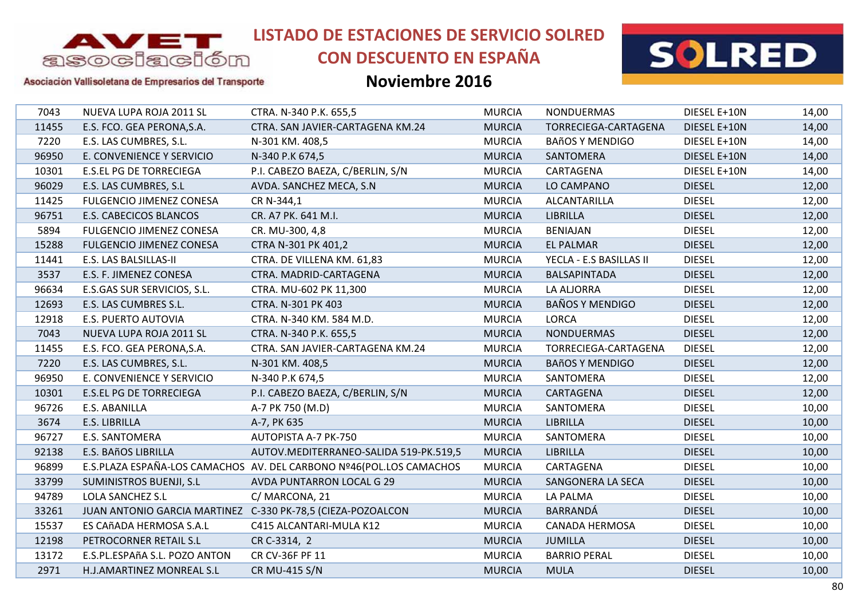

# **CON DESCUENTO EN ESPAÑA**



Asociación Vallisoletana de Empresarios del Transporte

| 7043  | NUEVA LUPA ROJA 2011 SL                                     | CTRA. N-340 P.K. 655,5                                              | <b>MURCIA</b> | <b>NONDUERMAS</b>       | DIESEL E+10N  | 14,00 |
|-------|-------------------------------------------------------------|---------------------------------------------------------------------|---------------|-------------------------|---------------|-------|
| 11455 | E.S. FCO. GEA PERONA, S.A.                                  | CTRA. SAN JAVIER-CARTAGENA KM.24                                    | <b>MURCIA</b> | TORRECIEGA-CARTAGENA    | DIESEL E+10N  | 14,00 |
| 7220  | E.S. LAS CUMBRES, S.L.                                      | N-301 KM. 408,5                                                     | <b>MURCIA</b> | <b>BAñOS Y MENDIGO</b>  | DIESEL E+10N  | 14,00 |
| 96950 | E. CONVENIENCE Y SERVICIO                                   | N-340 P.K 674,5                                                     | <b>MURCIA</b> | SANTOMERA               | DIESEL E+10N  | 14,00 |
| 10301 | <b>E.S.EL PG DE TORRECIEGA</b>                              | P.I. CABEZO BAEZA, C/BERLIN, S/N                                    | <b>MURCIA</b> | CARTAGENA               | DIESEL E+10N  | 14,00 |
| 96029 | E.S. LAS CUMBRES, S.L                                       | AVDA. SANCHEZ MECA, S.N.                                            | <b>MURCIA</b> | LO CAMPANO              | <b>DIESEL</b> | 12,00 |
| 11425 | <b>FULGENCIO JIMENEZ CONESA</b>                             | CR N-344,1                                                          | <b>MURCIA</b> | ALCANTARILLA            | <b>DIESEL</b> | 12,00 |
| 96751 | <b>E.S. CABECICOS BLANCOS</b>                               | CR. A7 PK. 641 M.I.                                                 | <b>MURCIA</b> | <b>LIBRILLA</b>         | <b>DIESEL</b> | 12,00 |
| 5894  | <b>FULGENCIO JIMENEZ CONESA</b>                             | CR. MU-300, 4,8                                                     | <b>MURCIA</b> | <b>BENIAJAN</b>         | <b>DIESEL</b> | 12,00 |
| 15288 | <b>FULGENCIO JIMENEZ CONESA</b>                             | CTRA N-301 PK 401,2                                                 | <b>MURCIA</b> | <b>EL PALMAR</b>        | <b>DIESEL</b> | 12,00 |
| 11441 | E.S. LAS BALSILLAS-II                                       | CTRA. DE VILLENA KM. 61,83                                          | <b>MURCIA</b> | YECLA - E.S BASILLAS II | <b>DIESEL</b> | 12,00 |
| 3537  | E.S. F. JIMENEZ CONESA                                      | CTRA. MADRID-CARTAGENA                                              | <b>MURCIA</b> | BALSAPINTADA            | <b>DIESEL</b> | 12,00 |
| 96634 | E.S.GAS SUR SERVICIOS, S.L.                                 | CTRA. MU-602 PK 11,300                                              | <b>MURCIA</b> | <b>LA ALJORRA</b>       | <b>DIESEL</b> | 12,00 |
| 12693 | E.S. LAS CUMBRES S.L.                                       | CTRA. N-301 PK 403                                                  | <b>MURCIA</b> | <b>BAÑOS Y MENDIGO</b>  | <b>DIESEL</b> | 12,00 |
| 12918 | E.S. PUERTO AUTOVIA                                         | CTRA. N-340 KM. 584 M.D.                                            | <b>MURCIA</b> | <b>LORCA</b>            | <b>DIESEL</b> | 12,00 |
| 7043  | NUEVA LUPA ROJA 2011 SL                                     | CTRA. N-340 P.K. 655,5                                              | <b>MURCIA</b> | <b>NONDUERMAS</b>       | <b>DIESEL</b> | 12,00 |
| 11455 | E.S. FCO. GEA PERONA, S.A.                                  | CTRA. SAN JAVIER-CARTAGENA KM.24                                    | <b>MURCIA</b> | TORRECIEGA-CARTAGENA    | <b>DIESEL</b> | 12,00 |
| 7220  | E.S. LAS CUMBRES, S.L.                                      | N-301 KM. 408,5                                                     | <b>MURCIA</b> | <b>BAñOS Y MENDIGO</b>  | <b>DIESEL</b> | 12,00 |
| 96950 | E. CONVENIENCE Y SERVICIO                                   | N-340 P.K 674,5                                                     | <b>MURCIA</b> | SANTOMERA               | <b>DIESEL</b> | 12,00 |
| 10301 | <b>E.S.EL PG DE TORRECIEGA</b>                              | P.I. CABEZO BAEZA, C/BERLIN, S/N                                    | <b>MURCIA</b> | CARTAGENA               | <b>DIESEL</b> | 12,00 |
| 96726 | E.S. ABANILLA                                               | A-7 PK 750 (M.D)                                                    | <b>MURCIA</b> | SANTOMERA               | <b>DIESEL</b> | 10,00 |
| 3674  | E.S. LIBRILLA                                               | A-7, PK 635                                                         | <b>MURCIA</b> | <b>LIBRILLA</b>         | <b>DIESEL</b> | 10,00 |
| 96727 | E.S. SANTOMERA                                              | AUTOPISTA A-7 PK-750                                                | <b>MURCIA</b> | SANTOMERA               | <b>DIESEL</b> | 10,00 |
| 92138 | E.S. BAñOS LIBRILLA                                         | AUTOV.MEDITERRANEO-SALIDA 519-PK.519,5                              | <b>MURCIA</b> | <b>LIBRILLA</b>         | <b>DIESEL</b> | 10,00 |
| 96899 |                                                             | E.S.PLAZA ESPAÑA-LOS CAMACHOS AV. DEL CARBONO Nº46(POL.LOS CAMACHOS | <b>MURCIA</b> | CARTAGENA               | <b>DIESEL</b> | 10,00 |
| 33799 | <b>SUMINISTROS BUENJI, S.L.</b>                             | AVDA PUNTARRON LOCAL G 29                                           | <b>MURCIA</b> | SANGONERA LA SECA       | <b>DIESEL</b> | 10,00 |
| 94789 | LOLA SANCHEZ S.L                                            | C/MARCONA, 21                                                       | <b>MURCIA</b> | LA PALMA                | <b>DIESEL</b> | 10,00 |
| 33261 | JUAN ANTONIO GARCIA MARTINEZ C-330 PK-78,5 (CIEZA-POZOALCON |                                                                     | <b>MURCIA</b> | <b>BARRANDÁ</b>         | <b>DIESEL</b> | 10,00 |
| 15537 | ES CAñADA HERMOSA S.A.L                                     | C415 ALCANTARI-MULA K12                                             | <b>MURCIA</b> | <b>CANADA HERMOSA</b>   | <b>DIESEL</b> | 10,00 |
| 12198 | PETROCORNER RETAIL S.L                                      | CR C-3314, 2                                                        | <b>MURCIA</b> | <b>JUMILLA</b>          | <b>DIESEL</b> | 10,00 |
| 13172 | E.S.PL.ESPAñA S.L. POZO ANTON                               | CR CV-36F PF 11                                                     | <b>MURCIA</b> | <b>BARRIO PERAL</b>     | <b>DIESEL</b> | 10,00 |
| 2971  | H.J.AMARTINEZ MONREAL S.L                                   | <b>CR MU-415 S/N</b>                                                | <b>MURCIA</b> | <b>MULA</b>             | <b>DIESEL</b> | 10,00 |
|       |                                                             |                                                                     |               |                         |               |       |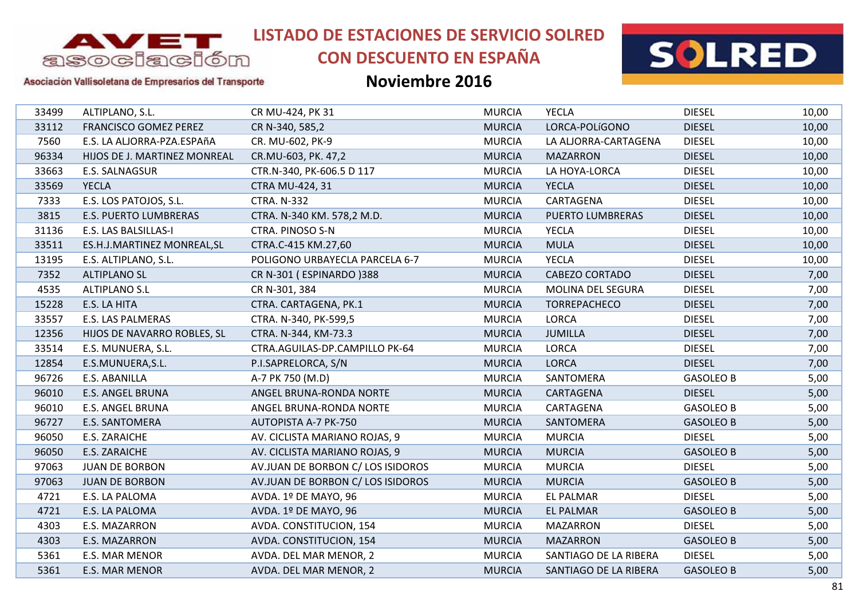

# **CON DESCUENTO EN ESPAÑA**



#### Asociación Vallisoletana de Empresarios del Transporte

| 33499 | ALTIPLANO, S.L.              | CR MU-424, PK 31                  | <b>MURCIA</b> | <b>YECLA</b>             | <b>DIESEL</b>    | 10,00 |
|-------|------------------------------|-----------------------------------|---------------|--------------------------|------------------|-------|
| 33112 | <b>FRANCISCO GOMEZ PEREZ</b> | CR N-340, 585,2                   | <b>MURCIA</b> | LORCA-POLÍGONO           | <b>DIESEL</b>    | 10,00 |
| 7560  | E.S. LA ALJORRA-PZA.ESPAñA   | CR. MU-602, PK-9                  | <b>MURCIA</b> | LA ALJORRA-CARTAGENA     | <b>DIESEL</b>    | 10,00 |
| 96334 | HIJOS DE J. MARTINEZ MONREAL | CR.MU-603, PK. 47,2               | <b>MURCIA</b> | <b>MAZARRON</b>          | <b>DIESEL</b>    | 10,00 |
| 33663 | E.S. SALNAGSUR               | CTR.N-340, PK-606.5 D 117         | <b>MURCIA</b> | LA HOYA-LORCA            | <b>DIESEL</b>    | 10,00 |
| 33569 | <b>YECLA</b>                 | CTRA MU-424, 31                   | <b>MURCIA</b> | <b>YECLA</b>             | <b>DIESEL</b>    | 10,00 |
| 7333  | E.S. LOS PATOJOS, S.L.       | <b>CTRA. N-332</b>                | <b>MURCIA</b> | CARTAGENA                | <b>DIESEL</b>    | 10,00 |
| 3815  | E.S. PUERTO LUMBRERAS        | CTRA. N-340 KM. 578,2 M.D.        | <b>MURCIA</b> | PUERTO LUMBRERAS         | <b>DIESEL</b>    | 10,00 |
| 31136 | E.S. LAS BALSILLAS-I         | CTRA. PINOSO S-N                  | <b>MURCIA</b> | <b>YECLA</b>             | <b>DIESEL</b>    | 10,00 |
| 33511 | ES.H.J.MARTINEZ MONREAL, SL  | CTRA.C-415 KM.27,60               | <b>MURCIA</b> | <b>MULA</b>              | <b>DIESEL</b>    | 10,00 |
| 13195 | E.S. ALTIPLANO, S.L.         | POLIGONO URBAYECLA PARCELA 6-7    | <b>MURCIA</b> | <b>YECLA</b>             | <b>DIESEL</b>    | 10,00 |
| 7352  | <b>ALTIPLANO SL</b>          | CR N-301 (ESPINARDO)388           | <b>MURCIA</b> | <b>CABEZO CORTADO</b>    | <b>DIESEL</b>    | 7,00  |
| 4535  | <b>ALTIPLANO S.L</b>         | CR N-301, 384                     | <b>MURCIA</b> | <b>MOLINA DEL SEGURA</b> | <b>DIESEL</b>    | 7,00  |
| 15228 | E.S. LA HITA                 | CTRA. CARTAGENA, PK.1             | <b>MURCIA</b> | TORREPACHECO             | <b>DIESEL</b>    | 7,00  |
| 33557 | E.S. LAS PALMERAS            | CTRA. N-340, PK-599,5             | <b>MURCIA</b> | <b>LORCA</b>             | <b>DIESEL</b>    | 7,00  |
| 12356 | HIJOS DE NAVARRO ROBLES, SL  | CTRA. N-344, KM-73.3              | <b>MURCIA</b> | <b>JUMILLA</b>           | <b>DIESEL</b>    | 7,00  |
| 33514 | E.S. MUNUERA, S.L.           | CTRA.AGUILAS-DP.CAMPILLO PK-64    | <b>MURCIA</b> | <b>LORCA</b>             | <b>DIESEL</b>    | 7,00  |
| 12854 | E.S.MUNUERA, S.L.            | P.I.SAPRELORCA, S/N               | <b>MURCIA</b> | <b>LORCA</b>             | <b>DIESEL</b>    | 7,00  |
| 96726 | E.S. ABANILLA                | A-7 PK 750 (M.D)                  | <b>MURCIA</b> | SANTOMERA                | <b>GASOLEO B</b> | 5,00  |
| 96010 | <b>E.S. ANGEL BRUNA</b>      | ANGEL BRUNA-RONDA NORTE           | <b>MURCIA</b> | CARTAGENA                | <b>DIESEL</b>    | 5,00  |
| 96010 | <b>E.S. ANGEL BRUNA</b>      | ANGEL BRUNA-RONDA NORTE           | <b>MURCIA</b> | CARTAGENA                | <b>GASOLEO B</b> | 5,00  |
| 96727 | <b>E.S. SANTOMERA</b>        | <b>AUTOPISTA A-7 PK-750</b>       | <b>MURCIA</b> | SANTOMERA                | <b>GASOLEO B</b> | 5,00  |
| 96050 | <b>E.S. ZARAICHE</b>         | AV. CICLISTA MARIANO ROJAS, 9     | <b>MURCIA</b> | <b>MURCIA</b>            | <b>DIESEL</b>    | 5,00  |
| 96050 | <b>E.S. ZARAICHE</b>         | AV. CICLISTA MARIANO ROJAS, 9     | <b>MURCIA</b> | <b>MURCIA</b>            | <b>GASOLEO B</b> | 5,00  |
| 97063 | <b>JUAN DE BORBON</b>        | AV.JUAN DE BORBON C/ LOS ISIDOROS | <b>MURCIA</b> | <b>MURCIA</b>            | <b>DIESEL</b>    | 5,00  |
| 97063 | <b>JUAN DE BORBON</b>        | AV.JUAN DE BORBON C/ LOS ISIDOROS | <b>MURCIA</b> | <b>MURCIA</b>            | <b>GASOLEO B</b> | 5,00  |
| 4721  | E.S. LA PALOMA               | AVDA. 1º DE MAYO, 96              | <b>MURCIA</b> | <b>EL PALMAR</b>         | <b>DIESEL</b>    | 5,00  |
| 4721  | E.S. LA PALOMA               | AVDA. 1º DE MAYO, 96              | <b>MURCIA</b> | <b>EL PALMAR</b>         | <b>GASOLEO B</b> | 5,00  |
| 4303  | E.S. MAZARRON                | AVDA. CONSTITUCION, 154           | <b>MURCIA</b> | <b>MAZARRON</b>          | <b>DIESEL</b>    | 5,00  |
| 4303  | E.S. MAZARRON                | AVDA. CONSTITUCION, 154           | <b>MURCIA</b> | <b>MAZARRON</b>          | <b>GASOLEO B</b> | 5,00  |
| 5361  | E.S. MAR MENOR               | AVDA. DEL MAR MENOR, 2            | <b>MURCIA</b> | SANTIAGO DE LA RIBERA    | <b>DIESEL</b>    | 5,00  |
| 5361  | E.S. MAR MENOR               | AVDA. DEL MAR MENOR, 2            | <b>MURCIA</b> | SANTIAGO DE LA RIBERA    | <b>GASOLEO B</b> | 5,00  |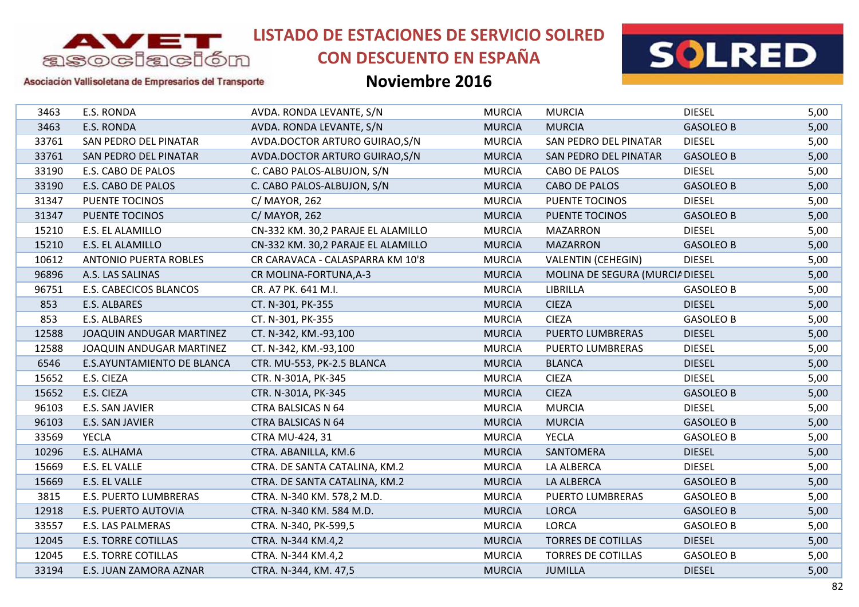

# **CON DESCUENTO EN ESPAÑA**



### Asociación Vallisoletana de Empresarios del Transporte

| 3463  | E.S. RONDA                    | AVDA. RONDA LEVANTE, S/N           | <b>MURCIA</b> | <b>MURCIA</b>                   | <b>DIESEL</b>    | 5,00 |
|-------|-------------------------------|------------------------------------|---------------|---------------------------------|------------------|------|
| 3463  | <b>E.S. RONDA</b>             | AVDA. RONDA LEVANTE, S/N           | <b>MURCIA</b> | <b>MURCIA</b>                   | <b>GASOLEO B</b> | 5,00 |
| 33761 | SAN PEDRO DEL PINATAR         | AVDA.DOCTOR ARTURO GUIRAO, S/N     | <b>MURCIA</b> | SAN PEDRO DEL PINATAR           | <b>DIESEL</b>    | 5,00 |
| 33761 | SAN PEDRO DEL PINATAR         | AVDA.DOCTOR ARTURO GUIRAO, S/N     | <b>MURCIA</b> | SAN PEDRO DEL PINATAR           | <b>GASOLEO B</b> | 5,00 |
| 33190 | E.S. CABO DE PALOS            | C. CABO PALOS-ALBUJON, S/N         | <b>MURCIA</b> | CABO DE PALOS                   | <b>DIESEL</b>    | 5,00 |
| 33190 | E.S. CABO DE PALOS            | C. CABO PALOS-ALBUJON, S/N         | <b>MURCIA</b> | CABO DE PALOS                   | <b>GASOLEO B</b> | 5,00 |
| 31347 | <b>PUENTE TOCINOS</b>         | C/ MAYOR, 262                      | <b>MURCIA</b> | <b>PUENTE TOCINOS</b>           | <b>DIESEL</b>    | 5,00 |
| 31347 | PUENTE TOCINOS                | C/ MAYOR, 262                      | <b>MURCIA</b> | PUENTE TOCINOS                  | <b>GASOLEO B</b> | 5,00 |
| 15210 | E.S. EL ALAMILLO              | CN-332 KM. 30,2 PARAJE EL ALAMILLO | <b>MURCIA</b> | <b>MAZARRON</b>                 | <b>DIESEL</b>    | 5,00 |
| 15210 | E.S. EL ALAMILLO              | CN-332 KM. 30,2 PARAJE EL ALAMILLO | <b>MURCIA</b> | <b>MAZARRON</b>                 | <b>GASOLEO B</b> | 5,00 |
| 10612 | <b>ANTONIO PUERTA ROBLES</b>  | CR CARAVACA - CALASPARRA KM 10'8   | <b>MURCIA</b> | <b>VALENTIN (CEHEGIN)</b>       | <b>DIESEL</b>    | 5,00 |
| 96896 | A.S. LAS SALINAS              | CR MOLINA-FORTUNA, A-3             | <b>MURCIA</b> | MOLINA DE SEGURA (MURCIA DIESEL |                  | 5,00 |
| 96751 | <b>E.S. CABECICOS BLANCOS</b> | CR. A7 PK. 641 M.I.                | <b>MURCIA</b> | LIBRILLA                        | <b>GASOLEO B</b> | 5,00 |
| 853   | E.S. ALBARES                  | CT. N-301, PK-355                  | <b>MURCIA</b> | <b>CIEZA</b>                    | <b>DIESEL</b>    | 5,00 |
| 853   | E.S. ALBARES                  | CT. N-301, PK-355                  | <b>MURCIA</b> | <b>CIEZA</b>                    | <b>GASOLEO B</b> | 5,00 |
| 12588 | JOAQUIN ANDUGAR MARTINEZ      | CT. N-342, KM.-93,100              | <b>MURCIA</b> | <b>PUERTO LUMBRERAS</b>         | <b>DIESEL</b>    | 5,00 |
| 12588 | JOAQUIN ANDUGAR MARTINEZ      | CT. N-342, KM.-93,100              | <b>MURCIA</b> | <b>PUERTO LUMBRERAS</b>         | <b>DIESEL</b>    | 5,00 |
| 6546  | E.S.AYUNTAMIENTO DE BLANCA    | CTR. MU-553, PK-2.5 BLANCA         | <b>MURCIA</b> | <b>BLANCA</b>                   | <b>DIESEL</b>    | 5,00 |
| 15652 | E.S. CIEZA                    | CTR. N-301A, PK-345                | <b>MURCIA</b> | <b>CIEZA</b>                    | <b>DIESEL</b>    | 5,00 |
| 15652 | E.S. CIEZA                    | CTR. N-301A, PK-345                | <b>MURCIA</b> | <b>CIEZA</b>                    | <b>GASOLEO B</b> | 5,00 |
| 96103 | E.S. SAN JAVIER               | <b>CTRA BALSICAS N 64</b>          | <b>MURCIA</b> | <b>MURCIA</b>                   | <b>DIESEL</b>    | 5,00 |
| 96103 | E.S. SAN JAVIER               | <b>CTRA BALSICAS N 64</b>          | <b>MURCIA</b> | <b>MURCIA</b>                   | <b>GASOLEO B</b> | 5,00 |
| 33569 | <b>YECLA</b>                  | <b>CTRA MU-424, 31</b>             | <b>MURCIA</b> | <b>YECLA</b>                    | <b>GASOLEO B</b> | 5,00 |
| 10296 | E.S. ALHAMA                   | CTRA. ABANILLA, KM.6               | <b>MURCIA</b> | SANTOMERA                       | <b>DIESEL</b>    | 5,00 |
| 15669 | E.S. EL VALLE                 | CTRA. DE SANTA CATALINA, KM.2      | <b>MURCIA</b> | LA ALBERCA                      | <b>DIESEL</b>    | 5,00 |
| 15669 | E.S. EL VALLE                 | CTRA. DE SANTA CATALINA, KM.2      | <b>MURCIA</b> | LA ALBERCA                      | <b>GASOLEO B</b> | 5,00 |
| 3815  | E.S. PUERTO LUMBRERAS         | CTRA. N-340 KM. 578,2 M.D.         | <b>MURCIA</b> | PUERTO LUMBRERAS                | <b>GASOLEO B</b> | 5,00 |
| 12918 | <b>E.S. PUERTO AUTOVIA</b>    | CTRA. N-340 KM. 584 M.D.           | <b>MURCIA</b> | <b>LORCA</b>                    | <b>GASOLEO B</b> | 5,00 |
| 33557 | <b>E.S. LAS PALMERAS</b>      | CTRA. N-340, PK-599,5              | <b>MURCIA</b> | <b>LORCA</b>                    | <b>GASOLEO B</b> | 5,00 |
| 12045 | <b>E.S. TORRE COTILLAS</b>    | CTRA. N-344 KM.4,2                 | <b>MURCIA</b> | <b>TORRES DE COTILLAS</b>       | <b>DIESEL</b>    | 5,00 |
| 12045 | <b>E.S. TORRE COTILLAS</b>    | CTRA. N-344 KM.4,2                 | <b>MURCIA</b> | <b>TORRES DE COTILLAS</b>       | <b>GASOLEO B</b> | 5,00 |
| 33194 | E.S. JUAN ZAMORA AZNAR        | CTRA. N-344, KM. 47,5              | <b>MURCIA</b> | <b>JUMILLA</b>                  | <b>DIESEL</b>    | 5,00 |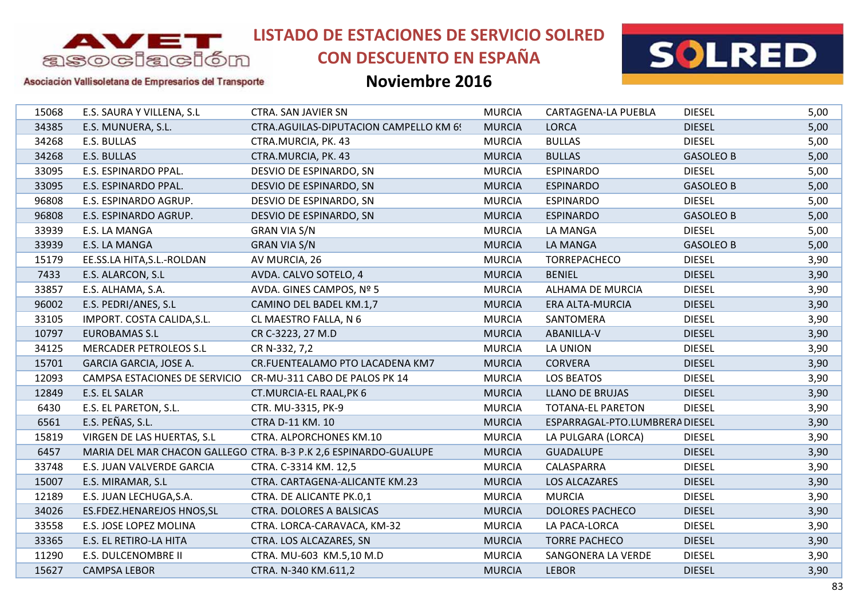

# **CON DESCUENTO EN ESPAÑA**



#### Asociación Vallisoletana de Empresarios del Transporte

| 15068 | E.S. SAURA Y VILLENA, S.L     | CTRA. SAN JAVIER SN                                              | <b>MURCIA</b> | CARTAGENA-LA PUEBLA            | <b>DIESEL</b>    | 5,00 |
|-------|-------------------------------|------------------------------------------------------------------|---------------|--------------------------------|------------------|------|
| 34385 | E.S. MUNUERA, S.L.            | CTRA.AGUILAS-DIPUTACION CAMPELLO KM 6!                           | <b>MURCIA</b> | <b>LORCA</b>                   | <b>DIESEL</b>    | 5,00 |
| 34268 | E.S. BULLAS                   | CTRA.MURCIA, PK. 43                                              | <b>MURCIA</b> | <b>BULLAS</b>                  | <b>DIESEL</b>    | 5,00 |
| 34268 | E.S. BULLAS                   | CTRA.MURCIA, PK. 43                                              | <b>MURCIA</b> | <b>BULLAS</b>                  | <b>GASOLEO B</b> | 5,00 |
| 33095 | E.S. ESPINARDO PPAL.          | DESVIO DE ESPINARDO, SN                                          | <b>MURCIA</b> | <b>ESPINARDO</b>               | <b>DIESEL</b>    | 5,00 |
| 33095 | E.S. ESPINARDO PPAL.          | DESVIO DE ESPINARDO, SN                                          | <b>MURCIA</b> | <b>ESPINARDO</b>               | <b>GASOLEO B</b> | 5,00 |
| 96808 | E.S. ESPINARDO AGRUP.         | DESVIO DE ESPINARDO, SN                                          | <b>MURCIA</b> | <b>ESPINARDO</b>               | <b>DIESEL</b>    | 5,00 |
| 96808 | E.S. ESPINARDO AGRUP.         | DESVIO DE ESPINARDO, SN                                          | <b>MURCIA</b> | <b>ESPINARDO</b>               | <b>GASOLEO B</b> | 5,00 |
| 33939 | E.S. LA MANGA                 | <b>GRAN VIA S/N</b>                                              | <b>MURCIA</b> | LA MANGA                       | <b>DIESEL</b>    | 5,00 |
| 33939 | E.S. LA MANGA                 | <b>GRAN VIA S/N</b>                                              | <b>MURCIA</b> | <b>LA MANGA</b>                | <b>GASOLEO B</b> | 5,00 |
| 15179 | EE.SS.LA HITA, S.L.-ROLDAN    | AV MURCIA, 26                                                    | <b>MURCIA</b> | <b>TORREPACHECO</b>            | <b>DIESEL</b>    | 3,90 |
| 7433  | E.S. ALARCON, S.L             | AVDA. CALVO SOTELO, 4                                            | <b>MURCIA</b> | <b>BENIEL</b>                  | <b>DIESEL</b>    | 3,90 |
| 33857 | E.S. ALHAMA, S.A.             | AVDA. GINES CAMPOS, Nº 5                                         | <b>MURCIA</b> | <b>ALHAMA DE MURCIA</b>        | <b>DIESEL</b>    | 3,90 |
| 96002 | E.S. PEDRI/ANES, S.L          | CAMINO DEL BADEL KM.1,7                                          | <b>MURCIA</b> | ERA ALTA-MURCIA                | <b>DIESEL</b>    | 3,90 |
| 33105 | IMPORT. COSTA CALIDA, S.L.    | CL MAESTRO FALLA, N 6                                            | <b>MURCIA</b> | SANTOMERA                      | <b>DIESEL</b>    | 3,90 |
| 10797 | <b>EUROBAMAS S.L</b>          | CR C-3223, 27 M.D                                                | <b>MURCIA</b> | ABANILLA-V                     | <b>DIESEL</b>    | 3,90 |
| 34125 | <b>MERCADER PETROLEOS S.L</b> | CR N-332, 7,2                                                    | <b>MURCIA</b> | LA UNION                       | <b>DIESEL</b>    | 3,90 |
| 15701 | GARCIA GARCIA, JOSE A.        | CR.FUENTEALAMO PTO LACADENA KM7                                  | <b>MURCIA</b> | <b>CORVERA</b>                 | <b>DIESEL</b>    | 3,90 |
| 12093 |                               | CAMPSA ESTACIONES DE SERVICIO CR-MU-311 CABO DE PALOS PK 14      | <b>MURCIA</b> | LOS BEATOS                     | <b>DIESEL</b>    | 3,90 |
| 12849 | E.S. EL SALAR                 | CT.MURCIA-EL RAAL, PK 6                                          | <b>MURCIA</b> | <b>LLANO DE BRUJAS</b>         | <b>DIESEL</b>    | 3,90 |
| 6430  | E.S. EL PARETON, S.L.         | CTR. MU-3315, PK-9                                               | <b>MURCIA</b> | <b>TOTANA-EL PARETON</b>       | <b>DIESEL</b>    | 3,90 |
| 6561  | E.S. PEÑAS, S.L.              | <b>CTRA D-11 KM. 10</b>                                          | <b>MURCIA</b> | ESPARRAGAL-PTO.LUMBRERA DIESEL |                  | 3,90 |
| 15819 | VIRGEN DE LAS HUERTAS, S.L.   | CTRA. ALPORCHONES KM.10                                          | <b>MURCIA</b> | LA PULGARA (LORCA)             | <b>DIESEL</b>    | 3,90 |
| 6457  |                               | MARIA DEL MAR CHACON GALLEGO CTRA. B-3 P.K 2,6 ESPINARDO-GUALUPE | <b>MURCIA</b> | <b>GUADALUPE</b>               | <b>DIESEL</b>    | 3,90 |
| 33748 | E.S. JUAN VALVERDE GARCIA     | CTRA. C-3314 KM. 12,5                                            | <b>MURCIA</b> | CALASPARRA                     | <b>DIESEL</b>    | 3,90 |
| 15007 | E.S. MIRAMAR, S.L             | CTRA. CARTAGENA-ALICANTE KM.23                                   | <b>MURCIA</b> | <b>LOS ALCAZARES</b>           | <b>DIESEL</b>    | 3,90 |
| 12189 | E.S. JUAN LECHUGA, S.A.       | CTRA. DE ALICANTE PK.0,1                                         | <b>MURCIA</b> | <b>MURCIA</b>                  | <b>DIESEL</b>    | 3,90 |
| 34026 | ES.FDEZ.HENAREJOS HNOS, SL    | <b>CTRA. DOLORES A BALSICAS</b>                                  | <b>MURCIA</b> | <b>DOLORES PACHECO</b>         | <b>DIESEL</b>    | 3,90 |
| 33558 | E.S. JOSE LOPEZ MOLINA        | CTRA. LORCA-CARAVACA, KM-32                                      | <b>MURCIA</b> | LA PACA-LORCA                  | <b>DIESEL</b>    | 3,90 |
| 33365 | E.S. EL RETIRO-LA HITA        | CTRA. LOS ALCAZARES, SN                                          | <b>MURCIA</b> | <b>TORRE PACHECO</b>           | <b>DIESEL</b>    | 3,90 |
| 11290 | <b>E.S. DULCENOMBRE II</b>    | CTRA. MU-603 KM.5,10 M.D                                         | <b>MURCIA</b> | SANGONERA LA VERDE             | <b>DIESEL</b>    | 3,90 |
| 15627 | <b>CAMPSA LEBOR</b>           | CTRA. N-340 KM.611,2                                             | <b>MURCIA</b> | <b>LEBOR</b>                   | <b>DIESEL</b>    | 3,90 |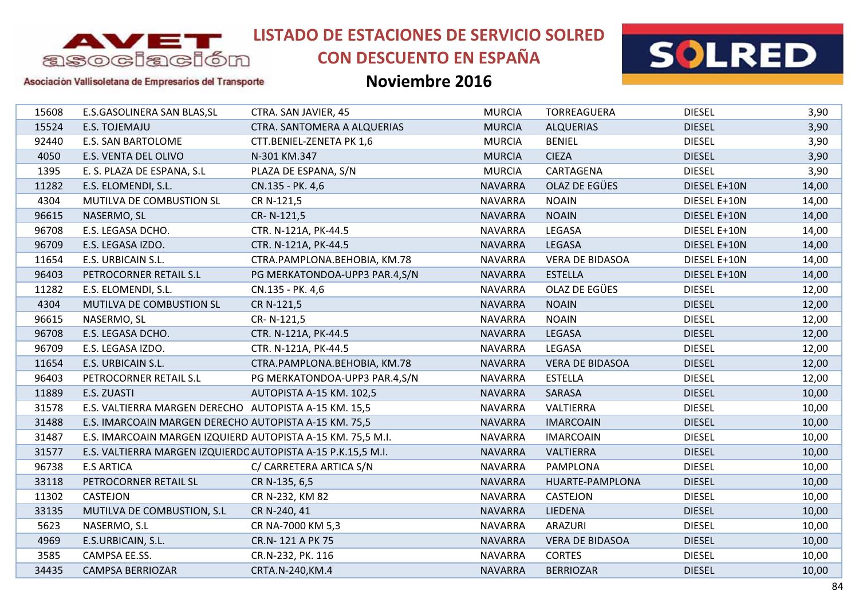

# **CON DESCUENTO EN ESPAÑA**



#### Asociación Vallisoletana de Empresarios del Transporte

| 15608 | E.S.GASOLINERA SAN BLAS, SL                                  | CTRA. SAN JAVIER, 45          | <b>MURCIA</b>  | <b>TORREAGUERA</b>     | <b>DIESEL</b> | 3,90  |
|-------|--------------------------------------------------------------|-------------------------------|----------------|------------------------|---------------|-------|
| 15524 | E.S. TOJEMAJU                                                | CTRA. SANTOMERA A ALQUERIAS   | <b>MURCIA</b>  | <b>ALQUERIAS</b>       | <b>DIESEL</b> | 3,90  |
| 92440 | <b>E.S. SAN BARTOLOME</b>                                    | CTT.BENIEL-ZENETA PK 1,6      | <b>MURCIA</b>  | <b>BENIEL</b>          | <b>DIESEL</b> | 3,90  |
| 4050  | E.S. VENTA DEL OLIVO                                         | N-301 KM.347                  | <b>MURCIA</b>  | <b>CIEZA</b>           | <b>DIESEL</b> | 3,90  |
| 1395  | E. S. PLAZA DE ESPANA, S.L                                   | PLAZA DE ESPANA, S/N          | <b>MURCIA</b>  | CARTAGENA              | <b>DIESEL</b> | 3,90  |
| 11282 | E.S. ELOMENDI, S.L.                                          | CN.135 - PK. 4,6              | <b>NAVARRA</b> | OLAZ DE EGÜES          | DIESEL E+10N  | 14,00 |
| 4304  | MUTILVA DE COMBUSTION SL                                     | CR N-121,5                    | <b>NAVARRA</b> | <b>NOAIN</b>           | DIESEL E+10N  | 14,00 |
| 96615 | NASERMO, SL                                                  | CR-N-121,5                    | <b>NAVARRA</b> | <b>NOAIN</b>           | DIESEL E+10N  | 14,00 |
| 96708 | E.S. LEGASA DCHO.                                            | CTR. N-121A, PK-44.5          | <b>NAVARRA</b> | LEGASA                 | DIESEL E+10N  | 14,00 |
| 96709 | E.S. LEGASA IZDO.                                            | CTR. N-121A, PK-44.5          | <b>NAVARRA</b> | LEGASA                 | DIESEL E+10N  | 14,00 |
| 11654 | E.S. URBICAIN S.L.                                           | CTRA.PAMPLONA.BEHOBIA, KM.78  | <b>NAVARRA</b> | <b>VERA DE BIDASOA</b> | DIESEL E+10N  | 14,00 |
| 96403 | PETROCORNER RETAIL S.L                                       | PG MERKATONDOA-UPP3 PAR.4,S/N | <b>NAVARRA</b> | <b>ESTELLA</b>         | DIESEL E+10N  | 14,00 |
| 11282 | E.S. ELOMENDI, S.L.                                          | CN.135 - PK. 4,6              | <b>NAVARRA</b> | OLAZ DE EGÜES          | <b>DIESEL</b> | 12,00 |
| 4304  | MUTILVA DE COMBUSTION SL                                     | CR N-121,5                    | <b>NAVARRA</b> | <b>NOAIN</b>           | <b>DIESEL</b> | 12,00 |
| 96615 | NASERMO, SL                                                  | CR-N-121,5                    | <b>NAVARRA</b> | <b>NOAIN</b>           | <b>DIESEL</b> | 12,00 |
| 96708 | E.S. LEGASA DCHO.                                            | CTR. N-121A, PK-44.5          | <b>NAVARRA</b> | LEGASA                 | <b>DIESEL</b> | 12,00 |
| 96709 | E.S. LEGASA IZDO.                                            | CTR. N-121A, PK-44.5          | <b>NAVARRA</b> | LEGASA                 | <b>DIESEL</b> | 12,00 |
| 11654 | E.S. URBICAIN S.L.                                           | CTRA.PAMPLONA.BEHOBIA, KM.78  | <b>NAVARRA</b> | <b>VERA DE BIDASOA</b> | <b>DIESEL</b> | 12,00 |
| 96403 | PETROCORNER RETAIL S.L                                       | PG MERKATONDOA-UPP3 PAR.4,S/N | <b>NAVARRA</b> | <b>ESTELLA</b>         | <b>DIESEL</b> | 12,00 |
| 11889 | E.S. ZUASTI                                                  | AUTOPISTA A-15 KM. 102,5      | <b>NAVARRA</b> | SARASA                 | <b>DIESEL</b> | 10,00 |
| 31578 | E.S. VALTIERRA MARGEN DERECHO AUTOPISTA A-15 KM. 15,5        |                               | <b>NAVARRA</b> | VALTIERRA              | <b>DIESEL</b> | 10,00 |
| 31488 | E.S. IMARCOAIN MARGEN DERECHO AUTOPISTA A-15 KM. 75,5        |                               | <b>NAVARRA</b> | <b>IMARCOAIN</b>       | <b>DIESEL</b> | 10,00 |
| 31487 | E.S. IMARCOAIN MARGEN IZQUIERD AUTOPISTA A-15 KM. 75,5 M.I.  |                               | <b>NAVARRA</b> | <b>IMARCOAIN</b>       | <b>DIESEL</b> | 10,00 |
| 31577 | E.S. VALTIERRA MARGEN IZQUIERDC AUTOPISTA A-15 P.K.15,5 M.I. |                               | <b>NAVARRA</b> | VALTIERRA              | <b>DIESEL</b> | 10,00 |
| 96738 | <b>E.S ARTICA</b>                                            | C/ CARRETERA ARTICA S/N       | <b>NAVARRA</b> | PAMPLONA               | <b>DIESEL</b> | 10,00 |
| 33118 | PETROCORNER RETAIL SL                                        | CR N-135, 6,5                 | <b>NAVARRA</b> | HUARTE-PAMPLONA        | <b>DIESEL</b> | 10,00 |
| 11302 | CASTEJON                                                     | CR N-232, KM 82               | <b>NAVARRA</b> | <b>CASTEJON</b>        | <b>DIESEL</b> | 10,00 |
| 33135 | MUTILVA DE COMBUSTION, S.L.                                  | CR N-240, 41                  | <b>NAVARRA</b> | <b>LIEDENA</b>         | <b>DIESEL</b> | 10,00 |
| 5623  | NASERMO, S.L                                                 | CR NA-7000 KM 5,3             | <b>NAVARRA</b> | <b>ARAZURI</b>         | <b>DIESEL</b> | 10,00 |
| 4969  | E.S.URBICAIN, S.L.                                           | CR.N-121 A PK 75              | <b>NAVARRA</b> | <b>VERA DE BIDASOA</b> | <b>DIESEL</b> | 10,00 |
| 3585  | CAMPSA EE.SS.                                                | CR.N-232, PK. 116             | <b>NAVARRA</b> | <b>CORTES</b>          | <b>DIESEL</b> | 10,00 |
| 34435 | <b>CAMPSA BERRIOZAR</b>                                      | CRTA.N-240, KM.4              | <b>NAVARRA</b> | <b>BERRIOZAR</b>       | <b>DIESEL</b> | 10,00 |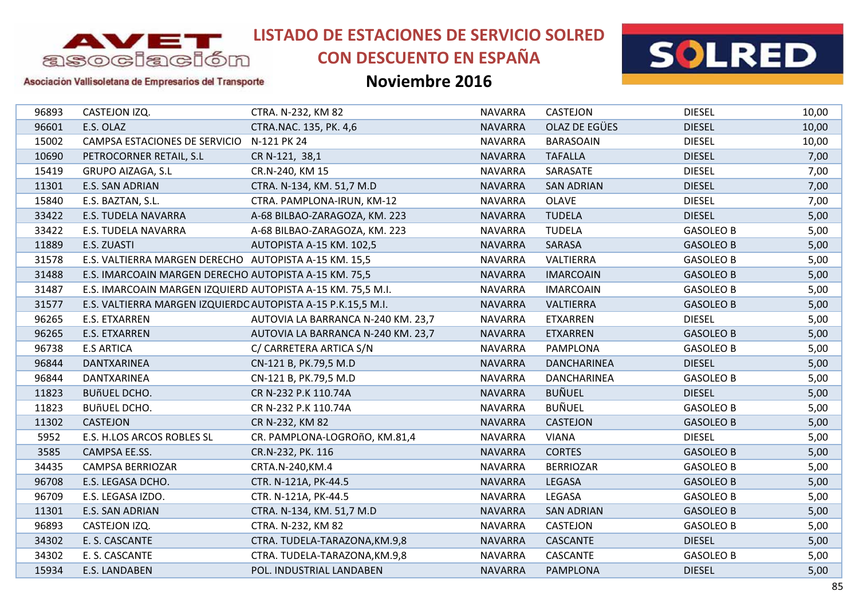

# **CON DESCUENTO EN ESPAÑA**



#### Asociación Vallisoletana de Empresarios del Transporte

| 96893 | CASTEJON IZQ.                                                | CTRA. N-232, KM 82                 | <b>NAVARRA</b> | <b>CASTEJON</b>      | <b>DIESEL</b>    | 10,00 |
|-------|--------------------------------------------------------------|------------------------------------|----------------|----------------------|------------------|-------|
| 96601 | E.S. OLAZ                                                    | CTRA.NAC. 135, PK. 4,6             | <b>NAVARRA</b> | <b>OLAZ DE EGÜES</b> | <b>DIESEL</b>    | 10,00 |
| 15002 | CAMPSA ESTACIONES DE SERVICIO                                | N-121 PK 24                        | <b>NAVARRA</b> | <b>BARASOAIN</b>     | <b>DIESEL</b>    | 10,00 |
| 10690 | PETROCORNER RETAIL, S.L                                      | CR N-121, 38,1                     | <b>NAVARRA</b> | <b>TAFALLA</b>       | <b>DIESEL</b>    | 7,00  |
| 15419 | <b>GRUPO AIZAGA, S.L</b>                                     | CR.N-240, KM 15                    | <b>NAVARRA</b> | SARASATE             | <b>DIESEL</b>    | 7,00  |
| 11301 | E.S. SAN ADRIAN                                              | CTRA. N-134, KM. 51,7 M.D          | <b>NAVARRA</b> | <b>SAN ADRIAN</b>    | <b>DIESEL</b>    | 7,00  |
| 15840 | E.S. BAZTAN, S.L.                                            | CTRA. PAMPLONA-IRUN, KM-12         | <b>NAVARRA</b> | <b>OLAVE</b>         | <b>DIESEL</b>    | 7,00  |
| 33422 | <b>E.S. TUDELA NAVARRA</b>                                   | A-68 BILBAO-ZARAGOZA, KM. 223      | <b>NAVARRA</b> | <b>TUDELA</b>        | <b>DIESEL</b>    | 5,00  |
| 33422 | <b>E.S. TUDELA NAVARRA</b>                                   | A-68 BILBAO-ZARAGOZA, KM. 223      | <b>NAVARRA</b> | <b>TUDELA</b>        | <b>GASOLEO B</b> | 5,00  |
| 11889 | E.S. ZUASTI                                                  | AUTOPISTA A-15 KM. 102,5           | <b>NAVARRA</b> | SARASA               | <b>GASOLEO B</b> | 5,00  |
| 31578 | E.S. VALTIERRA MARGEN DERECHO AUTOPISTA A-15 KM. 15,5        |                                    | <b>NAVARRA</b> | VALTIERRA            | <b>GASOLEO B</b> | 5,00  |
| 31488 | E.S. IMARCOAIN MARGEN DERECHO AUTOPISTA A-15 KM. 75,5        |                                    | <b>NAVARRA</b> | <b>IMARCOAIN</b>     | <b>GASOLEO B</b> | 5,00  |
| 31487 | E.S. IMARCOAIN MARGEN IZQUIERD AUTOPISTA A-15 KM. 75,5 M.I.  |                                    | <b>NAVARRA</b> | <b>IMARCOAIN</b>     | <b>GASOLEO B</b> | 5,00  |
| 31577 | E.S. VALTIERRA MARGEN IZQUIERDC AUTOPISTA A-15 P.K.15,5 M.I. |                                    | <b>NAVARRA</b> | VALTIERRA            | <b>GASOLEO B</b> | 5,00  |
| 96265 | <b>E.S. ETXARREN</b>                                         | AUTOVIA LA BARRANCA N-240 KM. 23,7 | <b>NAVARRA</b> | <b>ETXARREN</b>      | <b>DIESEL</b>    | 5,00  |
| 96265 | E.S. ETXARREN                                                | AUTOVIA LA BARRANCA N-240 KM. 23,7 | <b>NAVARRA</b> | <b>ETXARREN</b>      | <b>GASOLEO B</b> | 5,00  |
| 96738 | <b>E.S ARTICA</b>                                            | C/ CARRETERA ARTICA S/N            | <b>NAVARRA</b> | PAMPLONA             | <b>GASOLEO B</b> | 5,00  |
| 96844 | DANTXARINEA                                                  | CN-121 B, PK.79,5 M.D              | <b>NAVARRA</b> | <b>DANCHARINEA</b>   | <b>DIESEL</b>    | 5,00  |
| 96844 | DANTXARINEA                                                  | CN-121 B, PK.79,5 M.D              | <b>NAVARRA</b> | <b>DANCHARINEA</b>   | <b>GASOLEO B</b> | 5,00  |
| 11823 | <b>BUñUEL DCHO.</b>                                          | CR N-232 P.K 110.74A               | <b>NAVARRA</b> | <b>BUÑUEL</b>        | <b>DIESEL</b>    | 5,00  |
| 11823 | <b>BUñUEL DCHO.</b>                                          | CR N-232 P.K 110.74A               | <b>NAVARRA</b> | <b>BUÑUEL</b>        | <b>GASOLEO B</b> | 5,00  |
| 11302 | <b>CASTEJON</b>                                              | CR N-232, KM 82                    | <b>NAVARRA</b> | <b>CASTEJON</b>      | <b>GASOLEO B</b> | 5,00  |
| 5952  | E.S. H.LOS ARCOS ROBLES SL                                   | CR. PAMPLONA-LOGROñO, KM.81,4      | <b>NAVARRA</b> | <b>VIANA</b>         | <b>DIESEL</b>    | 5,00  |
| 3585  | CAMPSA EE.SS.                                                | CR.N-232, PK. 116                  | <b>NAVARRA</b> | <b>CORTES</b>        | <b>GASOLEO B</b> | 5,00  |
| 34435 | <b>CAMPSA BERRIOZAR</b>                                      | CRTA.N-240, KM.4                   | <b>NAVARRA</b> | <b>BERRIOZAR</b>     | <b>GASOLEO B</b> | 5,00  |
| 96708 | E.S. LEGASA DCHO.                                            | CTR. N-121A, PK-44.5               | <b>NAVARRA</b> | <b>LEGASA</b>        | <b>GASOLEO B</b> | 5,00  |
| 96709 | E.S. LEGASA IZDO.                                            | CTR. N-121A, PK-44.5               | <b>NAVARRA</b> | LEGASA               | <b>GASOLEO B</b> | 5,00  |
| 11301 | E.S. SAN ADRIAN                                              | CTRA. N-134, KM. 51,7 M.D          | <b>NAVARRA</b> | <b>SAN ADRIAN</b>    | <b>GASOLEO B</b> | 5,00  |
| 96893 | CASTEJON IZQ.                                                | CTRA. N-232, KM 82                 | <b>NAVARRA</b> | CASTEJON             | <b>GASOLEO B</b> | 5,00  |
| 34302 | E. S. CASCANTE                                               | CTRA. TUDELA-TARAZONA, KM.9,8      | <b>NAVARRA</b> | <b>CASCANTE</b>      | <b>DIESEL</b>    | 5,00  |
| 34302 | E. S. CASCANTE                                               | CTRA. TUDELA-TARAZONA, KM.9,8      | <b>NAVARRA</b> | CASCANTE             | <b>GASOLEO B</b> | 5,00  |
| 15934 | <b>E.S. LANDABEN</b>                                         | POL. INDUSTRIAL LANDABEN           | <b>NAVARRA</b> | <b>PAMPLONA</b>      | <b>DIESEL</b>    | 5,00  |
|       |                                                              |                                    |                |                      |                  |       |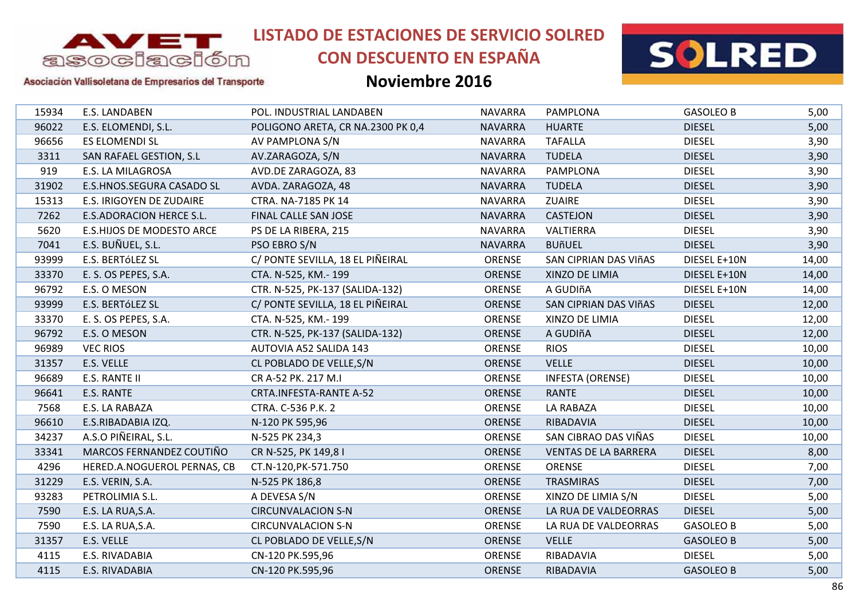

# **CON DESCUENTO EN ESPAÑA**





### Asociación Vallisoletana de Empresarios del Transporte

| 15934 | E.S. LANDABEN                   | POL. INDUSTRIAL LANDABEN          | <b>NAVARRA</b> | PAMPLONA                     | <b>GASOLEO B</b> | 5,00  |
|-------|---------------------------------|-----------------------------------|----------------|------------------------------|------------------|-------|
| 96022 | E.S. ELOMENDI, S.L.             | POLIGONO ARETA, CR NA.2300 PK 0,4 | <b>NAVARRA</b> | <b>HUARTE</b>                | <b>DIESEL</b>    | 5,00  |
| 96656 | <b>ES ELOMENDI SL</b>           | AV PAMPLONA S/N                   | <b>NAVARRA</b> | <b>TAFALLA</b>               | <b>DIESEL</b>    | 3,90  |
| 3311  | SAN RAFAEL GESTION, S.L         | AV.ZARAGOZA, S/N                  | <b>NAVARRA</b> | <b>TUDELA</b>                | <b>DIESEL</b>    | 3,90  |
| 919   | E.S. LA MILAGROSA               | AVD.DE ZARAGOZA, 83               | <b>NAVARRA</b> | PAMPLONA                     | <b>DIESEL</b>    | 3,90  |
| 31902 | E.S.HNOS.SEGURA CASADO SL       | AVDA. ZARAGOZA, 48                | <b>NAVARRA</b> | <b>TUDELA</b>                | <b>DIESEL</b>    | 3,90  |
| 15313 | E.S. IRIGOYEN DE ZUDAIRE        | CTRA. NA-7185 PK 14               | <b>NAVARRA</b> | <b>ZUAIRE</b>                | <b>DIESEL</b>    | 3,90  |
| 7262  | <b>E.S.ADORACION HERCE S.L.</b> | FINAL CALLE SAN JOSE              | <b>NAVARRA</b> | <b>CASTEJON</b>              | <b>DIESEL</b>    | 3,90  |
| 5620  | E.S.HIJOS DE MODESTO ARCE       | PS DE LA RIBERA, 215              | <b>NAVARRA</b> | VALTIERRA                    | <b>DIESEL</b>    | 3,90  |
| 7041  | E.S. BUÑUEL, S.L.               | PSO EBRO S/N                      | <b>NAVARRA</b> | <b>BUñUEL</b>                | <b>DIESEL</b>    | 3,90  |
| 93999 | E.S. BERTÓLEZ SL                | C/ PONTE SEVILLA, 18 EL PIÑEIRAL  | <b>ORENSE</b>  | SAN CIPRIAN DAS VIñAS        | DIESEL E+10N     | 14,00 |
| 33370 | E. S. OS PEPES, S.A.            | CTA. N-525, KM.- 199              | ORENSE         | XINZO DE LIMIA               | DIESEL E+10N     | 14,00 |
| 96792 | E.S. O MESON                    | CTR. N-525, PK-137 (SALIDA-132)   | <b>ORENSE</b>  | A GUDIñA                     | DIESEL E+10N     | 14,00 |
| 93999 | E.S. BERTÓLEZ SL                | C/ PONTE SEVILLA, 18 EL PIÑEIRAL  | <b>ORENSE</b>  | <b>SAN CIPRIAN DAS VIñAS</b> | <b>DIESEL</b>    | 12,00 |
| 33370 | E. S. OS PEPES, S.A.            | CTA. N-525, KM.- 199              | ORENSE         | XINZO DE LIMIA               | <b>DIESEL</b>    | 12,00 |
| 96792 | E.S. O MESON                    | CTR. N-525, PK-137 (SALIDA-132)   | <b>ORENSE</b>  | A GUDIñA                     | <b>DIESEL</b>    | 12,00 |
| 96989 | <b>VEC RIOS</b>                 | AUTOVIA A52 SALIDA 143            | ORENSE         | <b>RIOS</b>                  | <b>DIESEL</b>    | 10,00 |
| 31357 | E.S. VELLE                      | CL POBLADO DE VELLE, S/N          | ORENSE         | <b>VELLE</b>                 | <b>DIESEL</b>    | 10,00 |
| 96689 | E.S. RANTE II                   | CR A-52 PK. 217 M.I               | ORENSE         | <b>INFESTA (ORENSE)</b>      | <b>DIESEL</b>    | 10,00 |
| 96641 | E.S. RANTE                      | CRTA.INFESTA-RANTE A-52           | <b>ORENSE</b>  | RANTE                        | <b>DIESEL</b>    | 10,00 |
| 7568  | E.S. LA RABAZA                  | CTRA. C-536 P.K. 2                | ORENSE         | LA RABAZA                    | <b>DIESEL</b>    | 10,00 |
| 96610 | E.S.RIBADABIA IZQ.              | N-120 PK 595,96                   | <b>ORENSE</b>  | RIBADAVIA                    | <b>DIESEL</b>    | 10,00 |
| 34237 | A.S.O PIÑEIRAL, S.L.            | N-525 PK 234,3                    | <b>ORENSE</b>  | SAN CIBRAO DAS VIÑAS         | <b>DIESEL</b>    | 10,00 |
| 33341 | MARCOS FERNANDEZ COUTIÑO        | CR N-525, PK 149,81               | ORENSE         | <b>VENTAS DE LA BARRERA</b>  | <b>DIESEL</b>    | 8,00  |
| 4296  | HERED.A.NOGUEROL PERNAS, CB     | CT.N-120, PK-571.750              | ORENSE         | ORENSE                       | <b>DIESEL</b>    | 7,00  |
| 31229 | E.S. VERIN, S.A.                | N-525 PK 186,8                    | <b>ORENSE</b>  | <b>TRASMIRAS</b>             | <b>DIESEL</b>    | 7,00  |
| 93283 | PETROLIMIA S.L.                 | A DEVESA S/N                      | ORENSE         | XINZO DE LIMIA S/N           | <b>DIESEL</b>    | 5,00  |
| 7590  | E.S. LA RUA, S.A.               | <b>CIRCUNVALACION S-N</b>         | <b>ORENSE</b>  | LA RUA DE VALDEORRAS         | <b>DIESEL</b>    | 5,00  |
| 7590  | E.S. LA RUA, S.A.               | <b>CIRCUNVALACION S-N</b>         | ORENSE         | LA RUA DE VALDEORRAS         | <b>GASOLEO B</b> | 5,00  |
| 31357 | E.S. VELLE                      | CL POBLADO DE VELLE, S/N          | ORENSE         | <b>VELLE</b>                 | <b>GASOLEO B</b> | 5,00  |
| 4115  | E.S. RIVADABIA                  | CN-120 PK.595,96                  | ORENSE         | RIBADAVIA                    | <b>DIESEL</b>    | 5,00  |
| 4115  | E.S. RIVADABIA                  | CN-120 PK.595,96                  | <b>ORENSE</b>  | RIBADAVIA                    | <b>GASOLEO B</b> | 5,00  |
|       |                                 |                                   |                |                              |                  |       |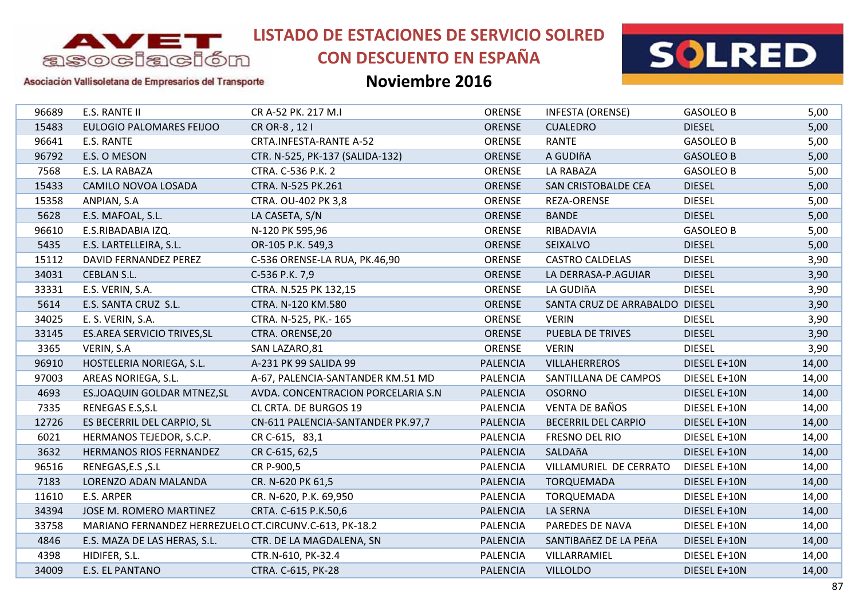

# **CON DESCUENTO EN ESPAÑA**



Asociación Vallisoletana de Empresarios del Transporte

| 96689 | E.S. RANTE II                                          | CR A-52 PK. 217 M.I                | ORENSE          | <b>INFESTA (ORENSE)</b>        | <b>GASOLEO B</b> | 5,00  |
|-------|--------------------------------------------------------|------------------------------------|-----------------|--------------------------------|------------------|-------|
| 15483 | <b>EULOGIO PALOMARES FEIJOO</b>                        | CR OR-8, 12 I                      | <b>ORENSE</b>   | <b>CUALEDRO</b>                | <b>DIESEL</b>    | 5,00  |
| 96641 | E.S. RANTE                                             | CRTA.INFESTA-RANTE A-52            | <b>ORENSE</b>   | RANTE                          | <b>GASOLEO B</b> | 5,00  |
| 96792 | E.S. O MESON                                           | CTR. N-525, PK-137 (SALIDA-132)    | ORENSE          | A GUDIñA                       | <b>GASOLEO B</b> | 5,00  |
| 7568  | E.S. LA RABAZA                                         | CTRA. C-536 P.K. 2                 | ORENSE          | LA RABAZA                      | <b>GASOLEO B</b> | 5,00  |
| 15433 | CAMILO NOVOA LOSADA                                    | CTRA. N-525 PK.261                 | <b>ORENSE</b>   | SAN CRISTOBALDE CEA            | <b>DIESEL</b>    | 5,00  |
| 15358 | ANPIAN, S.A                                            | CTRA. OU-402 PK 3,8                | ORENSE          | <b>REZA-ORENSE</b>             | <b>DIESEL</b>    | 5,00  |
| 5628  | E.S. MAFOAL, S.L.                                      | LA CASETA, S/N                     | <b>ORENSE</b>   | <b>BANDE</b>                   | <b>DIESEL</b>    | 5,00  |
| 96610 | E.S.RIBADABIA IZQ.                                     | N-120 PK 595,96                    | <b>ORENSE</b>   | RIBADAVIA                      | <b>GASOLEO B</b> | 5,00  |
| 5435  | E.S. LARTELLEIRA, S.L.                                 | OR-105 P.K. 549,3                  | <b>ORENSE</b>   | SEIXALVO                       | <b>DIESEL</b>    | 5,00  |
| 15112 | DAVID FERNANDEZ PEREZ                                  | C-536 ORENSE-LA RUA, PK.46,90      | <b>ORENSE</b>   | <b>CASTRO CALDELAS</b>         | <b>DIESEL</b>    | 3,90  |
| 34031 | <b>CEBLAN S.L.</b>                                     | C-536 P.K. 7,9                     | ORENSE          | LA DERRASA-P.AGUIAR            | <b>DIESEL</b>    | 3,90  |
| 33331 | E.S. VERIN, S.A.                                       | CTRA. N.525 PK 132,15              | ORENSE          | LA GUDIñA                      | <b>DIESEL</b>    | 3,90  |
| 5614  | E.S. SANTA CRUZ S.L.                                   | CTRA. N-120 KM.580                 | <b>ORENSE</b>   | SANTA CRUZ DE ARRABALDO DIESEL |                  | 3,90  |
| 34025 | E. S. VERIN, S.A.                                      | CTRA. N-525, PK.- 165              | ORENSE          | <b>VERIN</b>                   | <b>DIESEL</b>    | 3,90  |
| 33145 | ES.AREA SERVICIO TRIVES, SL                            | CTRA. ORENSE, 20                   | ORENSE          | PUEBLA DE TRIVES               | <b>DIESEL</b>    | 3,90  |
| 3365  | VERIN, S.A                                             | SAN LAZARO,81                      | ORENSE          | <b>VERIN</b>                   | <b>DIESEL</b>    | 3,90  |
| 96910 | HOSTELERIA NORIEGA, S.L.                               | A-231 PK 99 SALIDA 99              | <b>PALENCIA</b> | <b>VILLAHERREROS</b>           | DIESEL E+10N     | 14,00 |
| 97003 | AREAS NORIEGA, S.L.                                    | A-67, PALENCIA-SANTANDER KM.51 MD  | <b>PALENCIA</b> | SANTILLANA DE CAMPOS           | DIESEL E+10N     | 14,00 |
| 4693  | ES.JOAQUIN GOLDAR MTNEZ, SL                            | AVDA. CONCENTRACION PORCELARIA S.N | <b>PALENCIA</b> | <b>OSORNO</b>                  | DIESEL E+10N     | 14,00 |
| 7335  | RENEGAS E.S, S.L                                       | CL CRTA. DE BURGOS 19              | <b>PALENCIA</b> | <b>VENTA DE BAÑOS</b>          | DIESEL E+10N     | 14,00 |
| 12726 | ES BECERRIL DEL CARPIO, SL                             | CN-611 PALENCIA-SANTANDER PK.97,7  | <b>PALENCIA</b> | <b>BECERRIL DEL CARPIO</b>     | DIESEL E+10N     | 14,00 |
| 6021  | HERMANOS TEJEDOR, S.C.P.                               | CR C-615, 83,1                     | <b>PALENCIA</b> | FRESNO DEL RIO                 | DIESEL E+10N     | 14,00 |
| 3632  | <b>HERMANOS RIOS FERNANDEZ</b>                         | CR C-615, 62,5                     | <b>PALENCIA</b> | SALDAñA                        | DIESEL E+10N     | 14,00 |
| 96516 | RENEGAS, E.S, S.L                                      | CR P-900,5                         | <b>PALENCIA</b> | VILLAMURIEL DE CERRATO         | DIESEL E+10N     | 14,00 |
| 7183  | LORENZO ADAN MALANDA                                   | CR. N-620 PK 61,5                  | <b>PALENCIA</b> | <b>TORQUEMADA</b>              | DIESEL E+10N     | 14,00 |
| 11610 | E.S. ARPER                                             | CR. N-620, P.K. 69,950             | <b>PALENCIA</b> | <b>TORQUEMADA</b>              | DIESEL E+10N     | 14,00 |
| 34394 | JOSE M. ROMERO MARTINEZ                                | CRTA. C-615 P.K.50,6               | <b>PALENCIA</b> | LA SERNA                       | DIESEL E+10N     | 14,00 |
| 33758 | MARIANO FERNANDEZ HERREZUELO CT.CIRCUNV.C-613, PK-18.2 |                                    | <b>PALENCIA</b> | PAREDES DE NAVA                | DIESEL E+10N     | 14,00 |
| 4846  | E.S. MAZA DE LAS HERAS, S.L.                           | CTR. DE LA MAGDALENA, SN           | <b>PALENCIA</b> | SANTIBAñEZ DE LA PEñA          | DIESEL E+10N     | 14,00 |
| 4398  | HIDIFER, S.L.                                          | CTR.N-610, PK-32.4                 | <b>PALENCIA</b> | VILLARRAMIEL                   | DIESEL E+10N     | 14,00 |
| 34009 | <b>E.S. EL PANTANO</b>                                 | CTRA. C-615, PK-28                 | <b>PALENCIA</b> | <b>VILLOLDO</b>                | DIESEL E+10N     | 14,00 |
|       |                                                        |                                    |                 |                                |                  |       |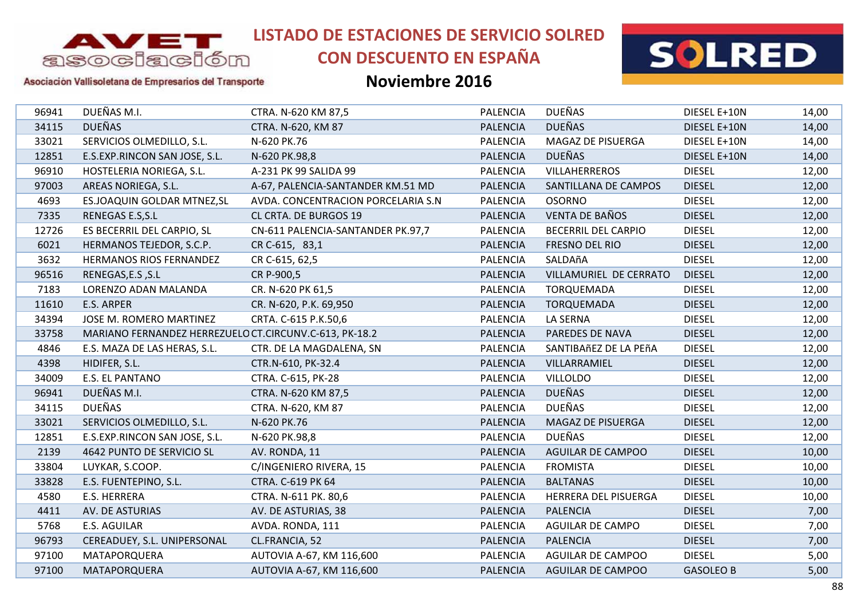

# **CON DESCUENTO EN ESPAÑA**



#### Asociación Vallisoletana de Empresarios del Transporte

| 96941 | DUEÑAS M.I.                                            | CTRA. N-620 KM 87,5                | <b>PALENCIA</b> | <b>DUEÑAS</b>              | DIESEL E+10N     | 14,00 |
|-------|--------------------------------------------------------|------------------------------------|-----------------|----------------------------|------------------|-------|
| 34115 | <b>DUEÑAS</b>                                          | CTRA. N-620, KM 87                 | <b>PALENCIA</b> | <b>DUEÑAS</b>              | DIESEL E+10N     | 14,00 |
| 33021 | SERVICIOS OLMEDILLO, S.L.                              | N-620 PK.76                        | <b>PALENCIA</b> | MAGAZ DE PISUERGA          | DIESEL E+10N     | 14,00 |
| 12851 | E.S.EXP.RINCON SAN JOSE, S.L.                          | N-620 PK.98,8                      | <b>PALENCIA</b> | <b>DUEÑAS</b>              | DIESEL E+10N     | 14,00 |
| 96910 | HOSTELERIA NORIEGA, S.L.                               | A-231 PK 99 SALIDA 99              | <b>PALENCIA</b> | <b>VILLAHERREROS</b>       | <b>DIESEL</b>    | 12,00 |
| 97003 | AREAS NORIEGA, S.L.                                    | A-67, PALENCIA-SANTANDER KM.51 MD  | <b>PALENCIA</b> | SANTILLANA DE CAMPOS       | <b>DIESEL</b>    | 12,00 |
| 4693  | ES.JOAQUIN GOLDAR MTNEZ, SL                            | AVDA. CONCENTRACION PORCELARIA S.N | <b>PALENCIA</b> | <b>OSORNO</b>              | <b>DIESEL</b>    | 12,00 |
| 7335  | RENEGAS E.S, S.L                                       | CL CRTA. DE BURGOS 19              | <b>PALENCIA</b> | <b>VENTA DE BAÑOS</b>      | <b>DIESEL</b>    | 12,00 |
| 12726 | ES BECERRIL DEL CARPIO, SL                             | CN-611 PALENCIA-SANTANDER PK.97,7  | <b>PALENCIA</b> | <b>BECERRIL DEL CARPIO</b> | <b>DIESEL</b>    | 12,00 |
| 6021  | HERMANOS TEJEDOR, S.C.P.                               | CR C-615, 83,1                     | <b>PALENCIA</b> | FRESNO DEL RIO             | <b>DIESEL</b>    | 12,00 |
| 3632  | <b>HERMANOS RIOS FERNANDEZ</b>                         | CR C-615, 62,5                     | <b>PALENCIA</b> | SALDAñA                    | <b>DIESEL</b>    | 12,00 |
| 96516 | RENEGAS, E.S, S.L                                      | CR P-900,5                         | <b>PALENCIA</b> | VILLAMURIEL DE CERRATO     | <b>DIESEL</b>    | 12,00 |
| 7183  | LORENZO ADAN MALANDA                                   | CR. N-620 PK 61,5                  | <b>PALENCIA</b> | TORQUEMADA                 | <b>DIESEL</b>    | 12,00 |
| 11610 | E.S. ARPER                                             | CR. N-620, P.K. 69,950             | <b>PALENCIA</b> | TORQUEMADA                 | <b>DIESEL</b>    | 12,00 |
| 34394 | JOSE M. ROMERO MARTINEZ                                | CRTA. C-615 P.K.50,6               | <b>PALENCIA</b> | <b>LA SERNA</b>            | <b>DIESEL</b>    | 12,00 |
| 33758 | MARIANO FERNANDEZ HERREZUELO CT.CIRCUNV.C-613, PK-18.2 |                                    | <b>PALENCIA</b> | PAREDES DE NAVA            | <b>DIESEL</b>    | 12,00 |
| 4846  | E.S. MAZA DE LAS HERAS, S.L.                           | CTR. DE LA MAGDALENA, SN           | <b>PALENCIA</b> | SANTIBAñEZ DE LA PEñA      | <b>DIESEL</b>    | 12,00 |
| 4398  | HIDIFER, S.L.                                          | CTR.N-610, PK-32.4                 | <b>PALENCIA</b> | VILLARRAMIEL               | <b>DIESEL</b>    | 12,00 |
| 34009 | E.S. EL PANTANO                                        | CTRA. C-615, PK-28                 | <b>PALENCIA</b> | <b>VILLOLDO</b>            | <b>DIESEL</b>    | 12,00 |
| 96941 | DUEÑAS M.I.                                            | CTRA. N-620 KM 87,5                | <b>PALENCIA</b> | <b>DUEÑAS</b>              | <b>DIESEL</b>    | 12,00 |
| 34115 | <b>DUEÑAS</b>                                          | CTRA. N-620, KM 87                 | <b>PALENCIA</b> | <b>DUEÑAS</b>              | <b>DIESEL</b>    | 12,00 |
| 33021 | SERVICIOS OLMEDILLO, S.L.                              | N-620 PK.76                        | <b>PALENCIA</b> | MAGAZ DE PISUERGA          | <b>DIESEL</b>    | 12,00 |
| 12851 | E.S.EXP.RINCON SAN JOSE, S.L.                          | N-620 PK.98,8                      | <b>PALENCIA</b> | <b>DUEÑAS</b>              | <b>DIESEL</b>    | 12,00 |
| 2139  | 4642 PUNTO DE SERVICIO SL                              | AV. RONDA, 11                      | <b>PALENCIA</b> | <b>AGUILAR DE CAMPOO</b>   | <b>DIESEL</b>    | 10,00 |
| 33804 | LUYKAR, S.COOP.                                        | C/INGENIERO RIVERA, 15             | <b>PALENCIA</b> | <b>FROMISTA</b>            | <b>DIESEL</b>    | 10,00 |
| 33828 | E.S. FUENTEPINO, S.L.                                  | CTRA. C-619 PK 64                  | <b>PALENCIA</b> | <b>BALTANAS</b>            | <b>DIESEL</b>    | 10,00 |
| 4580  | E.S. HERRERA                                           | CTRA. N-611 PK. 80,6               | <b>PALENCIA</b> | HERRERA DEL PISUERGA       | <b>DIESEL</b>    | 10,00 |
| 4411  | AV. DE ASTURIAS                                        | AV. DE ASTURIAS, 38                | <b>PALENCIA</b> | <b>PALENCIA</b>            | <b>DIESEL</b>    | 7,00  |
| 5768  | <b>E.S. AGUILAR</b>                                    | AVDA. RONDA, 111                   | <b>PALENCIA</b> | <b>AGUILAR DE CAMPO</b>    | <b>DIESEL</b>    | 7,00  |
| 96793 | CEREADUEY, S.L. UNIPERSONAL                            | CL.FRANCIA, 52                     | <b>PALENCIA</b> | <b>PALENCIA</b>            | <b>DIESEL</b>    | 7,00  |
| 97100 | MATAPORQUERA                                           | AUTOVIA A-67, KM 116,600           | <b>PALENCIA</b> | <b>AGUILAR DE CAMPOO</b>   | <b>DIESEL</b>    | 5,00  |
| 97100 | MATAPORQUERA                                           | AUTOVIA A-67, KM 116,600           | <b>PALENCIA</b> | <b>AGUILAR DE CAMPOO</b>   | <b>GASOLEO B</b> | 5,00  |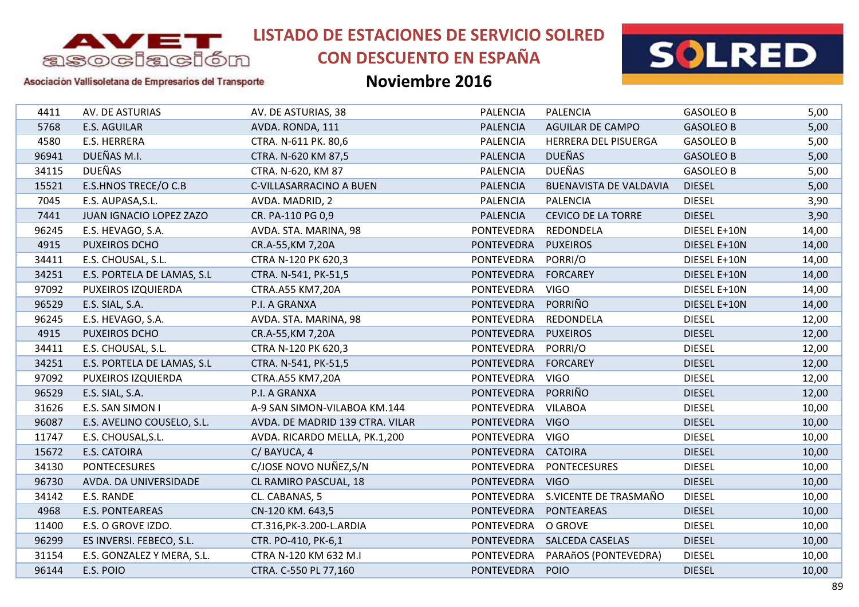

# **CON DESCUENTO EN ESPAÑA**



#### Asociación Vallisoletana de Empresarios del Transporte

| 4411  | AV. DE ASTURIAS            | AV. DE ASTURIAS, 38             | <b>PALENCIA</b>   | <b>PALENCIA</b>               | <b>GASOLEO B</b> | 5,00  |
|-------|----------------------------|---------------------------------|-------------------|-------------------------------|------------------|-------|
| 5768  | <b>E.S. AGUILAR</b>        | AVDA. RONDA, 111                | <b>PALENCIA</b>   | <b>AGUILAR DE CAMPO</b>       | <b>GASOLEO B</b> | 5,00  |
| 4580  | E.S. HERRERA               | CTRA. N-611 PK. 80,6            | <b>PALENCIA</b>   | HERRERA DEL PISUERGA          | <b>GASOLEO B</b> | 5,00  |
| 96941 | DUEÑAS M.I.                | CTRA. N-620 KM 87,5             | <b>PALENCIA</b>   | <b>DUEÑAS</b>                 | <b>GASOLEO B</b> | 5,00  |
| 34115 | <b>DUEÑAS</b>              | CTRA. N-620, KM 87              | <b>PALENCIA</b>   | <b>DUEÑAS</b>                 | <b>GASOLEO B</b> | 5,00  |
| 15521 | E.S.HNOS TRECE/O C.B       | C-VILLASARRACINO A BUEN         | <b>PALENCIA</b>   | <b>BUENAVISTA DE VALDAVIA</b> | <b>DIESEL</b>    | 5,00  |
| 7045  | E.S. AUPASA, S.L.          | AVDA. MADRID, 2                 | <b>PALENCIA</b>   | <b>PALENCIA</b>               | <b>DIESEL</b>    | 3,90  |
| 7441  | JUAN IGNACIO LOPEZ ZAZO    | CR. PA-110 PG 0,9               | <b>PALENCIA</b>   | <b>CEVICO DE LA TORRE</b>     | <b>DIESEL</b>    | 3,90  |
| 96245 | E.S. HEVAGO, S.A.          | AVDA. STA. MARINA, 98           | <b>PONTEVEDRA</b> | REDONDELA                     | DIESEL E+10N     | 14,00 |
| 4915  | <b>PUXEIROS DCHO</b>       | CR.A-55, KM 7, 20A              | <b>PONTEVEDRA</b> | <b>PUXEIROS</b>               | DIESEL E+10N     | 14,00 |
| 34411 | E.S. CHOUSAL, S.L.         | CTRA N-120 PK 620,3             | <b>PONTEVEDRA</b> | PORRI/O                       | DIESEL E+10N     | 14,00 |
| 34251 | E.S. PORTELA DE LAMAS, S.L | CTRA. N-541, PK-51,5            | <b>PONTEVEDRA</b> | <b>FORCAREY</b>               | DIESEL E+10N     | 14,00 |
| 97092 | PUXEIROS IZQUIERDA         | CTRA.A55 KM7,20A                | <b>PONTEVEDRA</b> | <b>VIGO</b>                   | DIESEL E+10N     | 14,00 |
| 96529 | E.S. SIAL, S.A.            | P.I. A GRANXA                   | <b>PONTEVEDRA</b> | PORRIÑO                       | DIESEL E+10N     | 14,00 |
| 96245 | E.S. HEVAGO, S.A.          | AVDA. STA. MARINA, 98           | PONTEVEDRA        | REDONDELA                     | <b>DIESEL</b>    | 12,00 |
| 4915  | <b>PUXEIROS DCHO</b>       | CR.A-55, KM 7, 20A              | <b>PONTEVEDRA</b> | <b>PUXEIROS</b>               | <b>DIESEL</b>    | 12,00 |
| 34411 | E.S. CHOUSAL, S.L.         | CTRA N-120 PK 620,3             | <b>PONTEVEDRA</b> | PORRI/O                       | <b>DIESEL</b>    | 12,00 |
| 34251 | E.S. PORTELA DE LAMAS, S.L | CTRA. N-541, PK-51,5            | <b>PONTEVEDRA</b> | <b>FORCAREY</b>               | <b>DIESEL</b>    | 12,00 |
| 97092 | PUXEIROS IZQUIERDA         | CTRA.A55 KM7,20A                | <b>PONTEVEDRA</b> | <b>VIGO</b>                   | <b>DIESEL</b>    | 12,00 |
| 96529 | E.S. SIAL, S.A.            | P.I. A GRANXA                   | <b>PONTEVEDRA</b> | PORRIÑO                       | <b>DIESEL</b>    | 12,00 |
| 31626 | E.S. SAN SIMON I           | A-9 SAN SIMON-VILABOA KM.144    | <b>PONTEVEDRA</b> | <b>VILABOA</b>                | <b>DIESEL</b>    | 10,00 |
| 96087 | E.S. AVELINO COUSELO, S.L. | AVDA. DE MADRID 139 CTRA. VILAR | <b>PONTEVEDRA</b> | <b>VIGO</b>                   | <b>DIESEL</b>    | 10,00 |
| 11747 | E.S. CHOUSAL, S.L.         | AVDA. RICARDO MELLA, PK.1,200   | <b>PONTEVEDRA</b> | <b>VIGO</b>                   | <b>DIESEL</b>    | 10,00 |
| 15672 | <b>E.S. CATOIRA</b>        | C/BAYUCA, 4                     | <b>PONTEVEDRA</b> | <b>CATOIRA</b>                | <b>DIESEL</b>    | 10,00 |
| 34130 | <b>PONTECESURES</b>        | C/JOSE NOVO NUÑEZ, S/N          | <b>PONTEVEDRA</b> | <b>PONTECESURES</b>           | <b>DIESEL</b>    | 10,00 |
| 96730 | AVDA. DA UNIVERSIDADE      | CL RAMIRO PASCUAL, 18           | <b>PONTEVEDRA</b> | <b>VIGO</b>                   | <b>DIESEL</b>    | 10,00 |
| 34142 | E.S. RANDE                 | CL. CABANAS, 5                  | PONTEVEDRA        | S.VICENTE DE TRASMAÑO         | <b>DIESEL</b>    | 10,00 |
| 4968  | <b>E.S. PONTEAREAS</b>     | CN-120 KM. 643,5                | <b>PONTEVEDRA</b> | <b>PONTEAREAS</b>             | <b>DIESEL</b>    | 10,00 |
| 11400 | E.S. O GROVE IZDO.         | CT.316, PK-3.200-L. ARDIA       | <b>PONTEVEDRA</b> | O GROVE                       | <b>DIESEL</b>    | 10,00 |
| 96299 | ES INVERSI. FEBECO, S.L.   | CTR. PO-410, PK-6,1             | <b>PONTEVEDRA</b> | <b>SALCEDA CASELAS</b>        | <b>DIESEL</b>    | 10,00 |
| 31154 | E.S. GONZALEZ Y MERA, S.L. | CTRA N-120 KM 632 M.I           | <b>PONTEVEDRA</b> | PARAñOS (PONTEVEDRA)          | <b>DIESEL</b>    | 10,00 |
| 96144 | E.S. POIO                  | CTRA. C-550 PL 77,160           | <b>PONTEVEDRA</b> | <b>POIO</b>                   | <b>DIESEL</b>    | 10,00 |
|       |                            |                                 |                   |                               |                  |       |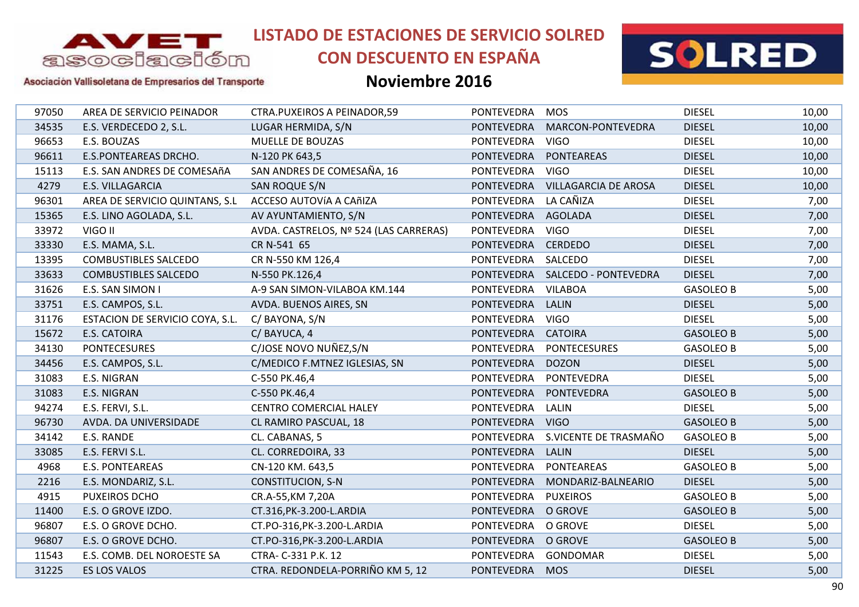

## **CON DESCUENTO EN ESPAÑA**



#### Asociación Vallisoletana de Empresarios del Transporte

| 97050<br><b>PONTEVEDRA</b><br><b>DIESEL</b><br>AREA DE SERVICIO PEINADOR<br><b>CTRA.PUXEIROS A PEINADOR,59</b><br><b>MOS</b><br>34535<br><b>PONTEVEDRA</b><br><b>DIESEL</b><br>E.S. VERDECEDO 2, S.L.<br>LUGAR HERMIDA, S/N<br>MARCON-PONTEVEDRA<br>E.S. BOUZAS<br><b>MUELLE DE BOUZAS</b><br><b>PONTEVEDRA</b><br><b>DIESEL</b><br>96653<br><b>VIGO</b><br>96611<br>E.S.PONTEAREAS DRCHO.<br><b>PONTEVEDRA</b><br><b>PONTEAREAS</b><br><b>DIESEL</b><br>N-120 PK 643,5<br>SAN ANDRES DE COMESAÑA, 16<br>E.S. SAN ANDRES DE COMESAñA<br><b>PONTEVEDRA</b><br><b>VIGO</b><br><b>DIESEL</b><br>15113<br>4279<br>E.S. VILLAGARCIA<br>SAN ROQUE S/N<br><b>PONTEVEDRA</b><br><b>VILLAGARCIA DE AROSA</b><br><b>DIESEL</b><br>LA CAÑIZA<br><b>DIESEL</b><br>96301<br>AREA DE SERVICIO QUINTANS, S.L<br>ACCESO AUTOVÍA A CAñIZA<br><b>PONTEVEDRA</b><br>15365<br>E.S. LINO AGOLADA, S.L.<br>AV AYUNTAMIENTO, S/N<br><b>PONTEVEDRA</b><br>AGOLADA<br><b>DIESEL</b><br>33972<br>VIGO II<br>AVDA. CASTRELOS, Nº 524 (LAS CARRERAS)<br><b>PONTEVEDRA</b><br><b>VIGO</b><br><b>DIESEL</b><br>33330<br><b>DIESEL</b><br>E.S. MAMA, S.L.<br>CR N-541 65<br><b>PONTEVEDRA</b><br><b>CERDEDO</b><br><b>PONTEVEDRA</b><br>13395<br><b>COMBUSTIBLES SALCEDO</b><br>CR N-550 KM 126,4<br>SALCEDO<br><b>DIESEL</b><br><b>DIESEL</b><br>33633<br>N-550 PK.126,4<br>PONTEVEDRA SALCEDO - PONTEVEDRA<br><b>COMBUSTIBLES SALCEDO</b><br>31626<br>PONTEVEDRA<br><b>VILABOA</b><br>E.S. SAN SIMON I<br>A-9 SAN SIMON-VILABOA KM.144<br><b>GASOLEO B</b><br>33751<br>E.S. CAMPOS, S.L.<br><b>PONTEVEDRA</b><br><b>LALIN</b><br><b>DIESEL</b><br>AVDA. BUENOS AIRES, SN<br>31176<br>ESTACION DE SERVICIO COYA, S.L.<br><b>PONTEVEDRA</b><br><b>VIGO</b><br><b>DIESEL</b><br>C/ BAYONA, S/N<br>15672<br><b>E.S. CATOIRA</b><br>C/BAYUCA, 4<br><b>PONTEVEDRA</b><br><b>CATOIRA</b><br><b>GASOLEO B</b><br>C/JOSE NOVO NUÑEZ, S/N<br><b>PONTEVEDRA</b><br><b>PONTECESURES</b><br>34130<br><b>PONTECESURES</b><br><b>GASOLEO B</b><br><b>DIESEL</b><br>34456<br>C/MEDICO F.MTNEZ IGLESIAS, SN<br><b>PONTEVEDRA</b><br><b>DOZON</b><br>E.S. CAMPOS, S.L.<br><b>DIESEL</b><br>31083<br>E.S. NIGRAN<br><b>PONTEVEDRA</b><br>PONTEVEDRA<br>C-550 PK.46,4<br><b>PONTEVEDRA</b><br><b>PONTEVEDRA</b><br>31083<br><b>E.S. NIGRAN</b><br>C-550 PK.46,4<br><b>GASOLEO B</b><br><b>DIESEL</b><br>94274<br>E.S. FERVI, S.L.<br><b>CENTRO COMERCIAL HALEY</b><br><b>PONTEVEDRA</b><br><b>LALIN</b><br>96730<br>PONTEVEDRA VIGO<br>AVDA. DA UNIVERSIDADE<br>CL RAMIRO PASCUAL, 18<br><b>GASOLEO B</b><br>S.VICENTE DE TRASMAÑO<br><b>PONTEVEDRA</b><br>34142<br>E.S. RANDE<br>CL. CABANAS, 5<br><b>GASOLEO B</b><br>33085<br><b>PONTEVEDRA</b><br><b>LALIN</b><br><b>DIESEL</b><br>E.S. FERVI S.L.<br>CL. CORREDOIRA, 33<br>4968<br><b>PONTEVEDRA</b><br><b>PONTEAREAS</b><br><b>E.S. PONTEAREAS</b><br>CN-120 KM. 643,5<br><b>GASOLEO B</b><br><b>CONSTITUCION, S-N</b><br><b>PONTEVEDRA</b><br><b>DIESEL</b><br>2216<br>E.S. MONDARIZ, S.L.<br>MONDARIZ-BALNEARIO<br>4915<br>PUXEIROS DCHO<br>CR.A-55, KM 7, 20A<br><b>PONTEVEDRA</b><br><b>PUXEIROS</b><br><b>GASOLEO B</b><br>11400<br>E.S. O GROVE IZDO.<br><b>PONTEVEDRA</b><br>O GROVE<br><b>GASOLEO B</b><br>CT.316, PK-3.200-L. ARDIA<br>96807<br>E.S. O GROVE DCHO.<br><b>PONTEVEDRA</b><br><b>DIESEL</b><br>CT.PO-316, PK-3.200-L. ARDIA<br>O GROVE<br>96807<br>CT.PO-316, PK-3.200-L. ARDIA<br><b>PONTEVEDRA</b><br>O GROVE<br><b>GASOLEO B</b><br>E.S. O GROVE DCHO.<br><b>DIESEL</b><br>11543<br>E.S. COMB. DEL NOROESTE SA<br>CTRA- C-331 P.K. 12<br><b>PONTEVEDRA</b><br><b>GONDOMAR</b><br>CTRA. REDONDELA-PORRIÑO KM 5, 12<br>31225<br>PONTEVEDRA MOS<br><b>DIESEL</b><br>ES LOS VALOS |  |  |  |       |
|-------------------------------------------------------------------------------------------------------------------------------------------------------------------------------------------------------------------------------------------------------------------------------------------------------------------------------------------------------------------------------------------------------------------------------------------------------------------------------------------------------------------------------------------------------------------------------------------------------------------------------------------------------------------------------------------------------------------------------------------------------------------------------------------------------------------------------------------------------------------------------------------------------------------------------------------------------------------------------------------------------------------------------------------------------------------------------------------------------------------------------------------------------------------------------------------------------------------------------------------------------------------------------------------------------------------------------------------------------------------------------------------------------------------------------------------------------------------------------------------------------------------------------------------------------------------------------------------------------------------------------------------------------------------------------------------------------------------------------------------------------------------------------------------------------------------------------------------------------------------------------------------------------------------------------------------------------------------------------------------------------------------------------------------------------------------------------------------------------------------------------------------------------------------------------------------------------------------------------------------------------------------------------------------------------------------------------------------------------------------------------------------------------------------------------------------------------------------------------------------------------------------------------------------------------------------------------------------------------------------------------------------------------------------------------------------------------------------------------------------------------------------------------------------------------------------------------------------------------------------------------------------------------------------------------------------------------------------------------------------------------------------------------------------------------------------------------------------------------------------------------------------------------------------------------------------------------------------------------------------------------------------------------------------------------------------------------------------------------------------------------------------------------------------------------------------------------------------------------------------------------------------------------------------------------------------------------------------------------------------------------------------------------------------------------------------------------------|--|--|--|-------|
|                                                                                                                                                                                                                                                                                                                                                                                                                                                                                                                                                                                                                                                                                                                                                                                                                                                                                                                                                                                                                                                                                                                                                                                                                                                                                                                                                                                                                                                                                                                                                                                                                                                                                                                                                                                                                                                                                                                                                                                                                                                                                                                                                                                                                                                                                                                                                                                                                                                                                                                                                                                                                                                                                                                                                                                                                                                                                                                                                                                                                                                                                                                                                                                                                                                                                                                                                                                                                                                                                                                                                                                                                                                                                                             |  |  |  | 10,00 |
|                                                                                                                                                                                                                                                                                                                                                                                                                                                                                                                                                                                                                                                                                                                                                                                                                                                                                                                                                                                                                                                                                                                                                                                                                                                                                                                                                                                                                                                                                                                                                                                                                                                                                                                                                                                                                                                                                                                                                                                                                                                                                                                                                                                                                                                                                                                                                                                                                                                                                                                                                                                                                                                                                                                                                                                                                                                                                                                                                                                                                                                                                                                                                                                                                                                                                                                                                                                                                                                                                                                                                                                                                                                                                                             |  |  |  | 10,00 |
|                                                                                                                                                                                                                                                                                                                                                                                                                                                                                                                                                                                                                                                                                                                                                                                                                                                                                                                                                                                                                                                                                                                                                                                                                                                                                                                                                                                                                                                                                                                                                                                                                                                                                                                                                                                                                                                                                                                                                                                                                                                                                                                                                                                                                                                                                                                                                                                                                                                                                                                                                                                                                                                                                                                                                                                                                                                                                                                                                                                                                                                                                                                                                                                                                                                                                                                                                                                                                                                                                                                                                                                                                                                                                                             |  |  |  | 10,00 |
|                                                                                                                                                                                                                                                                                                                                                                                                                                                                                                                                                                                                                                                                                                                                                                                                                                                                                                                                                                                                                                                                                                                                                                                                                                                                                                                                                                                                                                                                                                                                                                                                                                                                                                                                                                                                                                                                                                                                                                                                                                                                                                                                                                                                                                                                                                                                                                                                                                                                                                                                                                                                                                                                                                                                                                                                                                                                                                                                                                                                                                                                                                                                                                                                                                                                                                                                                                                                                                                                                                                                                                                                                                                                                                             |  |  |  | 10,00 |
|                                                                                                                                                                                                                                                                                                                                                                                                                                                                                                                                                                                                                                                                                                                                                                                                                                                                                                                                                                                                                                                                                                                                                                                                                                                                                                                                                                                                                                                                                                                                                                                                                                                                                                                                                                                                                                                                                                                                                                                                                                                                                                                                                                                                                                                                                                                                                                                                                                                                                                                                                                                                                                                                                                                                                                                                                                                                                                                                                                                                                                                                                                                                                                                                                                                                                                                                                                                                                                                                                                                                                                                                                                                                                                             |  |  |  | 10,00 |
|                                                                                                                                                                                                                                                                                                                                                                                                                                                                                                                                                                                                                                                                                                                                                                                                                                                                                                                                                                                                                                                                                                                                                                                                                                                                                                                                                                                                                                                                                                                                                                                                                                                                                                                                                                                                                                                                                                                                                                                                                                                                                                                                                                                                                                                                                                                                                                                                                                                                                                                                                                                                                                                                                                                                                                                                                                                                                                                                                                                                                                                                                                                                                                                                                                                                                                                                                                                                                                                                                                                                                                                                                                                                                                             |  |  |  | 10,00 |
|                                                                                                                                                                                                                                                                                                                                                                                                                                                                                                                                                                                                                                                                                                                                                                                                                                                                                                                                                                                                                                                                                                                                                                                                                                                                                                                                                                                                                                                                                                                                                                                                                                                                                                                                                                                                                                                                                                                                                                                                                                                                                                                                                                                                                                                                                                                                                                                                                                                                                                                                                                                                                                                                                                                                                                                                                                                                                                                                                                                                                                                                                                                                                                                                                                                                                                                                                                                                                                                                                                                                                                                                                                                                                                             |  |  |  | 7,00  |
|                                                                                                                                                                                                                                                                                                                                                                                                                                                                                                                                                                                                                                                                                                                                                                                                                                                                                                                                                                                                                                                                                                                                                                                                                                                                                                                                                                                                                                                                                                                                                                                                                                                                                                                                                                                                                                                                                                                                                                                                                                                                                                                                                                                                                                                                                                                                                                                                                                                                                                                                                                                                                                                                                                                                                                                                                                                                                                                                                                                                                                                                                                                                                                                                                                                                                                                                                                                                                                                                                                                                                                                                                                                                                                             |  |  |  | 7,00  |
|                                                                                                                                                                                                                                                                                                                                                                                                                                                                                                                                                                                                                                                                                                                                                                                                                                                                                                                                                                                                                                                                                                                                                                                                                                                                                                                                                                                                                                                                                                                                                                                                                                                                                                                                                                                                                                                                                                                                                                                                                                                                                                                                                                                                                                                                                                                                                                                                                                                                                                                                                                                                                                                                                                                                                                                                                                                                                                                                                                                                                                                                                                                                                                                                                                                                                                                                                                                                                                                                                                                                                                                                                                                                                                             |  |  |  | 7,00  |
|                                                                                                                                                                                                                                                                                                                                                                                                                                                                                                                                                                                                                                                                                                                                                                                                                                                                                                                                                                                                                                                                                                                                                                                                                                                                                                                                                                                                                                                                                                                                                                                                                                                                                                                                                                                                                                                                                                                                                                                                                                                                                                                                                                                                                                                                                                                                                                                                                                                                                                                                                                                                                                                                                                                                                                                                                                                                                                                                                                                                                                                                                                                                                                                                                                                                                                                                                                                                                                                                                                                                                                                                                                                                                                             |  |  |  | 7,00  |
|                                                                                                                                                                                                                                                                                                                                                                                                                                                                                                                                                                                                                                                                                                                                                                                                                                                                                                                                                                                                                                                                                                                                                                                                                                                                                                                                                                                                                                                                                                                                                                                                                                                                                                                                                                                                                                                                                                                                                                                                                                                                                                                                                                                                                                                                                                                                                                                                                                                                                                                                                                                                                                                                                                                                                                                                                                                                                                                                                                                                                                                                                                                                                                                                                                                                                                                                                                                                                                                                                                                                                                                                                                                                                                             |  |  |  | 7,00  |
|                                                                                                                                                                                                                                                                                                                                                                                                                                                                                                                                                                                                                                                                                                                                                                                                                                                                                                                                                                                                                                                                                                                                                                                                                                                                                                                                                                                                                                                                                                                                                                                                                                                                                                                                                                                                                                                                                                                                                                                                                                                                                                                                                                                                                                                                                                                                                                                                                                                                                                                                                                                                                                                                                                                                                                                                                                                                                                                                                                                                                                                                                                                                                                                                                                                                                                                                                                                                                                                                                                                                                                                                                                                                                                             |  |  |  | 7,00  |
|                                                                                                                                                                                                                                                                                                                                                                                                                                                                                                                                                                                                                                                                                                                                                                                                                                                                                                                                                                                                                                                                                                                                                                                                                                                                                                                                                                                                                                                                                                                                                                                                                                                                                                                                                                                                                                                                                                                                                                                                                                                                                                                                                                                                                                                                                                                                                                                                                                                                                                                                                                                                                                                                                                                                                                                                                                                                                                                                                                                                                                                                                                                                                                                                                                                                                                                                                                                                                                                                                                                                                                                                                                                                                                             |  |  |  | 5,00  |
|                                                                                                                                                                                                                                                                                                                                                                                                                                                                                                                                                                                                                                                                                                                                                                                                                                                                                                                                                                                                                                                                                                                                                                                                                                                                                                                                                                                                                                                                                                                                                                                                                                                                                                                                                                                                                                                                                                                                                                                                                                                                                                                                                                                                                                                                                                                                                                                                                                                                                                                                                                                                                                                                                                                                                                                                                                                                                                                                                                                                                                                                                                                                                                                                                                                                                                                                                                                                                                                                                                                                                                                                                                                                                                             |  |  |  | 5,00  |
|                                                                                                                                                                                                                                                                                                                                                                                                                                                                                                                                                                                                                                                                                                                                                                                                                                                                                                                                                                                                                                                                                                                                                                                                                                                                                                                                                                                                                                                                                                                                                                                                                                                                                                                                                                                                                                                                                                                                                                                                                                                                                                                                                                                                                                                                                                                                                                                                                                                                                                                                                                                                                                                                                                                                                                                                                                                                                                                                                                                                                                                                                                                                                                                                                                                                                                                                                                                                                                                                                                                                                                                                                                                                                                             |  |  |  | 5,00  |
|                                                                                                                                                                                                                                                                                                                                                                                                                                                                                                                                                                                                                                                                                                                                                                                                                                                                                                                                                                                                                                                                                                                                                                                                                                                                                                                                                                                                                                                                                                                                                                                                                                                                                                                                                                                                                                                                                                                                                                                                                                                                                                                                                                                                                                                                                                                                                                                                                                                                                                                                                                                                                                                                                                                                                                                                                                                                                                                                                                                                                                                                                                                                                                                                                                                                                                                                                                                                                                                                                                                                                                                                                                                                                                             |  |  |  | 5,00  |
|                                                                                                                                                                                                                                                                                                                                                                                                                                                                                                                                                                                                                                                                                                                                                                                                                                                                                                                                                                                                                                                                                                                                                                                                                                                                                                                                                                                                                                                                                                                                                                                                                                                                                                                                                                                                                                                                                                                                                                                                                                                                                                                                                                                                                                                                                                                                                                                                                                                                                                                                                                                                                                                                                                                                                                                                                                                                                                                                                                                                                                                                                                                                                                                                                                                                                                                                                                                                                                                                                                                                                                                                                                                                                                             |  |  |  | 5,00  |
|                                                                                                                                                                                                                                                                                                                                                                                                                                                                                                                                                                                                                                                                                                                                                                                                                                                                                                                                                                                                                                                                                                                                                                                                                                                                                                                                                                                                                                                                                                                                                                                                                                                                                                                                                                                                                                                                                                                                                                                                                                                                                                                                                                                                                                                                                                                                                                                                                                                                                                                                                                                                                                                                                                                                                                                                                                                                                                                                                                                                                                                                                                                                                                                                                                                                                                                                                                                                                                                                                                                                                                                                                                                                                                             |  |  |  | 5,00  |
|                                                                                                                                                                                                                                                                                                                                                                                                                                                                                                                                                                                                                                                                                                                                                                                                                                                                                                                                                                                                                                                                                                                                                                                                                                                                                                                                                                                                                                                                                                                                                                                                                                                                                                                                                                                                                                                                                                                                                                                                                                                                                                                                                                                                                                                                                                                                                                                                                                                                                                                                                                                                                                                                                                                                                                                                                                                                                                                                                                                                                                                                                                                                                                                                                                                                                                                                                                                                                                                                                                                                                                                                                                                                                                             |  |  |  | 5,00  |
|                                                                                                                                                                                                                                                                                                                                                                                                                                                                                                                                                                                                                                                                                                                                                                                                                                                                                                                                                                                                                                                                                                                                                                                                                                                                                                                                                                                                                                                                                                                                                                                                                                                                                                                                                                                                                                                                                                                                                                                                                                                                                                                                                                                                                                                                                                                                                                                                                                                                                                                                                                                                                                                                                                                                                                                                                                                                                                                                                                                                                                                                                                                                                                                                                                                                                                                                                                                                                                                                                                                                                                                                                                                                                                             |  |  |  | 5,00  |
|                                                                                                                                                                                                                                                                                                                                                                                                                                                                                                                                                                                                                                                                                                                                                                                                                                                                                                                                                                                                                                                                                                                                                                                                                                                                                                                                                                                                                                                                                                                                                                                                                                                                                                                                                                                                                                                                                                                                                                                                                                                                                                                                                                                                                                                                                                                                                                                                                                                                                                                                                                                                                                                                                                                                                                                                                                                                                                                                                                                                                                                                                                                                                                                                                                                                                                                                                                                                                                                                                                                                                                                                                                                                                                             |  |  |  | 5,00  |
|                                                                                                                                                                                                                                                                                                                                                                                                                                                                                                                                                                                                                                                                                                                                                                                                                                                                                                                                                                                                                                                                                                                                                                                                                                                                                                                                                                                                                                                                                                                                                                                                                                                                                                                                                                                                                                                                                                                                                                                                                                                                                                                                                                                                                                                                                                                                                                                                                                                                                                                                                                                                                                                                                                                                                                                                                                                                                                                                                                                                                                                                                                                                                                                                                                                                                                                                                                                                                                                                                                                                                                                                                                                                                                             |  |  |  | 5,00  |
|                                                                                                                                                                                                                                                                                                                                                                                                                                                                                                                                                                                                                                                                                                                                                                                                                                                                                                                                                                                                                                                                                                                                                                                                                                                                                                                                                                                                                                                                                                                                                                                                                                                                                                                                                                                                                                                                                                                                                                                                                                                                                                                                                                                                                                                                                                                                                                                                                                                                                                                                                                                                                                                                                                                                                                                                                                                                                                                                                                                                                                                                                                                                                                                                                                                                                                                                                                                                                                                                                                                                                                                                                                                                                                             |  |  |  | 5,00  |
|                                                                                                                                                                                                                                                                                                                                                                                                                                                                                                                                                                                                                                                                                                                                                                                                                                                                                                                                                                                                                                                                                                                                                                                                                                                                                                                                                                                                                                                                                                                                                                                                                                                                                                                                                                                                                                                                                                                                                                                                                                                                                                                                                                                                                                                                                                                                                                                                                                                                                                                                                                                                                                                                                                                                                                                                                                                                                                                                                                                                                                                                                                                                                                                                                                                                                                                                                                                                                                                                                                                                                                                                                                                                                                             |  |  |  | 5,00  |
|                                                                                                                                                                                                                                                                                                                                                                                                                                                                                                                                                                                                                                                                                                                                                                                                                                                                                                                                                                                                                                                                                                                                                                                                                                                                                                                                                                                                                                                                                                                                                                                                                                                                                                                                                                                                                                                                                                                                                                                                                                                                                                                                                                                                                                                                                                                                                                                                                                                                                                                                                                                                                                                                                                                                                                                                                                                                                                                                                                                                                                                                                                                                                                                                                                                                                                                                                                                                                                                                                                                                                                                                                                                                                                             |  |  |  | 5,00  |
|                                                                                                                                                                                                                                                                                                                                                                                                                                                                                                                                                                                                                                                                                                                                                                                                                                                                                                                                                                                                                                                                                                                                                                                                                                                                                                                                                                                                                                                                                                                                                                                                                                                                                                                                                                                                                                                                                                                                                                                                                                                                                                                                                                                                                                                                                                                                                                                                                                                                                                                                                                                                                                                                                                                                                                                                                                                                                                                                                                                                                                                                                                                                                                                                                                                                                                                                                                                                                                                                                                                                                                                                                                                                                                             |  |  |  | 5,00  |
|                                                                                                                                                                                                                                                                                                                                                                                                                                                                                                                                                                                                                                                                                                                                                                                                                                                                                                                                                                                                                                                                                                                                                                                                                                                                                                                                                                                                                                                                                                                                                                                                                                                                                                                                                                                                                                                                                                                                                                                                                                                                                                                                                                                                                                                                                                                                                                                                                                                                                                                                                                                                                                                                                                                                                                                                                                                                                                                                                                                                                                                                                                                                                                                                                                                                                                                                                                                                                                                                                                                                                                                                                                                                                                             |  |  |  | 5,00  |
|                                                                                                                                                                                                                                                                                                                                                                                                                                                                                                                                                                                                                                                                                                                                                                                                                                                                                                                                                                                                                                                                                                                                                                                                                                                                                                                                                                                                                                                                                                                                                                                                                                                                                                                                                                                                                                                                                                                                                                                                                                                                                                                                                                                                                                                                                                                                                                                                                                                                                                                                                                                                                                                                                                                                                                                                                                                                                                                                                                                                                                                                                                                                                                                                                                                                                                                                                                                                                                                                                                                                                                                                                                                                                                             |  |  |  | 5,00  |
|                                                                                                                                                                                                                                                                                                                                                                                                                                                                                                                                                                                                                                                                                                                                                                                                                                                                                                                                                                                                                                                                                                                                                                                                                                                                                                                                                                                                                                                                                                                                                                                                                                                                                                                                                                                                                                                                                                                                                                                                                                                                                                                                                                                                                                                                                                                                                                                                                                                                                                                                                                                                                                                                                                                                                                                                                                                                                                                                                                                                                                                                                                                                                                                                                                                                                                                                                                                                                                                                                                                                                                                                                                                                                                             |  |  |  | 5,00  |
|                                                                                                                                                                                                                                                                                                                                                                                                                                                                                                                                                                                                                                                                                                                                                                                                                                                                                                                                                                                                                                                                                                                                                                                                                                                                                                                                                                                                                                                                                                                                                                                                                                                                                                                                                                                                                                                                                                                                                                                                                                                                                                                                                                                                                                                                                                                                                                                                                                                                                                                                                                                                                                                                                                                                                                                                                                                                                                                                                                                                                                                                                                                                                                                                                                                                                                                                                                                                                                                                                                                                                                                                                                                                                                             |  |  |  | 5,00  |
|                                                                                                                                                                                                                                                                                                                                                                                                                                                                                                                                                                                                                                                                                                                                                                                                                                                                                                                                                                                                                                                                                                                                                                                                                                                                                                                                                                                                                                                                                                                                                                                                                                                                                                                                                                                                                                                                                                                                                                                                                                                                                                                                                                                                                                                                                                                                                                                                                                                                                                                                                                                                                                                                                                                                                                                                                                                                                                                                                                                                                                                                                                                                                                                                                                                                                                                                                                                                                                                                                                                                                                                                                                                                                                             |  |  |  | 5,00  |
|                                                                                                                                                                                                                                                                                                                                                                                                                                                                                                                                                                                                                                                                                                                                                                                                                                                                                                                                                                                                                                                                                                                                                                                                                                                                                                                                                                                                                                                                                                                                                                                                                                                                                                                                                                                                                                                                                                                                                                                                                                                                                                                                                                                                                                                                                                                                                                                                                                                                                                                                                                                                                                                                                                                                                                                                                                                                                                                                                                                                                                                                                                                                                                                                                                                                                                                                                                                                                                                                                                                                                                                                                                                                                                             |  |  |  | 5,00  |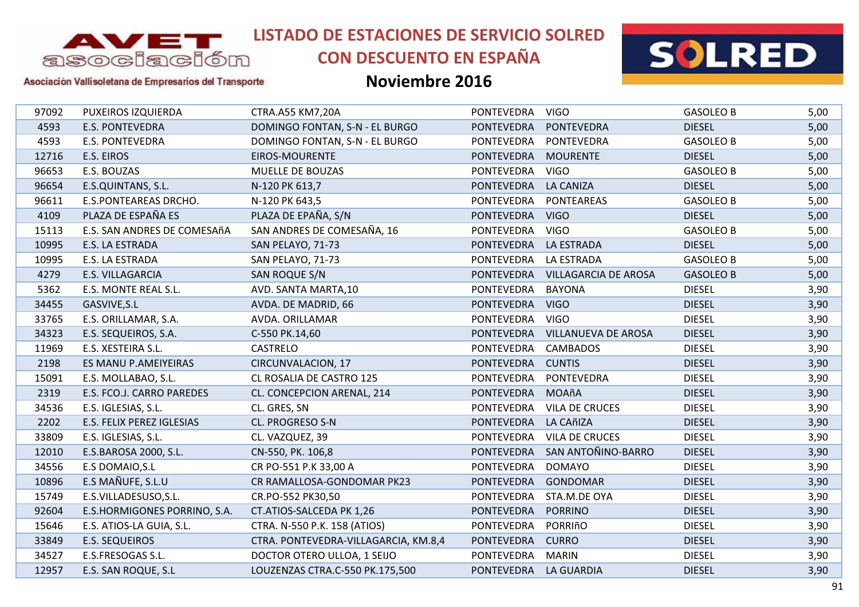

# **CON DESCUENTO EN ESPAÑA**



#### Asociación Vallisoletana de Empresarios del Transporte

| 97092 | PUXEIROS IZQUIERDA           | CTRA.A55 KM7,20A                     | PONTEVEDRA            | <b>VIGO</b>                 | <b>GASOLEO B</b> | 5,00 |
|-------|------------------------------|--------------------------------------|-----------------------|-----------------------------|------------------|------|
| 4593  | <b>E.S. PONTEVEDRA</b>       | DOMINGO FONTAN, S-N - EL BURGO       | <b>PONTEVEDRA</b>     | <b>PONTEVEDRA</b>           | <b>DIESEL</b>    | 5,00 |
| 4593  | <b>E.S. PONTEVEDRA</b>       | DOMINGO FONTAN, S-N - EL BURGO       | <b>PONTEVEDRA</b>     | PONTEVEDRA                  | <b>GASOLEO B</b> | 5,00 |
| 12716 | E.S. EIROS                   | EIROS-MOURENTE                       | <b>PONTEVEDRA</b>     | <b>MOURENTE</b>             | <b>DIESEL</b>    | 5,00 |
| 96653 | E.S. BOUZAS                  | MUELLE DE BOUZAS                     | <b>PONTEVEDRA</b>     | <b>VIGO</b>                 | <b>GASOLEO B</b> | 5,00 |
| 96654 | E.S.QUINTANS, S.L.           | N-120 PK 613,7                       | <b>PONTEVEDRA</b>     | <b>LA CANIZA</b>            | <b>DIESEL</b>    | 5,00 |
| 96611 | <b>E.S.PONTEAREAS DRCHO.</b> | N-120 PK 643,5                       | PONTEVEDRA            | PONTEAREAS                  | <b>GASOLEO B</b> | 5,00 |
| 4109  | PLAZA DE ESPAÑA ES           | PLAZA DE EPAÑA, S/N                  | <b>PONTEVEDRA</b>     | <b>VIGO</b>                 | <b>DIESEL</b>    | 5,00 |
| 15113 | E.S. SAN ANDRES DE COMESAñA  | SAN ANDRES DE COMESAÑA, 16           | PONTEVEDRA            | <b>VIGO</b>                 | <b>GASOLEO B</b> | 5,00 |
| 10995 | E.S. LA ESTRADA              | SAN PELAYO, 71-73                    | <b>PONTEVEDRA</b>     | <b>LA ESTRADA</b>           | <b>DIESEL</b>    | 5,00 |
| 10995 | E.S. LA ESTRADA              | SAN PELAYO, 71-73                    | <b>PONTEVEDRA</b>     | LA ESTRADA                  | <b>GASOLEO B</b> | 5,00 |
| 4279  | E.S. VILLAGARCIA             | SAN ROQUE S/N                        | <b>PONTEVEDRA</b>     | <b>VILLAGARCIA DE AROSA</b> | <b>GASOLEO B</b> | 5,00 |
| 5362  | E.S. MONTE REAL S.L.         | AVD. SANTA MARTA, 10                 | <b>PONTEVEDRA</b>     | <b>BAYONA</b>               | <b>DIESEL</b>    | 3,90 |
| 34455 | GASVIVE, S.L                 | AVDA. DE MADRID, 66                  | <b>PONTEVEDRA</b>     | <b>VIGO</b>                 | <b>DIESEL</b>    | 3,90 |
| 33765 | E.S. ORILLAMAR, S.A.         | AVDA. ORILLAMAR                      | <b>PONTEVEDRA</b>     | <b>VIGO</b>                 | <b>DIESEL</b>    | 3,90 |
| 34323 | E.S. SEQUEIROS, S.A.         | C-550 PK.14,60                       | <b>PONTEVEDRA</b>     | <b>VILLANUEVA DE AROSA</b>  | <b>DIESEL</b>    | 3,90 |
| 11969 | E.S. XESTEIRA S.L.           | CASTRELO                             | <b>PONTEVEDRA</b>     | CAMBADOS                    | <b>DIESEL</b>    | 3,90 |
| 2198  | ES MANU P.AMEIYEIRAS         | CIRCUNVALACION, 17                   | <b>PONTEVEDRA</b>     | <b>CUNTIS</b>               | <b>DIESEL</b>    | 3,90 |
| 15091 | E.S. MOLLABAO, S.L.          | CL ROSALIA DE CASTRO 125             | PONTEVEDRA            | PONTEVEDRA                  | <b>DIESEL</b>    | 3,90 |
| 2319  | E.S. FCO.J. CARRO PAREDES    | CL. CONCEPCION ARENAL, 214           | PONTEVEDRA            | MOAñA                       | <b>DIESEL</b>    | 3,90 |
| 34536 | E.S. IGLESIAS, S.L.          | CL. GRES, SN                         | <b>PONTEVEDRA</b>     | <b>VILA DE CRUCES</b>       | <b>DIESEL</b>    | 3,90 |
| 2202  | E.S. FELIX PEREZ IGLESIAS    | CL. PROGRESO S-N                     | <b>PONTEVEDRA</b>     | LA CAñIZA                   | <b>DIESEL</b>    | 3,90 |
| 33809 | E.S. IGLESIAS, S.L.          | CL. VAZQUEZ, 39                      | <b>PONTEVEDRA</b>     | <b>VILA DE CRUCES</b>       | <b>DIESEL</b>    | 3,90 |
| 12010 | E.S.BAROSA 2000, S.L.        | CN-550, PK. 106,8                    | <b>PONTEVEDRA</b>     | SAN ANTOÑINO-BARRO          | <b>DIESEL</b>    | 3,90 |
| 34556 | E.S DOMAIO, S.L              | CR PO-551 P.K 33,00 A                | <b>PONTEVEDRA</b>     | <b>DOMAYO</b>               | <b>DIESEL</b>    | 3,90 |
| 10896 | E.S MAÑUFE, S.L.U            | CR RAMALLOSA-GONDOMAR PK23           | <b>PONTEVEDRA</b>     | <b>GONDOMAR</b>             | <b>DIESEL</b>    | 3,90 |
| 15749 | E.S.VILLADESUSO, S.L.        | CR.PO-552 PK30,50                    | <b>PONTEVEDRA</b>     | STA.M.DE OYA                | <b>DIESEL</b>    | 3,90 |
| 92604 | E.S.HORMIGONES PORRINO, S.A. | CT.ATIOS-SALCEDA PK 1,26             | <b>PONTEVEDRA</b>     | <b>PORRINO</b>              | <b>DIESEL</b>    | 3,90 |
| 15646 | E.S. ATIOS-LA GUIA, S.L.     | CTRA. N-550 P.K. 158 (ATIOS)         | <b>PONTEVEDRA</b>     | PORRIñO                     | <b>DIESEL</b>    | 3,90 |
| 33849 | <b>E.S. SEQUEIROS</b>        | CTRA. PONTEVEDRA-VILLAGARCIA, KM.8,4 | <b>PONTEVEDRA</b>     | <b>CURRO</b>                | <b>DIESEL</b>    | 3,90 |
| 34527 | E.S.FRESOGAS S.L.            | DOCTOR OTERO ULLOA, 1 SEIJO          | PONTEVEDRA            | <b>MARIN</b>                | <b>DIESEL</b>    | 3,90 |
| 12957 | E.S. SAN ROQUE, S.L          | LOUZENZAS CTRA.C-550 PK.175,500      | PONTEVEDRA LA GUARDIA |                             | <b>DIESEL</b>    | 3,90 |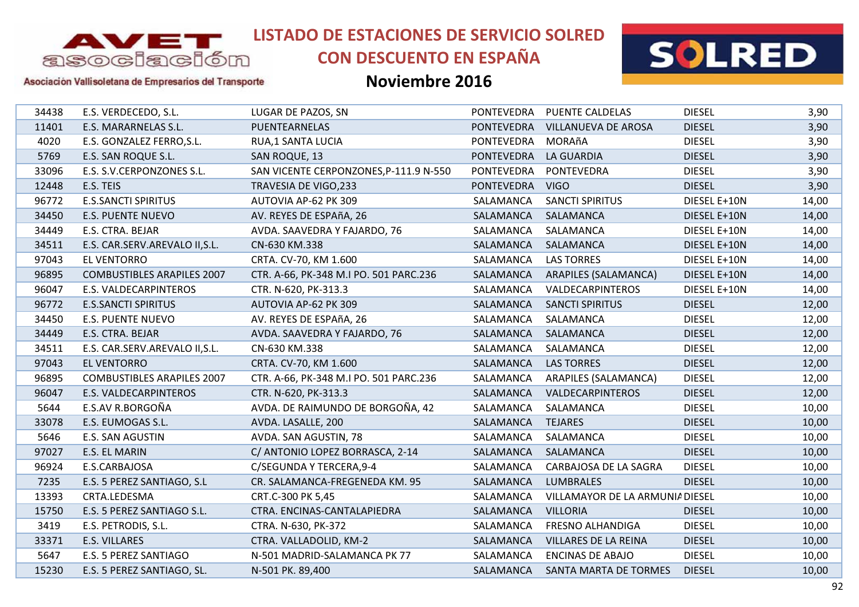

# **CON DESCUENTO EN ESPAÑA**



#### Asociación Vallisoletana de Empresarios del Transporte

| 34438 | E.S. VERDECEDO, S.L.              | LUGAR DE PAZOS, SN                     |                   | PONTEVEDRA PUENTE CALDELAS      | <b>DIESEL</b> | 3,90  |
|-------|-----------------------------------|----------------------------------------|-------------------|---------------------------------|---------------|-------|
| 11401 | E.S. MARARNELAS S.L.              | PUENTEARNELAS                          | <b>PONTEVEDRA</b> | <b>VILLANUEVA DE AROSA</b>      | <b>DIESEL</b> | 3,90  |
| 4020  | E.S. GONZALEZ FERRO, S.L.         | <b>RUA,1 SANTA LUCIA</b>               | PONTEVEDRA        | MORAñA                          | <b>DIESEL</b> | 3,90  |
| 5769  | E.S. SAN ROQUE S.L.               | SAN ROQUE, 13                          | <b>PONTEVEDRA</b> | <b>LA GUARDIA</b>               | <b>DIESEL</b> | 3,90  |
| 33096 | E.S. S.V.CERPONZONES S.L.         | SAN VICENTE CERPONZONES, P-111.9 N-550 | <b>PONTEVEDRA</b> | <b>PONTEVEDRA</b>               | <b>DIESEL</b> | 3,90  |
| 12448 | E.S. TEIS                         | TRAVESIA DE VIGO, 233                  | PONTEVEDRA        | <b>VIGO</b>                     | <b>DIESEL</b> | 3,90  |
| 96772 | <b>E.S.SANCTI SPIRITUS</b>        | AUTOVIA AP-62 PK 309                   | SALAMANCA         | <b>SANCTI SPIRITUS</b>          | DIESEL E+10N  | 14,00 |
| 34450 | <b>E.S. PUENTE NUEVO</b>          | AV. REYES DE ESPAñA, 26                | SALAMANCA         | SALAMANCA                       | DIESEL E+10N  | 14,00 |
| 34449 | E.S. CTRA. BEJAR                  | AVDA. SAAVEDRA Y FAJARDO, 76           | SALAMANCA         | SALAMANCA                       | DIESEL E+10N  | 14,00 |
| 34511 | E.S. CAR.SERV.AREVALO II, S.L.    | CN-630 KM.338                          | SALAMANCA         | SALAMANCA                       | DIESEL E+10N  | 14,00 |
| 97043 | <b>EL VENTORRO</b>                | CRTA. CV-70, KM 1.600                  | SALAMANCA         | <b>LAS TORRES</b>               | DIESEL E+10N  | 14,00 |
| 96895 | <b>COMBUSTIBLES ARAPILES 2007</b> | CTR. A-66, PK-348 M.I PO. 501 PARC.236 | SALAMANCA         | ARAPILES (SALAMANCA)            | DIESEL E+10N  | 14,00 |
| 96047 | E.S. VALDECARPINTEROS             | CTR. N-620, PK-313.3                   | SALAMANCA         | VALDECARPINTEROS                | DIESEL E+10N  | 14,00 |
| 96772 | <b>E.S.SANCTI SPIRITUS</b>        | AUTOVIA AP-62 PK 309                   | SALAMANCA         | <b>SANCTI SPIRITUS</b>          | <b>DIESEL</b> | 12,00 |
| 34450 | <b>E.S. PUENTE NUEVO</b>          | AV. REYES DE ESPAñA, 26                | SALAMANCA         | SALAMANCA                       | <b>DIESEL</b> | 12,00 |
| 34449 | E.S. CTRA. BEJAR                  | AVDA. SAAVEDRA Y FAJARDO, 76           | SALAMANCA         | SALAMANCA                       | <b>DIESEL</b> | 12,00 |
| 34511 | E.S. CAR.SERV.AREVALO II, S.L.    | CN-630 KM.338                          | SALAMANCA         | SALAMANCA                       | <b>DIESEL</b> | 12,00 |
| 97043 | <b>EL VENTORRO</b>                | CRTA. CV-70, KM 1.600                  | SALAMANCA         | <b>LAS TORRES</b>               | <b>DIESEL</b> | 12,00 |
| 96895 | <b>COMBUSTIBLES ARAPILES 2007</b> | CTR. A-66, PK-348 M.I PO. 501 PARC.236 | SALAMANCA         | ARAPILES (SALAMANCA)            | <b>DIESEL</b> | 12,00 |
| 96047 | E.S. VALDECARPINTEROS             | CTR. N-620, PK-313.3                   | SALAMANCA         | VALDECARPINTEROS                | <b>DIESEL</b> | 12,00 |
| 5644  | E.S.AV R.BORGOÑA                  | AVDA. DE RAIMUNDO DE BORGOÑA, 42       | SALAMANCA         | SALAMANCA                       | <b>DIESEL</b> | 10,00 |
| 33078 | E.S. EUMOGAS S.L.                 | AVDA. LASALLE, 200                     | SALAMANCA         | <b>TEJARES</b>                  | <b>DIESEL</b> | 10,00 |
| 5646  | E.S. SAN AGUSTIN                  | AVDA. SAN AGUSTIN, 78                  | SALAMANCA         | SALAMANCA                       | <b>DIESEL</b> | 10,00 |
| 97027 | E.S. EL MARIN                     | C/ ANTONIO LOPEZ BORRASCA, 2-14        | SALAMANCA         | SALAMANCA                       | <b>DIESEL</b> | 10,00 |
| 96924 | E.S.CARBAJOSA                     | C/SEGUNDA Y TERCERA, 9-4               | SALAMANCA         | CARBAJOSA DE LA SAGRA           | <b>DIESEL</b> | 10,00 |
| 7235  | E.S. 5 PEREZ SANTIAGO, S.L        | CR. SALAMANCA-FREGENEDA KM. 95         | SALAMANCA         | <b>LUMBRALES</b>                | <b>DIESEL</b> | 10,00 |
| 13393 | CRTA.LEDESMA                      | CRT.C-300 PK 5,45                      | SALAMANCA         | VILLAMAYOR DE LA ARMUNIA DIESEL |               | 10,00 |
| 15750 | E.S. 5 PEREZ SANTIAGO S.L.        | CTRA. ENCINAS-CANTALAPIEDRA            | SALAMANCA         | <b>VILLORIA</b>                 | <b>DIESEL</b> | 10,00 |
| 3419  | E.S. PETRODIS, S.L.               | CTRA. N-630, PK-372                    | SALAMANCA         | <b>FRESNO ALHANDIGA</b>         | <b>DIESEL</b> | 10,00 |
| 33371 | E.S. VILLARES                     | CTRA. VALLADOLID, KM-2                 | SALAMANCA         | <b>VILLARES DE LA REINA</b>     | <b>DIESEL</b> | 10,00 |
| 5647  | E.S. 5 PEREZ SANTIAGO             | N-501 MADRID-SALAMANCA PK 77           | SALAMANCA         | <b>ENCINAS DE ABAJO</b>         | <b>DIESEL</b> | 10,00 |
| 15230 | E.S. 5 PEREZ SANTIAGO, SL.        | N-501 PK. 89,400                       | SALAMANCA         | SANTA MARTA DE TORMES           | <b>DIESEL</b> | 10,00 |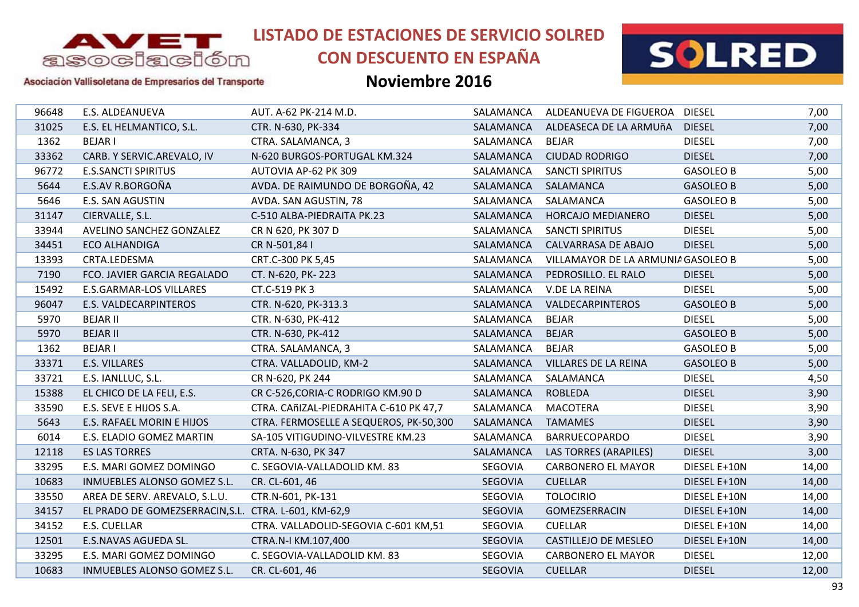

# **CON DESCUENTO EN ESPAÑA**



#### Asociación Vallisoletana de Empresarios del Transporte

| 96648 | E.S. ALDEANUEVA                                       | AUT. A-62 PK-214 M.D.                  | SALAMANCA      | ALDEANUEVA DE FIGUEROA             | <b>DIESEL</b>    | 7,00  |
|-------|-------------------------------------------------------|----------------------------------------|----------------|------------------------------------|------------------|-------|
| 31025 | E.S. EL HELMANTICO, S.L.                              | CTR. N-630, PK-334                     | SALAMANCA      | ALDEASECA DE LA ARMUñA             | <b>DIESEL</b>    | 7,00  |
| 1362  | <b>BEJARI</b>                                         | CTRA. SALAMANCA, 3                     | SALAMANCA      | <b>BEJAR</b>                       | <b>DIESEL</b>    | 7,00  |
| 33362 | CARB. Y SERVIC.AREVALO, IV                            | N-620 BURGOS-PORTUGAL KM.324           | SALAMANCA      | <b>CIUDAD RODRIGO</b>              | <b>DIESEL</b>    | 7,00  |
| 96772 | <b>E.S.SANCTI SPIRITUS</b>                            | AUTOVIA AP-62 PK 309                   | SALAMANCA      | <b>SANCTI SPIRITUS</b>             | <b>GASOLEO B</b> | 5,00  |
| 5644  | E.S.AV R.BORGOÑA                                      | AVDA. DE RAIMUNDO DE BORGOÑA, 42       | SALAMANCA      | SALAMANCA                          | <b>GASOLEO B</b> | 5,00  |
| 5646  | E.S. SAN AGUSTIN                                      | AVDA. SAN AGUSTIN, 78                  | SALAMANCA      | SALAMANCA                          | <b>GASOLEO B</b> | 5,00  |
| 31147 | CIERVALLE, S.L.                                       | C-510 ALBA-PIEDRAITA PK.23             | SALAMANCA      | HORCAJO MEDIANERO                  | <b>DIESEL</b>    | 5,00  |
| 33944 | AVELINO SANCHEZ GONZALEZ                              | CR N 620, PK 307 D                     | SALAMANCA      | <b>SANCTI SPIRITUS</b>             | <b>DIESEL</b>    | 5,00  |
| 34451 | <b>ECO ALHANDIGA</b>                                  | CR N-501,84 I                          | SALAMANCA      | CALVARRASA DE ABAJO                | <b>DIESEL</b>    | 5,00  |
| 13393 | CRTA.LEDESMA                                          | CRT.C-300 PK 5,45                      | SALAMANCA      | VILLAMAYOR DE LA ARMUNIA GASOLEO B |                  | 5,00  |
| 7190  | FCO. JAVIER GARCIA REGALADO                           | CT. N-620, PK-223                      | SALAMANCA      | PEDROSILLO. EL RALO                | <b>DIESEL</b>    | 5,00  |
| 15492 | E.S.GARMAR-LOS VILLARES                               | CT.C-519 PK 3                          | SALAMANCA      | V.DE LA REINA                      | <b>DIESEL</b>    | 5,00  |
| 96047 | E.S. VALDECARPINTEROS                                 | CTR. N-620, PK-313.3                   | SALAMANCA      | VALDECARPINTEROS                   | <b>GASOLEO B</b> | 5,00  |
| 5970  | <b>BEJAR II</b>                                       | CTR. N-630, PK-412                     | SALAMANCA      | <b>BEJAR</b>                       | <b>DIESEL</b>    | 5,00  |
| 5970  | <b>BEJAR II</b>                                       | CTR. N-630, PK-412                     | SALAMANCA      | <b>BEJAR</b>                       | <b>GASOLEO B</b> | 5,00  |
| 1362  | <b>BEJARI</b>                                         | CTRA. SALAMANCA, 3                     | SALAMANCA      | <b>BEJAR</b>                       | <b>GASOLEO B</b> | 5,00  |
| 33371 | <b>E.S. VILLARES</b>                                  | CTRA. VALLADOLID, KM-2                 | SALAMANCA      | <b>VILLARES DE LA REINA</b>        | <b>GASOLEO B</b> | 5,00  |
| 33721 | E.S. IANLLUC, S.L.                                    | CR N-620, PK 244                       | SALAMANCA      | SALAMANCA                          | <b>DIESEL</b>    | 4,50  |
| 15388 | EL CHICO DE LA FELI, E.S.                             | CR C-526, CORIA-C RODRIGO KM.90 D      | SALAMANCA      | <b>ROBLEDA</b>                     | <b>DIESEL</b>    | 3,90  |
| 33590 | E.S. SEVE E HIJOS S.A.                                | CTRA. CAñIZAL-PIEDRAHITA C-610 PK 47,7 | SALAMANCA      | <b>MACOTERA</b>                    | <b>DIESEL</b>    | 3,90  |
| 5643  | E.S. RAFAEL MORIN E HIJOS                             | CTRA. FERMOSELLE A SEQUEROS, PK-50,300 | SALAMANCA      | <b>TAMAMES</b>                     | <b>DIESEL</b>    | 3,90  |
| 6014  | E.S. ELADIO GOMEZ MARTIN                              | SA-105 VITIGUDINO-VILVESTRE KM.23      | SALAMANCA      | BARRUECOPARDO                      | <b>DIESEL</b>    | 3,90  |
| 12118 | <b>ES LAS TORRES</b>                                  | CRTA. N-630, PK 347                    | SALAMANCA      | <b>LAS TORRES (ARAPILES)</b>       | <b>DIESEL</b>    | 3,00  |
| 33295 | E.S. MARI GOMEZ DOMINGO                               | C. SEGOVIA-VALLADOLID KM. 83           | SEGOVIA        | <b>CARBONERO EL MAYOR</b>          | DIESEL E+10N     | 14,00 |
| 10683 | INMUEBLES ALONSO GOMEZ S.L.                           | CR. CL-601, 46                         | SEGOVIA        | <b>CUELLAR</b>                     | DIESEL E+10N     | 14,00 |
| 33550 | AREA DE SERV. AREVALO, S.L.U.                         | CTR.N-601, PK-131                      | SEGOVIA        | <b>TOLOCIRIO</b>                   | DIESEL E+10N     | 14,00 |
| 34157 | EL PRADO DE GOMEZSERRACIN, S.L. CTRA. L-601, KM-62, 9 |                                        | SEGOVIA        | GOMEZSERRACIN                      | DIESEL E+10N     | 14,00 |
| 34152 | <b>E.S. CUELLAR</b>                                   | CTRA. VALLADOLID-SEGOVIA C-601 KM,51   | SEGOVIA        | <b>CUELLAR</b>                     | DIESEL E+10N     | 14,00 |
| 12501 | E.S.NAVAS AGUEDA SL.                                  | CTRA.N-I KM.107,400                    | SEGOVIA        | CASTILLEJO DE MESLEO               | DIESEL E+10N     | 14,00 |
| 33295 | E.S. MARI GOMEZ DOMINGO                               | C. SEGOVIA-VALLADOLID KM. 83           | SEGOVIA        | <b>CARBONERO EL MAYOR</b>          | <b>DIESEL</b>    | 12,00 |
| 10683 | INMUEBLES ALONSO GOMEZ S.L.                           | CR. CL-601, 46                         | <b>SEGOVIA</b> | <b>CUELLAR</b>                     | <b>DIESEL</b>    | 12,00 |
|       |                                                       |                                        |                |                                    |                  |       |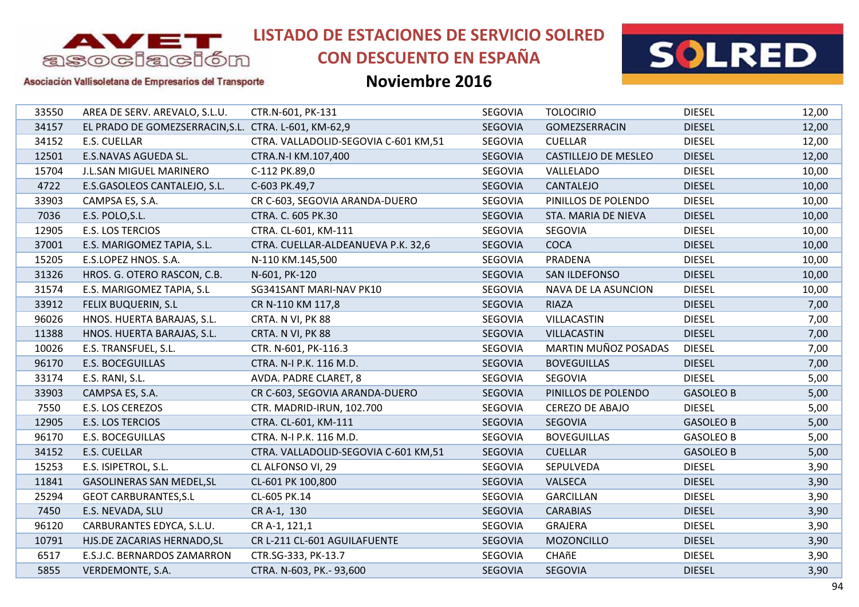

# **CON DESCUENTO EN ESPAÑA**



Asociación Vallisoletana de Empresarios del Transporte

| 33550 | AREA DE SERV. AREVALO, S.L.U.                        | CTR.N-601, PK-131                    | SEGOVIA        | <b>TOLOCIRIO</b>       | <b>DIESEL</b>    | 12,00 |
|-------|------------------------------------------------------|--------------------------------------|----------------|------------------------|------------------|-------|
| 34157 | EL PRADO DE GOMEZSERRACIN, S.L. CTRA. L-601, KM-62,9 |                                      | <b>SEGOVIA</b> | GOMEZSERRACIN          | <b>DIESEL</b>    | 12,00 |
| 34152 | E.S. CUELLAR                                         | CTRA. VALLADOLID-SEGOVIA C-601 KM,51 | SEGOVIA        | <b>CUELLAR</b>         | <b>DIESEL</b>    | 12,00 |
| 12501 | E.S.NAVAS AGUEDA SL.                                 | CTRA.N-I KM.107,400                  | <b>SEGOVIA</b> | CASTILLEJO DE MESLEO   | <b>DIESEL</b>    | 12,00 |
| 15704 | J.L.SAN MIGUEL MARINERO                              | C-112 PK.89,0                        | SEGOVIA        | VALLELADO              | <b>DIESEL</b>    | 10,00 |
| 4722  | E.S.GASOLEOS CANTALEJO, S.L.                         | C-603 PK.49,7                        | SEGOVIA        | <b>CANTALEJO</b>       | <b>DIESEL</b>    | 10,00 |
| 33903 | CAMPSA ES, S.A.                                      | CR C-603, SEGOVIA ARANDA-DUERO       | SEGOVIA        | PINILLOS DE POLENDO    | <b>DIESEL</b>    | 10,00 |
| 7036  | E.S. POLO, S.L.                                      | CTRA. C. 605 PK.30                   | SEGOVIA        | STA. MARIA DE NIEVA    | <b>DIESEL</b>    | 10,00 |
| 12905 | E.S. LOS TERCIOS                                     | CTRA. CL-601, KM-111                 | SEGOVIA        | <b>SEGOVIA</b>         | <b>DIESEL</b>    | 10,00 |
| 37001 | E.S. MARIGOMEZ TAPIA, S.L.                           | CTRA. CUELLAR-ALDEANUEVA P.K. 32,6   | SEGOVIA        | <b>COCA</b>            | <b>DIESEL</b>    | 10,00 |
| 15205 | E.S.LOPEZ HNOS. S.A.                                 | N-110 KM.145,500                     | SEGOVIA        | PRADENA                | <b>DIESEL</b>    | 10,00 |
| 31326 | HROS. G. OTERO RASCON, C.B.                          | N-601, PK-120                        | SEGOVIA        | <b>SAN ILDEFONSO</b>   | <b>DIESEL</b>    | 10,00 |
| 31574 | E.S. MARIGOMEZ TAPIA, S.L                            | SG341SANT MARI-NAV PK10              | SEGOVIA        | NAVA DE LA ASUNCION    | <b>DIESEL</b>    | 10,00 |
| 33912 | <b>FELIX BUQUERIN, S.L</b>                           | CR N-110 KM 117,8                    | SEGOVIA        | <b>RIAZA</b>           | <b>DIESEL</b>    | 7,00  |
| 96026 | HNOS. HUERTA BARAJAS, S.L.                           | CRTA. N VI, PK 88                    | SEGOVIA        | <b>VILLACASTIN</b>     | <b>DIESEL</b>    | 7,00  |
| 11388 | HNOS. HUERTA BARAJAS, S.L.                           | CRTA. N VI, PK 88                    | SEGOVIA        | <b>VILLACASTIN</b>     | <b>DIESEL</b>    | 7,00  |
| 10026 | E.S. TRANSFUEL, S.L.                                 | CTR. N-601, PK-116.3                 | SEGOVIA        | MARTIN MUÑOZ POSADAS   | <b>DIESEL</b>    | 7,00  |
| 96170 | E.S. BOCEGUILLAS                                     | CTRA. N-I P.K. 116 M.D.              | SEGOVIA        | <b>BOVEGUILLAS</b>     | <b>DIESEL</b>    | 7,00  |
| 33174 | E.S. RANI, S.L.                                      | AVDA. PADRE CLARET, 8                | SEGOVIA        | SEGOVIA                | <b>DIESEL</b>    | 5,00  |
| 33903 | CAMPSA ES, S.A.                                      | CR C-603, SEGOVIA ARANDA-DUERO       | SEGOVIA        | PINILLOS DE POLENDO    | <b>GASOLEO B</b> | 5,00  |
| 7550  | E.S. LOS CEREZOS                                     | CTR. MADRID-IRUN, 102.700            | SEGOVIA        | <b>CEREZO DE ABAJO</b> | <b>DIESEL</b>    | 5,00  |
| 12905 | <b>E.S. LOS TERCIOS</b>                              | CTRA. CL-601, KM-111                 | <b>SEGOVIA</b> | <b>SEGOVIA</b>         | <b>GASOLEO B</b> | 5,00  |
| 96170 | <b>E.S. BOCEGUILLAS</b>                              | CTRA. N-I P.K. 116 M.D.              | SEGOVIA        | <b>BOVEGUILLAS</b>     | <b>GASOLEO B</b> | 5,00  |
| 34152 | E.S. CUELLAR                                         | CTRA. VALLADOLID-SEGOVIA C-601 KM,51 | SEGOVIA        | <b>CUELLAR</b>         | <b>GASOLEO B</b> | 5,00  |
| 15253 | E.S. ISIPETROL, S.L.                                 | CL ALFONSO VI, 29                    | SEGOVIA        | SEPULVEDA              | <b>DIESEL</b>    | 3,90  |
| 11841 | GASOLINERAS SAN MEDEL, SL                            | CL-601 PK 100,800                    | SEGOVIA        | VALSECA                | <b>DIESEL</b>    | 3,90  |
| 25294 | <b>GEOT CARBURANTES, S.L</b>                         | CL-605 PK.14                         | SEGOVIA        | <b>GARCILLAN</b>       | <b>DIESEL</b>    | 3,90  |
| 7450  | E.S. NEVADA, SLU                                     | CR A-1, 130                          | SEGOVIA        | <b>CARABIAS</b>        | <b>DIESEL</b>    | 3,90  |
| 96120 | CARBURANTES EDYCA, S.L.U.                            | CR A-1, 121,1                        | SEGOVIA        | <b>GRAJERA</b>         | <b>DIESEL</b>    | 3,90  |
| 10791 | HJS.DE ZACARIAS HERNADO, SL                          | CR L-211 CL-601 AGUILAFUENTE         | SEGOVIA        | MOZONCILLO             | <b>DIESEL</b>    | 3,90  |
| 6517  | E.S.J.C. BERNARDOS ZAMARRON                          | CTR.SG-333, PK-13.7                  | SEGOVIA        | CHAñE                  | <b>DIESEL</b>    | 3,90  |
| 5855  | VERDEMONTE, S.A.                                     | CTRA. N-603, PK.- 93,600             | <b>SEGOVIA</b> | <b>SEGOVIA</b>         | <b>DIESEL</b>    | 3,90  |
|       |                                                      |                                      |                |                        |                  |       |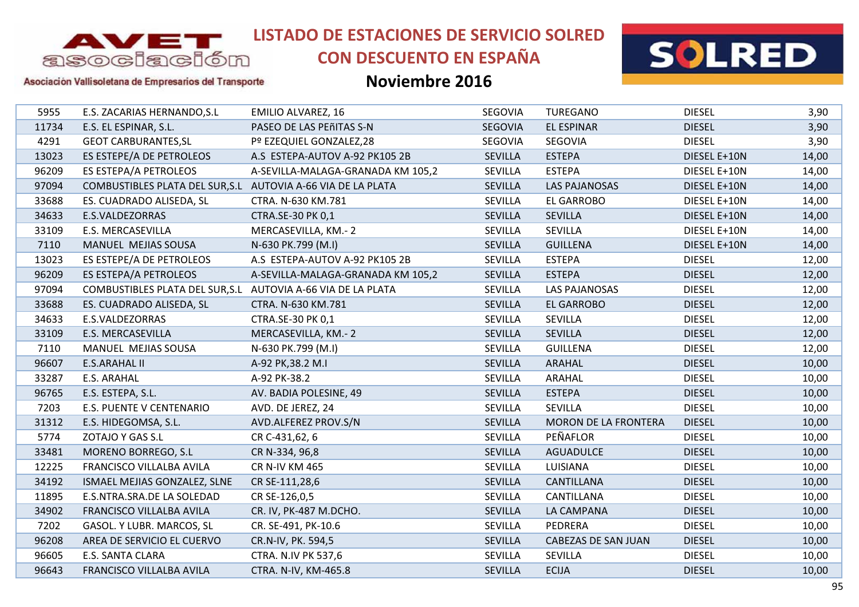

# **CON DESCUENTO EN ESPAÑA**



#### Asociación Vallisoletana de Empresarios del Transporte

| 5955  | E.S. ZACARIAS HERNANDO, S.L                                  | <b>EMILIO ALVAREZ, 16</b>         | SEGOVIA        | <b>TUREGANO</b>             | <b>DIESEL</b> | 3,90  |
|-------|--------------------------------------------------------------|-----------------------------------|----------------|-----------------------------|---------------|-------|
| 11734 | E.S. EL ESPINAR, S.L.                                        | PASEO DE LAS PEñITAS S-N          | SEGOVIA        | <b>EL ESPINAR</b>           | <b>DIESEL</b> | 3,90  |
| 4291  | <b>GEOT CARBURANTES, SL</b>                                  | Pº EZEQUIEL GONZALEZ,28           | SEGOVIA        | SEGOVIA                     | <b>DIESEL</b> | 3,90  |
| 13023 | ES ESTEPE/A DE PETROLEOS                                     | A.S ESTEPA-AUTOV A-92 PK105 2B    | <b>SEVILLA</b> | <b>ESTEPA</b>               | DIESEL E+10N  | 14,00 |
| 96209 | ES ESTEPA/A PETROLEOS                                        | A-SEVILLA-MALAGA-GRANADA KM 105,2 | <b>SEVILLA</b> | <b>ESTEPA</b>               | DIESEL E+10N  | 14,00 |
| 97094 | COMBUSTIBLES PLATA DEL SUR, S.L AUTOVIA A-66 VIA DE LA PLATA |                                   | SEVILLA        | <b>LAS PAJANOSAS</b>        | DIESEL E+10N  | 14,00 |
| 33688 | ES. CUADRADO ALISEDA, SL                                     | CTRA. N-630 KM.781                | <b>SEVILLA</b> | <b>EL GARROBO</b>           | DIESEL E+10N  | 14,00 |
| 34633 | E.S.VALDEZORRAS                                              | CTRA.SE-30 PK 0,1                 | SEVILLA        | <b>SEVILLA</b>              | DIESEL E+10N  | 14,00 |
| 33109 | E.S. MERCASEVILLA                                            | MERCASEVILLA, KM.-2               | SEVILLA        | <b>SEVILLA</b>              | DIESEL E+10N  | 14,00 |
| 7110  | MANUEL MEJIAS SOUSA                                          | N-630 PK.799 (M.I)                | <b>SEVILLA</b> | <b>GUILLENA</b>             | DIESEL E+10N  | 14,00 |
| 13023 | ES ESTEPE/A DE PETROLEOS                                     | A.S ESTEPA-AUTOV A-92 PK105 2B    | <b>SEVILLA</b> | <b>ESTEPA</b>               | <b>DIESEL</b> | 12,00 |
| 96209 | ES ESTEPA/A PETROLEOS                                        | A-SEVILLA-MALAGA-GRANADA KM 105,2 | SEVILLA        | <b>ESTEPA</b>               | <b>DIESEL</b> | 12,00 |
| 97094 | COMBUSTIBLES PLATA DEL SUR, S.L AUTOVIA A-66 VIA DE LA PLATA |                                   | SEVILLA        | <b>LAS PAJANOSAS</b>        | <b>DIESEL</b> | 12,00 |
| 33688 | ES. CUADRADO ALISEDA, SL                                     | CTRA. N-630 KM.781                | <b>SEVILLA</b> | <b>EL GARROBO</b>           | <b>DIESEL</b> | 12,00 |
| 34633 | E.S.VALDEZORRAS                                              | CTRA.SE-30 PK 0,1                 | SEVILLA        | <b>SEVILLA</b>              | <b>DIESEL</b> | 12,00 |
| 33109 | E.S. MERCASEVILLA                                            | MERCASEVILLA, KM.-2               | <b>SEVILLA</b> | <b>SEVILLA</b>              | <b>DIESEL</b> | 12,00 |
| 7110  | MANUEL MEJIAS SOUSA                                          | N-630 PK.799 (M.I)                | <b>SEVILLA</b> | <b>GUILLENA</b>             | <b>DIESEL</b> | 12,00 |
| 96607 | <b>E.S.ARAHAL II</b>                                         | A-92 PK, 38.2 M.I                 | <b>SEVILLA</b> | <b>ARAHAL</b>               | <b>DIESEL</b> | 10,00 |
| 33287 | E.S. ARAHAL                                                  | A-92 PK-38.2                      | <b>SEVILLA</b> | ARAHAL                      | <b>DIESEL</b> | 10,00 |
| 96765 | E.S. ESTEPA, S.L.                                            | AV. BADIA POLESINE, 49            | <b>SEVILLA</b> | <b>ESTEPA</b>               | <b>DIESEL</b> | 10,00 |
| 7203  | E.S. PUENTE V CENTENARIO                                     | AVD. DE JEREZ, 24                 | SEVILLA        | <b>SEVILLA</b>              | <b>DIESEL</b> | 10,00 |
| 31312 | E.S. HIDEGOMSA, S.L.                                         | AVD.ALFEREZ PROV.S/N              | <b>SEVILLA</b> | <b>MORON DE LA FRONTERA</b> | <b>DIESEL</b> | 10,00 |
| 5774  | ZOTAJO Y GAS S.L                                             | CR C-431,62, 6                    | SEVILLA        | PEÑAFLOR                    | <b>DIESEL</b> | 10,00 |
| 33481 | MORENO BORREGO, S.L                                          | CR N-334, 96,8                    | SEVILLA        | <b>AGUADULCE</b>            | <b>DIESEL</b> | 10,00 |
| 12225 | FRANCISCO VILLALBA AVILA                                     | <b>CR N-IV KM 465</b>             | SEVILLA        | LUISIANA                    | <b>DIESEL</b> | 10,00 |
| 34192 | ISMAEL MEJIAS GONZALEZ, SLNE                                 | CR SE-111,28,6                    | <b>SEVILLA</b> | <b>CANTILLANA</b>           | <b>DIESEL</b> | 10,00 |
| 11895 | E.S.NTRA.SRA.DE LA SOLEDAD                                   | CR SE-126,0,5                     | SEVILLA        | <b>CANTILLANA</b>           | <b>DIESEL</b> | 10,00 |
| 34902 | FRANCISCO VILLALBA AVILA                                     | CR. IV, PK-487 M.DCHO.            | <b>SEVILLA</b> | LA CAMPANA                  | <b>DIESEL</b> | 10,00 |
| 7202  | GASOL. Y LUBR. MARCOS, SL                                    | CR. SE-491, PK-10.6               | SEVILLA        | PEDRERA                     | <b>DIESEL</b> | 10,00 |
| 96208 | AREA DE SERVICIO EL CUERVO                                   | CR.N-IV, PK. 594,5                | <b>SEVILLA</b> | <b>CABEZAS DE SAN JUAN</b>  | <b>DIESEL</b> | 10,00 |
| 96605 | E.S. SANTA CLARA                                             | <b>CTRA. N.IV PK 537,6</b>        | SEVILLA        | SEVILLA                     | <b>DIESEL</b> | 10,00 |
| 96643 | FRANCISCO VILLALBA AVILA                                     | CTRA. N-IV, KM-465.8              | <b>SEVILLA</b> | <b>ECIJA</b>                | <b>DIESEL</b> | 10,00 |
|       |                                                              |                                   |                |                             |               |       |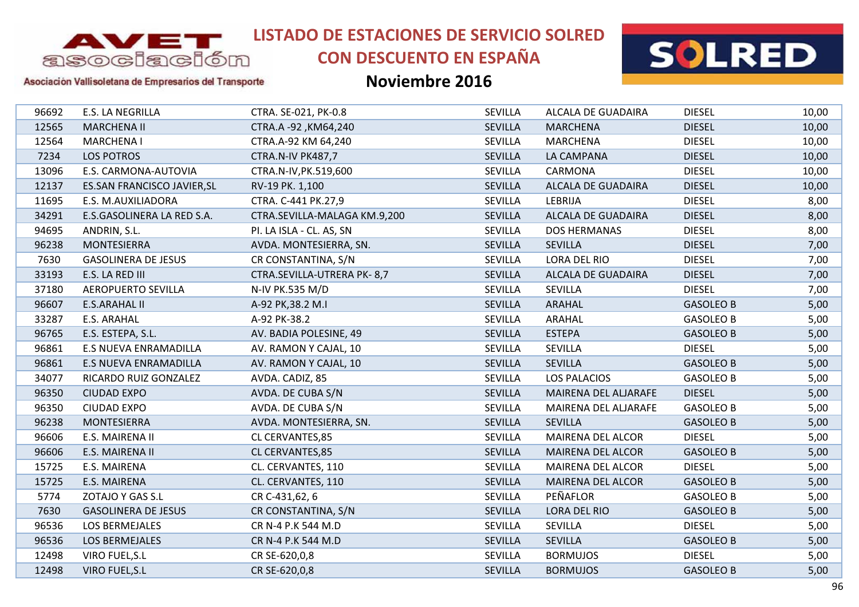

# **CON DESCUENTO EN ESPAÑA**



### Asociación Vallisoletana de Empresarios del Transporte

| 96692 | E.S. LA NEGRILLA                   | CTRA. SE-021, PK-0.8         | <b>SEVILLA</b> | ALCALA DE GUADAIRA        | <b>DIESEL</b>    | 10,00 |
|-------|------------------------------------|------------------------------|----------------|---------------------------|------------------|-------|
| 12565 | <b>MARCHENA II</b>                 | CTRA.A -92, KM64, 240        | <b>SEVILLA</b> | <b>MARCHENA</b>           | <b>DIESEL</b>    | 10,00 |
| 12564 | <b>MARCHENA I</b>                  | CTRA.A-92 KM 64,240          | <b>SEVILLA</b> | <b>MARCHENA</b>           | <b>DIESEL</b>    | 10,00 |
| 7234  | <b>LOS POTROS</b>                  | CTRA.N-IV PK487,7            | <b>SEVILLA</b> | LA CAMPANA                | <b>DIESEL</b>    | 10,00 |
| 13096 | E.S. CARMONA-AUTOVIA               | CTRA.N-IV, PK.519,600        | SEVILLA        | CARMONA                   | <b>DIESEL</b>    | 10,00 |
| 12137 | <b>ES.SAN FRANCISCO JAVIER, SL</b> | RV-19 PK. 1,100              | <b>SEVILLA</b> | ALCALA DE GUADAIRA        | <b>DIESEL</b>    | 10,00 |
| 11695 | E.S. M.AUXILIADORA                 | CTRA. C-441 PK.27,9          | SEVILLA        | LEBRIJA                   | <b>DIESEL</b>    | 8,00  |
| 34291 | E.S.GASOLINERA LA RED S.A.         | CTRA.SEVILLA-MALAGA KM.9,200 | <b>SEVILLA</b> | ALCALA DE GUADAIRA        | <b>DIESEL</b>    | 8,00  |
| 94695 | ANDRIN, S.L.                       | PI. LA ISLA - CL. AS, SN     | SEVILLA        | <b>DOS HERMANAS</b>       | <b>DIESEL</b>    | 8,00  |
| 96238 | <b>MONTESIERRA</b>                 | AVDA. MONTESIERRA, SN.       | SEVILLA        | <b>SEVILLA</b>            | <b>DIESEL</b>    | 7,00  |
| 7630  | <b>GASOLINERA DE JESUS</b>         | CR CONSTANTINA, S/N          | <b>SEVILLA</b> | <b>LORA DEL RIO</b>       | <b>DIESEL</b>    | 7,00  |
| 33193 | E.S. LA RED III                    | CTRA.SEVILLA-UTRERA PK-8,7   | SEVILLA        | <b>ALCALA DE GUADAIRA</b> | <b>DIESEL</b>    | 7,00  |
| 37180 | <b>AEROPUERTO SEVILLA</b>          | N-IV PK.535 M/D              | <b>SEVILLA</b> | <b>SEVILLA</b>            | <b>DIESEL</b>    | 7,00  |
| 96607 | <b>E.S.ARAHAL II</b>               | A-92 PK, 38.2 M.I            | SEVILLA        | ARAHAL                    | <b>GASOLEO B</b> | 5,00  |
| 33287 | E.S. ARAHAL                        | A-92 PK-38.2                 | SEVILLA        | ARAHAL                    | <b>GASOLEO B</b> | 5,00  |
| 96765 | E.S. ESTEPA, S.L.                  | AV. BADIA POLESINE, 49       | <b>SEVILLA</b> | <b>ESTEPA</b>             | <b>GASOLEO B</b> | 5,00  |
| 96861 | <b>E.S NUEVA ENRAMADILLA</b>       | AV. RAMON Y CAJAL, 10        | SEVILLA        | <b>SEVILLA</b>            | <b>DIESEL</b>    | 5,00  |
| 96861 | E.S NUEVA ENRAMADILLA              | AV. RAMON Y CAJAL, 10        | SEVILLA        | <b>SEVILLA</b>            | <b>GASOLEO B</b> | 5,00  |
| 34077 | RICARDO RUIZ GONZALEZ              | AVDA. CADIZ, 85              | SEVILLA        | <b>LOS PALACIOS</b>       | <b>GASOLEO B</b> | 5,00  |
| 96350 | <b>CIUDAD EXPO</b>                 | AVDA. DE CUBA S/N            | SEVILLA        | MAIRENA DEL ALJARAFE      | <b>DIESEL</b>    | 5,00  |
| 96350 | <b>CIUDAD EXPO</b>                 | AVDA. DE CUBA S/N            | <b>SEVILLA</b> | MAIRENA DEL ALJARAFE      | <b>GASOLEO B</b> | 5,00  |
| 96238 | <b>MONTESIERRA</b>                 | AVDA. MONTESIERRA, SN.       | <b>SEVILLA</b> | <b>SEVILLA</b>            | <b>GASOLEO B</b> | 5,00  |
| 96606 | E.S. MAIRENA II                    | CL CERVANTES, 85             | SEVILLA        | <b>MAIRENA DEL ALCOR</b>  | <b>DIESEL</b>    | 5,00  |
| 96606 | E.S. MAIRENA II                    | CL CERVANTES, 85             | <b>SEVILLA</b> | <b>MAIRENA DEL ALCOR</b>  | <b>GASOLEO B</b> | 5,00  |
| 15725 | E.S. MAIRENA                       | CL. CERVANTES, 110           | <b>SEVILLA</b> | <b>MAIRENA DEL ALCOR</b>  | <b>DIESEL</b>    | 5,00  |
| 15725 | E.S. MAIRENA                       | CL. CERVANTES, 110           | SEVILLA        | <b>MAIRENA DEL ALCOR</b>  | <b>GASOLEO B</b> | 5,00  |
| 5774  | ZOTAJO Y GAS S.L                   | CR C-431,62, 6               | SEVILLA        | PEÑAFLOR                  | <b>GASOLEO B</b> | 5,00  |
| 7630  | <b>GASOLINERA DE JESUS</b>         | CR CONSTANTINA, S/N          | <b>SEVILLA</b> | <b>LORA DEL RIO</b>       | <b>GASOLEO B</b> | 5,00  |
| 96536 | LOS BERMEJALES                     | CR N-4 P.K 544 M.D           | <b>SEVILLA</b> | <b>SEVILLA</b>            | <b>DIESEL</b>    | 5,00  |
| 96536 | LOS BERMEJALES                     | CR N-4 P.K 544 M.D           | <b>SEVILLA</b> | <b>SEVILLA</b>            | <b>GASOLEO B</b> | 5,00  |
| 12498 | VIRO FUEL, S.L                     | CR SE-620,0,8                | SEVILLA        | <b>BORMUJOS</b>           | <b>DIESEL</b>    | 5,00  |
| 12498 | VIRO FUEL, S.L                     | CR SE-620,0,8                | <b>SEVILLA</b> | <b>BORMUJOS</b>           | <b>GASOLEO B</b> | 5,00  |
|       |                                    |                              |                |                           |                  |       |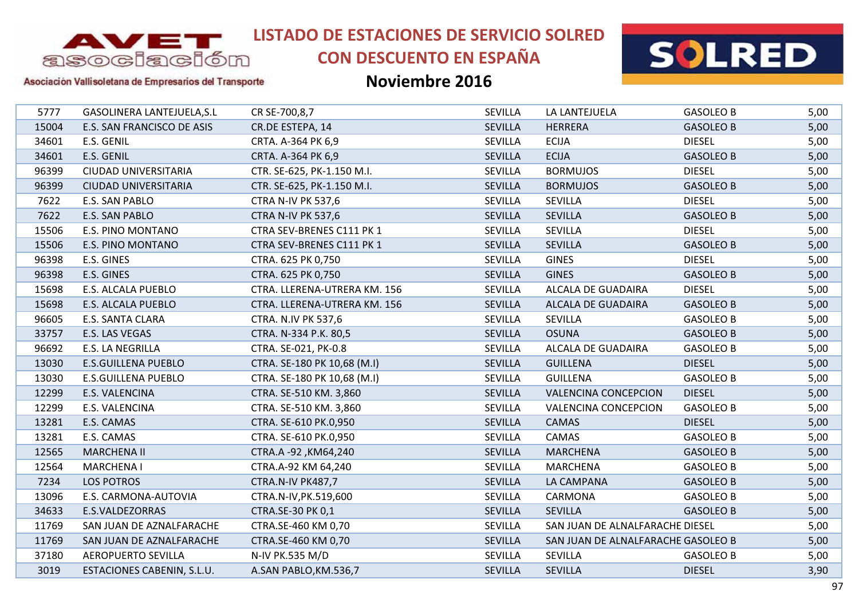

# **CON DESCUENTO EN ESPAÑA**



#### Asociación Vallisoletana de Empresarios del Transporte

| 5777  | GASOLINERA LANTEJUELA, S.L  | CR SE-700,8,7                | <b>SEVILLA</b> | LA LANTEJUELA                      | <b>GASOLEO B</b> | 5,00 |
|-------|-----------------------------|------------------------------|----------------|------------------------------------|------------------|------|
| 15004 | E.S. SAN FRANCISCO DE ASIS  | CR.DE ESTEPA, 14             | SEVILLA        | <b>HERRERA</b>                     | <b>GASOLEO B</b> | 5,00 |
| 34601 | E.S. GENIL                  | CRTA. A-364 PK 6,9           | SEVILLA        | <b>ECIJA</b>                       | <b>DIESEL</b>    | 5,00 |
| 34601 | E.S. GENIL                  | CRTA. A-364 PK 6,9           | <b>SEVILLA</b> | <b>ECIJA</b>                       | <b>GASOLEO B</b> | 5,00 |
| 96399 | <b>CIUDAD UNIVERSITARIA</b> | CTR. SE-625, PK-1.150 M.I.   | <b>SEVILLA</b> | <b>BORMUJOS</b>                    | <b>DIESEL</b>    | 5,00 |
| 96399 | <b>CIUDAD UNIVERSITARIA</b> | CTR. SE-625, PK-1.150 M.I.   | <b>SEVILLA</b> | <b>BORMUJOS</b>                    | <b>GASOLEO B</b> | 5,00 |
| 7622  | E.S. SAN PABLO              | <b>CTRA N-IV PK 537,6</b>    | SEVILLA        | SEVILLA                            | <b>DIESEL</b>    | 5,00 |
| 7622  | E.S. SAN PABLO              | <b>CTRA N-IV PK 537,6</b>    | <b>SEVILLA</b> | <b>SEVILLA</b>                     | <b>GASOLEO B</b> | 5,00 |
| 15506 | E.S. PINO MONTANO           | CTRA SEV-BRENES C111 PK 1    | SEVILLA        | <b>SEVILLA</b>                     | <b>DIESEL</b>    | 5,00 |
| 15506 | E.S. PINO MONTANO           | CTRA SEV-BRENES C111 PK 1    | <b>SEVILLA</b> | <b>SEVILLA</b>                     | <b>GASOLEO B</b> | 5,00 |
| 96398 | E.S. GINES                  | CTRA. 625 PK 0,750           | <b>SEVILLA</b> | <b>GINES</b>                       | <b>DIESEL</b>    | 5,00 |
| 96398 | E.S. GINES                  | CTRA. 625 PK 0,750           | <b>SEVILLA</b> | <b>GINES</b>                       | <b>GASOLEO B</b> | 5,00 |
| 15698 | E.S. ALCALA PUEBLO          | CTRA. LLERENA-UTRERA KM. 156 | SEVILLA        | ALCALA DE GUADAIRA                 | <b>DIESEL</b>    | 5,00 |
| 15698 | E.S. ALCALA PUEBLO          | CTRA. LLERENA-UTRERA KM. 156 | SEVILLA        | ALCALA DE GUADAIRA                 | <b>GASOLEO B</b> | 5,00 |
| 96605 | E.S. SANTA CLARA            | <b>CTRA. N.IV PK 537,6</b>   | SEVILLA        | <b>SEVILLA</b>                     | <b>GASOLEO B</b> | 5,00 |
| 33757 | E.S. LAS VEGAS              | CTRA. N-334 P.K. 80,5        | SEVILLA        | <b>OSUNA</b>                       | <b>GASOLEO B</b> | 5,00 |
| 96692 | E.S. LA NEGRILLA            | CTRA. SE-021, PK-0.8         | <b>SEVILLA</b> | ALCALA DE GUADAIRA                 | <b>GASOLEO B</b> | 5,00 |
| 13030 | <b>E.S.GUILLENA PUEBLO</b>  | CTRA. SE-180 PK 10,68 (M.I)  | SEVILLA        | <b>GUILLENA</b>                    | <b>DIESEL</b>    | 5,00 |
| 13030 | <b>E.S.GUILLENA PUEBLO</b>  | CTRA. SE-180 PK 10,68 (M.I)  | SEVILLA        | <b>GUILLENA</b>                    | <b>GASOLEO B</b> | 5,00 |
| 12299 | E.S. VALENCINA              | CTRA. SE-510 KM. 3,860       | SEVILLA        | <b>VALENCINA CONCEPCION</b>        | <b>DIESEL</b>    | 5,00 |
| 12299 | E.S. VALENCINA              | CTRA. SE-510 KM. 3,860       | SEVILLA        | <b>VALENCINA CONCEPCION</b>        | <b>GASOLEO B</b> | 5,00 |
| 13281 | E.S. CAMAS                  | CTRA. SE-610 PK.0,950        | SEVILLA        | CAMAS                              | <b>DIESEL</b>    | 5,00 |
| 13281 | E.S. CAMAS                  | CTRA. SE-610 PK.0,950        | <b>SEVILLA</b> | CAMAS                              | <b>GASOLEO B</b> | 5,00 |
| 12565 | <b>MARCHENA II</b>          | CTRA.A -92, KM64, 240        | SEVILLA        | <b>MARCHENA</b>                    | <b>GASOLEO B</b> | 5,00 |
| 12564 | <b>MARCHENA I</b>           | CTRA.A-92 KM 64,240          | SEVILLA        | <b>MARCHENA</b>                    | <b>GASOLEO B</b> | 5,00 |
| 7234  | <b>LOS POTROS</b>           | CTRA.N-IV PK487,7            | SEVILLA        | LA CAMPANA                         | <b>GASOLEO B</b> | 5,00 |
| 13096 | E.S. CARMONA-AUTOVIA        | CTRA.N-IV, PK.519,600        | SEVILLA        | CARMONA                            | <b>GASOLEO B</b> | 5,00 |
| 34633 | E.S.VALDEZORRAS             | CTRA.SE-30 PK 0,1            | SEVILLA        | <b>SEVILLA</b>                     | <b>GASOLEO B</b> | 5,00 |
| 11769 | SAN JUAN DE AZNALFARACHE    | CTRA.SE-460 KM 0,70          | <b>SEVILLA</b> | SAN JUAN DE ALNALFARACHE DIESEL    |                  | 5,00 |
| 11769 | SAN JUAN DE AZNALFARACHE    | CTRA.SE-460 KM 0,70          | SEVILLA        | SAN JUAN DE ALNALFARACHE GASOLEO B |                  | 5,00 |
| 37180 | <b>AEROPUERTO SEVILLA</b>   | N-IV PK.535 M/D              | SEVILLA        | <b>SEVILLA</b>                     | <b>GASOLEO B</b> | 5,00 |
| 3019  | ESTACIONES CABENIN, S.L.U.  | A.SAN PABLO, KM.536,7        | <b>SEVILLA</b> | SEVILLA                            | <b>DIESEL</b>    | 3,90 |
|       |                             |                              |                |                                    |                  |      |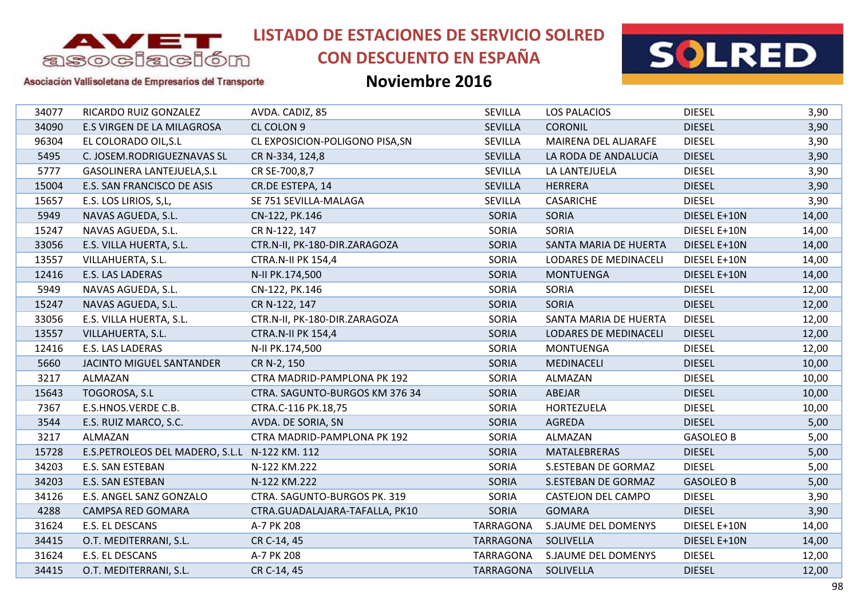

# **CON DESCUENTO EN ESPAÑA**



#### Asociación Vallisoletana de Empresarios del Transporte

| 34077 | RICARDO RUIZ GONZALEZ                         | AVDA. CADIZ, 85                 | <b>SEVILLA</b>      | <b>LOS PALACIOS</b>        | <b>DIESEL</b>    | 3,90  |
|-------|-----------------------------------------------|---------------------------------|---------------------|----------------------------|------------------|-------|
| 34090 | E.S VIRGEN DE LA MILAGROSA                    | CL COLON 9                      | SEVILLA             | <b>CORONIL</b>             | <b>DIESEL</b>    | 3,90  |
| 96304 | EL COLORADO OIL, S.L                          | CL EXPOSICION-POLIGONO PISA, SN | SEVILLA             | MAIRENA DEL ALJARAFE       | <b>DIESEL</b>    | 3,90  |
| 5495  | C. JOSEM.RODRIGUEZNAVAS SL                    | CR N-334, 124,8                 | <b>SEVILLA</b>      | LA RODA DE ANDALUCÍA       | <b>DIESEL</b>    | 3,90  |
| 5777  | GASOLINERA LANTEJUELA, S.L                    | CR SE-700,8,7                   | <b>SEVILLA</b>      | LA LANTEJUELA              | <b>DIESEL</b>    | 3,90  |
| 15004 | E.S. SAN FRANCISCO DE ASIS                    | CR.DE ESTEPA, 14                | SEVILLA             | <b>HERRERA</b>             | <b>DIESEL</b>    | 3,90  |
| 15657 | E.S. LOS LIRIOS, S, L,                        | SE 751 SEVILLA-MALAGA           | <b>SEVILLA</b>      | <b>CASARICHE</b>           | <b>DIESEL</b>    | 3,90  |
| 5949  | NAVAS AGUEDA, S.L.                            | CN-122, PK.146                  | <b>SORIA</b>        | SORIA                      | DIESEL E+10N     | 14,00 |
| 15247 | NAVAS AGUEDA, S.L.                            | CR N-122, 147                   | SORIA               | SORIA                      | DIESEL E+10N     | 14,00 |
| 33056 | E.S. VILLA HUERTA, S.L.                       | CTR.N-II, PK-180-DIR.ZARAGOZA   | <b>SORIA</b>        | SANTA MARIA DE HUERTA      | DIESEL E+10N     | 14,00 |
| 13557 | VILLAHUERTA, S.L.                             | <b>CTRA.N-II PK 154,4</b>       | SORIA               | LODARES DE MEDINACELI      | DIESEL E+10N     | 14,00 |
| 12416 | E.S. LAS LADERAS                              | N-II PK.174,500                 | <b>SORIA</b>        | <b>MONTUENGA</b>           | DIESEL E+10N     | 14,00 |
| 5949  | NAVAS AGUEDA, S.L.                            | CN-122, PK.146                  | SORIA               | <b>SORIA</b>               | <b>DIESEL</b>    | 12,00 |
| 15247 | NAVAS AGUEDA, S.L.                            | CR N-122, 147                   | <b>SORIA</b>        | SORIA                      | <b>DIESEL</b>    | 12,00 |
| 33056 | E.S. VILLA HUERTA, S.L.                       | CTR.N-II, PK-180-DIR.ZARAGOZA   | SORIA               | SANTA MARIA DE HUERTA      | <b>DIESEL</b>    | 12,00 |
| 13557 | VILLAHUERTA, S.L.                             | <b>CTRA.N-II PK 154,4</b>       | <b>SORIA</b>        | LODARES DE MEDINACELI      | <b>DIESEL</b>    | 12,00 |
| 12416 | E.S. LAS LADERAS                              | N-II PK.174,500                 | <b>SORIA</b>        | <b>MONTUENGA</b>           | <b>DIESEL</b>    | 12,00 |
| 5660  | JACINTO MIGUEL SANTANDER                      | CR N-2, 150                     | <b>SORIA</b>        | MEDINACELI                 | <b>DIESEL</b>    | 10,00 |
| 3217  | ALMAZAN                                       | CTRA MADRID-PAMPLONA PK 192     | <b>SORIA</b>        | ALMAZAN                    | <b>DIESEL</b>    | 10,00 |
| 15643 | TOGOROSA, S.L                                 | CTRA. SAGUNTO-BURGOS KM 376 34  | <b>SORIA</b>        | ABEJAR                     | <b>DIESEL</b>    | 10,00 |
| 7367  | E.S.HNOS.VERDE C.B.                           | CTRA.C-116 PK.18,75             | SORIA               | HORTEZUELA                 | <b>DIESEL</b>    | 10,00 |
| 3544  | E.S. RUIZ MARCO, S.C.                         | AVDA. DE SORIA, SN              | <b>SORIA</b>        | <b>AGREDA</b>              | <b>DIESEL</b>    | 5,00  |
| 3217  | ALMAZAN                                       | CTRA MADRID-PAMPLONA PK 192     | SORIA               | ALMAZAN                    | <b>GASOLEO B</b> | 5,00  |
| 15728 | E.S.PETROLEOS DEL MADERO, S.L.L N-122 KM. 112 |                                 | <b>SORIA</b>        | MATALEBRERAS               | <b>DIESEL</b>    | 5,00  |
| 34203 | E.S. SAN ESTEBAN                              | N-122 KM.222                    | <b>SORIA</b>        | S.ESTEBAN DE GORMAZ        | <b>DIESEL</b>    | 5,00  |
| 34203 | E.S. SAN ESTEBAN                              | N-122 KM.222                    | <b>SORIA</b>        | S.ESTEBAN DE GORMAZ        | <b>GASOLEO B</b> | 5,00  |
| 34126 | E.S. ANGEL SANZ GONZALO                       | CTRA. SAGUNTO-BURGOS PK. 319    | SORIA               | <b>CASTEJON DEL CAMPO</b>  | <b>DIESEL</b>    | 3,90  |
| 4288  | CAMPSA RED GOMARA                             | CTRA.GUADALAJARA-TAFALLA, PK10  | <b>SORIA</b>        | <b>GOMARA</b>              | <b>DIESEL</b>    | 3,90  |
| 31624 | E.S. EL DESCANS                               | A-7 PK 208                      | <b>TARRAGONA</b>    | S.JAUME DEL DOMENYS        | DIESEL E+10N     | 14,00 |
| 34415 | O.T. MEDITERRANI, S.L.                        | CR C-14, 45                     | <b>TARRAGONA</b>    | SOLIVELLA                  | DIESEL E+10N     | 14,00 |
| 31624 | E.S. EL DESCANS                               | A-7 PK 208                      | <b>TARRAGONA</b>    | <b>S.JAUME DEL DOMENYS</b> | <b>DIESEL</b>    | 12,00 |
| 34415 | O.T. MEDITERRANI, S.L.                        | CR C-14, 45                     | TARRAGONA SOLIVELLA |                            | <b>DIESEL</b>    | 12,00 |
|       |                                               |                                 |                     |                            |                  |       |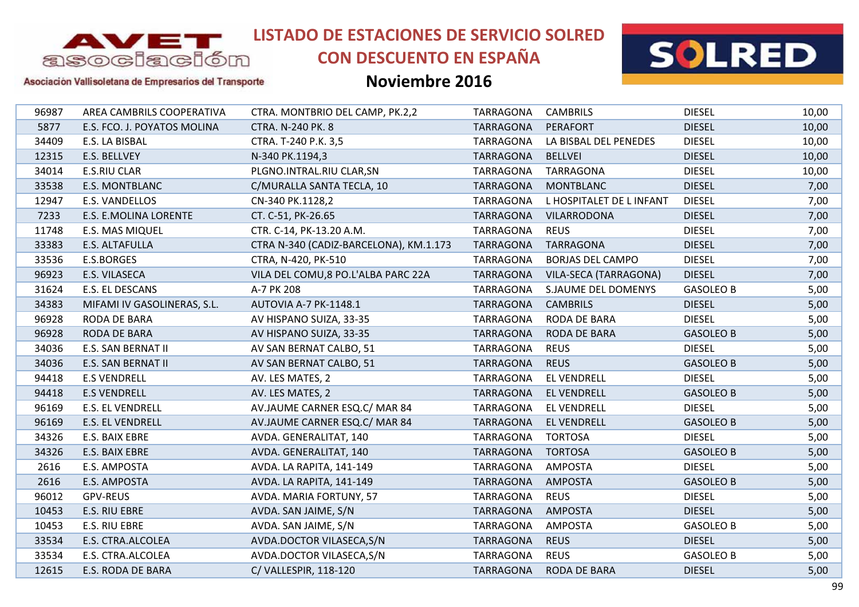

# **CON DESCUENTO EN ESPAÑA**



#### Asociación Vallisoletana de Empresarios del Transporte

| 96987 | AREA CAMBRILS COOPERATIVA   | CTRA. MONTBRIO DEL CAMP, PK.2,2        | <b>TARRAGONA</b> | <b>CAMBRILS</b>          | <b>DIESEL</b>    | 10,00 |
|-------|-----------------------------|----------------------------------------|------------------|--------------------------|------------------|-------|
| 5877  | E.S. FCO. J. POYATOS MOLINA | CTRA. N-240 PK. 8                      | <b>TARRAGONA</b> | <b>PERAFORT</b>          | <b>DIESEL</b>    | 10,00 |
| 34409 | E.S. LA BISBAL              | CTRA. T-240 P.K. 3,5                   | TARRAGONA        | LA BISBAL DEL PENEDES    | <b>DIESEL</b>    | 10,00 |
| 12315 | E.S. BELLVEY                | N-340 PK.1194,3                        | <b>TARRAGONA</b> | <b>BELLVEI</b>           | <b>DIESEL</b>    | 10,00 |
| 34014 | <b>E.S.RIU CLAR</b>         | PLGNO.INTRAL.RIU CLAR,SN               | <b>TARRAGONA</b> | <b>TARRAGONA</b>         | <b>DIESEL</b>    | 10,00 |
| 33538 | <b>E.S. MONTBLANC</b>       | C/MURALLA SANTA TECLA, 10              | <b>TARRAGONA</b> | <b>MONTBLANC</b>         | <b>DIESEL</b>    | 7,00  |
| 12947 | E.S. VANDELLOS              | CN-340 PK.1128,2                       | TARRAGONA        | L HOSPITALET DE L INFANT | <b>DIESEL</b>    | 7,00  |
| 7233  | E.S. E.MOLINA LORENTE       | CT. C-51, PK-26.65                     | <b>TARRAGONA</b> | <b>VILARRODONA</b>       | <b>DIESEL</b>    | 7,00  |
| 11748 | E.S. MAS MIQUEL             | CTR. C-14, PK-13.20 A.M.               | TARRAGONA        | <b>REUS</b>              | <b>DIESEL</b>    | 7,00  |
| 33383 | E.S. ALTAFULLA              | CTRA N-340 (CADIZ-BARCELONA), KM.1.173 | <b>TARRAGONA</b> | <b>TARRAGONA</b>         | <b>DIESEL</b>    | 7,00  |
| 33536 | E.S.BORGES                  | CTRA, N-420, PK-510                    | <b>TARRAGONA</b> | <b>BORJAS DEL CAMPO</b>  | <b>DIESEL</b>    | 7,00  |
| 96923 | E.S. VILASECA               | VILA DEL COMU, 8 PO.L'ALBA PARC 22A    | TARRAGONA        | VILA-SECA (TARRAGONA)    | <b>DIESEL</b>    | 7,00  |
| 31624 | E.S. EL DESCANS             | A-7 PK 208                             | TARRAGONA        | S.JAUME DEL DOMENYS      | <b>GASOLEO B</b> | 5,00  |
| 34383 | MIFAMI IV GASOLINERAS, S.L. | AUTOVIA A-7 PK-1148.1                  | <b>TARRAGONA</b> | <b>CAMBRILS</b>          | <b>DIESEL</b>    | 5,00  |
| 96928 | RODA DE BARA                | AV HISPANO SUIZA, 33-35                | TARRAGONA        | RODA DE BARA             | <b>DIESEL</b>    | 5,00  |
| 96928 | RODA DE BARA                | AV HISPANO SUIZA, 33-35                | <b>TARRAGONA</b> | RODA DE BARA             | <b>GASOLEO B</b> | 5,00  |
| 34036 | E.S. SAN BERNAT II          | AV SAN BERNAT CALBO, 51                | <b>TARRAGONA</b> | <b>REUS</b>              | <b>DIESEL</b>    | 5,00  |
| 34036 | E.S. SAN BERNAT II          | AV SAN BERNAT CALBO, 51                | <b>TARRAGONA</b> | <b>REUS</b>              | <b>GASOLEO B</b> | 5,00  |
| 94418 | <b>E.S VENDRELL</b>         | AV. LES MATES, 2                       | TARRAGONA        | <b>EL VENDRELL</b>       | <b>DIESEL</b>    | 5,00  |
| 94418 | <b>E.S VENDRELL</b>         | AV. LES MATES, 2                       | <b>TARRAGONA</b> | <b>EL VENDRELL</b>       | <b>GASOLEO B</b> | 5,00  |
| 96169 | <b>E.S. EL VENDRELL</b>     | AV.JAUME CARNER ESQ.C/ MAR 84          | TARRAGONA        | <b>EL VENDRELL</b>       | <b>DIESEL</b>    | 5,00  |
| 96169 | <b>E.S. EL VENDRELL</b>     | AV.JAUME CARNER ESQ.C/ MAR 84          | <b>TARRAGONA</b> | <b>EL VENDRELL</b>       | <b>GASOLEO B</b> | 5,00  |
| 34326 | E.S. BAIX EBRE              | AVDA. GENERALITAT, 140                 | <b>TARRAGONA</b> | <b>TORTOSA</b>           | <b>DIESEL</b>    | 5,00  |
| 34326 | E.S. BAIX EBRE              | AVDA. GENERALITAT, 140                 | TARRAGONA        | <b>TORTOSA</b>           | <b>GASOLEO B</b> | 5,00  |
| 2616  | E.S. AMPOSTA                | AVDA. LA RAPITA, 141-149               | TARRAGONA        | <b>AMPOSTA</b>           | <b>DIESEL</b>    | 5,00  |
| 2616  | E.S. AMPOSTA                | AVDA. LA RAPITA, 141-149               | <b>TARRAGONA</b> | <b>AMPOSTA</b>           | <b>GASOLEO B</b> | 5,00  |
| 96012 | <b>GPV-REUS</b>             | AVDA. MARIA FORTUNY, 57                | TARRAGONA        | <b>REUS</b>              | <b>DIESEL</b>    | 5,00  |
| 10453 | E.S. RIU EBRE               | AVDA. SAN JAIME, S/N                   | <b>TARRAGONA</b> | <b>AMPOSTA</b>           | <b>DIESEL</b>    | 5,00  |
| 10453 | E.S. RIU EBRE               | AVDA. SAN JAIME, S/N                   | TARRAGONA        | <b>AMPOSTA</b>           | <b>GASOLEO B</b> | 5,00  |
| 33534 | E.S. CTRA.ALCOLEA           | AVDA.DOCTOR VILASECA, S/N              | <b>TARRAGONA</b> | <b>REUS</b>              | <b>DIESEL</b>    | 5,00  |
| 33534 | E.S. CTRA.ALCOLEA           | AVDA.DOCTOR VILASECA,S/N               | TARRAGONA        | <b>REUS</b>              | <b>GASOLEO B</b> | 5,00  |
| 12615 | <b>E.S. RODA DE BARA</b>    | C/VALLESPIR, 118-120                   | <b>TARRAGONA</b> | <b>RODA DE BARA</b>      | <b>DIESEL</b>    | 5,00  |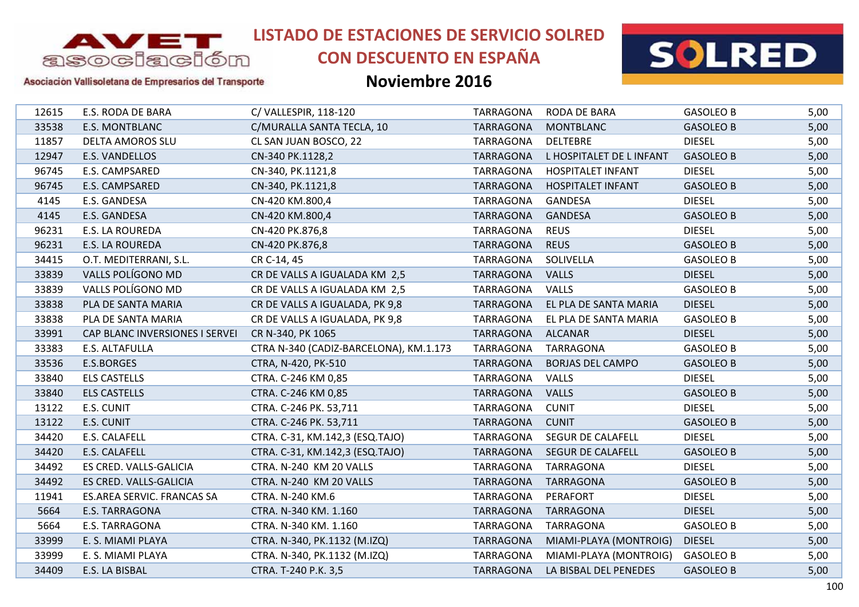

# **CON DESCUENTO EN ESPAÑA**



#### Asociación Vallisoletana de Empresarios del Transporte

| 12615 | E.S. RODA DE BARA              | C/VALLESPIR, 118-120                   | TARRAGONA        | RODA DE BARA             | <b>GASOLEO B</b> | 5,00 |
|-------|--------------------------------|----------------------------------------|------------------|--------------------------|------------------|------|
| 33538 | E.S. MONTBLANC                 | C/MURALLA SANTA TECLA, 10              | <b>TARRAGONA</b> | <b>MONTBLANC</b>         | <b>GASOLEO B</b> | 5,00 |
| 11857 | DELTA AMOROS SLU               | CL SAN JUAN BOSCO, 22                  | TARRAGONA        | <b>DELTEBRE</b>          | <b>DIESEL</b>    | 5,00 |
| 12947 | E.S. VANDELLOS                 | CN-340 PK.1128,2                       | <b>TARRAGONA</b> | L HOSPITALET DE L INFANT | <b>GASOLEO B</b> | 5,00 |
| 96745 | E.S. CAMPSARED                 | CN-340, PK.1121,8                      | <b>TARRAGONA</b> | <b>HOSPITALET INFANT</b> | <b>DIESEL</b>    | 5,00 |
| 96745 | E.S. CAMPSARED                 | CN-340, PK.1121,8                      | <b>TARRAGONA</b> | <b>HOSPITALET INFANT</b> | <b>GASOLEO B</b> | 5,00 |
| 4145  | E.S. GANDESA                   | CN-420 KM.800,4                        | <b>TARRAGONA</b> | <b>GANDESA</b>           | <b>DIESEL</b>    | 5,00 |
| 4145  | E.S. GANDESA                   | CN-420 KM.800,4                        | TARRAGONA        | GANDESA                  | <b>GASOLEO B</b> | 5,00 |
| 96231 | E.S. LA ROUREDA                | CN-420 PK.876,8                        | TARRAGONA        | <b>REUS</b>              | <b>DIESEL</b>    | 5,00 |
| 96231 | E.S. LA ROUREDA                | CN-420 PK.876,8                        | TARRAGONA        | <b>REUS</b>              | <b>GASOLEO B</b> | 5,00 |
| 34415 | O.T. MEDITERRANI, S.L.         | CR C-14, 45                            | <b>TARRAGONA</b> | SOLIVELLA                | <b>GASOLEO B</b> | 5,00 |
| 33839 | VALLS POLÍGONO MD              | CR DE VALLS A IGUALADA KM 2,5          | <b>TARRAGONA</b> | <b>VALLS</b>             | <b>DIESEL</b>    | 5,00 |
| 33839 | VALLS POLÍGONO MD              | CR DE VALLS A IGUALADA KM 2,5          | TARRAGONA        | VALLS                    | <b>GASOLEO B</b> | 5,00 |
| 33838 | PLA DE SANTA MARIA             | CR DE VALLS A IGUALADA, PK 9,8         | <b>TARRAGONA</b> | EL PLA DE SANTA MARIA    | <b>DIESEL</b>    | 5,00 |
| 33838 | PLA DE SANTA MARIA             | CR DE VALLS A IGUALADA, PK 9,8         | TARRAGONA        | EL PLA DE SANTA MARIA    | <b>GASOLEO B</b> | 5,00 |
| 33991 | CAP BLANC INVERSIONES I SERVEI | CR N-340, PK 1065                      | TARRAGONA        | <b>ALCANAR</b>           | <b>DIESEL</b>    | 5,00 |
| 33383 | E.S. ALTAFULLA                 | CTRA N-340 (CADIZ-BARCELONA), KM.1.173 | TARRAGONA        | TARRAGONA                | <b>GASOLEO B</b> | 5,00 |
| 33536 | E.S.BORGES                     | CTRA, N-420, PK-510                    | <b>TARRAGONA</b> | <b>BORJAS DEL CAMPO</b>  | <b>GASOLEO B</b> | 5,00 |
| 33840 | <b>ELS CASTELLS</b>            | CTRA. C-246 KM 0,85                    | TARRAGONA        | <b>VALLS</b>             | <b>DIESEL</b>    | 5,00 |
| 33840 | <b>ELS CASTELLS</b>            | CTRA. C-246 KM 0,85                    | TARRAGONA        | <b>VALLS</b>             | <b>GASOLEO B</b> | 5,00 |
| 13122 | E.S. CUNIT                     | CTRA. C-246 PK. 53,711                 | <b>TARRAGONA</b> | <b>CUNIT</b>             | <b>DIESEL</b>    | 5,00 |
| 13122 | E.S. CUNIT                     | CTRA. C-246 PK. 53,711                 | TARRAGONA        | <b>CUNIT</b>             | <b>GASOLEO B</b> | 5,00 |
| 34420 | E.S. CALAFELL                  | CTRA. C-31, KM.142,3 (ESQ.TAJO)        | TARRAGONA        | SEGUR DE CALAFELL        | <b>DIESEL</b>    | 5,00 |
| 34420 | E.S. CALAFELL                  | CTRA. C-31, KM.142,3 (ESQ.TAJO)        | TARRAGONA        | <b>SEGUR DE CALAFELL</b> | <b>GASOLEO B</b> | 5,00 |
| 34492 | ES CRED. VALLS-GALICIA         | CTRA. N-240 KM 20 VALLS                | TARRAGONA        | <b>TARRAGONA</b>         | <b>DIESEL</b>    | 5,00 |
| 34492 | ES CRED. VALLS-GALICIA         | CTRA. N-240 KM 20 VALLS                | <b>TARRAGONA</b> | <b>TARRAGONA</b>         | <b>GASOLEO B</b> | 5,00 |
| 11941 | ES.AREA SERVIC. FRANCAS SA     | CTRA. N-240 KM.6                       | TARRAGONA        | PERAFORT                 | <b>DIESEL</b>    | 5,00 |
| 5664  | E.S. TARRAGONA                 | CTRA. N-340 KM. 1.160                  | <b>TARRAGONA</b> | <b>TARRAGONA</b>         | <b>DIESEL</b>    | 5,00 |
| 5664  | E.S. TARRAGONA                 | CTRA. N-340 KM. 1.160                  | TARRAGONA        | TARRAGONA                | <b>GASOLEO B</b> | 5,00 |
| 33999 | E. S. MIAMI PLAYA              | CTRA. N-340, PK.1132 (M.IZQ)           | <b>TARRAGONA</b> | MIAMI-PLAYA (MONTROIG)   | <b>DIESEL</b>    | 5,00 |
| 33999 | E. S. MIAMI PLAYA              | CTRA. N-340, PK.1132 (M.IZQ)           | TARRAGONA        | MIAMI-PLAYA (MONTROIG)   | <b>GASOLEO B</b> | 5,00 |
| 34409 | E.S. LA BISBAL                 | CTRA. T-240 P.K. 3,5                   | <b>TARRAGONA</b> | LA BISBAL DEL PENEDES    | <b>GASOLEO B</b> | 5,00 |
|       |                                |                                        |                  |                          |                  |      |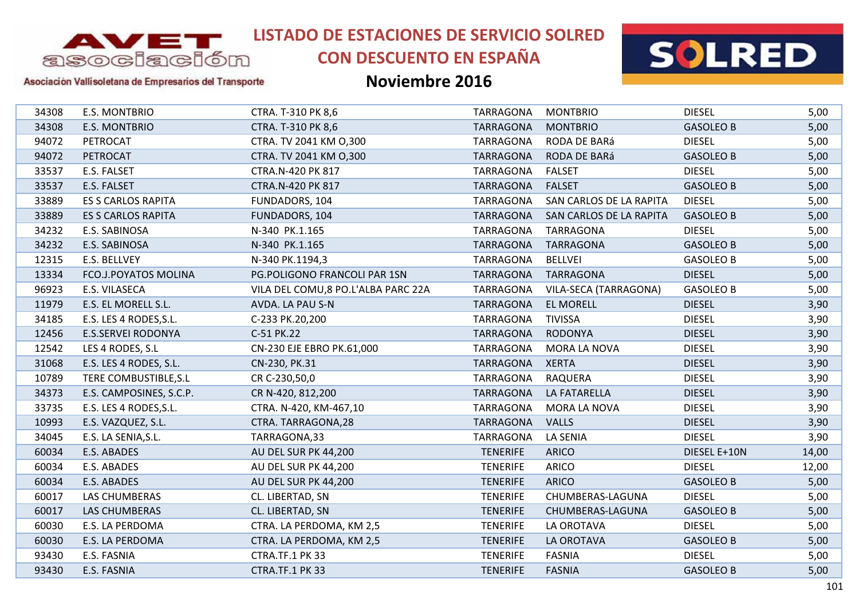

# **CON DESCUENTO EN ESPAÑA**



#### Asociación Vallisoletana de Empresarios del Transporte

| 34308 | <b>E.S. MONTBRIO</b>      | CTRA. T-310 PK 8,6                  | TARRAGONA        | <b>MONTBRIO</b>         | <b>DIESEL</b>    | 5,00  |
|-------|---------------------------|-------------------------------------|------------------|-------------------------|------------------|-------|
| 34308 | E.S. MONTBRIO             | CTRA. T-310 PK 8,6                  | <b>TARRAGONA</b> | <b>MONTBRIO</b>         | <b>GASOLEO B</b> | 5,00  |
| 94072 | PETROCAT                  | CTRA. TV 2041 KM 0,300              | TARRAGONA        | RODA DE BARá            | <b>DIESEL</b>    | 5,00  |
| 94072 | PETROCAT                  | CTRA. TV 2041 KM 0,300              | TARRAGONA        | RODA DE BARá            | <b>GASOLEO B</b> | 5,00  |
| 33537 | E.S. FALSET               | CTRA.N-420 PK 817                   | TARRAGONA        | <b>FALSET</b>           | <b>DIESEL</b>    | 5,00  |
| 33537 | E.S. FALSET               | CTRA.N-420 PK 817                   | <b>TARRAGONA</b> | <b>FALSET</b>           | <b>GASOLEO B</b> | 5,00  |
| 33889 | <b>ES S CARLOS RAPITA</b> | FUNDADORS, 104                      | TARRAGONA        | SAN CARLOS DE LA RAPITA | <b>DIESEL</b>    | 5,00  |
| 33889 | <b>ES S CARLOS RAPITA</b> | FUNDADORS, 104                      | <b>TARRAGONA</b> | SAN CARLOS DE LA RAPITA | <b>GASOLEO B</b> | 5,00  |
| 34232 | E.S. SABINOSA             | N-340 PK.1.165                      | TARRAGONA        | <b>TARRAGONA</b>        | <b>DIESEL</b>    | 5,00  |
| 34232 | E.S. SABINOSA             | N-340 PK.1.165                      | <b>TARRAGONA</b> | <b>TARRAGONA</b>        | <b>GASOLEO B</b> | 5,00  |
| 12315 | E.S. BELLVEY              | N-340 PK.1194,3                     | TARRAGONA        | <b>BELLVEI</b>          | <b>GASOLEO B</b> | 5,00  |
| 13334 | FCO.J.POYATOS MOLINA      | PG.POLIGONO FRANCOLI PAR 1SN        | TARRAGONA        | <b>TARRAGONA</b>        | <b>DIESEL</b>    | 5,00  |
| 96923 | E.S. VILASECA             | VILA DEL COMU, 8 PO.L'ALBA PARC 22A | TARRAGONA        | VILA-SECA (TARRAGONA)   | <b>GASOLEO B</b> | 5,00  |
| 11979 | E.S. EL MORELL S.L.       | AVDA. LA PAU S-N                    | <b>TARRAGONA</b> | <b>EL MORELL</b>        | <b>DIESEL</b>    | 3,90  |
| 34185 | E.S. LES 4 RODES, S.L.    | C-233 PK.20,200                     | TARRAGONA        | <b>TIVISSA</b>          | <b>DIESEL</b>    | 3,90  |
| 12456 | <b>E.S.SERVEI RODONYA</b> | C-51 PK.22                          | <b>TARRAGONA</b> | <b>RODONYA</b>          | <b>DIESEL</b>    | 3,90  |
| 12542 | LES 4 RODES, S.L          | CN-230 EJE EBRO PK.61,000           | TARRAGONA        | MORA LA NOVA            | <b>DIESEL</b>    | 3,90  |
| 31068 | E.S. LES 4 RODES, S.L.    | CN-230, PK.31                       | TARRAGONA        | <b>XERTA</b>            | <b>DIESEL</b>    | 3,90  |
| 10789 | TERE COMBUSTIBLE, S.L     | CR C-230,50,0                       | TARRAGONA        | <b>RAQUERA</b>          | <b>DIESEL</b>    | 3,90  |
| 34373 | E.S. CAMPOSINES, S.C.P.   | CR N-420, 812, 200                  | TARRAGONA        | LA FATARELLA            | <b>DIESEL</b>    | 3,90  |
| 33735 | E.S. LES 4 RODES, S.L.    | CTRA. N-420, KM-467,10              | <b>TARRAGONA</b> | <b>MORA LA NOVA</b>     | <b>DIESEL</b>    | 3,90  |
| 10993 | E.S. VAZQUEZ, S.L.        | CTRA. TARRAGONA, 28                 | <b>TARRAGONA</b> | <b>VALLS</b>            | <b>DIESEL</b>    | 3,90  |
| 34045 | E.S. LA SENIA, S.L.       | TARRAGONA,33                        | <b>TARRAGONA</b> | <b>LA SENIA</b>         | <b>DIESEL</b>    | 3,90  |
| 60034 | E.S. ABADES               | AU DEL SUR PK 44,200                | <b>TENERIFE</b>  | <b>ARICO</b>            | DIESEL E+10N     | 14,00 |
| 60034 | E.S. ABADES               | AU DEL SUR PK 44,200                | <b>TENERIFE</b>  | <b>ARICO</b>            | <b>DIESEL</b>    | 12,00 |
| 60034 | E.S. ABADES               | AU DEL SUR PK 44,200                | <b>TENERIFE</b>  | <b>ARICO</b>            | <b>GASOLEO B</b> | 5,00  |
| 60017 | LAS CHUMBERAS             | CL. LIBERTAD, SN                    | <b>TENERIFE</b>  | CHUMBERAS-LAGUNA        | <b>DIESEL</b>    | 5,00  |
| 60017 | LAS CHUMBERAS             | CL. LIBERTAD, SN                    | <b>TENERIFE</b>  | CHUMBERAS-LAGUNA        | <b>GASOLEO B</b> | 5,00  |
| 60030 | E.S. LA PERDOMA           | CTRA. LA PERDOMA, KM 2,5            | <b>TENERIFE</b>  | LA OROTAVA              | <b>DIESEL</b>    | 5,00  |
| 60030 | E.S. LA PERDOMA           | CTRA. LA PERDOMA, KM 2,5            | <b>TENERIFE</b>  | LA OROTAVA              | <b>GASOLEO B</b> | 5,00  |
| 93430 | E.S. FASNIA               | CTRA.TF.1 PK 33                     | <b>TENERIFE</b>  | <b>FASNIA</b>           | <b>DIESEL</b>    | 5,00  |
| 93430 | E.S. FASNIA               | CTRA.TF.1 PK 33                     | <b>TENERIFE</b>  | <b>FASNIA</b>           | <b>GASOLEO B</b> | 5,00  |
|       |                           |                                     |                  |                         |                  |       |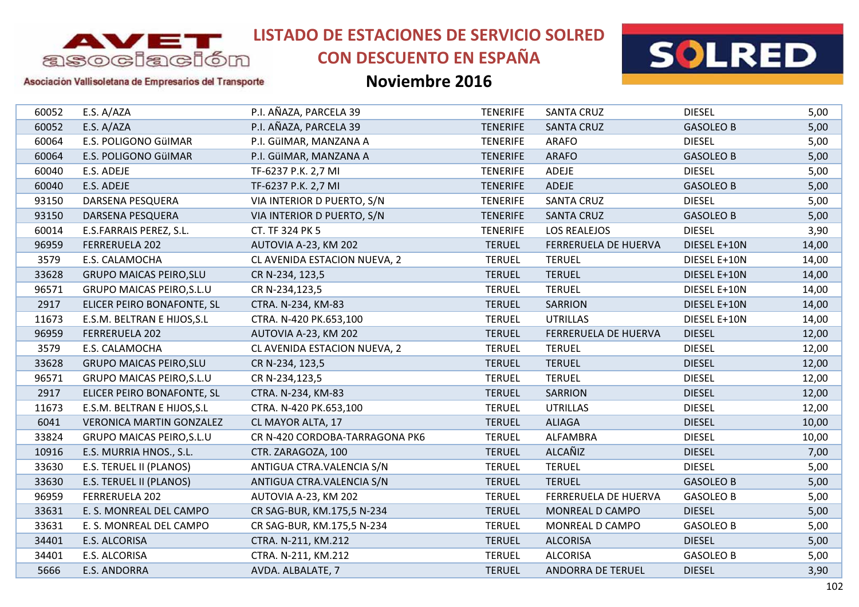

# **CON DESCUENTO EN ESPAÑA**



### Asociación Vallisoletana de Empresarios del Transporte

| 60052 | E.S. A/AZA                       | P.I. AÑAZA, PARCELA 39         | <b>TENERIFE</b> | <b>SANTA CRUZ</b>           | <b>DIESEL</b>    | 5,00  |
|-------|----------------------------------|--------------------------------|-----------------|-----------------------------|------------------|-------|
| 60052 | E.S. A/AZA                       | P.I. AÑAZA, PARCELA 39         | <b>TENERIFE</b> | <b>SANTA CRUZ</b>           | <b>GASOLEO B</b> | 5,00  |
| 60064 | E.S. POLIGONO GüIMAR             | P.I. GülMAR, MANZANA A         | <b>TENERIFE</b> | <b>ARAFO</b>                | <b>DIESEL</b>    | 5,00  |
| 60064 | E.S. POLIGONO GüIMAR             | P.I. GülMAR, MANZANA A         | <b>TENERIFE</b> | <b>ARAFO</b>                | <b>GASOLEO B</b> | 5,00  |
| 60040 | E.S. ADEJE                       | TF-6237 P.K. 2,7 MI            | <b>TENERIFE</b> | ADEJE                       | <b>DIESEL</b>    | 5,00  |
| 60040 | E.S. ADEJE                       | TF-6237 P.K. 2,7 MI            | <b>TENERIFE</b> | ADEJE                       | <b>GASOLEO B</b> | 5,00  |
| 93150 | DARSENA PESQUERA                 | VIA INTERIOR D PUERTO, S/N     | <b>TENERIFE</b> | <b>SANTA CRUZ</b>           | <b>DIESEL</b>    | 5,00  |
| 93150 | DARSENA PESQUERA                 | VIA INTERIOR D PUERTO, S/N     | <b>TENERIFE</b> | <b>SANTA CRUZ</b>           | <b>GASOLEO B</b> | 5,00  |
| 60014 | E.S.FARRAIS PEREZ, S.L.          | CT. TF 324 PK 5                | <b>TENERIFE</b> | LOS REALEJOS                | <b>DIESEL</b>    | 3,90  |
| 96959 | FERRERUELA 202                   | AUTOVIA A-23, KM 202           | <b>TERUEL</b>   | <b>FERRERUELA DE HUERVA</b> | DIESEL E+10N     | 14,00 |
| 3579  | E.S. CALAMOCHA                   | CL AVENIDA ESTACION NUEVA, 2   | <b>TERUEL</b>   | <b>TERUEL</b>               | DIESEL E+10N     | 14,00 |
| 33628 | <b>GRUPO MAICAS PEIRO, SLU</b>   | CR N-234, 123,5                | <b>TERUEL</b>   | <b>TERUEL</b>               | DIESEL E+10N     | 14,00 |
| 96571 | <b>GRUPO MAICAS PEIRO, S.L.U</b> | CR N-234,123,5                 | <b>TERUEL</b>   | <b>TERUEL</b>               | DIESEL E+10N     | 14,00 |
| 2917  | ELICER PEIRO BONAFONTE, SL       | CTRA. N-234, KM-83             | <b>TERUEL</b>   | <b>SARRION</b>              | DIESEL E+10N     | 14,00 |
| 11673 | E.S.M. BELTRAN E HIJOS, S.L      | CTRA. N-420 PK.653,100         | <b>TERUEL</b>   | <b>UTRILLAS</b>             | DIESEL E+10N     | 14,00 |
| 96959 | FERRERUELA 202                   | AUTOVIA A-23, KM 202           | <b>TERUEL</b>   | FERRERUELA DE HUERVA        | <b>DIESEL</b>    | 12,00 |
| 3579  | E.S. CALAMOCHA                   | CL AVENIDA ESTACION NUEVA, 2   | <b>TERUEL</b>   | <b>TERUEL</b>               | <b>DIESEL</b>    | 12,00 |
| 33628 | <b>GRUPO MAICAS PEIRO, SLU</b>   | CR N-234, 123,5                | <b>TERUEL</b>   | <b>TERUEL</b>               | <b>DIESEL</b>    | 12,00 |
| 96571 | <b>GRUPO MAICAS PEIRO, S.L.U</b> | CR N-234,123,5                 | <b>TERUEL</b>   | <b>TERUEL</b>               | <b>DIESEL</b>    | 12,00 |
| 2917  | ELICER PEIRO BONAFONTE, SL       | CTRA. N-234, KM-83             | <b>TERUEL</b>   | <b>SARRION</b>              | <b>DIESEL</b>    | 12,00 |
| 11673 | E.S.M. BELTRAN E HIJOS, S.L      | CTRA. N-420 PK.653,100         | <b>TERUEL</b>   | <b>UTRILLAS</b>             | <b>DIESEL</b>    | 12,00 |
| 6041  | <b>VERONICA MARTIN GONZALEZ</b>  | CL MAYOR ALTA, 17              | <b>TERUEL</b>   | <b>ALIAGA</b>               | <b>DIESEL</b>    | 10,00 |
| 33824 | <b>GRUPO MAICAS PEIRO, S.L.U</b> | CR N-420 CORDOBA-TARRAGONA PK6 | <b>TERUEL</b>   | ALFAMBRA                    | <b>DIESEL</b>    | 10,00 |
| 10916 | E.S. MURRIA HNOS., S.L.          | CTR. ZARAGOZA, 100             | <b>TERUEL</b>   | ALCAÑIZ                     | <b>DIESEL</b>    | 7,00  |
| 33630 | E.S. TERUEL II (PLANOS)          | ANTIGUA CTRA.VALENCIA S/N      | <b>TERUEL</b>   | <b>TERUEL</b>               | <b>DIESEL</b>    | 5,00  |
| 33630 | E.S. TERUEL II (PLANOS)          | ANTIGUA CTRA.VALENCIA S/N      | <b>TERUEL</b>   | <b>TERUEL</b>               | <b>GASOLEO B</b> | 5,00  |
| 96959 | FERRERUELA 202                   | AUTOVIA A-23, KM 202           | <b>TERUEL</b>   | FERRERUELA DE HUERVA        | <b>GASOLEO B</b> | 5,00  |
| 33631 | E. S. MONREAL DEL CAMPO          | CR SAG-BUR, KM.175,5 N-234     | <b>TERUEL</b>   | MONREAL D CAMPO             | <b>DIESEL</b>    | 5,00  |
| 33631 | E. S. MONREAL DEL CAMPO          | CR SAG-BUR, KM.175,5 N-234     | <b>TERUEL</b>   | MONREAL D CAMPO             | <b>GASOLEO B</b> | 5,00  |
| 34401 | E.S. ALCORISA                    | CTRA. N-211, KM.212            | <b>TERUEL</b>   | <b>ALCORISA</b>             | <b>DIESEL</b>    | 5,00  |
| 34401 | E.S. ALCORISA                    | CTRA. N-211, KM.212            | <b>TERUEL</b>   | <b>ALCORISA</b>             | <b>GASOLEO B</b> | 5,00  |
| 5666  | <b>E.S. ANDORRA</b>              | AVDA. ALBALATE, 7              | <b>TERUEL</b>   | <b>ANDORRA DE TERUEL</b>    | <b>DIESEL</b>    | 3,90  |
|       |                                  |                                |                 |                             |                  |       |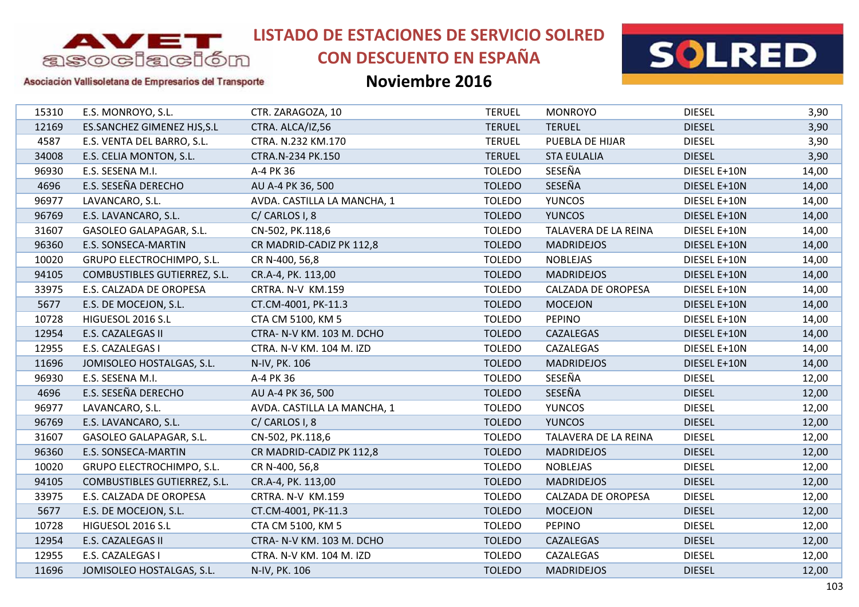

# **CON DESCUENTO EN ESPAÑA**



Asociación Vallisoletana de Empresarios del Transporte

| 15310 | E.S. MONROYO, S.L.           | CTR. ZARAGOZA, 10           | <b>TERUEL</b> | <b>MONROYO</b>       | <b>DIESEL</b> | 3,90  |
|-------|------------------------------|-----------------------------|---------------|----------------------|---------------|-------|
| 12169 | ES.SANCHEZ GIMENEZ HJS, S.L  | CTRA. ALCA/IZ,56            | <b>TERUEL</b> | <b>TERUEL</b>        | <b>DIESEL</b> | 3,90  |
| 4587  | E.S. VENTA DEL BARRO, S.L.   | CTRA. N.232 KM.170          | <b>TERUEL</b> | PUEBLA DE HIJAR      | <b>DIESEL</b> | 3,90  |
| 34008 | E.S. CELIA MONTON, S.L.      | CTRA.N-234 PK.150           | <b>TERUEL</b> | <b>STA EULALIA</b>   | <b>DIESEL</b> | 3,90  |
| 96930 | E.S. SESENA M.I.             | A-4 PK 36                   | <b>TOLEDO</b> | SESEÑA               | DIESEL E+10N  | 14,00 |
| 4696  | E.S. SESEÑA DERECHO          | AU A-4 PK 36, 500           | <b>TOLEDO</b> | SESEÑA               | DIESEL E+10N  | 14,00 |
| 96977 | LAVANCARO, S.L.              | AVDA. CASTILLA LA MANCHA, 1 | <b>TOLEDO</b> | <b>YUNCOS</b>        | DIESEL E+10N  | 14,00 |
| 96769 | E.S. LAVANCARO, S.L.         | C/CARLOS I, 8               | <b>TOLEDO</b> | <b>YUNCOS</b>        | DIESEL E+10N  | 14,00 |
| 31607 | GASOLEO GALAPAGAR, S.L.      | CN-502, PK.118,6            | <b>TOLEDO</b> | TALAVERA DE LA REINA | DIESEL E+10N  | 14,00 |
| 96360 | E.S. SONSECA-MARTIN          | CR MADRID-CADIZ PK 112,8    | <b>TOLEDO</b> | <b>MADRIDEJOS</b>    | DIESEL E+10N  | 14,00 |
| 10020 | GRUPO ELECTROCHIMPO, S.L.    | CR N-400, 56,8              | <b>TOLEDO</b> | <b>NOBLEJAS</b>      | DIESEL E+10N  | 14,00 |
| 94105 | COMBUSTIBLES GUTIERREZ, S.L. | CR.A-4, PK. 113,00          | <b>TOLEDO</b> | <b>MADRIDEJOS</b>    | DIESEL E+10N  | 14,00 |
| 33975 | E.S. CALZADA DE OROPESA      | CRTRA. N-V KM.159           | <b>TOLEDO</b> | CALZADA DE OROPESA   | DIESEL E+10N  | 14,00 |
| 5677  | E.S. DE MOCEJON, S.L.        | CT.CM-4001, PK-11.3         | <b>TOLEDO</b> | <b>MOCEJON</b>       | DIESEL E+10N  | 14,00 |
| 10728 | HIGUESOL 2016 S.L            | CTA CM 5100, KM 5           | <b>TOLEDO</b> | <b>PEPINO</b>        | DIESEL E+10N  | 14,00 |
| 12954 | E.S. CAZALEGAS II            | CTRA- N-V KM. 103 M. DCHO   | <b>TOLEDO</b> | CAZALEGAS            | DIESEL E+10N  | 14,00 |
| 12955 | E.S. CAZALEGAS I             | CTRA. N-V KM. 104 M. IZD    | <b>TOLEDO</b> | CAZALEGAS            | DIESEL E+10N  | 14,00 |
| 11696 | JOMISOLEO HOSTALGAS, S.L.    | N-IV, PK. 106               | <b>TOLEDO</b> | <b>MADRIDEJOS</b>    | DIESEL E+10N  | 14,00 |
| 96930 | E.S. SESENA M.I.             | A-4 PK 36                   | <b>TOLEDO</b> | SESEÑA               | <b>DIESEL</b> | 12,00 |
| 4696  | E.S. SESEÑA DERECHO          | AU A-4 PK 36, 500           | <b>TOLEDO</b> | SESEÑA               | <b>DIESEL</b> | 12,00 |
| 96977 | LAVANCARO, S.L.              | AVDA. CASTILLA LA MANCHA, 1 | <b>TOLEDO</b> | <b>YUNCOS</b>        | <b>DIESEL</b> | 12,00 |
| 96769 | E.S. LAVANCARO, S.L.         | C/ CARLOS I, 8              | <b>TOLEDO</b> | <b>YUNCOS</b>        | <b>DIESEL</b> | 12,00 |
| 31607 | GASOLEO GALAPAGAR, S.L.      | CN-502, PK.118,6            | <b>TOLEDO</b> | TALAVERA DE LA REINA | <b>DIESEL</b> | 12,00 |
| 96360 | <b>E.S. SONSECA-MARTIN</b>   | CR MADRID-CADIZ PK 112,8    | <b>TOLEDO</b> | <b>MADRIDEJOS</b>    | <b>DIESEL</b> | 12,00 |
| 10020 | GRUPO ELECTROCHIMPO, S.L.    | CR N-400, 56,8              | <b>TOLEDO</b> | <b>NOBLEJAS</b>      | <b>DIESEL</b> | 12,00 |
| 94105 | COMBUSTIBLES GUTIERREZ, S.L. | CR.A-4, PK. 113,00          | <b>TOLEDO</b> | <b>MADRIDEJOS</b>    | <b>DIESEL</b> | 12,00 |
| 33975 | E.S. CALZADA DE OROPESA      | CRTRA. N-V KM.159           | <b>TOLEDO</b> | CALZADA DE OROPESA   | <b>DIESEL</b> | 12,00 |
| 5677  | E.S. DE MOCEJON, S.L.        | CT.CM-4001, PK-11.3         | <b>TOLEDO</b> | <b>MOCEJON</b>       | <b>DIESEL</b> | 12,00 |
| 10728 | HIGUESOL 2016 S.L            | CTA CM 5100, KM 5           | <b>TOLEDO</b> | <b>PEPINO</b>        | <b>DIESEL</b> | 12,00 |
| 12954 | E.S. CAZALEGAS II            | CTRA- N-V KM. 103 M. DCHO   | <b>TOLEDO</b> | CAZALEGAS            | <b>DIESEL</b> | 12,00 |
| 12955 | E.S. CAZALEGAS I             | CTRA. N-V KM. 104 M. IZD    | <b>TOLEDO</b> | CAZALEGAS            | <b>DIESEL</b> | 12,00 |
| 11696 | JOMISOLEO HOSTALGAS, S.L.    | N-IV, PK. 106               | <b>TOLEDO</b> | <b>MADRIDEJOS</b>    | <b>DIESEL</b> | 12,00 |
|       |                              |                             |               |                      |               |       |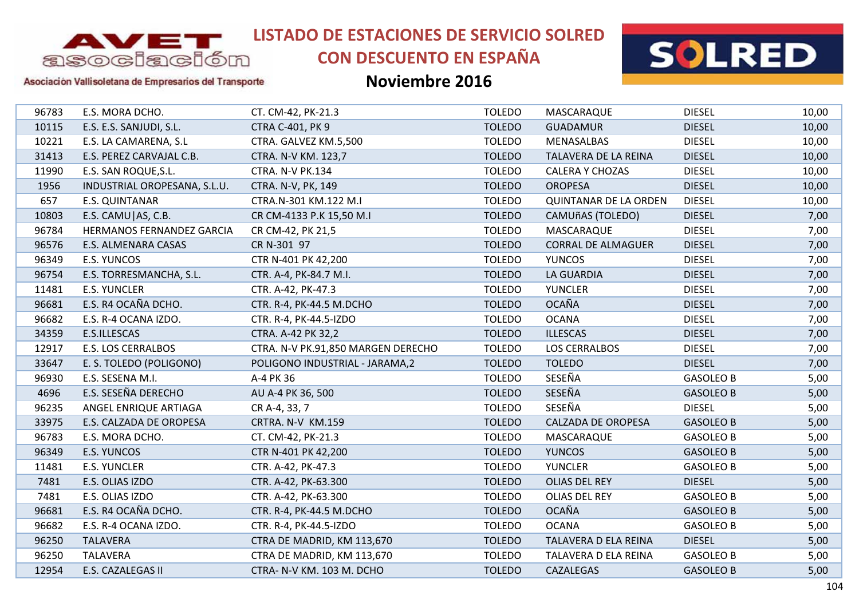

# **CON DESCUENTO EN ESPAÑA**



### Asociación Vallisoletana de Empresarios del Transporte

| 96783 | E.S. MORA DCHO.              | CT. CM-42, PK-21.3                 | <b>TOLEDO</b> | MASCARAQUE                   | <b>DIESEL</b>    | 10,00 |
|-------|------------------------------|------------------------------------|---------------|------------------------------|------------------|-------|
| 10115 | E.S. E.S. SANJUDI, S.L.      | CTRA C-401, PK 9                   | <b>TOLEDO</b> | <b>GUADAMUR</b>              | <b>DIESEL</b>    | 10,00 |
| 10221 | E.S. LA CAMARENA, S.L        | CTRA. GALVEZ KM.5,500              | <b>TOLEDO</b> | MENASALBAS                   | <b>DIESEL</b>    | 10,00 |
| 31413 | E.S. PEREZ CARVAJAL C.B.     | CTRA. N-V KM. 123,7                | <b>TOLEDO</b> | TALAVERA DE LA REINA         | <b>DIESEL</b>    | 10,00 |
| 11990 | E.S. SAN ROQUE, S.L.         | CTRA. N-V PK.134                   | <b>TOLEDO</b> | <b>CALERA Y CHOZAS</b>       | <b>DIESEL</b>    | 10,00 |
| 1956  | INDUSTRIAL OROPESANA, S.L.U. | CTRA. N-V, PK, 149                 | <b>TOLEDO</b> | <b>OROPESA</b>               | <b>DIESEL</b>    | 10,00 |
| 657   | E.S. QUINTANAR               | CTRA.N-301 KM.122 M.I              | <b>TOLEDO</b> | <b>QUINTANAR DE LA ORDEN</b> | <b>DIESEL</b>    | 10,00 |
| 10803 | E.S. CAMU   AS, C.B.         | CR CM-4133 P.K 15,50 M.I           | <b>TOLEDO</b> | <b>CAMUñAS (TOLEDO)</b>      | <b>DIESEL</b>    | 7,00  |
| 96784 | HERMANOS FERNANDEZ GARCIA    | CR CM-42, PK 21,5                  | <b>TOLEDO</b> | MASCARAQUE                   | <b>DIESEL</b>    | 7,00  |
| 96576 | E.S. ALMENARA CASAS          | CR N-301 97                        | <b>TOLEDO</b> | <b>CORRAL DE ALMAGUER</b>    | <b>DIESEL</b>    | 7,00  |
| 96349 | E.S. YUNCOS                  | CTR N-401 PK 42,200                | <b>TOLEDO</b> | <b>YUNCOS</b>                | <b>DIESEL</b>    | 7,00  |
| 96754 | E.S. TORRESMANCHA, S.L.      | CTR. A-4, PK-84.7 M.I.             | <b>TOLEDO</b> | <b>LA GUARDIA</b>            | <b>DIESEL</b>    | 7,00  |
| 11481 | <b>E.S. YUNCLER</b>          | CTR. A-42, PK-47.3                 | <b>TOLEDO</b> | <b>YUNCLER</b>               | <b>DIESEL</b>    | 7,00  |
| 96681 | E.S. R4 OCAÑA DCHO.          | CTR. R-4, PK-44.5 M.DCHO           | <b>TOLEDO</b> | <b>OCAÑA</b>                 | <b>DIESEL</b>    | 7,00  |
| 96682 | E.S. R-4 OCANA IZDO.         | CTR. R-4, PK-44.5-IZDO             | <b>TOLEDO</b> | <b>OCANA</b>                 | <b>DIESEL</b>    | 7,00  |
| 34359 | E.S.ILLESCAS                 | CTRA. A-42 PK 32,2                 | <b>TOLEDO</b> | <b>ILLESCAS</b>              | <b>DIESEL</b>    | 7,00  |
| 12917 | <b>E.S. LOS CERRALBOS</b>    | CTRA. N-V PK.91,850 MARGEN DERECHO | <b>TOLEDO</b> | <b>LOS CERRALBOS</b>         | <b>DIESEL</b>    | 7,00  |
| 33647 | E. S. TOLEDO (POLIGONO)      | POLIGONO INDUSTRIAL - JARAMA,2     | <b>TOLEDO</b> | <b>TOLEDO</b>                | <b>DIESEL</b>    | 7,00  |
| 96930 | E.S. SESENA M.I.             | A-4 PK 36                          | <b>TOLEDO</b> | SESEÑA                       | <b>GASOLEO B</b> | 5,00  |
| 4696  | E.S. SESEÑA DERECHO          | AU A-4 PK 36, 500                  | <b>TOLEDO</b> | SESEÑA                       | <b>GASOLEO B</b> | 5,00  |
| 96235 | ANGEL ENRIQUE ARTIAGA        | CR A-4, 33, 7                      | <b>TOLEDO</b> | SESEÑA                       | <b>DIESEL</b>    | 5,00  |
| 33975 | E.S. CALZADA DE OROPESA      | CRTRA. N-V KM.159                  | <b>TOLEDO</b> | <b>CALZADA DE OROPESA</b>    | <b>GASOLEO B</b> | 5,00  |
| 96783 | E.S. MORA DCHO.              | CT. CM-42, PK-21.3                 | <b>TOLEDO</b> | MASCARAQUE                   | <b>GASOLEO B</b> | 5,00  |
| 96349 | E.S. YUNCOS                  | CTR N-401 PK 42,200                | <b>TOLEDO</b> | <b>YUNCOS</b>                | <b>GASOLEO B</b> | 5,00  |
| 11481 | <b>E.S. YUNCLER</b>          | CTR. A-42, PK-47.3                 | <b>TOLEDO</b> | <b>YUNCLER</b>               | <b>GASOLEO B</b> | 5,00  |
| 7481  | E.S. OLIAS IZDO              | CTR. A-42, PK-63.300               | <b>TOLEDO</b> | OLIAS DEL REY                | <b>DIESEL</b>    | 5,00  |
| 7481  | E.S. OLIAS IZDO              | CTR. A-42, PK-63.300               | <b>TOLEDO</b> | OLIAS DEL REY                | <b>GASOLEO B</b> | 5,00  |
| 96681 | E.S. R4 OCAÑA DCHO.          | CTR. R-4, PK-44.5 M.DCHO           | <b>TOLEDO</b> | <b>OCAÑA</b>                 | <b>GASOLEO B</b> | 5,00  |
| 96682 | E.S. R-4 OCANA IZDO.         | CTR. R-4, PK-44.5-IZDO             | <b>TOLEDO</b> | <b>OCANA</b>                 | <b>GASOLEO B</b> | 5,00  |
| 96250 | <b>TALAVERA</b>              | CTRA DE MADRID, KM 113,670         | <b>TOLEDO</b> | TALAVERA D ELA REINA         | <b>DIESEL</b>    | 5,00  |
| 96250 | TALAVERA                     | CTRA DE MADRID, KM 113,670         | <b>TOLEDO</b> | TALAVERA D ELA REINA         | <b>GASOLEO B</b> | 5,00  |
| 12954 | E.S. CAZALEGAS II            | CTRA- N-V KM. 103 M. DCHO          | <b>TOLEDO</b> | CAZALEGAS                    | <b>GASOLEO B</b> | 5,00  |
|       |                              |                                    |               |                              |                  |       |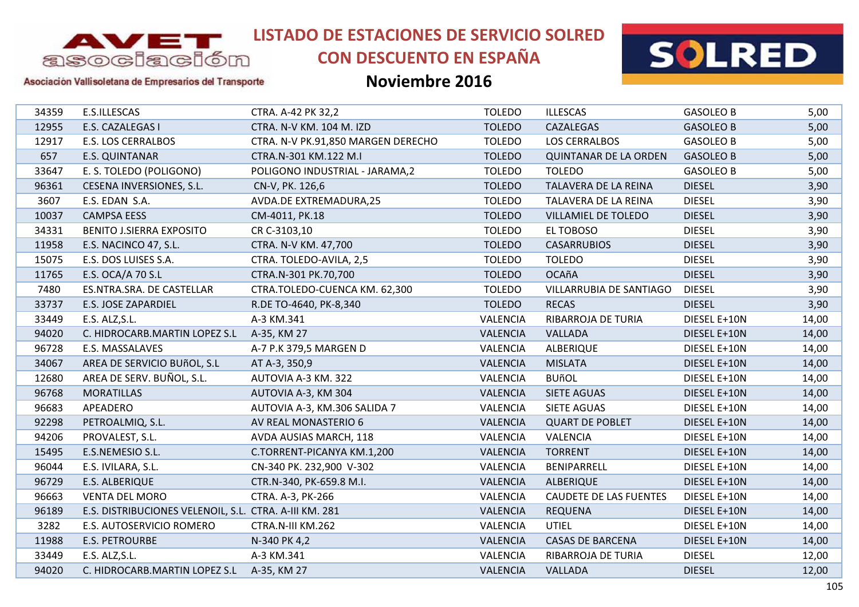

# **CON DESCUENTO EN ESPAÑA**



### Asociación Vallisoletana de Empresarios del Transporte

| 34359 | E.S.ILLESCAS                                           | CTRA. A-42 PK 32,2                 | <b>TOLEDO</b>   | <b>ILLESCAS</b>               | <b>GASOLEO B</b> | 5,00  |
|-------|--------------------------------------------------------|------------------------------------|-----------------|-------------------------------|------------------|-------|
| 12955 | E.S. CAZALEGAS I                                       | CTRA. N-V KM. 104 M. IZD           | <b>TOLEDO</b>   | CAZALEGAS                     | <b>GASOLEO B</b> | 5,00  |
| 12917 | E.S. LOS CERRALBOS                                     | CTRA. N-V PK.91,850 MARGEN DERECHO | <b>TOLEDO</b>   | <b>LOS CERRALBOS</b>          | <b>GASOLEO B</b> | 5,00  |
| 657   | E.S. QUINTANAR                                         | CTRA.N-301 KM.122 M.I              | <b>TOLEDO</b>   | <b>QUINTANAR DE LA ORDEN</b>  | <b>GASOLEO B</b> | 5,00  |
| 33647 | E. S. TOLEDO (POLIGONO)                                | POLIGONO INDUSTRIAL - JARAMA,2     | <b>TOLEDO</b>   | <b>TOLEDO</b>                 | <b>GASOLEO B</b> | 5,00  |
| 96361 | CESENA INVERSIONES, S.L.                               | CN-V, PK. 126,6                    | <b>TOLEDO</b>   | TALAVERA DE LA REINA          | <b>DIESEL</b>    | 3,90  |
| 3607  | E.S. EDAN S.A.                                         | AVDA.DE EXTREMADURA,25             | <b>TOLEDO</b>   | TALAVERA DE LA REINA          | <b>DIESEL</b>    | 3,90  |
| 10037 | <b>CAMPSA EESS</b>                                     | CM-4011, PK.18                     | <b>TOLEDO</b>   | <b>VILLAMIEL DE TOLEDO</b>    | <b>DIESEL</b>    | 3,90  |
| 34331 | <b>BENITO J.SIERRA EXPOSITO</b>                        | CR C-3103,10                       | <b>TOLEDO</b>   | EL TOBOSO                     | <b>DIESEL</b>    | 3,90  |
| 11958 | E.S. NACINCO 47, S.L.                                  | CTRA. N-V KM. 47,700               | <b>TOLEDO</b>   | <b>CASARRUBIOS</b>            | <b>DIESEL</b>    | 3,90  |
| 15075 | E.S. DOS LUISES S.A.                                   | CTRA. TOLEDO-AVILA, 2,5            | <b>TOLEDO</b>   | <b>TOLEDO</b>                 | <b>DIESEL</b>    | 3,90  |
| 11765 | E.S. OCA/A 70 S.L                                      | CTRA.N-301 PK.70,700               | <b>TOLEDO</b>   | <b>OCAñA</b>                  | <b>DIESEL</b>    | 3,90  |
| 7480  | ES.NTRA.SRA. DE CASTELLAR                              | CTRA.TOLEDO-CUENCA KM. 62,300      | <b>TOLEDO</b>   | VILLARRUBIA DE SANTIAGO       | <b>DIESEL</b>    | 3,90  |
| 33737 | <b>E.S. JOSE ZAPARDIEL</b>                             | R.DE TO-4640, PK-8,340             | <b>TOLEDO</b>   | <b>RECAS</b>                  | <b>DIESEL</b>    | 3,90  |
| 33449 | E.S. ALZ, S.L.                                         | A-3 KM.341                         | VALENCIA        | RIBARROJA DE TURIA            | DIESEL E+10N     | 14,00 |
| 94020 | C. HIDROCARB.MARTIN LOPEZ S.L                          | A-35, KM 27                        | <b>VALENCIA</b> | VALLADA                       | DIESEL E+10N     | 14,00 |
| 96728 | E.S. MASSALAVES                                        | A-7 P.K 379,5 MARGEN D             | VALENCIA        | <b>ALBERIQUE</b>              | DIESEL E+10N     | 14,00 |
| 34067 | AREA DE SERVICIO BUñOL, S.L                            | AT A-3, 350,9                      | <b>VALENCIA</b> | <b>MISLATA</b>                | DIESEL E+10N     | 14,00 |
| 12680 | AREA DE SERV. BUÑOL, S.L.                              | AUTOVIA A-3 KM. 322                | <b>VALENCIA</b> | <b>BUñOL</b>                  | DIESEL E+10N     | 14,00 |
| 96768 | <b>MORATILLAS</b>                                      | AUTOVIA A-3, KM 304                | VALENCIA        | <b>SIETE AGUAS</b>            | DIESEL E+10N     | 14,00 |
| 96683 | APEADERO                                               | AUTOVIA A-3, KM.306 SALIDA 7       | VALENCIA        | <b>SIETE AGUAS</b>            | DIESEL E+10N     | 14,00 |
| 92298 | PETROALMIQ, S.L.                                       | AV REAL MONASTERIO 6               | <b>VALENCIA</b> | <b>QUART DE POBLET</b>        | DIESEL E+10N     | 14,00 |
| 94206 | PROVALEST, S.L.                                        | AVDA AUSIAS MARCH, 118             | VALENCIA        | <b>VALENCIA</b>               | DIESEL E+10N     | 14,00 |
| 15495 | E.S.NEMESIO S.L.                                       | C.TORRENT-PICANYA KM.1,200         | <b>VALENCIA</b> | <b>TORRENT</b>                | DIESEL E+10N     | 14,00 |
| 96044 | E.S. IVILARA, S.L.                                     | CN-340 PK. 232,900 V-302           | VALENCIA        | BENIPARRELL                   | DIESEL E+10N     | 14,00 |
| 96729 | E.S. ALBERIQUE                                         | CTR.N-340, PK-659.8 M.I.           | <b>VALENCIA</b> | <b>ALBERIQUE</b>              | DIESEL E+10N     | 14,00 |
| 96663 | <b>VENTA DEL MORO</b>                                  | CTRA. A-3, PK-266                  | VALENCIA        | <b>CAUDETE DE LAS FUENTES</b> | DIESEL E+10N     | 14,00 |
| 96189 | E.S. DISTRIBUCIONES VELENOIL, S.L. CTRA. A-III KM. 281 |                                    | <b>VALENCIA</b> | <b>REQUENA</b>                | DIESEL E+10N     | 14,00 |
| 3282  | E.S. AUTOSERVICIO ROMERO                               | CTRA.N-III KM.262                  | VALENCIA        | <b>UTIEL</b>                  | DIESEL E+10N     | 14,00 |
| 11988 | <b>E.S. PETROURBE</b>                                  | N-340 PK 4,2                       | <b>VALENCIA</b> | <b>CASAS DE BARCENA</b>       | DIESEL E+10N     | 14,00 |
| 33449 | E.S. ALZ, S.L.                                         | A-3 KM.341                         | VALENCIA        | RIBARROJA DE TURIA            | <b>DIESEL</b>    | 12,00 |
| 94020 | C. HIDROCARB.MARTIN LOPEZ S.L                          | A-35, KM 27                        | <b>VALENCIA</b> | <b>VALLADA</b>                | <b>DIESEL</b>    | 12,00 |
|       |                                                        |                                    |                 |                               |                  |       |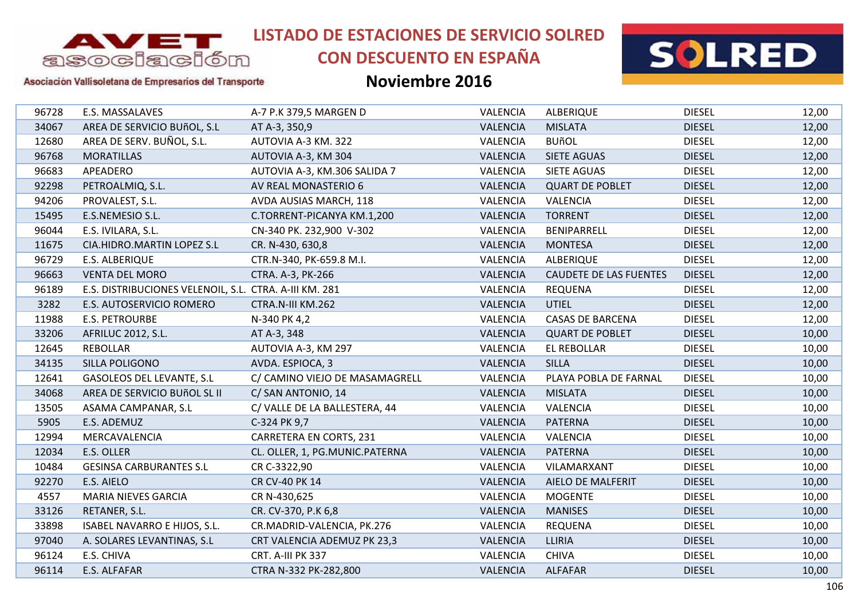

# **CON DESCUENTO EN ESPAÑA**



#### Asociación Vallisoletana de Empresarios del Transporte

| 96728 | E.S. MASSALAVES                                        | A-7 P.K 379,5 MARGEN D         | VALENCIA        | <b>ALBERIQUE</b>              | <b>DIESEL</b> | 12,00 |
|-------|--------------------------------------------------------|--------------------------------|-----------------|-------------------------------|---------------|-------|
| 34067 | AREA DE SERVICIO BUñOL, S.L                            | AT A-3, 350,9                  | <b>VALENCIA</b> | <b>MISLATA</b>                | <b>DIESEL</b> | 12,00 |
| 12680 | AREA DE SERV. BUÑOL, S.L.                              | AUTOVIA A-3 KM. 322            | <b>VALENCIA</b> | <b>BUñOL</b>                  | <b>DIESEL</b> | 12,00 |
| 96768 | <b>MORATILLAS</b>                                      | AUTOVIA A-3, KM 304            | <b>VALENCIA</b> | <b>SIETE AGUAS</b>            | <b>DIESEL</b> | 12,00 |
| 96683 | APEADERO                                               | AUTOVIA A-3, KM.306 SALIDA 7   | <b>VALENCIA</b> | <b>SIETE AGUAS</b>            | <b>DIESEL</b> | 12,00 |
| 92298 | PETROALMIQ, S.L.                                       | AV REAL MONASTERIO 6           | <b>VALENCIA</b> | <b>QUART DE POBLET</b>        | <b>DIESEL</b> | 12,00 |
| 94206 | PROVALEST, S.L.                                        | AVDA AUSIAS MARCH, 118         | VALENCIA        | <b>VALENCIA</b>               | <b>DIESEL</b> | 12,00 |
| 15495 | E.S.NEMESIO S.L.                                       | C.TORRENT-PICANYA KM.1,200     | <b>VALENCIA</b> | <b>TORRENT</b>                | <b>DIESEL</b> | 12,00 |
| 96044 | E.S. IVILARA, S.L.                                     | CN-340 PK. 232,900 V-302       | VALENCIA        | BENIPARRELL                   | <b>DIESEL</b> | 12,00 |
| 11675 | CIA.HIDRO.MARTIN LOPEZ S.L                             | CR. N-430, 630,8               | <b>VALENCIA</b> | <b>MONTESA</b>                | <b>DIESEL</b> | 12,00 |
| 96729 | E.S. ALBERIQUE                                         | CTR.N-340, PK-659.8 M.I.       | VALENCIA        | <b>ALBERIQUE</b>              | <b>DIESEL</b> | 12,00 |
| 96663 | <b>VENTA DEL MORO</b>                                  | CTRA. A-3, PK-266              | <b>VALENCIA</b> | <b>CAUDETE DE LAS FUENTES</b> | <b>DIESEL</b> | 12,00 |
| 96189 | E.S. DISTRIBUCIONES VELENOIL, S.L. CTRA. A-III KM. 281 |                                | VALENCIA        | <b>REQUENA</b>                | <b>DIESEL</b> | 12,00 |
| 3282  | E.S. AUTOSERVICIO ROMERO                               | CTRA.N-III KM.262              | <b>VALENCIA</b> | <b>UTIEL</b>                  | <b>DIESEL</b> | 12,00 |
| 11988 | <b>E.S. PETROURBE</b>                                  | N-340 PK 4,2                   | VALENCIA        | <b>CASAS DE BARCENA</b>       | <b>DIESEL</b> | 12,00 |
| 33206 | <b>AFRILUC 2012, S.L.</b>                              | AT A-3, 348                    | <b>VALENCIA</b> | <b>QUART DE POBLET</b>        | <b>DIESEL</b> | 10,00 |
| 12645 | <b>REBOLLAR</b>                                        | AUTOVIA A-3, KM 297            | VALENCIA        | <b>EL REBOLLAR</b>            | <b>DIESEL</b> | 10,00 |
| 34135 | SILLA POLIGONO                                         | AVDA. ESPIOCA, 3               | <b>VALENCIA</b> | <b>SILLA</b>                  | <b>DIESEL</b> | 10,00 |
| 12641 | GASOLEOS DEL LEVANTE, S.L                              | C/ CAMINO VIEJO DE MASAMAGRELL | VALENCIA        | PLAYA POBLA DE FARNAL         | <b>DIESEL</b> | 10,00 |
| 34068 | AREA DE SERVICIO BUÑOL SL II                           | C/ SAN ANTONIO, 14             | <b>VALENCIA</b> | <b>MISLATA</b>                | <b>DIESEL</b> | 10,00 |
| 13505 | ASAMA CAMPANAR, S.L                                    | C/VALLE DE LA BALLESTERA, 44   | VALENCIA        | VALENCIA                      | <b>DIESEL</b> | 10,00 |
| 5905  | E.S. ADEMUZ                                            | C-324 PK 9,7                   | <b>VALENCIA</b> | <b>PATERNA</b>                | <b>DIESEL</b> | 10,00 |
| 12994 | MERCAVALENCIA                                          | <b>CARRETERA EN CORTS, 231</b> | VALENCIA        | VALENCIA                      | <b>DIESEL</b> | 10,00 |
| 12034 | E.S. OLLER                                             | CL. OLLER, 1, PG.MUNIC.PATERNA | <b>VALENCIA</b> | <b>PATERNA</b>                | <b>DIESEL</b> | 10,00 |
| 10484 | <b>GESINSA CARBURANTES S.L</b>                         | CR C-3322,90                   | VALENCIA        | VILAMARXANT                   | <b>DIESEL</b> | 10,00 |
| 92270 | E.S. AIELO                                             | CR CV-40 PK 14                 | <b>VALENCIA</b> | AIELO DE MALFERIT             | <b>DIESEL</b> | 10,00 |
| 4557  | <b>MARIA NIEVES GARCIA</b>                             | CR N-430,625                   | VALENCIA        | <b>MOGENTE</b>                | <b>DIESEL</b> | 10,00 |
| 33126 | RETANER, S.L.                                          | CR. CV-370, P.K 6,8            | <b>VALENCIA</b> | <b>MANISES</b>                | <b>DIESEL</b> | 10,00 |
| 33898 | ISABEL NAVARRO E HIJOS, S.L.                           | CR.MADRID-VALENCIA, PK.276     | VALENCIA        | <b>REQUENA</b>                | <b>DIESEL</b> | 10,00 |
| 97040 | A. SOLARES LEVANTINAS, S.L                             | CRT VALENCIA ADEMUZ PK 23,3    | <b>VALENCIA</b> | <b>LLIRIA</b>                 | <b>DIESEL</b> | 10,00 |
| 96124 | E.S. CHIVA                                             | CRT. A-III PK 337              | VALENCIA        | <b>CHIVA</b>                  | <b>DIESEL</b> | 10,00 |
| 96114 | E.S. ALFAFAR                                           | CTRA N-332 PK-282,800          | <b>VALENCIA</b> | <b>ALFAFAR</b>                | <b>DIESEL</b> | 10,00 |
|       |                                                        |                                |                 |                               |               |       |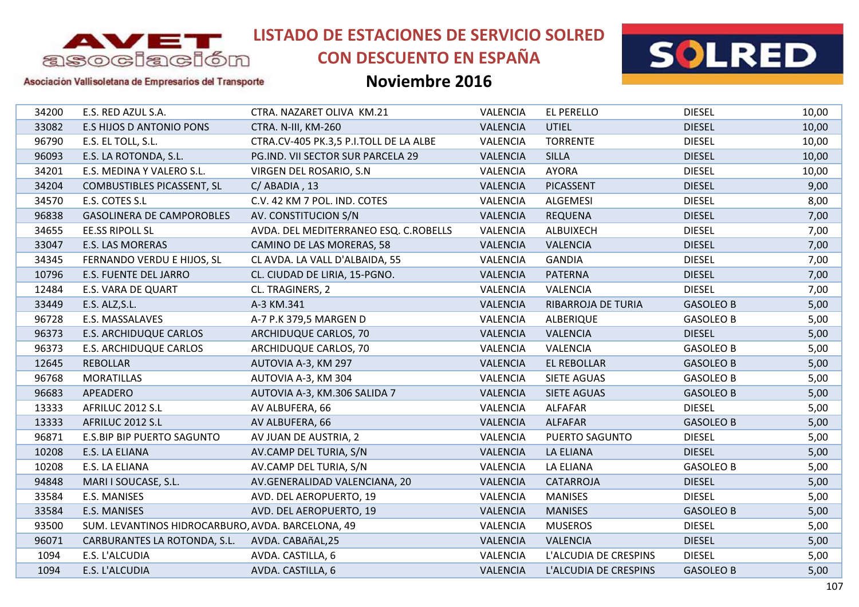

# **CON DESCUENTO EN ESPAÑA**



#### Asociación Vallisoletana de Empresarios del Transporte

| 34200 | E.S. RED AZUL S.A.                                | CTRA. NAZARET OLIVA KM.21              | <b>VALENCIA</b> | <b>EL PERELLO</b>     | <b>DIESEL</b>    | 10,00 |
|-------|---------------------------------------------------|----------------------------------------|-----------------|-----------------------|------------------|-------|
| 33082 | <b>E.S HIJOS D ANTONIO PONS</b>                   | CTRA. N-III, KM-260                    | <b>VALENCIA</b> | <b>UTIEL</b>          | <b>DIESEL</b>    | 10,00 |
| 96790 | E.S. EL TOLL, S.L.                                | CTRA.CV-405 PK.3,5 P.I.TOLL DE LA ALBE | VALENCIA        | <b>TORRENTE</b>       | <b>DIESEL</b>    | 10,00 |
| 96093 | E.S. LA ROTONDA, S.L.                             | PG.IND. VII SECTOR SUR PARCELA 29      | <b>VALENCIA</b> | <b>SILLA</b>          | <b>DIESEL</b>    | 10,00 |
| 34201 | E.S. MEDINA Y VALERO S.L.                         | VIRGEN DEL ROSARIO, S.N.               | VALENCIA        | <b>AYORA</b>          | <b>DIESEL</b>    | 10,00 |
| 34204 | <b>COMBUSTIBLES PICASSENT, SL</b>                 | $C/$ ABADIA, 13                        | <b>VALENCIA</b> | <b>PICASSENT</b>      | <b>DIESEL</b>    | 9,00  |
| 34570 | E.S. COTES S.L                                    | C.V. 42 KM 7 POL. IND. COTES           | VALENCIA        | ALGEMESI              | <b>DIESEL</b>    | 8,00  |
| 96838 | <b>GASOLINERA DE CAMPOROBLES</b>                  | AV. CONSTITUCION S/N                   | VALENCIA        | <b>REQUENA</b>        | <b>DIESEL</b>    | 7,00  |
| 34655 | <b>EE.SS RIPOLL SL</b>                            | AVDA. DEL MEDITERRANEO ESQ. C.ROBELLS  | VALENCIA        | ALBUIXECH             | <b>DIESEL</b>    | 7,00  |
| 33047 | <b>E.S. LAS MORERAS</b>                           | CAMINO DE LAS MORERAS, 58              | <b>VALENCIA</b> | <b>VALENCIA</b>       | <b>DIESEL</b>    | 7,00  |
| 34345 | FERNANDO VERDU E HIJOS, SL                        | CL AVDA. LA VALL D'ALBAIDA, 55         | VALENCIA        | <b>GANDIA</b>         | <b>DIESEL</b>    | 7,00  |
| 10796 | E.S. FUENTE DEL JARRO                             | CL. CIUDAD DE LIRIA, 15-PGNO.          | <b>VALENCIA</b> | <b>PATERNA</b>        | <b>DIESEL</b>    | 7,00  |
| 12484 | E.S. VARA DE QUART                                | CL. TRAGINERS, 2                       | <b>VALENCIA</b> | <b>VALENCIA</b>       | <b>DIESEL</b>    | 7,00  |
| 33449 | E.S. ALZ, S.L.                                    | A-3 KM.341                             | <b>VALENCIA</b> | RIBARROJA DE TURIA    | <b>GASOLEO B</b> | 5,00  |
| 96728 | E.S. MASSALAVES                                   | A-7 P.K 379,5 MARGEN D                 | VALENCIA        | ALBERIQUE             | <b>GASOLEO B</b> | 5,00  |
| 96373 | E.S. ARCHIDUQUE CARLOS                            | ARCHIDUQUE CARLOS, 70                  | <b>VALENCIA</b> | <b>VALENCIA</b>       | <b>DIESEL</b>    | 5,00  |
| 96373 | <b>E.S. ARCHIDUQUE CARLOS</b>                     | ARCHIDUQUE CARLOS, 70                  | VALENCIA        | VALENCIA              | <b>GASOLEO B</b> | 5,00  |
| 12645 | <b>REBOLLAR</b>                                   | AUTOVIA A-3, KM 297                    | <b>VALENCIA</b> | <b>EL REBOLLAR</b>    | <b>GASOLEO B</b> | 5,00  |
| 96768 | <b>MORATILLAS</b>                                 | AUTOVIA A-3, KM 304                    | VALENCIA        | SIETE AGUAS           | <b>GASOLEO B</b> | 5,00  |
| 96683 | APEADERO                                          | AUTOVIA A-3, KM.306 SALIDA 7           | <b>VALENCIA</b> | <b>SIETE AGUAS</b>    | <b>GASOLEO B</b> | 5,00  |
| 13333 | AFRILUC 2012 S.L                                  | AV ALBUFERA, 66                        | <b>VALENCIA</b> | <b>ALFAFAR</b>        | <b>DIESEL</b>    | 5,00  |
| 13333 | AFRILUC 2012 S.L                                  | AV ALBUFERA, 66                        | <b>VALENCIA</b> | <b>ALFAFAR</b>        | <b>GASOLEO B</b> | 5,00  |
| 96871 | E.S.BIP BIP PUERTO SAGUNTO                        | AV JUAN DE AUSTRIA, 2                  | VALENCIA        | PUERTO SAGUNTO        | <b>DIESEL</b>    | 5,00  |
| 10208 | E.S. LA ELIANA                                    | AV.CAMP DEL TURIA, S/N                 | <b>VALENCIA</b> | <b>LA ELIANA</b>      | <b>DIESEL</b>    | 5,00  |
| 10208 | E.S. LA ELIANA                                    | AV.CAMP DEL TURIA, S/N                 | VALENCIA        | LA ELIANA             | <b>GASOLEO B</b> | 5,00  |
| 94848 | MARI I SOUCASE, S.L.                              | AV.GENERALIDAD VALENCIANA, 20          | <b>VALENCIA</b> | CATARROJA             | <b>DIESEL</b>    | 5,00  |
| 33584 | E.S. MANISES                                      | AVD. DEL AEROPUERTO, 19                | VALENCIA        | <b>MANISES</b>        | <b>DIESEL</b>    | 5,00  |
| 33584 | E.S. MANISES                                      | AVD. DEL AEROPUERTO, 19                | <b>VALENCIA</b> | <b>MANISES</b>        | <b>GASOLEO B</b> | 5,00  |
| 93500 | SUM. LEVANTINOS HIDROCARBURO, AVDA. BARCELONA, 49 |                                        | VALENCIA        | <b>MUSEROS</b>        | <b>DIESEL</b>    | 5,00  |
| 96071 | CARBURANTES LA ROTONDA, S.L.                      | AVDA. CABAñAL,25                       | <b>VALENCIA</b> | <b>VALENCIA</b>       | <b>DIESEL</b>    | 5,00  |
| 1094  | E.S. L'ALCUDIA                                    | AVDA. CASTILLA, 6                      | <b>VALENCIA</b> | L'ALCUDIA DE CRESPINS | <b>DIESEL</b>    | 5,00  |
| 1094  | E.S. L'ALCUDIA                                    | AVDA. CASTILLA, 6                      | <b>VALENCIA</b> | L'ALCUDIA DE CRESPINS | <b>GASOLEO B</b> | 5,00  |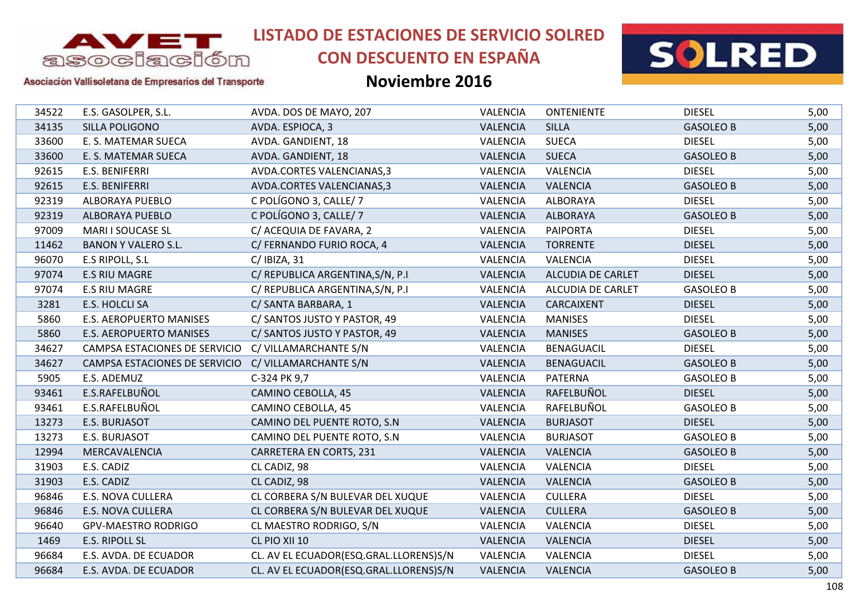

# **CON DESCUENTO EN ESPAÑA**



#### Asociación Vallisoletana de Empresarios del Transporte

| 34522 | E.S. GASOLPER, S.L.            | AVDA. DOS DE MAYO, 207                 | VALENCIA        | <b>ONTENIENTE</b> | <b>DIESEL</b>    | 5,00 |
|-------|--------------------------------|----------------------------------------|-----------------|-------------------|------------------|------|
| 34135 | SILLA POLIGONO                 | AVDA. ESPIOCA, 3                       | <b>VALENCIA</b> | <b>SILLA</b>      | <b>GASOLEO B</b> | 5,00 |
| 33600 | E. S. MATEMAR SUECA            | AVDA. GANDIENT, 18                     | VALENCIA        | <b>SUECA</b>      | <b>DIESEL</b>    | 5,00 |
| 33600 | E. S. MATEMAR SUECA            | AVDA. GANDIENT, 18                     | <b>VALENCIA</b> | <b>SUECA</b>      | <b>GASOLEO B</b> | 5,00 |
| 92615 | E.S. BENIFERRI                 | AVDA.CORTES VALENCIANAS,3              | <b>VALENCIA</b> | <b>VALENCIA</b>   | <b>DIESEL</b>    | 5,00 |
| 92615 | E.S. BENIFERRI                 | AVDA.CORTES VALENCIANAS,3              | <b>VALENCIA</b> | <b>VALENCIA</b>   | <b>GASOLEO B</b> | 5,00 |
| 92319 | ALBORAYA PUEBLO                | C POLÍGONO 3, CALLE/ 7                 | VALENCIA        | <b>ALBORAYA</b>   | <b>DIESEL</b>    | 5,00 |
| 92319 | <b>ALBORAYA PUEBLO</b>         | C POLÍGONO 3, CALLE/ 7                 | <b>VALENCIA</b> | <b>ALBORAYA</b>   | <b>GASOLEO B</b> | 5,00 |
| 97009 | MARI I SOUCASE SL              | C/ ACEQUIA DE FAVARA, 2                | VALENCIA        | <b>PAIPORTA</b>   | <b>DIESEL</b>    | 5,00 |
| 11462 | <b>BANON Y VALERO S.L.</b>     | C/ FERNANDO FURIO ROCA, 4              | <b>VALENCIA</b> | <b>TORRENTE</b>   | <b>DIESEL</b>    | 5,00 |
| 96070 | E.S RIPOLL, S.L                | $C/$ IBIZA, 31                         | <b>VALENCIA</b> | <b>VALENCIA</b>   | <b>DIESEL</b>    | 5,00 |
| 97074 | <b>E.S RIU MAGRE</b>           | C/ REPUBLICA ARGENTINA, S/N, P.I       | <b>VALENCIA</b> | ALCUDIA DE CARLET | <b>DIESEL</b>    | 5,00 |
| 97074 | <b>E.S RIU MAGRE</b>           | C/ REPUBLICA ARGENTINA, S/N, P.I       | <b>VALENCIA</b> | ALCUDIA DE CARLET | <b>GASOLEO B</b> | 5,00 |
| 3281  | E.S. HOLCLI SA                 | C/ SANTA BARBARA, 1                    | <b>VALENCIA</b> | CARCAIXENT        | <b>DIESEL</b>    | 5,00 |
| 5860  | <b>E.S. AEROPUERTO MANISES</b> | C/ SANTOS JUSTO Y PASTOR, 49           | VALENCIA        | <b>MANISES</b>    | <b>DIESEL</b>    | 5,00 |
| 5860  | <b>E.S. AEROPUERTO MANISES</b> | C/ SANTOS JUSTO Y PASTOR, 49           | <b>VALENCIA</b> | <b>MANISES</b>    | <b>GASOLEO B</b> | 5,00 |
| 34627 | CAMPSA ESTACIONES DE SERVICIO  | C/ VILLAMARCHANTE S/N                  | <b>VALENCIA</b> | <b>BENAGUACIL</b> | <b>DIESEL</b>    | 5,00 |
| 34627 | CAMPSA ESTACIONES DE SERVICIO  | C/ VILLAMARCHANTE S/N                  | VALENCIA        | <b>BENAGUACIL</b> | <b>GASOLEO B</b> | 5,00 |
| 5905  | E.S. ADEMUZ                    | C-324 PK 9,7                           | VALENCIA        | PATERNA           | <b>GASOLEO B</b> | 5,00 |
| 93461 | E.S.RAFELBUÑOL                 | CAMINO CEBOLLA, 45                     | <b>VALENCIA</b> | RAFELBUÑOL        | <b>DIESEL</b>    | 5,00 |
| 93461 | E.S.RAFELBUÑOL                 | CAMINO CEBOLLA, 45                     | VALENCIA        | RAFELBUÑOL        | <b>GASOLEO B</b> | 5,00 |
| 13273 | E.S. BURJASOT                  | CAMINO DEL PUENTE ROTO, S.N.           | <b>VALENCIA</b> | <b>BURJASOT</b>   | <b>DIESEL</b>    | 5,00 |
| 13273 | E.S. BURJASOT                  | CAMINO DEL PUENTE ROTO, S.N            | VALENCIA        | <b>BURJASOT</b>   | <b>GASOLEO B</b> | 5,00 |
| 12994 | MERCAVALENCIA                  | CARRETERA EN CORTS, 231                | <b>VALENCIA</b> | <b>VALENCIA</b>   | <b>GASOLEO B</b> | 5,00 |
| 31903 | E.S. CADIZ                     | CL CADIZ, 98                           | <b>VALENCIA</b> | <b>VALENCIA</b>   | <b>DIESEL</b>    | 5,00 |
| 31903 | E.S. CADIZ                     | CL CADIZ, 98                           | <b>VALENCIA</b> | <b>VALENCIA</b>   | <b>GASOLEO B</b> | 5,00 |
| 96846 | E.S. NOVA CULLERA              | CL CORBERA S/N BULEVAR DEL XUQUE       | VALENCIA        | <b>CULLERA</b>    | <b>DIESEL</b>    | 5,00 |
| 96846 | <b>E.S. NOVA CULLERA</b>       | CL CORBERA S/N BULEVAR DEL XUQUE       | <b>VALENCIA</b> | <b>CULLERA</b>    | <b>GASOLEO B</b> | 5,00 |
| 96640 | <b>GPV-MAESTRO RODRIGO</b>     | CL MAESTRO RODRIGO, S/N                | VALENCIA        | VALENCIA          | <b>DIESEL</b>    | 5,00 |
| 1469  | <b>E.S. RIPOLL SL</b>          | CL PIO XII 10                          | <b>VALENCIA</b> | <b>VALENCIA</b>   | <b>DIESEL</b>    | 5,00 |
| 96684 | E.S. AVDA. DE ECUADOR          | CL. AV EL ECUADOR(ESQ.GRAL.LLORENS)S/N | VALENCIA        | VALENCIA          | <b>DIESEL</b>    | 5,00 |
| 96684 | E.S. AVDA. DE ECUADOR          | CL. AV EL ECUADOR(ESQ.GRAL.LLORENS)S/N | <b>VALENCIA</b> | <b>VALENCIA</b>   | <b>GASOLEO B</b> | 5,00 |
|       |                                |                                        |                 |                   |                  |      |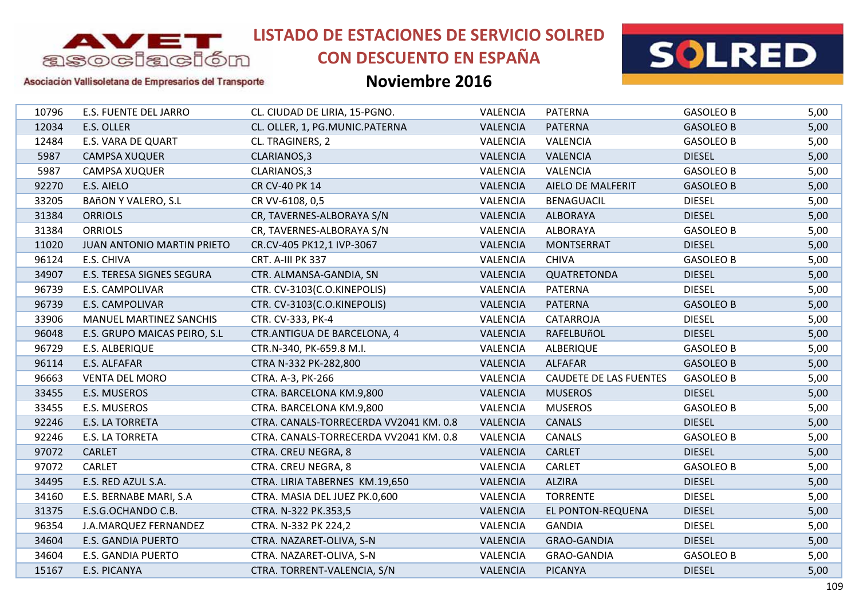

# **CON DESCUENTO EN ESPAÑA**





### Asociación Vallisoletana de Empresarios del Transporte

| 10796 | E.S. FUENTE DEL JARRO          | CL. CIUDAD DE LIRIA, 15-PGNO.          | VALENCIA        | <b>PATERNA</b>                | <b>GASOLEO B</b> | 5,00 |
|-------|--------------------------------|----------------------------------------|-----------------|-------------------------------|------------------|------|
| 12034 | E.S. OLLER                     | CL. OLLER, 1, PG.MUNIC.PATERNA         | <b>VALENCIA</b> | <b>PATERNA</b>                | <b>GASOLEO B</b> | 5,00 |
| 12484 | <b>E.S. VARA DE QUART</b>      | CL. TRAGINERS, 2                       | VALENCIA        | VALENCIA                      | <b>GASOLEO B</b> | 5,00 |
| 5987  | <b>CAMPSA XUQUER</b>           | CLARIANOS, 3                           | <b>VALENCIA</b> | <b>VALENCIA</b>               | <b>DIESEL</b>    | 5,00 |
| 5987  | CAMPSA XUQUER                  | CLARIANOS, 3                           | VALENCIA        | <b>VALENCIA</b>               | <b>GASOLEO B</b> | 5,00 |
| 92270 | E.S. AIELO                     | CR CV-40 PK 14                         | <b>VALENCIA</b> | <b>AIELO DE MALFERIT</b>      | <b>GASOLEO B</b> | 5,00 |
| 33205 | <b>BAñON Y VALERO, S.L</b>     | CR VV-6108, 0,5                        | VALENCIA        | <b>BENAGUACIL</b>             | <b>DIESEL</b>    | 5,00 |
| 31384 | <b>ORRIOLS</b>                 | CR, TAVERNES-ALBORAYA S/N              | <b>VALENCIA</b> | <b>ALBORAYA</b>               | <b>DIESEL</b>    | 5,00 |
| 31384 | <b>ORRIOLS</b>                 | CR, TAVERNES-ALBORAYA S/N              | VALENCIA        | <b>ALBORAYA</b>               | <b>GASOLEO B</b> | 5,00 |
| 11020 | JUAN ANTONIO MARTIN PRIETO     | CR.CV-405 PK12,1 IVP-3067              | VALENCIA        | <b>MONTSERRAT</b>             | <b>DIESEL</b>    | 5,00 |
| 96124 | E.S. CHIVA                     | CRT. A-III PK 337                      | <b>VALENCIA</b> | <b>CHIVA</b>                  | <b>GASOLEO B</b> | 5,00 |
| 34907 | E.S. TERESA SIGNES SEGURA      | CTR. ALMANSA-GANDIA, SN                | <b>VALENCIA</b> | QUATRETONDA                   | <b>DIESEL</b>    | 5,00 |
| 96739 | E.S. CAMPOLIVAR                | CTR. CV-3103(C.O.KINEPOLIS)            | VALENCIA        | <b>PATERNA</b>                | <b>DIESEL</b>    | 5,00 |
| 96739 | <b>E.S. CAMPOLIVAR</b>         | CTR. CV-3103(C.O.KINEPOLIS)            | <b>VALENCIA</b> | <b>PATERNA</b>                | <b>GASOLEO B</b> | 5,00 |
| 33906 | <b>MANUEL MARTINEZ SANCHIS</b> | CTR. CV-333, PK-4                      | VALENCIA        | CATARROJA                     | <b>DIESEL</b>    | 5,00 |
| 96048 | E.S. GRUPO MAICAS PEIRO, S.L   | CTR.ANTIGUA DE BARCELONA, 4            | <b>VALENCIA</b> | RAFELBUñOL                    | <b>DIESEL</b>    | 5,00 |
| 96729 | E.S. ALBERIQUE                 | CTR.N-340, PK-659.8 M.I.               | VALENCIA        | <b>ALBERIQUE</b>              | <b>GASOLEO B</b> | 5,00 |
| 96114 | E.S. ALFAFAR                   | CTRA N-332 PK-282,800                  | <b>VALENCIA</b> | <b>ALFAFAR</b>                | <b>GASOLEO B</b> | 5,00 |
| 96663 | <b>VENTA DEL MORO</b>          | CTRA. A-3, PK-266                      | VALENCIA        | <b>CAUDETE DE LAS FUENTES</b> | <b>GASOLEO B</b> | 5,00 |
| 33455 | E.S. MUSEROS                   | CTRA. BARCELONA KM.9,800               | <b>VALENCIA</b> | <b>MUSEROS</b>                | <b>DIESEL</b>    | 5,00 |
| 33455 | E.S. MUSEROS                   | CTRA. BARCELONA KM.9,800               | VALENCIA        | <b>MUSEROS</b>                | <b>GASOLEO B</b> | 5,00 |
| 92246 | E.S. LA TORRETA                | CTRA. CANALS-TORRECERDA VV2041 KM. 0.8 | <b>VALENCIA</b> | <b>CANALS</b>                 | <b>DIESEL</b>    | 5,00 |
| 92246 | <b>E.S. LA TORRETA</b>         | CTRA. CANALS-TORRECERDA VV2041 KM. 0.8 | VALENCIA        | <b>CANALS</b>                 | <b>GASOLEO B</b> | 5,00 |
| 97072 | <b>CARLET</b>                  | CTRA. CREU NEGRA, 8                    | <b>VALENCIA</b> | <b>CARLET</b>                 | <b>DIESEL</b>    | 5,00 |
| 97072 | <b>CARLET</b>                  | CTRA. CREU NEGRA, 8                    | VALENCIA        | <b>CARLET</b>                 | <b>GASOLEO B</b> | 5,00 |
| 34495 | E.S. RED AZUL S.A.             | CTRA. LIRIA TABERNES KM.19,650         | <b>VALENCIA</b> | <b>ALZIRA</b>                 | <b>DIESEL</b>    | 5,00 |
| 34160 | E.S. BERNABE MARI, S.A         | CTRA. MASIA DEL JUEZ PK.0,600          | VALENCIA        | <b>TORRENTE</b>               | <b>DIESEL</b>    | 5,00 |
| 31375 | E.S.G.OCHANDO C.B.             | CTRA. N-322 PK.353,5                   | <b>VALENCIA</b> | EL PONTON-REQUENA             | <b>DIESEL</b>    | 5,00 |
| 96354 | J.A.MARQUEZ FERNANDEZ          | CTRA. N-332 PK 224,2                   | VALENCIA        | <b>GANDIA</b>                 | <b>DIESEL</b>    | 5,00 |
| 34604 | <b>E.S. GANDIA PUERTO</b>      | CTRA. NAZARET-OLIVA, S-N               | VALENCIA        | <b>GRAO-GANDIA</b>            | <b>DIESEL</b>    | 5,00 |
| 34604 | <b>E.S. GANDIA PUERTO</b>      | CTRA. NAZARET-OLIVA, S-N               | VALENCIA        | <b>GRAO-GANDIA</b>            | <b>GASOLEO B</b> | 5,00 |
| 15167 | E.S. PICANYA                   | CTRA. TORRENT-VALENCIA, S/N            | <b>VALENCIA</b> | <b>PICANYA</b>                | <b>DIESEL</b>    | 5,00 |
|       |                                |                                        |                 |                               |                  |      |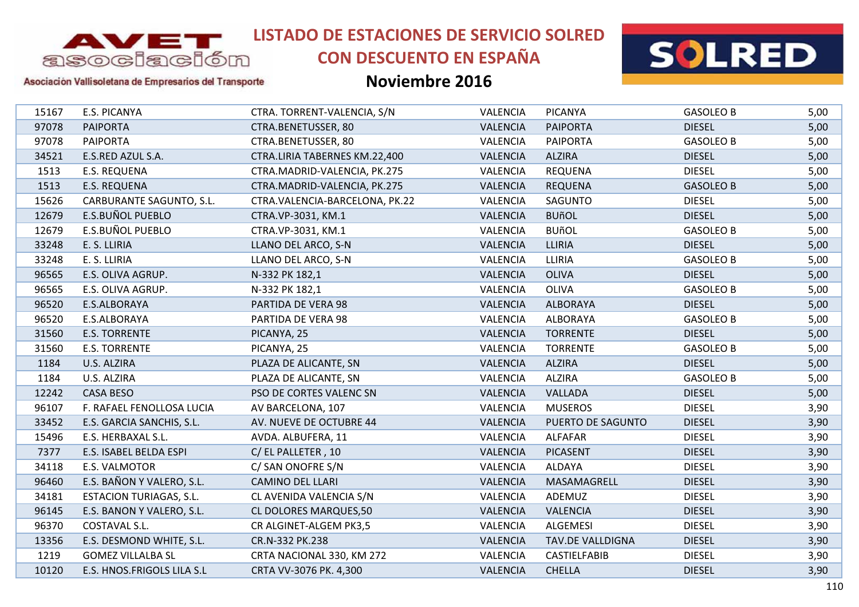

## **CON DESCUENTO EN ESPAÑA**



#### Asociación Vallisoletana de Empresarios del Transporte

| 15167 | E.S. PICANYA                   | CTRA. TORRENT-VALENCIA, S/N    | VALENCIA        | <b>PICANYA</b>    | <b>GASOLEO B</b> | 5,00 |
|-------|--------------------------------|--------------------------------|-----------------|-------------------|------------------|------|
| 97078 | <b>PAIPORTA</b>                | CTRA.BENETUSSER, 80            | <b>VALENCIA</b> | <b>PAIPORTA</b>   | <b>DIESEL</b>    | 5,00 |
| 97078 | <b>PAIPORTA</b>                | CTRA.BENETUSSER, 80            | VALENCIA        | <b>PAIPORTA</b>   | <b>GASOLEO B</b> | 5,00 |
| 34521 | E.S.RED AZUL S.A.              | CTRA.LIRIA TABERNES KM.22,400  | <b>VALENCIA</b> | <b>ALZIRA</b>     | <b>DIESEL</b>    | 5,00 |
| 1513  | <b>E.S. REQUENA</b>            | CTRA.MADRID-VALENCIA, PK.275   | VALENCIA        | <b>REQUENA</b>    | <b>DIESEL</b>    | 5,00 |
| 1513  | <b>E.S. REQUENA</b>            | CTRA.MADRID-VALENCIA, PK.275   | <b>VALENCIA</b> | <b>REQUENA</b>    | <b>GASOLEO B</b> | 5,00 |
| 15626 | CARBURANTE SAGUNTO, S.L.       | CTRA.VALENCIA-BARCELONA, PK.22 | VALENCIA        | SAGUNTO           | <b>DIESEL</b>    | 5,00 |
| 12679 | E.S.BUÑOL PUEBLO               | CTRA.VP-3031, KM.1             | <b>VALENCIA</b> | <b>BUñOL</b>      | <b>DIESEL</b>    | 5,00 |
| 12679 | E.S.BUÑOL PUEBLO               | CTRA.VP-3031, KM.1             | VALENCIA        | <b>BUñOL</b>      | <b>GASOLEO B</b> | 5,00 |
| 33248 | E. S. LLIRIA                   | LLANO DEL ARCO, S-N            | <b>VALENCIA</b> | LLIRIA            | <b>DIESEL</b>    | 5,00 |
| 33248 | E. S. LLIRIA                   | LLANO DEL ARCO, S-N            | <b>VALENCIA</b> | LLIRIA            | <b>GASOLEO B</b> | 5,00 |
| 96565 | E.S. OLIVA AGRUP.              | N-332 PK 182,1                 | <b>VALENCIA</b> | <b>OLIVA</b>      | <b>DIESEL</b>    | 5,00 |
| 96565 | E.S. OLIVA AGRUP.              | N-332 PK 182,1                 | VALENCIA        | <b>OLIVA</b>      | <b>GASOLEO B</b> | 5,00 |
| 96520 | E.S.ALBORAYA                   | PARTIDA DE VERA 98             | <b>VALENCIA</b> | <b>ALBORAYA</b>   | <b>DIESEL</b>    | 5,00 |
| 96520 | E.S.ALBORAYA                   | PARTIDA DE VERA 98             | VALENCIA        | <b>ALBORAYA</b>   | <b>GASOLEO B</b> | 5,00 |
| 31560 | <b>E.S. TORRENTE</b>           | PICANYA, 25                    | <b>VALENCIA</b> | <b>TORRENTE</b>   | <b>DIESEL</b>    | 5,00 |
| 31560 | <b>E.S. TORRENTE</b>           | PICANYA, 25                    | <b>VALENCIA</b> | <b>TORRENTE</b>   | <b>GASOLEO B</b> | 5,00 |
| 1184  | U.S. ALZIRA                    | PLAZA DE ALICANTE, SN          | <b>VALENCIA</b> | <b>ALZIRA</b>     | <b>DIESEL</b>    | 5,00 |
| 1184  | U.S. ALZIRA                    | PLAZA DE ALICANTE, SN          | VALENCIA        | <b>ALZIRA</b>     | <b>GASOLEO B</b> | 5,00 |
| 12242 | <b>CASA BESO</b>               | PSO DE CORTES VALENC SN        | <b>VALENCIA</b> | VALLADA           | <b>DIESEL</b>    | 5,00 |
| 96107 | F. RAFAEL FENOLLOSA LUCIA      | AV BARCELONA, 107              | VALENCIA        | <b>MUSEROS</b>    | <b>DIESEL</b>    | 3,90 |
| 33452 | E.S. GARCIA SANCHIS, S.L.      | AV. NUEVE DE OCTUBRE 44        | <b>VALENCIA</b> | PUERTO DE SAGUNTO | <b>DIESEL</b>    | 3,90 |
| 15496 | E.S. HERBAXAL S.L.             | AVDA. ALBUFERA, 11             | <b>VALENCIA</b> | <b>ALFAFAR</b>    | <b>DIESEL</b>    | 3,90 |
| 7377  | E.S. ISABEL BELDA ESPI         | C/EL PALLETER, 10              | <b>VALENCIA</b> | <b>PICASENT</b>   | <b>DIESEL</b>    | 3,90 |
| 34118 | E.S. VALMOTOR                  | C/ SAN ONOFRE S/N              | VALENCIA        | ALDAYA            | <b>DIESEL</b>    | 3,90 |
| 96460 | E.S. BAÑON Y VALERO, S.L.      | <b>CAMINO DEL LLARI</b>        | <b>VALENCIA</b> | MASAMAGRELL       | <b>DIESEL</b>    | 3,90 |
| 34181 | <b>ESTACION TURIAGAS, S.L.</b> | CL AVENIDA VALENCIA S/N        | VALENCIA        | ADEMUZ            | <b>DIESEL</b>    | 3,90 |
| 96145 | E.S. BANON Y VALERO, S.L.      | CL DOLORES MARQUES,50          | <b>VALENCIA</b> | <b>VALENCIA</b>   | <b>DIESEL</b>    | 3,90 |
| 96370 | COSTAVAL S.L.                  | CR ALGINET-ALGEM PK3,5         | <b>VALENCIA</b> | <b>ALGEMESI</b>   | <b>DIESEL</b>    | 3,90 |
| 13356 | E.S. DESMOND WHITE, S.L.       | CR.N-332 PK.238                | <b>VALENCIA</b> | TAV.DE VALLDIGNA  | <b>DIESEL</b>    | 3,90 |
| 1219  | <b>GOMEZ VILLALBA SL</b>       | CRTA NACIONAL 330, KM 272      | VALENCIA        | CASTIELFABIB      | <b>DIESEL</b>    | 3,90 |
| 10120 | E.S. HNOS.FRIGOLS LILA S.L     | CRTA VV-3076 PK. 4,300         | <b>VALENCIA</b> | <b>CHELLA</b>     | <b>DIESEL</b>    | 3,90 |
|       |                                |                                |                 |                   |                  |      |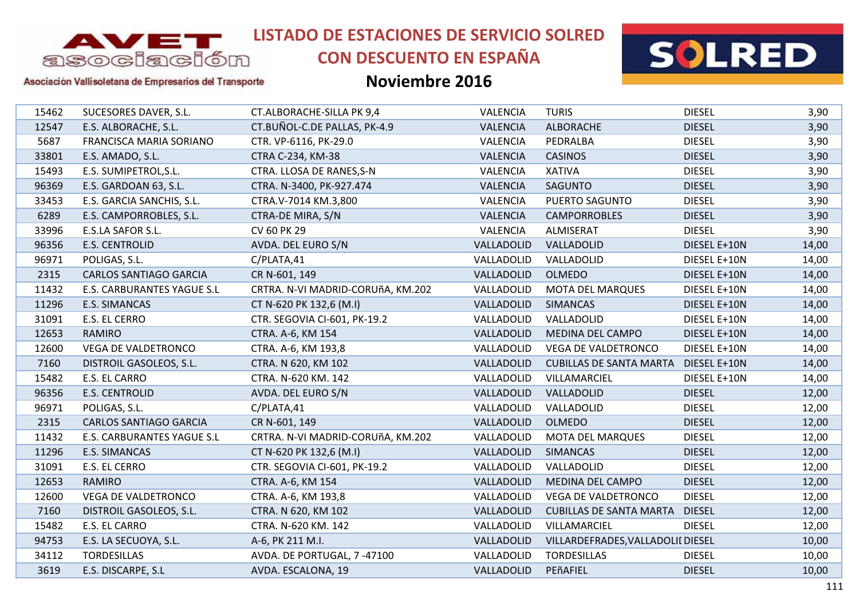

# **CON DESCUENTO EN ESPAÑA**



#### Asociación Vallisoletana de Empresarios del Transporte

| 15462 | SUCESORES DAVER, S.L.          | CT.ALBORACHE-SILLA PK 9,4         | VALENCIA        | <b>TURIS</b>                      | <b>DIESEL</b> | 3,90  |
|-------|--------------------------------|-----------------------------------|-----------------|-----------------------------------|---------------|-------|
| 12547 | E.S. ALBORACHE, S.L.           | CT.BUÑOL-C.DE PALLAS, PK-4.9      | <b>VALENCIA</b> | <b>ALBORACHE</b>                  | <b>DIESEL</b> | 3,90  |
| 5687  | <b>FRANCISCA MARIA SORIANO</b> | CTR. VP-6116, PK-29.0             | VALENCIA        | PEDRALBA                          | <b>DIESEL</b> | 3,90  |
| 33801 | E.S. AMADO, S.L.               | CTRA C-234, KM-38                 | <b>VALENCIA</b> | <b>CASINOS</b>                    | <b>DIESEL</b> | 3,90  |
| 15493 | E.S. SUMIPETROL, S.L.          | CTRA. LLOSA DE RANES, S-N         | VALENCIA        | <b>XATIVA</b>                     | <b>DIESEL</b> | 3,90  |
| 96369 | E.S. GARDOAN 63, S.L.          | CTRA. N-3400, PK-927.474          | <b>VALENCIA</b> | <b>SAGUNTO</b>                    | <b>DIESEL</b> | 3,90  |
| 33453 | E.S. GARCIA SANCHIS, S.L.      | CTRA.V-7014 KM.3,800              | <b>VALENCIA</b> | PUERTO SAGUNTO                    | <b>DIESEL</b> | 3,90  |
| 6289  | E.S. CAMPORROBLES, S.L.        | CTRA-DE MIRA, S/N                 | <b>VALENCIA</b> | <b>CAMPORROBLES</b>               | <b>DIESEL</b> | 3,90  |
| 33996 | E.S.LA SAFOR S.L.              | CV 60 PK 29                       | VALENCIA        | ALMISERAT                         | <b>DIESEL</b> | 3,90  |
| 96356 | <b>E.S. CENTROLID</b>          | AVDA. DEL EURO S/N                | VALLADOLID      | VALLADOLID                        | DIESEL E+10N  | 14,00 |
| 96971 | POLIGAS, S.L.                  | C/PLATA,41                        | VALLADOLID      | VALLADOLID                        | DIESEL E+10N  | 14,00 |
| 2315  | <b>CARLOS SANTIAGO GARCIA</b>  | CR N-601, 149                     | VALLADOLID      | <b>OLMEDO</b>                     | DIESEL E+10N  | 14,00 |
| 11432 | E.S. CARBURANTES YAGUE S.L     | CRTRA. N-VI MADRID-CORUñA, KM.202 | VALLADOLID      | <b>MOTA DEL MARQUES</b>           | DIESEL E+10N  | 14,00 |
| 11296 | E.S. SIMANCAS                  | CT N-620 PK 132,6 (M.I)           | VALLADOLID      | <b>SIMANCAS</b>                   | DIESEL E+10N  | 14,00 |
| 31091 | E.S. EL CERRO                  | CTR. SEGOVIA CI-601, PK-19.2      | VALLADOLID      | VALLADOLID                        | DIESEL E+10N  | 14,00 |
| 12653 | <b>RAMIRO</b>                  | CTRA. A-6, KM 154                 | VALLADOLID      | MEDINA DEL CAMPO                  | DIESEL E+10N  | 14,00 |
| 12600 | VEGA DE VALDETRONCO            | CTRA. A-6, KM 193,8               | VALLADOLID      | VEGA DE VALDETRONCO               | DIESEL E+10N  | 14,00 |
| 7160  | DISTROIL GASOLEOS, S.L.        | CTRA. N 620, KM 102               | VALLADOLID      | <b>CUBILLAS DE SANTA MARTA</b>    | DIESEL E+10N  | 14,00 |
| 15482 | E.S. EL CARRO                  | CTRA. N-620 KM. 142               | VALLADOLID      | VILLAMARCIEL                      | DIESEL E+10N  | 14,00 |
| 96356 | <b>E.S. CENTROLID</b>          | AVDA. DEL EURO S/N                | VALLADOLID      | VALLADOLID                        | <b>DIESEL</b> | 12,00 |
| 96971 | POLIGAS, S.L.                  | C/PLATA,41                        | VALLADOLID      | VALLADOLID                        | <b>DIESEL</b> | 12,00 |
| 2315  | <b>CARLOS SANTIAGO GARCIA</b>  | CR N-601, 149                     | VALLADOLID      | <b>OLMEDO</b>                     | <b>DIESEL</b> | 12,00 |
| 11432 | E.S. CARBURANTES YAGUE S.L     | CRTRA. N-VI MADRID-CORUñA, KM.202 | VALLADOLID      | <b>MOTA DEL MARQUES</b>           | <b>DIESEL</b> | 12,00 |
| 11296 | E.S. SIMANCAS                  | CT N-620 PK 132,6 (M.I)           | VALLADOLID      | <b>SIMANCAS</b>                   | <b>DIESEL</b> | 12,00 |
| 31091 | E.S. EL CERRO                  | CTR. SEGOVIA CI-601, PK-19.2      | VALLADOLID      | VALLADOLID                        | <b>DIESEL</b> | 12,00 |
| 12653 | RAMIRO                         | CTRA. A-6, KM 154                 | VALLADOLID      | MEDINA DEL CAMPO                  | <b>DIESEL</b> | 12,00 |
| 12600 | VEGA DE VALDETRONCO            | CTRA. A-6, KM 193,8               | VALLADOLID      | VEGA DE VALDETRONCO               | <b>DIESEL</b> | 12,00 |
| 7160  | DISTROIL GASOLEOS, S.L.        | CTRA. N 620, KM 102               | VALLADOLID      | <b>CUBILLAS DE SANTA MARTA</b>    | <b>DIESEL</b> | 12,00 |
| 15482 | E.S. EL CARRO                  | CTRA. N-620 KM. 142               | VALLADOLID      | VILLAMARCIEL                      | <b>DIESEL</b> | 12,00 |
| 94753 | E.S. LA SECUOYA, S.L.          | A-6, PK 211 M.I.                  | VALLADOLID      | VILLARDEFRADES, VALLADOLII DIESEL |               | 10,00 |
| 34112 | <b>TORDESILLAS</b>             | AVDA. DE PORTUGAL, 7-47100        | VALLADOLID      | <b>TORDESILLAS</b>                | <b>DIESEL</b> | 10,00 |
| 3619  | E.S. DISCARPE, S.L             | AVDA. ESCALONA, 19                | VALLADOLID      | PEñAFIEL                          | <b>DIESEL</b> | 10,00 |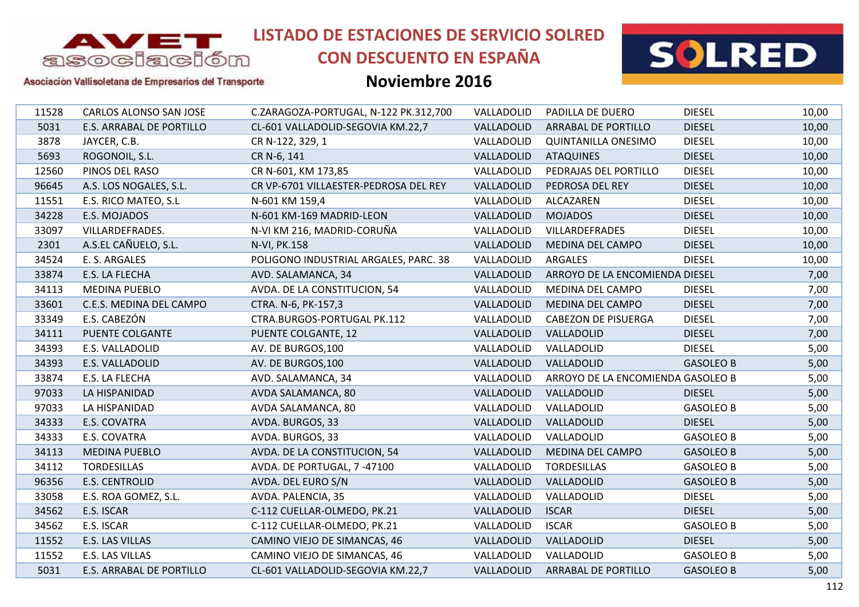

# **CON DESCUENTO EN ESPAÑA**



#### Asociación Vallisoletana de Empresarios del Transporte

| 11528 | CARLOS ALONSO SAN JOSE   | C.ZARAGOZA-PORTUGAL, N-122 PK.312,700 | VALLADOLID | PADILLA DE DUERO                  | <b>DIESEL</b>    | 10,00 |
|-------|--------------------------|---------------------------------------|------------|-----------------------------------|------------------|-------|
| 5031  | E.S. ARRABAL DE PORTILLO | CL-601 VALLADOLID-SEGOVIA KM.22,7     | VALLADOLID | <b>ARRABAL DE PORTILLO</b>        | <b>DIESEL</b>    | 10,00 |
| 3878  | JAYCER, C.B.             | CR N-122, 329, 1                      | VALLADOLID | <b>QUINTANILLA ONESIMO</b>        | <b>DIESEL</b>    | 10,00 |
| 5693  | ROGONOIL, S.L.           | CR N-6, 141                           | VALLADOLID | <b>ATAQUINES</b>                  | <b>DIESEL</b>    | 10,00 |
| 12560 | PINOS DEL RASO           | CR N-601, KM 173,85                   | VALLADOLID | PEDRAJAS DEL PORTILLO             | <b>DIESEL</b>    | 10,00 |
| 96645 | A.S. LOS NOGALES, S.L.   | CR VP-6701 VILLAESTER-PEDROSA DEL REY | VALLADOLID | PEDROSA DEL REY                   | <b>DIESEL</b>    | 10,00 |
| 11551 | E.S. RICO MATEO, S.L     | N-601 KM 159,4                        | VALLADOLID | ALCAZAREN                         | <b>DIESEL</b>    | 10,00 |
| 34228 | E.S. MOJADOS             | N-601 KM-169 MADRID-LEON              | VALLADOLID | <b>MOJADOS</b>                    | <b>DIESEL</b>    | 10,00 |
| 33097 | VILLARDEFRADES.          | N-VI KM 216, MADRID-CORUÑA            | VALLADOLID | VILLARDEFRADES                    | <b>DIESEL</b>    | 10,00 |
| 2301  | A.S.EL CAÑUELO, S.L.     | N-VI, PK.158                          | VALLADOLID | MEDINA DEL CAMPO                  | <b>DIESEL</b>    | 10,00 |
| 34524 | E. S. ARGALES            | POLIGONO INDUSTRIAL ARGALES, PARC. 38 | VALLADOLID | <b>ARGALES</b>                    | <b>DIESEL</b>    | 10,00 |
| 33874 | E.S. LA FLECHA           | AVD. SALAMANCA, 34                    | VALLADOLID | ARROYO DE LA ENCOMIENDA DIESEL    |                  | 7,00  |
| 34113 | <b>MEDINA PUEBLO</b>     | AVDA. DE LA CONSTITUCION, 54          | VALLADOLID | MEDINA DEL CAMPO                  | <b>DIESEL</b>    | 7,00  |
| 33601 | C.E.S. MEDINA DEL CAMPO  | CTRA. N-6, PK-157,3                   | VALLADOLID | MEDINA DEL CAMPO                  | <b>DIESEL</b>    | 7,00  |
| 33349 | E.S. CABEZÓN             | CTRA.BURGOS-PORTUGAL PK.112           | VALLADOLID | <b>CABEZON DE PISUERGA</b>        | <b>DIESEL</b>    | 7,00  |
| 34111 | PUENTE COLGANTE          | PUENTE COLGANTE, 12                   | VALLADOLID | VALLADOLID                        | <b>DIESEL</b>    | 7,00  |
| 34393 | E.S. VALLADOLID          | AV. DE BURGOS, 100                    | VALLADOLID | VALLADOLID                        | <b>DIESEL</b>    | 5,00  |
| 34393 | E.S. VALLADOLID          | AV. DE BURGOS, 100                    | VALLADOLID | VALLADOLID                        | <b>GASOLEO B</b> | 5,00  |
| 33874 | E.S. LA FLECHA           | AVD. SALAMANCA, 34                    | VALLADOLID | ARROYO DE LA ENCOMIENDA GASOLEO B |                  | 5,00  |
| 97033 | LA HISPANIDAD            | AVDA SALAMANCA, 80                    | VALLADOLID | VALLADOLID                        | <b>DIESEL</b>    | 5,00  |
| 97033 | LA HISPANIDAD            | AVDA SALAMANCA, 80                    | VALLADOLID | VALLADOLID                        | <b>GASOLEO B</b> | 5,00  |
| 34333 | E.S. COVATRA             | AVDA. BURGOS, 33                      | VALLADOLID | VALLADOLID                        | <b>DIESEL</b>    | 5,00  |
| 34333 | E.S. COVATRA             | AVDA. BURGOS, 33                      | VALLADOLID | VALLADOLID                        | <b>GASOLEO B</b> | 5,00  |
| 34113 | <b>MEDINA PUEBLO</b>     | AVDA. DE LA CONSTITUCION, 54          | VALLADOLID | MEDINA DEL CAMPO                  | <b>GASOLEO B</b> | 5,00  |
| 34112 | <b>TORDESILLAS</b>       | AVDA. DE PORTUGAL, 7 -47100           | VALLADOLID | <b>TORDESILLAS</b>                | <b>GASOLEO B</b> | 5,00  |
| 96356 | <b>E.S. CENTROLID</b>    | AVDA. DEL EURO S/N                    | VALLADOLID | VALLADOLID                        | <b>GASOLEO B</b> | 5,00  |
| 33058 | E.S. ROA GOMEZ, S.L.     | AVDA. PALENCIA, 35                    | VALLADOLID | VALLADOLID                        | <b>DIESEL</b>    | 5,00  |
| 34562 | E.S. ISCAR               | C-112 CUELLAR-OLMEDO, PK.21           | VALLADOLID | <b>ISCAR</b>                      | <b>DIESEL</b>    | 5,00  |
| 34562 | E.S. ISCAR               | C-112 CUELLAR-OLMEDO, PK.21           | VALLADOLID | <b>ISCAR</b>                      | <b>GASOLEO B</b> | 5,00  |
| 11552 | E.S. LAS VILLAS          | CAMINO VIEJO DE SIMANCAS, 46          | VALLADOLID | VALLADOLID                        | <b>DIESEL</b>    | 5,00  |
| 11552 | E.S. LAS VILLAS          | CAMINO VIEJO DE SIMANCAS, 46          | VALLADOLID | VALLADOLID                        | <b>GASOLEO B</b> | 5,00  |
| 5031  | E.S. ARRABAL DE PORTILLO | CL-601 VALLADOLID-SEGOVIA KM.22,7     | VALLADOLID | <b>ARRABAL DE PORTILLO</b>        | <b>GASOLEO B</b> | 5,00  |
|       |                          |                                       |            |                                   |                  |       |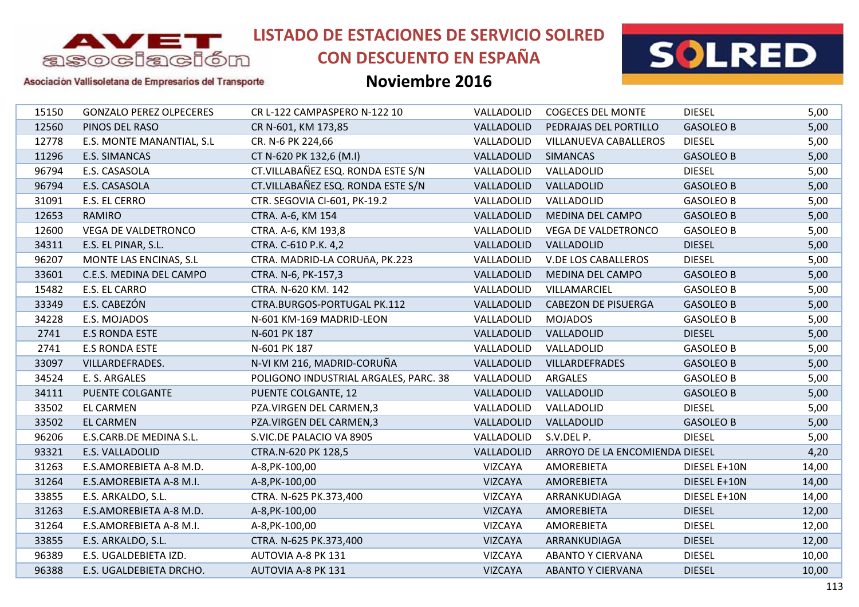

## **CON DESCUENTO EN ESPAÑA**



#### Asociación Vallisoletana de Empresarios del Transporte

| 15150 | <b>GONZALO PEREZ OLPECERES</b> | CR L-122 CAMPASPERO N-122 10          | VALLADOLID     | <b>COGECES DEL MONTE</b>       | <b>DIESEL</b>    | 5,00  |
|-------|--------------------------------|---------------------------------------|----------------|--------------------------------|------------------|-------|
| 12560 | PINOS DEL RASO                 | CR N-601, KM 173,85                   | VALLADOLID     | PEDRAJAS DEL PORTILLO          | <b>GASOLEO B</b> | 5,00  |
| 12778 | E.S. MONTE MANANTIAL, S.L      | CR. N-6 PK 224,66                     | VALLADOLID     | <b>VILLANUEVA CABALLEROS</b>   | <b>DIESEL</b>    | 5,00  |
| 11296 | E.S. SIMANCAS                  | CT N-620 PK 132,6 (M.I)               | VALLADOLID     | <b>SIMANCAS</b>                | <b>GASOLEO B</b> | 5,00  |
| 96794 | E.S. CASASOLA                  | CT.VILLABAÑEZ ESQ. RONDA ESTE S/N     | VALLADOLID     | VALLADOLID                     | <b>DIESEL</b>    | 5,00  |
| 96794 | E.S. CASASOLA                  | CT.VILLABAÑEZ ESQ. RONDA ESTE S/N     | VALLADOLID     | VALLADOLID                     | <b>GASOLEO B</b> | 5,00  |
| 31091 | E.S. EL CERRO                  | CTR. SEGOVIA CI-601, PK-19.2          | VALLADOLID     | VALLADOLID                     | <b>GASOLEO B</b> | 5,00  |
| 12653 | <b>RAMIRO</b>                  | CTRA. A-6, KM 154                     | VALLADOLID     | MEDINA DEL CAMPO               | <b>GASOLEO B</b> | 5,00  |
| 12600 | <b>VEGA DE VALDETRONCO</b>     | CTRA. A-6, KM 193,8                   | VALLADOLID     | <b>VEGA DE VALDETRONCO</b>     | <b>GASOLEO B</b> | 5,00  |
| 34311 | E.S. EL PINAR, S.L.            | CTRA. C-610 P.K. 4,2                  | VALLADOLID     | VALLADOLID                     | <b>DIESEL</b>    | 5,00  |
| 96207 | MONTE LAS ENCINAS, S.L         | CTRA. MADRID-LA CORUñA, PK.223        | VALLADOLID     | <b>V.DE LOS CABALLEROS</b>     | <b>DIESEL</b>    | 5,00  |
| 33601 | C.E.S. MEDINA DEL CAMPO        | CTRA. N-6, PK-157,3                   | VALLADOLID     | MEDINA DEL CAMPO               | <b>GASOLEO B</b> | 5,00  |
| 15482 | E.S. EL CARRO                  | CTRA. N-620 KM. 142                   | VALLADOLID     | VILLAMARCIEL                   | <b>GASOLEO B</b> | 5,00  |
| 33349 | E.S. CABEZÓN                   | CTRA.BURGOS-PORTUGAL PK.112           | VALLADOLID     | <b>CABEZON DE PISUERGA</b>     | <b>GASOLEO B</b> | 5,00  |
| 34228 | E.S. MOJADOS                   | N-601 KM-169 MADRID-LEON              | VALLADOLID     | <b>MOJADOS</b>                 | <b>GASOLEO B</b> | 5,00  |
| 2741  | <b>E.S RONDA ESTE</b>          | N-601 PK 187                          | VALLADOLID     | VALLADOLID                     | <b>DIESEL</b>    | 5,00  |
| 2741  | <b>E.S RONDA ESTE</b>          | N-601 PK 187                          | VALLADOLID     | VALLADOLID                     | <b>GASOLEO B</b> | 5,00  |
| 33097 | VILLARDEFRADES.                | N-VI KM 216, MADRID-CORUÑA            | VALLADOLID     | VILLARDEFRADES                 | <b>GASOLEO B</b> | 5,00  |
| 34524 | E. S. ARGALES                  | POLIGONO INDUSTRIAL ARGALES, PARC. 38 | VALLADOLID     | ARGALES                        | <b>GASOLEO B</b> | 5,00  |
| 34111 | PUENTE COLGANTE                | PUENTE COLGANTE, 12                   | VALLADOLID     | VALLADOLID                     | <b>GASOLEO B</b> | 5,00  |
| 33502 | <b>EL CARMEN</b>               | PZA.VIRGEN DEL CARMEN,3               | VALLADOLID     | VALLADOLID                     | <b>DIESEL</b>    | 5,00  |
| 33502 | <b>EL CARMEN</b>               | PZA.VIRGEN DEL CARMEN,3               | VALLADOLID     | VALLADOLID                     | <b>GASOLEO B</b> | 5,00  |
| 96206 | E.S.CARB.DE MEDINA S.L.        | S.VIC.DE PALACIO VA 8905              | VALLADOLID     | S.V.DEL P.                     | <b>DIESEL</b>    | 5,00  |
| 93321 | E.S. VALLADOLID                | CTRA.N-620 PK 128,5                   | VALLADOLID     | ARROYO DE LA ENCOMIENDA DIESEL |                  | 4,20  |
| 31263 | E.S.AMOREBIETA A-8 M.D.        | A-8, PK-100, 00                       | <b>VIZCAYA</b> | <b>AMOREBIETA</b>              | DIESEL E+10N     | 14,00 |
| 31264 | E.S.AMOREBIETA A-8 M.I.        | A-8, PK-100, 00                       | <b>VIZCAYA</b> | AMOREBIETA                     | DIESEL E+10N     | 14,00 |
| 33855 | E.S. ARKALDO, S.L.             | CTRA. N-625 PK.373,400                | <b>VIZCAYA</b> | ARRANKUDIAGA                   | DIESEL E+10N     | 14,00 |
| 31263 | E.S.AMOREBIETA A-8 M.D.        | A-8, PK-100, 00                       | <b>VIZCAYA</b> | <b>AMOREBIETA</b>              | <b>DIESEL</b>    | 12,00 |
| 31264 | E.S.AMOREBIETA A-8 M.I.        | A-8, PK-100, 00                       | <b>VIZCAYA</b> | <b>AMOREBIETA</b>              | <b>DIESEL</b>    | 12,00 |
| 33855 | E.S. ARKALDO, S.L.             | CTRA. N-625 PK.373,400                | <b>VIZCAYA</b> | ARRANKUDIAGA                   | <b>DIESEL</b>    | 12,00 |
| 96389 | E.S. UGALDEBIETA IZD.          | AUTOVIA A-8 PK 131                    | VIZCAYA        | <b>ABANTO Y CIERVANA</b>       | <b>DIESEL</b>    | 10,00 |
| 96388 | E.S. UGALDEBIETA DRCHO.        | <b>AUTOVIA A-8 PK 131</b>             | <b>VIZCAYA</b> | <b>ABANTO Y CIERVANA</b>       | <b>DIESEL</b>    | 10,00 |
|       |                                |                                       |                |                                |                  |       |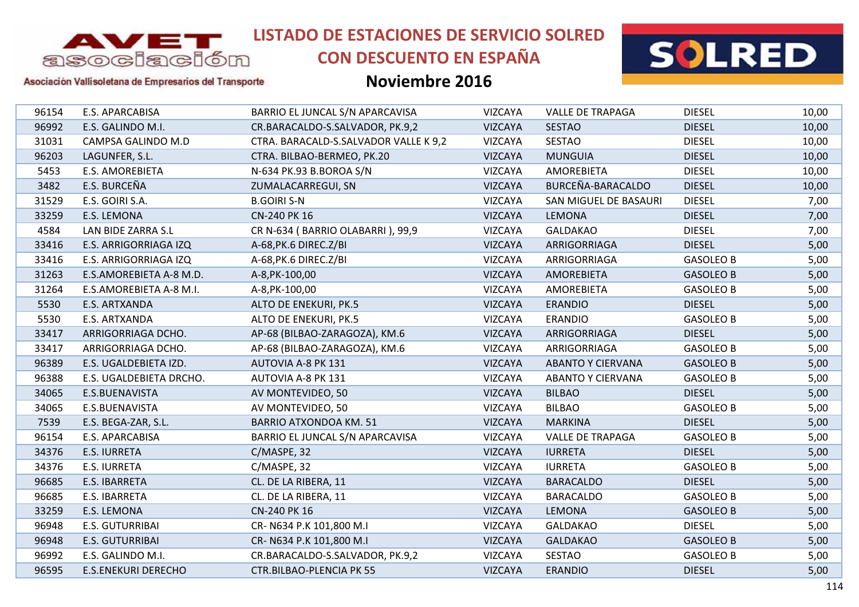

## **CON DESCUENTO EN ESPAÑA**



#### Asociación Vallisoletana de Empresarios del Transporte

| <b>DIESEL</b><br>96154<br>E.S. APARCABISA<br>BARRIO EL JUNCAL S/N APARCAVISA<br><b>VIZCAYA</b><br><b>VALLE DE TRAPAGA</b><br><b>DIESEL</b><br>96992<br><b>VIZCAYA</b><br><b>SESTAO</b><br>E.S. GALINDO M.I.<br>CR.BARACALDO-S.SALVADOR, PK.9,2<br><b>SESTAO</b><br><b>DIESEL</b><br>31031<br>CAMPSA GALINDO M.D<br>CTRA. BARACALD-S.SALVADOR VALLE K 9,2<br><b>VIZCAYA</b><br>96203<br><b>VIZCAYA</b><br><b>MUNGUIA</b><br><b>DIESEL</b><br>LAGUNFER, S.L.<br>CTRA. BILBAO-BERMEO, PK.20<br>5453<br><b>E.S. AMOREBIETA</b><br>N-634 PK.93 B.BOROA S/N<br><b>VIZCAYA</b><br><b>AMOREBIETA</b><br><b>DIESEL</b><br>BURCEÑA-BARACALDO<br>E.S. BURCEÑA<br><b>DIESEL</b><br>3482<br><b>VIZCAYA</b><br>ZUMALACARREGUI, SN<br><b>DIESEL</b><br>31529<br>E.S. GOIRI S.A.<br><b>B.GOIRI S-N</b><br><b>VIZCAYA</b><br>SAN MIGUEL DE BASAURI<br>33259<br>E.S. LEMONA<br>CN-240 PK 16<br><b>VIZCAYA</b><br>LEMONA<br><b>DIESEL</b><br>4584<br>CR N-634 (BARRIO OLABARRI), 99,9<br><b>DIESEL</b><br>LAN BIDE ZARRA S.L<br><b>VIZCAYA</b><br><b>GALDAKAO</b><br><b>DIESEL</b><br>33416<br>E.S. ARRIGORRIAGA IZQ<br>A-68, PK.6 DIREC. Z/BI<br><b>VIZCAYA</b><br>ARRIGORRIAGA<br>33416<br>E.S. ARRIGORRIAGA IZQ<br>A-68, PK.6 DIREC. Z/BI<br>VIZCAYA<br>ARRIGORRIAGA<br><b>GASOLEO B</b><br>31263<br>E.S.AMOREBIETA A-8 M.D.<br>A-8, PK-100, 00<br><b>VIZCAYA</b><br><b>AMOREBIETA</b><br><b>GASOLEO B</b><br><b>VIZCAYA</b><br>31264<br>E.S.AMOREBIETA A-8 M.I.<br>AMOREBIETA<br><b>GASOLEO B</b><br>A-8, PK-100, 00<br>5530<br>E.S. ARTXANDA<br>ALTO DE ENEKURI, PK.5<br><b>VIZCAYA</b><br><b>ERANDIO</b><br><b>DIESEL</b><br>5530<br>E.S. ARTXANDA<br>ALTO DE ENEKURI, PK.5<br><b>VIZCAYA</b><br><b>ERANDIO</b><br><b>GASOLEO B</b><br>33417<br>AP-68 (BILBAO-ZARAGOZA), KM.6<br><b>VIZCAYA</b><br><b>DIESEL</b><br>ARRIGORRIAGA DCHO.<br>ARRIGORRIAGA<br>AP-68 (BILBAO-ZARAGOZA), KM.6<br>33417<br>ARRIGORRIAGA DCHO.<br><b>VIZCAYA</b><br>ARRIGORRIAGA<br><b>GASOLEO B</b><br>96389<br><b>VIZCAYA</b><br>E.S. UGALDEBIETA IZD.<br>AUTOVIA A-8 PK 131<br><b>ABANTO Y CIERVANA</b><br><b>GASOLEO B</b><br>96388<br>VIZCAYA<br>E.S. UGALDEBIETA DRCHO.<br>AUTOVIA A-8 PK 131<br><b>ABANTO Y CIERVANA</b><br><b>GASOLEO B</b><br><b>BILBAO</b><br><b>DIESEL</b><br>34065<br>E.S.BUENAVISTA<br>AV MONTEVIDEO, 50<br><b>VIZCAYA</b><br><b>BILBAO</b><br>34065<br>E.S.BUENAVISTA<br>AV MONTEVIDEO, 50<br><b>VIZCAYA</b><br><b>GASOLEO B</b><br>7539<br>E.S. BEGA-ZAR, S.L.<br><b>BARRIO ATXONDOA KM. 51</b><br><b>VIZCAYA</b><br><b>MARKINA</b><br><b>DIESEL</b><br>96154<br>E.S. APARCABISA<br>BARRIO EL JUNCAL S/N APARCAVISA<br><b>VIZCAYA</b><br><b>VALLE DE TRAPAGA</b><br><b>GASOLEO B</b><br>34376<br><b>E.S. IURRETA</b><br>C/MASPE, 32<br><b>VIZCAYA</b><br><b>IURRETA</b><br><b>DIESEL</b><br>34376<br><b>E.S. IURRETA</b><br>C/MASPE, 32<br><b>VIZCAYA</b><br><b>IURRETA</b><br><b>GASOLEO B</b><br>96685<br>CL. DE LA RIBERA, 11<br><b>VIZCAYA</b><br><b>BARACALDO</b><br><b>DIESEL</b><br>E.S. IBARRETA<br>VIZCAYA<br><b>GASOLEO B</b><br>96685<br>E.S. IBARRETA<br>CL. DE LA RIBERA, 11<br><b>BARACALDO</b><br>33259<br>E.S. LEMONA<br>CN-240 PK 16<br><b>VIZCAYA</b><br><b>LEMONA</b><br><b>GASOLEO B</b><br>96948<br><b>E.S. GUTURRIBAI</b><br>CR-N634 P.K 101,800 M.I<br><b>VIZCAYA</b><br><b>GALDAKAO</b><br><b>DIESEL</b><br>96948<br><b>E.S. GUTURRIBAI</b><br>CR-N634 P.K 101,800 M.I<br><b>VIZCAYA</b><br><b>GALDAKAO</b><br><b>GASOLEO B</b><br>96992<br><b>VIZCAYA</b><br><b>SESTAO</b><br><b>GASOLEO B</b><br>E.S. GALINDO M.I.<br>CR.BARACALDO-S.SALVADOR, PK.9,2<br>96595<br><b>E.S.ENEKURI DERECHO</b><br><b>CTR.BILBAO-PLENCIA PK 55</b><br><b>VIZCAYA</b><br><b>ERANDIO</b><br><b>DIESEL</b> |  |  |  |       |
|----------------------------------------------------------------------------------------------------------------------------------------------------------------------------------------------------------------------------------------------------------------------------------------------------------------------------------------------------------------------------------------------------------------------------------------------------------------------------------------------------------------------------------------------------------------------------------------------------------------------------------------------------------------------------------------------------------------------------------------------------------------------------------------------------------------------------------------------------------------------------------------------------------------------------------------------------------------------------------------------------------------------------------------------------------------------------------------------------------------------------------------------------------------------------------------------------------------------------------------------------------------------------------------------------------------------------------------------------------------------------------------------------------------------------------------------------------------------------------------------------------------------------------------------------------------------------------------------------------------------------------------------------------------------------------------------------------------------------------------------------------------------------------------------------------------------------------------------------------------------------------------------------------------------------------------------------------------------------------------------------------------------------------------------------------------------------------------------------------------------------------------------------------------------------------------------------------------------------------------------------------------------------------------------------------------------------------------------------------------------------------------------------------------------------------------------------------------------------------------------------------------------------------------------------------------------------------------------------------------------------------------------------------------------------------------------------------------------------------------------------------------------------------------------------------------------------------------------------------------------------------------------------------------------------------------------------------------------------------------------------------------------------------------------------------------------------------------------------------------------------------------------------------------------------------------------------------------------------------------------------------------------------------------------------------------------------------------------------------------------------------------------------------------------------------------------------------------------------------------------------------------------------------------------------------------------------------------------------------------------------------------------------------------------------------------------------------|--|--|--|-------|
|                                                                                                                                                                                                                                                                                                                                                                                                                                                                                                                                                                                                                                                                                                                                                                                                                                                                                                                                                                                                                                                                                                                                                                                                                                                                                                                                                                                                                                                                                                                                                                                                                                                                                                                                                                                                                                                                                                                                                                                                                                                                                                                                                                                                                                                                                                                                                                                                                                                                                                                                                                                                                                                                                                                                                                                                                                                                                                                                                                                                                                                                                                                                                                                                                                                                                                                                                                                                                                                                                                                                                                                                                                                                                                          |  |  |  | 10,00 |
|                                                                                                                                                                                                                                                                                                                                                                                                                                                                                                                                                                                                                                                                                                                                                                                                                                                                                                                                                                                                                                                                                                                                                                                                                                                                                                                                                                                                                                                                                                                                                                                                                                                                                                                                                                                                                                                                                                                                                                                                                                                                                                                                                                                                                                                                                                                                                                                                                                                                                                                                                                                                                                                                                                                                                                                                                                                                                                                                                                                                                                                                                                                                                                                                                                                                                                                                                                                                                                                                                                                                                                                                                                                                                                          |  |  |  | 10,00 |
|                                                                                                                                                                                                                                                                                                                                                                                                                                                                                                                                                                                                                                                                                                                                                                                                                                                                                                                                                                                                                                                                                                                                                                                                                                                                                                                                                                                                                                                                                                                                                                                                                                                                                                                                                                                                                                                                                                                                                                                                                                                                                                                                                                                                                                                                                                                                                                                                                                                                                                                                                                                                                                                                                                                                                                                                                                                                                                                                                                                                                                                                                                                                                                                                                                                                                                                                                                                                                                                                                                                                                                                                                                                                                                          |  |  |  | 10,00 |
|                                                                                                                                                                                                                                                                                                                                                                                                                                                                                                                                                                                                                                                                                                                                                                                                                                                                                                                                                                                                                                                                                                                                                                                                                                                                                                                                                                                                                                                                                                                                                                                                                                                                                                                                                                                                                                                                                                                                                                                                                                                                                                                                                                                                                                                                                                                                                                                                                                                                                                                                                                                                                                                                                                                                                                                                                                                                                                                                                                                                                                                                                                                                                                                                                                                                                                                                                                                                                                                                                                                                                                                                                                                                                                          |  |  |  | 10,00 |
|                                                                                                                                                                                                                                                                                                                                                                                                                                                                                                                                                                                                                                                                                                                                                                                                                                                                                                                                                                                                                                                                                                                                                                                                                                                                                                                                                                                                                                                                                                                                                                                                                                                                                                                                                                                                                                                                                                                                                                                                                                                                                                                                                                                                                                                                                                                                                                                                                                                                                                                                                                                                                                                                                                                                                                                                                                                                                                                                                                                                                                                                                                                                                                                                                                                                                                                                                                                                                                                                                                                                                                                                                                                                                                          |  |  |  | 10,00 |
|                                                                                                                                                                                                                                                                                                                                                                                                                                                                                                                                                                                                                                                                                                                                                                                                                                                                                                                                                                                                                                                                                                                                                                                                                                                                                                                                                                                                                                                                                                                                                                                                                                                                                                                                                                                                                                                                                                                                                                                                                                                                                                                                                                                                                                                                                                                                                                                                                                                                                                                                                                                                                                                                                                                                                                                                                                                                                                                                                                                                                                                                                                                                                                                                                                                                                                                                                                                                                                                                                                                                                                                                                                                                                                          |  |  |  | 10,00 |
|                                                                                                                                                                                                                                                                                                                                                                                                                                                                                                                                                                                                                                                                                                                                                                                                                                                                                                                                                                                                                                                                                                                                                                                                                                                                                                                                                                                                                                                                                                                                                                                                                                                                                                                                                                                                                                                                                                                                                                                                                                                                                                                                                                                                                                                                                                                                                                                                                                                                                                                                                                                                                                                                                                                                                                                                                                                                                                                                                                                                                                                                                                                                                                                                                                                                                                                                                                                                                                                                                                                                                                                                                                                                                                          |  |  |  | 7,00  |
|                                                                                                                                                                                                                                                                                                                                                                                                                                                                                                                                                                                                                                                                                                                                                                                                                                                                                                                                                                                                                                                                                                                                                                                                                                                                                                                                                                                                                                                                                                                                                                                                                                                                                                                                                                                                                                                                                                                                                                                                                                                                                                                                                                                                                                                                                                                                                                                                                                                                                                                                                                                                                                                                                                                                                                                                                                                                                                                                                                                                                                                                                                                                                                                                                                                                                                                                                                                                                                                                                                                                                                                                                                                                                                          |  |  |  | 7,00  |
|                                                                                                                                                                                                                                                                                                                                                                                                                                                                                                                                                                                                                                                                                                                                                                                                                                                                                                                                                                                                                                                                                                                                                                                                                                                                                                                                                                                                                                                                                                                                                                                                                                                                                                                                                                                                                                                                                                                                                                                                                                                                                                                                                                                                                                                                                                                                                                                                                                                                                                                                                                                                                                                                                                                                                                                                                                                                                                                                                                                                                                                                                                                                                                                                                                                                                                                                                                                                                                                                                                                                                                                                                                                                                                          |  |  |  | 7,00  |
|                                                                                                                                                                                                                                                                                                                                                                                                                                                                                                                                                                                                                                                                                                                                                                                                                                                                                                                                                                                                                                                                                                                                                                                                                                                                                                                                                                                                                                                                                                                                                                                                                                                                                                                                                                                                                                                                                                                                                                                                                                                                                                                                                                                                                                                                                                                                                                                                                                                                                                                                                                                                                                                                                                                                                                                                                                                                                                                                                                                                                                                                                                                                                                                                                                                                                                                                                                                                                                                                                                                                                                                                                                                                                                          |  |  |  | 5,00  |
|                                                                                                                                                                                                                                                                                                                                                                                                                                                                                                                                                                                                                                                                                                                                                                                                                                                                                                                                                                                                                                                                                                                                                                                                                                                                                                                                                                                                                                                                                                                                                                                                                                                                                                                                                                                                                                                                                                                                                                                                                                                                                                                                                                                                                                                                                                                                                                                                                                                                                                                                                                                                                                                                                                                                                                                                                                                                                                                                                                                                                                                                                                                                                                                                                                                                                                                                                                                                                                                                                                                                                                                                                                                                                                          |  |  |  | 5,00  |
|                                                                                                                                                                                                                                                                                                                                                                                                                                                                                                                                                                                                                                                                                                                                                                                                                                                                                                                                                                                                                                                                                                                                                                                                                                                                                                                                                                                                                                                                                                                                                                                                                                                                                                                                                                                                                                                                                                                                                                                                                                                                                                                                                                                                                                                                                                                                                                                                                                                                                                                                                                                                                                                                                                                                                                                                                                                                                                                                                                                                                                                                                                                                                                                                                                                                                                                                                                                                                                                                                                                                                                                                                                                                                                          |  |  |  | 5,00  |
|                                                                                                                                                                                                                                                                                                                                                                                                                                                                                                                                                                                                                                                                                                                                                                                                                                                                                                                                                                                                                                                                                                                                                                                                                                                                                                                                                                                                                                                                                                                                                                                                                                                                                                                                                                                                                                                                                                                                                                                                                                                                                                                                                                                                                                                                                                                                                                                                                                                                                                                                                                                                                                                                                                                                                                                                                                                                                                                                                                                                                                                                                                                                                                                                                                                                                                                                                                                                                                                                                                                                                                                                                                                                                                          |  |  |  | 5,00  |
|                                                                                                                                                                                                                                                                                                                                                                                                                                                                                                                                                                                                                                                                                                                                                                                                                                                                                                                                                                                                                                                                                                                                                                                                                                                                                                                                                                                                                                                                                                                                                                                                                                                                                                                                                                                                                                                                                                                                                                                                                                                                                                                                                                                                                                                                                                                                                                                                                                                                                                                                                                                                                                                                                                                                                                                                                                                                                                                                                                                                                                                                                                                                                                                                                                                                                                                                                                                                                                                                                                                                                                                                                                                                                                          |  |  |  | 5,00  |
|                                                                                                                                                                                                                                                                                                                                                                                                                                                                                                                                                                                                                                                                                                                                                                                                                                                                                                                                                                                                                                                                                                                                                                                                                                                                                                                                                                                                                                                                                                                                                                                                                                                                                                                                                                                                                                                                                                                                                                                                                                                                                                                                                                                                                                                                                                                                                                                                                                                                                                                                                                                                                                                                                                                                                                                                                                                                                                                                                                                                                                                                                                                                                                                                                                                                                                                                                                                                                                                                                                                                                                                                                                                                                                          |  |  |  | 5,00  |
|                                                                                                                                                                                                                                                                                                                                                                                                                                                                                                                                                                                                                                                                                                                                                                                                                                                                                                                                                                                                                                                                                                                                                                                                                                                                                                                                                                                                                                                                                                                                                                                                                                                                                                                                                                                                                                                                                                                                                                                                                                                                                                                                                                                                                                                                                                                                                                                                                                                                                                                                                                                                                                                                                                                                                                                                                                                                                                                                                                                                                                                                                                                                                                                                                                                                                                                                                                                                                                                                                                                                                                                                                                                                                                          |  |  |  | 5,00  |
|                                                                                                                                                                                                                                                                                                                                                                                                                                                                                                                                                                                                                                                                                                                                                                                                                                                                                                                                                                                                                                                                                                                                                                                                                                                                                                                                                                                                                                                                                                                                                                                                                                                                                                                                                                                                                                                                                                                                                                                                                                                                                                                                                                                                                                                                                                                                                                                                                                                                                                                                                                                                                                                                                                                                                                                                                                                                                                                                                                                                                                                                                                                                                                                                                                                                                                                                                                                                                                                                                                                                                                                                                                                                                                          |  |  |  | 5,00  |
|                                                                                                                                                                                                                                                                                                                                                                                                                                                                                                                                                                                                                                                                                                                                                                                                                                                                                                                                                                                                                                                                                                                                                                                                                                                                                                                                                                                                                                                                                                                                                                                                                                                                                                                                                                                                                                                                                                                                                                                                                                                                                                                                                                                                                                                                                                                                                                                                                                                                                                                                                                                                                                                                                                                                                                                                                                                                                                                                                                                                                                                                                                                                                                                                                                                                                                                                                                                                                                                                                                                                                                                                                                                                                                          |  |  |  | 5,00  |
|                                                                                                                                                                                                                                                                                                                                                                                                                                                                                                                                                                                                                                                                                                                                                                                                                                                                                                                                                                                                                                                                                                                                                                                                                                                                                                                                                                                                                                                                                                                                                                                                                                                                                                                                                                                                                                                                                                                                                                                                                                                                                                                                                                                                                                                                                                                                                                                                                                                                                                                                                                                                                                                                                                                                                                                                                                                                                                                                                                                                                                                                                                                                                                                                                                                                                                                                                                                                                                                                                                                                                                                                                                                                                                          |  |  |  | 5,00  |
|                                                                                                                                                                                                                                                                                                                                                                                                                                                                                                                                                                                                                                                                                                                                                                                                                                                                                                                                                                                                                                                                                                                                                                                                                                                                                                                                                                                                                                                                                                                                                                                                                                                                                                                                                                                                                                                                                                                                                                                                                                                                                                                                                                                                                                                                                                                                                                                                                                                                                                                                                                                                                                                                                                                                                                                                                                                                                                                                                                                                                                                                                                                                                                                                                                                                                                                                                                                                                                                                                                                                                                                                                                                                                                          |  |  |  | 5,00  |
|                                                                                                                                                                                                                                                                                                                                                                                                                                                                                                                                                                                                                                                                                                                                                                                                                                                                                                                                                                                                                                                                                                                                                                                                                                                                                                                                                                                                                                                                                                                                                                                                                                                                                                                                                                                                                                                                                                                                                                                                                                                                                                                                                                                                                                                                                                                                                                                                                                                                                                                                                                                                                                                                                                                                                                                                                                                                                                                                                                                                                                                                                                                                                                                                                                                                                                                                                                                                                                                                                                                                                                                                                                                                                                          |  |  |  | 5,00  |
|                                                                                                                                                                                                                                                                                                                                                                                                                                                                                                                                                                                                                                                                                                                                                                                                                                                                                                                                                                                                                                                                                                                                                                                                                                                                                                                                                                                                                                                                                                                                                                                                                                                                                                                                                                                                                                                                                                                                                                                                                                                                                                                                                                                                                                                                                                                                                                                                                                                                                                                                                                                                                                                                                                                                                                                                                                                                                                                                                                                                                                                                                                                                                                                                                                                                                                                                                                                                                                                                                                                                                                                                                                                                                                          |  |  |  | 5,00  |
|                                                                                                                                                                                                                                                                                                                                                                                                                                                                                                                                                                                                                                                                                                                                                                                                                                                                                                                                                                                                                                                                                                                                                                                                                                                                                                                                                                                                                                                                                                                                                                                                                                                                                                                                                                                                                                                                                                                                                                                                                                                                                                                                                                                                                                                                                                                                                                                                                                                                                                                                                                                                                                                                                                                                                                                                                                                                                                                                                                                                                                                                                                                                                                                                                                                                                                                                                                                                                                                                                                                                                                                                                                                                                                          |  |  |  | 5,00  |
|                                                                                                                                                                                                                                                                                                                                                                                                                                                                                                                                                                                                                                                                                                                                                                                                                                                                                                                                                                                                                                                                                                                                                                                                                                                                                                                                                                                                                                                                                                                                                                                                                                                                                                                                                                                                                                                                                                                                                                                                                                                                                                                                                                                                                                                                                                                                                                                                                                                                                                                                                                                                                                                                                                                                                                                                                                                                                                                                                                                                                                                                                                                                                                                                                                                                                                                                                                                                                                                                                                                                                                                                                                                                                                          |  |  |  | 5,00  |
|                                                                                                                                                                                                                                                                                                                                                                                                                                                                                                                                                                                                                                                                                                                                                                                                                                                                                                                                                                                                                                                                                                                                                                                                                                                                                                                                                                                                                                                                                                                                                                                                                                                                                                                                                                                                                                                                                                                                                                                                                                                                                                                                                                                                                                                                                                                                                                                                                                                                                                                                                                                                                                                                                                                                                                                                                                                                                                                                                                                                                                                                                                                                                                                                                                                                                                                                                                                                                                                                                                                                                                                                                                                                                                          |  |  |  | 5,00  |
|                                                                                                                                                                                                                                                                                                                                                                                                                                                                                                                                                                                                                                                                                                                                                                                                                                                                                                                                                                                                                                                                                                                                                                                                                                                                                                                                                                                                                                                                                                                                                                                                                                                                                                                                                                                                                                                                                                                                                                                                                                                                                                                                                                                                                                                                                                                                                                                                                                                                                                                                                                                                                                                                                                                                                                                                                                                                                                                                                                                                                                                                                                                                                                                                                                                                                                                                                                                                                                                                                                                                                                                                                                                                                                          |  |  |  | 5,00  |
|                                                                                                                                                                                                                                                                                                                                                                                                                                                                                                                                                                                                                                                                                                                                                                                                                                                                                                                                                                                                                                                                                                                                                                                                                                                                                                                                                                                                                                                                                                                                                                                                                                                                                                                                                                                                                                                                                                                                                                                                                                                                                                                                                                                                                                                                                                                                                                                                                                                                                                                                                                                                                                                                                                                                                                                                                                                                                                                                                                                                                                                                                                                                                                                                                                                                                                                                                                                                                                                                                                                                                                                                                                                                                                          |  |  |  | 5,00  |
|                                                                                                                                                                                                                                                                                                                                                                                                                                                                                                                                                                                                                                                                                                                                                                                                                                                                                                                                                                                                                                                                                                                                                                                                                                                                                                                                                                                                                                                                                                                                                                                                                                                                                                                                                                                                                                                                                                                                                                                                                                                                                                                                                                                                                                                                                                                                                                                                                                                                                                                                                                                                                                                                                                                                                                                                                                                                                                                                                                                                                                                                                                                                                                                                                                                                                                                                                                                                                                                                                                                                                                                                                                                                                                          |  |  |  | 5,00  |
|                                                                                                                                                                                                                                                                                                                                                                                                                                                                                                                                                                                                                                                                                                                                                                                                                                                                                                                                                                                                                                                                                                                                                                                                                                                                                                                                                                                                                                                                                                                                                                                                                                                                                                                                                                                                                                                                                                                                                                                                                                                                                                                                                                                                                                                                                                                                                                                                                                                                                                                                                                                                                                                                                                                                                                                                                                                                                                                                                                                                                                                                                                                                                                                                                                                                                                                                                                                                                                                                                                                                                                                                                                                                                                          |  |  |  | 5,00  |
|                                                                                                                                                                                                                                                                                                                                                                                                                                                                                                                                                                                                                                                                                                                                                                                                                                                                                                                                                                                                                                                                                                                                                                                                                                                                                                                                                                                                                                                                                                                                                                                                                                                                                                                                                                                                                                                                                                                                                                                                                                                                                                                                                                                                                                                                                                                                                                                                                                                                                                                                                                                                                                                                                                                                                                                                                                                                                                                                                                                                                                                                                                                                                                                                                                                                                                                                                                                                                                                                                                                                                                                                                                                                                                          |  |  |  | 5,00  |
|                                                                                                                                                                                                                                                                                                                                                                                                                                                                                                                                                                                                                                                                                                                                                                                                                                                                                                                                                                                                                                                                                                                                                                                                                                                                                                                                                                                                                                                                                                                                                                                                                                                                                                                                                                                                                                                                                                                                                                                                                                                                                                                                                                                                                                                                                                                                                                                                                                                                                                                                                                                                                                                                                                                                                                                                                                                                                                                                                                                                                                                                                                                                                                                                                                                                                                                                                                                                                                                                                                                                                                                                                                                                                                          |  |  |  | 5,00  |
|                                                                                                                                                                                                                                                                                                                                                                                                                                                                                                                                                                                                                                                                                                                                                                                                                                                                                                                                                                                                                                                                                                                                                                                                                                                                                                                                                                                                                                                                                                                                                                                                                                                                                                                                                                                                                                                                                                                                                                                                                                                                                                                                                                                                                                                                                                                                                                                                                                                                                                                                                                                                                                                                                                                                                                                                                                                                                                                                                                                                                                                                                                                                                                                                                                                                                                                                                                                                                                                                                                                                                                                                                                                                                                          |  |  |  | 5,00  |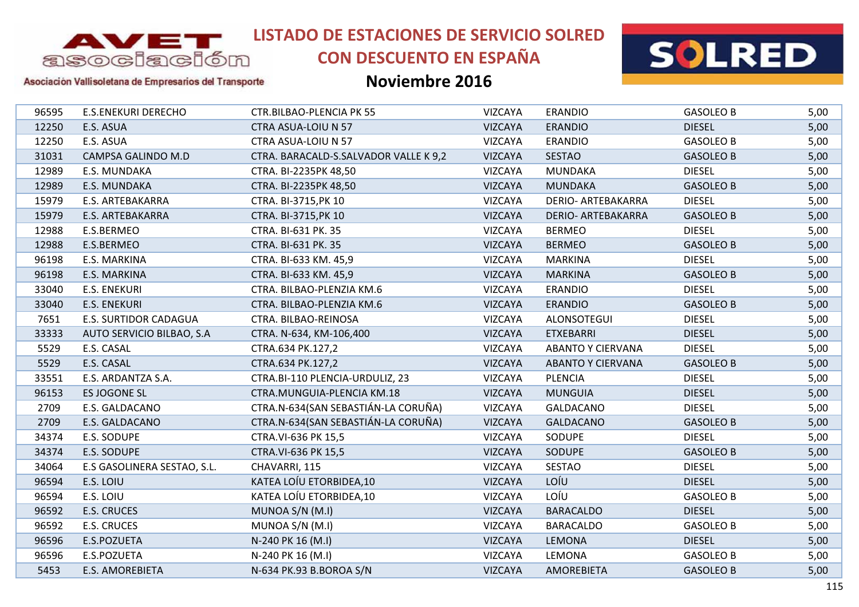

# **CON DESCUENTO EN ESPAÑA**



#### Asociación Vallisoletana de Empresarios del Transporte

| 96595 | <b>E.S.ENEKURI DERECHO</b>  | <b>CTR.BILBAO-PLENCIA PK 55</b>       | <b>VIZCAYA</b> | <b>ERANDIO</b>            | <b>GASOLEO B</b> | 5,00 |
|-------|-----------------------------|---------------------------------------|----------------|---------------------------|------------------|------|
| 12250 | E.S. ASUA                   | CTRA ASUA-LOIU N 57                   | <b>VIZCAYA</b> | <b>ERANDIO</b>            | <b>DIESEL</b>    | 5,00 |
| 12250 | E.S. ASUA                   | CTRA ASUA-LOIU N 57                   | <b>VIZCAYA</b> | <b>ERANDIO</b>            | <b>GASOLEO B</b> | 5,00 |
| 31031 | CAMPSA GALINDO M.D          | CTRA. BARACALD-S.SALVADOR VALLE K 9,2 | <b>VIZCAYA</b> | <b>SESTAO</b>             | <b>GASOLEO B</b> | 5,00 |
| 12989 | E.S. MUNDAKA                | CTRA. BI-2235PK 48,50                 | <b>VIZCAYA</b> | <b>MUNDAKA</b>            | <b>DIESEL</b>    | 5,00 |
| 12989 | E.S. MUNDAKA                | CTRA. BI-2235PK 48,50                 | <b>VIZCAYA</b> | <b>MUNDAKA</b>            | <b>GASOLEO B</b> | 5,00 |
| 15979 | E.S. ARTEBAKARRA            | CTRA. BI-3715, PK 10                  | <b>VIZCAYA</b> | DERIO- ARTEBAKARRA        | <b>DIESEL</b>    | 5,00 |
| 15979 | E.S. ARTEBAKARRA            | CTRA. BI-3715, PK 10                  | <b>VIZCAYA</b> | <b>DERIO- ARTEBAKARRA</b> | <b>GASOLEO B</b> | 5,00 |
| 12988 | E.S.BERMEO                  | CTRA. BI-631 PK. 35                   | <b>VIZCAYA</b> | <b>BERMEO</b>             | <b>DIESEL</b>    | 5,00 |
| 12988 | E.S.BERMEO                  | CTRA. BI-631 PK. 35                   | <b>VIZCAYA</b> | <b>BERMEO</b>             | <b>GASOLEO B</b> | 5,00 |
| 96198 | E.S. MARKINA                | CTRA. BI-633 KM. 45,9                 | VIZCAYA        | <b>MARKINA</b>            | <b>DIESEL</b>    | 5,00 |
| 96198 | E.S. MARKINA                | CTRA. BI-633 KM. 45,9                 | <b>VIZCAYA</b> | <b>MARKINA</b>            | <b>GASOLEO B</b> | 5,00 |
| 33040 | <b>E.S. ENEKURI</b>         | CTRA. BILBAO-PLENZIA KM.6             | <b>VIZCAYA</b> | <b>ERANDIO</b>            | <b>DIESEL</b>    | 5,00 |
| 33040 | <b>E.S. ENEKURI</b>         | CTRA. BILBAO-PLENZIA KM.6             | <b>VIZCAYA</b> | <b>ERANDIO</b>            | <b>GASOLEO B</b> | 5,00 |
| 7651  | E.S. SURTIDOR CADAGUA       | CTRA. BILBAO-REINOSA                  | <b>VIZCAYA</b> | ALONSOTEGUI               | <b>DIESEL</b>    | 5,00 |
| 33333 | AUTO SERVICIO BILBAO, S.A   | CTRA. N-634, KM-106,400               | <b>VIZCAYA</b> | <b>ETXEBARRI</b>          | <b>DIESEL</b>    | 5,00 |
| 5529  | E.S. CASAL                  | CTRA.634 PK.127,2                     | <b>VIZCAYA</b> | <b>ABANTO Y CIERVANA</b>  | <b>DIESEL</b>    | 5,00 |
| 5529  | E.S. CASAL                  | CTRA.634 PK.127,2                     | <b>VIZCAYA</b> | <b>ABANTO Y CIERVANA</b>  | <b>GASOLEO B</b> | 5,00 |
| 33551 | E.S. ARDANTZA S.A.          | CTRA.BI-110 PLENCIA-URDULIZ, 23       | <b>VIZCAYA</b> | <b>PLENCIA</b>            | <b>DIESEL</b>    | 5,00 |
| 96153 | ES JOGONE SL                | CTRA.MUNGUIA-PLENCIA KM.18            | <b>VIZCAYA</b> | <b>MUNGUIA</b>            | <b>DIESEL</b>    | 5,00 |
| 2709  | E.S. GALDACANO              | CTRA.N-634(SAN SEBASTIÁN-LA CORUÑA)   | <b>VIZCAYA</b> | <b>GALDACANO</b>          | <b>DIESEL</b>    | 5,00 |
| 2709  | E.S. GALDACANO              | CTRA.N-634(SAN SEBASTIÁN-LA CORUÑA)   | <b>VIZCAYA</b> | <b>GALDACANO</b>          | <b>GASOLEO B</b> | 5,00 |
| 34374 | E.S. SODUPE                 | CTRA.VI-636 PK 15,5                   | VIZCAYA        | SODUPE                    | <b>DIESEL</b>    | 5,00 |
| 34374 | E.S. SODUPE                 | CTRA.VI-636 PK 15,5                   | <b>VIZCAYA</b> | SODUPE                    | <b>GASOLEO B</b> | 5,00 |
| 34064 | E.S GASOLINERA SESTAO, S.L. | CHAVARRI, 115                         | <b>VIZCAYA</b> | SESTAO                    | <b>DIESEL</b>    | 5,00 |
| 96594 | E.S. LOIU                   | KATEA LOÍU ETORBIDEA, 10              | <b>VIZCAYA</b> | LOÍU                      | <b>DIESEL</b>    | 5,00 |
| 96594 | E.S. LOIU                   | KATEA LOÍU ETORBIDEA, 10              | <b>VIZCAYA</b> | LOÍU                      | <b>GASOLEO B</b> | 5,00 |
| 96592 | <b>E.S. CRUCES</b>          | MUNOA S/N (M.I)                       | <b>VIZCAYA</b> | <b>BARACALDO</b>          | <b>DIESEL</b>    | 5,00 |
| 96592 | <b>E.S. CRUCES</b>          | MUNOA S/N (M.I)                       | VIZCAYA        | <b>BARACALDO</b>          | <b>GASOLEO B</b> | 5,00 |
| 96596 | E.S.POZUETA                 | N-240 PK 16 (M.I)                     | <b>VIZCAYA</b> | <b>LEMONA</b>             | <b>DIESEL</b>    | 5,00 |
| 96596 | E.S.POZUETA                 | N-240 PK 16 (M.I)                     | <b>VIZCAYA</b> | LEMONA                    | <b>GASOLEO B</b> | 5,00 |
| 5453  | <b>E.S. AMOREBIETA</b>      | N-634 PK.93 B.BOROA S/N               | <b>VIZCAYA</b> | <b>AMOREBIETA</b>         | <b>GASOLEO B</b> | 5,00 |
|       |                             |                                       |                |                           |                  |      |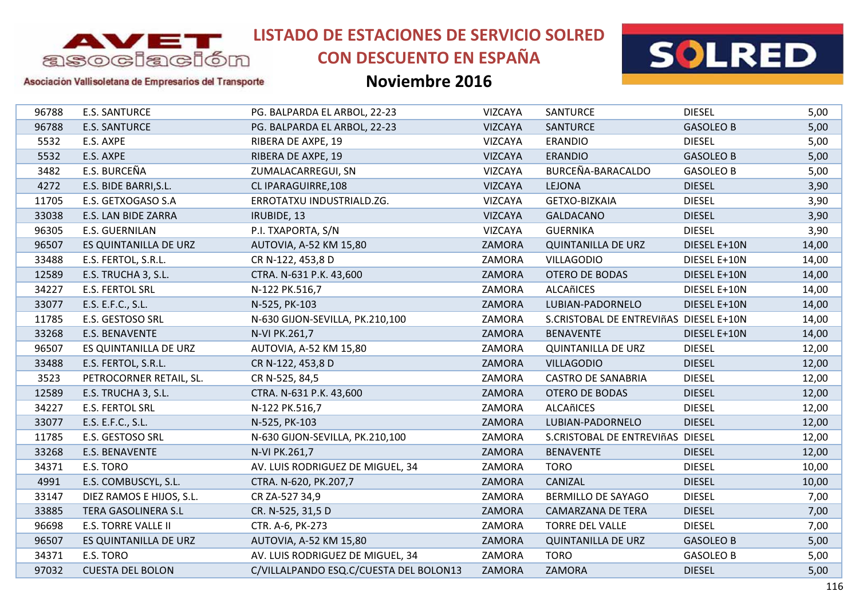

# **CON DESCUENTO EN ESPAÑA**



### Asociación Vallisoletana de Empresarios del Transporte

| 96788 | <b>E.S. SANTURCE</b>       | PG. BALPARDA EL ARBOL, 22-23           | VIZCAYA        | <b>SANTURCE</b>                        | <b>DIESEL</b>    | 5,00  |
|-------|----------------------------|----------------------------------------|----------------|----------------------------------------|------------------|-------|
| 96788 | <b>E.S. SANTURCE</b>       | PG. BALPARDA EL ARBOL, 22-23           | <b>VIZCAYA</b> | <b>SANTURCE</b>                        | <b>GASOLEO B</b> | 5,00  |
| 5532  | E.S. AXPE                  | RIBERA DE AXPE, 19                     | VIZCAYA        | <b>ERANDIO</b>                         | <b>DIESEL</b>    | 5,00  |
| 5532  | E.S. AXPE                  | RIBERA DE AXPE, 19                     | <b>VIZCAYA</b> | <b>ERANDIO</b>                         | <b>GASOLEO B</b> | 5,00  |
| 3482  | E.S. BURCEÑA               | ZUMALACARREGUI, SN                     | <b>VIZCAYA</b> | BURCEÑA-BARACALDO                      | <b>GASOLEO B</b> | 5,00  |
| 4272  | E.S. BIDE BARRI, S.L.      | CL IPARAGUIRRE, 108                    | <b>VIZCAYA</b> | <b>LEJONA</b>                          | <b>DIESEL</b>    | 3,90  |
| 11705 | E.S. GETXOGASO S.A         | ERROTATXU INDUSTRIALD.ZG.              | <b>VIZCAYA</b> | GETXO-BIZKAIA                          | <b>DIESEL</b>    | 3,90  |
| 33038 | E.S. LAN BIDE ZARRA        | IRUBIDE, 13                            | VIZCAYA        | <b>GALDACANO</b>                       | <b>DIESEL</b>    | 3,90  |
| 96305 | <b>E.S. GUERNILAN</b>      | P.I. TXAPORTA, S/N                     | <b>VIZCAYA</b> | <b>GUERNIKA</b>                        | <b>DIESEL</b>    | 3,90  |
| 96507 | ES QUINTANILLA DE URZ      | AUTOVIA, A-52 KM 15,80                 | ZAMORA         | <b>QUINTANILLA DE URZ</b>              | DIESEL E+10N     | 14,00 |
| 33488 | E.S. FERTOL, S.R.L.        | CR N-122, 453,8 D                      | ZAMORA         | <b>VILLAGODIO</b>                      | DIESEL E+10N     | 14,00 |
| 12589 | E.S. TRUCHA 3, S.L.        | CTRA. N-631 P.K. 43,600                | ZAMORA         | <b>OTERO DE BODAS</b>                  | DIESEL E+10N     | 14,00 |
| 34227 | <b>E.S. FERTOL SRL</b>     | N-122 PK.516,7                         | ZAMORA         | <b>ALCAñICES</b>                       | DIESEL E+10N     | 14,00 |
| 33077 | E.S. E.F.C., S.L.          | N-525, PK-103                          | ZAMORA         | LUBIAN-PADORNELO                       | DIESEL E+10N     | 14,00 |
| 11785 | E.S. GESTOSO SRL           | N-630 GIJON-SEVILLA, PK.210,100        | ZAMORA         | S.CRISTOBAL DE ENTREVIñAS DIESEL E+10N |                  | 14,00 |
| 33268 | E.S. BENAVENTE             | N-VI PK.261,7                          | ZAMORA         | <b>BENAVENTE</b>                       | DIESEL E+10N     | 14,00 |
| 96507 | ES QUINTANILLA DE URZ      | AUTOVIA, A-52 KM 15,80                 | ZAMORA         | <b>QUINTANILLA DE URZ</b>              | <b>DIESEL</b>    | 12,00 |
| 33488 | E.S. FERTOL, S.R.L.        | CR N-122, 453,8 D                      | ZAMORA         | <b>VILLAGODIO</b>                      | <b>DIESEL</b>    | 12,00 |
| 3523  | PETROCORNER RETAIL, SL.    | CR N-525, 84,5                         | ZAMORA         | <b>CASTRO DE SANABRIA</b>              | <b>DIESEL</b>    | 12,00 |
| 12589 | E.S. TRUCHA 3, S.L.        | CTRA. N-631 P.K. 43,600                | ZAMORA         | OTERO DE BODAS                         | <b>DIESEL</b>    | 12,00 |
| 34227 | <b>E.S. FERTOL SRL</b>     | N-122 PK.516,7                         | ZAMORA         | ALCAñICES                              | <b>DIESEL</b>    | 12,00 |
| 33077 | E.S. E.F.C., S.L.          | N-525, PK-103                          | ZAMORA         | LUBIAN-PADORNELO                       | <b>DIESEL</b>    | 12,00 |
| 11785 | E.S. GESTOSO SRL           | N-630 GIJON-SEVILLA, PK.210,100        | ZAMORA         | S.CRISTOBAL DE ENTREVIñAS DIESEL       |                  | 12,00 |
| 33268 | <b>E.S. BENAVENTE</b>      | N-VI PK.261,7                          | ZAMORA         | <b>BENAVENTE</b>                       | <b>DIESEL</b>    | 12,00 |
| 34371 | E.S. TORO                  | AV. LUIS RODRIGUEZ DE MIGUEL, 34       | ZAMORA         | <b>TORO</b>                            | <b>DIESEL</b>    | 10,00 |
| 4991  | E.S. COMBUSCYL, S.L.       | CTRA. N-620, PK.207,7                  | ZAMORA         | CANIZAL                                | <b>DIESEL</b>    | 10,00 |
| 33147 | DIEZ RAMOS E HIJOS, S.L.   | CR ZA-527 34,9                         | ZAMORA         | BERMILLO DE SAYAGO                     | <b>DIESEL</b>    | 7,00  |
| 33885 | TERA GASOLINERA S.L        | CR. N-525, 31,5 D                      | ZAMORA         | <b>CAMARZANA DE TERA</b>               | <b>DIESEL</b>    | 7,00  |
| 96698 | <b>E.S. TORRE VALLE II</b> | CTR. A-6, PK-273                       | ZAMORA         | <b>TORRE DEL VALLE</b>                 | <b>DIESEL</b>    | 7,00  |
| 96507 | ES QUINTANILLA DE URZ      | AUTOVIA, A-52 KM 15,80                 | ZAMORA         | <b>QUINTANILLA DE URZ</b>              | <b>GASOLEO B</b> | 5,00  |
| 34371 | E.S. TORO                  | AV. LUIS RODRIGUEZ DE MIGUEL, 34       | ZAMORA         | <b>TORO</b>                            | <b>GASOLEO B</b> | 5,00  |
| 97032 | <b>CUESTA DEL BOLON</b>    | C/VILLALPANDO ESQ.C/CUESTA DEL BOLON13 | ZAMORA         | <b>ZAMORA</b>                          | <b>DIESEL</b>    | 5,00  |
|       |                            |                                        |                |                                        |                  |       |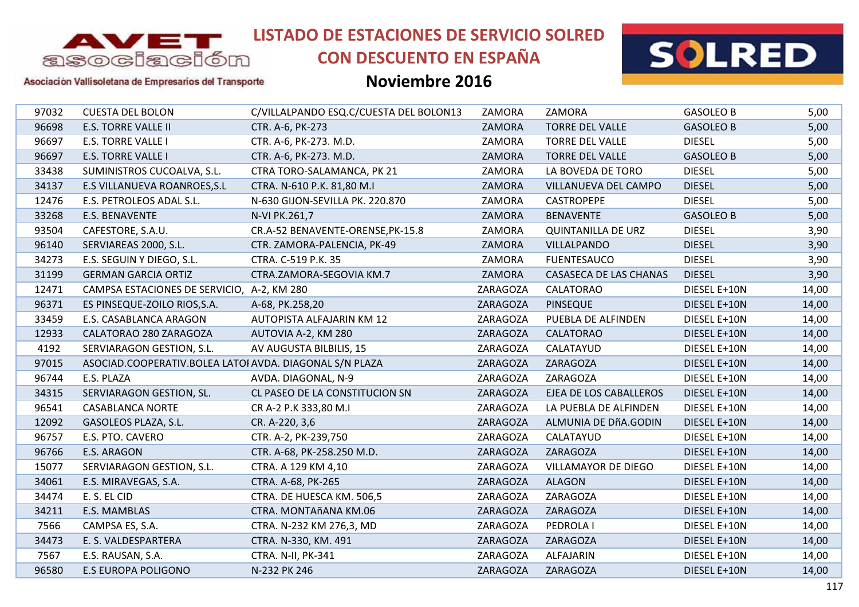

## **CON DESCUENTO EN ESPAÑA**





### Asociación Vallisoletana de Empresarios del Transporte

| 97032 | <b>CUESTA DEL BOLON</b>                                 | C/VILLALPANDO ESQ.C/CUESTA DEL BOLON13 | ZAMORA   | ZAMORA                        | <b>GASOLEO B</b> | 5,00  |
|-------|---------------------------------------------------------|----------------------------------------|----------|-------------------------------|------------------|-------|
| 96698 | <b>E.S. TORRE VALLE II</b>                              | CTR. A-6, PK-273                       | ZAMORA   | <b>TORRE DEL VALLE</b>        | <b>GASOLEO B</b> | 5,00  |
| 96697 | E.S. TORRE VALLE I                                      | CTR. A-6, PK-273. M.D.                 | ZAMORA   | <b>TORRE DEL VALLE</b>        | <b>DIESEL</b>    | 5,00  |
| 96697 | <b>E.S. TORRE VALLE I</b>                               | CTR. A-6, PK-273. M.D.                 | ZAMORA   | <b>TORRE DEL VALLE</b>        | <b>GASOLEO B</b> | 5,00  |
| 33438 | SUMINISTROS CUCOALVA, S.L.                              | CTRA TORO-SALAMANCA, PK 21             | ZAMORA   | LA BOVEDA DE TORO             | <b>DIESEL</b>    | 5,00  |
| 34137 | E.S VILLANUEVA ROANROES, S.L                            | CTRA. N-610 P.K. 81,80 M.I             | ZAMORA   | VILLANUEVA DEL CAMPO          | <b>DIESEL</b>    | 5,00  |
| 12476 | E.S. PETROLEOS ADAL S.L.                                | N-630 GIJON-SEVILLA PK. 220.870        | ZAMORA   | <b>CASTROPEPE</b>             | <b>DIESEL</b>    | 5,00  |
| 33268 | E.S. BENAVENTE                                          | N-VI PK.261,7                          | ZAMORA   | <b>BENAVENTE</b>              | <b>GASOLEO B</b> | 5,00  |
| 93504 | CAFESTORE, S.A.U.                                       | CR.A-52 BENAVENTE-ORENSE, PK-15.8      | ZAMORA   | <b>QUINTANILLA DE URZ</b>     | <b>DIESEL</b>    | 3,90  |
| 96140 | SERVIAREAS 2000, S.L.                                   | CTR. ZAMORA-PALENCIA, PK-49            | ZAMORA   | <b>VILLALPANDO</b>            | <b>DIESEL</b>    | 3,90  |
| 34273 | E.S. SEGUIN Y DIEGO, S.L.                               | CTRA. C-519 P.K. 35                    | ZAMORA   | <b>FUENTESAUCO</b>            | <b>DIESEL</b>    | 3,90  |
| 31199 | <b>GERMAN GARCIA ORTIZ</b>                              | CTRA.ZAMORA-SEGOVIA KM.7               | ZAMORA   | <b>CASASECA DE LAS CHANAS</b> | <b>DIESEL</b>    | 3,90  |
| 12471 | CAMPSA ESTACIONES DE SERVICIO, A-2, KM 280              |                                        | ZARAGOZA | CALATORAO                     | DIESEL E+10N     | 14,00 |
| 96371 | ES PINSEQUE-ZOILO RIOS, S.A.                            | A-68, PK.258, 20                       | ZARAGOZA | <b>PINSEQUE</b>               | DIESEL E+10N     | 14,00 |
| 33459 | E.S. CASABLANCA ARAGON                                  | AUTOPISTA ALFAJARIN KM 12              | ZARAGOZA | PUEBLA DE ALFINDEN            | DIESEL E+10N     | 14,00 |
| 12933 | CALATORAO 280 ZARAGOZA                                  | AUTOVIA A-2, KM 280                    | ZARAGOZA | <b>CALATORAO</b>              | DIESEL E+10N     | 14,00 |
| 4192  | SERVIARAGON GESTION, S.L.                               | AV AUGUSTA BILBILIS, 15                | ZARAGOZA | CALATAYUD                     | DIESEL E+10N     | 14,00 |
| 97015 | ASOCIAD.COOPERATIV.BOLEA LATOI AVDA. DIAGONAL S/N PLAZA |                                        | ZARAGOZA | ZARAGOZA                      | DIESEL E+10N     | 14,00 |
| 96744 | E.S. PLAZA                                              | AVDA. DIAGONAL, N-9                    | ZARAGOZA | ZARAGOZA                      | DIESEL E+10N     | 14,00 |
| 34315 | SERVIARAGON GESTION, SL.                                | CL PASEO DE LA CONSTITUCION SN         | ZARAGOZA | EJEA DE LOS CABALLEROS        | DIESEL E+10N     | 14,00 |
| 96541 | <b>CASABLANCA NORTE</b>                                 | CR A-2 P.K 333,80 M.I                  | ZARAGOZA | LA PUEBLA DE ALFINDEN         | DIESEL E+10N     | 14,00 |
| 12092 | GASOLEOS PLAZA, S.L.                                    | CR. A-220, 3,6                         | ZARAGOZA | ALMUNIA DE DÑA.GODIN          | DIESEL E+10N     | 14,00 |
| 96757 | E.S. PTO. CAVERO                                        | CTR. A-2, PK-239,750                   | ZARAGOZA | CALATAYUD                     | DIESEL E+10N     | 14,00 |
| 96766 | E.S. ARAGON                                             | CTR. A-68, PK-258.250 M.D.             | ZARAGOZA | ZARAGOZA                      | DIESEL E+10N     | 14,00 |
| 15077 | SERVIARAGON GESTION, S.L.                               | CTRA. A 129 KM 4,10                    | ZARAGOZA | VILLAMAYOR DE DIEGO           | DIESEL E+10N     | 14,00 |
| 34061 | E.S. MIRAVEGAS, S.A.                                    | CTRA. A-68, PK-265                     | ZARAGOZA | <b>ALAGON</b>                 | DIESEL E+10N     | 14,00 |
| 34474 | E. S. EL CID                                            | CTRA. DE HUESCA KM. 506,5              | ZARAGOZA | ZARAGOZA                      | DIESEL E+10N     | 14,00 |
| 34211 | E.S. MAMBLAS                                            | CTRA. MONTAñANA KM.06                  | ZARAGOZA | ZARAGOZA                      | DIESEL E+10N     | 14,00 |
| 7566  | CAMPSA ES, S.A.                                         | CTRA. N-232 KM 276,3, MD               | ZARAGOZA | PEDROLA I                     | DIESEL E+10N     | 14,00 |
| 34473 | E. S. VALDESPARTERA                                     | CTRA. N-330, KM. 491                   | ZARAGOZA | ZARAGOZA                      | DIESEL E+10N     | 14,00 |
| 7567  | E.S. RAUSAN, S.A.                                       | CTRA. N-II, PK-341                     | ZARAGOZA | ALFAJARIN                     | DIESEL E+10N     | 14,00 |
| 96580 | <b>E.S EUROPA POLIGONO</b>                              | N-232 PK 246                           | ZARAGOZA | ZARAGOZA                      | DIESEL E+10N     | 14,00 |
|       |                                                         |                                        |          |                               |                  |       |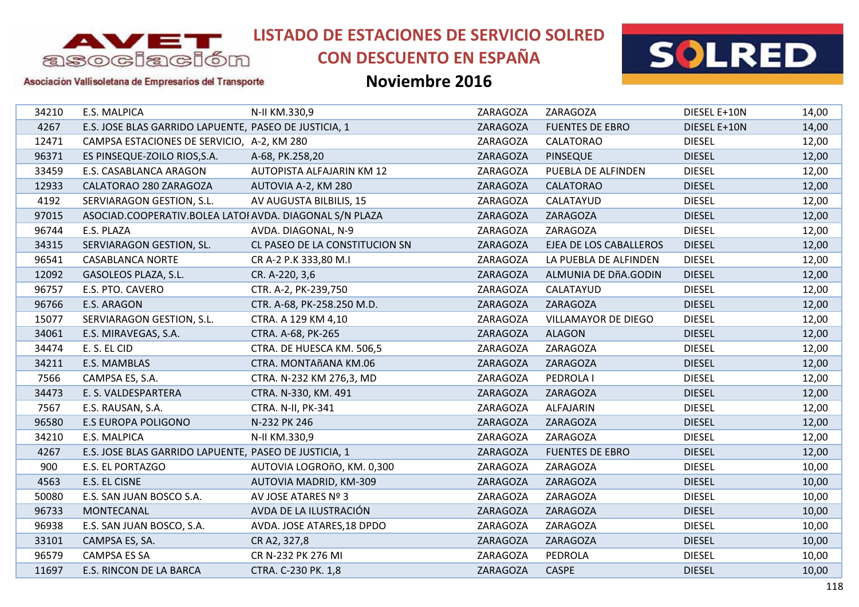

# **CON DESCUENTO EN ESPAÑA**



Asociación Vallisoletana de Empresarios del Transporte

| 34210 | E.S. MALPICA                                            | N-II KM.330,9                    | ZARAGOZA | ZARAGOZA                   | DIESEL E+10N  | 14,00 |
|-------|---------------------------------------------------------|----------------------------------|----------|----------------------------|---------------|-------|
| 4267  | E.S. JOSE BLAS GARRIDO LAPUENTE, PASEO DE JUSTICIA, 1   |                                  | ZARAGOZA | <b>FUENTES DE EBRO</b>     | DIESEL E+10N  | 14,00 |
| 12471 | CAMPSA ESTACIONES DE SERVICIO, A-2, KM 280              |                                  | ZARAGOZA | <b>CALATORAO</b>           | <b>DIESEL</b> | 12,00 |
| 96371 | ES PINSEQUE-ZOILO RIOS, S.A.                            | A-68, PK.258,20                  | ZARAGOZA | <b>PINSEQUE</b>            | <b>DIESEL</b> | 12,00 |
| 33459 | E.S. CASABLANCA ARAGON                                  | <b>AUTOPISTA ALFAJARIN KM 12</b> | ZARAGOZA | PUEBLA DE ALFINDEN         | <b>DIESEL</b> | 12,00 |
| 12933 | CALATORAO 280 ZARAGOZA                                  | AUTOVIA A-2, KM 280              | ZARAGOZA | <b>CALATORAO</b>           | <b>DIESEL</b> | 12,00 |
| 4192  | SERVIARAGON GESTION, S.L.                               | AV AUGUSTA BILBILIS, 15          | ZARAGOZA | CALATAYUD                  | <b>DIESEL</b> | 12,00 |
| 97015 | ASOCIAD.COOPERATIV.BOLEA LATOI AVDA. DIAGONAL S/N PLAZA |                                  | ZARAGOZA | ZARAGOZA                   | <b>DIESEL</b> | 12,00 |
| 96744 | E.S. PLAZA                                              | AVDA. DIAGONAL, N-9              | ZARAGOZA | ZARAGOZA                   | <b>DIESEL</b> | 12,00 |
| 34315 | SERVIARAGON GESTION, SL.                                | CL PASEO DE LA CONSTITUCION SN   | ZARAGOZA | EJEA DE LOS CABALLEROS     | <b>DIESEL</b> | 12,00 |
| 96541 | <b>CASABLANCA NORTE</b>                                 | CR A-2 P.K 333,80 M.I            | ZARAGOZA | LA PUEBLA DE ALFINDEN      | <b>DIESEL</b> | 12,00 |
| 12092 | GASOLEOS PLAZA, S.L.                                    | CR. A-220, 3,6                   | ZARAGOZA | ALMUNIA DE DñA.GODIN       | <b>DIESEL</b> | 12,00 |
| 96757 | E.S. PTO. CAVERO                                        | CTR. A-2, PK-239,750             | ZARAGOZA | CALATAYUD                  | <b>DIESEL</b> | 12,00 |
| 96766 | E.S. ARAGON                                             | CTR. A-68, PK-258.250 M.D.       | ZARAGOZA | ZARAGOZA                   | <b>DIESEL</b> | 12,00 |
| 15077 | SERVIARAGON GESTION, S.L.                               | CTRA. A 129 KM 4,10              | ZARAGOZA | <b>VILLAMAYOR DE DIEGO</b> | <b>DIESEL</b> | 12,00 |
| 34061 | E.S. MIRAVEGAS, S.A.                                    | CTRA. A-68, PK-265               | ZARAGOZA | <b>ALAGON</b>              | <b>DIESEL</b> | 12,00 |
| 34474 | E. S. EL CID                                            | CTRA. DE HUESCA KM. 506,5        | ZARAGOZA | ZARAGOZA                   | <b>DIESEL</b> | 12,00 |
| 34211 | E.S. MAMBLAS                                            | CTRA. MONTAñANA KM.06            | ZARAGOZA | ZARAGOZA                   | <b>DIESEL</b> | 12,00 |
| 7566  | CAMPSA ES, S.A.                                         | CTRA. N-232 KM 276,3, MD         | ZARAGOZA | PEDROLA I                  | <b>DIESEL</b> | 12,00 |
| 34473 | E. S. VALDESPARTERA                                     | CTRA. N-330, KM. 491             | ZARAGOZA | ZARAGOZA                   | <b>DIESEL</b> | 12,00 |
| 7567  | E.S. RAUSAN, S.A.                                       | CTRA. N-II, PK-341               | ZARAGOZA | ALFAJARIN                  | <b>DIESEL</b> | 12,00 |
| 96580 | <b>E.S EUROPA POLIGONO</b>                              | N-232 PK 246                     | ZARAGOZA | ZARAGOZA                   | <b>DIESEL</b> | 12,00 |
| 34210 | E.S. MALPICA                                            | N-II KM.330,9                    | ZARAGOZA | ZARAGOZA                   | <b>DIESEL</b> | 12,00 |
| 4267  | E.S. JOSE BLAS GARRIDO LAPUENTE, PASEO DE JUSTICIA, 1   |                                  | ZARAGOZA | <b>FUENTES DE EBRO</b>     | <b>DIESEL</b> | 12,00 |
| 900   | E.S. EL PORTAZGO                                        | AUTOVIA LOGROñO, KM. 0,300       | ZARAGOZA | ZARAGOZA                   | <b>DIESEL</b> | 10,00 |
| 4563  | E.S. EL CISNE                                           | AUTOVIA MADRID, KM-309           | ZARAGOZA | ZARAGOZA                   | <b>DIESEL</b> | 10,00 |
| 50080 | E.S. SAN JUAN BOSCO S.A.                                | AV JOSE ATARES Nº 3              | ZARAGOZA | ZARAGOZA                   | <b>DIESEL</b> | 10,00 |
| 96733 | MONTECANAL                                              | AVDA DE LA ILUSTRACIÓN           | ZARAGOZA | ZARAGOZA                   | <b>DIESEL</b> | 10,00 |
| 96938 | E.S. SAN JUAN BOSCO, S.A.                               | AVDA. JOSE ATARES, 18 DPDO       | ZARAGOZA | ZARAGOZA                   | <b>DIESEL</b> | 10,00 |
| 33101 | CAMPSA ES, SA.                                          | CR A2, 327,8                     | ZARAGOZA | ZARAGOZA                   | <b>DIESEL</b> | 10,00 |
| 96579 | <b>CAMPSA ES SA</b>                                     | CR N-232 PK 276 MI               | ZARAGOZA | PEDROLA                    | <b>DIESEL</b> | 10,00 |
| 11697 | E.S. RINCON DE LA BARCA                                 | CTRA. C-230 PK. 1,8              | ZARAGOZA | <b>CASPE</b>               | <b>DIESEL</b> | 10,00 |
|       |                                                         |                                  |          |                            |               |       |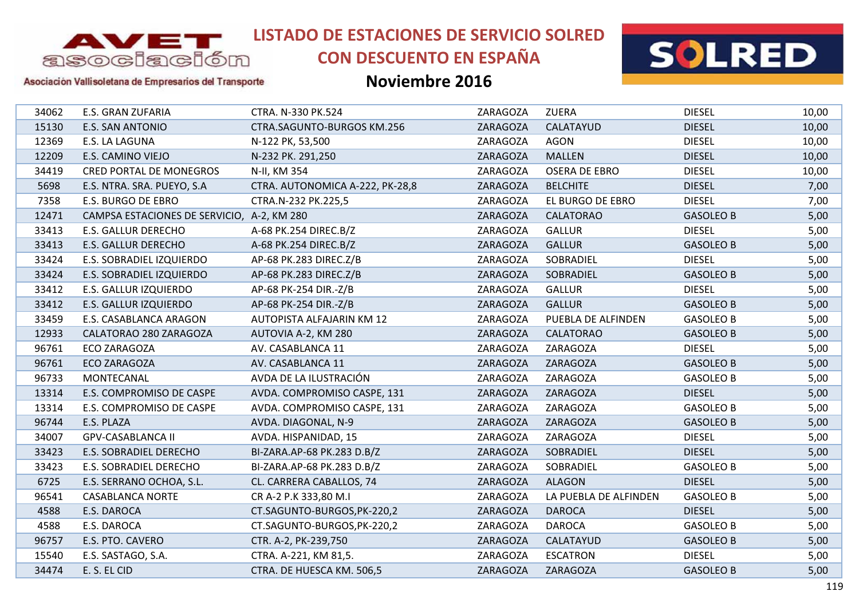

# **CON DESCUENTO EN ESPAÑA**



#### Asociación Vallisoletana de Empresarios del Transporte

| 34062 | E.S. GRAN ZUFARIA                          | CTRA. N-330 PK.524               | ZARAGOZA | <b>ZUERA</b>          | <b>DIESEL</b>    | 10,00 |
|-------|--------------------------------------------|----------------------------------|----------|-----------------------|------------------|-------|
| 15130 | <b>E.S. SAN ANTONIO</b>                    | CTRA.SAGUNTO-BURGOS KM.256       | ZARAGOZA | CALATAYUD             | <b>DIESEL</b>    | 10,00 |
| 12369 | E.S. LA LAGUNA                             | N-122 PK, 53,500                 | ZARAGOZA | <b>AGON</b>           | <b>DIESEL</b>    | 10,00 |
| 12209 | E.S. CAMINO VIEJO                          | N-232 PK. 291,250                | ZARAGOZA | <b>MALLEN</b>         | <b>DIESEL</b>    | 10,00 |
| 34419 | <b>CRED PORTAL DE MONEGROS</b>             | N-II, KM 354                     | ZARAGOZA | <b>OSERA DE EBRO</b>  | <b>DIESEL</b>    | 10,00 |
| 5698  | E.S. NTRA. SRA. PUEYO, S.A                 | CTRA. AUTONOMICA A-222, PK-28,8  | ZARAGOZA | <b>BELCHITE</b>       | <b>DIESEL</b>    | 7,00  |
| 7358  | E.S. BURGO DE EBRO                         | CTRA.N-232 PK.225,5              | ZARAGOZA | EL BURGO DE EBRO      | <b>DIESEL</b>    | 7,00  |
| 12471 | CAMPSA ESTACIONES DE SERVICIO, A-2, KM 280 |                                  | ZARAGOZA | <b>CALATORAO</b>      | <b>GASOLEO B</b> | 5,00  |
| 33413 | <b>E.S. GALLUR DERECHO</b>                 | A-68 PK.254 DIREC.B/Z            | ZARAGOZA | <b>GALLUR</b>         | <b>DIESEL</b>    | 5,00  |
| 33413 | E.S. GALLUR DERECHO                        | A-68 PK.254 DIREC.B/Z            | ZARAGOZA | <b>GALLUR</b>         | <b>GASOLEO B</b> | 5,00  |
| 33424 | E.S. SOBRADIEL IZQUIERDO                   | AP-68 PK.283 DIREC.Z/B           | ZARAGOZA | SOBRADIEL             | <b>DIESEL</b>    | 5,00  |
| 33424 | E.S. SOBRADIEL IZQUIERDO                   | AP-68 PK.283 DIREC.Z/B           | ZARAGOZA | SOBRADIEL             | <b>GASOLEO B</b> | 5,00  |
| 33412 | E.S. GALLUR IZQUIERDO                      | AP-68 PK-254 DIR.-Z/B            | ZARAGOZA | <b>GALLUR</b>         | <b>DIESEL</b>    | 5,00  |
| 33412 | E.S. GALLUR IZQUIERDO                      | AP-68 PK-254 DIR.-Z/B            | ZARAGOZA | <b>GALLUR</b>         | <b>GASOLEO B</b> | 5,00  |
| 33459 | E.S. CASABLANCA ARAGON                     | <b>AUTOPISTA ALFAJARIN KM 12</b> | ZARAGOZA | PUEBLA DE ALFINDEN    | <b>GASOLEO B</b> | 5,00  |
| 12933 | CALATORAO 280 ZARAGOZA                     | AUTOVIA A-2, KM 280              | ZARAGOZA | <b>CALATORAO</b>      | <b>GASOLEO B</b> | 5,00  |
| 96761 | ECO ZARAGOZA                               | AV. CASABLANCA 11                | ZARAGOZA | ZARAGOZA              | <b>DIESEL</b>    | 5,00  |
| 96761 | ECO ZARAGOZA                               | AV. CASABLANCA 11                | ZARAGOZA | ZARAGOZA              | <b>GASOLEO B</b> | 5,00  |
| 96733 | MONTECANAL                                 | AVDA DE LA ILUSTRACIÓN           | ZARAGOZA | ZARAGOZA              | <b>GASOLEO B</b> | 5,00  |
| 13314 | E.S. COMPROMISO DE CASPE                   | AVDA. COMPROMISO CASPE, 131      | ZARAGOZA | ZARAGOZA              | <b>DIESEL</b>    | 5,00  |
| 13314 | E.S. COMPROMISO DE CASPE                   | AVDA. COMPROMISO CASPE, 131      | ZARAGOZA | ZARAGOZA              | <b>GASOLEO B</b> | 5,00  |
| 96744 | E.S. PLAZA                                 | AVDA. DIAGONAL, N-9              | ZARAGOZA | ZARAGOZA              | <b>GASOLEO B</b> | 5,00  |
| 34007 | <b>GPV-CASABLANCA II</b>                   | AVDA. HISPANIDAD, 15             | ZARAGOZA | ZARAGOZA              | <b>DIESEL</b>    | 5,00  |
| 33423 | E.S. SOBRADIEL DERECHO                     | BI-ZARA.AP-68 PK.283 D.B/Z       | ZARAGOZA | SOBRADIEL             | <b>DIESEL</b>    | 5,00  |
| 33423 | E.S. SOBRADIEL DERECHO                     | BI-ZARA.AP-68 PK.283 D.B/Z       | ZARAGOZA | SOBRADIEL             | <b>GASOLEO B</b> | 5,00  |
| 6725  | E.S. SERRANO OCHOA, S.L.                   | CL. CARRERA CABALLOS, 74         | ZARAGOZA | <b>ALAGON</b>         | <b>DIESEL</b>    | 5,00  |
| 96541 | <b>CASABLANCA NORTE</b>                    | CR A-2 P.K 333,80 M.I            | ZARAGOZA | LA PUEBLA DE ALFINDEN | <b>GASOLEO B</b> | 5,00  |
| 4588  | E.S. DAROCA                                | CT.SAGUNTO-BURGOS, PK-220, 2     | ZARAGOZA | <b>DAROCA</b>         | <b>DIESEL</b>    | 5,00  |
| 4588  | E.S. DAROCA                                | CT.SAGUNTO-BURGOS, PK-220, 2     | ZARAGOZA | <b>DAROCA</b>         | <b>GASOLEO B</b> | 5,00  |
| 96757 | E.S. PTO. CAVERO                           | CTR. A-2, PK-239,750             | ZARAGOZA | CALATAYUD             | <b>GASOLEO B</b> | 5,00  |
| 15540 | E.S. SASTAGO, S.A.                         | CTRA. A-221, KM 81,5.            | ZARAGOZA | <b>ESCATRON</b>       | <b>DIESEL</b>    | 5,00  |
| 34474 | E. S. EL CID                               | CTRA. DE HUESCA KM. 506,5        | ZARAGOZA | ZARAGOZA              | <b>GASOLEO B</b> | 5,00  |
|       |                                            |                                  |          |                       |                  |       |